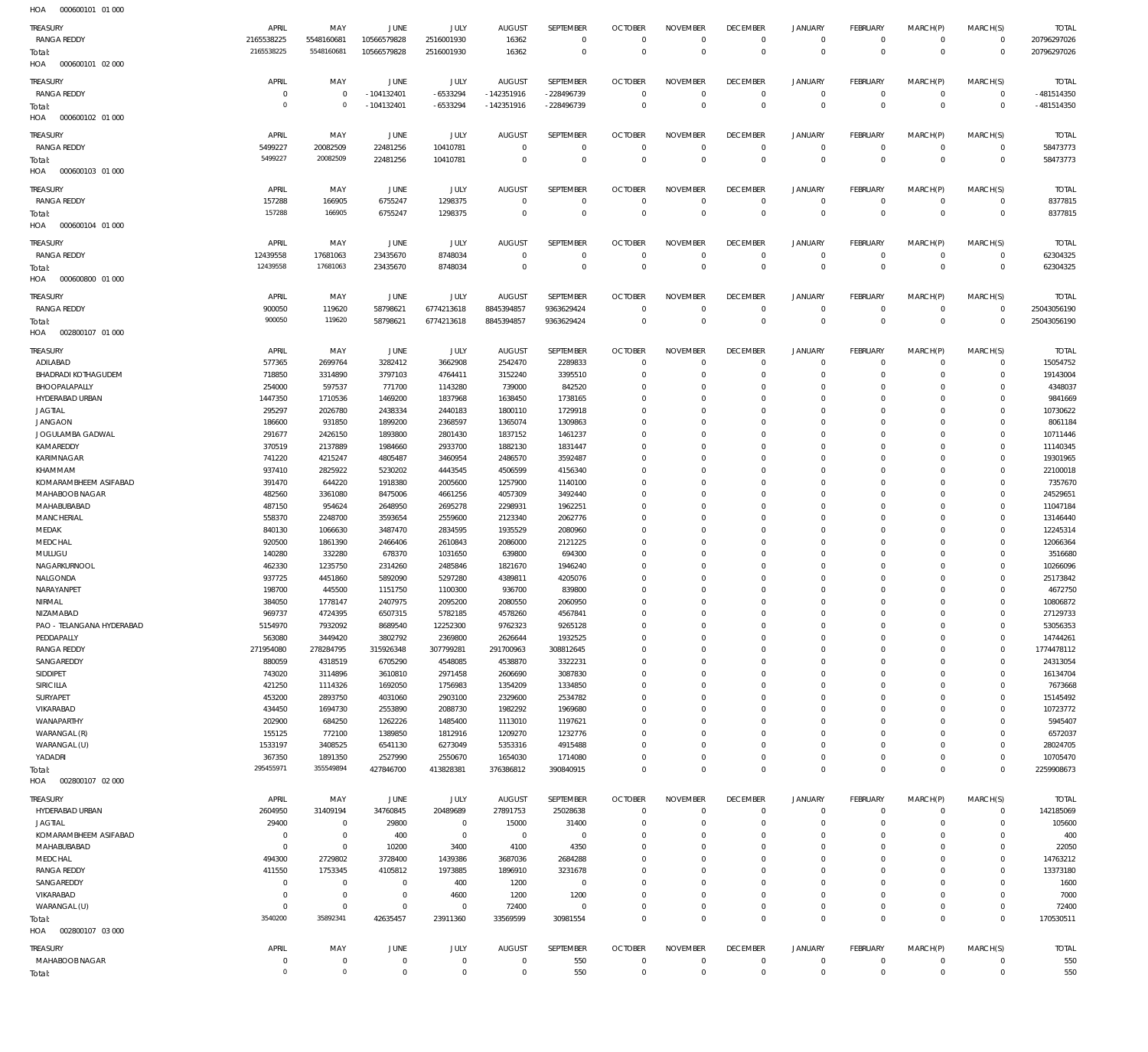| HOA<br>000600101 01 000    |                |                           |                |                |                |                  |                |                 |                 |                |                 |              |                |              |
|----------------------------|----------------|---------------------------|----------------|----------------|----------------|------------------|----------------|-----------------|-----------------|----------------|-----------------|--------------|----------------|--------------|
| TREASURY                   | APRIL          | MAY                       | JUNE           | JULY           | <b>AUGUST</b>  | SEPTEMBER        | <b>OCTOBER</b> | <b>NOVEMBER</b> | <b>DECEMBER</b> | <b>JANUARY</b> | <b>FEBRUARY</b> | MARCH(P)     | MARCH(S)       | <b>TOTAL</b> |
| <b>RANGA REDDY</b>         | 2165538225     | 5548160681                | 10566579828    | 2516001930     | 16362          | $\overline{0}$   | $\overline{0}$ | $\overline{0}$  | $\mathbf 0$     | $\mathbf{0}$   | $\overline{0}$  | $\mathbf{0}$ | $\overline{0}$ | 20796297026  |
| Total:                     | 2165538225     | 5548160681                | 10566579828    | 2516001930     | 16362          | $\overline{0}$   | $\overline{0}$ | $\Omega$        | $\overline{0}$  | $\mathbf{0}$   | $\overline{0}$  | $\mathbf{0}$ | $\overline{0}$ | 20796297026  |
| 000600101 02 000<br>HOA    |                |                           |                |                |                |                  |                |                 |                 |                |                 |              |                |              |
|                            |                |                           |                |                |                |                  |                |                 |                 |                |                 |              |                |              |
| TREASURY                   | APRIL          | MAY                       | JUNE           | JULY           | <b>AUGUST</b>  | <b>SEPTEMBER</b> | <b>OCTOBER</b> | <b>NOVEMBER</b> | <b>DECEMBER</b> | <b>JANUARY</b> | <b>FEBRUARY</b> | MARCH(P)     | MARCH(S)       | <b>TOTAL</b> |
| <b>RANGA REDDY</b>         | $\circ$        | $\mathbf 0$               | $-104132401$   | $-6533294$     | $-142351916$   | -228496739       | $\overline{0}$ | $\overline{0}$  | $\overline{0}$  | $\mathbf 0$    | $\overline{0}$  | $\mathbf 0$  | $\overline{0}$ | -481514350   |
| Total:                     | $\overline{0}$ | $\mathbf 0$               | $-104132401$   | $-6533294$     | $-142351916$   | -228496739       | $\overline{0}$ | $\mathbf 0$     | $\overline{0}$  | $\mathbf{0}$   | $\overline{0}$  | $\mathbf{0}$ | $\mathbf 0$    | -481514350   |
| 000600102 01 000<br>HOA    |                |                           |                |                |                |                  |                |                 |                 |                |                 |              |                |              |
|                            |                |                           |                |                |                |                  |                |                 |                 |                |                 |              |                |              |
| TREASURY                   | APRIL          | MAY                       | JUNE           | JULY           | <b>AUGUST</b>  | SEPTEMBER        | <b>OCTOBER</b> | <b>NOVEMBER</b> | <b>DECEMBER</b> | <b>JANUARY</b> | <b>FEBRUARY</b> | MARCH(P)     | MARCH(S)       | <b>TOTAL</b> |
| <b>RANGA REDDY</b>         | 5499227        | 20082509                  | 22481256       | 10410781       | $\overline{0}$ | $\overline{0}$   | $\overline{0}$ | $\overline{0}$  | $\overline{0}$  | $\mathbf{0}$   | $\overline{0}$  | $\mathbf{0}$ | $\overline{0}$ | 58473773     |
| Total:                     | 5499227        | 20082509                  | 22481256       | 10410781       | $\Omega$       | $\mathbf 0$      | $\overline{0}$ | $\Omega$        | $\overline{0}$  | $\mathbf 0$    | $\overline{0}$  | $\Omega$     | $\overline{0}$ | 58473773     |
| HOA<br>000600103 01 000    |                |                           |                |                |                |                  |                |                 |                 |                |                 |              |                |              |
|                            | APRIL          |                           |                |                |                | <b>SEPTEMBER</b> |                | <b>NOVEMBER</b> | <b>DECEMBER</b> |                | FEBRUARY        |              |                |              |
| TREASURY                   |                | MAY                       | JUNE           | JULY           | <b>AUGUST</b>  |                  | <b>OCTOBER</b> |                 |                 | <b>JANUARY</b> |                 | MARCH(P)     | MARCH(S)       | <b>TOTAL</b> |
| RANGA REDDY                | 157288         | 166905                    | 6755247        | 1298375        | $\overline{0}$ | $\overline{0}$   | $\overline{0}$ | $^{\circ}$      | $\overline{0}$  | $\mathbf 0$    | $\overline{0}$  | $\mathbf 0$  | $\mathbf 0$    | 8377815      |
| Total:                     | 157288         | 166905                    | 6755247        | 1298375        | $\overline{0}$ | $\mathbf 0$      | $\overline{0}$ | $\overline{0}$  | $\overline{0}$  | $\mathbf 0$    | $\overline{0}$  | $\mathbf 0$  | $\overline{0}$ | 8377815      |
| HOA<br>000600104 01 000    |                |                           |                |                |                |                  |                |                 |                 |                |                 |              |                |              |
| TREASURY                   | APRIL          | MAY                       | JUNE           | JULY           | <b>AUGUST</b>  | SEPTEMBER        | <b>OCTOBER</b> | <b>NOVEMBER</b> | <b>DECEMBER</b> | <b>JANUARY</b> | <b>FEBRUARY</b> | MARCH(P)     | MARCH(S)       | <b>TOTAL</b> |
| <b>RANGA REDDY</b>         | 12439558       | 17681063                  | 23435670       | 8748034        | $\overline{0}$ | $\overline{0}$   | $\overline{0}$ | $\overline{0}$  | $\overline{0}$  | $\mathbf 0$    | $\overline{0}$  | $\mathbf 0$  | $\overline{0}$ | 62304325     |
| Total:                     | 12439558       | 17681063                  | 23435670       | 8748034        | $\Omega$       | $\mathbf 0$      | $\overline{0}$ | $\Omega$        | $\mathbf 0$     | $\mathbf 0$    | $\overline{0}$  | $\Omega$     | $\overline{0}$ | 62304325     |
| 000600800 01 000<br>HOA    |                |                           |                |                |                |                  |                |                 |                 |                |                 |              |                |              |
|                            |                |                           |                |                |                |                  |                |                 |                 |                |                 |              |                |              |
| TREASURY                   | APRIL          | MAY                       | JUNE           | JULY           | <b>AUGUST</b>  | SEPTEMBER        | <b>OCTOBER</b> | <b>NOVEMBER</b> | <b>DECEMBER</b> | <b>JANUARY</b> | <b>FEBRUARY</b> | MARCH(P)     | MARCH(S)       | <b>TOTAL</b> |
| <b>RANGA REDDY</b>         | 900050         | 119620                    | 58798621       | 6774213618     | 8845394857     | 9363629424       | $\overline{0}$ | $\mathbf 0$     | $\mathbf 0$     | $\mathbf 0$    | $\overline{0}$  | $\mathbf 0$  | $\overline{0}$ | 25043056190  |
| Total:                     | 900050         | 119620                    | 58798621       | 6774213618     | 8845394857     | 9363629424       | $\overline{0}$ | $\overline{0}$  | $\overline{0}$  | $\mathbf 0$    | $\overline{0}$  | $\mathbf 0$  | $\mathbb O$    | 25043056190  |
| 002800107 01 000<br>HOA    |                |                           |                |                |                |                  |                |                 |                 |                |                 |              |                |              |
|                            |                |                           |                |                |                |                  |                |                 |                 |                |                 |              |                |              |
| TREASURY                   | APRIL          | MAY                       | JUNE           | JULY           | <b>AUGUST</b>  | <b>SEPTEMBER</b> | <b>OCTOBER</b> | <b>NOVEMBER</b> | <b>DECEMBER</b> | <b>JANUARY</b> | <b>FEBRUARY</b> | MARCH(P)     | MARCH(S)       | <b>TOTAL</b> |
| ADILABAD                   | 577365         | 2699764                   | 3282412        | 3662908        | 2542470        | 2289833          | $\overline{0}$ | $\mathbf 0$     | $\mathbf 0$     | $\mathbf 0$    | $\overline{0}$  | $\mathbf 0$  | $\overline{0}$ | 15054752     |
| <b>BHADRADI KOTHAGUDEM</b> | 718850         | 3314890                   | 3797103        | 4764411        | 3152240        | 3395510          | $\overline{0}$ | $\Omega$        | $\Omega$        | $\mathbf 0$    | $\mathbf{0}$    | $\Omega$     | $\mathbf 0$    | 19143004     |
| BHOOPALAPALLY              | 254000         | 597537                    | 771700         | 1143280        | 739000         | 842520           | $\overline{0}$ | $\Omega$        | $^{\circ}$      | $\mathbf 0$    | $\mathbf{0}$    | $\Omega$     | $\mathbf{0}$   | 4348037      |
| HYDERABAD URBAN            | 1447350        | 1710536                   | 1469200        | 1837968        | 1638450        | 1738165          | $\mathbf 0$    | $\Omega$        | $\mathbf 0$     | $\mathbf 0$    | $\mathbf 0$     | $\Omega$     | $\mathbf 0$    | 9841669      |
| <b>JAGTIAL</b>             | 295297         | 2026780                   | 2438334        | 2440183        | 1800110        | 1729918          | $\overline{0}$ | $\Omega$        | $\mathbf{0}$    | $\mathbf 0$    | $\mathbf{0}$    | $\Omega$     | $\mathbf{0}$   | 10730622     |
| <b>JANGAON</b>             | 186600         | 931850                    | 1899200        | 2368597        | 1365074        | 1309863          | $\overline{0}$ | $\Omega$        | $\mathbf 0$     | $\Omega$       | $\mathbf 0$     | $\Omega$     | $\mathbf 0$    | 8061184      |
| JOGULAMBA GADWAL           | 291677         | 2426150                   | 1893800        | 2801430        | 1837152        | 1461237          | $\overline{0}$ | $\Omega$        | $\Omega$        | $\Omega$       | $\mathbf{0}$    | $\Omega$     | $\mathbf{0}$   | 10711446     |
| KAMAREDDY                  | 370519         | 2137889                   | 1984660        | 2933700        | 1882130        | 1831447          | $\mathbf 0$    | $\Omega$        | $\mathbf 0$     | $\mathbf 0$    | $\mathbf 0$     | $\Omega$     | $\mathbf{0}$   | 11140345     |
| KARIMNAGAR                 | 741220         | 4215247                   | 4805487        | 3460954        | 2486570        | 3592487          | $\mathbf 0$    | $\Omega$        | $\Omega$        | $\Omega$       | $\mathbf{0}$    | $\Omega$     | $\mathbf{0}$   | 19301965     |
| KHAMMAM                    | 937410         | 2825922                   | 5230202        | 4443545        | 4506599        | 4156340          | $\mathbf 0$    | $\Omega$        | $\Omega$        | $\mathbf 0$    | $\mathbf{0}$    | $\Omega$     | $\mathbf{0}$   | 22100018     |
| KOMARAMBHEEM ASIFABAD      | 391470         | 644220                    | 1918380        | 2005600        | 1257900        | 1140100          | $\mathbf 0$    | $\Omega$        | $\mathbf 0$     | $\Omega$       | $\mathbf{0}$    | $\Omega$     | $\mathbf{0}$   | 7357670      |
| MAHABOOB NAGAR             | 482560         | 3361080                   | 8475006        | 4661256        | 4057309        | 3492440          | $\mathbf 0$    | $\Omega$        | $\Omega$        | $\Omega$       | $\mathbf{0}$    | $\Omega$     | $\mathbf{0}$   | 24529651     |
| MAHABUBABAD                | 487150         | 954624                    | 2648950        | 2695278        | 2298931        | 1962251          | $\mathbf 0$    | $\Omega$        | $\mathbf 0$     | $\mathbf 0$    | $\mathbf{0}$    | $\Omega$     | $\mathbf{0}$   | 11047184     |
| MANCHERIAL                 | 558370         | 2248700                   | 3593654        | 2559600        | 2123340        | 2062776          | $\mathbf 0$    | $\Omega$        | $\Omega$        | $\Omega$       | $\mathbf 0$     | $\Omega$     | $\mathbf{0}$   | 13146440     |
|                            |                |                           |                |                |                |                  | $\overline{0}$ | $\Omega$        | $\mathbf{0}$    | $\mathbf 0$    | $\mathbf{0}$    | $\Omega$     | $\mathbf{0}$   |              |
| MEDAK                      | 840130         | 1066630                   | 3487470        | 2834595        | 1935529        | 2080960          |                |                 |                 |                |                 |              |                | 12245314     |
| MEDCHAL                    | 920500         | 1861390                   | 2466406        | 2610843        | 2086000        | 2121225          | $\overline{0}$ | $\Omega$        | $\mathbf 0$     | $\mathbf 0$    | $\mathbf 0$     | $\Omega$     | $\mathbf{0}$   | 12066364     |
| MULUGU                     | 140280         | 332280                    | 678370         | 1031650        | 639800         | 694300           | $\overline{0}$ | $\Omega$        | $\mathbf{0}$    | $\mathbf 0$    | $\mathbf{0}$    | $\Omega$     | $\mathbf{0}$   | 3516680      |
| NAGARKURNOOL               | 462330         | 1235750                   | 2314260        | 2485846        | 1821670        | 1946240          | $\mathbf 0$    | $\Omega$        | $\mathbf 0$     | $\mathbf 0$    | $\mathbf{0}$    | $\Omega$     | $\mathbf{0}$   | 10266096     |
| NALGONDA                   | 937725         | 4451860                   | 5892090        | 5297280        | 4389811        | 4205076          | $\Omega$       | $\Omega$        | $\mathbf 0$     | $\Omega$       | $\mathbf 0$     | $\Omega$     | $\Omega$       | 25173842     |
| NARAYANPET                 | 198700         | 445500                    | 1151750        | 1100300        | 936700         | 839800           | $\Omega$       | $\Omega$        | $\Omega$        | $\Omega$       | $\Omega$        | $\Omega$     | $\mathbf{0}$   | 4672750      |
| NIRMAL                     | 384050         | 1778147                   | 2407975        | 2095200        | 2080550        | 2060950          | $\Omega$       | $\Omega$        | $\Omega$        | $\Omega$       | $\Omega$        | 0            | $\mathbf 0$    | 10806872     |
| NIZAMABAD                  | 969737         | 4724395                   |                | 5782185        | 4578260        |                  | $\overline{0}$ | $\Omega$        |                 |                | $\mathbf{0}$    | $\Omega$     |                | 27129733     |
| PAO - TELANGANA HYDERABAD  | 5154970        |                           | 6507315        |                |                | 4567841          |                |                 | $\mathbf 0$     | $\mathbf 0$    |                 |              | $\mathbf{0}$   |              |
| PEDDAPALLY                 |                | 7932092                   | 8689540        | 12252300       | 9762323        | 9265128          | $\overline{0}$ | $\mathbf 0$     | $\mathbf{0}$    | $\mathbf 0$    | $\mathbf{0}$    | $\mathbf 0$  | $\mathbf{0}$   | 53056353     |
|                            | 563080         | 3449420                   | 3802792        | 2369800        | 2626644        | 1932525          | $\mathbf 0$    | $\Omega$        | $\mathbf 0$     | $\mathbf 0$    | $\mathbf 0$     | $\Omega$     | $\mathbf{0}$   | 14744261     |
| <b>RANGA REDDY</b>         | 271954080      | 278284795                 | 315926348      | 307799281      | 291700963      | 308812645        | $\overline{0}$ | $\Omega$        | $\mathbf{0}$    | $\mathbf 0$    | $\mathbf{0}$    | $\Omega$     | $\mathbf{0}$   | 1774478112   |
| SANGAREDDY                 | 880059         | 4318519                   | 6705290        | 4548085        | 4538870        | 3322231          | $\overline{0}$ | $\Omega$        | $\mathbf 0$     | $\mathbf 0$    | $\mathbf 0$     | $\Omega$     | $\mathbf 0$    | 24313054     |
| SIDDIPET                   | 743020         | 3114896                   | 3610810        | 2971458        | 2606690        | 3087830          | $\mathbf 0$    | $\Omega$        | $\mathbf{0}$    | $\mathbf 0$    | $\mathbf{0}$    | $\Omega$     | $\mathbf{0}$   | 16134704     |
| SIRICILLA                  | 421250         | 1114326                   | 1692050        | 1756983        | 1354209        | 1334850          | $\mathbf 0$    | $\Omega$        | $\mathbf 0$     | $\mathbf 0$    | $\mathbf 0$     | $\Omega$     | $\mathbf 0$    | 7673668      |
| SURYAPET                   | 453200         | 2893750                   | 4031060        | 2903100        | 2329600        | 2534782          | $\mathbf 0$    | $\Omega$        | $\mathbf 0$     | $\Omega$       | $\mathbf 0$     | $\Omega$     | $\Omega$       | 15145492     |
| VIKARABAD                  | 434450         | 1694730                   | 2553890        | 2088730        | 1982292        | 1969680          | $\mathbf 0$    | $\Omega$        | $\mathbf 0$     | $\mathbf 0$    | $\mathbf 0$     | $\Omega$     | $\mathbf 0$    | 10723772     |
| WANAPARTHY                 | 202900         | 684250                    | 1262226        | 1485400        | 1113010        | 1197621          | $\mathbf 0$    | $\Omega$        | $\mathbf 0$     | $\mathbf 0$    | $\mathbf 0$     | $\Omega$     | $\Omega$       | 5945407      |
| WARANGAL (R)               |                |                           |                |                |                |                  | $\mathbf 0$    | $\Omega$        | $\mathbf 0$     | $\Omega$       | $\mathbf 0$     | $\Omega$     | $\mathbf 0$    |              |
|                            | 155125         | 772100                    | 1389850        | 1812916        | 1209270        | 1232776          |                |                 |                 |                |                 |              |                | 6572037      |
| WARANGAL (U)               | 1533197        | 3408525                   | 6541130        | 6273049        | 5353316        | 4915488          | $\mathbf 0$    | $\Omega$        | $\mathbf{0}$    | $\mathbf 0$    | $\mathbf{0}$    | $\Omega$     | $\mathbf 0$    | 28024705     |
| YADADRI                    | 367350         | 1891350                   | 2527990        | 2550670        | 1654030        | 1714080          | $\mathbf 0$    | $\mathbf 0$     | $\mathbf 0$     | $\mathbf 0$    | $\mathbf 0$     | $\Omega$     | $\mathbf 0$    | 10705470     |
| Total:                     | 295455971      | 355549894                 | 427846700      | 413828381      | 376386812      | 390840915        | $\overline{0}$ | $\Omega$        | $\mathbf 0$     | $\mathbf 0$    | $\mathbf 0$     | $\Omega$     | $\mathbf 0$    | 2259908673   |
| 002800107 02 000<br>HOA    |                |                           |                |                |                |                  |                |                 |                 |                |                 |              |                |              |
| TREASURY                   | APRIL          | MAY                       | JUNE           | JULY           | <b>AUGUST</b>  | SEPTEMBER        | <b>OCTOBER</b> | <b>NOVEMBER</b> | <b>DECEMBER</b> | <b>JANUARY</b> | <b>FEBRUARY</b> | MARCH(P)     | MARCH(S)       | <b>TOTAL</b> |
| HYDERABAD URBAN            | 2604950        | 31409194                  | 34760845       | 20489689       | 27891753       | 25028638         | $\overline{0}$ | $\mathbf 0$     | $\mathbf 0$     | $\mathbf 0$    | $\mathbf 0$     | $\mathbf 0$  | $\overline{0}$ | 142185069    |
| JAGTIAL                    | 29400          | $\overline{0}$            | 29800          | $\overline{0}$ | 15000          | 31400            | $\overline{0}$ | $^{\circ}$      | $\mathbf 0$     | 0              | $\overline{0}$  | $\mathbf 0$  | $\overline{0}$ | 105600       |
| KOMARAMBHEEM ASIFABAD      | $\overline{0}$ | $\mathbf 0$               | 400            | $\mathbf 0$    | $\overline{0}$ | $\overline{0}$   | $\overline{0}$ | 0               | $\mathbf 0$     | $\mathbf 0$    | $\overline{0}$  | 0            | $\mathbf 0$    | 400          |
| MAHABUBABAD                | $\overline{0}$ | $\mathbf 0$               | 10200          | 3400           | 4100           | 4350             | $\overline{0}$ | $\Omega$        | $\mathbf 0$     | $\mathbf 0$    | $\overline{0}$  | $\Omega$     | $\mathbf 0$    | 22050        |
| MEDCHAL                    | 494300         | 2729802                   | 3728400        | 1439386        | 3687036        | 2684288          | $\overline{0}$ | $\Omega$        | $\mathbf 0$     | $\mathbf 0$    | $\mathbf 0$     | $\Omega$     | $\mathbf 0$    | 14763212     |
|                            |                |                           |                |                |                |                  | $\overline{0}$ | 0               | $\mathbf 0$     | $\mathbf 0$    | $\mathbf 0$     | $\Omega$     | $\mathbf 0$    |              |
| <b>RANGA REDDY</b>         | 411550         | 1753345<br>$\overline{0}$ | 4105812        | 1973885        | 1896910        | 3231678          | $\overline{0}$ | $\mathbf 0$     | $\mathbf 0$     | $\mathbf 0$    | $\mathbf 0$     | $\Omega$     | $\Omega$       | 13373180     |
| SANGAREDDY                 | $\overline{0}$ |                           | $\overline{0}$ | 400            | 1200           | $\overline{0}$   |                |                 |                 |                |                 |              |                | 1600         |
| VIKARABAD                  | $\overline{0}$ | $\mathbf 0$               | $\overline{0}$ | 4600           | 1200           | 1200             | $\overline{0}$ | 0               | $\mathbf 0$     | $\mathbf 0$    | $\overline{0}$  | 0            | $\mathbf 0$    | 7000         |
| WARANGAL (U)               | $\overline{0}$ | $\mathbf 0$               | $\overline{0}$ | $\mathbf 0$    | 72400          | $\overline{0}$   | $\overline{0}$ | $\mathbf 0$     | $\mathbf 0$     | $\mathbf 0$    | $\mathbf 0$     | $\mathbf 0$  | $\mathbf 0$    | 72400        |
| Total:                     | 3540200        | 35892341                  | 42635457       | 23911360       | 33569599       | 30981554         | $\Omega$       | $\mathbf 0$     | $\overline{0}$  | $\mathbf 0$    | $\overline{0}$  | $\Omega$     | $\Omega$       | 170530511    |
| 002800107 03 000<br>HOA    |                |                           |                |                |                |                  |                |                 |                 |                |                 |              |                |              |
| TREASURY                   | APRIL          | MAY                       | JUNE           | JULY           | <b>AUGUST</b>  | SEPTEMBER        | <b>OCTOBER</b> | <b>NOVEMBER</b> | <b>DECEMBER</b> | <b>JANUARY</b> | <b>FEBRUARY</b> | MARCH(P)     | MARCH(S)       | <b>TOTAL</b> |
| MAHABOOB NAGAR             | $\mathbf 0$    | $\mathbf 0$               | $\overline{0}$ | $\mathbf 0$    | $\overline{0}$ | 550              | $\overline{0}$ | $\mathbf 0$     | $\mathbf 0$     | $\bf 0$        | $\mathbf 0$     | 0            | $\mathbf 0$    | 550          |
| Total:                     | $\mathbf 0$    | $\mathbf 0$               | $\overline{0}$ | $\mathbf 0$    | $\overline{0}$ | 550              | $\overline{0}$ | $\mathbf 0$     | $\overline{0}$  | $\mathbf 0$    | $\overline{0}$  | $\mathbf 0$  | $\mathbf{0}$   | 550          |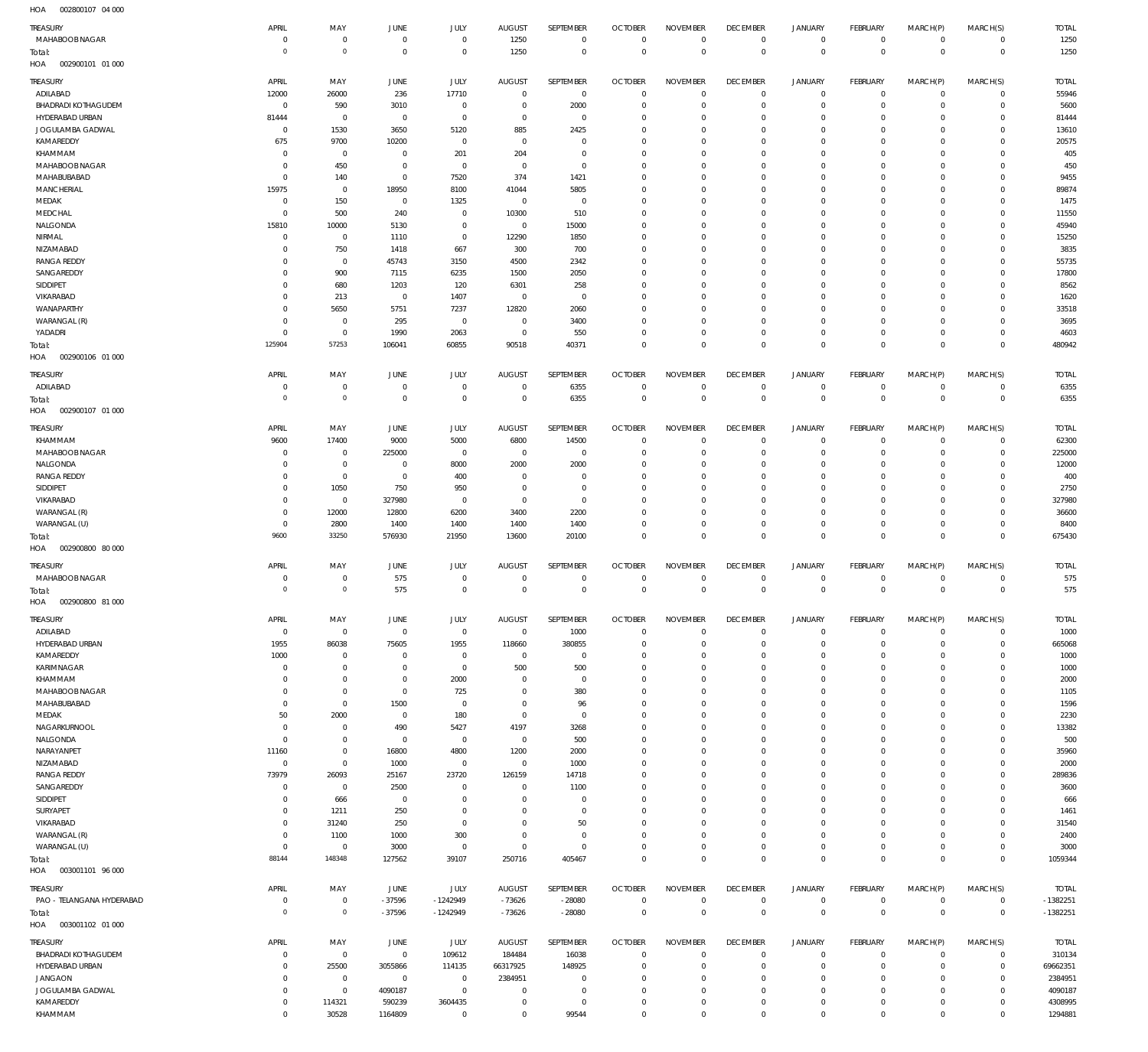002800107 04 000 HOA

| $\cdots$<br>00000000       |                            |                  |                   |                        |                            |                      |                           |                            |                            |                            |                           |                            |                           |                    |
|----------------------------|----------------------------|------------------|-------------------|------------------------|----------------------------|----------------------|---------------------------|----------------------------|----------------------------|----------------------------|---------------------------|----------------------------|---------------------------|--------------------|
| TREASURY                   | APRIL                      | MAY              | <b>JUNE</b>       | JULY                   | <b>AUGUST</b>              | SEPTEMBER            | <b>OCTOBER</b>            | <b>NOVEMBER</b>            | <b>DECEMBER</b>            | <b>JANUARY</b>             | FEBRUARY                  | MARCH(P)                   | MARCH(S)                  | <b>TOTAL</b>       |
| MAHABOOB NAGAR             | $^{\circ}$                 | $\mathbf 0$      | $\mathbf 0$       | $\mathbf 0$            | 1250                       | $\mathbf 0$          | $\mathbf 0$               | $\mathbf 0$                | $\mathbf 0$                | $\mathbf 0$                | $\mathbf 0$               | $^{\circ}$                 | $\mathbf 0$               | 1250               |
| Total:                     | $\circ$                    | $\mathbb O$      | $\overline{0}$    | $\mathbf 0$            | 1250                       | $\mathbf 0$          | $\mathbf 0$               | $\mathbf 0$                | $\mathbf 0$                | $\mathbf 0$                | $\mathbf 0$               | $\mathbf 0$                | $\mathbf 0$               | 1250               |
| 002900101 01 000<br>HOA    |                            |                  |                   |                        |                            |                      |                           |                            |                            |                            |                           |                            |                           |                    |
|                            |                            |                  |                   |                        |                            |                      |                           |                            |                            |                            |                           |                            |                           |                    |
| TREASURY                   | APRIL                      | MAY              | <b>JUNE</b>       | JULY                   | <b>AUGUST</b>              | SEPTEMBER            | <b>OCTOBER</b>            | <b>NOVEMBER</b>            | <b>DECEMBER</b>            | <b>JANUARY</b>             | <b>FEBRUARY</b>           | MARCH(P)                   | MARCH(S)                  | <b>TOTAL</b>       |
| ADILABAD                   | 12000                      | 26000            | 236               | 17710                  | $^{\circ}$                 | $\overline{0}$       | $^{\circ}$                | $\mathbf 0$                | $\mathbf 0$                | 0                          | $^{\circ}$                | $^{\circ}$                 | $^{\circ}$                | 55946              |
| <b>BHADRADI KOTHAGUDEM</b> | 0                          | 590              | 3010              | $\mathbb O$            | $\mathbf 0$                | 2000                 | $^{\circ}$                | $\mathbf 0$                | $\mathbf 0$                | $\mathbf 0$                | $^{\circ}$                | $\mathbf 0$                | $^{\circ}$                | 5600               |
| HYDERABAD URBAN            | 81444                      | $\overline{0}$   | $\circ$           | $\mathbf 0$            | $\mathbf 0$                | $\mathbb O$          | $^{\circ}$                | $\mathbf 0$                | $^{\circ}$                 | 0                          | $^{\circ}$                | $^{\circ}$                 | $^{\circ}$                | 81444              |
| JOGULAMBA GADWAL           | $^{\circ}$                 | 1530             | 3650              | 5120                   | 885                        | 2425                 | $^{\circ}$                | $\mathbf 0$                | $\Omega$                   | $\mathbf 0$                | $^{\circ}$                | $^{\circ}$                 | $\Omega$                  | 13610              |
| KAMAREDDY                  | 675                        | 9700             | 10200             | $\mathbf 0$            | $^{\circ}$                 | $\mathbf 0$          | $^{\circ}$                | $\mathbf 0$                | $^{\circ}$                 | $\mathbf 0$                | $^{\circ}$                | $\mathbf 0$                | $\mathbf 0$               | 20575              |
| KHAMMAM                    | $^{\circ}$                 | $\overline{0}$   | $\circ$           | 201                    | 204                        | $\mathbf 0$          | $^{\circ}$                | $^{\circ}$                 | $\Omega$                   | $\mathbf 0$                | $^{\circ}$                | $\mathbf 0$                | $\Omega$                  | 405                |
| MAHABOOB NAGAR             | $^{\circ}$                 | 450              | $^{\circ}$        | $^{\circ}$             | $^{\circ}$                 | $\mathbf 0$          | $\Omega$                  | $\Omega$                   | $\Omega$                   | $\mathbf 0$                | $\Omega$                  | $\Omega$                   | $\Omega$                  | 450                |
| MAHABUBABAD                | $^{\circ}$                 | 140              | $\circ$           | 7520                   | 374                        | 1421                 | $^{\circ}$                | $\mathbf 0$                | $\mathbf 0$                | $\mathbf 0$                | $^{\circ}$                | $\mathbf 0$                | $^{\circ}$                | 9455               |
| MANCHERIAL                 | 15975                      | $\overline{0}$   | 18950             | 8100                   | 41044                      | 5805                 | $\Omega$                  | $\mathbf 0$                | $\Omega$                   | $\mathbf 0$                | $\Omega$                  | $\Omega$                   | $\Omega$                  | 89874              |
| MEDAK                      | $^{\circ}$                 | 150              | $\circ$           | 1325                   | $\overline{0}$             | $\mathbf 0$          | $^{\circ}$                | $\mathbf 0$                | $\Omega$                   | $\mathbf 0$                | $^{\circ}$                | $\mathbf 0$                | $\Omega$                  | 1475               |
| MEDCHAL                    | $^{\circ}$                 | 500              | 240               | $\mathbf 0$            | 10300                      | 510                  | $^{\circ}$                | $\mathbf 0$                | $^{\circ}$                 | $\mathbf 0$                | $\Omega$                  | $\Omega$                   | $\Omega$                  | 11550              |
|                            | 15810                      |                  |                   | $\mathbf 0$            |                            |                      | $^{\circ}$                | $\mathbf 0$                | $\Omega$                   | $\mathbf 0$                | $^{\circ}$                | $\mathbf 0$                | $\Omega$                  |                    |
| NALGONDA                   |                            | 10000            | 5130              |                        | $\mathbf 0$                | 15000                |                           |                            |                            |                            |                           |                            |                           | 45940              |
| NIRMAL                     | $^{\circ}$                 | $\overline{0}$   | 1110              | $\mathbb O$            | 12290                      | 1850                 | $^{\circ}$                | $\mathbf 0$                | $^{\circ}$                 | $\mathbf 0$                | $^{\circ}$                | $\mathbf 0$                | $\mathbf 0$               | 15250              |
| NIZAMABAD                  | $\Omega$                   | 750              | 1418              | 667                    | 300                        | 700                  | $\Omega$                  | $\mathbf 0$                | $\Omega$                   | $\mathbf 0$                | $\Omega$                  | $\Omega$                   | $\Omega$                  | 3835               |
| <b>RANGA REDDY</b>         | $\Omega$                   | $\mathbf 0$      | 45743             | 3150                   | 4500                       | 2342                 | $^{\circ}$                | $\mathbf 0$                | $^{\circ}$                 | $\mathbf 0$                | $^{\circ}$                | $\Omega$                   | $^{\circ}$                | 55735              |
| SANGAREDDY                 | $\Omega$                   | 900              | 7115              | 6235                   | 1500                       | 2050                 | $^{\circ}$                | $\mathbf 0$                | $\Omega$                   | $\mathbf 0$                | $^{\circ}$                | $^{\circ}$                 | $\Omega$                  | 17800              |
| SIDDIPET                   | $\Omega$                   | 680              | 1203              | 120                    | 6301                       | 258                  | $^{\circ}$                | $\mathbf 0$                | $\Omega$                   | $\mathbf 0$                | $\Omega$                  | $\Omega$                   | $\Omega$                  | 8562               |
| VIKARABAD                  | $\Omega$                   | 213              | $\circ$           | 1407                   | $\overline{0}$             | $\mathbf 0$          | $^{\circ}$                | $\mathbf 0$                | $\Omega$                   | $\mathbf 0$                | $^{\circ}$                | $^{\circ}$                 | $\Omega$                  | 1620               |
| WANAPARTHY                 | $\Omega$                   | 5650             | 5751              | 7237                   | 12820                      | 2060                 | $\Omega$                  | $\mathbf 0$                | $\Omega$                   | $\mathbf 0$                | $\Omega$                  | $\Omega$                   | $\Omega$                  | 33518              |
| WARANGAL (R)               | $\Omega$                   | $\mathbf 0$      | 295               | $\mathbb O$            | $^{\circ}$                 | 3400                 | $^{\circ}$                | $\mathbf 0$                | $\mathbf 0$                | $\mathbf 0$                | $^{\circ}$                | $^{\circ}$                 | $\Omega$                  | 3695               |
| YADADRI                    | $^{\circ}$                 | $\mathbb O$      | 1990              | 2063                   | $\overline{0}$             | 550                  | $\Omega$                  | $\mathbf 0$                | $^{\circ}$                 | $\mathsf{O}$               | $^{\circ}$                | $^{\circ}$                 | $\mathbf 0$               | 4603               |
| Total:                     | 125904                     | 57253            | 106041            | 60855                  | 90518                      | 40371                | $\mathbf 0$               | $\mathbf 0$                | $\mathbf 0$                | $\mathbf 0$                | $\mathbf 0$               | $\mathbf 0$                | $\mathbf 0$               | 480942             |
| HOA<br>002900106 01 000    |                            |                  |                   |                        |                            |                      |                           |                            |                            |                            |                           |                            |                           |                    |
|                            |                            |                  |                   |                        |                            |                      |                           |                            |                            |                            |                           |                            |                           |                    |
| TREASURY                   | APRIL                      | MAY              | <b>JUNE</b>       | <b>JULY</b>            | <b>AUGUST</b>              | SEPTEMBER            | <b>OCTOBER</b>            | <b>NOVEMBER</b>            | <b>DECEMBER</b>            | <b>JANUARY</b>             | FEBRUARY                  | MARCH(P)                   | MARCH(S)                  | <b>TOTAL</b>       |
| ADILABAD                   | $^{\circ}$                 | $\mathbf 0$      | $\mathbf 0$       | $^{\circ}$             | $^{\circ}$                 | 6355                 | $^{\circ}$                | $^{\circ}$                 | $\mathbf 0$                | 0                          | $\mathbf 0$               | $^{\circ}$                 | $\mathbf 0$               | 6355               |
| Total:                     | $\circ$                    | $\mathbb O$      | $\overline{0}$    | $\mathbf 0$            | $^{\circ}$                 | 6355                 | $\mathbf 0$               | $\mathbf 0$                | $\mathbf 0$                | $\mathbf 0$                | $\mathbf 0$               | $\mathbf 0$                | $\mathbf 0$               | 6355               |
| HOA<br>002900107 01 000    |                            |                  |                   |                        |                            |                      |                           |                            |                            |                            |                           |                            |                           |                    |
|                            |                            |                  |                   |                        |                            |                      |                           |                            |                            |                            |                           |                            |                           |                    |
| TREASURY                   | APRIL                      | MAY              | JUNE              | <b>JULY</b>            | <b>AUGUST</b>              | SEPTEMBER            | <b>OCTOBER</b>            | <b>NOVEMBER</b>            | <b>DECEMBER</b>            | <b>JANUARY</b>             | FEBRUARY                  | MARCH(P)                   | MARCH(S)                  | <b>TOTAL</b>       |
| KHAMMAM                    | 9600                       | 17400            | 9000              | 5000                   | 6800                       | 14500                | $^{\circ}$                | $^{\circ}$                 | $^{\circ}$                 | 0                          | $^{\circ}$                | $\mathbf 0$                | $\mathbf 0$               | 62300              |
| MAHABOOB NAGAR             | $^{\circ}$                 | $\mathbf 0$      | 225000            | $\mathbf 0$            | $\mathbf 0$                | $\overline{0}$       | $^{\circ}$                | $\mathbf 0$                | $^{\circ}$                 | $\mathsf{O}$               | $^{\circ}$                | $\mathbf 0$                | $\mathbf 0$               | 225000             |
| NALGONDA                   | $\Omega$                   | $\mathbf 0$      | $^{\circ}$        | 8000                   | 2000                       | 2000                 | $^{\circ}$                | $\mathbf 0$                | $\Omega$                   | $\mathbf 0$                | $^{\circ}$                | $\mathbf 0$                | $\Omega$                  | 12000              |
| <b>RANGA REDDY</b>         | $^{\circ}$                 | $\mathbf 0$      | $\circ$           | 400                    | $^{\circ}$                 | $\mathbf 0$          | $^{\circ}$                | $\mathbf 0$                | $^{\circ}$                 | $\mathbf 0$                | $^{\circ}$                | $\mathbf 0$                | $\mathbf 0$               | 400                |
| SIDDIPET                   | $\Omega$                   | 1050             | 750               | 950                    | $\mathbf 0$                | $\mathbf 0$          | $\Omega$                  | $\mathbf 0$                | $\Omega$                   | $\mathbf 0$                | $\Omega$                  | $\Omega$                   | $\Omega$                  | 2750               |
| VIKARABAD                  | $\Omega$                   | $\overline{0}$   | 327980            | $\mathbf 0$            | $\mathbf 0$                | $\mathbf 0$          | $\Omega$                  | $\mathbf 0$                | $\mathbf 0$                | $\mathbf 0$                | $^{\circ}$                | $\mathbf 0$                | $\mathbf 0$               | 327980             |
|                            | $^{\circ}$                 |                  |                   |                        | 3400                       | 2200                 | $^{\circ}$                | $\mathbf 0$                | $\mathbf 0$                | $\mathbf 0$                | $^{\circ}$                | $\mathbf 0$                | $\Omega$                  |                    |
| WARANGAL (R)               |                            | 12000            | 12800             | 6200                   |                            |                      |                           |                            |                            |                            |                           |                            |                           | 36600              |
| WARANGAL (U)               | $^{\circ}$                 | 2800             | 1400              | 1400                   | 1400                       | 1400                 | $^{\circ}$                | $\mathbf 0$                | $\mathbf 0$                | $\mathbf 0$                | $^{\circ}$                | $\mathbf 0$                | $\mathbf 0$               | 8400               |
| Total:                     | 9600                       | 33250            | 576930            | 21950                  | 13600                      | 20100                | $\circ$                   | $\mathbf 0$                | $\mathbf 0$                | $\mathbf 0$                | $\mathbf 0$               | $\mathbf 0$                | $\mathbf 0$               | 675430             |
| 002900800 80 000<br>HOA    |                            |                  |                   |                        |                            |                      |                           |                            |                            |                            |                           |                            |                           |                    |
| TREASURY                   | APRIL                      | MAY              | <b>JUNE</b>       | <b>JULY</b>            | <b>AUGUST</b>              | SEPTEMBER            | <b>OCTOBER</b>            | <b>NOVEMBER</b>            | <b>DECEMBER</b>            | <b>JANUARY</b>             | FEBRUARY                  | MARCH(P)                   | MARCH(S)                  | <b>TOTAL</b>       |
| MAHABOOB NAGAR             | $^{\circ}$                 | $\mathbf 0$      | 575               | $\mathbf 0$            | $^{\circ}$                 | $\mathbf 0$          | $\mathbf 0$               | $\mathbf 0$                | $\mathbf 0$                | $\mathbf 0$                | $\mathbf 0$               | $^{\circ}$                 | $\mathbf 0$               | 575                |
|                            | $\circ$                    | $\mathbb O$      | 575               | $\mathbf 0$            | $\mathbf 0$                | $\mathbf 0$          | $\mathbf 0$               | $\mathbf 0$                | $\mathbf 0$                | $\mathbf 0$                | $\mathbf 0$               | $\mathbf 0$                | $\mathbf 0$               | 575                |
| Total:                     |                            |                  |                   |                        |                            |                      |                           |                            |                            |                            |                           |                            |                           |                    |
| HOA<br>002900800 81 000    |                            |                  |                   |                        |                            |                      |                           |                            |                            |                            |                           |                            |                           |                    |
| TREASURY                   | APRIL                      | MAY              | JUNE              | JULY                   | AUGUST                     | SEPTEMBER            | <b>OCTOBER</b>            | <b>NOVEMBER</b>            | <b>DECEMBER</b>            | <b>JANUARY</b>             | FEBRUARY                  | MARCH(P)                   | MARCH(S)                  | <b>TOTAL</b>       |
| ADILABAD                   | 0                          | $\boldsymbol{0}$ | $\overline{0}$    | $\mathbf 0$            | $\overline{0}$             | 1000                 | $\circ$                   | $\mathbf 0$                | $\mathbf 0$                | $\mathsf{O}$               | $\mathbf 0$               | $\mathbf 0$                | $\mathbf 0$               | 1000               |
| HYDERABAD URBAN            | 1955                       | 86038            | 75605             | 1955                   | 118660                     | 380855               | $^{\circ}$                | $\circ$                    | $^{\circ}$                 | $\mathbf 0$                | $^{\circ}$                | $\mathbf 0$                | $^{\circ}$                | 665068             |
| KAMAREDDY                  | 1000                       | $\mathbf 0$      | 0                 | $\mathbb O$            | $\mathbf 0$                | $\mathbb O$          | $^{\circ}$                | $^{\circ}$                 | $^{\circ}$                 | $\mathbf 0$                | $^{\circ}$                | $^{\circ}$                 | $^{\circ}$                | 1000               |
| KARIMNAGAR                 | $^{\circ}$                 | $\mathbb O$      | $^{\circ}$        | $\mathbb O$            | 500                        | 500                  | $^{\circ}$                | $\mathbf 0$                | $\mathbf 0$                | $\mathbf 0$                | $^{\circ}$                | $\Omega$                   | $^{\circ}$                | 1000               |
|                            | $^{\circ}$                 | $\mathbf 0$      | $^{\circ}$        |                        | $\mathbf 0$                | $\mathbf 0$          | $^{\circ}$                | $\mathbf 0$                | $\mathbf 0$                | $\mathbf 0$                | $^{\circ}$                | $^{\circ}$                 | $^{\circ}$                |                    |
| KHAMMAM                    |                            |                  |                   | 2000                   |                            |                      |                           |                            |                            |                            |                           |                            |                           | 2000               |
| MAHABOOB NAGAR             | $^{\circ}$                 | $\mathbb O$      | $\circ$           | 725                    | $\mathbf 0$                | 380                  | $^{\circ}$                | $\mathbf 0$                | $\mathbf 0$                | $\mathbf 0$                | $^{\circ}$                | $^{\circ}$                 | $^{\circ}$                | 1105               |
| MAHABUBABAD                | $^{\circ}$                 | $\mathbf 0$      | 1500              | $\mathbf 0$            | $\mathbf 0$                | 96                   | $^{\circ}$                | $\mathbf 0$                | $\Omega$                   | $\mathbf 0$                | $^{\circ}$                | $^{\circ}$                 | $\Omega$                  | 1596               |
| MEDAK                      | 50                         | 2000             | $\circ$           | 180                    | $^{\circ}$                 | $\mathbb O$          | $^{\circ}$                | $^{\circ}$                 | $^{\circ}$                 | $\mathbf 0$                | $^{\circ}$                | $\mathbf 0$                | $\mathbf 0$               | 2230               |
| NAGARKURNOOL               | $^{\circ}$                 | $\mathbb O$      | 490               | 5427                   | 4197                       | 3268                 | $^{\circ}$                | $^{\circ}$                 | $^{\circ}$                 | $\mathbf 0$                | $^{\circ}$                | $\mathbf 0$                | $\Omega$                  | 13382              |
| NALGONDA                   | $\circ$                    | $\mathbb O$      | 0                 | $\mathbb O$            | $\overline{0}$             | 500                  | $^{\circ}$                | $^{\circ}$                 | $^{\circ}$                 | $\mathbf 0$                | $^{\circ}$                | $\mathbf 0$                | $\mathbf 0$               | 500                |
| NARAYANPET                 | 11160                      | $\mathbb O$      | 16800             | 4800                   | 1200                       | 2000                 | $^{\circ}$                | $\mathbf 0$                | $^{\circ}$                 | $\mathbf 0$                | $^{\circ}$                | $\mathbf 0$                | $\mathbf 0$               | 35960              |
| NIZAMABAD                  | $\circ$                    | $\mathbf 0$      | 1000              | $\mathbb O$            | $^{\circ}$                 | 1000                 | $^{\circ}$                | $\mathbf 0$                | $^{\circ}$                 | $\mathbf 0$                | $^{\circ}$                | $\Omega$                   | $\Omega$                  | 2000               |
| <b>RANGA REDDY</b>         | 73979                      | 26093            | 25167             | 23720                  | 126159                     | 14718                | $^{\circ}$                | $^{\circ}$                 | $\mathbf 0$                | $\mathbf 0$                | $^{\circ}$                | $\mathbf 0$                | $\mathbf 0$               | 289836             |
| SANGAREDDY                 | $^{\circ}$                 | $\mathbf 0$      | 2500              | $\mathbf 0$            | $\mathbf 0$                | 1100                 | $^{\circ}$                | $\mathbf 0$                | $\mathbf 0$                | $\mathbf 0$                | $^{\circ}$                | $\Omega$                   | $\mathbf 0$               | 3600               |
| SIDDIPET                   | $^{\circ}$                 | 666              | $\overline{0}$    | $\mathbf 0$            | $\mathbf 0$                | $\mathbf 0$          | $^{\circ}$                | $\mathbf 0$                | $\mathbf 0$                | $\mathbf 0$                | $^{\circ}$                | $\mathbf 0$                | $\mathbf 0$               | 666                |
| SURYAPET                   | $^{\circ}$                 | 1211             | 250               | $\mathbf 0$            | $\mathbf 0$                | $\mathbf 0$          | $^{\circ}$                | $\mathbf 0$                | $\mathbf 0$                | $\mathbf 0$                | $^{\circ}$                | $\mathbf 0$                | $\mathbf 0$               | 1461               |
| VIKARABAD                  | $\Omega$                   | 31240            | 250               | $\mathbf 0$            | $\mathbf 0$                | 50                   | $^{\circ}$                | $\mathbf 0$                | $\mathbf 0$                | $\mathbf 0$                | $^{\circ}$                | $\mathbf 0$                | $\Omega$                  | 31540              |
| WARANGAL (R)               | $^{\circ}$                 | 1100             | 1000              | 300                    | $\mathbf 0$                | $\mathbf 0$          | $^{\circ}$                | $\mathbf 0$                | $\mathbf 0$                | $\mathbf 0$                | $^{\circ}$                | $\mathbf 0$                | $\mathbf 0$               | 2400               |
| WARANGAL (U)               | $^{\circ}$                 | $\overline{0}$   | 3000              | $\mathbb O$            | $\mathbf 0$                | $\mathbf 0$          | $^{\circ}$                | $\mathbf 0$                | $\mathbf 0$                | $\mathbf 0$                | $^{\circ}$                | $\mathbf 0$                | $\mathbf 0$               | 3000               |
|                            | 88144                      | 148348           |                   |                        |                            | 405467               | $\Omega$                  | $\mathbf 0$                | $\mathbf 0$                | $\mathbf 0$                | $\mathbf 0$               | $\mathbf 0$                | $\mathbf 0$               |                    |
| Total:                     |                            |                  | 127562            | 39107                  | 250716                     |                      |                           |                            |                            |                            |                           |                            |                           | 1059344            |
| 003001101 96 000<br>HOA    |                            |                  |                   |                        |                            |                      |                           |                            |                            |                            |                           |                            |                           |                    |
| TREASURY                   | APRIL                      | MAY              | JUNE              | JULY                   | <b>AUGUST</b>              | SEPTEMBER            | <b>OCTOBER</b>            | <b>NOVEMBER</b>            | <b>DECEMBER</b>            | <b>JANUARY</b>             | <b>FEBRUARY</b>           | MARCH(P)                   | MARCH(S)                  | <b>TOTAL</b>       |
| PAO - TELANGANA HYDERABAD  | $^{\circ}$                 | $\mathbf 0$      | $-37596$          | $-1242949$             | $-73626$                   | $-28080$             | $^{\circ}$                | $^{\circ}$                 | $\mathbf 0$                | 0                          | $\mathbf 0$               | $^{\circ}$                 | $\mathbf 0$               | $-1382251$         |
|                            | $\overline{0}$             | $\mathbb O$      | $-37596$          | $-1242949$             | $-73626$                   | $-28080$             | $\mathbf 0$               | $\mathbf 0$                | $\mathbf 0$                | $\mathbf 0$                | $\mathbf 0$               | $\mathbf 0$                | $\mathbf 0$               | $-1382251$         |
|                            |                            |                  |                   |                        |                            |                      |                           |                            |                            |                            |                           |                            |                           |                    |
| Total:                     |                            |                  |                   |                        |                            |                      |                           |                            |                            |                            |                           |                            |                           |                    |
| HOA<br>003001102 01 000    |                            |                  |                   |                        |                            |                      |                           |                            |                            |                            |                           |                            |                           |                    |
| TREASURY                   | APRIL                      | MAY              | JUNE              | <b>JULY</b>            | <b>AUGUST</b>              | SEPTEMBER            | <b>OCTOBER</b>            | <b>NOVEMBER</b>            | <b>DECEMBER</b>            | <b>JANUARY</b>             | <b>FEBRUARY</b>           | MARCH(P)                   | MARCH(S)                  | TOTAL              |
| <b>BHADRADI KOTHAGUDEM</b> | $^{\circ}$                 | $\overline{0}$   | $\overline{0}$    |                        | 184484                     |                      | $^{\circ}$                | $^{\circ}$                 | $\mathbf 0$                | 0                          | $^{\circ}$                | $^{\circ}$                 | $\mathbf 0$               | 310134             |
|                            | $\Omega$                   |                  |                   | 109612                 |                            | 16038                | $^{\circ}$                | $^{\circ}$                 | $^{\circ}$                 | $\mathbf 0$                | $^{\circ}$                | $\mathbf 0$                | $\mathbf 0$               |                    |
| HYDERABAD URBAN            |                            | 25500            | 3055866           | 114135                 | 66317925                   | 148925               |                           |                            |                            |                            |                           |                            |                           | 69662351           |
| <b>JANGAON</b>             | $^{\circ}$                 | $\mathbf 0$      | 0                 | $\mathbb O$            | 2384951                    | $^{\circ}$           | $^{\circ}$                | $^{\circ}$                 | $^{\circ}$                 | $\mathbf 0$                | $^{\circ}$                | $\mathbf 0$                | $\mathbf 0$               | 2384951            |
| JOGULAMBA GADWAL           | $^{\circ}$                 | $\mathbb O$      | 4090187           | $\mathbb O$            | $\mathbf 0$                | $\mathbb O$          | $^{\circ}$                | $\mathbf 0$                | $^{\circ}$                 | $\mathbf 0$                | $^{\circ}$                | $^{\circ}$                 | $^{\circ}$                | 4090187            |
| KAMAREDDY<br>KHAMMAM       | $\mathbf 0$<br>$\mathbf 0$ | 114321<br>30528  | 590239<br>1164809 | 3604435<br>$\mathbf 0$ | $\mathbf 0$<br>$\mathbf 0$ | $\mathbf 0$<br>99544 | $^{\circ}$<br>$\mathbf 0$ | $\mathbf 0$<br>$\mathbf 0$ | $\mathbf 0$<br>$\mathbf 0$ | $\mathbf 0$<br>$\mathbf 0$ | $^{\circ}$<br>$\mathbf 0$ | $\mathbf 0$<br>$\mathbf 0$ | $^{\circ}$<br>$\mathbf 0$ | 4308995<br>1294881 |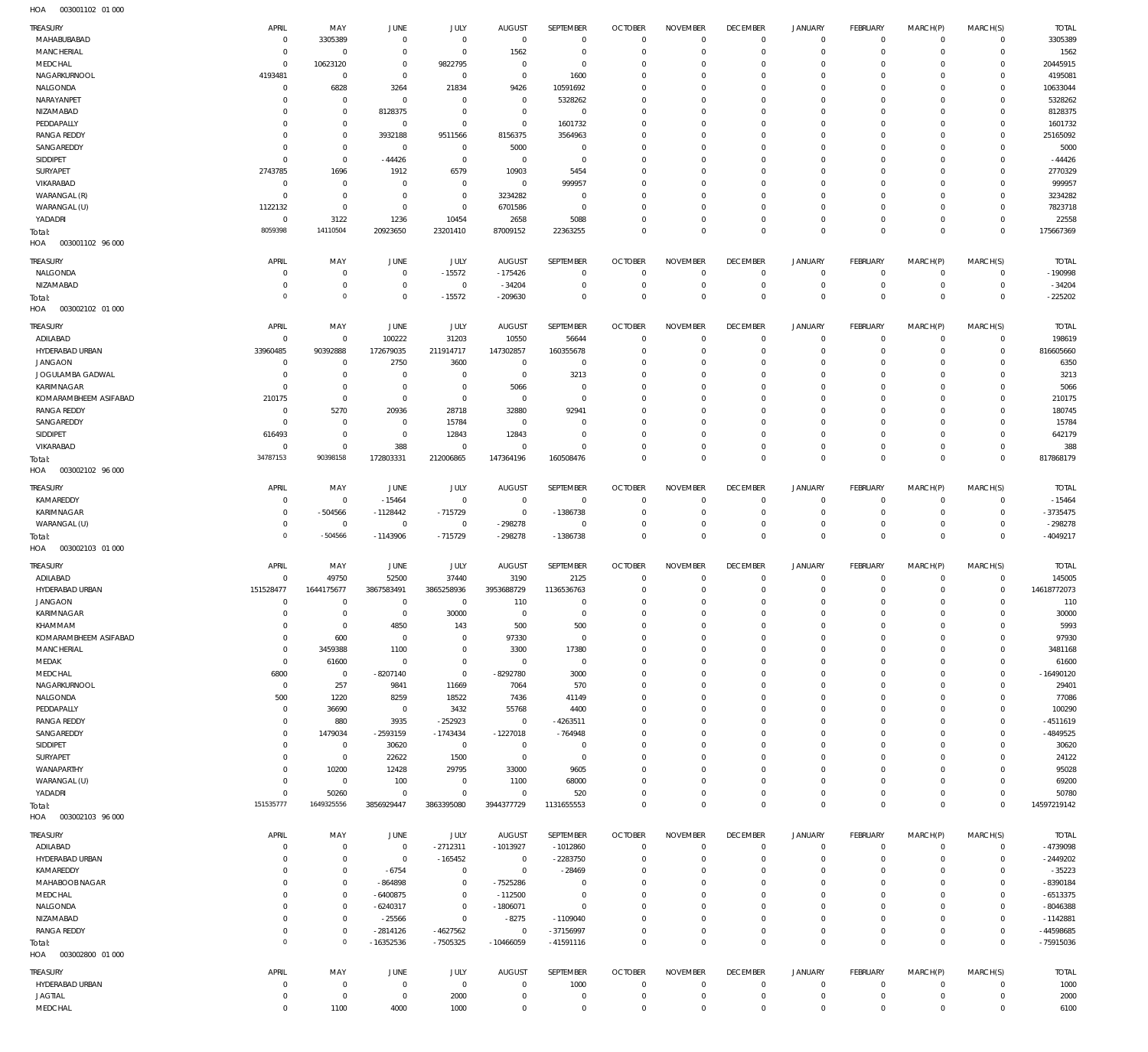| TREASURY<br>MAHABUBABAD             | APRIL<br>$^{\circ}$     | MAY<br>3305389                     | JUNE<br>$\overline{0}$           | JULY<br>$\mathbf 0$        | <b>AUGUST</b><br>$\mathbf 0$ | SEPTEMBER<br>$\mathbf 0$   | <b>OCTOBER</b><br>$\Omega$       | <b>NOVEMBER</b><br>$\Omega$   | <b>DECEMBER</b><br>$\mathbf 0$ | <b>JANUARY</b><br>$\mathbf 0$ | FEBRUARY<br>$\overline{0}$        | MARCH(P)<br>$\circ$        | MARCH(S)<br>$\mathbf{0}$         | <b>TOTAL</b><br>3305389  |
|-------------------------------------|-------------------------|------------------------------------|----------------------------------|----------------------------|------------------------------|----------------------------|----------------------------------|-------------------------------|--------------------------------|-------------------------------|-----------------------------------|----------------------------|----------------------------------|--------------------------|
| <b>MANCHERIAL</b>                   | $\Omega$                | $\Omega$                           | $\Omega$                         | $\Omega$                   | 1562                         | $\mathbf 0$                | $\Omega$                         | $\Omega$                      | $\Omega$                       | $\mathbf 0$                   | $\Omega$                          | $\Omega$                   | $\mathbf 0$                      | 1562                     |
| MEDCHAL<br>NAGARKURNOOL             | $^{\circ}$<br>4193481   | 10623120<br>$^{\circ}$             | $\Omega$<br>$\Omega$             | 9822795<br>$\mathbf 0$     | $\Omega$<br>$\Omega$         | $\mathbf 0$<br>1600        | $\Omega$<br>$\Omega$             | $\Omega$<br>$\Omega$          | $\Omega$<br>$\Omega$           | $\Omega$<br>$\Omega$          | $\mathbf 0$<br>$\Omega$           | $\Omega$<br>$\Omega$       | $\mathbf 0$<br>$\Omega$          | 20445915<br>4195081      |
| NALGONDA                            | $\Omega$                | 6828                               | 3264                             | 21834                      | 9426                         | 10591692                   | $\Omega$                         | $\Omega$                      | $\Omega$                       | $\Omega$                      | $\Omega$                          | $\Omega$                   | $\Omega$                         | 10633044                 |
| NARAYANPET                          | -C                      | $^{\circ}$                         | $\Omega$                         | $^{\circ}$                 | $\mathbf 0$                  | 5328262                    | $\Omega$                         | $\Omega$                      | $\Omega$                       | $\Omega$                      | $\Omega$                          | $\Omega$                   | $\Omega$                         | 5328262                  |
| NIZAMABAD                           | -C                      | $\Omega$                           | 8128375                          | $\Omega$                   | $\mathbf 0$                  | $^{\circ}$                 | $\Omega$                         | $\Omega$                      | $\Omega$                       | $\Omega$                      | $\Omega$                          | $\Omega$                   | $\Omega$                         | 8128375                  |
| PEDDAPALLY                          | 0                       | $\mathbf{0}$                       | $\overline{0}$                   | $\Omega$                   | $^{\circ}$                   | 1601732                    | $\Omega$                         | $\Omega$                      | $\Omega$                       | $\Omega$                      | $\Omega$                          | $\Omega$                   | $\Omega$                         | 1601732                  |
| <b>RANGA REDDY</b><br>SANGAREDDY    | C<br>$\Omega$           | $\mathbf{0}$<br>$\mathbf 0$        | 3932188<br>$\overline{0}$        | 9511566<br>$^{\circ}$      | 8156375<br>5000              | 3564963<br>$^{\circ}$      | $\Omega$<br>$\Omega$             | $\Omega$<br>$\Omega$          | $\Omega$<br>$\Omega$           | $\Omega$<br>$\Omega$          | $\Omega$<br>$\Omega$              | $\Omega$<br>$\Omega$       | $\Omega$<br>$\Omega$             | 25165092<br>5000         |
| SIDDIPET                            | $\Omega$                | $\mathbf{0}$                       | $-44426$                         | $\mathbf 0$                | $\mathbf 0$                  | $\circ$                    | $\Omega$                         | $\Omega$                      | $\Omega$                       | $\Omega$                      | $\Omega$                          | $\Omega$                   | $\Omega$                         | $-44426$                 |
| SURYAPET                            | 2743785                 | 1696                               | 1912                             | 6579                       | 10903                        | 5454                       | $\Omega$                         | $\Omega$                      | $\Omega$                       | $\Omega$                      | $\Omega$                          | $\Omega$                   | $\Omega$                         | 2770329                  |
| VIKARABAD                           | $\Omega$                | $^{\circ}$                         | $\Omega$                         | $\mathbf 0$                | $\mathbf 0$                  | 999957                     | $\Omega$                         | $\Omega$                      | $\Omega$                       | $\Omega$                      | $\Omega$                          | $\Omega$                   | $\Omega$                         | 999957                   |
| WARANGAL (R)<br>WARANGAL (U)        | $\mathsf{C}$<br>1122132 | $\Omega$<br>$\mathbf 0$            | $\Omega$<br>$\Omega$             | $\mathbf 0$<br>$\mathbf 0$ | 3234282<br>6701586           | $\Omega$<br>$\mathbf 0$    | $\Omega$<br>$\Omega$             | $\Omega$<br>$\Omega$          | $\Omega$<br>$\Omega$           | $\Omega$<br>$\Omega$          | $\Omega$<br>$\Omega$              | $\Omega$<br>$\Omega$       | $\Omega$<br>$\Omega$             | 3234282<br>7823718       |
| YADADRI                             | $^{\circ}$              | 3122                               | 1236                             | 10454                      | 2658                         | 5088                       | $\Omega$                         | $\Omega$                      | $\Omega$                       | $\mathbf 0$                   | $\Omega$                          | $\Omega$                   | $\mathbf 0$                      | 22558                    |
| Total:                              | 8059398                 | 14110504                           | 20923650                         | 23201410                   | 87009152                     | 22363255                   | $\Omega$                         | $\Omega$                      | $\Omega$                       | $\Omega$                      | $\Omega$                          | $\Omega$                   | $\mathbf 0$                      | 175667369                |
| HOA<br>003001102 96 000             |                         |                                    |                                  |                            |                              |                            |                                  |                               |                                |                               |                                   |                            |                                  |                          |
| TREASURY                            | APRIL                   | MAY                                | JUNE                             | JULY                       | <b>AUGUST</b>                | SEPTEMBER                  | <b>OCTOBER</b>                   | <b>NOVEMBER</b>               | <b>DECEMBER</b>                | <b>JANUARY</b>                | <b>FEBRUARY</b>                   | MARCH(P)                   | MARCH(S)                         | <b>TOTAL</b>             |
| NALGONDA                            | C                       | $\mathbf 0$                        | $\overline{0}$                   | $-15572$                   | $-175426$                    | $\mathbf 0$                | $^{\circ}$                       | $^{\circ}$                    | 0                              | 0                             | $\overline{0}$                    | $\mathbf 0$                | $\circ$                          | $-190998$                |
| NIZAMABAD                           | $\Omega$<br>$^{\circ}$  | $\mathbf 0$<br>$\mathsf{O}\xspace$ | $^{\circ}$<br>$\mathbf 0$        | $\mathbf 0$<br>$-15572$    | $-34204$<br>$-209630$        | $\mathbf 0$<br>$\mathbf 0$ | $\overline{0}$<br>$\overline{0}$ | $\overline{0}$<br>$\mathbf 0$ | $\mathbf 0$<br>$\mathbf 0$     | $\mathbf 0$<br>$\mathbf 0$    | $\overline{0}$<br>$\overline{0}$  | $\mathbf 0$<br>$\mathbf 0$ | $\overline{0}$<br>$\overline{0}$ | $-34204$<br>$-225202$    |
| Total:<br>003002102 01 000<br>HOA   |                         |                                    |                                  |                            |                              |                            |                                  |                               |                                |                               |                                   |                            |                                  |                          |
| TREASURY                            | APRIL                   | MAY                                | JUNE                             | <b>JULY</b>                | <b>AUGUST</b>                | SEPTEMBER                  | <b>OCTOBER</b>                   | <b>NOVEMBER</b>               | <b>DECEMBER</b>                | <b>JANUARY</b>                | <b>FEBRUARY</b>                   | MARCH(P)                   | MARCH(S)                         | <b>TOTAL</b>             |
| ADILABAD                            | $\Omega$                | $\mathbf 0$                        | 100222                           | 31203                      | 10550                        | 56644                      | $\Omega$                         | $\Omega$                      | $\mathbf 0$                    | $\mathbf 0$                   | $\overline{0}$                    | $\Omega$                   | $^{\circ}$                       | 198619                   |
| HYDERABAD URBAN                     | 33960485                | 90392888                           | 172679035                        | 211914717                  | 147302857                    | 160355678                  | $^{\circ}$                       | $\Omega$                      | $\Omega$                       | $\mathbf 0$                   | $\mathbf 0$                       | $\Omega$                   | $\mathbf{0}$                     | 816605660                |
| <b>JANGAON</b>                      | $\Omega$                | $^{\circ}$                         | 2750                             | 3600                       | $\mathbf 0$                  | $\mathbf 0$                | $\Omega$                         | $\Omega$                      | $\Omega$                       | $\Omega$                      | $\Omega$                          | $\Omega$                   | $\Omega$                         | 6350                     |
| JOGULAMBA GADWAL                    | $\Omega$                | $^{\circ}$                         | 0                                | $\mathbf 0$                | $\mathbf 0$                  | 3213                       | $\Omega$                         | $\Omega$                      | $\Omega$                       | $\Omega$                      | $\Omega$                          | $\Omega$                   | $\Omega$                         | 3213                     |
| KARIMNAGAR<br>KOMARAMBHEEM ASIFABAD | C<br>210175             | $\mathbf 0$<br>$\mathbf 0$         | $\overline{0}$<br>$\overline{0}$ | $\mathbf 0$<br>$\mathbf 0$ | 5066<br>$\mathbf 0$          | $^{\circ}$<br>$\Omega$     | $\Omega$<br>$\Omega$             | $\Omega$<br>$\Omega$          | $\Omega$<br>$\Omega$           | $\Omega$<br>$\Omega$          | $\Omega$<br>$\Omega$              | $\Omega$<br>$\Omega$       | $\Omega$<br>$\Omega$             | 5066<br>210175           |
| <b>RANGA REDDY</b>                  | $\Omega$                | 5270                               | 20936                            | 28718                      | 32880                        | 92941                      | $\Omega$                         | $\Omega$                      | $\Omega$                       | $\Omega$                      | $\Omega$                          | $\Omega$                   | $\Omega$                         | 180745                   |
| SANGAREDDY                          | $\Omega$                | $^{\circ}$                         | $\Omega$                         | 15784                      | $\mathbf 0$                  | $\Omega$                   | $\Omega$                         | $\Omega$                      | $\Omega$                       | $\Omega$                      | $\Omega$                          | $\Omega$                   | $\Omega$                         | 15784                    |
| SIDDIPET                            | 616493                  | $\mathbf 0$                        | $\overline{0}$                   | 12843                      | 12843                        | $\Omega$                   | $\Omega$                         | $\Omega$                      | $\Omega$                       | $\mathbf 0$                   | $\Omega$                          | $\Omega$                   | $\Omega$                         | 642179                   |
| VIKARABAD                           | $\Omega$                | $\mathbf{0}$                       | 388                              | $\Omega$                   | $\mathbf 0$                  | $\Omega$                   | $\Omega$                         | $\Omega$                      | $\Omega$                       | $\mathbf 0$                   | $\mathbf 0$                       | $\Omega$                   | $\mathbf 0$                      | 388                      |
| Total:<br>HOA<br>003002102 96 000   | 34787153                | 90398158                           | 172803331                        | 212006865                  | 147364196                    | 160508476                  | $\Omega$                         | $\Omega$                      | $\Omega$                       | $\Omega$                      | $\Omega$                          | $\Omega$                   | $\Omega$                         | 817868179                |
| TREASURY                            | APRIL                   | MAY                                | JUNE                             | JULY                       | <b>AUGUST</b>                | SEPTEMBER                  | <b>OCTOBER</b>                   | <b>NOVEMBER</b>               | <b>DECEMBER</b>                | <b>JANUARY</b>                | <b>FEBRUARY</b>                   | MARCH(P)                   | MARCH(S)                         | <b>TOTAL</b>             |
| KAMAREDDY                           | $\overline{0}$          | $\mathbf 0$                        | $-15464$                         | $\mathbb O$                | $\mathbf 0$                  | $\overline{0}$             | $^{\circ}$                       | $^{\circ}$                    | $\mathbf 0$                    | 0                             | $\overline{0}$                    | $\circ$                    | $\circ$                          | $-15464$                 |
| KARIMNAGAR<br>WARANGAL (U)          | $\Omega$<br>$\Omega$    | $-504566$<br>$^{\circ}$            | $-1128442$<br>0                  | $-715729$<br>$\mathbf 0$   | $\overline{0}$<br>$-298278$  | $-1386738$<br>$\mathbf 0$  | $^{\circ}$<br>$^{\circ}$         | $\Omega$<br>$^{\circ}$        | $\mathbf 0$<br>$\mathbf 0$     | $\mathbf 0$<br>$\mathbf 0$    | $\overline{0}$<br>$\overline{0}$  | $\Omega$<br>$\circ$        | $\mathbf{0}$<br>$\mathbf{0}$     | -3735475<br>$-298278$    |
| Total:                              | $\circ$                 | $-504566$                          | $-1143906$                       | $-715729$                  | $-298278$                    | $-1386738$                 | $\Omega$                         | $\Omega$                      | $\mathbf 0$                    | $\mathbf 0$                   | $\Omega$                          | $\Omega$                   | $\Omega$                         | $-4049217$               |
| HOA<br>003002103 01 000             |                         |                                    |                                  |                            |                              |                            |                                  |                               |                                |                               |                                   |                            |                                  |                          |
| TREASURY                            | APRIL                   | MAY                                | JUNE                             | <b>JULY</b>                | <b>AUGUST</b>                | SEPTEMBER                  | <b>OCTOBER</b>                   | <b>NOVEMBER</b>               | <b>DECEMBER</b>                | <b>JANUARY</b>                | <b>FEBRUARY</b>                   | MARCH(P)                   | MARCH(S)                         | <b>TOTAL</b>             |
| ADILABAD                            | $\Omega$                | 49750                              | 52500                            | 37440                      | 3190                         | 2125                       | $^{\circ}$                       | $\Omega$                      | $\mathbf 0$                    | $\mathbf 0$                   | $\overline{0}$                    | $\Omega$                   | $^{\circ}$                       | 145005                   |
| HYDERABAD URBAN                     | 151528477               | 1644175677                         | 3867583491                       | 3865258936                 | 3953688729                   | 1136536763                 | $\Omega$                         | $\Omega$                      | $\Omega$                       | $\mathbf 0$                   | $\mathbf 0$                       | $\Omega$                   | $\mathbf 0$                      | 14618772073              |
| <b>JANGAON</b><br>KARIMNAGAR        | $\mathbf{0}$<br>$\sim$  | $\mathbf{0}$                       | $\Omega$                         | $\Omega$                   | 110                          | $\Omega$                   | $\Omega$                         | $\Omega$                      | $\Omega$                       | $\Omega$                      |                                   | $\Omega$                   |                                  | 110                      |
|                                     |                         |                                    |                                  |                            |                              |                            |                                  |                               |                                |                               | $\Omega$                          |                            | $\Omega$<br>$\sim$               |                          |
| KHAMMAM                             | $\Omega$                | $\Omega$<br>$\mathbf 0$            | $\Omega$                         | 30000                      | 0                            | 0                          | $^{\circ}$                       | $\Omega$                      | $\mathbf 0$                    | $\mathbf 0$                   | $\mathbf 0$                       | $\Omega$                   | $^{\circ}$                       | 30000                    |
| KOMARAMBHEEM ASIFABAD               | $\Omega$                | 600                                | 4850<br>$\overline{0}$           | 143<br>$\mathbf 0$         | 500<br>97330                 | 500<br>$\mathbf 0$         | $^{\circ}$                       | $\Omega$                      | $\mathbf 0$                    | $\mathbf 0$                   | $\mathbf 0$                       | $\Omega$                   | $\mathbf 0$                      | 5993<br>97930            |
| MANCHERIAL                          | $\Omega$                | 3459388                            | 1100                             | $\mathbf 0$                | 3300                         | 17380                      | $\Omega$                         | $\Omega$                      | $\Omega$                       | $\Omega$                      | $\Omega$                          | $\Omega$                   | $\Omega$                         | 3481168                  |
| MEDAK                               | $\overline{0}$          | 61600                              | $\overline{0}$                   | $\mathbf 0$                | $^{\circ}$                   | $^{\circ}$                 | $\Omega$                         | $\Omega$                      | $\Omega$                       | $\Omega$                      | $\Omega$                          | $\Omega$                   | $\mathbf 0$                      | 61600                    |
| MEDCHAL                             | 6800                    | $\mathbf 0$                        | $-8207140$                       | $\mathbf 0$                | -8292780                     | 3000                       | $\Omega$                         | $\Omega$                      | $\Omega$                       | $\Omega$                      | $\Omega$                          | $\Omega$                   | $\Omega$                         | $-16490120$              |
| NAGARKURNOOL                        | $^{\circ}$              | 257                                | 9841                             | 11669                      | 7064                         | 570<br>41149               | $\Omega$<br>$^{\circ}$           | $\Omega$<br>$\Omega$          | $\Omega$<br>$\mathbf 0$        | $\Omega$<br>$\mathbf 0$       | $\Omega$<br>$\Omega$              | $\Omega$<br>$\Omega$       | $\Omega$<br>$\Omega$             | 29401                    |
| NALGONDA<br>PEDDAPALLY              | 500<br>$\Omega$         | 1220<br>36690                      | 8259<br>$\overline{0}$           | 18522<br>3432              | 7436<br>55768                | 4400                       | $\Omega$                         | $\Omega$                      | $\Omega$                       | $\Omega$                      | $\Omega$                          | $\Omega$                   | $\Omega$                         | 77086<br>100290          |
| <b>RANGA REDDY</b>                  | $\Omega$                | 880                                | 3935                             | $-252923$                  | $\mathbf 0$                  | $-4263511$                 | $^{\circ}$                       | $\Omega$                      | $\mathbf 0$                    | $\mathbf 0$                   | $\Omega$                          | $\Omega$                   | $\mathbf 0$                      | -4511619                 |
| SANGAREDDY                          | $\Omega$                | 1479034                            | $-2593159$                       | $-1743434$                 | $-1227018$                   | $-764948$                  | $\Omega$                         | $\Omega$                      | $\Omega$                       | $\Omega$                      | $\Omega$                          | $\Omega$                   | $\Omega$                         | -4849525                 |
| SIDDIPET                            | $\Omega$                | $^{\circ}$                         | 30620                            | $\mathbf 0$                | $\mathbf 0$                  | $^{\circ}$                 | $^{\circ}$                       | $\Omega$                      | $\Omega$                       | $\Omega$                      | $\Omega$                          | $\Omega$                   | $\Omega$                         | 30620                    |
| SURYAPET                            | $\Omega$<br>$\Omega$    | $\mathbf 0$                        | 22622                            | 1500                       | $\mathbf 0$                  | $\mathbf 0$                | $\Omega$<br>$\Omega$             | $\Omega$<br>$\Omega$          | $\Omega$<br>$\Omega$           | $\Omega$<br>$\Omega$          | $\Omega$<br>$\Omega$              | $\Omega$<br>$\Omega$       | $\Omega$<br>$\Omega$             | 24122                    |
| WANAPARTHY<br>WARANGAL (U)          | $\Omega$                | 10200<br>$^{\circ}$                | 12428<br>100                     | 29795<br>$\mathbf 0$       | 33000<br>1100                | 9605<br>68000              | $\Omega$                         | $\Omega$                      | $\mathbf 0$                    | $\mathbf 0$                   | $\mathbf 0$                       | $\Omega$                   | $\mathbf 0$                      | 95028<br>69200           |
| YADADRI                             | $\Omega$                | 50260                              | $\Omega$                         | $\Omega$                   | $\Omega$                     | 520                        | $\Omega$                         | $\Omega$                      | $\mathbf 0$                    | $\mathbf 0$                   | $\mathbf 0$                       | $\Omega$                   | $\mathbf 0$                      | 50780                    |
| Total:<br>HOA  003002103  96  000   | 151535777               | 1649325556                         | 3856929447                       | 3863395080                 | 3944377729                   | 1131655553                 | $\overline{0}$                   | $\mathbf 0$                   | $\mathbf 0$                    | $\mathbf 0$                   | $\mathbf 0$                       | $\Omega$                   | $\mathbf 0$                      | 14597219142              |
| TREASURY                            | APRIL                   | MAY                                | JUNE                             | JULY                       | <b>AUGUST</b>                | SEPTEMBER                  | <b>OCTOBER</b>                   | <b>NOVEMBER</b>               | <b>DECEMBER</b>                | <b>JANUARY</b>                | <b>FEBRUARY</b>                   | MARCH(P)                   | MARCH(S)                         | <b>TOTAL</b>             |
| ADILABAD                            | C                       | $\mathbf 0$                        | $\overline{0}$                   | $-2712311$                 | $-1013927$                   | $-1012860$                 | $\overline{0}$                   | $\overline{0}$                | $\mathbf 0$                    | $\mathbf 0$                   | $\overline{0}$                    | $\Omega$                   | $\mathbf{0}$                     | -4739098                 |
| HYDERABAD URBAN                     | C                       | $\mathbf 0$                        | $^{\circ}$                       | $-165452$                  | $\overline{0}$               | $-2283750$                 | $^{\circ}$                       | $^{\circ}$                    | $\mathbf 0$                    | $\mathbf 0$                   | $\overline{0}$                    | $\mathbf 0$                | $\mathbf{0}$                     | $-2449202$               |
| KAMAREDDY                           | C                       | $\mathbf 0$                        | $-6754$                          | $\mathbf 0$                | $\mathbf 0$                  | $-28469$                   | $^{\circ}$                       | $^{\circ}$                    | $\mathbf 0$                    | $\mathbf 0$                   | $\mathbf 0$                       | $\Omega$                   | $\mathbf 0$                      | $-35223$                 |
| MAHABOOB NAGAR                      | $\Omega$<br>$\Omega$    | $\mathbf 0$                        | $-864898$                        | $\mathbf 0$                | $-7525286$                   | $\mathbf 0$                | $^{\circ}$<br>$^{\circ}$         | $\Omega$<br>$^{\circ}$        | $\Omega$<br>$\mathbf 0$        | $\mathbf 0$<br>$\mathbf 0$    | $\mathbf 0$<br>$\mathbf 0$        | $\Omega$<br>$\Omega$       | $\mathbf{0}$<br>$\mathbf 0$      | $-8390184$               |
| MEDCHAL<br>NALGONDA                 | $\Omega$                | $\mathbf 0$<br>$\mathbf 0$         | $-6400875$<br>$-6240317$         | $\mathbf 0$<br>$\mathbf 0$ | $-112500$<br>$-1806071$      | $\mathbb O$<br>$\mathbf 0$ | $^{\circ}$                       | $\mathbf{0}$                  | $\mathbf 0$                    | $\mathbf 0$                   | $\Omega$                          | $\Omega$                   | $\Omega$                         | $-6513375$<br>$-8046388$ |
| NIZAMABAD                           | $\Omega$                | $\mathbf 0$                        | $-25566$                         | $\mathbf 0$                | $-8275$                      | $-1109040$                 | $^{\circ}$                       | $\mathbf{0}$                  | $\mathbf 0$                    | $\mathbf 0$                   | $\mathbf 0$                       | $\Omega$                   | $\mathbf{0}$                     | $-1142881$               |
| <b>RANGA REDDY</b>                  | $\Omega$                | $\mathbf 0$                        | $-2814126$                       | $-4627562$                 | $^{\circ}$                   | -37156997                  | $\overline{0}$                   | $\mathbf 0$                   | $\mathbf 0$                    | $\mathbf 0$                   | $\mathbf 0$                       | $\mathbf 0$                | $\mathbf{0}$                     | -44598685                |
| Total:<br>003002800 01 000<br>HOA   | $\circ$                 | $\mathsf{O}\xspace$                | $-16352536$                      | $-7505325$                 | $-10466059$                  | $-41591116$                | $\Omega$                         | $\mathbf 0$                   | $\mathbf 0$                    | $\mathbf 0$                   | $\Omega$                          | $\Omega$                   | $\Omega$                         | -75915036                |
|                                     |                         |                                    |                                  |                            |                              |                            |                                  |                               |                                |                               |                                   |                            |                                  |                          |
| TREASURY<br>HYDERABAD URBAN         | APRIL<br>$\Omega$       | MAY<br>$\mathbf 0$                 | JUNE<br>$\overline{0}$           | <b>JULY</b><br>$\mathbf 0$ | <b>AUGUST</b><br>$^{\circ}$  | SEPTEMBER<br>1000          | <b>OCTOBER</b><br>$^{\circ}$     | <b>NOVEMBER</b><br>$^{\circ}$ | <b>DECEMBER</b><br>$\bf 0$     | <b>JANUARY</b><br>0           | <b>FEBRUARY</b><br>$\overline{0}$ | MARCH(P)<br>$\mathbf 0$    | MARCH(S)<br>$\mathbf{0}$         | <b>TOTAL</b><br>1000     |
| <b>JAGTIAL</b>                      | $\Omega$                | $\mathbf 0$                        | $^{\circ}$                       | 2000                       | $\mathbf 0$                  | $\mathbf 0$                | $^{\circ}$                       | $\overline{0}$                | $\mathbf 0$                    | $\mathbf 0$                   | $\overline{0}$                    | $\mathbf 0$                | $\circ$                          | 2000                     |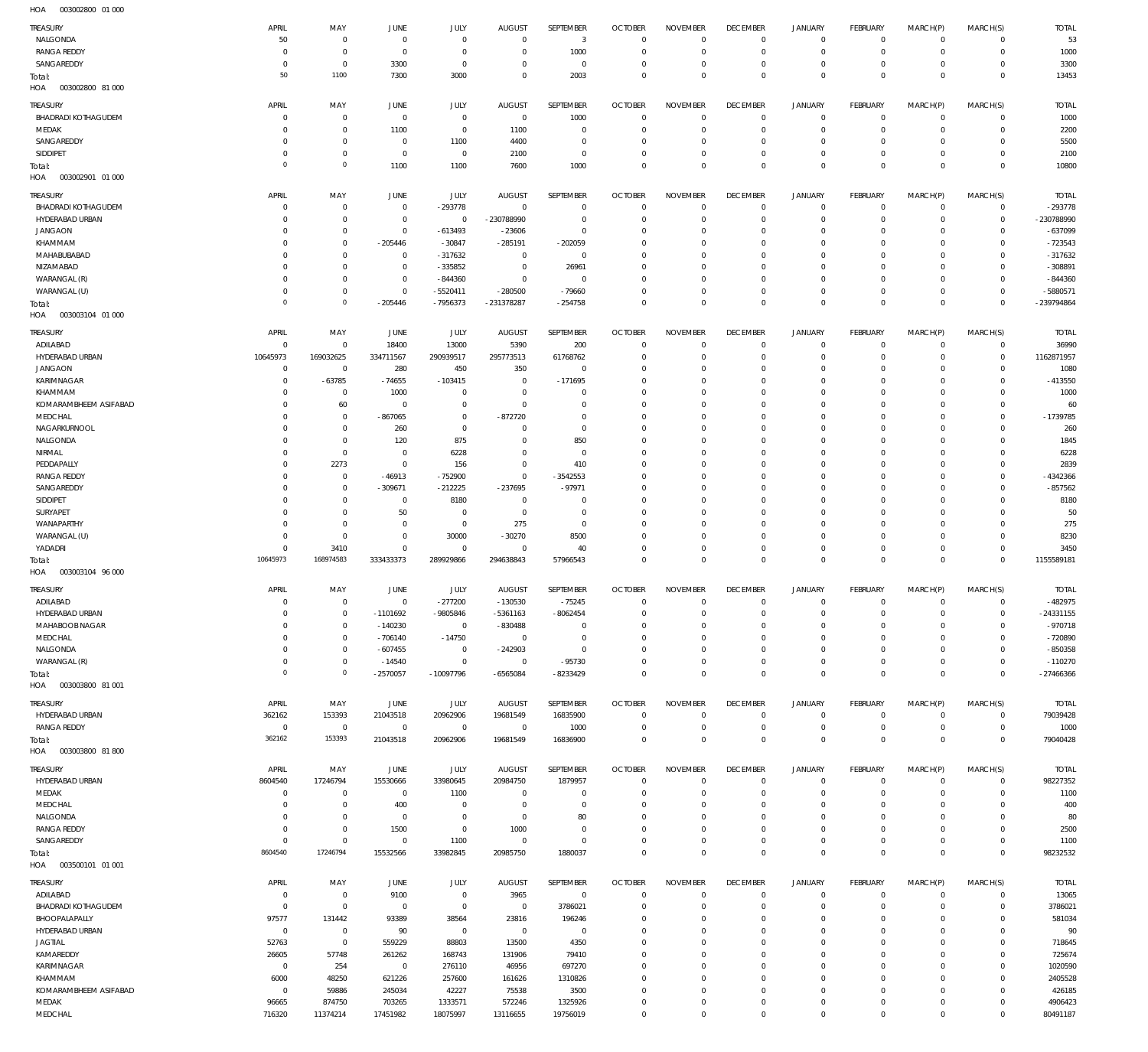| <b>TREASURY</b>            | APRIL                | MAY                        | JUNE           | JULY         | <b>AUGUST</b>  | SEPTEMBER    | <b>OCTOBER</b> | <b>NOVEMBER</b> | <b>DECEMBER</b> | <b>JANUARY</b>      | <b>FEBRUARY</b> | MARCH(P)            | MARCH(S)       | <b>TOTAL</b> |
|----------------------------|----------------------|----------------------------|----------------|--------------|----------------|--------------|----------------|-----------------|-----------------|---------------------|-----------------|---------------------|----------------|--------------|
| NALGONDA                   | 50                   | $\,0\,$                    | $\mathbf 0$    | $\mathbf 0$  | $^{\circ}$     | 3            | $\circ$        | $^{\circ}$      | $\mathbf 0$     | $\mathbf 0$         | $\overline{0}$  | $\mathbf 0$         | $\circ$        | 53           |
| <b>RANGA REDDY</b>         | $\Omega$             | $\,0\,$                    | $^{\circ}$     | $\mathbf 0$  | 0              | 1000         | $^{\circ}$     | $\mathbf 0$     | $^{\circ}$      | $\mathsf{O}\xspace$ | $\mathbf 0$     | $\mathbf 0$         | $\overline{0}$ | 1000         |
| SANGAREDDY                 | $\Omega$             | $\,0\,$                    | 3300           | $\mathbf{0}$ | $\Omega$       | $\mathbf 0$  | $^{\circ}$     | $\mathbf 0$     | $\overline{0}$  | $\mathsf{O}\xspace$ | $\mathbf 0$     | $\mathbf 0$         | $\circ$        | 3300         |
| Total:                     | 50                   | 1100                       | 7300           | 3000         | $\Omega$       | 2003         | $\mathbf 0$    | $\mathbf 0$     | $\mathbf 0$     | $\mathbf 0$         | $\overline{0}$  | $\mathbf 0$         | $\overline{0}$ | 13453        |
| HOA<br>003002800 81 000    |                      |                            |                |              |                |              |                |                 |                 |                     |                 |                     |                |              |
| TREASURY                   | APRIL                | MAY                        | JUNE           | JULY         | <b>AUGUST</b>  | SEPTEMBER    | <b>OCTOBER</b> | <b>NOVEMBER</b> | <b>DECEMBER</b> | <b>JANUARY</b>      | <b>FEBRUARY</b> | MARCH(P)            | MARCH(S)       | <b>TOTAL</b> |
| <b>BHADRADI KOTHAGUDEM</b> | $\Omega$             | $\mathbf 0$                | $\mathbf 0$    | $\mathbf 0$  | $\mathbf 0$    | 1000         | $^{\circ}$     | $\Omega$        | $\mathbf 0$     | $\mathbf 0$         | $\mathbf 0$     | $\mathbf 0$         | $\mathbf{0}$   | 1000         |
| MEDAK                      | $\Omega$             | $\mathbf 0$                | 1100           | $\mathbf 0$  | 1100           | $\mathbf{0}$ | $^{\circ}$     | $^{\circ}$      | $^{\circ}$      | $\mathbf 0$         | $\mathbf 0$     | $\Omega$            | $\mathbf 0$    | 2200         |
| SANGAREDDY                 | $\Omega$             | $\mathbb O$                | $^{\circ}$     | 1100         | 4400           | $\mathbf{0}$ | 0              | $^{\circ}$      | $^{\circ}$      | $\mathbf 0$         | $\mathbf 0$     | $\Omega$            | $\mathbf 0$    | 5500         |
| SIDDIPET                   | $\Omega$             | $\mathbb O$                | $^{\circ}$     | $\mathbf{0}$ | 2100           | $\mathbf 0$  | 0              | $\mathbf 0$     | $\mathbf 0$     | $\mathbf 0$         | $\mathbf 0$     | $\Omega$            | $\mathbf 0$    | 2100         |
| Total:                     | $\Omega$             | $\circ$                    | 1100           | 1100         | 7600           | 1000         | $\Omega$       | $\Omega$        | $\Omega$        | $\mathbf 0$         | $\mathbf 0$     | $\Omega$            | $\mathbf 0$    | 10800        |
| HOA<br>003002901 01 000    |                      |                            |                |              |                |              |                |                 |                 |                     |                 |                     |                |              |
|                            |                      |                            |                |              |                |              |                |                 |                 |                     |                 |                     |                |              |
| TREASURY                   | APRIL                | MAY                        | JUNE           | JULY         | <b>AUGUST</b>  | SEPTEMBER    | <b>OCTOBER</b> | <b>NOVEMBER</b> | <b>DECEMBER</b> | <b>JANUARY</b>      | <b>FEBRUARY</b> | MARCH(P)            | MARCH(S)       | <b>TOTAL</b> |
| <b>BHADRADI KOTHAGUDEM</b> | -C                   | $\mathbb O$                | $\overline{0}$ | -293778      | $\overline{0}$ | $\mathbf 0$  | $^{\circ}$     | $^{\circ}$      | $\overline{0}$  | 0                   | $\overline{0}$  | $\mathbf 0$         | $\circ$        | $-293778$    |
| HYDERABAD URBAN            | $\Omega$             | $\mathbb O$                | $^{\circ}$     | $\mathbf 0$  | -230788990     | $\mathbf 0$  | $^{\circ}$     | $\mathbf 0$     | $^{\circ}$      | $\mathbf 0$         | $\mathbf 0$     | $\mathbf 0$         | $\overline{0}$ | -230788990   |
| <b>JANGAON</b>             | $\Omega$             | $\mathbb O$                | $^{\circ}$     | $-613493$    | $-23606$       | $\mathbf 0$  | $^{\circ}$     | $^{\circ}$      | $^{\circ}$      | 0                   | $\mathbf 0$     | $\mathbf 0$         | $\circ$        | $-637099$    |
| KHAMMAM                    | $\Omega$             | $\mathbb O$                | $-205446$      | $-30847$     | $-285191$      | $-202059$    | $^{\circ}$     | $\mathbf 0$     | $^{\circ}$      | $\mathbf 0$         | $\mathbf 0$     | $\Omega$            | $\mathbf 0$    | $-723543$    |
| MAHABUBABAD                | $\Omega$             | $\mathbb O$                | $^{\circ}$     | $-317632$    | $^{\circ}$     | $\mathbf 0$  | $^{\circ}$     | $\mathbf 0$     | $^{\circ}$      | $\mathbf 0$         | $\mathbf 0$     | $\mathbf 0$         | $\mathbf{0}$   | $-317632$    |
| NIZAMABAD                  | $\Omega$             | $\mathbb O$                | $^{\circ}$     | $-335852$    | $^{\circ}$     | 26961        | $^{\circ}$     | $\mathbf 0$     | $^{\circ}$      | $\mathbf 0$         | $\mathbf 0$     | $\Omega$            | $\mathbf 0$    | $-308891$    |
| WARANGAL (R)               | $\Omega$             | $\mathbb O$                | $^{\circ}$     | $-844360$    | $^{\circ}$     | $\mathbf 0$  | 0              | $\mathbf 0$     | $^{\circ}$      | $\mathbf 0$         | $\mathbf 0$     | $\mathbf 0$         | $\mathbf{0}$   | $-844360$    |
| WARANGAL (U)               | $\Omega$<br>$\Omega$ | $\mathbb O$<br>$\mathbb O$ | $^{\circ}$     | $-5520411$   | $-280500$      | $-79660$     | $^{\circ}$     | $\mathbf 0$     | $\overline{0}$  | $\mathsf{O}\xspace$ | $\mathbf 0$     | $\mathbf 0$         | $\mathbf{0}$   | $-5880571$   |
| Total:                     |                      |                            | $-205446$      | $-7956373$   | -231378287     | $-254758$    | $\mathbf 0$    | $\mathbf 0$     | $\mathbf 0$     | $\mathbf 0$         | $\mathbf 0$     | $\mathbf 0$         | $\mathbf 0$    | -239794864   |
| HOA<br>003003104 01 000    |                      |                            |                |              |                |              |                |                 |                 |                     |                 |                     |                |              |
| TREASURY                   | APRIL                | MAY                        | JUNE           | JULY         | <b>AUGUST</b>  | SEPTEMBER    | <b>OCTOBER</b> | <b>NOVEMBER</b> | <b>DECEMBER</b> | <b>JANUARY</b>      | <b>FEBRUARY</b> | MARCH(P)            | MARCH(S)       | <b>TOTAL</b> |
| ADILABAD                   | $\mathbf 0$          | $\mathbb O$                | 18400          | 13000        | 5390           | 200          | $^{\circ}$     | $\mathbf 0$     | $\mathbf 0$     | $\mathbf 0$         | $\mathbf 0$     | $\mathbf 0$         | $\mathbf{0}$   | 36990        |
| HYDERABAD URBAN            | 10645973             | 169032625                  | 334711567      | 290939517    | 295773513      | 61768762     | $^{\circ}$     | $^{\circ}$      | $^{\circ}$      | $\mathbf 0$         | $\mathbf 0$     | $\Omega$            | $\circ$        | 1162871957   |
| <b>JANGAON</b>             | $\mathbf 0$          | $\mathbb O$                | 280            | 450          | 350            | $\mathbf{0}$ | 0              | $\mathbf 0$     | $\mathbf 0$     | $\mathbf 0$         | $\mathbf 0$     | $\Omega$            | $\mathbf 0$    | 1080         |
| KARIMNAGAR                 | $\Omega$             | $-63785$                   | $-74655$       | $-103415$    | $^{\circ}$     | $-171695$    | $\Omega$       | $\Omega$        | 0               | $\mathbf 0$         | $\mathbf 0$     | $\Omega$            | $\mathbf 0$    | $-413550$    |
| KHAMMAM                    | $\Omega$             | $\overline{0}$             | 1000           | $\mathbf{0}$ | $^{\circ}$     | 0            | $\Omega$       | $\Omega$        | $\Omega$        | $\mathbf 0$         | $\Omega$        | $\Omega$            | $\Omega$       | 1000         |
| KOMARAMBHEEM ASIFABAD      | $\Omega$             | 60                         | $^{\circ}$     | $\mathbf{0}$ | $\circ$        | $\mathbf{0}$ | $\Omega$       | $^{\circ}$      | 0               | $\mathbf 0$         | $\Omega$        | $\Omega$            | $\mathbf 0$    | 60           |
| MEDCHAL                    | $\Omega$             | $\mathbb O$                | $-867065$      | $\mathbf 0$  | $-872720$      | $\mathbf{0}$ | $\Omega$       | $\Omega$        | $^{\circ}$      | $\mathbf 0$         | $\Omega$        | $\Omega$            | $\Omega$       | $-1739785$   |
| NAGARKURNOOL               | $\Omega$             | $\mathbb O$                | 260            | $\mathbf 0$  | $\circ$        | $\mathbf{0}$ | $\Omega$       | $\Omega$        | $^{\circ}$      | $\mathbf 0$         | $\mathbf 0$     | $\Omega$            | $\mathbf 0$    | 260          |
| NALGONDA                   | $\Omega$             | $\mathbf 0$                | 120            | 875          | $\Omega$       | 850          | $\Omega$       | $\Omega$        | $^{\circ}$      | $\mathbf 0$         | $\Omega$        | $\Omega$            | $\Omega$       | 1845         |
| NIRMAL                     | $\Omega$             | $\,0\,$                    | $\mathbf 0$    | 6228         | $\Omega$       | $\mathbf{0}$ | $\Omega$       | $\Omega$        | $^{\circ}$      | $\mathbf 0$         | $\mathbf 0$     | $\Omega$            | $\mathbf 0$    | 6228         |
| PEDDAPALLY                 | $\Omega$             | 2273                       | $^{\circ}$     | 156          | $\circ$        | 410          | 0              | $^{\circ}$      | $^{\circ}$      | $\mathbf 0$         | $\Omega$        | $\Omega$            | $\Omega$       | 2839         |
| <b>RANGA REDDY</b>         | $\Omega$             | $\overline{0}$             | $-46913$       | $-752900$    | $\mathbf 0$    | $-3542553$   | $\Omega$       | $\Omega$        | $\Omega$        | $\mathbf 0$         | $\Omega$        | $\Omega$            | $\mathbf 0$    | -4342366     |
| SANGAREDDY                 | $\Omega$             | $\,0\,$                    | $-309671$      | $-212225$    | $-237695$      | $-97971$     | 0              | $^{\circ}$      | $^{\circ}$      | $\mathbf 0$         | $\Omega$        | $\Omega$            | $\Omega$       | $-857562$    |
| SIDDIPET                   | $\Omega$             | $\mathbf 0$                | $\overline{0}$ | 8180         | $\circ$        | 0            | $\Omega$       | $\Omega$        | 0               | $\mathbf 0$         | $\Omega$        | $\Omega$            | $\mathbf 0$    | 8180         |
| SURYAPET                   | $\Omega$             | $\,0\,$                    | 50             | $\mathbf{0}$ | $\circ$        | $\mathbf 0$  | 0              | $\mathbf 0$     | $\mathbf 0$     | $\mathbf 0$         | $\Omega$        | $\Omega$            | $\mathbf 0$    | 50           |
| WANAPARTHY                 | $\Omega$             | $\mathbf 0$                | $^{\circ}$     | $\mathbf 0$  | 275            | $\mathbf{0}$ | $\Omega$       | $\Omega$        | $^{\circ}$      | $\mathbf 0$         | $\Omega$        | $\Omega$            | $\mathbf 0$    | 275          |
| WARANGAL (U)               | $\Omega$             | $\mathbf 0$                | $\overline{0}$ | 30000        | $-30270$       | 8500         | $\Omega$       | $\mathbf 0$     | $\mathbf 0$     | $\mathbf 0$         | $\Omega$        | $\Omega$            | $\mathbf 0$    | 8230         |
| YADADRI                    | $\mathbf 0$          | 3410                       | $^{\circ}$     | $\mathbf{0}$ | $^{\circ}$     | 40           | 0              | $\mathbf 0$     | $\mathbf 0$     | $\mathsf{O}\xspace$ | $\mathbf 0$     | $\mathbf 0$         | $\mathbf 0$    | 3450         |
| Total:                     | 10645973             | 168974583                  | 333433373      | 289929866    | 294638843      | 57966543     | $\Omega$       | $\Omega$        | $\mathbf 0$     | $\mathbf 0$         | $\Omega$        | $\Omega$            | $\mathbf 0$    | 1155589181   |
| 003003104 96 000<br>HOA    |                      |                            |                |              |                |              |                |                 |                 |                     |                 |                     |                |              |
| TREASURY                   | APRIL                | MAY                        | JUNE           | JULY         | <b>AUGUST</b>  | SEPTEMBER    | <b>OCTOBER</b> | <b>NOVEMBER</b> | <b>DECEMBER</b> | <b>JANUARY</b>      | <b>FEBRUARY</b> | MARCH(P)            | MARCH(S)       | <b>TOTAL</b> |
| ADILABAD                   | $\overline{0}$       | $\,0\,$                    | $^{\circ}$     | $-277200$    | $-130530$      | $-75245$     | $\mathbf 0$    | $\mathbb O$     | $\mathbf 0$     | $\mathsf{O}\xspace$ | $\overline{0}$  | $\overline{0}$      | $\overline{0}$ | $-482975$    |
| HYDERABAD URBAN            | -0                   | $\,0\,$                    | $-1101692$     | -9805846     | $-5361163$     | $-8062454$   | 0              | 0               | 0               | 0                   | 0               | $\Omega$            | $\mathbf 0$    | $-24331155$  |
| MAHABOOB NAGAR             | $^{\circ}$           | $\,0\,$                    | $-140230$      | $\mathbf 0$  | $-830488$      | $\mathbf 0$  | $\mathbf 0$    | $\mathbb O$     | $^{\circ}$      | $\mathsf{O}\xspace$ | $\overline{0}$  | $\mathbf 0$         | $\circ$        | $-970718$    |
| MEDCHAL                    | $^{\circ}$           | $\,0\,$                    | $-706140$      | $-14750$     | $\mathbf 0$    | $\mathbf 0$  | $^{\circ}$     | $\mathbf 0$     | $\mathbf 0$     | $\mathsf{O}\xspace$ | $\mathbf 0$     | $\mathbf 0$         | $\mathbf{0}$   | $-720890$    |
| NALGONDA                   | $\mathbf 0$          | $\,0\,$                    | $-607455$      | $\mathbf 0$  | $-242903$      | $\mathbf 0$  | $^{\circ}$     | $\mathbb O$     | $^{\circ}$      | $\mathbf 0$         | $\mathbf 0$     | $\mathbf 0$         | $\mathbf{0}$   | $-850358$    |
| WARANGAL (R)               | $\mathbf 0$          | $\,0\,$                    | $-14540$       | $\mathbf 0$  | $\mathbf 0$    | $-95730$     | $^{\circ}$     | $\mathbb O$     | $\mathbf 0$     | $\mathsf{O}\xspace$ | $\overline{0}$  | $\mathbf 0$         | $\circ$        | $-110270$    |
| Total:                     | $^{\circ}$           | $\circ$                    | $-2570057$     | $-10097796$  | $-6565084$     | $-8233429$   | $\mathbf 0$    | $\mathbf 0$     | $\mathbf 0$     | $\mathbb O$         | $\overline{0}$  | $\mathbf 0$         | $\overline{0}$ | $-27466366$  |
| HOA<br>003003800 81 001    |                      |                            |                |              |                |              |                |                 |                 |                     |                 |                     |                |              |
|                            |                      |                            |                |              |                |              |                |                 |                 |                     |                 |                     |                |              |
| TREASURY                   | APRIL                | MAY                        | JUNE           | JULY         | <b>AUGUST</b>  | SEPTEMBER    | <b>OCTOBER</b> | <b>NOVEMBER</b> | <b>DECEMBER</b> | JANUARY             | FEBRUARY        | MARCH(P)            | MARCH(S)       | <b>TOTAL</b> |
| HYDERABAD URBAN            | 362162               | 153393                     | 21043518       | 20962906     | 19681549       | 16835900     | $^{\circ}$     | $^{\circ}$      | $^{\circ}$      | $\mathsf{O}\xspace$ | $\overline{0}$  | $\mathbf 0$         | $\overline{0}$ | 79039428     |
| <b>RANGA REDDY</b>         | $\mathbf 0$          | $\,0\,$                    | $\mathbb O$    | $\mathbf 0$  | $\mathbf 0$    | 1000         | $^{\circ}$     | $\mathbf 0$     | $\mathbf 0$     | $\mathsf{O}\xspace$ | $\overline{0}$  | $\mathbf 0$         | $\overline{0}$ | 1000         |
| Total:                     | 362162               | 153393                     | 21043518       | 20962906     | 19681549       | 16836900     | $\mathbf 0$    | $\mathbf 0$     | $\mathbf 0$     | $\mathbf 0$         | $\mathbf 0$     | $\mathbf 0$         | $\overline{0}$ | 79040428     |
| HOA<br>003003800 81800     |                      |                            |                |              |                |              |                |                 |                 |                     |                 |                     |                |              |
| <b>TREASURY</b>            | APRIL                | MAY                        | JUNE           | JULY         | <b>AUGUST</b>  | SEPTEMBER    | <b>OCTOBER</b> | <b>NOVEMBER</b> | <b>DECEMBER</b> | <b>JANUARY</b>      | <b>FEBRUARY</b> | MARCH(P)            | MARCH(S)       | <b>TOTAL</b> |
| HYDERABAD URBAN            | 8604540              | 17246794                   | 15530666       | 33980645     | 20984750       | 1879957      | $\circ$        | $\circ$         | $\mathbf 0$     | $\mathbf 0$         | $\overline{0}$  | $\mathbf 0$         | $\circ$        | 98227352     |
| MEDAK                      | $^{\circ}$           | $\,0\,$                    | $\mathbf 0$    | 1100         | $\mathbf 0$    | $\mathbf 0$  | $^{\circ}$     | $\mathbf 0$     | $^{\circ}$      | $\mathsf{O}\xspace$ | $\overline{0}$  | $\mathbf 0$         | $\overline{0}$ | 1100         |
| MEDCHAL                    | $\Omega$             | $\,0\,$                    | 400            | $\mathbf 0$  | $\mathbf 0$    | $\mathbf 0$  | $^{\circ}$     | $\mathbf 0$     | $\overline{0}$  | $\mathsf{O}\xspace$ | $\mathbf 0$     | $\mathbf 0$         | $\circ$        | 400          |
| NALGONDA                   | $\Omega$             | $\,0\,$                    | $\mathbf 0$    | $\mathbf 0$  | $^{\circ}$     | 80           | $^{\circ}$     | $\mathbf 0$     | $^{\circ}$      | $\mathbf 0$         | $\mathbf 0$     | $\mathbf 0$         | $\mathbf{0}$   | 80           |
| <b>RANGA REDDY</b>         | $\overline{0}$       | $\,0\,$                    | 1500           | $\mathbf 0$  | 1000           | $\mathbf 0$  | $^{\circ}$     | $\mathbf 0$     | $\mathbf 0$     | $\mathsf{O}\xspace$ | $\mathbf 0$     | $\mathbf 0$         | $\circ$        | 2500         |
| SANGAREDDY                 | $^{\circ}$           | $\,0\,$                    | $\,0\,$        | 1100         | $\mathbf 0$    | $\mathbf 0$  | $^{\circ}$     | $\mathbb O$     | $\mathbf 0$     | $\mathsf{O}\xspace$ | $\mathbf 0$     | $\mathbf 0$         | $\mathbf{0}$   | 1100         |
| Total:                     | 8604540              | 17246794                   | 15532566       | 33982845     | 20985750       | 1880037      | $\mathbf 0$    | $\mathbf 0$     | $\mathbf 0$     | $\mathsf 0$         | $\mathbf{0}$    | $\mathbf 0$         | $\overline{0}$ | 98232532     |
| HOA<br>003500101 01 001    |                      |                            |                |              |                |              |                |                 |                 |                     |                 |                     |                |              |
| <b>TREASURY</b>            | APRIL                | MAY                        | JUNE           | JULY         | <b>AUGUST</b>  | SEPTEMBER    | <b>OCTOBER</b> | <b>NOVEMBER</b> | <b>DECEMBER</b> | <b>JANUARY</b>      | <b>FEBRUARY</b> | MARCH(P)            | MARCH(S)       | <b>TOTAL</b> |
| ADILABAD                   | $^{\circ}$           | $\,0\,$                    | 9100           | $\mathbf 0$  | 3965           | $\mathbf 0$  | $^{\circ}$     | $^{\circ}$      | $\mathbf 0$     | $\mathbf 0$         | $\mathbf 0$     | $\mathbf 0$         | $\mathbf{0}$   | 13065        |
| <b>BHADRADI KOTHAGUDEM</b> | $\mathbf 0$          | $\,0\,$                    | $\,0\,$        | $\mathbf 0$  | $\mathbf 0$    | 3786021      | $^{\circ}$     | $\mathbf 0$     | $^{\circ}$      | $\mathsf{O}\xspace$ | $\overline{0}$  | $\mathbf 0$         | $\circ$        | 3786021      |
| BHOOPALAPALLY              | 97577                | 131442                     | 93389          | 38564        | 23816          | 196246       | $\mathbf 0$    | $\mathbf 0$     | $\mathbf 0$     | $\mathbf 0$         | $\mathbf 0$     | $\mathbf 0$         | $\mathbf 0$    | 581034       |
| HYDERABAD URBAN            | $\mathbf 0$          | $\,0\,$                    | 90             | $\mathbf 0$  | $\mathbf 0$    | $\mathbf{0}$ | $^{\circ}$     | $\Omega$        | $\mathbf 0$     | $\mathbf 0$         | $\mathbf 0$     | $\Omega$            | $\mathbf 0$    | 90           |
| <b>JAGTIAL</b>             | 52763                | $\,0\,$                    | 559229         | 88803        | 13500          | 4350         | $\mathbf 0$    | $\mathbf 0$     | $\mathbf 0$     | $\mathbf 0$         | $\mathbf 0$     | $\mathbf 0$         | $\mathbf 0$    | 718645       |
| KAMAREDDY                  | 26605                | 57748                      | 261262         | 168743       | 131906         | 79410        | $^{\circ}$     | $\mathbf 0$     | $\mathbf 0$     | $\mathbf 0$         | $\mathbf 0$     | $\Omega$            | $\mathbf 0$    | 725674       |
| KARIMNAGAR                 | $\mathbf 0$          | 254                        | $\,0\,$        | 276110       | 46956          | 697270       | $^{\circ}$     | $\mathbf 0$     | $\mathbf 0$     | $\mathbf 0$         | $\mathbf 0$     | $\Omega$            | $\mathbf 0$    | 1020590      |
| KHAMMAM                    | 6000                 | 48250                      | 621226         | 257600       | 161626         | 1310826      | $^{\circ}$     | $^{\circ}$      | $^{\circ}$      | $\mathbf 0$         | $\mathbf 0$     | $\Omega$            | $\mathbf 0$    | 2405528      |
| KOMARAMBHEEM ASIFABAD      | $\overline{0}$       | 59886                      | 245034         | 42227        | 75538          | 3500         | $^{\circ}$     | $\mathbf 0$     | $\mathbf 0$     | $\mathbf 0$         | $\mathbf 0$     | $\Omega$            | $\mathbf{0}$   | 426185       |
| MEDAK                      | 96665                | 874750                     | 703265         | 1333571      | 572246         | 1325926      | $\mathbf 0$    | $\mathbb O$     | $\mathbb O$     | $\mathsf{O}\xspace$ | $\mathbf 0$     | $\mathbf 0$         | $\mathbf 0$    | 4906423      |
| MEDCHAL                    | 716320               | 11374214                   | 17451982       | 18075997     | 13116655       | 19756019     | $\mathbf 0$    | $\mathbf 0$     | $\mathbf 0$     | $\mathsf{O}\xspace$ | $\mathbf 0$     | $\mathsf{O}\xspace$ | $\mathbf 0$    | 80491187     |
|                            |                      |                            |                |              |                |              |                |                 |                 |                     |                 |                     |                |              |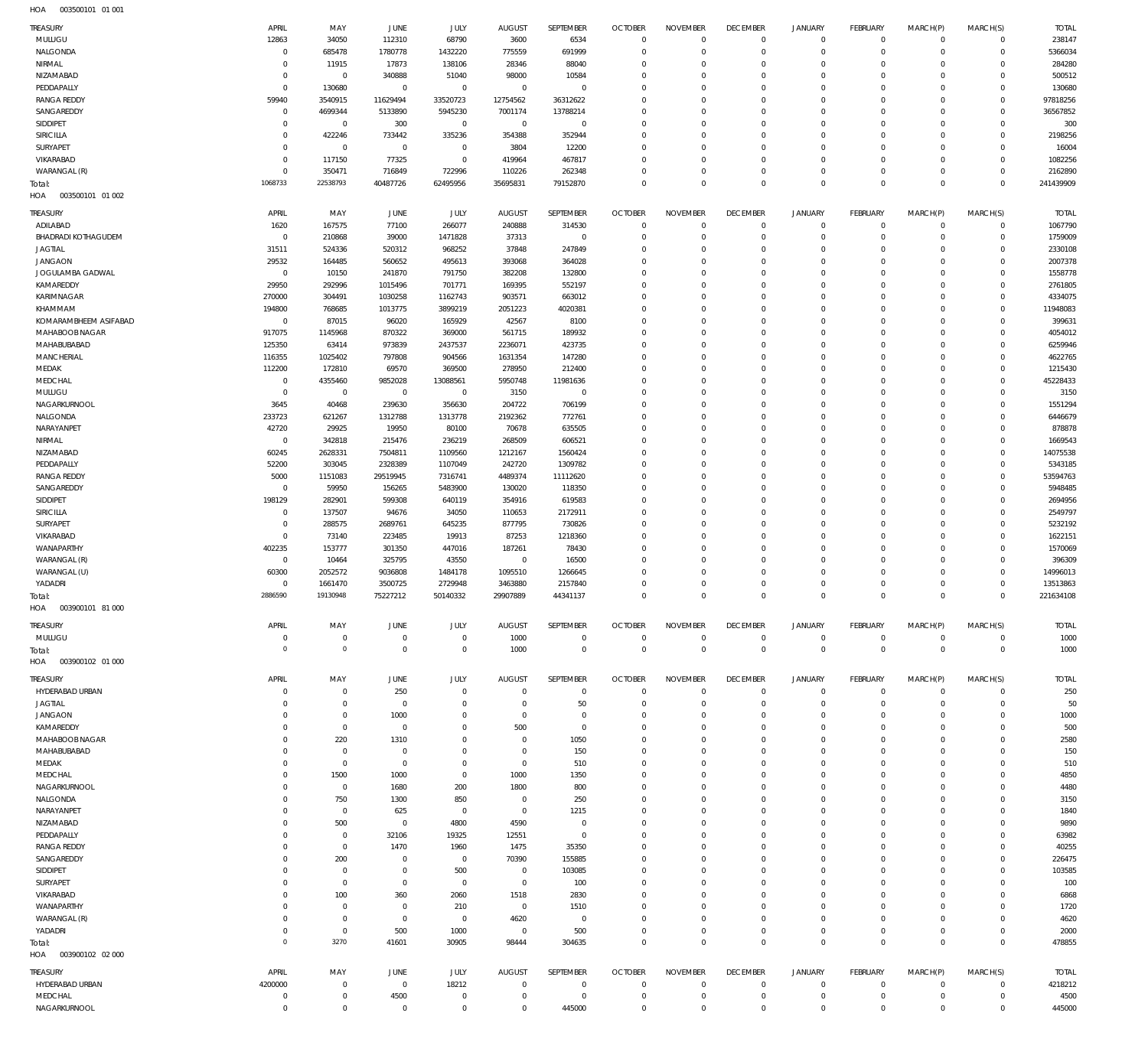003500101 01 001 HOA

| TREASURY                           | APRIL                     | MAY                           | JUNE                          | JULY                   | <b>AUGUST</b>               | <b>SEPTEMBER</b>           | <b>OCTOBER</b>                   | <b>NOVEMBER</b>                   | <b>DECEMBER</b>                  | <b>JANUARY</b>               | <b>FEBRUARY</b>         | MARCH(P)               | MARCH(S)                   | <b>TOTAL</b>            |
|------------------------------------|---------------------------|-------------------------------|-------------------------------|------------------------|-----------------------------|----------------------------|----------------------------------|-----------------------------------|----------------------------------|------------------------------|-------------------------|------------------------|----------------------------|-------------------------|
| MULUGU                             | 12863                     | 34050                         | 112310                        | 68790                  | 3600                        | 6534                       | $\mathbb O$                      | $\mathbf 0$                       | $\mathbf 0$                      | $\mathbf 0$                  | $\overline{0}$          | $\circ$                | $\mathbf 0$                | 238147                  |
| NALGONDA                           | $\mathbf 0$               | 685478                        | 1780778                       | 1432220                | 775559                      | 691999                     | $\mathbb O$                      | $\mathbf 0$                       | $\mathbb O$                      | $\mathbf 0$                  | $\mathbf 0$             | $\Omega$               | $\mathbb O$                | 5366034                 |
| NIRMAL                             | $^{\circ}$                | 11915                         | 17873                         | 138106                 | 28346                       | 88040                      | $\overline{0}$                   | $\overline{0}$                    | $\overline{0}$                   | $^{\circ}$                   | $\mathbf 0$             | $\Omega$               | $\mathbf 0$                | 284280                  |
| NIZAMABAD                          | $\mathbf 0$               | $\mathbf 0$                   | 340888                        | 51040                  | 98000                       | 10584                      | $\mathbf 0$                      | $\Omega$                          | $\overline{0}$                   | $\mathbf{0}$                 | $\Omega$                | $\Omega$               | $\mathbf 0$                | 500512                  |
| PEDDAPALLY                         | $\mathbf 0$               | 130680                        | $\overline{0}$                | $\mathbf 0$            | $\overline{0}$              | $\mathbf 0$                | $\mathbf{0}$                     | $\Omega$                          | $\overline{0}$                   | $^{\circ}$                   | $\mathbf 0$             | $\Omega$               | $\mathbf 0$                | 130680                  |
| <b>RANGA REDDY</b>                 | 59940                     | 3540915                       | 11629494                      | 33520723               | 12754562                    | 36312622                   | $\mathbf{0}$                     | $\mathbf 0$                       | $\overline{0}$                   | $^{\circ}$                   | $\Omega$                | $\Omega$               | $\mathbf 0$                | 97818256                |
| SANGAREDDY<br>SIDDIPET             | $\mathbf 0$<br>$^{\circ}$ | 4699344                       | 5133890                       | 5945230<br>$\mathbf 0$ | 7001174<br>$\overline{0}$   | 13788214<br>$\overline{0}$ | $\mathbf{0}$<br>$\mathbf 0$      | $\Omega$<br>$\mathbf 0$           | $\overline{0}$<br>$\overline{0}$ | $^{\circ}$<br>$^{\circ}$     | $\Omega$<br>$\mathbf 0$ | $\Omega$<br>$\Omega$   | $\mathbf 0$<br>$\mathbf 0$ | 36567852<br>300         |
| SIRICILLA                          | $\mathbf 0$               | $\overline{0}$<br>422246      | 300<br>733442                 | 335236                 | 354388                      | 352944                     | $\overline{0}$                   | $\Omega$                          | $\mathbf 0$                      | $^{\circ}$                   | $\Omega$                | $\Omega$               | $\mathbf 0$                | 2198256                 |
| SURYAPET                           | $\mathbf 0$               | $\,0\,$                       | $\overline{0}$                | $\mathbf 0$            | 3804                        | 12200                      | $\mathbf 0$                      | $\mathbf 0$                       | $\overline{0}$                   | $^{\circ}$                   | $\mathbf 0$             | $\Omega$               | $\mathbf 0$                | 16004                   |
| VIKARABAD                          | $\mathbf 0$               | 117150                        | 77325                         | $\mathbf 0$            | 419964                      | 467817                     | $\mathbf 0$                      | $\Omega$                          | $\overline{0}$                   | $^{\circ}$                   | $\Omega$                | $\Omega$               | $\mathbf 0$                | 1082256                 |
| WARANGAL (R)                       | $\mathbf 0$               | 350471                        | 716849                        | 722996                 | 110226                      | 262348                     | $\mathbf{0}$                     | $\mathbf{0}$                      | $\mathbb O$                      | $\mathbf 0$                  | $\mathbf 0$             | $\Omega$               | $\mathbf 0$                | 2162890                 |
| Total:                             | 1068733                   | 22538793                      | 40487726                      | 62495956               | 35695831                    | 79152870                   | $\mathbb O$                      | $\Omega$                          | $\mathbb O$                      | $\mathbb O$                  | $\overline{0}$          | $\Omega$               | $\mathbf 0$                | 241439909               |
| HOA<br>003500101 01 002            |                           |                               |                               |                        |                             |                            |                                  |                                   |                                  |                              |                         |                        |                            |                         |
|                                    |                           |                               |                               |                        |                             |                            |                                  |                                   |                                  |                              |                         |                        |                            |                         |
| TREASURY<br>ADILABAD               | APRIL<br>1620             | MAY<br>167575                 | JUNE<br>77100                 | JULY<br>266077         | <b>AUGUST</b><br>240888     | SEPTEMBER<br>314530        | <b>OCTOBER</b><br>$\overline{0}$ | <b>NOVEMBER</b><br>$\overline{0}$ | <b>DECEMBER</b><br>$\mathbf 0$   | JANUARY<br>$^{\circ}$        | FEBRUARY<br>$\mathbf 0$ | MARCH(P)<br>$^{\circ}$ | MARCH(S)<br>$\mathbf 0$    | <b>TOTAL</b><br>1067790 |
| <b>BHADRADI KOTHAGUDEM</b>         | $\overline{0}$            | 210868                        | 39000                         | 1471828                | 37313                       | $\overline{0}$             | $\mathbb O$                      | $\mathbf{0}$                      | $\overline{0}$                   | $^{\circ}$                   | $\mathbf 0$             | $\Omega$               | $\mathbf 0$                | 1759009                 |
| <b>JAGTIAL</b>                     | 31511                     | 524336                        | 520312                        | 968252                 | 37848                       | 247849                     | $\overline{0}$                   | $\overline{0}$                    | $\overline{0}$                   | $^{\circ}$                   | $\mathbf 0$             | $\Omega$               | $\mathbf 0$                | 2330108                 |
| <b>JANGAON</b>                     | 29532                     | 164485                        | 560652                        | 495613                 | 393068                      | 364028                     | $\overline{0}$                   | $\mathbf 0$                       | $\overline{0}$                   | $^{\circ}$                   | $\Omega$                |                        | $\mathbf 0$                | 2007378                 |
| JOGULAMBA GADWAL                   | $\mathbf 0$               | 10150                         | 241870                        | 791750                 | 382208                      | 132800                     | $\mathbf{0}$                     | $\Omega$                          | $\overline{0}$                   | $^{\circ}$                   | $\Omega$                | $\Omega$               | $\mathbf 0$                | 1558778                 |
| KAMAREDDY                          | 29950                     | 292996                        | 1015496                       | 701771                 | 169395                      | 552197                     | $\overline{0}$                   | 0                                 | $\overline{0}$                   | $\Omega$                     | $\Omega$                | $\Omega$               | $\mathbf 0$                | 2761805                 |
| KARIMNAGAR                         | 270000                    | 304491                        | 1030258                       | 1162743                | 903571                      | 663012                     | $\mathbf 0$                      | $\Omega$                          | $\overline{0}$                   | $^{\circ}$                   | $\Omega$                | $\Omega$               | $\mathbf 0$                | 4334075                 |
| KHAMMAM                            | 194800                    | 768685                        | 1013775                       | 3899219                | 2051223                     | 4020381                    | $\mathbf 0$                      | $\mathbf 0$                       | $\overline{0}$                   | 0                            | $\Omega$                | $\Omega$               | $\mathbf 0$                | 11948083                |
| KOMARAMBHEEM ASIFABAD              | $\overline{0}$            | 87015                         | 96020                         | 165929                 | 42567                       | 8100                       | $\overline{0}$                   | $\Omega$                          | $\overline{0}$                   | $^{\circ}$                   | $\Omega$                | $\Omega$               | $\mathbf 0$                | 399631                  |
| MAHABOOB NAGAR                     | 917075                    | 1145968                       | 870322                        | 369000                 | 561715                      | 189932                     | $\overline{0}$                   | $\mathbf 0$                       | $\overline{0}$                   | $\Omega$                     | $\Omega$                | $\Omega$               | $\mathbf 0$                | 4054012                 |
| MAHABUBABAD                        | 125350                    | 63414                         | 973839                        | 2437537                | 2236071                     | 423735                     | $\overline{0}$                   | 0                                 | $\overline{0}$                   | $^{\circ}$                   | $\Omega$                |                        | $\mathbf 0$                | 6259946                 |
| MANCHERIAL                         | 116355                    | 1025402                       | 797808                        | 904566                 | 1631354                     | 147280                     | $\mathbf{0}$                     | $\mathbf 0$                       | $\overline{0}$                   | $\Omega$                     | $\Omega$                | $\Omega$               | $\mathbf 0$                | 4622765                 |
| MEDAK                              | 112200                    | 172810                        | 69570                         | 369500                 | 278950                      | 212400                     | $\mathbf{0}$                     | 0                                 | $\overline{0}$                   | $^{\circ}$                   | $\mathbf 0$             | $\Omega$               | $\mathbf 0$                | 1215430                 |
| MEDCHAL                            | $\mathbf 0$               | 4355460                       | 9852028                       | 13088561               | 5950748                     | 11981636                   | $\overline{0}$                   | $\Omega$                          | $\overline{0}$                   | $\Omega$                     | $\Omega$                | $\Omega$               | $\mathbf 0$                | 45228433                |
| MULUGU                             | $\overline{0}$            | $\overline{0}$                | $\overline{0}$                | $\mathbf 0$            | 3150                        | $\overline{0}$             | $\mathbf{0}$                     | $\mathbf 0$                       | $\overline{0}$                   | $^{\circ}$                   | $\mathbf 0$             | $\Omega$               | $\mathbf 0$                | 3150                    |
| NAGARKURNOOL                       | 3645                      | 40468                         | 239630                        | 356630                 | 204722                      | 706199                     | $\overline{0}$                   | $\Omega$                          | $\overline{0}$                   | $\Omega$                     | $\Omega$                |                        | $\mathbf 0$                | 1551294                 |
| NALGONDA                           | 233723                    | 621267                        | 1312788                       | 1313778                | 2192362                     | 772761                     | $\mathbf{0}$                     | $\mathbf 0$                       | $\overline{0}$                   | $^{\circ}$                   | $\mathbf 0$             | $\Omega$               | $\mathbf 0$                | 6446679                 |
| NARAYANPET                         | 42720                     | 29925                         | 19950                         | 80100                  | 70678                       | 635505                     | $\overline{0}$                   | $\Omega$                          | $\overline{0}$                   | $\Omega$                     | $\Omega$                |                        | $\mathbf 0$                | 878878                  |
| NIRMAL                             | $\mathbf 0$               | 342818                        | 215476                        | 236219                 | 268509                      | 606521                     | $\mathbf 0$                      | $\mathbf 0$                       | $\overline{0}$                   | $^{\circ}$                   | $\mathbf 0$             | $\Omega$               | $\mathbf 0$                | 1669543                 |
| NIZAMABAD                          | 60245                     | 2628331                       | 7504811                       | 1109560                | 1212167                     | 1560424                    | $\overline{0}$                   | $\mathbf 0$                       | $\overline{0}$                   | $\Omega$                     | $\Omega$                |                        | $\mathbf 0$                | 14075538                |
| PEDDAPALLY                         | 52200                     | 303045                        | 2328389                       | 1107049                | 242720                      | 1309782                    | $\mathbf{0}$                     | $\Omega$                          | $\overline{0}$                   | $^{\circ}$                   | $\Omega$                | $\Omega$               | $\mathbf 0$                | 5343185                 |
| <b>RANGA REDDY</b>                 | 5000                      | 1151083                       | 29519945                      | 7316741                | 4489374                     | 11112620                   | $\overline{0}$                   | 0                                 | $\overline{0}$                   | $\Omega$                     | $\Omega$<br>$\Omega$    | $\Omega$               | $\mathbf 0$                | 53594763                |
| SANGAREDDY                         | $\mathbf 0$               | 59950                         | 156265                        | 5483900                | 130020                      | 118350                     | $\mathbf{0}$<br>$\mathbf{0}$     | $\Omega$                          | $\overline{0}$<br>$\overline{0}$ | $^{\circ}$                   | $\Omega$                | $\Omega$               | $\mathbf 0$<br>$\mathbf 0$ | 5948485                 |
| SIDDIPET<br>SIRICILLA              | 198129<br>$^{\circ}$      | 282901<br>137507              | 599308<br>94676               | 640119<br>34050        | 354916<br>110653            | 619583<br>2172911          | $\overline{0}$                   | $\mathbf 0$<br>$\Omega$           | $\overline{0}$                   | 0<br>$^{\circ}$              | $\Omega$                | $\Omega$<br>$\Omega$   | $\mathbf 0$                | 2694956<br>2549797      |
| SURYAPET                           | $^{\circ}$                | 288575                        | 2689761                       | 645235                 | 877795                      | 730826                     | $\mathbf{0}$                     | $\mathbf 0$                       | $\overline{0}$                   | $\Omega$                     | $\Omega$                | $\Omega$               | $\mathbf 0$                | 5232192                 |
| VIKARABAD                          | $\mathbf 0$               | 73140                         | 223485                        | 19913                  | 87253                       | 1218360                    | $\mathbf{0}$                     | 0                                 | $\overline{0}$                   | $^{\circ}$                   | $\Omega$                |                        | $\mathbf 0$                | 1622151                 |
| WANAPARTHY                         | 402235                    | 153777                        | 301350                        | 447016                 | 187261                      | 78430                      | $\mathbf{0}$                     | $\mathbf 0$                       | $\overline{0}$                   | $\Omega$                     | $\Omega$                | $\Omega$               | $\mathbf 0$                | 1570069                 |
| WARANGAL (R)                       | $^{\circ}$                | 10464                         | 325795                        | 43550                  | $\overline{0}$              | 16500                      | $\mathbf{0}$                     | 0                                 | $\overline{0}$                   | $^{\circ}$                   | $\Omega$                | $\Omega$               | $\mathbf 0$                | 396309                  |
| WARANGAL (U)                       | 60300                     | 2052572                       | 9036808                       | 1484178                | 1095510                     | 1266645                    | $\overline{0}$                   | $\mathbf 0$                       | $\overline{0}$                   | $\Omega$                     | $\Omega$                | $\Omega$               | $\mathbf 0$                | 14996013                |
| YADADRI                            | $^{\circ}$                | 1661470                       | 3500725                       | 2729948                | 3463880                     | 2157840                    | $\overline{0}$                   | 0                                 | $\overline{0}$                   | $^{\circ}$                   | $\mathbf 0$             | $\Omega$               | $\mathbf 0$                | 13513863                |
| Total:                             | 2886590                   | 19130948                      | 75227212                      | 50140332               | 29907889                    | 44341137                   | $\overline{0}$                   | $\mathbf 0$                       | $\mathbb O$                      | $\mathbf 0$                  | $\overline{0}$          | $\Omega$               | $\Omega$                   | 221634108               |
| HOA<br>003900101 81 000            |                           |                               |                               |                        |                             |                            |                                  |                                   |                                  |                              |                         |                        |                            |                         |
| TREASURY                           | APRIL                     | MAY                           | <b>JUNE</b>                   | <b>JULY</b>            | <b>AUGUST</b>               | SEPTEMBER                  | <b>OCTOBER</b>                   | <b>NOVEMBER</b>                   | <b>DECEMBER</b>                  | <b>JANUARY</b>               | <b>FEBRUARY</b>         | MARCH(P)               | MARCH(S)                   | <b>TOTAL</b>            |
| MULUGU                             | 0                         | $\mathbf 0$                   | $\overline{0}$                | $\mathbf 0$            | 1000                        | $\mathbf 0$                | $\overline{0}$                   | $\mathbf{0}$                      | $\overline{0}$                   | $^{\circ}$                   | $\mathbf 0$             | $\mathbf 0$            | $\mathbf 0$                | 1000                    |
| Total:                             | $\Omega$                  | $\circ$                       | $\overline{0}$                | $\mathbf 0$            | 1000                        | $\overline{0}$             | $\mathbb O$                      | $\mathbf 0$                       | $\overline{0}$                   | $\mathbb O$                  | $\overline{0}$          | $\Omega$               | $\mathbf 0$                | 1000                    |
| HOA<br>003900102 01 000            |                           |                               |                               |                        |                             |                            |                                  |                                   |                                  |                              |                         |                        |                            |                         |
| TREASURY                           | APRIL                     | MAY                           | <b>JUNE</b>                   | <b>JULY</b>            | <b>AUGUST</b>               | SEPTEMBER                  | <b>OCTOBER</b>                   | <b>NOVEMBER</b>                   | <b>DECEMBER</b>                  | <b>JANUARY</b>               | FEBRUARY                | MARCH(P)               | MARCH(S)                   | <b>TOTAL</b>            |
| HYDERABAD URBAN                    | 0                         | $\mathbf 0$                   | 250                           | $\mathbf 0$            | $\overline{0}$              | $\mathbf 0$                | $\overline{0}$                   | $\mathbf{0}$                      | $\overline{0}$                   | $\circ$                      | $\mathbf 0$             | $^{\circ}$             | $\mathbf 0$                | 250                     |
| <b>JAGTIAL</b>                     | 0                         | $\mathbf 0$                   | $\overline{0}$                | $\mathbf 0$            | $^{\circ}$                  | 50                         | $\overline{0}$                   | $\mathbf 0$                       | $^{\circ}$                       | $\circ$                      | $\mathbf 0$             | $\Omega$               | $\mathbf 0$                | 50                      |
| <b>JANGAON</b>                     | 0                         | $\mathbf 0$                   | 1000                          | 0                      | $^{\circ}$                  | 0                          | $\overline{0}$                   | 0                                 | $^{\circ}$                       | 0                            | $\mathbf 0$             |                        | $\mathbf 0$                | 1000                    |
| KAMAREDDY                          | 0                         | $\mathbb O$                   | $\overline{0}$                | 0                      | 500                         | $\mathbf{0}$               | $\overline{0}$                   | $\Omega$                          | $^{\circ}$                       | 0                            | $\Omega$                |                        | $\mathbf 0$                | 500                     |
| MAHABOOB NAGAR                     | 0                         | 220                           | 1310                          | $\Omega$               | $^{\circ}$                  | 1050                       | $\overline{0}$                   | 0                                 | $^{\circ}$                       | 0                            | $\Omega$                |                        | $\mathbf 0$                | 2580                    |
| MAHABUBABAD                        | 0                         | $\mathbf 0$                   | $\overline{0}$                | 0                      | $\mathbf 0$                 | 150                        | $\overline{0}$                   | 0                                 | $^{\circ}$                       | 0                            | $\Omega$                |                        | $\mathbf 0$                | 150                     |
| MEDAK                              | 0                         | $\mathbf 0$                   | $\overline{0}$                | $\mathbf 0$            | $^{\circ}$                  | 510                        | $\overline{0}$                   | 0                                 | $^{\circ}$                       | 0                            | $\Omega$                |                        | $\mathbf 0$                | 510                     |
| MEDCHAL                            | 0                         | 1500                          | 1000                          | $\mathbf 0$            | 1000                        | 1350                       | $\overline{0}$                   | 0                                 | $^{\circ}$                       | 0                            | $\mathbf 0$             |                        | $\mathbf 0$                | 4850                    |
| NAGARKURNOOL                       | 0                         | $\mathbf{0}$                  | 1680                          | 200                    | 1800                        | 800                        | $\overline{0}$                   | $\Omega$                          | $^{\circ}$                       | $\Omega$                     | $\Omega$                |                        | $\mathbf 0$                | 4480                    |
| NALGONDA                           | 0                         | 750                           | 1300                          | 850                    | $^{\circ}$                  | 250                        | $\overline{0}$                   | 0                                 | $^{\circ}$                       | 0                            | $\mathbf 0$             |                        | $\mathbf 0$                | 3150                    |
| NARAYANPET                         | 0                         | $\mathbf 0$                   | 625                           | $\mathbf 0$            | $\overline{0}$              | 1215                       | $\mathbf 0$                      | 0                                 | $^{\circ}$                       | $\Omega$                     | $\Omega$                |                        | $\Omega$                   | 1840                    |
| NIZAMABAD                          | 0                         | 500                           | $\overline{0}$                | 4800                   | 4590                        | $\mathbf{0}$               | $\overline{0}$                   | 0                                 | $^{\circ}$                       | 0                            | $\mathbf 0$             |                        | $\mathbf 0$                | 9890                    |
| PEDDAPALLY                         | 0                         | $\mathbf 0$                   | 32106                         | 19325                  | 12551                       | $\mathbf{0}$               | $\mathbf 0$                      | $\Omega$                          | $^{\circ}$                       | $\Omega$                     | $\Omega$                |                        | $\mathbf 0$                | 63982                   |
| <b>RANGA REDDY</b>                 | 0                         | $\mathbf 0$                   | 1470                          | 1960                   | 1475                        | 35350                      | $\overline{0}$                   | 0                                 | $^{\circ}$                       | 0                            | $\Omega$                |                        | $\mathbf 0$                | 40255                   |
| SANGAREDDY                         | 0                         | 200                           | 0                             | $\mathbf 0$            | 70390                       | 155885                     | $\mathbf 0$                      | 0                                 | $^{\circ}$                       | 0                            | $\Omega$                |                        | $\mathbf 0$                | 226475                  |
| SIDDIPET                           | 0                         | $\mathbf 0$                   | $\overline{0}$                | 500                    | $\overline{0}$              | 103085                     | $\overline{0}$                   | 0                                 | $^{\circ}$                       | 0                            | $\Omega$                |                        | $\mathbf 0$                | 103585                  |
| SURYAPET                           | 0                         | $\mathbf 0$                   | $\mathbf 0$                   | $\mathbf 0$            | $\overline{0}$              | 100                        | $\overline{0}$                   | 0                                 | $^{\circ}$                       | 0                            | $\Omega$<br>$\Omega$    |                        | $\mathbf 0$                | 100                     |
| VIKARABAD<br>WANAPARTHY            | 0                         | 100                           | 360                           | 2060                   | 1518                        | 2830                       | $\overline{0}$<br>$\mathbf 0$    | $\Omega$                          | $^{\circ}$<br>$^{\circ}$         | 0                            | $\Omega$                |                        | $\mathbf 0$<br>$\mathbf 0$ | 6868                    |
| WARANGAL (R)                       | 0<br>0                    | $\overline{0}$<br>$\mathbf 0$ | $\mathbf 0$<br>$\overline{0}$ | 210<br>$\mathbf 0$     | $\overline{0}$<br>4620      | 1510<br>$^{\circ}$         | $\mathbf 0$                      | 0<br>0                            | $\overline{0}$                   | 0<br>0                       | $\Omega$                |                        | $\mathbf 0$                | 1720<br>4620            |
| YADADRI                            | 0                         | $\mathbf 0$                   | 500                           | 1000                   | $\overline{0}$              | 500                        | $\overline{0}$                   | $\mathbf 0$                       | $\overline{0}$                   | $\circ$                      | $\mathbf 0$             | $\Omega$               | $\mathbf 0$                | 2000                    |
| Total:                             | $\overline{0}$            | 3270                          | 41601                         | 30905                  | 98444                       | 304635                     | $\overline{0}$                   | $\mathbf{0}$                      | $\mathbb O$                      | $\mathbf 0$                  | $\mathbf{0}$            | $\Omega$               | $\mathbf 0$                | 478855                  |
| 003900102 02 000<br>HOA            |                           |                               |                               |                        |                             |                            |                                  |                                   |                                  |                              |                         |                        |                            |                         |
|                                    |                           |                               |                               |                        |                             |                            |                                  |                                   |                                  |                              |                         |                        |                            |                         |
| <b>TREASURY</b><br>HYDERABAD URBAN | APRIL<br>4200000          | MAY<br>$\mathbf{0}$           | <b>JUNE</b><br>$\overline{0}$ | JULY<br>18212          | <b>AUGUST</b><br>$^{\circ}$ | SEPTEMBER<br>$^{\circ}$    | <b>OCTOBER</b><br>$\overline{0}$ | <b>NOVEMBER</b><br>$\overline{0}$ | <b>DECEMBER</b><br>$^{\circ}$    | <b>JANUARY</b><br>$^{\circ}$ | FEBRUARY<br>$\circ$     | MARCH(P)<br>$\Omega$   | MARCH(S)<br>$\mathbf 0$    | <b>TOTAL</b><br>4218212 |
| MEDCHAL                            | 0                         | $\mathbf 0$                   | 4500                          | $\mathbf 0$            | $\mathbf 0$                 | $\mathbf{0}$               | $\overline{0}$                   | $\mathbf 0$                       | $\overline{0}$                   | $\circ$                      | $\mathbf 0$             | 0                      | $\mathbf 0$                | 4500                    |
| NAGARKURNOOL                       | $\mathbf 0$               | $\mathbf 0$                   | $\mathbf{0}$                  | $\mathbf 0$            | $\overline{0}$              | 445000                     | $\mathbf{0}$                     | $\mathbf{0}$                      | $\mathbf 0$                      | $\mathbf 0$                  | $\mathbf 0$             | $\Omega$               | $\mathbf 0$                | 445000                  |
|                                    |                           |                               |                               |                        |                             |                            |                                  |                                   |                                  |                              |                         |                        |                            |                         |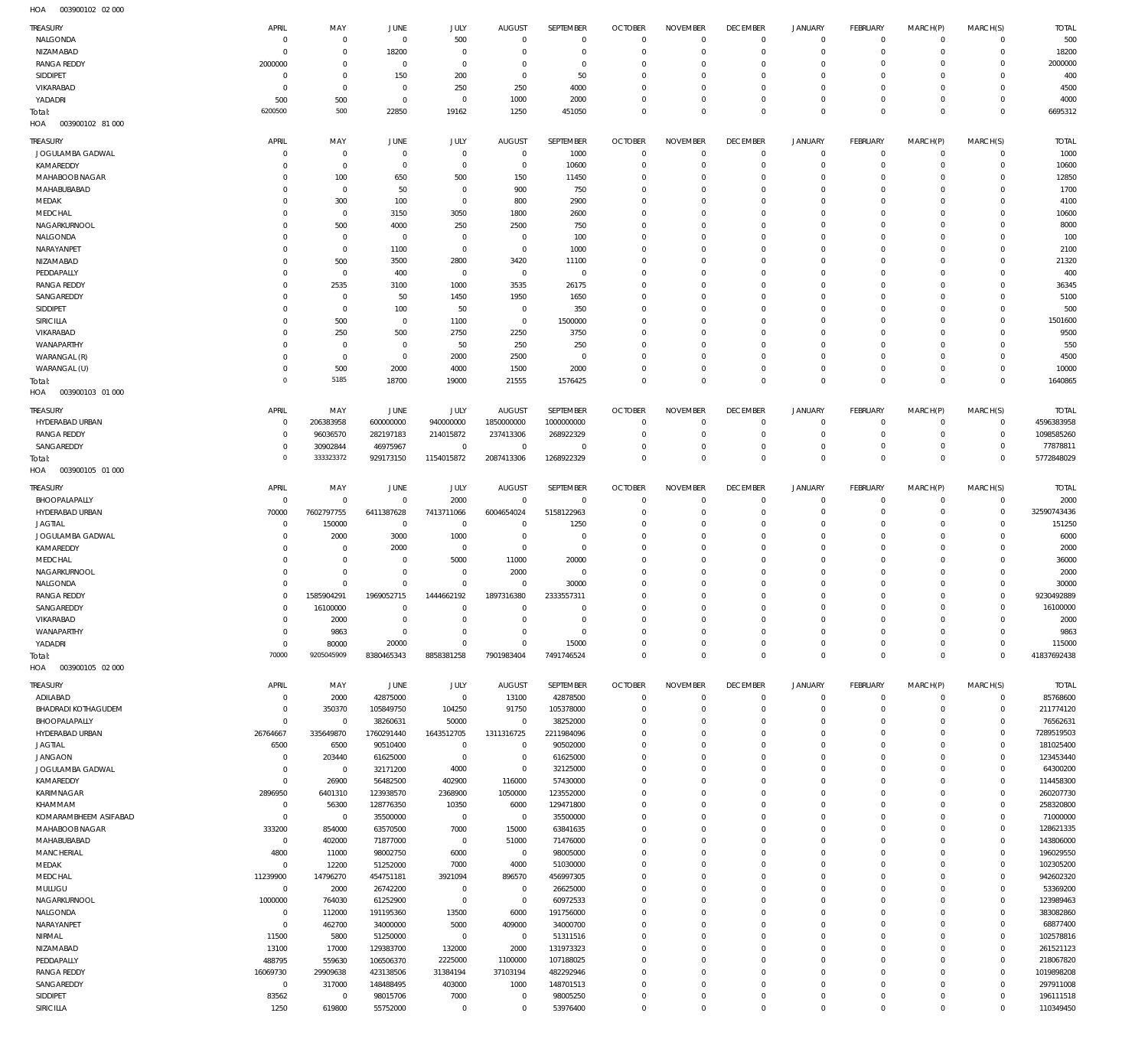003900102 02 000 HOA

| TREASURY                          | APRIL                      | MAY                              | JUNE                       | JULY                         | <b>AUGUST</b>              | SEPTEMBER                      | <b>OCTOBER</b>             | <b>NOVEMBER</b>                  | <b>DECEMBER</b>               | <b>JANUARY</b>             | <b>FEBRUARY</b>      | MARCH(P)                   | MARCH(S)                | <b>TOTAL</b>            |
|-----------------------------------|----------------------------|----------------------------------|----------------------------|------------------------------|----------------------------|--------------------------------|----------------------------|----------------------------------|-------------------------------|----------------------------|----------------------|----------------------------|-------------------------|-------------------------|
| NALGONDA                          | $\mathbf 0$                | $\overline{0}$                   | $\mathbf 0$                | 500                          | $\mathbf 0$                | $\overline{0}$                 | $\Omega$                   | $^{\circ}$                       | $^{\circ}$                    | $\mathbf 0$                | $\Omega$             | $\mathbf 0$                | $\mathbf 0$             | 500                     |
| NIZAMABAD                         | $\mathbf 0$                | $\overline{0}$                   | 18200                      | $\overline{0}$               | $\mathbf 0$                | $\overline{0}$                 | $\mathbf 0$                | $\overline{0}$                   | $^{\circ}$                    | $\mathbf 0$                | $\Omega$             | $\mathbf 0$                | $\mathbf 0$             | 18200                   |
| <b>RANGA REDDY</b>                | 2000000                    | $\overline{0}$                   | $\mathbf 0$                | $^{\circ}$                   | $\mathbf 0$                | $\overline{0}$                 | $\Omega$                   | $^{\circ}$                       | $\mathbf 0$                   | $\mathbf 0$                | $\Omega$             | $\Omega$                   | $\Omega$                | 2000000                 |
| <b>SIDDIPET</b><br>VIKARABAD      | $\mathbf 0$<br>$\mathbf 0$ | $^{\circ}$<br>$\overline{0}$     | 150<br>$\mathbf 0$         | 200<br>250                   | $\mathbf 0$<br>250         | 50<br>4000                     | $\mathbf 0$<br>$\Omega$    | $^{\circ}$<br>$^{\circ}$         | $\mathbf 0$<br>$\mathbf 0$    | $\Omega$<br>$\mathbf 0$    | $\Omega$             | $\Omega$<br>$\Omega$       | $\Omega$<br>$\Omega$    | 400<br>4500             |
| YADADRI                           | 500                        | 500                              | $\mathbf 0$                | $\overline{0}$               | 1000                       | 2000                           | $\mathbf 0$                | $\overline{0}$                   | $\mathbf 0$                   | $\Omega$                   | $\Omega$             | $\mathbf 0$                | $\mathbf 0$             | 4000                    |
| Total:                            | 6200500                    | 500                              | 22850                      | 19162                        | 1250                       | 451050                         | $\mathbf 0$                | $\mathbb O$                      | $\mathbf 0$                   | $\mathbf{0}$               | $\Omega$             | $\Omega$                   | $\Omega$                | 6695312                 |
| 003900102 81 000<br>HOA           |                            |                                  |                            |                              |                            |                                |                            |                                  |                               |                            |                      |                            |                         |                         |
| TREASURY                          | APRIL                      | MAY                              | <b>JUNE</b>                | JULY                         | <b>AUGUST</b>              | SEPTEMBER                      | <b>OCTOBER</b>             | <b>NOVEMBER</b>                  | <b>DECEMBER</b>               | <b>JANUARY</b>             | <b>FEBRUARY</b>      | MARCH(P)                   | MARCH(S)                | <b>TOTAL</b>            |
| JOGULAMBA GADWAL                  | $\mathbf 0$                | $\overline{0}$                   | $\mathbf 0$                | $^{\circ}$                   | $^{\circ}$                 | 1000                           | $\mathbf 0$                | $^{\circ}$                       | $\overline{0}$                | $\mathbf 0$                | $\Omega$             | $\mathbf 0$                | $\mathbf 0$             | 1000                    |
| KAMAREDDY                         | $\mathbf 0$                | $\overline{0}$                   | $\mathbf 0$                | $^{\circ}$                   | $\mathbf 0$                | 10600                          | $\mathbf 0$                | $^{\circ}$                       | $^{\circ}$                    | $\mathbf 0$                | $\Omega$             | $\Omega$                   | $\mathbf 0$             | 10600                   |
| MAHABOOB NAGAR<br>MAHABUBABAD     | $\Omega$                   | 100<br>$\overline{0}$            | 650                        | 500                          | 150                        | 11450                          | $\Omega$<br>$\Omega$       | $^{\circ}$                       | $\mathbf 0$                   | $\Omega$<br>$\Omega$       |                      | $\Omega$<br>$\Omega$       | $\Omega$                | 12850                   |
| MEDAK                             | 0<br>$\Omega$              | 300                              | 50<br>100                  | $^{\circ}$<br>$^{\circ}$     | 900<br>800                 | 750<br>2900                    | $\Omega$                   | $^{\circ}$<br>$^{\circ}$         | $\mathbf 0$<br>$\mathbf 0$    | $\Omega$                   |                      | $\Omega$                   | $\Omega$<br>$\Omega$    | 1700<br>4100            |
| MEDCHAL                           | O                          | $\overline{0}$                   | 3150                       | 3050                         | 1800                       | 2600                           | $\Omega$                   | $^{\circ}$                       | $\Omega$                      | $\Omega$                   |                      | $\Omega$                   | $\Omega$                | 10600                   |
| NAGARKURNOOL                      | O                          | 500                              | 4000                       | 250                          | 2500                       | 750                            | $\Omega$                   | $\mathbf 0$                      | $\mathbf 0$                   | $\Omega$                   |                      | $\Omega$                   | $\Omega$                | 8000                    |
| NALGONDA                          | O                          | $\overline{0}$                   | $\mathbf 0$                | $^{\circ}$                   | $^{\circ}$                 | 100                            | $\Omega$                   | $\Omega$                         | $\Omega$                      | $\Omega$                   |                      | $\Omega$                   | $\Omega$                | 100                     |
| NARAYANPET<br>NIZAMABAD           | $\Omega$<br>$\Omega$       | $\overline{0}$<br>500            | 1100<br>3500               | $^{\circ}$                   | $\mathbf 0$                | 1000                           | $\Omega$<br>$\Omega$       | $\mathbf 0$<br>$^{\circ}$        | 0<br>$\Omega$                 | $\Omega$<br>$\Omega$       |                      | $\Omega$<br>$\Omega$       | $\Omega$<br>$\Omega$    | 2100                    |
| PEDDAPALLY                        | 0                          | $\overline{0}$                   | 400                        | 2800<br>$^{\circ}$           | 3420<br>$^{\circ}$         | 11100<br>$\overline{0}$        | 0                          | $^{\circ}$                       | 0                             | $\Omega$                   |                      | $\Omega$                   | $\Omega$                | 21320<br>400            |
| <b>RANGA REDDY</b>                | $\Omega$                   | 2535                             | 3100                       | 1000                         | 3535                       | 26175                          | $\Omega$                   | $\Omega$                         | $\Omega$                      | $\Omega$                   |                      | $\Omega$                   | $\Omega$                | 36345                   |
| SANGAREDDY                        | 0                          | $^{\circ}$                       | 50                         | 1450                         | 1950                       | 1650                           | 0                          | $^{\circ}$                       | $\mathbf 0$                   | $\Omega$                   |                      | $\Omega$                   | $\Omega$                | 5100                    |
| <b>SIDDIPET</b>                   | O                          | $\overline{0}$                   | 100                        | 50                           | $^{\circ}$                 | 350                            | $\Omega$                   | $^{\circ}$                       | $\Omega$                      | $\Omega$                   |                      | $\Omega$                   | $\Omega$                | 500                     |
| <b>SIRICILLA</b>                  | $\Omega$                   | 500                              | $^{\circ}$                 | 1100                         | $\mathbf{0}$               | 1500000                        | $\Omega$                   | $^{\circ}$                       | $^{\circ}$                    | $\Omega$                   |                      | $\Omega$                   | $\Omega$                | 1501600                 |
| VIKARABAD<br>WANAPARTHY           | O<br>0                     | 250<br>$^{\circ}$                | 500<br>$\mathbf 0$         | 2750<br>50                   | 2250<br>250                | 3750<br>250                    | $\Omega$<br>$\Omega$       | $\Omega$<br>$^{\circ}$           | $\Omega$<br>$^{\circ}$        | $\Omega$<br>$\Omega$       |                      | $\Omega$<br>$\Omega$       | $\Omega$<br>$\Omega$    | 9500<br>550             |
| WARANGAL (R)                      | 0                          | $\overline{0}$                   | $\mathbf 0$                | 2000                         | 2500                       | $\overline{0}$                 | $\Omega$                   | $^{\circ}$                       | $^{\circ}$                    | $\Omega$                   |                      | $\Omega$                   | $\Omega$                | 4500                    |
| WARANGAL (U)                      | $\mathbf 0$                | 500                              | 2000                       | 4000                         | 1500                       | 2000                           | $\Omega$                   | $^{\circ}$                       | $^{\circ}$                    | $\Omega$                   |                      | $\Omega$                   | $\Omega$                | 10000                   |
| Total:                            | $\mathbf 0$                | 5185                             | 18700                      | 19000                        | 21555                      | 1576425                        | $\Omega$                   | $\overline{0}$                   | $^{\circ}$                    | $\mathbf 0$                | $\Omega$             | $\Omega$                   | $^{\circ}$              | 1640865                 |
| 003900103 01 000<br>HOA           |                            |                                  |                            |                              |                            |                                |                            |                                  |                               |                            |                      |                            |                         |                         |
| <b>TREASURY</b>                   | APRIL                      | MAY                              | <b>JUNE</b>                | JULY                         | <b>AUGUST</b>              | SEPTEMBER                      | <b>OCTOBER</b>             | <b>NOVEMBER</b>                  | <b>DECEMBER</b>               | <b>JANUARY</b>             | <b>FEBRUARY</b>      | MARCH(P)                   | MARCH(S)                | <b>TOTAL</b>            |
| HYDERABAD URBAN                   | $\mathbf 0$                | 206383958                        | 600000000                  | 940000000                    | 1850000000                 | 1000000000                     | $\Omega$                   | $^{\circ}$                       | $^{\circ}$                    | $\mathbf 0$                | $\Omega$             | $\Omega$                   | $\mathbf 0$             | 4596383958              |
| <b>RANGA REDDY</b>                | $\mathbf 0$                | 96036570                         | 282197183                  | 214015872                    | 237413306                  | 268922329                      | $^{\circ}$                 | $^{\circ}$                       | $^{\circ}$                    | $\mathbf 0$                | $\Omega$             | $\mathbf 0$                | $\mathbf 0$             | 1098585260              |
| SANGAREDDY<br>Total:              | $\mathbf 0$<br>$\mathbf 0$ | 30902844<br>333323372            | 46975967<br>929173150      | $\overline{0}$<br>1154015872 | $^{\circ}$<br>2087413306   | $^{\circ}$<br>1268922329       | $\Omega$<br>$\mathbf 0$    | $^{\circ}$<br>$\overline{0}$     | $^{\circ}$<br>$\overline{0}$  | $\mathbf 0$<br>$\mathbf 0$ | $\Omega$<br>$\Omega$ | $\mathbf 0$<br>$\mathbf 0$ | $\Omega$<br>$\mathbf 0$ | 77878811<br>5772848029  |
| 003900105 01 000<br>HOA           |                            |                                  |                            |                              |                            |                                |                            |                                  |                               |                            |                      |                            |                         |                         |
| TREASURY                          | APRIL                      | MAY                              | JUNE                       | JULY                         | <b>AUGUST</b>              | SEPTEMBER                      | <b>OCTOBER</b>             | <b>NOVEMBER</b>                  | <b>DECEMBER</b>               | <b>JANUARY</b>             | <b>FEBRUARY</b>      | MARCH(P)                   | MARCH(S)                | <b>TOTAL</b>            |
| BHOOPALAPALLY                     | $\mathbf 0$                | $\overline{0}$                   | $\mathbf 0$                | 2000                         | $\mathbf{0}$               | $\overline{0}$                 | $\Omega$                   | $^{\circ}$                       | $^{\circ}$                    | $\Omega$                   | $\Omega$             | $\Omega$                   | $\mathbf 0$             | 2000                    |
| HYDERABAD URBAN                   | 70000                      | 7602797755                       | 6411387628                 | 7413711066                   | 6004654024                 | 5158122963                     | $\Omega$                   | $^{\circ}$                       | $^{\circ}$                    | $\mathbf 0$                | $\Omega$             | $\mathbf 0$                | $\mathbf 0$             | 32590743436             |
| <b>JAGTIAL</b>                    | $\mathbf 0$                | 150000                           | $\mathbf 0$                | $^{\circ}$                   | $\mathbf 0$                | 1250                           | $\Omega$                   | $^{\circ}$                       | $^{\circ}$                    | $\Omega$                   |                      | $\Omega$                   | $\Omega$                | 151250                  |
| JOGULAMBA GADWAL                  | $\mathbf 0$                | 2000                             | 3000                       | 1000                         | $\mathbf 0$                | $^{\circ}$                     | $\Omega$                   | $^{\circ}$                       | $^{\circ}$                    | $\Omega$                   |                      | $\Omega$                   | $\Omega$                | 6000                    |
| KAMAREDDY                         | 0                          | $\overline{0}$<br>$\overline{0}$ | 2000                       | $^{\circ}$                   | $\mathbf 0$                | $\overline{0}$                 | $\Omega$<br>$\Omega$       | $^{\circ}$                       | $^{\circ}$                    | $\Omega$<br>$\Omega$       |                      | $\Omega$<br>$\Omega$       | $\Omega$                | 2000                    |
| MEDCHAL<br>NAGARKURNOOL           | 0<br>$\mathbf 0$           | $\overline{0}$                   | $\mathbf 0$<br>$\mathbf 0$ | 5000<br>$^{\circ}$           | 11000<br>2000              | 20000<br>$^{\circ}$            | $\Omega$                   | $^{\circ}$<br>$^{\circ}$         | $^{\circ}$<br>$\Omega$        | $\Omega$                   |                      | $\Omega$                   | $\Omega$<br>$\Omega$    | 36000<br>2000           |
| NALGONDA                          | $\Omega$                   | $\Omega$                         | $\Omega$                   | $\Omega$                     | $\mathbf 0$                | 30000                          | $\Omega$                   | $^{\circ}$                       | $\Omega$                      | $\Omega$                   |                      | $\Omega$                   | $\Omega$                | 30000                   |
| <b>RANGA REDDY</b>                | $\mathbf 0$                | 1585904291                       | 1969052715                 | 1444662192                   | 1897316380                 | 2333557311                     | $\Omega$                   | $^{\circ}$                       | $\Omega$                      | $\Omega$                   |                      | $\Omega$                   | $\Omega$                | 9230492889              |
| SANGAREDDY                        | $\Omega$                   | 16100000                         | $\Omega$                   | $\Omega$                     | $\Omega$                   | $\Omega$                       | $\Omega$                   | $\Omega$                         | $\Omega$                      | $\Omega$                   |                      | $\Omega$                   | $\Omega$                | 16100000                |
| VIKARABAD<br>WANAPARTHY           | $\mathbf 0$<br>$\mathbf 0$ | 2000<br>9863                     | $\mathbf 0$<br>$\mathbf 0$ | $\mathbf 0$<br>$\mathbf 0$   | $\mathbf 0$<br>$\mathbf 0$ | $\mathbf{0}$<br>$\overline{0}$ | $\mathbf 0$<br>$\mathbf 0$ | $^{\circ}$<br>$\mathbf 0$        | $\overline{0}$<br>$\mathbf 0$ | $\mathbf 0$<br>$\mathbf 0$ | $\Omega$<br>$\Omega$ | $\Omega$<br>$\Omega$       | $\Omega$<br>$\Omega$    | 2000<br>9863            |
| YADADRI                           | $\mathbf 0$                | 80000                            | 20000                      | $\overline{0}$               | $\Omega$                   | 15000                          | $\mathbf 0$                | $\mathbf 0$                      | $\overline{0}$                | $\mathbf 0$                | $\Omega$             | $\Omega$                   | $\mathbf 0$             | 115000                  |
| Total:                            | 70000                      | 9205045909                       | 8380465343                 | 8858381258                   | 7901983404                 | 7491746524                     | $\mathbf 0$                | $\mathbb O$                      | $\mathbf 0$                   | $\mathbf{0}$               | $\Omega$             | $\Omega$                   | $\Omega$                | 41837692438             |
| 003900105 02 000<br>HOA           |                            |                                  |                            |                              |                            |                                |                            |                                  |                               |                            |                      |                            |                         |                         |
| <b>TREASURY</b>                   | APRIL                      | MAY                              | <b>JUNE</b>                | JULY                         | <b>AUGUST</b>              | SEPTEMBER                      | <b>OCTOBER</b>             | <b>NOVEMBER</b>                  | <b>DECEMBER</b>               | JANUARY                    | <b>FEBRUARY</b>      | MARCH(P)                   | MARCH(S)                | <b>TOTAL</b>            |
| ADILABAD                          | $\mathbf 0$                | 2000                             | 42875000                   | $\overline{0}$               | 13100                      | 42878500                       | $\overline{0}$             | $\overline{0}$                   | $\mathbf 0$                   | $\mathbf 0$                | $\mathbf 0$          | $\circ$                    | $\mathbf 0$             | 85768600                |
| <b>BHADRADI KOTHAGUDEM</b>        | $\mathbf 0$                | 350370                           | 105849750                  | 104250                       | 91750                      | 105378000                      | $\mathbf 0$                | $\overline{0}$                   | $\overline{0}$                | $\mathbf 0$                | $\Omega$             | $\mathbf 0$                | $\mathbf 0$             | 211774120               |
| BHOOPALAPALLY                     | $\mathbf 0$                | $\overline{0}$                   | 38260631                   | 50000                        | $\mathbf{0}$               | 38252000                       | $\mathbf 0$                | $\overline{0}$                   | $\mathbf 0$                   | $\mathbf 0$                | $\Omega$             | $\Omega$                   | $\Omega$                | 76562631                |
| HYDERABAD URBAN<br><b>JAGTIAL</b> | 26764667<br>6500           | 335649870<br>6500                | 1760291440<br>90510400     | 1643512705<br>$\overline{0}$ | 1311316725<br>$\mathbf 0$  | 2211984096<br>90502000         | $\mathbf 0$<br>$\mathbf 0$ | $\overline{0}$<br>$\overline{0}$ | $\overline{0}$<br>$\mathbf 0$ | $\mathbf 0$<br>$\Omega$    | $\Omega$<br>$\Omega$ | $\mathbf 0$<br>$\Omega$    | $\mathbf 0$<br>$\Omega$ | 7289519503<br>181025400 |
| <b>JANGAON</b>                    | $\mathbf 0$                | 203440                           | 61625000                   | $\overline{0}$               | $\mathbf 0$                | 61625000                       | $\mathbf 0$                | $\overline{0}$                   | $^{\circ}$                    | $\mathbf 0$                | $\Omega$             | $\Omega$                   | $\mathbf 0$             | 123453440               |
| JOGULAMBA GADWAL                  | $\mathbf 0$                | $\overline{0}$                   | 32171200                   | 4000                         | $\mathbf 0$                | 32125000                       | $\mathbf 0$                | $\overline{0}$                   | $^{\circ}$                    | $\Omega$                   | $\Omega$             | $\Omega$                   | $\Omega$                | 64300200                |
| KAMAREDDY                         | $\mathbf 0$                | 26900                            | 56482500                   | 402900                       | 116000                     | 57430000                       | $\Omega$                   | $\mathbf 0$                      | $^{\circ}$                    | $\mathbf 0$                | $\Omega$             | $\Omega$                   | $\mathbf 0$             | 114458300               |
| KARIMNAGAR                        | 2896950                    | 6401310                          | 123938570                  | 2368900                      | 1050000                    | 123552000                      | $\mathbf 0$                | $\overline{0}$                   | $^{\circ}$                    | $\mathbf 0$                | $\Omega$             | $\Omega$                   | $\Omega$                | 260207730               |
| KHAMMAM<br>KOMARAMBHEEM ASIFABAD  | $\mathbf 0$<br>$\mathbf 0$ | 56300<br>$\overline{0}$          | 128776350<br>35500000      | 10350<br>$\overline{0}$      | 6000<br>$\overline{0}$     | 129471800<br>35500000          | $\Omega$<br>$\mathbf 0$    | $\mathbf 0$<br>$\overline{0}$    | $^{\circ}$<br>$^{\circ}$      | $\Omega$<br>$\mathbf 0$    | $\Omega$<br>$\Omega$ | $\Omega$<br>$\Omega$       | $\mathbf 0$<br>$\Omega$ | 258320800<br>71000000   |
| MAHABOOB NAGAR                    | 333200                     | 854000                           | 63570500                   | 7000                         | 15000                      | 63841635                       | $\Omega$                   | $\overline{0}$                   | $^{\circ}$                    | $\Omega$                   | $\Omega$             | $\Omega$                   | $\mathbf 0$             | 128621335               |
| MAHABUBABAD                       | $\mathbf 0$                | 402000                           | 71877000                   | $\overline{0}$               | 51000                      | 71476000                       | $\mathbf 0$                | $\overline{0}$                   | $^{\circ}$                    | $\mathbf 0$                | $\Omega$             | $\mathbf 0$                | $\mathbf 0$             | 143806000               |
| MANCHERIAL                        | 4800                       | 11000                            | 98002750                   | 6000                         | $\overline{0}$             | 98005000                       | $\Omega$                   | $\overline{0}$                   | $^{\circ}$                    | $\mathbf 0$                | $\Omega$             | $\Omega$                   | $\mathbf 0$             | 196029550               |
| MEDAK                             | $\mathbf 0$                | 12200                            | 51252000                   | 7000                         | 4000                       | 51030000                       | $\mathbf 0$                | $\overline{0}$                   | $^{\circ}$                    | $\mathbf 0$                | $\Omega$             | $\Omega$                   | $\mathbf 0$             | 102305200               |
| MEDCHAL<br>MULUGU                 | 11239900<br>$\mathbf 0$    | 14796270<br>2000                 | 454751181<br>26742200      | 3921094<br>$\overline{0}$    | 896570<br>$\overline{0}$   | 456997305<br>26625000          | 0<br>$\mathbf 0$           | $\overline{0}$<br>$\overline{0}$ | $^{\circ}$<br>$^{\circ}$      | $\mathbf 0$<br>$\Omega$    | $\Omega$             | $\Omega$<br>$\Omega$       | $\mathbf 0$<br>$\Omega$ | 942602320<br>53369200   |
| NAGARKURNOOL                      | 1000000                    | 764030                           | 61252900                   | $\overline{0}$               | $\overline{0}$             | 60972533                       | 0                          | $\overline{0}$                   | $^{\circ}$                    | $\mathbf 0$                | $\Omega$             | $\Omega$                   | $\mathbf 0$             | 123989463               |
| NALGONDA                          | $\mathbf 0$                | 112000                           | 191195360                  | 13500                        | 6000                       | 191756000                      | $\mathbf 0$                | $\overline{0}$                   | $^{\circ}$                    | $\Omega$                   | $\Omega$             | $\Omega$                   | $\Omega$                | 383082860               |
| NARAYANPET                        | $\mathbf 0$                | 462700                           | 34000000                   | 5000                         | 409000                     | 34000700                       | $\mathbf 0$                | $\overline{0}$                   | $^{\circ}$                    | $\mathbf 0$                | $\Omega$             | $\Omega$                   | $\mathbf 0$             | 68877400                |
| NIRMAL                            | 11500                      | 5800                             | 51250000                   | $\overline{0}$               | $\overline{0}$             | 51311516                       | $\mathbf 0$                | $\overline{0}$                   | $^{\circ}$                    | $\Omega$                   | $\Omega$             | $\Omega$                   | $\Omega$                | 102578816               |
| NIZAMABAD<br>PEDDAPALLY           | 13100<br>488795            | 17000<br>559630                  | 129383700<br>106506370     | 132000<br>2225000            | 2000<br>1100000            | 131973323<br>107188025         | $\mathbf 0$<br>$\mathbf 0$ | $\overline{0}$<br>$\overline{0}$ | $^{\circ}$<br>$^{\circ}$      | $\mathbf 0$<br>$\Omega$    | $\Omega$<br>$\Omega$ | $\mathbf 0$<br>$\Omega$    | $\mathbf 0$<br>$\Omega$ | 261521123<br>218067820  |
| <b>RANGA REDDY</b>                | 16069730                   | 29909638                         | 423138506                  | 31384194                     | 37103194                   | 482292946                      | $\mathbf 0$                | $\mathbf 0$                      | $\mathbf 0$                   | $\mathbf 0$                | $\Omega$             | $\Omega$                   | $\mathbf 0$             | 1019898208              |
| SANGAREDDY                        | $\mathbf 0$                | 317000                           | 148488495                  | 403000                       | 1000                       | 148701513                      | $\mathbf 0$                | $\overline{0}$                   | $^{\circ}$                    | $\mathbf 0$                | $\Omega$             | $\Omega$                   | $\Omega$                | 297911008               |
| SIDDIPET                          | 83562                      | $\overline{0}$                   | 98015706                   | 7000                         | $^{\circ}$                 | 98005250                       | $\mathbf 0$                | $\mathbf 0$                      | $\overline{0}$                | $\mathbf 0$                | $\Omega$             | $\mathbf 0$                | $\mathbf 0$             | 196111518               |
| SIRICILLA                         | 1250                       | 619800                           | 55752000                   | $\overline{0}$               | $\mathbf 0$                | 53976400                       | $\mathbf 0$                | $\mathbb O$                      | $\mathbb O$                   | $\mathbf 0$                | $\Omega$             | $\mathbf 0$                | $\mathbf 0$             | 110349450               |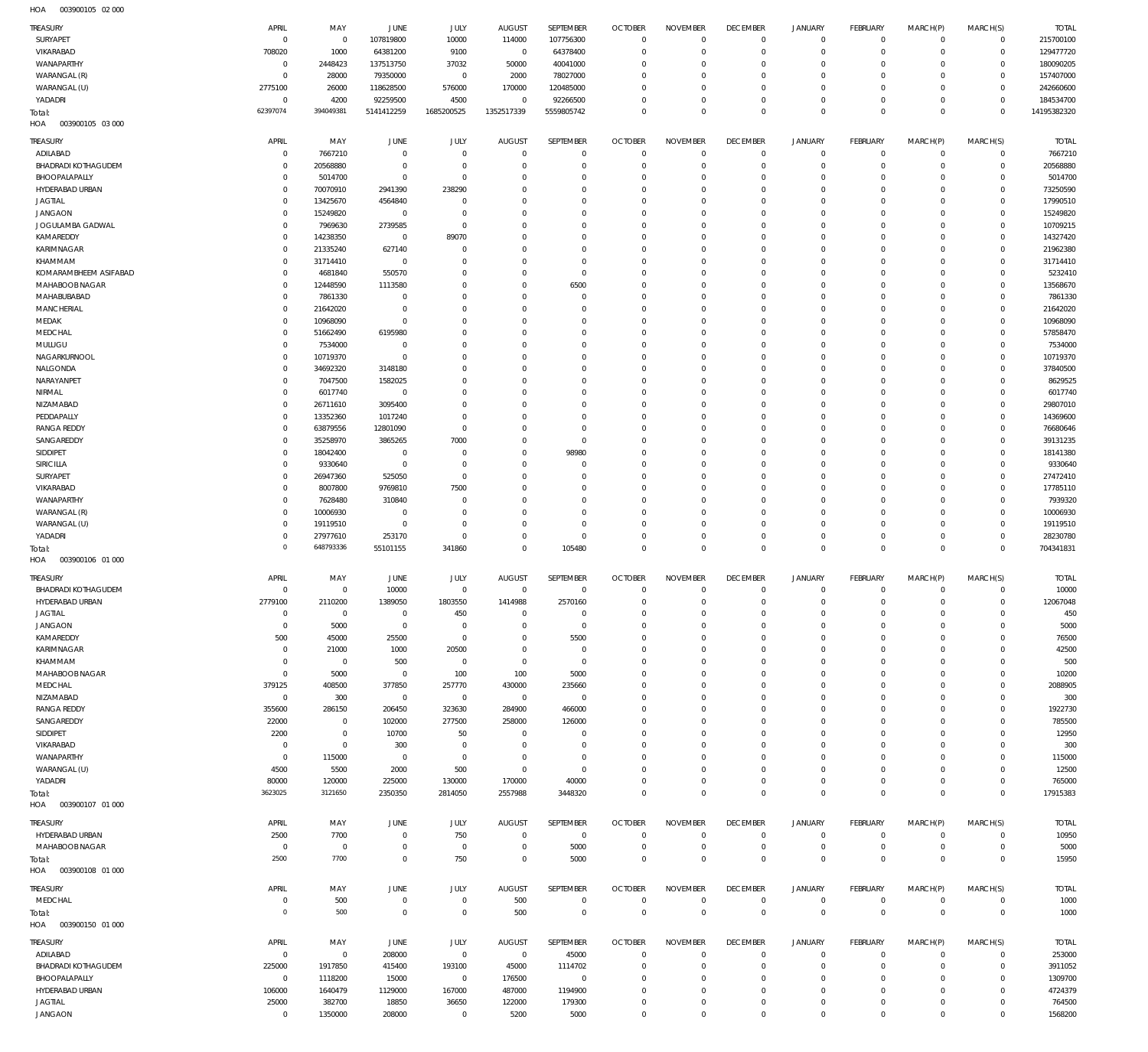003900105 02 000 HOA

| TREASURY<br>SURYAPET                          | APRIL                      | MAY                              | <b>JUNE</b>             | JULY                             | <b>AUGUST</b>                   | SEPTEMBER                        | <b>OCTOBER</b>               | <b>NOVEMBER</b>             | <b>DECEMBER</b>                | <b>JANUARY</b>                     | FEBRUARY                  | MARCH(P)                   | MARCH(S)                    | <b>TOTAL</b>           |
|-----------------------------------------------|----------------------------|----------------------------------|-------------------------|----------------------------------|---------------------------------|----------------------------------|------------------------------|-----------------------------|--------------------------------|------------------------------------|---------------------------|----------------------------|-----------------------------|------------------------|
|                                               | $\mathbf 0$                | $\overline{0}$                   | 107819800               | 10000                            | 114000                          | 107756300                        | $\Omega$                     | $\Omega$                    | $\overline{0}$                 | 0                                  | $\mathbf 0$               | $\mathbf 0$                | $\mathbf 0$                 | 215700100              |
| VIKARABAD                                     | 708020                     | 1000                             | 64381200                | 9100                             | $\,0\,$                         | 64378400                         | $\Omega$                     | $\Omega$                    | $\Omega$                       | $\mathsf{O}\xspace$                | $^{\circ}$                | $\mathbf 0$                | $\mathbf 0$                 | 129477720              |
| WANAPARTHY                                    | $\mathbf 0$                | 2448423                          | 137513750               | 37032                            | 50000                           | 40041000                         | $\Omega$                     | $\Omega$                    | $\Omega$                       | $\circ$                            | $\Omega$                  | $\mathbf 0$                | $\mathbf 0$                 | 180090205              |
| WARANGAL (R)                                  | $\mathbf 0$                | 28000                            | 79350000                | $\overline{0}$                   | 2000                            | 78027000                         | $\Omega$                     | $\Omega$                    | $\Omega$                       | $\mathbf 0$                        | O                         | $\Omega$                   | $\mathbf 0$                 | 157407000              |
| WARANGAL (U)<br>YADADRI                       | 2775100<br>$\mathbf 0$     | 26000<br>4200                    | 118628500<br>92259500   | 576000<br>4500                   | 170000<br>$\mathbf 0$           | 120485000<br>92266500            | $\Omega$<br>$\Omega$         | $\Omega$<br>$\Omega$        | $\Omega$<br>$\Omega$           | $\mathbf 0$<br>$\mathbf 0$         | $\Omega$<br>$\Omega$      | $\mathbf 0$<br>$\mathbf 0$ | $\mathbf 0$<br>$\mathbf 0$  | 242660600<br>184534700 |
| Total:                                        | 62397074                   | 394049381                        | 5141412259              | 1685200525                       | 1352517339                      | 5559805742                       | $\Omega$                     | $\Omega$                    | $\Omega$                       | $\mathbf 0$                        | $\Omega$                  | $\mathbf{0}$               | $\mathbf 0$                 | 14195382320            |
| HOA<br>003900105 03 000                       |                            |                                  |                         |                                  |                                 |                                  |                              |                             |                                |                                    |                           |                            |                             |                        |
| TREASURY                                      | APRIL                      | MAY                              | <b>JUNE</b>             | JULY                             | <b>AUGUST</b>                   | SEPTEMBER                        | <b>OCTOBER</b>               | <b>NOVEMBER</b>             | <b>DECEMBER</b>                | <b>JANUARY</b>                     | <b>FEBRUARY</b>           | MARCH(P)                   | MARCH(S)                    | <b>TOTAL</b>           |
| ADILABAD                                      | $\mathbf 0$                | 7667210                          | $\mathbf 0$             | $\overline{0}$                   | $\overline{0}$                  | $\overline{0}$                   | $\Omega$                     | $\Omega$                    | $\Omega$                       | $\mathsf{O}\xspace$                | $\mathbf 0$               | $\mathbf 0$                | 0                           | 7667210                |
| <b>BHADRADI KOTHAGUDEM</b>                    | $\mathbf 0$                | 20568880                         | $\mathbf 0$             | $\overline{0}$                   | $\mathbf 0$                     | $\overline{0}$                   | $\Omega$                     | $\Omega$                    | 0                              | $\mathsf{O}\xspace$                | O                         | $\mathbf 0$                | 0                           | 20568880               |
| BHOOPALAPALLY                                 | $\mathbf 0$                | 5014700                          | $\mathbf 0$             | $\overline{0}$                   | $\Omega$                        | $\overline{0}$                   | $\Omega$                     | $\Omega$                    | $\Omega$                       | $\mathbf 0$                        | -0                        | $\mathbf 0$                | $\mathbf 0$                 | 5014700                |
| HYDERABAD URBAN<br><b>JAGTIAL</b>             | $\mathbf 0$<br>$\mathbf 0$ | 70070910<br>13425670             | 2941390<br>4564840      | 238290<br>$\overline{0}$         | $\mathbf 0$<br>$\Omega$         | $\overline{0}$<br>$\overline{0}$ | $\Omega$<br>$\Omega$         | $\Omega$<br>$\Omega$        | $\Omega$<br>$\Omega$           | $\mathbf 0$<br>$\mathbf 0$         | O<br>O                    | $\mathbf 0$<br>$\mathbf 0$ | $\mathbf 0$<br>$\mathbf 0$  | 73250590<br>17990510   |
| <b>JANGAON</b>                                | $\mathbf 0$                | 15249820                         | 0                       | $\overline{0}$                   | $\mathbf 0$                     | $\overline{0}$                   | $\Omega$                     | $\Omega$                    | $\Omega$                       | $\mathbf 0$                        | O                         | $\mathbf 0$                | $\mathbf 0$                 | 15249820               |
| JOGULAMBA GADWAL                              | $\mathbf 0$                | 7969630                          | 2739585                 | $\overline{0}$                   | $\Omega$                        | $\overline{0}$                   | $\Omega$                     | $\Omega$                    | $\Omega$                       | $\mathbf 0$                        | O                         | $\mathbf 0$                | $\mathbf 0$                 | 10709215               |
| KAMAREDDY                                     | $\mathbf 0$                | 14238350                         | 0                       | 89070                            | $\mathbf 0$                     | $\overline{0}$                   | $\Omega$                     | $\Omega$                    | $\Omega$                       | $\mathbf 0$                        | O                         | $\mathbf 0$                | $\mathbf 0$                 | 14327420               |
| KARIMNAGAR<br>KHAMMAM                         | $\mathbf 0$<br>$\mathbf 0$ | 21335240                         | 627140                  | $\Omega$<br>$\Omega$             | $\Omega$<br>$\mathbf 0$         | $\overline{0}$<br>$\overline{0}$ | $\Omega$<br>$\Omega$         | $\Omega$<br>$\Omega$        | $\Omega$<br>$\Omega$           | $\mathbf 0$<br>$\mathbf 0$         | O<br>O                    | $\mathbf 0$<br>$\mathbf 0$ | $\mathbf 0$<br>$^{\circ}$   | 21962380               |
| KOMARAMBHEEM ASIFABAD                         | $\mathbf 0$                | 31714410<br>4681840              | $\mathbf 0$<br>550570   | $\Omega$                         | $\mathbf 0$                     | $\overline{0}$                   | $\Omega$                     | $\Omega$                    | $\Omega$                       | $\mathbf 0$                        | O                         | $\mathbf 0$                | $^{\circ}$                  | 31714410<br>5232410    |
| MAHABOOB NAGAR                                | $\mathbf 0$                | 12448590                         | 1113580                 | $\Omega$                         | $\mathbf 0$                     | 6500                             | $\Omega$                     | $\Omega$                    | $\Omega$                       | $\mathbf 0$                        | O                         | $\mathbf 0$                | $^{\circ}$                  | 13568670               |
| MAHABUBABAD                                   | $\mathbf 0$                | 7861330                          | $\mathbf 0$             | $\Omega$                         | $\Omega$                        | $^{\circ}$                       | $\Omega$                     | $\Omega$                    | $\Omega$                       | $\mathbf 0$                        | O                         | $\mathbf 0$                | $^{\circ}$                  | 7861330                |
| MANCHERIAL                                    | $\mathbf 0$                | 21642020                         | $\mathbf 0$             | $\Omega$                         | $\mathbf 0$                     | $\overline{0}$                   | $\Omega$                     | $\Omega$                    | $\Omega$                       | $\mathbf 0$                        | O                         | $\mathbf 0$                | $^{\circ}$                  | 21642020               |
| MEDAK<br>MEDCHAL                              | $\mathbf 0$<br>$\mathbf 0$ | 10968090<br>51662490             | $\mathbf 0$<br>6195980  | $\Omega$<br>$\Omega$             | $\Omega$<br>$\Omega$            | $\overline{0}$<br>$\overline{0}$ | $\Omega$<br>$\Omega$         | $\Omega$<br>$\Omega$        | $\Omega$<br>$\Omega$           | $\mathbf 0$<br>$\mathbf 0$         | O<br>O                    | $\mathbf 0$<br>$\mathbf 0$ | $^{\circ}$<br>$^{\circ}$    | 10968090<br>57858470   |
| MULUGU                                        | $\mathbf 0$                | 7534000                          | $\mathbf 0$             | $\Omega$                         | $\Omega$                        | $\overline{0}$                   | $\Omega$                     | $\Omega$                    | $\Omega$                       | $\mathbf 0$                        | O                         | $\mathbf 0$                | $\mathbf 0$                 | 7534000                |
| NAGARKURNOOL                                  | $\mathbf 0$                | 10719370                         | $\mathbf 0$             | $\Omega$                         | $\Omega$                        | $\overline{0}$                   | $\Omega$                     | $\Omega$                    | $\Omega$                       | $\mathbf 0$                        | O                         | $\mathbf 0$                | $\mathbf 0$                 | 10719370               |
| NALGONDA                                      | $\mathbf 0$                | 34692320                         | 3148180                 | $\Omega$                         | $\Omega$                        | $\overline{0}$                   | $\Omega$                     | $\Omega$                    | $\Omega$                       | $\mathbf 0$                        | -0                        | $\mathbf 0$                | $\mathbf 0$                 | 37840500               |
| NARAYANPET                                    | $\mathbf 0$                | 7047500                          | 1582025                 | $\Omega$                         | $\Omega$                        | $\overline{0}$                   | $\Omega$                     | $\Omega$                    | $\Omega$                       | $\mathbf 0$                        | O                         | $\mathbf 0$                | $\mathbf 0$                 | 8629525                |
| NIRMAL<br>NIZAMABAD                           | $\mathbf 0$<br>$\mathbf 0$ | 6017740<br>26711610              | $\mathbf{0}$<br>3095400 | $\Omega$<br>$\mathbf{0}$         | $\Omega$<br>$^{\circ}$          | $\overline{0}$<br>$\overline{0}$ | $\Omega$<br>$\Omega$         | $\Omega$<br>$\Omega$        | $\Omega$<br>$\Omega$           | $\mathbf 0$<br>$\mathbf 0$         | O<br>O                    | $\mathbf 0$<br>$\mathbf 0$ | $\mathbf 0$<br>$\mathbf 0$  | 6017740<br>29807010    |
| PEDDAPALLY                                    | $\mathbf 0$                | 13352360                         | 1017240                 | $\Omega$                         | $\Omega$                        | $\overline{0}$                   | $\Omega$                     | $\Omega$                    | $\Omega$                       | $\mathbf 0$                        | O                         | $\mathbf 0$                | $\mathbf 0$                 | 14369600               |
| <b>RANGA REDDY</b>                            | $\mathbf 0$                | 63879556                         | 12801090                | $\overline{0}$                   | $^{\circ}$                      | $\overline{0}$                   | $\Omega$                     | $\Omega$                    | $\Omega$                       | $\mathbf 0$                        | O                         | $\mathbf 0$                | $\mathbf 0$                 | 76680646               |
| SANGAREDDY                                    | $\mathbf 0$                | 35258970                         | 3865265                 | 7000                             | $\mathbf 0$                     | $\mathbf 0$                      | $\Omega$                     | $\Omega$                    | $\Omega$                       | $\mathbf 0$                        | O                         | $\mathbf 0$                | $\mathbf 0$                 | 39131235               |
| SIDDIPET                                      | $\mathbf 0$                | 18042400                         | $\mathbf 0$             | $\overline{0}$                   | $\mathbf 0$                     | 98980                            | $\Omega$                     | $\Omega$                    | $\Omega$                       | $\mathbf 0$                        | O                         | $\mathbf 0$                | $\mathbf 0$                 | 18141380               |
| SIRICILLA<br>SURYAPET                         | $\mathbf 0$<br>$\mathbf 0$ | 9330640<br>26947360              | $\mathbf 0$<br>525050   | $\overline{0}$<br>$\overline{0}$ | $\Omega$<br>$\mathbf 0$         | $^{\circ}$<br>$\overline{0}$     | $\Omega$<br>$\Omega$         | $\Omega$<br>$\Omega$        | $\Omega$<br>$\Omega$           | $\mathbf 0$<br>$\mathbf 0$         | O<br>O                    | $\mathbf 0$<br>$\mathbf 0$ | $\mathbf 0$<br>$\mathbf 0$  | 9330640<br>27472410    |
| VIKARABAD                                     | $\mathbf 0$                | 8007800                          | 9769810                 | 7500                             | $\Omega$                        | $\overline{0}$                   | $\Omega$                     | $\Omega$                    | $\Omega$                       | $\mathbf 0$                        | O                         | $\mathbf 0$                | $\mathbf 0$                 | 17785110               |
| WANAPARTHY                                    | $\mathbf 0$                | 7628480                          | 310840                  | $^{\circ}$                       | $\mathbf 0$                     | $\overline{0}$                   | $\Omega$                     | $\Omega$                    | $\Omega$                       | $\mathbf 0$                        | O                         | $\mathbf 0$                | $\mathbf 0$                 | 7939320                |
| WARANGAL (R)                                  | $\mathbf 0$                | 10006930                         | $\mathbf 0$             | $\Omega$                         | $\Omega$                        | $\overline{0}$                   | $\Omega$                     | $\Omega$                    | $\Omega$                       | $\mathbf 0$                        | O                         | $\mathbf 0$                | $\mathbf 0$                 | 10006930               |
| WARANGAL (U)                                  | $\mathbf 0$                | 19119510                         | $\mathbf 0$             | $\overline{0}$                   | $\mathbf 0$                     | $\overline{0}$                   | $\Omega$                     | $\Omega$                    | $\Omega$                       | $\mathbf 0$                        | -0                        | $\mathbf 0$                | $\mathbf 0$                 | 19119510               |
| YADADRI                                       | $\mathbf 0$<br>$\mathbf 0$ | 27977610<br>648793336            | 253170<br>55101155      | $\overline{0}$<br>341860         | $\Omega$<br>$\Omega$            | $\overline{0}$<br>105480         | $\Omega$<br>$\Omega$         | $\Omega$<br>$\Omega$        | $\Omega$<br>$\overline{0}$     | $\mathsf{O}\xspace$<br>$\mathbb O$ | $\mathbf 0$<br>$\Omega$   | $\mathbf 0$<br>$\mathbf 0$ | $\mathbf 0$<br>$\mathbf 0$  | 28230780<br>704341831  |
| Total:                                        |                            |                                  |                         |                                  |                                 |                                  |                              |                             |                                |                                    |                           |                            |                             |                        |
|                                               |                            |                                  |                         |                                  |                                 |                                  |                              |                             |                                |                                    |                           |                            |                             |                        |
| HOA<br>003900106 01 000                       |                            |                                  |                         |                                  |                                 |                                  |                              |                             |                                |                                    |                           |                            |                             |                        |
| TREASURY                                      | APRIL<br>$\mathbf 0$       | MAY<br>$\overline{0}$            | JUNE                    | JULY<br>$^{\circ}$               | <b>AUGUST</b><br>$\overline{0}$ | SEPTEMBER<br>$^{\circ}$          | <b>OCTOBER</b><br>$\Omega$   | <b>NOVEMBER</b><br>$\Omega$ | <b>DECEMBER</b><br>$\mathbf 0$ | <b>JANUARY</b><br>$\circ$          | FEBRUARY<br>0             | MARCH(P)<br>0              | MARCH(S)<br>$\mathbf 0$     | <b>TOTAL</b>           |
| <b>BHADRADI KOTHAGUDEM</b><br>HYDERABAD URBAN | 2779100                    | 2110200                          | 10000<br>1389050        | 1803550                          | 1414988                         | 2570160                          | $\Omega$                     | $\Omega$                    | $\overline{0}$                 | $\mathbf 0$                        | $\Omega$                  | $\mathbf 0$                | $\mathbf 0$                 | 10000<br>12067048      |
| <b>JAGTIAL</b>                                | $\mathbf 0$                | $\overline{0}$                   | $\bf 0$                 | 450                              | $\mathbf 0$                     | $\overline{0}$                   | $^{\circ}$                   | $\Omega$                    | $\mathbf{0}$                   | 0                                  | $\mathbf 0$               | $\mathbf 0$                | $\mathbf 0$                 | 450                    |
| <b>JANGAON</b>                                | $\mathbf 0$                | 5000                             | $\mathbf 0$             | $\overline{0}$                   | $\mathbf 0$                     | $\mathbf 0$                      | $\Omega$                     | $\Omega$                    | $\Omega$                       | $\mathbf 0$                        | $\circ$                   | $\mathbf 0$                | $\mathbf 0$                 | 5000                   |
| KAMAREDDY                                     | 500                        | 45000                            | 25500                   | $\overline{0}$                   | $\mathbf 0$                     | 5500                             | $\Omega$<br>$\Omega$         | $\Omega$<br>$\Omega$        | $\Omega$<br>$\Omega$           | $\circ$                            | 0<br>$\Omega$             | $\mathbf 0$<br>$\Omega$    | $\mathbf 0$                 | 76500                  |
| KARIMNAGAR<br>KHAMMAM                         | $\mathbf 0$<br>$\mathbf 0$ | 21000<br>$\overline{0}$          | 1000<br>500             | 20500<br>$\overline{0}$          | $\mathbf 0$<br>$\overline{0}$   | $^{\circ}$<br>$\overline{0}$     | $\Omega$                     | $\Omega$                    | $\Omega$                       | $\circ$<br>$\circ$                 | $\Omega$                  | $\mathbf 0$                | $\mathbf 0$<br>$\mathbf 0$  | 42500<br>500           |
| MAHABOOB NAGAR                                | $\mathbf 0$                | 5000                             | $\mathbf 0$             | 100                              | 100                             | 5000                             | $\Omega$                     | $\Omega$                    | $\Omega$                       | $\circ$                            | $\Omega$                  | $\Omega$                   | $\mathbf 0$                 | 10200                  |
| MEDCHAL                                       | 379125                     | 408500                           | 377850                  | 257770                           | 430000                          | 235660                           | $\Omega$                     | $\Omega$                    | $\Omega$                       | $\circ$                            | 0                         | $\mathbf 0$                | $\mathbf 0$                 | 2088905                |
| NIZAMABAD                                     | $\mathbf 0$                | 300                              | $\mathbf 0$             | $\overline{0}$                   | $\,0\,$                         | $\overline{0}$                   | $\Omega$                     | $\Omega$                    | $\Omega$                       | $\mathbf 0$                        | O                         | $\Omega$                   | $\mathbf 0$                 | 300                    |
| RANGA REDDY                                   | 355600                     | 286150                           | 206450                  | 323630                           | 284900                          | 466000                           | $\Omega$<br>$\Omega$         | $\Omega$<br>$\Omega$        | $\Omega$<br>$\Omega$           | $\circ$                            | 0<br>C                    | $\mathbf 0$<br>$\Omega$    | $\mathbf 0$                 | 1922730                |
| SANGAREDDY<br>SIDDIPET                        | 22000<br>2200              | $\overline{0}$<br>$\overline{0}$ | 102000<br>10700         | 277500<br>50                     | 258000<br>$\overline{0}$        | 126000<br>$^{\circ}$             | $\Omega$                     | $\Omega$                    | $\Omega$                       | $\mathbf 0$<br>$\circ$             | $\Omega$                  | $\mathbf 0$                | $\mathbf 0$<br>$\mathbf 0$  | 785500<br>12950        |
| VIKARABAD                                     | $\mathbf 0$                | $\overline{0}$                   | 300                     | $\overline{0}$                   | $\mathbf 0$                     | $^{\circ}$                       | $\Omega$                     | $\Omega$                    | $\Omega$                       | $\mathbf 0$                        | C                         | $\Omega$                   | $\mathbf 0$                 | 300                    |
| WANAPARTHY                                    | $\mathbf 0$                | 115000                           | $\mathbf 0$             | $\overline{0}$                   | $\overline{0}$                  | $^{\circ}$                       | $\Omega$                     | $\Omega$                    | $\Omega$                       | $\circ$                            | $\Omega$                  | $\mathbf 0$                | $\mathbf 0$                 | 115000                 |
| WARANGAL (U)                                  | 4500                       | 5500                             | 2000                    | 500                              | $\mathbf 0$                     | $\overline{0}$                   | $\Omega$                     | $\Omega$                    | $\Omega$                       | $\circ$                            | $\Omega$                  | $\Omega$                   | $\mathbf 0$                 | 12500                  |
| YADADRI                                       | 80000<br>3623025           | 120000<br>3121650                | 225000<br>2350350       | 130000<br>2814050                | 170000<br>2557988               | 40000<br>3448320                 | $\Omega$<br>$\Omega$         | $\Omega$<br>$\Omega$        | $\overline{0}$<br>$\mathbf 0$  | $\mathsf{O}\xspace$<br>$\mathbb O$ | $\mathbf 0$<br>$^{\circ}$ | $\mathbf 0$<br>$\mathbf 0$ | $\mathbf 0$<br>$\mathbf 0$  | 765000<br>17915383     |
| Total:<br>HOA<br>003900107 01 000             |                            |                                  |                         |                                  |                                 |                                  |                              |                             |                                |                                    |                           |                            |                             |                        |
| TREASURY                                      | APRIL                      | MAY                              | JUNE                    |                                  | AUGUST                          | SEPTEMBER                        | <b>OCTOBER</b>               | <b>NOVEMBER</b>             | <b>DECEMBER</b>                | <b>JANUARY</b>                     | FEBRUARY                  | MARCH(P)                   | MARCH(S)                    | <b>TOTAL</b>           |
| HYDERABAD URBAN                               | 2500                       | 7700                             | 0                       | <b>JULY</b><br>750               | $\overline{0}$                  | $\overline{0}$                   | $\Omega$                     | $\Omega$                    | $\overline{0}$                 | $\mathsf{O}\xspace$                | $\mathbf 0$               | $\circ$                    | 0                           | 10950                  |
| MAHABOOB NAGAR                                | $\overline{0}$             | $\overline{0}$                   | $\bf 0$                 | $\overline{0}$                   | $\overline{0}$                  | 5000                             | $\circ$                      | $\mathbf 0$                 | $\mathbf 0$                    | $\mathsf{O}\xspace$                | $\mathbf 0$               | $\mathbf 0$                | 0                           | 5000                   |
| Total:<br>HOA<br>003900108 01 000             | 2500                       | 7700                             | $\mathbf 0$             | 750                              | $\mathbf 0$                     | 5000                             | $^{\circ}$                   | $\Omega$                    | $\mathbf 0$                    | $\mathbb O$                        | $\Omega$                  | $\mathbf 0$                | $\mathbf 0$                 | 15950                  |
|                                               |                            |                                  |                         |                                  |                                 |                                  |                              |                             |                                |                                    |                           |                            |                             |                        |
| TREASURY                                      | APRIL                      | MAY                              | JUNE                    | JULY                             | <b>AUGUST</b>                   | SEPTEMBER                        | <b>OCTOBER</b><br>$^{\circ}$ | <b>NOVEMBER</b><br>$\Omega$ | <b>DECEMBER</b>                | <b>JANUARY</b>                     | FEBRUARY<br>$\mathbf 0$   | MARCH(P)                   | MARCH(S)                    | <b>TOTAL</b>           |
| MEDCHAL<br>Total:                             | $\mathbf 0$<br>$\circ$     | 500<br>500                       | $\bf 0$<br>$\mathbf{0}$ | $\overline{0}$<br>$\overline{0}$ | 500<br>500                      | $\overline{0}$<br>$\overline{0}$ | $\mathbf{0}$                 | $\overline{0}$              | $\mathbf 0$<br>$\mathbf 0$     | 0<br>$\mathbb O$                   | $\mathbf 0$               | $\mathbf 0$<br>$\mathbf 0$ | $\mathsf{O}$<br>$\mathbb O$ | 1000<br>1000           |
| HOA<br>003900150 01 000                       |                            |                                  |                         |                                  |                                 |                                  |                              |                             |                                |                                    |                           |                            |                             |                        |
| TREASURY                                      | APRIL                      | MAY                              | JUNE                    | JULY                             | AUGUST                          | SEPTEMBER                        | <b>OCTOBER</b>               | <b>NOVEMBER</b>             | <b>DECEMBER</b>                | <b>JANUARY</b>                     | FEBRUARY                  | MARCH(P)                   | MARCH(S)                    | <b>TOTAL</b>           |
| ADILABAD                                      | $\overline{0}$             | $\overline{0}$                   | 208000                  | $\mathbf 0$                      | $\,0\,$                         | 45000                            | $\Omega$                     | $\Omega$                    | $\mathbf 0$                    | $\mathsf{O}\xspace$                | $\mathbf 0$               | $\mathbf 0$                | 0                           | 253000                 |
| <b>BHADRADI KOTHAGUDEM</b>                    | 225000                     | 1917850                          | 415400                  | 193100                           | 45000                           | 1114702                          | $\circ$                      | $\Omega$                    | $\mathbf{0}$                   | $\mathsf{O}\xspace$                | $\mathbf 0$               | $\mathbf 0$                | 0                           | 3911052                |
| BHOOPALAPALLY                                 | $\mathbf 0$                | 1118200                          | 15000                   | $\overline{0}$                   | 176500                          | $\overline{0}$                   | $\circ$                      | $\Omega$                    | $\Omega$                       | $\mathsf{O}\xspace$                | $\Omega$                  | $\mathbf 0$                | 0                           | 1309700                |
| HYDERABAD URBAN<br><b>JAGTIAL</b>             | 106000<br>25000            | 1640479<br>382700                | 1129000<br>18850        | 167000<br>36650                  | 487000<br>122000                | 1194900<br>179300                | $\Omega$<br>$\circ$          | $\Omega$<br>$\mathbf{0}$    | $\Omega$<br>$\mathbf 0$        | $\mathbf 0$<br>$\mathsf{O}\xspace$ | $\mathbf 0$<br>0          | $\mathbf 0$<br>$\mathbf 0$ | $\mathbf 0$<br>0            | 4724379<br>764500      |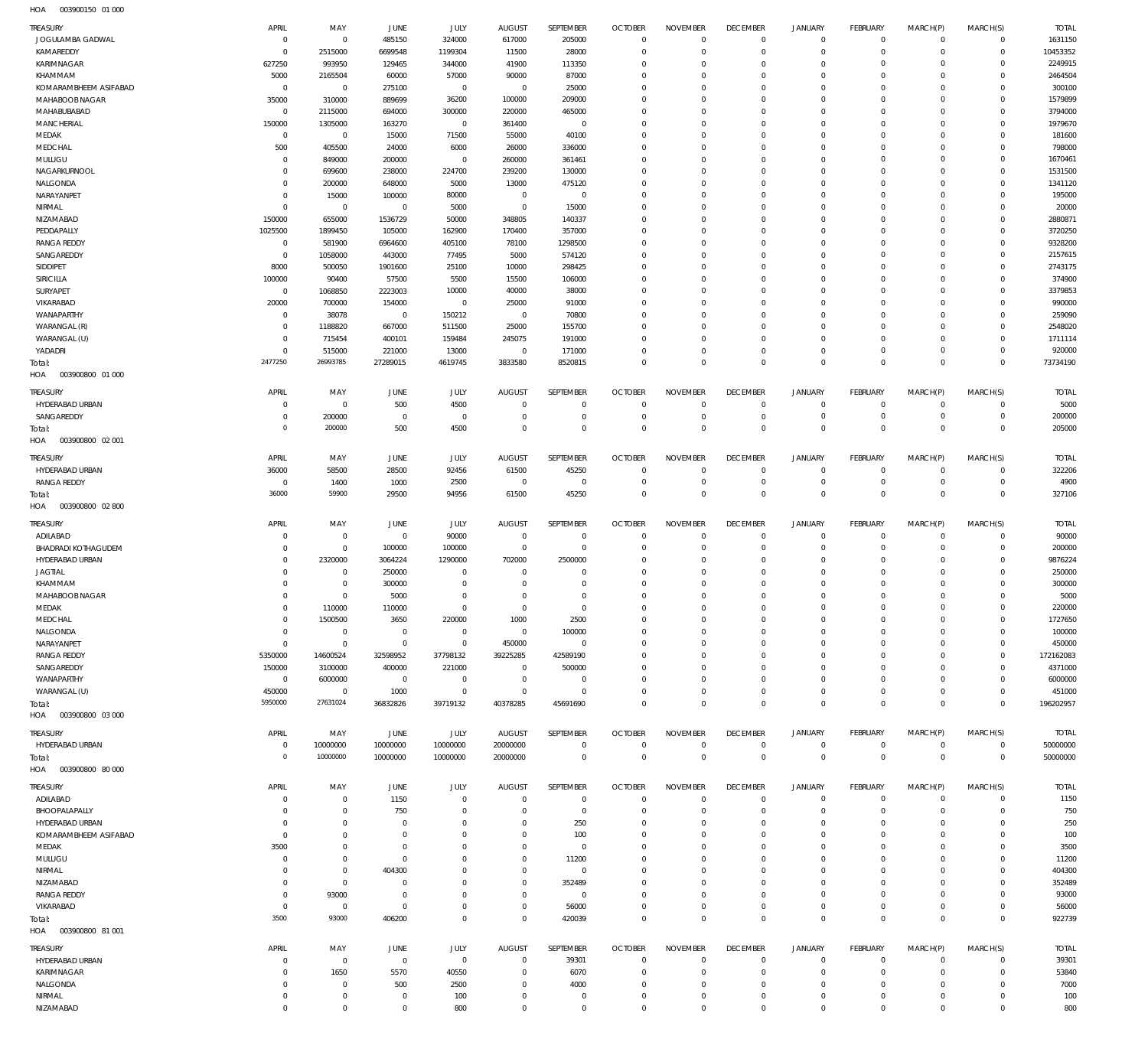| TREASURY                   | APRIL                      | MAY                                | JUNE                        | JULY                          | <b>AUGUST</b>              | SEPTEMBER                  | <b>OCTOBER</b>                | <b>NOVEMBER</b>            | <b>DECEMBER</b>               | <b>JANUARY</b>             | FEBRUARY                   | MARCH(P)                | MARCH(S)                    | <b>TOTAL</b>       |
|----------------------------|----------------------------|------------------------------------|-----------------------------|-------------------------------|----------------------------|----------------------------|-------------------------------|----------------------------|-------------------------------|----------------------------|----------------------------|-------------------------|-----------------------------|--------------------|
| JOGULAMBA GADWAL           | $\overline{0}$             | $\mathsf{O}\xspace$                | 485150                      | 324000                        | 617000                     | 205000                     | $\overline{0}$                | $\mathbf 0$                | $\overline{0}$                | $\mathbf 0$                | $\circ$                    | $\mathbf 0$             | $\overline{0}$              | 1631150            |
| KAMAREDDY                  | $\mathbf 0$                | 2515000                            | 6699548                     | 1199304                       | 11500                      | 28000                      | $\overline{0}$                | $\mathbf 0$                | $\overline{0}$                | $\mathbf 0$                | $\mathbf{0}$               | $\circ$                 | $\circ$                     | 10453352           |
| KARIMNAGAR<br>KHAMMAM      | 627250                     | 993950                             | 129465                      | 344000<br>57000               | 41900                      | 113350                     | $\mathbf 0$<br>$\mathbf 0$    | $\mathbf 0$<br>$\mathbf 0$ | $\mathbf 0$<br>$\mathbf 0$    | $\circ$<br>$\mathbf 0$     | $\mathbf 0$<br>$\mathbf 0$ | $\mathbf 0$<br>$\Omega$ | $\mathbf{0}$<br>$\mathbf 0$ | 2249915<br>2464504 |
| KOMARAMBHEEM ASIFABAD      | 5000<br>$\overline{0}$     | 2165504<br>$\mathbf 0$             | 60000<br>275100             | $\mathsf{O}\xspace$           | 90000<br>$\overline{0}$    | 87000<br>25000             | $\mathbf 0$                   | $\mathbf 0$                | $\mathbf 0$                   | $\circ$                    | $\mathbf 0$                | $\Omega$                | $\mathbf 0$                 | 300100             |
| MAHABOOB NAGAR             | 35000                      | 310000                             | 889699                      | 36200                         | 100000                     | 209000                     | $\mathbf 0$                   | $\mathbf 0$                | $\mathbf 0$                   | $\mathbf 0$                | $\mathbf 0$                | $\Omega$                | $\mathbf 0$                 | 1579899            |
| MAHABUBABAD                | $\mathbf 0$                | 2115000                            | 694000                      | 300000                        | 220000                     | 465000                     | $\mathbf 0$                   | $\Omega$                   | $\mathbf 0$                   | $\mathbf 0$                | $\mathbf 0$                | $\Omega$                | $\mathbf 0$                 | 3794000            |
| MANCHERIAL                 | 150000                     | 1305000                            | 163270                      | $\,0\,$                       | 361400                     | $\overline{0}$             | $\mathbf 0$                   | $\mathbf 0$                | $\mathbf 0$                   | $\mathbf 0$                | $\mathbf 0$                | $\Omega$                | $\mathbf 0$                 | 1979670            |
| MEDAK                      | $\,0\,$                    | $\mathbf 0$                        | 15000                       | 71500                         | 55000                      | 40100                      | $\mathbf 0$                   | $\Omega$                   | $\mathbf 0$                   | $\mathbf 0$                | $\mathbf 0$                | $\Omega$                | $\Omega$                    | 181600             |
| MEDCHAL                    | 500                        | 405500                             | 24000                       | 6000                          | 26000                      | 336000                     | $\mathbf 0$                   | $\mathbf 0$                | $\mathbf 0$                   | $\mathbf 0$                | $\mathbf 0$                | $\circ$                 | $\mathbf 0$                 | 798000             |
| MULUGU                     | $\mathbf 0$                | 849000                             | 200000                      | $\mathsf{O}\xspace$           | 260000                     | 361461                     | $\mathbf 0$                   | $\Omega$                   | $\mathbf 0$                   | $\mathbf 0$                | $\mathbf 0$                | $\Omega$                | $\mathbf 0$                 | 1670461            |
| NAGARKURNOOL               | $\mathbf 0$                | 699600                             | 238000                      | 224700                        | 239200                     | 130000                     | $\mathbf 0$                   | $\mathbf 0$                | $\mathbf 0$                   | $\mathbf 0$                | $\mathbf 0$                | $\Omega$                | $\mathbf 0$                 | 1531500            |
| NALGONDA<br>NARAYANPET     | $\mathbf 0$<br>$\mathbf 0$ | 200000<br>15000                    | 648000<br>100000            | 5000<br>80000                 | 13000<br>$\mathbf 0$       | 475120<br>$\mathbf 0$      | $\mathbf 0$<br>$\mathbf 0$    | $\mathbf 0$<br>$\Omega$    | $\mathbf 0$<br>$\mathbf 0$    | $\mathbf 0$<br>$\mathbf 0$ | $\mathbf 0$<br>$\mathbf 0$ | $\Omega$<br>$\Omega$    | $\mathbf 0$<br>$\mathbf 0$  | 1341120<br>195000  |
| NIRMAL                     | $\mathbf 0$                | $\,0\,$                            | $\overline{0}$              | 5000                          | $\overline{0}$             | 15000                      | $\overline{0}$                | $\mathbf 0$                | $\mathbf 0$                   | $\mathbf 0$                | $\mathbf 0$                | $\Omega$                | $\mathbf 0$                 | 20000              |
| NIZAMABAD                  | 150000                     | 655000                             | 1536729                     | 50000                         | 348805                     | 140337                     | $\mathbf 0$                   | 0                          | $\mathbf 0$                   | $\mathbf 0$                | $\mathbf 0$                | $\Omega$                | $\mathbf 0$                 | 2880871            |
| PEDDAPALLY                 | 1025500                    | 1899450                            | 105000                      | 162900                        | 170400                     | 357000                     | $\mathbf 0$                   | $\mathbf 0$                | $\mathbf 0$                   | $\mathbf 0$                | $\mathbf 0$                | $\Omega$                | $\mathbf 0$                 | 3720250            |
| <b>RANGA REDDY</b>         | $\mathbf 0$                | 581900                             | 6964600                     | 405100                        | 78100                      | 1298500                    | $\mathbf 0$                   | $\mathbf 0$                | $\mathbf 0$                   | $\mathbf 0$                | $\mathbf 0$                | $\Omega$                | $\mathbf 0$                 | 9328200            |
| SANGAREDDY                 | $\overline{0}$             | 1058000                            | 443000                      | 77495                         | 5000                       | 574120                     | $\mathbf 0$                   | $\Omega$                   | $\mathbf 0$                   | $\mathbf 0$                | $\Omega$                   | $\Omega$                | $\Omega$                    | 2157615            |
| SIDDIPET                   | 8000                       | 500050                             | 1901600                     | 25100                         | 10000                      | 298425                     | $\mathbf 0$                   | $\mathbf 0$                | $\mathbf 0$                   | $\mathbf 0$                | $\mathbf 0$                | $\Omega$                | $\mathbf 0$                 | 2743175            |
| <b>SIRICILLA</b>           | 100000                     | 90400                              | 57500                       | 5500                          | 15500                      | 106000                     | $\mathbf 0$                   | $\mathbf 0$                | $\mathbf 0$                   | $\mathbf 0$                | $\mathbf 0$                | $\Omega$                | $\mathbf 0$                 | 374900             |
| SURYAPET                   | $\mathbf{0}$               | 1068850                            | 2223003                     | 10000                         | 40000                      | 38000                      | $\mathbf 0$                   | $\mathbf 0$                | $\mathbf 0$                   | $\mathbf 0$                | $\mathbf 0$                | $\Omega$                | $\mathbf 0$                 | 3379853            |
| VIKARABAD<br>WANAPARTHY    | 20000<br>$\mathbf 0$       | 700000<br>38078                    | 154000<br>$\mathbf 0$       | $\mathsf{O}\xspace$<br>150212 | 25000<br>$\overline{0}$    | 91000<br>70800             | $\mathbf 0$<br>$\mathbf 0$    | 0<br>$\mathbf 0$           | $\mathbf 0$<br>$\mathbf 0$    | $\mathbf 0$<br>$\mathbf 0$ | $\mathbf 0$<br>$\mathbf 0$ | $\Omega$<br>$\Omega$    | $\mathbf 0$<br>$\mathbf 0$  | 990000<br>259090   |
| WARANGAL (R)               | $\mathbf 0$                | 1188820                            | 667000                      | 511500                        | 25000                      | 155700                     | $\mathbf 0$                   | $\mathbf 0$                | $\mathbf 0$                   | $\mathbf 0$                | $\mathbf 0$                | $\Omega$                | $\mathbf 0$                 | 2548020            |
| WARANGAL (U)               | 0                          | 715454                             | 400101                      | 159484                        | 245075                     | 191000                     | $\mathbf 0$                   | $\mathbf 0$                | $\mathbf 0$                   | $\mathbf 0$                | $\mathbf 0$                | $\mathbf 0$             | $\mathbf 0$                 | 1711114            |
| YADADRI                    | $\mathbf 0$                | 515000                             | 221000                      | 13000                         | $\overline{0}$             | 171000                     | $\mathbf 0$                   | $\mathbf 0$                | $\overline{0}$                | $\mathbf 0$                | $\mathbf{0}$               | $\mathbf 0$             | $\mathbf{0}$                | 920000             |
| Total:                     | 2477250                    | 26993785                           | 27289015                    | 4619745                       | 3833580                    | 8520815                    | $\overline{0}$                | $\mathbf 0$                | $\overline{0}$                | $\mathbf 0$                | $\overline{0}$             | $\mathbf 0$             | $\overline{0}$              | 73734190           |
| HOA<br>003900800 01 000    |                            |                                    |                             |                               |                            |                            |                               |                            |                               |                            |                            |                         |                             |                    |
| <b>TREASURY</b>            | APRIL                      | MAY                                | JUNE                        | JULY                          | <b>AUGUST</b>              | SEPTEMBER                  | <b>OCTOBER</b>                | <b>NOVEMBER</b>            | <b>DECEMBER</b>               | <b>JANUARY</b>             | <b>FEBRUARY</b>            | MARCH(P)                | MARCH(S)                    | <b>TOTAL</b>       |
| HYDERABAD URBAN            | $\mathbf 0$                | $\mathbf 0$                        | 500                         | 4500                          | $\mathbf 0$                | $\mathbf 0$                | $\overline{0}$                | $\mathbf 0$                | $\overline{0}$                | $\mathbf 0$                | $\mathbf{0}$               | $^{\circ}$              | $\overline{0}$              | 5000               |
| SANGAREDDY                 | $\mathbf 0$                | 200000                             | $\overline{0}$              | $\mathbf 0$                   | $\mathbf 0$                | $\mathbf 0$                | $\overline{0}$                | $\mathbf 0$                | $\overline{0}$                | $\mathbf 0$                | $\overline{0}$             | $\mathbf 0$             | $\mathbf{0}$                | 200000             |
| Total:                     | $\mathbf 0$                | 200000                             | 500                         | 4500                          | $\mathbf 0$                | $\mathbf 0$                | $\overline{0}$                | $\mathbf 0$                | $\overline{0}$                | $\mathbf 0$                | $\overline{0}$             | $\mathbf 0$             | $\overline{0}$              | 205000             |
| 003900800 02 001<br>HOA    |                            |                                    |                             |                               |                            |                            |                               |                            |                               |                            |                            |                         |                             |                    |
| <b>TREASURY</b>            | APRIL                      | MAY                                | JUNE                        | JULY                          | AUGUST                     | SEPTEMBER                  | <b>OCTOBER</b>                | <b>NOVEMBER</b>            | <b>DECEMBER</b>               | <b>JANUARY</b>             | FEBRUARY                   | MARCH(P)                | MARCH(S)                    | <b>TOTAL</b>       |
| HYDERABAD URBAN            | 36000                      | 58500                              | 28500                       | 92456                         | 61500                      | 45250                      | $\overline{0}$                | $\mathbf 0$                | $\overline{0}$                | $\mathbf 0$                | $\mathbf{0}$               | $\mathbf 0$             | $\overline{0}$              | 322206             |
| <b>RANGA REDDY</b>         | 0                          | 1400                               | 1000                        | 2500                          | $\mathbf 0$                | $\mathbf 0$                | $\overline{0}$                | $\mathbf 0$                | $\overline{0}$                | $\mathbf 0$                | $\circ$                    | $\mathbf 0$             | $\mathbf{0}$                | 4900               |
| Total:                     | 36000                      | 59900                              | 29500                       | 94956                         | 61500                      | 45250                      | $\overline{0}$                | $\mathbf 0$                | $\overline{0}$                | $\mathbf 0$                | $\overline{0}$             | $\mathbf 0$             | $\overline{0}$              | 327106             |
| HOA<br>003900800 02 800    |                            |                                    |                             |                               |                            |                            |                               |                            |                               |                            |                            |                         |                             |                    |
| <b>TREASURY</b>            | APRIL                      | MAY                                | JUNE                        | JULY                          | <b>AUGUST</b>              | SEPTEMBER                  | <b>OCTOBER</b>                | <b>NOVEMBER</b>            | <b>DECEMBER</b>               | <b>JANUARY</b>             | FEBRUARY                   | MARCH(P)                | MARCH(S)                    | <b>TOTAL</b>       |
| ADILABAD                   | $\mathbf 0$                | $\mathbf 0$                        | $\overline{0}$              | 90000                         | $\overline{0}$             | $^{\circ}$                 | $\overline{0}$                | $\mathbf 0$                | $\overline{0}$                | $\mathbf 0$                | $\overline{0}$             | $\mathbf 0$             | $\mathbf{0}$                | 90000              |
| <b>BHADRADI KOTHAGUDEM</b> | $\mathbf 0$                | $\mathsf{O}\xspace$                | 100000                      | 100000                        | $\overline{0}$             | $\mathbf 0$                | $\overline{0}$                | $\mathbf 0$                | $\overline{0}$                | $\mathbf 0$                | $\mathbf{0}$               | $\mathbf 0$             | $\mathbf{0}$                | 200000             |
| HYDERABAD URBAN            | $\mathbf 0$                | 2320000                            | 3064224                     | 1290000                       | 702000                     | 2500000                    | $\overline{0}$                | $\mathbf 0$                | $\overline{0}$                | $\mathbf 0$                | $\mathbf{0}$               | $\Omega$                | $\mathbf{0}$                | 9876224            |
| <b>JAGTIAL</b>             | $\mathbf 0$                | $\bf 0$                            | 250000                      | $\mathbf 0$                   | $\mathbf 0$                | $\mathbf 0$                | $\overline{0}$                | $\mathbf 0$                | $\overline{0}$                | $\mathbf 0$                | $\mathbf 0$                | $\Omega$                | $\mathbf{0}$                | 250000             |
| KHAMMAM                    | $\mathbf 0$                | $\mathsf{O}\xspace$                | 300000                      | $\mathbf 0$                   | $\mathbf 0$                | $\mathbf 0$                | $\mathbf 0$                   | $\mathbf 0$                | $\mathbf 0$                   | $\mathbf 0$                | $^{\circ}$                 | $\Omega$                | $\mathbf 0$                 | 300000             |
| MAHABOOB NAGAR             | $\Omega$                   | $\mathbf 0$                        | 5000                        | $\mathbf 0$                   | $\mathbf 0$                | $\mathbf 0$                | $\mathbf 0$                   | $\mathbf 0$                | $\overline{0}$                | $\mathbf 0$                | $\Omega$                   | $\Omega$                | $\mathbf{0}$                | 5000               |
| MEDAK                      | $\Omega$                   | 110000                             | 110000                      | $\mathbf{0}$                  | $\mathbf{0}$               | $\mathbf 0$                | $\Omega$                      | $\Omega$                   | $\Omega$                      | $\mathbf 0$                | $\Omega$                   | $\Omega$                | $\circ$                     | 220000             |
| MEDCHAL<br>NALGONDA        | $\mathbf 0$<br>$\mathbf 0$ | 1500500<br>$\mathbf 0$             | 3650<br>$\overline{0}$      | 220000<br>$\mathbf 0$         | 1000<br>$\overline{0}$     | 2500<br>100000             | $\overline{0}$<br>$\mathbf 0$ | $\mathbf 0$<br>$\mathbf 0$ | $^{\circ}$<br>$\mathbf 0$     | $\mathbf 0$<br>$\mathbf 0$ | $^{\circ}$<br>$\mathbf 0$  | $\circ$<br>$\circ$      | $^{\circ}$<br>$\mathbf 0$   | 1727650<br>100000  |
| NARAYANPET                 | $\mathbf 0$                | $\mathbf 0$                        | $\overline{0}$              | $\mathbf 0$                   | 450000                     | $\mathbf 0$                | $\mathbf 0$                   | $\mathbf 0$                | $\mathbf 0$                   | $\mathbf 0$                | $\mathbf 0$                | $\Omega$                | $\mathbf{0}$                | 450000             |
| <b>RANGA REDDY</b>         | 5350000                    | 14600524                           | 32598952                    | 37798132                      | 39225285                   | 42589190                   | $\mathbf 0$                   | $\mathbf 0$                | $\mathbf 0$                   | $\circ$                    | $\mathbf 0$                | $\Omega$                | $\mathbf{0}$                | 172162083          |
| SANGAREDDY                 | 150000                     | 3100000                            | 400000                      | 221000                        | $\overline{0}$             | 500000                     | $\mathbf 0$                   | $\mathbf 0$                | $\mathbf 0$                   | $\circ$                    | $^{\circ}$                 | $\Omega$                | $\mathbf 0$                 | 4371000            |
| WANAPARTHY                 | $\overline{0}$             | 6000000                            | $\overline{0}$              | $\mathbf 0$                   | $^{\circ}$                 | $\mathbf 0$                | $\mathbf 0$                   | $\mathbf 0$                | $\mathbf 0$                   | $\circ$                    | $\mathbf 0$                | $\Omega$                | $\mathbf 0$                 | 6000000            |
| WARANGAL (U)               | 450000                     | $\mathbf 0$                        | 1000                        | $\mathbf 0$                   | $\overline{0}$             | $\mathbf 0$                | $\mathbf 0$                   | $\mathbf 0$                | $\overline{0}$                | $\mathbf 0$                | $\mathbf{0}$               | $\mathbf 0$             | $\mathbf{0}$                | 451000             |
| Total:                     | 5950000                    | 27631024                           | 36832826                    | 39719132                      | 40378285                   | 45691690                   | $\mathbf 0$                   | $\mathbf 0$                | $\overline{0}$                | $\mathbf 0$                | $\overline{0}$             | $\Omega$                | $\mathbf 0$                 | 196202957          |
| HOA   003900800   03   000 |                            |                                    |                             |                               |                            |                            |                               |                            |                               |                            |                            |                         |                             |                    |
| TREASURY                   | APRIL                      | MAY                                | JUNE                        | JULY                          | <b>AUGUST</b>              | SEPTEMBER                  | <b>OCTOBER</b>                | <b>NOVEMBER</b>            | <b>DECEMBER</b>               | <b>JANUARY</b>             | FEBRUARY                   | MARCH(P)                | MARCH(S)                    | <b>TOTAL</b>       |
| HYDERABAD URBAN            | 0                          | 10000000                           | 10000000                    | 10000000                      | 20000000                   | $\mathbf 0$                | $\overline{0}$                | $\mathbf 0$                | $\overline{0}$                | $\mathbf 0$                | $\circ$                    | $\mathbf 0$             | $\overline{0}$              | 50000000           |
| Total:                     | $\overline{0}$             | 10000000                           | 10000000                    | 10000000                      | 20000000                   | $\mathsf{O}\xspace$        | $\overline{0}$                | $\overline{0}$             | $\overline{0}$                | $\mathbf 0$                | $\overline{0}$             | $\mathbf 0$             | $\overline{0}$              | 50000000           |
| HOA<br>003900800 80 000    |                            |                                    |                             |                               |                            |                            |                               |                            |                               |                            |                            |                         |                             |                    |
| <b>TREASURY</b>            | APRIL                      | MAY                                | JUNE                        | JULY                          | AUGUST                     | SEPTEMBER                  | <b>OCTOBER</b>                | <b>NOVEMBER</b>            | <b>DECEMBER</b>               | <b>JANUARY</b>             | FEBRUARY                   | MARCH(P)                | MARCH(S)                    | <b>TOTAL</b>       |
| ADILABAD                   | $\mathbf 0$                | $\mathbf 0$                        | 1150                        | $\mathbf 0$                   | $\overline{0}$             | $\mathbf 0$                | $\overline{0}$                | $\Omega$                   | $\overline{0}$                | $\mathbf 0$                | $\overline{0}$             | $\mathbf 0$             | $\mathbf{0}$                | 1150               |
| BHOOPALAPALLY              | 0                          | $\mathbf 0$                        | 750                         | $\mathbf 0$                   | $\mathbf 0$                | $\mathbf 0$                | $\overline{0}$                | $\mathbf 0$                | $\mathbf 0$                   | $\mathbf 0$                | $\mathbf{0}$               | $\mathbf 0$             | $\mathbf{0}$                | 750                |
| HYDERABAD URBAN            | 0                          | $\mathbf 0$                        | $\overline{0}$              | $\mathbf 0$                   | $\mathbf 0$                | 250                        | $\mathbf 0$                   | $\mathbf 0$                | $\mathbf 0$                   | $\mathbf 0$                | $\mathbf 0$                | $\Omega$                | $\mathbf 0$                 | 250                |
| KOMARAMBHEEM ASIFABAD      | 0                          | $\mathbf 0$                        | $\overline{0}$              | $\mathbf 0$                   | $\mathbf 0$                | 100                        | $\overline{0}$                | $\mathbf 0$                | $\overline{0}$                | $\mathbf 0$                | $\mathbf 0$                | $\Omega$                | $\mathbf{0}$                | 100                |
| MEDAK                      | 3500                       | $\mathsf{O}\xspace$                | $\overline{0}$              | $\mathbf 0$                   | $\mathbf 0$                | $\mathbf 0$                | $\mathbf 0$                   | $\mathbf 0$                | $\mathbf 0$                   | $\mathbf 0$                | $^{\circ}$                 | $\Omega$                | $\mathbf 0$                 | 3500               |
| MULUGU                     | $\mathbf 0$                | $\mathbf 0$<br>$\mathbf 0$         | $\overline{0}$<br>404300    | $\mathbf 0$<br>0              | $\mathbf 0$<br>$\mathbf 0$ | 11200<br>$\mathbf 0$       | $\mathbf 0$<br>$\mathbf 0$    | $\mathbf 0$<br>$\mathbf 0$ | $\mathbf 0$<br>$\mathbf 0$    | $\mathbf 0$<br>$\mathbf 0$ | $\Omega$<br>$^{\circ}$     | $\Omega$<br>$\Omega$    | $\mathbf 0$<br>$^{\circ}$   | 11200<br>404300    |
| NIRMAL<br>NIZAMABAD        | 0<br>$\mathbf 0$           | $\mathbf 0$                        | $\mathbf 0$                 | $\mathbf 0$                   | $\mathbf 0$                | 352489                     | $\mathbf 0$                   | $\mathbf 0$                | $\mathbf 0$                   | $\mathbf 0$                | $\Omega$                   | $\Omega$                | $\mathbf{0}$                | 352489             |
| <b>RANGA REDDY</b>         | $\mathbf 0$                | 93000                              | $\overline{0}$              | $\mathbf 0$                   | $\mathbf 0$                | $^{\circ}$                 | $\mathbf 0$                   | $\mathbf 0$                | $\mathbf 0$                   | $\mathbf 0$                | $^{\circ}$                 | $\mathbf 0$             | $^{\circ}$                  | 93000              |
| VIKARABAD                  | $\mathbf 0$                | $\bf 0$                            | $\overline{0}$              | $\mathbf 0$                   | $\mathbf 0$                | 56000                      | $\mathbf 0$                   | $\mathbf 0$                | $\overline{0}$                | $\mathbf 0$                | $^{\circ}$                 | $\mathbf 0$             | $\mathbf{0}$                | 56000              |
| Total:                     | 3500                       | 93000                              | 406200                      | $\mathbf 0$                   | $\mathbf{0}$               | 420039                     | $\overline{0}$                | $\mathbf 0$                | $\overline{0}$                | $\mathbf 0$                | $\overline{0}$             | $\mathbf 0$             | $\overline{0}$              | 922739             |
| HOA   003900800   81   001 |                            |                                    |                             |                               |                            |                            |                               |                            |                               |                            |                            |                         |                             |                    |
| TREASURY                   | APRIL                      | MAY                                | <b>JUNE</b>                 | JULY                          | AUGUST                     | SEPTEMBER                  | <b>OCTOBER</b>                | <b>NOVEMBER</b>            | <b>DECEMBER</b>               | <b>JANUARY</b>             | FEBRUARY                   | MARCH(P)                | MARCH(S)                    | <b>TOTAL</b>       |
| HYDERABAD URBAN            | 0                          | 0                                  | $\overline{0}$              | $\bf 0$                       | $\mathbf 0$                | 39301                      | $\overline{0}$                | $\mathbf 0$                | $\overline{0}$                | 0                          | $\mathbf{0}$               | $\mathbf 0$             | $\mathbf{0}$                | 39301              |
| KARIMNAGAR                 |                            |                                    |                             |                               |                            |                            |                               |                            |                               |                            |                            |                         |                             |                    |
|                            | 0                          | 1650                               | 5570                        | 40550                         | $\mathbf 0$                | 6070                       | $\overline{0}$                | $\mathbf 0$                | $\overline{0}$                | $\mathbf 0$                | $\mathbf{0}$               | $\mathbf 0$             | $\mathbf{0}$                | 53840              |
| NALGONDA                   | 0                          | 0                                  | 500                         | 2500                          | $\mathbf 0$                | 4000                       | $\overline{0}$                | $\mathbf 0$                | $\overline{0}$                | $\mathbf 0$                | $^{\circ}$                 | 0                       | $\mathbf{0}$                | 7000               |
| NIRMAL<br>NIZAMABAD        | 0<br>$\mathbf 0$           | $\mathsf{O}\xspace$<br>$\mathbf 0$ | $\mathbf 0$<br>$\mathbf{0}$ | 100<br>800                    | $\mathbf 0$<br>$\mathbf 0$ | $\mathbf 0$<br>$\mathbf 0$ | $\mathbf 0$<br>$\overline{0}$ | $\mathbf 0$<br>$\mathbf 0$ | $\mathbf 0$<br>$\overline{0}$ | $\mathbf 0$<br>$\mathbf 0$ | $\mathbf 0$<br>$\circ$     | 0<br>$\mathbf 0$        | $\mathbf 0$<br>$\circ$      | 100<br>800         |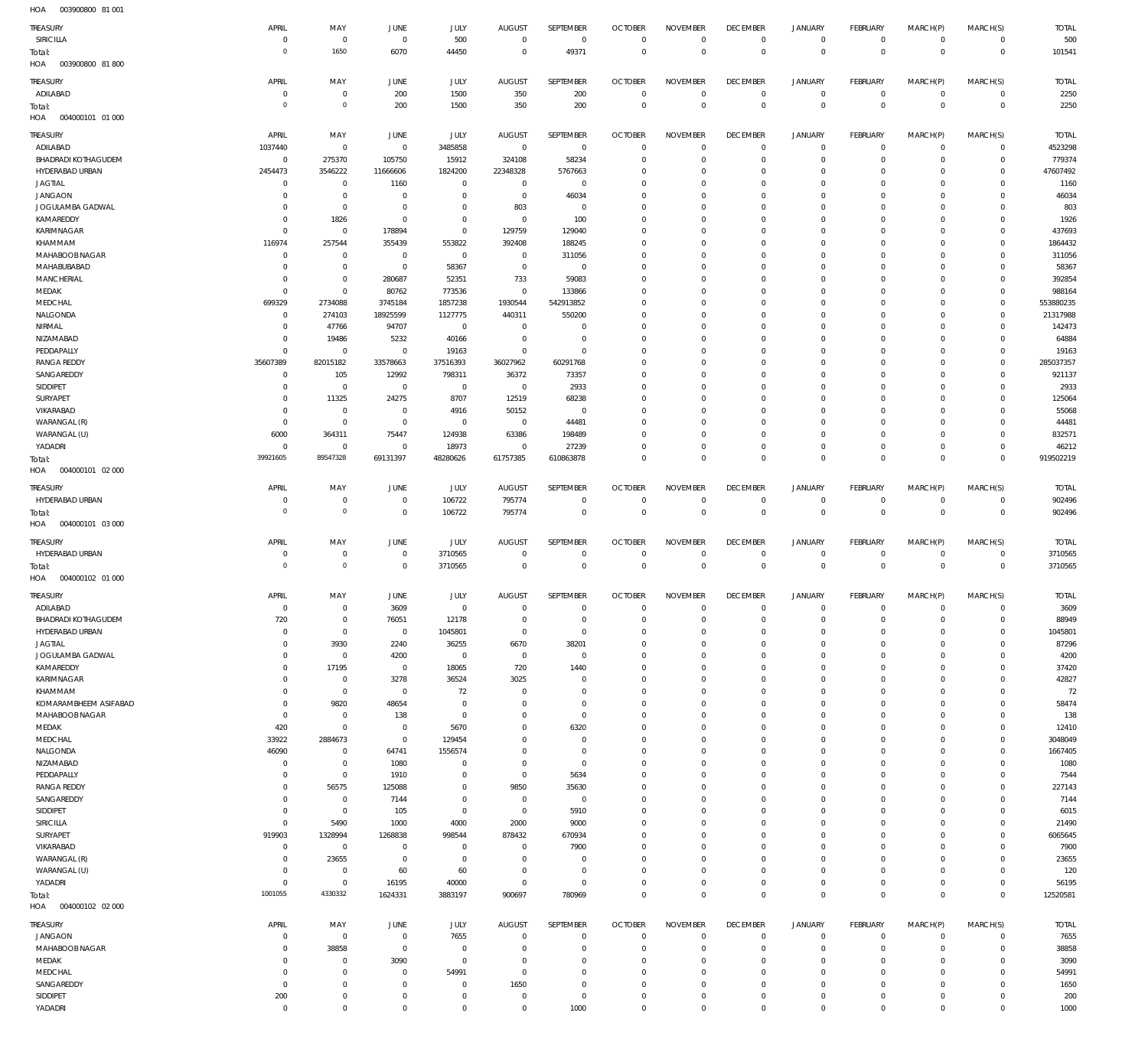| $H\cap \Lambda$ | 003900800 81.001 |  |
|-----------------|------------------|--|

| HOA<br>003900800 81 001           |                            |                         |                           |                            |                          |                            |                              |                            |                              |                                    |                            |                            |                                  |                    |
|-----------------------------------|----------------------------|-------------------------|---------------------------|----------------------------|--------------------------|----------------------------|------------------------------|----------------------------|------------------------------|------------------------------------|----------------------------|----------------------------|----------------------------------|--------------------|
| TREASURY                          | APRIL                      | MAY                     | JUNE                      | JULY                       | <b>AUGUST</b>            | SEPTEMBER                  | <b>OCTOBER</b>               | <b>NOVEMBER</b>            | <b>DECEMBER</b>              | <b>JANUARY</b>                     | <b>FEBRUARY</b>            | MARCH(P)                   | MARCH(S)                         | <b>TOTAL</b>       |
| SIRICILLA                         | $^{\circ}$                 | $\,0\,$                 | $\,0\,$                   | 500                        | $^{\circ}$               | 0                          | $\mathbf 0$                  | $\mathbf 0$                | $\mathbf 0$                  | 0                                  | $\overline{0}$             | $\mathbf 0$                | $\mathbf 0$                      | 500                |
| Total:                            | $\Omega$                   | 1650                    | 6070                      | 44450                      | $^{\circ}$               | 49371                      | $\mathbf 0$                  | $\mathbf 0$                | $\mathbf 0$                  | $\mathbf 0$                        | $\overline{0}$             | $\mathbf 0$                | $\overline{0}$                   | 101541             |
| HOA<br>003900800 81800            |                            |                         |                           |                            |                          |                            |                              |                            |                              |                                    |                            |                            |                                  |                    |
| TREASURY                          | APRIL                      | MAY                     | JUNE                      | <b>JULY</b>                | <b>AUGUST</b>            | SEPTEMBER                  | <b>OCTOBER</b>               | <b>NOVEMBER</b>            | <b>DECEMBER</b>              | <b>JANUARY</b>                     | <b>FEBRUARY</b>            | MARCH(P)                   | MARCH(S)                         | <b>TOTAL</b>       |
| ADILABAD                          | $^{\circ}$                 | $\,0\,$                 | 200                       | 1500                       | 350                      | 200                        | $\circ$                      | $\mathbf 0$                | $\overline{0}$               | $\mathbf 0$                        | $\overline{0}$             | $\overline{0}$             | $\overline{0}$                   | 2250               |
| Total:                            | $\Omega$                   | $\circ$                 | 200                       | 1500                       | 350                      | 200                        | $\overline{0}$               | $\mathbf 0$                | $\overline{0}$               | $\mathbb O$                        | $\overline{0}$             | $\mathbf 0$                | $\overline{0}$                   | 2250               |
| HOA<br>004000101 01 000           |                            |                         |                           |                            |                          |                            |                              |                            |                              |                                    |                            |                            |                                  |                    |
| TREASURY                          | APRIL                      | MAY                     | JUNE                      | JULY                       | <b>AUGUST</b>            | SEPTEMBER                  | <b>OCTOBER</b>               | <b>NOVEMBER</b>            | <b>DECEMBER</b>              | <b>JANUARY</b>                     | <b>FEBRUARY</b>            | MARCH(P)                   | MARCH(S)                         | <b>TOTAL</b>       |
| ADILABAD                          | 1037440                    | $\mathbf 0$             | $^{\circ}$                | 3485858                    | $\mathbf 0$              | $\mathbf{0}$               | $^{\circ}$                   | $^{\circ}$                 | $\mathbf 0$                  | 0                                  | $\mathbf 0$                | $\mathbf 0$                | $\mathbf{0}$                     | 4523298            |
| <b>BHADRADI KOTHAGUDEM</b>        | $\overline{0}$             | 275370                  | 105750                    | 15912                      | 324108                   | 58234                      | $^{\circ}$                   | $\Omega$                   | $^{\circ}$                   | $\mathbf 0$                        | $^{\circ}$                 | $\mathbf 0$                | $\circ$                          | 779374             |
| HYDERABAD URBAN                   | 2454473                    | 3546222                 | 11666606                  | 1824200                    | 22348328                 | 5767663                    | 0                            | $^{\circ}$                 | 0                            | 0                                  | 0                          | $\mathbf 0$                | $\mathbf 0$                      | 47607492           |
| <b>JAGTIAL</b>                    | $\Omega$                   | $\overline{0}$          | 1160                      | $\mathbf{0}$               | $\circ$                  | $\mathbf{0}$               | 0                            | $^{\circ}$                 | 0                            | $\mathbf 0$                        | $\mathbf 0$                | $\Omega$                   | $\mathbf 0$                      | 1160               |
| <b>JANGAON</b>                    | 0                          | $\,0\,$                 | $\circ$                   | $\mathbf{0}$               | $^{\circ}$               | 46034                      | 0                            | $^{\circ}$                 | 0                            | 0                                  | $\mathbf 0$                | 0                          | $\mathbf 0$                      | 46034              |
| JOGULAMBA GADWAL                  | $\Omega$                   | $\,0\,$                 | $^{\circ}$                | $\mathbf{0}$               | 803                      | $\mathbf 0$                | 0                            | $^{\circ}$                 | 0                            | $\mathbf 0$                        | 0                          | $\Omega$                   | $\mathbf 0$                      | 803                |
| KAMAREDDY                         | $\mathbf{0}$               | 1826                    | $^{\circ}$                | $\mathbf 0$                | $^{\circ}$               | 100                        | 0                            | $^{\circ}$                 | $^{\circ}$                   | $\mathbf 0$                        | $\mathbf 0$                | $\mathbf 0$                | $\mathbf 0$                      | 1926               |
| KARIMNAGAR                        | $\Omega$                   | $\mathbf 0$             | 178894                    | $\mathbf 0$                | 129759                   | 129040                     | 0                            | $\Omega$                   | 0                            | $\mathbf 0$                        | 0                          | $\Omega$                   | $\mathbf 0$                      | 437693             |
| KHAMMAM                           | 116974                     | 257544                  | 355439                    | 553822                     | 392408                   | 188245                     | 0                            | $\mathbf 0$                | $\mathbf 0$                  | $\mathbf 0$                        | $\mathbf 0$                | $\mathbf 0$                | $\mathbf 0$                      | 1864432            |
| MAHABOOB NAGAR                    | 0                          | $\mathbf 0$             | $\overline{0}$            | $\mathbf 0$                | $\mathbf 0$              | 311056                     | 0                            | $\mathbf 0$                | 0                            | $\mathbf 0$                        | 0                          | $\Omega$                   | $\mathbf 0$                      | 311056             |
| MAHABUBABAD                       | $\Omega$                   | $\mathbf 0$             | $^{\circ}$                | 58367                      | $^{\circ}$               | $\mathbf 0$                | 0                            | $\mathbf 0$                | $\mathbf 0$                  | $\mathbf 0$                        | 0                          | $\Omega$                   | $\mathbf 0$                      | 58367              |
| <b>MANCHERIAL</b>                 | 0                          | $\mathbf 0$             | 280687                    | 52351                      | 733                      | 59083                      | 0                            | $\mathbf 0$                | 0                            | $\mathbf 0$                        | $\mathbf 0$                | $\Omega$                   | $\mathbf 0$                      | 392854             |
| MEDAK                             | $\Omega$                   | $\mathbf 0$             | 80762                     | 773536                     | $^{\circ}$               | 133866                     | 0                            | $\mathbf 0$                | 0                            | $\mathbf 0$                        | $\mathbf 0$                | $\Omega$                   | $\mathbf 0$                      | 988164             |
| MEDCHAL                           | 699329                     | 2734088                 | 3745184                   | 1857238                    | 1930544                  | 542913852                  | 0                            | $\Omega$                   | 0                            | $\mathbf 0$                        | $\mathbf 0$                | $\Omega$                   | $\mathbf 0$                      | 553880235          |
| NALGONDA                          | 0                          | 274103                  | 18925599                  | 1127775                    | 440311                   | 550200                     | 0                            | $\mathbf 0$                | 0                            | 0                                  | 0                          | $\Omega$                   | $\mathbf 0$                      | 21317988           |
| NIRMAL                            | $\Omega$                   | 47766                   | 94707                     | $\mathbf 0$                | $\overline{0}$           | $\mathbf 0$                | 0                            | $\Omega$                   | 0                            | $\mathbf 0$                        | $\mathbf 0$                | $\Omega$                   | $\mathbf 0$                      | 142473             |
| NIZAMABAD<br>PEDDAPALLY           | 0                          | 19486                   | 5232<br>$\mathbf{0}$      | 40166                      | $^{\circ}$               | $\mathbf 0$<br>$\mathbf 0$ | 0                            | $\mathbf 0$<br>$\Omega$    | 0                            | 0                                  | $\mathbf 0$                | 0                          | $\mathbf 0$                      | 64884              |
| <b>RANGA REDDY</b>                | $\overline{0}$<br>35607389 | $\mathbf 0$<br>82015182 | 33578663                  | 19163<br>37516393          | $^{\circ}$<br>36027962   | 60291768                   | $\Omega$<br>0                | $^{\circ}$                 | 0<br>$^{\circ}$              | $\mathbf 0$<br>0                   | 0<br>$\mathbf 0$           | $\Omega$<br>$\mathbf 0$    | $\mathbf 0$<br>$\mathbf{0}$      | 19163<br>285037357 |
| SANGAREDDY                        | - 0                        | 105                     | 12992                     | 798311                     | 36372                    | 73357                      | 0                            | $\Omega$                   | 0                            | $\mathbf 0$                        | 0                          | 0                          | $\mathbf 0$                      | 921137             |
| SIDDIPET                          | $^{\circ}$                 | $\mathbf 0$             | $\mathbf 0$               | $\mathbf 0$                | $\mathbf 0$              | 2933                       | 0                            | $^{\circ}$                 | $^{\circ}$                   | $\mathbf 0$                        | $\mathbf 0$                | $\Omega$                   | $\mathbf 0$                      | 2933               |
| SURYAPET                          | $\Omega$                   | 11325                   | 24275                     | 8707                       | 12519                    | 68238                      | 0                            | $^{\circ}$                 | 0                            | $\mathbf 0$                        | 0                          | $\Omega$                   | $\mathbf 0$                      | 125064             |
| VIKARABAD                         | $\Omega$                   | $\mathbf 0$             | $\overline{0}$            | 4916                       | 50152                    | $\mathbf{0}$               | 0                            | $^{\circ}$                 | $^{\circ}$                   | $\mathbf 0$                        | $\mathbf 0$                | $\Omega$                   | $\mathbf 0$                      | 55068              |
| WARANGAL (R)                      | - 0                        | $\mathbb O$             | $\mathbb O$               | $\mathbf{0}$               | $\mathbf 0$              | 44481                      | 0                            | $\Omega$                   | 0                            | 0                                  | $\mathbf 0$                | $\Omega$                   | $\mathbf 0$                      | 44481              |
| WARANGAL (U)                      | 6000                       | 364311                  | 75447                     | 124938                     | 63386                    | 198489                     | 0                            | $^{\circ}$                 | $^{\circ}$                   | $\mathbf 0$                        | $\mathbf 0$                | $\mathbf 0$                | $\mathbf 0$                      | 832571             |
| YADADRI                           | $\overline{0}$             | $\mathbb O$             | $\mathbb O$               | 18973                      | $\mathbf{0}$             | 27239                      | $^{\circ}$                   | $^{\circ}$                 | $^{\circ}$                   | $\mathbf 0$                        | $^{\circ}$                 | $\mathbf 0$                | $\circ$                          | 46212              |
| Total:                            | 39921605                   | 89547328                | 69131397                  | 48280626                   | 61757385                 | 610863878                  | $^{\circ}$                   | $\mathbf 0$                | $\mathbf 0$                  | $\mathbf 0$                        | $\mathbf 0$                | $\mathbf 0$                | $\mathbf 0$                      | 919502219          |
| HOA<br>004000101 02 000           |                            |                         |                           |                            |                          |                            |                              |                            |                              |                                    |                            |                            |                                  |                    |
|                                   |                            |                         |                           |                            |                          |                            |                              |                            |                              |                                    |                            |                            |                                  |                    |
| TREASURY                          | APRIL                      | MAY                     | JUNE                      | <b>JULY</b>                | <b>AUGUST</b>            | SEPTEMBER                  | <b>OCTOBER</b>               | <b>NOVEMBER</b>            | <b>DECEMBER</b>              | <b>JANUARY</b>                     | <b>FEBRUARY</b>            | MARCH(P)                   | MARCH(S)                         | <b>TOTAL</b>       |
| HYDERABAD URBAN                   | $\Omega$<br>$\Omega$       | $\,0\,$<br>$\mathbb O$  | $\,0\,$                   | 106722                     | 795774                   | $\mathbf 0$                | $^{\circ}$<br>$\overline{0}$ | $\mathbf 0$<br>$\mathbb O$ | $^{\circ}$<br>$\overline{0}$ | $\mathsf{O}\xspace$<br>$\mathbb O$ | $\overline{0}$             | $\mathbf 0$<br>$\mathbf 0$ | $\overline{0}$<br>$\overline{0}$ | 902496<br>902496   |
| Total:<br>HOA<br>004000101 03 000 |                            |                         | $\,0\,$                   | 106722                     | 795774                   | $\mathbf 0$                |                              |                            |                              |                                    | $\overline{0}$             |                            |                                  |                    |
|                                   |                            |                         |                           |                            |                          |                            |                              |                            |                              |                                    |                            |                            |                                  |                    |
| TREASURY                          | APRIL                      | MAY                     | JUNE                      | JULY                       | <b>AUGUST</b>            | SEPTEMBER                  | <b>OCTOBER</b>               | <b>NOVEMBER</b>            | <b>DECEMBER</b>              | <b>JANUARY</b>                     | <b>FEBRUARY</b>            | MARCH(P)                   | MARCH(S)                         | <b>TOTAL</b>       |
| HYDERABAD URBAN                   | 0                          | $\mathbf 0$             | $\mathbf 0$               | 3710565                    | $\overline{0}$           | $\mathbf 0$                | $^{\circ}$                   | $\mathbf 0$                | $\mathbf 0$                  | 0                                  | $\mathbf 0$                | $\mathbf 0$                | $\overline{0}$                   | 3710565            |
| Total:                            | $\Omega$                   | $\circ$                 | $\mathbf 0$               | 3710565                    | $^{\circ}$               | $\mathbf 0$                | $\mathbf 0$                  | $\mathbf 0$                | $\mathbf 0$                  | $\mathbb O$                        | $\overline{0}$             | $\mathbf 0$                | $\,0\,$                          | 3710565            |
| HOA<br>004000102 01 000           |                            |                         |                           |                            |                          |                            |                              |                            |                              |                                    |                            |                            |                                  |                    |
| TREASURY                          | APRIL                      | MAY                     | JUNE                      | JULY                       | <b>AUGUST</b>            | SEPTEMBER                  | <b>OCTOBER</b>               | <b>NOVEMBER</b>            | <b>DECEMBER</b>              | <b>JANUARY</b>                     | <b>FEBRUARY</b>            | MARCH(P)                   | MARCH(S)                         | <b>TOTAL</b>       |
| ADILABAD                          | $\Omega$                   | $\,0\,$                 | 3609                      | $\mathbf 0$                | 0                        | $\mathbf 0$                | 0                            | 0                          | 0                            | 0                                  | $\Omega$                   | 0                          | $\mathbf 0$                      | 3609               |
| <b>BHADRADI KOTHAGUDEM</b>        | 720                        | $\,0\,$                 | 76051                     | 12178                      | $^{\circ}$               | $\mathbf 0$                | $\mathbf 0$                  | $\mathbb O$                |                              |                                    |                            |                            |                                  |                    |
| HYDERABAD URBAN                   | $\overline{0}$             | $\,0\,$                 |                           |                            |                          |                            |                              |                            | $^{\circ}$                   | $\mathsf{O}\xspace$                | $\overline{0}$             | $\mathbf 0$                | $\circ$                          | 88949              |
| <b>JAGTIAL</b>                    |                            |                         | $\,0\,$                   | 1045801                    | $\mathbf{0}$             | $\mathbf 0$                | $\circ$                      | $\mathbf 0$                | $\overline{0}$               | $\mathsf{O}\xspace$                | $\mathbf 0$                | $\mathbf 0$                | $\mathbf{0}$                     | 1045801            |
| JOGULAMBA GADWAL                  | $^{\circ}$                 | 3930                    | 2240                      | 36255                      | 6670                     | 38201                      | $^{\circ}$                   | $\mathbf 0$                | $^{\circ}$                   | $\mathbf 0$                        | $\mathbf 0$                | $\Omega$                   | $\mathbf{0}$                     | 87296              |
| KAMAREDDY                         | $^{\circ}$                 | $\,0\,$                 | 4200                      | $\mathbf 0$                | $\mathbf 0$              | $\mathbf 0$                | $^{\circ}$                   | $\mathbf 0$                | $\mathbf 0$                  | $\mathsf{O}\xspace$                | $\mathbf 0$                | $\Omega$                   | $\mathbf{0}$                     | 4200               |
|                                   | $\Omega$                   | 17195                   | $\,0\,$                   | 18065                      | 720                      | 1440                       | $^{\circ}$                   | $\mathbf 0$                | $^{\circ}$                   | $\mathbf 0$                        | $\mathbf 0$                | $\Omega$                   | $\mathbf{0}$                     | 37420              |
| KARIMNAGAR                        | $\mathbf 0$                | $\,0\,$                 | 3278                      | 36524                      | 3025                     | $\mathbf 0$                | $^{\circ}$                   | $\mathbf 0$                | $^{\circ}$                   | $\mathbf 0$                        | $\mathbf 0$                | $\Omega$                   | $\mathbf{0}$                     | 42827              |
| KHAMMAM                           | $\Omega$                   | $\,0\,$                 | $\mathbf 0$               | 72                         | $^{\circ}$               | $\mathbf 0$                | $^{\circ}$                   | $\mathbf 0$                | $^{\circ}$                   | $\mathbf 0$                        | $\mathbf 0$                | $\Omega$                   | $\mathbf 0$                      | 72                 |
| KOMARAMBHEEM ASIFABAD             | $^{\circ}$                 | 9820                    | 48654                     | $\mathbf 0$                | $\Omega$                 | $\mathbf 0$                | $^{\circ}$                   | $\mathbf 0$                | $^{\circ}$                   | $\mathbf 0$                        | $\mathbf 0$                | $\Omega$                   | $\mathbf{0}$                     | 58474              |
| MAHABOOB NAGAR                    | $^{\circ}$                 | $\,0\,$                 | 138                       | $\mathbf 0$                | $\Omega$                 | $\mathbf 0$                | $^{\circ}$                   | $\mathbf 0$                | $^{\circ}$                   | $\mathbf 0$                        | $\mathbf 0$                | $\Omega$                   | $\mathbf 0$                      | 138                |
| MEDAK                             | 420                        | $\,0\,$                 | $\mathbf 0$               | 5670                       | $^{\circ}$               | 6320                       | $^{\circ}$                   | $\mathbf 0$                | $^{\circ}$                   | $\mathbf 0$                        | $\mathbf 0$                | $\Omega$                   | $\mathbf{0}$                     | 12410              |
| MEDCHAL                           | 33922                      | 2884673                 | $\mathbf 0$               | 129454                     | $\Omega$                 | $\mathbf 0$                | $^{\circ}$                   | $\mathbf 0$                | $^{\circ}$                   | $\mathbf 0$                        | $\mathbf 0$                | $\Omega$                   | $\mathbf 0$                      | 3048049            |
| NALGONDA                          | 46090                      | $\,0\,$                 | 64741                     | 1556574                    | $\Omega$                 | $\mathbf 0$                | $^{\circ}$                   | $\mathbf 0$                | $^{\circ}$                   | $\mathbf 0$                        | $\mathbf 0$                | $\Omega$<br>$\Omega$       | $\mathbf{0}$                     | 1667405            |
| NIZAMABAD                         | $\overline{0}$<br>$\Omega$ | $\,0\,$                 | 1080                      | $\mathbf 0$                | $^{\circ}$<br>$^{\circ}$ | $\mathbf 0$                | $^{\circ}$<br>$^{\circ}$     | $\mathbf 0$<br>$\mathbf 0$ | $^{\circ}$<br>$^{\circ}$     | $\mathbf 0$<br>$\mathbf 0$         | $\mathbf 0$<br>$\mathbf 0$ | $\Omega$                   | $\mathbf{0}$<br>$\mathbf 0$      | 1080               |
| PEDDAPALLY                        | $\Omega$                   | $\,0\,$                 | 1910                      | $\mathbf 0$<br>$\mathbf 0$ |                          | 5634                       | $^{\circ}$                   | $\mathbf 0$                | $\mathbf 0$                  | $\mathbf 0$                        | $\mathbf 0$                | $\Omega$                   | $\mathbf{0}$                     | 7544               |
| <b>RANGA REDDY</b><br>SANGAREDDY  | $\mathbf 0$                | 56575<br>$\,0\,$        | 125088<br>7144            | $\mathbf 0$                | 9850<br>$\mathbf 0$      | 35630<br>$\mathbf 0$       | $^{\circ}$                   | $\mathbf 0$                | $^{\circ}$                   | $\mathbf 0$                        | $\mathbf 0$                | $\Omega$                   | $\mathbf 0$                      | 227143<br>7144     |
| SIDDIPET                          | $\Omega$                   | $\,0\,$                 | 105                       | $\mathbf 0$                | $\mathbf{0}$             | 5910                       | $^{\circ}$                   | $\mathbf 0$                | $^{\circ}$                   | $\mathbf 0$                        | $\mathbf 0$                | $\Omega$                   | $\mathbf{0}$                     | 6015               |
| SIRICILLA                         | $\mathbf 0$                | 5490                    | 1000                      | 4000                       | 2000                     | 9000                       | $^{\circ}$                   | $\mathbf 0$                | $^{\circ}$                   | $\mathbf 0$                        | $\mathbf 0$                | $\Omega$                   | $\mathbf{0}$                     | 21490              |
| SURYAPET                          | 919903                     | 1328994                 | 1268838                   | 998544                     | 878432                   | 670934                     | $^{\circ}$                   | $\mathbf 0$                | $^{\circ}$                   | $\mathbf 0$                        | $\mathbf 0$                | $\Omega$                   | $\mathbf 0$                      | 6065645            |
| VIKARABAD                         | $\overline{0}$             | $\,0\,$                 | $^{\circ}$                | $\mathbf 0$                | $\mathbf 0$              | 7900                       | $^{\circ}$                   | $\mathbf 0$                | $^{\circ}$                   | $\mathbf 0$                        | $\mathbf 0$                | $\Omega$                   | $\mathbf{0}$                     | 7900               |
| WARANGAL (R)                      | $\Omega$                   | 23655                   | $\mathbf{0}$              | $\mathbf 0$                | $\overline{0}$           | $\mathbf 0$                | $^{\circ}$                   | $\mathbf 0$                | $^{\circ}$                   | $\mathbf 0$                        | $\mathbf 0$                | $\Omega$                   | $\mathbf{0}$                     | 23655              |
| WARANGAL (U)                      | $^{\circ}$                 | $\,0\,$                 | 60                        | 60                         | $^{\circ}$               | $\mathbf 0$                | $^{\circ}$                   | $^{\circ}$                 | $^{\circ}$                   | $\mathbf 0$                        | $\mathbf 0$                | $\mathbf 0$                | $\mathbf{0}$                     | 120                |
| YADADRI                           | $\overline{0}$             | $\,0\,$                 | 16195                     | 40000                      | $^{\circ}$               | $\mathbf 0$                | $^{\circ}$                   | $\mathbf 0$                | $\mathbf 0$                  | $\mathsf{O}\xspace$                | $\mathbf 0$                | $\mathbf 0$                | $\mathbf{0}$                     | 56195              |
| Total:                            | 1001055                    | 4330332                 | 1624331                   | 3883197                    | 900697                   | 780969                     | $\mathbf 0$                  | $\mathbf 0$                | $\mathbf 0$                  | $\mathbf 0$                        | $\overline{0}$             | $\mathbf 0$                | $\overline{0}$                   | 12520581           |
| HOA<br>004000102 02 000           |                            |                         |                           |                            |                          |                            |                              |                            |                              |                                    |                            |                            |                                  |                    |
| <b>TREASURY</b>                   | APRIL                      | MAY                     | JUNE                      | JULY                       | <b>AUGUST</b>            | SEPTEMBER                  | <b>OCTOBER</b>               | <b>NOVEMBER</b>            | <b>DECEMBER</b>              | <b>JANUARY</b>                     | <b>FEBRUARY</b>            | MARCH(P)                   | MARCH(S)                         | <b>TOTAL</b>       |
| <b>JANGAON</b>                    | $\Omega$                   | $\,0\,$                 | $\,0\,$                   | 7655                       | $^{\circ}$               | $\mathbf{0}$               | $^{\circ}$                   | $\mathbf 0$                | $\mathbf 0$                  | 0                                  | $\mathbf 0$                | $\mathbf 0$                | $\mathbf{0}$                     | 7655               |
| MAHABOOB NAGAR                    | $\Omega$                   | 38858                   | $\,0\,$                   | $\mathbf{0}$               | 0                        | $\mathbf 0$                | $^{\circ}$                   | $\circ$                    | $^{\circ}$                   | $\mathsf{O}\xspace$                | $\mathbf 0$                | $\mathbf 0$                | $\mathbf 0$                      | 38858              |
| MEDAK                             | $\Omega$                   | $\,0\,$                 | 3090                      | $\mathbf 0$                | 0                        | $\mathbf 0$                | $^{\circ}$                   | $\mathbf 0$                | $\mathbf 0$                  | $\mathbf 0$                        | $\mathbf 0$                | $\mathbf 0$                | $\mathbf 0$                      | 3090               |
| MEDCHAL                           | $\Omega$                   | $\,0\,$                 | $^{\circ}$                | 54991                      | $^{\circ}$               | $\mathbf 0$                | $^{\circ}$                   | $\Omega$                   | $\mathbf 0$                  | $\mathbf 0$                        | $\mathbf 0$                | $\Omega$                   | $\mathbf 0$                      | 54991              |
| SANGAREDDY                        | $\mathbf 0$                | $\,0\,$                 | $^{\circ}$                | $\mathbf{0}$               | 1650                     | $\mathbf 0$                | $^{\circ}$                   | $\mathbf 0$                | $\mathbf 0$                  | $\mathbf 0$                        | $\mathbf 0$                | $\Omega$                   | $\mathbf{0}$                     | 1650               |
| SIDDIPET<br>YADADRI               | 200<br>$\mathbf 0$         | $\,0\,$<br>$\,0\,$      | $^{\circ}$<br>$\mathbf 0$ | $\mathbf 0$<br>$\mathbf 0$ | $\circ$<br>$\mathbf{0}$  | $\mathbf 0$<br>1000        | $^{\circ}$<br>$\mathbf 0$    | $\mathbf 0$<br>$\mathbf 0$ | $\mathbf 0$<br>$\mathbf 0$   | $\mathsf{O}\xspace$<br>$\mathbf 0$ | $\mathbf 0$<br>$\mathbf 0$ | $\mathbf 0$<br>$\mathbf 0$ | $\mathbf 0$<br>$\mathbf 0$       | 200<br>1000        |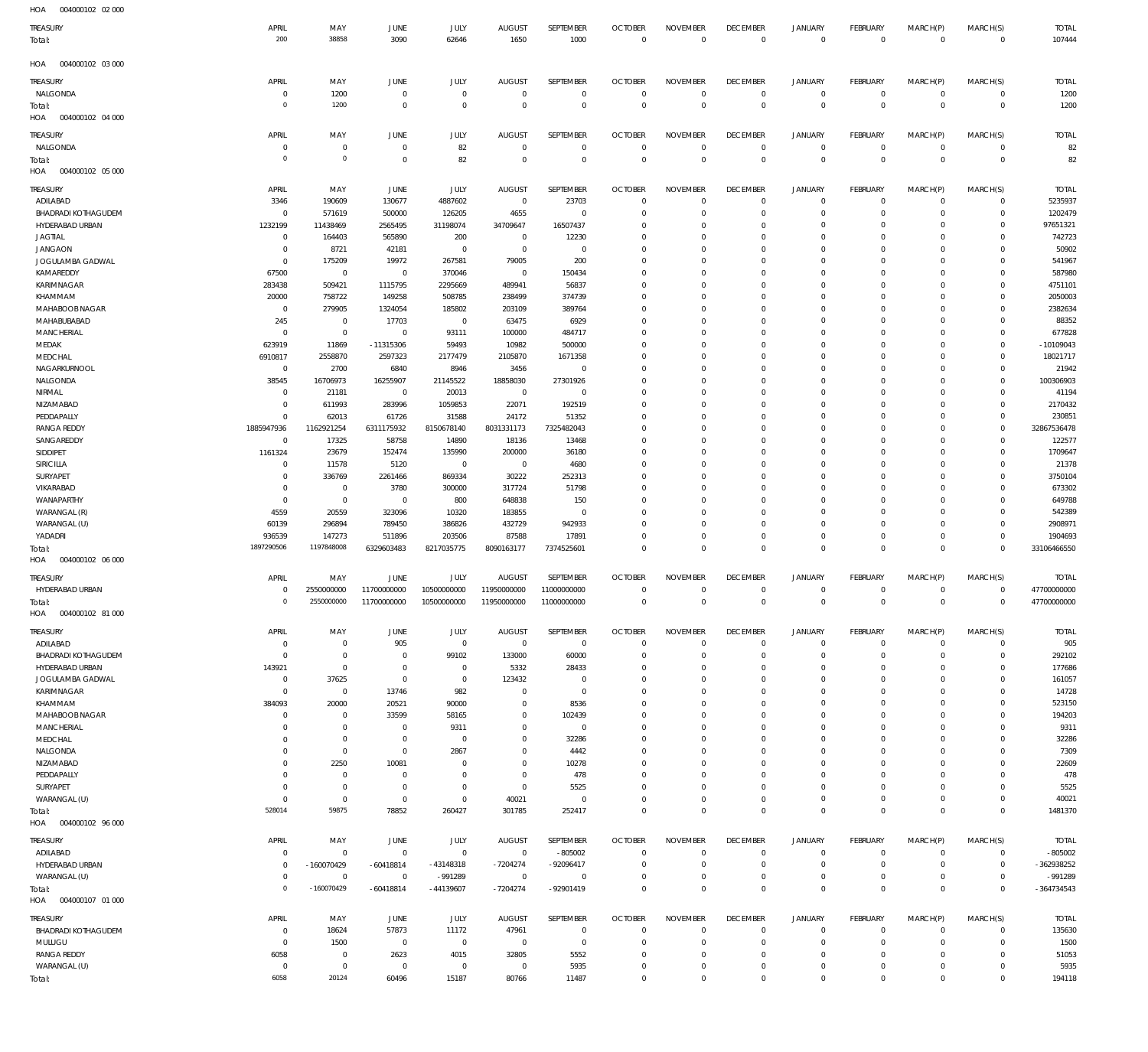| HOA<br>004000102 02 000           |                              |                           |                        |                      |                               |                            |                           |                                  |                               |                            |                              |                               |                             |                    |
|-----------------------------------|------------------------------|---------------------------|------------------------|----------------------|-------------------------------|----------------------------|---------------------------|----------------------------------|-------------------------------|----------------------------|------------------------------|-------------------------------|-----------------------------|--------------------|
| TREASURY                          | APRIL                        | MAY                       | JUNE                   | JULY                 | <b>AUGUST</b>                 | SEPTEMBER                  | <b>OCTOBER</b>            | <b>NOVEMBER</b>                  | <b>DECEMBER</b>               | <b>JANUARY</b>             | <b>FEBRUARY</b>              | MARCH(P)                      | MARCH(S)                    | <b>TOTAL</b>       |
| Total:                            | 200                          | 38858                     | 3090                   | 62646                | 1650                          | 1000                       | $\mathbf 0$               | $\mathbf 0$                      | $\mathbf 0$                   | $\overline{0}$             | $\mathbf 0$                  | $\mathbf 0$                   | $\overline{0}$              | 107444             |
| 004000102 03 000<br>HOA           |                              |                           |                        |                      |                               |                            |                           |                                  |                               |                            |                              |                               |                             |                    |
| TREASURY                          | APRIL                        | MAY                       | JUNE                   | JULY                 | <b>AUGUST</b>                 | SEPTEMBER                  | <b>OCTOBER</b>            | <b>NOVEMBER</b>                  | <b>DECEMBER</b>               | <b>JANUARY</b>             | FEBRUARY                     | MARCH(P)                      | MARCH(S)                    | <b>TOTAL</b>       |
| NALGONDA                          | $\Omega$                     | 1200                      | $\,0\,$                | $\mathbf 0$          | $\overline{0}$                | 0                          | $^{\circ}$                | $\,0\,$                          | $\overline{0}$                | $\mathbf 0$                | $^{\circ}$                   | $\overline{0}$                | $\circ$                     | 1200               |
| Total:                            | $\Omega$                     | 1200                      | $\mathbf 0$            | $\mathbf 0$          | $\overline{0}$                | $\mathbb O$                | $\mathbf 0$               | $\mathbf 0$                      | $\mathbf 0$                   | $\mathbf 0$                | $\overline{0}$               | $\mathbf 0$                   | $\mathbf 0$                 | 1200               |
| HOA<br>004000102 04 000           |                              |                           |                        |                      |                               |                            |                           |                                  |                               |                            |                              |                               |                             |                    |
| TREASURY                          | APRIL                        | MAY                       | JUNE                   | JULY                 | <b>AUGUST</b>                 | SEPTEMBER                  | <b>OCTOBER</b>            | <b>NOVEMBER</b>                  | <b>DECEMBER</b>               | <b>JANUARY</b>             | FEBRUARY                     | MARCH(P)                      | MARCH(S)                    | <b>TOTAL</b>       |
| NALGONDA<br>Total:                | $\Omega$<br>$\Omega$         | $\overline{0}$<br>$\circ$ | $\,0\,$<br>$\mathbf 0$ | 82<br>82             | $\overline{0}$<br>$\mathbf 0$ | $\mathbf 0$<br>$\mathbf 0$ | $^{\circ}$<br>$^{\circ}$  | $\overline{0}$<br>$\mathbf 0$    | $\overline{0}$<br>$\mathbf 0$ | $\mathbf 0$<br>$\mathbf 0$ | $^{\circ}$<br>$\overline{0}$ | $\overline{0}$<br>$\mathbf 0$ | $\mathbf{0}$<br>$\mathbf 0$ | 82<br>82           |
| 004000102 05 000<br>HOA           |                              |                           |                        |                      |                               |                            |                           |                                  |                               |                            |                              |                               |                             |                    |
| TREASURY                          | APRIL                        | MAY                       | JUNE                   | JULY                 | <b>AUGUST</b>                 | SEPTEMBER                  | <b>OCTOBER</b>            | <b>NOVEMBER</b>                  | <b>DECEMBER</b>               | <b>JANUARY</b>             | FEBRUARY                     | MARCH(P)                      | MARCH(S)                    | <b>TOTAL</b>       |
| ADILABAD                          | 3346                         | 190609                    | 130677                 | 4887602              | $\overline{0}$                | 23703                      | $^{\circ}$                | $\mathbf 0$                      | $^{\circ}$                    | $\mathbf 0$                | $\circ$                      | $^{\circ}$                    | 0                           | 5235937            |
| <b>BHADRADI KOTHAGUDEM</b>        | $\Omega$                     | 571619                    | 500000                 | 126205               | 4655                          | $\mathbf 0$                | $^{\circ}$                | $\mathbf 0$                      | $\Omega$                      | $\mathbf 0$                | $\circ$                      | $^{\circ}$                    | $\mathbf 0$                 | 1202479            |
| HYDERABAD URBAN<br><b>JAGTIAL</b> | 1232199<br>$^{\circ}$        | 11438469<br>164403        | 2565495<br>565890      | 31198074<br>200      | 34709647<br>$\overline{0}$    | 16507437<br>12230          | 0<br>$^{\circ}$           | $\mathbf 0$<br>$\mathbf 0$       | $\Omega$<br>$\Omega$          | $\mathbf 0$<br>$\Omega$    | $\Omega$<br>$\Omega$         | $\Omega$<br>$\Omega$          | 0<br>0                      | 97651321<br>742723 |
| <b>JANGAON</b>                    | $\Omega$                     | 8721                      | 42181                  | $\mathbf 0$          | $\overline{0}$                | $\mathbf 0$                | 0                         | $\mathbf 0$                      | $\Omega$                      | $\Omega$                   | $\Omega$                     | $\Omega$                      | 0                           | 50902              |
| JOGULAMBA GADWAL                  | $\Omega$                     | 175209                    | 19972                  | 267581               | 79005                         | 200                        | $\mathbf 0$               | $\overline{0}$                   | $\Omega$                      | $\Omega$                   | $\Omega$                     | $\Omega$                      | 0                           | 541967             |
| KAMAREDDY                         | 67500                        | $\overline{0}$            | $\,0\,$                | 370046               | $\overline{0}$                | 150434                     | $^{\circ}$                | $\mathbf 0$                      | $\Omega$                      | $\Omega$                   | $\Omega$                     | $\Omega$                      | 0                           | 587980             |
| KARIMNAGAR                        | 283438                       | 509421                    | 1115795                | 2295669              | 489941                        | 56837                      | $^{\circ}$                | $\mathbf 0$                      | $\Omega$                      | $\Omega$                   | $\Omega$                     | $\Omega$                      | 0                           | 4751101            |
| KHAMMAM<br>MAHABOOB NAGAR         | 20000<br>$\overline{0}$      | 758722<br>279905          | 149258<br>1324054      | 508785<br>185802     | 238499<br>203109              | 374739<br>389764           | $\Omega$<br>$^{\circ}$    | $\overline{0}$<br>$\overline{0}$ | $\Omega$<br>$\Omega$          | $\Omega$<br>$\Omega$       | $\Omega$<br>$\Omega$         | $\Omega$<br>$\Omega$          | 0<br>0                      | 2050003<br>2382634 |
| MAHABUBABAD                       | 245                          | $\overline{0}$            | 17703                  | $\overline{0}$       | 63475                         | 6929                       | 0                         | $\mathbf 0$                      | $\Omega$                      | $\Omega$                   | $\Omega$                     | $\Omega$                      | 0                           | 88352              |
| <b>MANCHERIAL</b>                 | $\Omega$                     | $\mathbf 0$               | $\,0\,$                | 93111                | 100000                        | 484717                     | $\mathbf 0$               | $\overline{0}$                   | $\Omega$                      | $\Omega$                   | $\Omega$                     | $\Omega$                      | 0                           | 677828             |
| MEDAK                             | 623919                       | 11869                     | -11315306              | 59493                | 10982                         | 500000                     | $^{\circ}$                | $\overline{0}$                   | $\Omega$                      | $\Omega$                   | $\Omega$                     | $\Omega$                      | 0                           | $-10109043$        |
| MEDCHAL                           | 6910817                      | 2558870                   | 2597323                | 2177479              | 2105870                       | 1671358                    | $^{\circ}$                | $\mathbf 0$                      | $\Omega$                      | $\Omega$                   | $\Omega$                     | $\Omega$                      | 0                           | 18021717           |
| NAGARKURNOOL<br>NALGONDA          | $^{\circ}$<br>38545          | 2700<br>16706973          | 6840<br>16255907       | 8946<br>21145522     | 3456<br>18858030              | $\mathbf 0$<br>27301926    | 0<br>$\mathbf 0$          | $\mathbf 0$<br>$\overline{0}$    | $\Omega$<br>$\Omega$          | $\Omega$<br>$\Omega$       | $\Omega$<br>$\Omega$         | $\Omega$<br>$\Omega$          | $\mathbf 0$<br>$\mathbf 0$  | 21942<br>100306903 |
| NIRMAL                            | $\Omega$                     | 21181                     | $\overline{0}$         | 20013                | $\overline{0}$                | 0                          | $^{\circ}$                | $\overline{0}$                   | $\Omega$                      | $\Omega$                   | $\Omega$                     | $\Omega$                      | $\mathbf 0$                 | 41194              |
| NIZAMABAD                         | $\Omega$                     | 611993                    | 283996                 | 1059853              | 22071                         | 192519                     | $^{\circ}$                | $\mathbf 0$                      | $\Omega$                      | $\Omega$                   | $\Omega$                     | $\Omega$                      | $\mathbf 0$                 | 2170432            |
| PEDDAPALLY                        | $\Omega$                     | 62013                     | 61726                  | 31588                | 24172                         | 51352                      | 0                         | $\overline{0}$                   | $\Omega$                      | $\Omega$                   | $\Omega$                     | $\Omega$                      | $\mathbf 0$                 | 230851             |
| <b>RANGA REDDY</b>                | 1885947936                   | 1162921254                | 6311175932             | 8150678140           | 8031331173                    | 7325482043                 | $\mathbf 0$               | $\overline{0}$                   | $\Omega$                      | $\Omega$                   | $\Omega$                     | $\Omega$                      | $\mathbf 0$                 | 32867536478        |
| SANGAREDDY<br>SIDDIPET            | $\Omega$<br>1161324          | 17325<br>23679            | 58758<br>152474        | 14890<br>135990      | 18136<br>200000               | 13468<br>36180             | 0<br>$^{\circ}$           | $\mathbf 0$<br>$\overline{0}$    | $\Omega$<br>$\Omega$          | $\Omega$<br>$\Omega$       | $\Omega$<br>$\Omega$         | $\Omega$<br>$\Omega$          | $\mathbf 0$<br>$\mathbf 0$  | 122577<br>1709647  |
| <b>SIRICILLA</b>                  | $\Omega$                     | 11578                     | 5120                   | $\overline{0}$       | $\overline{0}$                | 4680                       | 0                         | $\overline{0}$                   | $\Omega$                      | $\Omega$                   | $\Omega$                     | $\Omega$                      | 0                           | 21378              |
| SURYAPET                          | $\Omega$                     | 336769                    | 2261466                | 869334               | 30222                         | 252313                     | $^{\circ}$                | $\overline{0}$                   | $\Omega$                      | $\Omega$                   | $\Omega$                     | $\Omega$                      | 0                           | 3750104            |
| VIKARABAD                         | $\Omega$                     | $\overline{0}$            | 3780                   | 300000               | 317724                        | 51798                      | 0                         | $\mathbf 0$                      | $\Omega$                      | $\Omega$                   | $\Omega$                     | $\Omega$                      | 0                           | 673302             |
| WANAPARTHY                        | $\Omega$                     | $\overline{0}$            | $\,0\,$                | 800                  | 648838                        | 150                        | $^{\circ}$                | $\overline{0}$                   | $\Omega$                      | $\Omega$                   | $\Omega$                     | $\Omega$                      | 0                           | 649788             |
| WARANGAL (R)<br>WARANGAL (U)      | 4559<br>60139                | 20559<br>296894           | 323096<br>789450       | 10320<br>386826      | 183855<br>432729              | $\mathbf 0$<br>942933      | 0<br>$\mathbf 0$          | $\mathbf 0$<br>$\mathbf 0$       | $\Omega$<br>$\Omega$          | $\Omega$<br>$\Omega$       | $\Omega$<br>$\Omega$         | $\mathbf 0$<br>$\Omega$       | 0<br>0                      | 542389<br>2908971  |
| YADADRI                           | 936539                       | 147273                    | 511896                 | 203506               | 87588                         | 17891                      | $\mathbf 0$               | $\mathbf 0$                      | $\Omega$                      | $\mathbf 0$                | $\Omega$                     | $\overline{0}$                | $\mathbf 0$                 | 1904693            |
| rotal:                            | 1897290506                   | 1197848008                | 6329603483             | 8217035775           | 8090163177                    | 7374525601                 | $\mathbf 0$               | $\mathbf 0$                      | $\Omega$                      | $\mathbf{0}$               | $^{\circ}$                   | $\mathbf{0}$                  | $\mathbf 0$                 | 33106466550        |
| HOA<br>004000102 06 000           |                              |                           |                        |                      |                               |                            |                           |                                  |                               |                            |                              |                               |                             |                    |
| TREASURY                          | APRIL                        | MAY                       | JUNE                   | JULY                 | <b>AUGUST</b>                 | SEPTEMBER                  | <b>OCTOBER</b>            | <b>NOVEMBER</b>                  | <b>DECEMBER</b>               | <b>JANUARY</b>             | FEBRUARY                     | MARCH(P)                      | MARCH(S)                    | <b>TOTAL</b>       |
| HYDERABAD URBAN                   | $\Omega$<br>$\Omega$         | 2550000000<br>2550000000  | 11700000000            | 10500000000          | 11950000000                   | 11000000000                | $\Omega$                  | $\mathbf 0$                      | $\Omega$                      | $\mathbf 0$                | $\mathbf 0$                  | $\overline{0}$                | $\mathbf{0}$                | 47700000000        |
| Total:<br>HOA<br>004000102 81 000 |                              |                           | 11700000000            | 10500000000          | 11950000000                   | 11000000000                | $\mathbf 0$               | $\,0\,$                          | $\mathbb O$                   | $\,0\,$                    | $\overline{0}$               | $\mathbf 0$                   | $\mathbf 0$                 | 47700000000        |
| TREASURY                          | APRIL                        | MAY                       | JUNE                   | JULY                 | <b>AUGUST</b>                 | SEPTEMBER                  | <b>OCTOBER</b>            | <b>NOVEMBER</b>                  | <b>DECEMBER</b>               | <b>JANUARY</b>             | FEBRUARY                     | MARCH(P)                      | MARCH(S)                    | <b>TOTAL</b>       |
| ADILABAD                          | $\Omega$                     | 0                         | 905                    | $\overline{0}$       | $\overline{0}$                | $\mathbf 0$                | $\mathbf 0$               | $\,0\,$                          | $\mathbf 0$                   | $\mathbf 0$                | $^{\circ}$                   | $\overline{0}$                | $\mathbf 0$                 | 905                |
| <b>BHADRADI KOTHAGUDEM</b>        | $\Omega$                     | 0                         | $\,0\,$                | 99102                | 133000                        | 60000                      | $^{\circ}$                | $\mathbf 0$                      | $\mathbf 0$                   | $\mathbf 0$                | $\circ$                      | $\overline{0}$                | 0                           | 292102             |
| HYDERABAD URBAN                   | 143921                       | $\overline{0}$            | $\,0\,$                | $\overline{0}$       | 5332                          | 28433                      | $^{\circ}$                | $\overline{0}$                   | $\Omega$                      | $\mathbf 0$                | $\circ$                      | $\mathbf 0$                   | 0                           | 177686             |
| JOGULAMBA GADWAL<br>KARIMNAGAR    | $^{\circ}$<br>$\overline{0}$ | 37625<br>$\mathbf 0$      | $\,0\,$<br>13746       | $\mathbf 0$<br>982   | 123432<br>$\overline{0}$      | 0<br>0                     | 0<br>$\mathbf 0$          | $\mathbf 0$<br>$\overline{0}$    | $\Omega$<br>$\Omega$          | $\mathbf 0$<br>$\Omega$    | - 0<br>$\Omega$              | $\mathbf 0$<br>$\mathbf 0$    | 0<br>0                      | 161057<br>14728    |
| KHAMMAM                           | 384093                       | 20000                     | 20521                  | 90000                | $\overline{0}$                | 8536                       | 0                         | $\overline{0}$                   | $\Omega$                      | $\mathbf 0$                | $\Omega$                     | $\mathbf 0$                   | 0                           | 523150             |
| MAHABOOB NAGAR                    | $\Omega$                     | $\overline{0}$            | 33599                  | 58165                | $\overline{0}$                | 102439                     | $^{\circ}$                | $\overline{0}$                   | $\Omega$                      | $\Omega$                   | $\Omega$                     | $\mathbf 0$                   | 0                           | 194203             |
| <b>MANCHERIAL</b>                 | $\Omega$                     | 0                         | $\,0\,$                | 9311                 | $\mathbf 0$                   | $\mathbf 0$                | 0                         | $\mathbf 0$                      | $\Omega$                      | $\Omega$                   | $\Omega$                     | $\mathbf 0$                   | 0                           | 9311               |
| MEDCHAL                           | $\Omega$<br>$\Omega$         | $\overline{0}$            | $\,0\,$                | $\mathbf 0$          | $\overline{0}$<br>$\mathbf 0$ | 32286                      | $\mathbf 0$<br>$^{\circ}$ | $\overline{0}$                   | $\Omega$                      | $\Omega$<br>$\mathbf 0$    | $\Omega$<br>$\Omega$         | $\mathbf 0$<br>$\mathbf 0$    | $\mathbf 0$                 | 32286              |
| NALGONDA<br>NIZAMABAD             | $\Omega$                     | $\mathbf 0$<br>2250       | $\,0\,$<br>10081       | 2867<br>$\mathbf{0}$ | $\overline{0}$                | 4442<br>10278              | $^{\circ}$                | $\overline{0}$<br>$\overline{0}$ | $\mathbf{0}$<br>$\Omega$      | $\Omega$                   | $\Omega$                     | $\mathbf 0$                   | 0<br>0                      | 7309<br>22609      |
| PEDDAPALLY                        | $\Omega$                     | $\mathbf 0$               | $\,0\,$                | $\mathbf{0}$         | $\overline{0}$                | 478                        | 0                         | $\overline{0}$                   | $\Omega$                      | $\Omega$                   | $\Omega$                     | $\mathbf 0$                   | 0                           | 478                |
| SURYAPET                          | $\Omega$                     | $\overline{0}$            | $\,0\,$                | $\mathbf 0$          | $\overline{0}$                | 5525                       | $\mathbf 0$               | $\overline{0}$                   | $\Omega$                      | $\mathbf 0$                | $\circ$                      | $\mathbf 0$                   | 0                           | 5525               |
| WARANGAL (U)                      | $\Omega$                     | $\mathbf 0$               | $\,0\,$                | $\mathbf 0$          | 40021                         | 0                          | $^{\circ}$                | $\,0\,$                          | $\mathbf 0$                   | $\mathbf 0$                | $\circ$                      | $\overline{0}$                | $\mathbf 0$                 | 40021              |
| Total:<br>HOA<br>004000102 96 000 | 528014                       | 59875                     | 78852                  | 260427               | 301785                        | 252417                     | $\mathbf 0$               | $\mathbf 0$                      | $\mathbf 0$                   | $\mathbf{0}$               | $\overline{0}$               | $\overline{0}$                | $\mathbf 0$                 | 1481370            |
| TREASURY                          | APRIL                        | MAY                       | JUNE                   | <b>JULY</b>          | <b>AUGUST</b>                 | SEPTEMBER                  | <b>OCTOBER</b>            | <b>NOVEMBER</b>                  | <b>DECEMBER</b>               | <b>JANUARY</b>             | FEBRUARY                     | MARCH(P)                      | MARCH(S)                    | <b>TOTAL</b>       |
| ADILABAD                          | $\Omega$                     | $\mathbf 0$               | $\mathbf 0$            | $\overline{0}$       | $\,0\,$                       | $-805002$                  | $^{\circ}$                | $\mathbf{0}$                     | $\overline{0}$                | $\mathbf 0$                | $\Omega$                     | $\circ$                       | $\mathbf 0$                 | $-805002$          |
| HYDERABAD URBAN                   | $\Omega$                     | $-160070429$              | -60418814              | -43148318            | $-7204274$                    | -92096417                  | 0                         | $\overline{0}$                   | $\mathbf 0$                   | $\mathbf 0$                | $\circ$                      | $\circ$                       | $\circ$                     | -362938252         |
| WARANGAL (U)                      | $\Omega$                     | $\mathbf 0$               | $\overline{0}$         | -991289              | $\mathbf 0$                   | $\mathbf 0$                | 0                         | $\mathbf 0$                      | $\mathbf{0}$                  | $\mathbf 0$                | $\circ$                      | $\mathbf 0$                   | 0                           | $-991289$          |
| Total:<br>HOA<br>004000107 01 000 | $\Omega$                     | $-160070429$              | $-60418814$            | $-44139607$          | $-7204274$                    | -92901419                  | $^{\circ}$                | $\mathbf 0$                      | $\Omega$                      | $\mathbf{0}$               | $\overline{0}$               | $\mathbf{0}$                  | $\mathbf 0$                 | $-364734543$       |
| TREASURY                          | APRIL                        | MAY                       | JUNE                   | <b>JULY</b>          | <b>AUGUST</b>                 | SEPTEMBER                  | <b>OCTOBER</b>            | <b>NOVEMBER</b>                  | <b>DECEMBER</b>               | <b>JANUARY</b>             | FEBRUARY                     | MARCH(P)                      | MARCH(S)                    | <b>TOTAL</b>       |
| <b>BHADRADI KOTHAGUDEM</b>        | $\Omega$                     | 18624                     | 57873                  | 11172                | 47961                         | $\mathbf 0$                | $^{\circ}$                | $\overline{0}$                   | $\mathbf 0$                   | $\mathbf 0$                | $^{\circ}$                   | $\overline{0}$                | $\mathbf 0$                 | 135630             |
| MULUGU                            | $\overline{0}$               | 1500                      | $\,0\,$                | $\overline{0}$       | $\overline{0}$                | 0                          | 0                         | $\overline{0}$                   | $\mathbf{0}$                  | $\mathbf 0$                | $\circ$                      | $\overline{0}$                | 0                           | 1500               |
| RANGA REDDY                       | 6058                         | $\mathbf 0$               | 2623                   | 4015                 | 32805                         | 5552                       | $\mathbf 0$               | $\overline{0}$                   | $\mathbf{0}$                  | $\mathbf 0$                | $\circ$                      | $\circ$                       | $\mathbf 0$                 | 51053              |
| WARANGAL (U)                      | $\Omega$                     | $\overline{0}$            | $\,0\,$                | $\mathbf 0$          | $\overline{0}$                | 5935                       | $\mathbf 0$               | $\,0\,$                          | $\overline{0}$                | $\mathsf 0$                | $\circ$                      | $\mathsf 0$                   | $\mathbf 0$                 | 5935               |
| Total:                            | 6058                         | 20124                     | 60496                  | 15187                | 80766                         | 11487                      | 0                         | $\mathbf 0$                      | $\mathbf 0$                   | $\mathbf 0$                | $\mathbf 0$                  | $\mathbf 0$                   | $\mathbb O$                 | 194118             |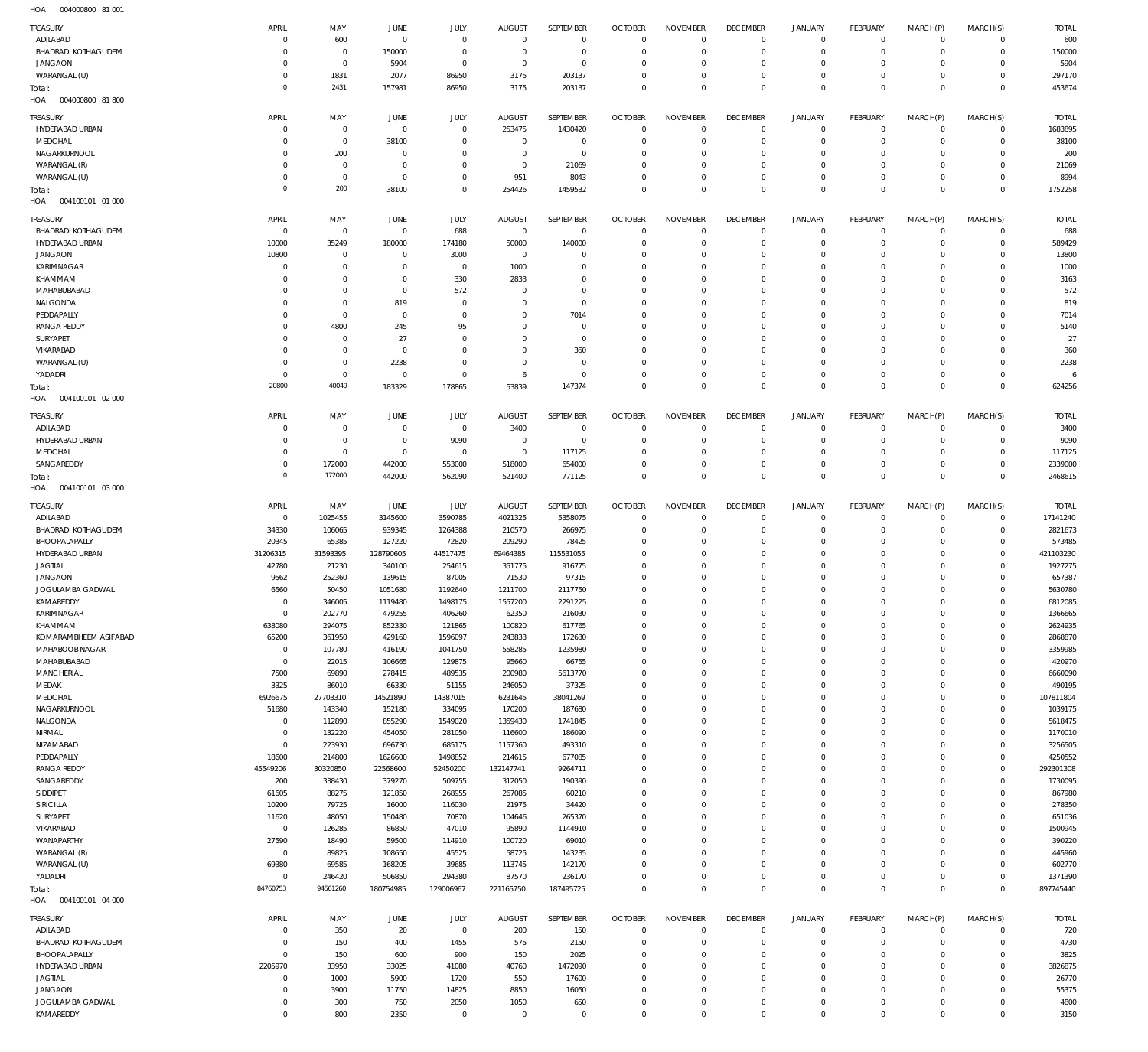004000800 81 001 HOA

| <b>TREASURY</b>                   | APRIL                 | MAY                        | <b>JUNE</b>         | JULY                       | <b>AUGUST</b>        | SEPTEMBER           | <b>OCTOBER</b>                | <b>NOVEMBER</b>                | <b>DECEMBER</b>               | <b>JANUARY</b>             | <b>FEBRUARY</b>            | MARCH(P)                   | MARCH(S)                   | <b>TOTAL</b>        |
|-----------------------------------|-----------------------|----------------------------|---------------------|----------------------------|----------------------|---------------------|-------------------------------|--------------------------------|-------------------------------|----------------------------|----------------------------|----------------------------|----------------------------|---------------------|
| ADILABAD                          | 0                     | 600                        | $\mathbf 0$         | $\mathbf{0}$               | $^{\circ}$           | $\mathbf{0}$        | $^{\circ}$                    | $^{\circ}$                     | $^{\circ}$                    | 0                          | $\mathbf 0$                | $\mathbf 0$                | $\mathbf{0}$               | 600                 |
| <b>BHADRADI KOTHAGUDEM</b>        | $\Omega$              | $\mathbf 0$                | 150000              | $\mathbf 0$                | 0                    | $\mathbf 0$         | $^{\circ}$                    | $^{\circ}$                     | $^{\circ}$                    | $\mathbf 0$                | $\mathbf 0$                | $\mathbf 0$                | $\mathbf{0}$               | 150000              |
| <b>JANGAON</b>                    | $\Omega$              | $\mathbf 0$                | 5904                | $\mathbf 0$                | $\circ$              | $\mathbf{0}$        | 0                             | $^{\circ}$                     | 0                             | 0                          | $^{\circ}$                 | $\Omega$                   | $^{\circ}$                 | 5904                |
| WARANGAL (U)                      | $\Omega$              | 1831                       | 2077                | 86950                      | 3175                 | 203137              | $^{\circ}$                    | $\mathbf 0$                    | $\mathbf 0$                   | $\mathbf 0$                | $\mathbf 0$                | $\mathbf 0$                | $\mathbf 0$                | 297170              |
| Total:                            | $\Omega$              | 2431                       | 157981              | 86950                      | 3175                 | 203137              | $\mathbf 0$                   | $\mathbf 0$                    | $\mathbf 0$                   | $\mathbf 0$                | $\overline{0}$             | $\Omega$                   | $\mathbf 0$                | 453674              |
| HOA<br>004000800 81800            |                       |                            |                     |                            |                      |                     |                               |                                |                               |                            |                            |                            |                            |                     |
| TREASURY                          | APRIL                 | MAY                        | JUNE                | JULY                       | <b>AUGUST</b>        | SEPTEMBER           | <b>OCTOBER</b>                | <b>NOVEMBER</b>                | <b>DECEMBER</b>               | <b>JANUARY</b>             | <b>FEBRUARY</b>            | MARCH(P)                   | MARCH(S)                   | <b>TOTAL</b>        |
| HYDERABAD URBAN                   | C                     | $\,0\,$                    | $\overline{0}$      | $\mathbf 0$                | 253475               | 1430420             | $^{\circ}$                    | $^{\circ}$                     | $\overline{0}$                | 0                          | $^{\circ}$                 | $\mathbf 0$                | $\mathbf{0}$               | 1683895             |
| MEDCHAL                           | $\Omega$              | $\mathbf 0$                | 38100               | $\mathbf 0$                | $^{\circ}$           | $\mathbf 0$         | $^{\circ}$                    | $\mathbf 0$                    | $^{\circ}$                    | $\mathbf 0$                | $\mathbf 0$                | $\mathbf 0$                | $\mathbf{0}$               | 38100               |
| NAGARKURNOOL                      | 0                     | 200                        | $\overline{0}$      | $\mathbf 0$                | 0                    | $\mathbf 0$         | 0                             | 0                              | 0                             | $\mathbf 0$                | $\mathbf 0$                | 0                          | $\mathbf 0$                | 200                 |
| WARANGAL (R)                      | $\Omega$              | $\mathbf 0$                | $\overline{0}$      | $\mathbf 0$                | 0                    | 21069               | $^{\circ}$                    | $\mathbf 0$                    | $^{\circ}$                    | $\mathbf 0$                | $\mathbf 0$                | $\Omega$                   | $\mathbf 0$                | 21069               |
| WARANGAL (U)                      | 0                     | $\,0\,$                    | $^{\circ}$          | $\mathbf 0$                | 951                  | 8043                | 0                             | $^{\circ}$                     | $^{\circ}$                    | $\mathbf 0$                | $^{\circ}$                 | $\mathbf 0$                | $\mathbf 0$                | 8994                |
| Total:                            | $\Omega$              | 200                        | 38100               | $\mathbf 0$                | 254426               | 1459532             | $^{\circ}$                    | $\mathbf 0$                    | $^{\circ}$                    | $\mathbf 0$                | $\mathbf 0$                | $\mathbf 0$                | $\mathbf 0$                | 1752258             |
| HOA<br>004100101 01 000           |                       |                            |                     |                            |                      |                     |                               |                                |                               |                            |                            |                            |                            |                     |
| TREASURY                          | APRIL                 | MAY                        | JUNE                | JULY                       | <b>AUGUST</b>        | SEPTEMBER           | <b>OCTOBER</b>                | <b>NOVEMBER</b>                | <b>DECEMBER</b>               | <b>JANUARY</b>             | FEBRUARY                   | MARCH(P)                   | MARCH(S)                   | <b>TOTAL</b>        |
| <b>BHADRADI KOTHAGUDEM</b>        | $^{\circ}$            | $\mathbf 0$                | $\mathbf 0$         | 688                        | $\mathbf 0$          | $\mathbf 0$         | $^{\circ}$                    | $^{\circ}$                     | $^{\circ}$                    | 0                          | $\overline{0}$             | $\mathbf 0$                | $\mathbf{0}$               | 688                 |
| HYDERABAD URBAN                   | 10000                 | 35249                      | 180000              | 174180                     | 50000                | 140000              | $^{\circ}$                    | $^{\circ}$                     | $^{\circ}$                    | $\mathbf 0$                | $^{\circ}$                 | $\mathbf 0$                | $\mathbf 0$                | 589429              |
| <b>JANGAON</b>                    | 10800                 | $\overline{0}$             | $^{\circ}$          | 3000                       | $\circ$              | $\mathbf{0}$        | $^{\circ}$                    | $^{\circ}$                     | $^{\circ}$                    | $\mathbf 0$                | $^{\circ}$                 | $\Omega$                   | $\mathbf 0$                | 13800               |
| KARIMNAGAR                        | 0                     | $\mathbf 0$                | $^{\circ}$          | $\mathbf{0}$               | 1000                 | $\mathbf{0}$        | 0                             | $^{\circ}$                     | $^{\circ}$                    | $\mathbf 0$                | $\mathbf 0$                | $\Omega$                   | $\mathbf 0$                | 1000                |
| KHAMMAM                           | $\Omega$              | $\overline{0}$             | $^{\circ}$          | 330                        | 2833                 | $\mathbf{0}$        | 0                             | $^{\circ}$                     | 0                             | 0                          | $\mathbf 0$                | $\Omega$                   | $\mathbf 0$                | 3163                |
| MAHABUBABAD                       | $\Omega$              | $\overline{0}$             | $^{\circ}$          | 572                        | 0                    | $\mathbf{0}$        | 0                             | $\mathbf 0$                    | 0                             | $\mathbf 0$                | $\mathbf 0$                | $\Omega$                   | $\mathbf 0$                | 572                 |
| NALGONDA<br>PEDDAPALLY            | $\Omega$<br>$\Omega$  | $\mathbf 0$<br>$\mathbf 0$ | 819<br>$\mathbf{0}$ | $\mathbf 0$<br>$\mathbf 0$ | 0<br>$\Omega$        | $\mathbf 0$<br>7014 | 0<br>$^{\circ}$               | $^{\circ}$<br>$\mathbf 0$      | 0<br>$\mathbf 0$              | $\mathbf 0$<br>$\mathbf 0$ | $\mathbf 0$<br>$\Omega$    | $\Omega$<br>$\Omega$       | $\mathbf 0$<br>$\mathbf 0$ | 819<br>7014         |
| <b>RANGA REDDY</b>                | $\Omega$              | 4800                       | 245                 | 95                         | 0                    | $\mathbf{0}$        | 0                             | $\mathbf 0$                    | 0                             | 0                          | O                          | $\Omega$                   | $\mathbf 0$                | 5140                |
| SURYAPET                          | $\Omega$              | $\overline{0}$             | 27                  | $\mathbf 0$                | $\Omega$             | $\mathbf 0$         | 0                             | $\mathbf 0$                    | $\mathbf 0$                   | $\mathbf 0$                | $\Omega$                   | $\Omega$                   | $\Omega$                   | 27                  |
| VIKARABAD                         | $\Omega$              | $\overline{0}$             | $\mathbf{0}$        | $\mathbf 0$                | 0                    | 360                 | 0                             | $\mathbf 0$                    | 0                             | 0                          | $\mathbf 0$                | $\Omega$                   | $\mathbf 0$                | 360                 |
| WARANGAL (U)                      | $\Omega$              | $\mathbf 0$                | 2238                | $\mathbf{0}$               | 0                    | $\mathbf{0}$        | 0                             | $\mathbf 0$                    | $\mathbf 0$                   | $\mathbf 0$                | $\mathbf 0$                | $\Omega$                   | $\mathbf 0$                | 2238                |
| YADADRI                           | $^{\circ}$            | $\mathbf 0$                | $\mathbf{0}$        | $\mathbf 0$                | 6                    | $\mathbf 0$         | $\mathbf 0$                   | $\mathbf 0$                    | $\mathbf 0$                   | $\mathbf 0$                | $\mathbf 0$                | $\mathbf 0$                | $\mathbf 0$                | $\epsilon$          |
| Total:                            | 20800                 | 40049                      | 183329              | 178865                     | 53839                | 147374              | $\mathbf 0$                   | $\mathbf 0$                    | $\mathbf 0$                   | $\mathbf 0$                | $\mathbf 0$                | $\mathbf 0$                | $\mathbf 0$                | 624256              |
| 004100101 02 000<br>HOA           |                       |                            |                     |                            |                      |                     |                               |                                |                               |                            |                            |                            |                            |                     |
| TREASURY                          | APRIL                 | MAY                        | JUNE                | JULY                       | <b>AUGUST</b>        | SEPTEMBER           | <b>OCTOBER</b>                | <b>NOVEMBER</b>                | <b>DECEMBER</b>               | <b>JANUARY</b>             | FEBRUARY                   | MARCH(P)                   | MARCH(S)                   | <b>TOTAL</b>        |
| ADILABAD                          | 0                     | $\mathbf 0$                | $\mathbf{0}$        | $\mathbf 0$                | 3400                 | $\mathbf{0}$        | $^{\circ}$                    | $\mathbf 0$                    | $^{\circ}$                    | $\mathbf 0$                | $\mathbf 0$                | $\mathbf 0$                | $^{\circ}$                 | 3400                |
| HYDERABAD URBAN                   | 0                     | $\,0\,$                    | $^{\circ}$          | 9090                       | 0                    | $\mathbf 0$         | 0                             | $^{\circ}$                     | 0                             | 0                          | $\mathbf 0$                | $\mathbf 0$                | $\mathbf 0$                | 9090                |
| MEDCHAL                           | $\Omega$              | $\mathbf 0$                | $^{\circ}$          | $\mathbf 0$                | $^{\circ}$           | 117125              | $^{\circ}$                    | $\mathbf 0$                    | $^{\circ}$                    | 0                          | $\mathbf 0$                | $\mathbf 0$                | $\mathbf 0$                | 117125              |
| SANGAREDDY                        | 0                     | 172000                     | 442000              | 553000                     | 518000               | 654000              | 0                             | $\mathbf 0$                    | $^{\circ}$                    | $\mathbf 0$                | $\mathbf 0$                | $\mathbf 0$                | $\mathbf 0$                | 2339000             |
| Total:                            | $\Omega$              | 172000                     | 442000              | 562090                     | 521400               | 771125              | $\mathbf 0$                   | $\mathbf 0$                    | $\mathbf 0$                   | $\mathbf 0$                | $\mathbf 0$                | $\mathbf 0$                | $\mathbf 0$                | 2468615             |
| HOA<br>004100101 03 000           |                       |                            |                     |                            |                      |                     |                               |                                |                               |                            |                            |                            |                            |                     |
| TREASURY                          | APRIL                 | MAY                        | JUNE                | JULY                       | <b>AUGUST</b>        | SEPTEMBER           | <b>OCTOBER</b>                | <b>NOVEMBER</b>                | <b>DECEMBER</b>               | <b>JANUARY</b>             | FEBRUARY                   | MARCH(P)                   | MARCH(S)                   | <b>TOTAL</b>        |
| ADILABAD                          | $\mathbf 0$           | 1025455                    | 3145600             | 3590785                    | 4021325              | 5358075             | $^{\circ}$                    | $^{\circ}$                     | $^{\circ}$                    | $\mathbf 0$                | $\overline{0}$             | $\mathbf 0$                | $\mathbf{0}$               | 17141240            |
| <b>BHADRADI KOTHAGUDEM</b>        | 34330                 | 106065                     | 939345              | 1264388                    | 210570               | 266975              | 0                             | $^{\circ}$                     | $^{\circ}$                    | $\mathbf 0$                | $^{\circ}$                 | $\mathbf 0$                | $\mathbf{0}$               | 2821673             |
| BHOOPALAPALLY                     | 20345                 | 65385                      | 127220              | 72820                      | 209290               | 78425               | $^{\circ}$                    | $^{\circ}$                     | $^{\circ}$                    | 0                          | $^{\circ}$                 | $\Omega$                   | $\mathbf 0$                | 573485              |
| HYDERABAD URBAN                   | 31206315              | 31593395                   | 128790605           | 44517475                   | 69464385             | 115531055           | 0                             | $^{\circ}$                     | 0                             | $\mathbf 0$                | $\mathbf 0$                | $\mathbf 0$                | $\mathbf 0$                | 421103230           |
| <b>JAGTIAL</b>                    | 42780                 | 21230                      | 340100              | 254615                     | 351775               | 916775              | 0                             | $^{\circ}$                     | $^{\circ}$                    | 0                          | $\mathbf 0$                | $\Omega$                   | $\mathbf 0$                | 1927275             |
| <b>JANGAON</b>                    | 9562                  | 252360                     | 139615              | 87005                      | 71530                | 97315               | 0                             | $\mathbf 0$                    | 0                             | 0                          | 0                          | $\Omega$                   | $\mathbf 0$                | 657387              |
| JOGULAMBA GADWAL                  | 6560                  | 50450                      | 1051680             | 1192640                    | 1211700              | 2117750             | 0                             | $^{\circ}$                     | 0                             | 0                          | $\mathbf 0$                | 0                          | $\mathbf 0$                | 5630780             |
| KAMAREDDY                         | $\overline{0}$        | 346005                     | 1119480             | 1498175                    | 1557200              | 2291225             | $\mathbf 0$                   | $\mathbf 0$                    | $\mathbf 0$                   | $\mathbf 0$                | $\Omega$                   | $\Omega$                   | $\Omega$                   | 6812085             |
| KARIMNAGAR                        |                       | 202770                     | 479255              | 406260                     | 62350                | 216030              | 0                             | 0                              |                               |                            |                            |                            |                            | 1366665             |
| KHAMMAM<br>KOMARAMBHEEM ASIFABAD  | 638080<br>65200       | 294075                     | 852330              | 121865                     | 100820               | 617765              | $\mathbf 0$<br>$^{\circ}$     | $\mathbf 0$<br>$\mathbf 0$     | $\mathbf 0$<br>$^{\circ}$     | $\mathbf 0$<br>$\mathbf 0$ | $\mathbf 0$<br>$\mathbf 0$ | $\mathbf 0$<br>$\mathbf 0$ | $\mathbf 0$<br>$\mathbf 0$ | 2624935<br>2868870  |
| MAHABOOB NAGAR                    | $\mathbf 0$           | 361950<br>107780           | 429160<br>416190    | 1596097<br>1041750         | 243833<br>558285     | 172630<br>1235980   | $^{\circ}$                    | $\mathbf 0$                    | $^{\circ}$                    | $\mathbf 0$                | $\Omega$                   | $\Omega$                   | $\mathbf 0$                | 3359985             |
| MAHABUBABAD                       | $\mathbf 0$           | 22015                      | 106665              | 129875                     | 95660                | 66755               | $^{\circ}$                    | $\mathbf 0$                    | $^{\circ}$                    | $\mathbf 0$                | $\mathbf 0$                | $\Omega$                   | $\mathbf 0$                | 420970              |
| MANCHERIAL                        | 7500                  | 69890                      | 278415              | 489535                     | 200980               | 5613770             | $^{\circ}$                    | $\mathbf 0$                    | $^{\circ}$                    | $\mathbf 0$                | $\mathbf 0$                | $\Omega$                   | $\mathbf 0$                | 6660090             |
| MEDAK                             | 3325                  | 86010                      | 66330               | 51155                      | 246050               | 37325               | $\mathbf 0$                   | $\mathbf 0$                    | $\mathbf 0$                   | $\mathbf 0$                | $\mathbf 0$                | $\Omega$                   | $\mathbf 0$                | 490195              |
| MEDCHAL                           | 6926675               | 27703310                   | 14521890            | 14387015                   | 6231645              | 38041269            | $^{\circ}$                    | $\mathbf 0$                    | $\mathbf 0$                   | $\mathbf 0$                | $\mathbf 0$                | $\Omega$                   | $\mathbf 0$                | 107811804           |
| NAGARKURNOOL                      | 51680                 | 143340                     | 152180              | 334095                     | 170200               | 187680              | $^{\circ}$                    | $\mathbf 0$                    | $\mathbf 0$                   | $\mathbf 0$                | $\mathbf 0$                | $\Omega$                   | $\mathbf 0$                | 1039175             |
| NALGONDA                          | $\mathbf 0$           | 112890                     | 855290              | 1549020                    | 1359430              | 1741845             | $\mathbf 0$                   | $\mathbf 0$                    | $\mathbf 0$                   | $\mathbf 0$                | $\mathbf 0$                | $\mathbf 0$                | $\mathbf 0$                | 5618475             |
| NIRMAL                            | $\overline{0}$        | 132220                     | 454050              | 281050                     | 116600               | 186090              | $^{\circ}$                    | $\mathbf 0$                    | $\mathbf 0$                   | $\mathbf 0$                | $\mathbf 0$                | $\Omega$                   | $\mathbf 0$                | 1170010             |
| NIZAMABAD                         | $\overline{0}$        | 223930                     | 696730              | 685175                     | 1157360              | 493310              | $\mathbf 0$                   | $\mathbf 0$                    | $\mathbf 0$                   | $\mathbf 0$                | $\mathbf 0$                | $\Omega$                   | $\mathbf 0$                | 3256505             |
| PEDDAPALLY                        | 18600                 | 214800                     | 1626600             | 1498852                    | 214615               | 677085              | $^{\circ}$                    | $\mathbf 0$                    | $^{\circ}$                    | $\mathbf 0$                | $\mathbf 0$                | $\Omega$                   | $\mathbf 0$                | 4250552             |
| <b>RANGA REDDY</b>                | 45549206              | 30320850                   | 22568600            | 52450200                   | 132147741            | 9264711             | $\mathbf 0$                   | $\mathbf 0$                    | $\mathbf 0$                   | $\mathbf 0$                | $\mathbf 0$                | $\Omega$                   | $\circ$                    | 292301308           |
| SANGAREDDY                        | 200                   | 338430                     | 379270              | 509755                     | 312050               | 190390              | $^{\circ}$                    | $\mathbf 0$                    | $\mathbf 0$                   | $\mathbf 0$                | $\mathbf 0$                | $\Omega$                   | $\mathbf 0$                | 1730095             |
| SIDDIPET                          | 61605                 | 88275                      | 121850              | 268955                     | 267085               | 60210               | $\mathbf 0$                   | $\mathbf 0$                    | $\mathbf 0$                   | $\mathbf 0$                | $\mathbf 0$                | $\Omega$                   | $\mathbf 0$                | 867980              |
| SIRICILLA                         | 10200                 | 79725                      | 16000               | 116030                     | 21975                | 34420               | $^{\circ}$                    | $\mathbf 0$                    | $\mathbf 0$                   | $\mathbf 0$                | $\mathbf 0$                | $\Omega$                   | $\mathbf 0$                | 278350              |
| SURYAPET<br>VIKARABAD             | 11620<br>$\mathbf 0$  | 48050<br>126285            | 150480<br>86850     | 70870<br>47010             | 104646<br>95890      | 265370<br>1144910   | $\mathbf 0$<br>$\mathbf 0$    | $\mathbf 0$<br>$\mathbf 0$     | $\mathbf 0$<br>$\mathbf 0$    | $\mathbf 0$<br>$\mathbf 0$ | $\mathbf 0$<br>$\mathbf 0$ | $\Omega$<br>$\Omega$       | $\mathbf 0$<br>$\mathbf 0$ | 651036<br>1500945   |
| WANAPARTHY                        | 27590                 | 18490                      | 59500               | 114910                     | 100720               | 69010               | $^{\circ}$                    | $\mathbf 0$                    | $\mathbf 0$                   | $\mathbf 0$                | $\mathbf 0$                | $\Omega$                   | $\mathbf 0$                | 390220              |
| WARANGAL (R)                      | $\mathbf 0$           | 89825                      | 108650              | 45525                      | 58725                | 143235              | $^{\circ}$                    | $\mathbf 0$                    | $\mathbf 0$                   | $\mathbf 0$                | $\mathbf 0$                | $\Omega$                   | $\mathbf 0$                | 445960              |
| WARANGAL (U)                      | 69380                 | 69585                      | 168205              | 39685                      | 113745               | 142170              | $\mathbf 0$                   | $\mathbf 0$                    | $\mathbf 0$                   | $\mathbf 0$                | $\mathbf 0$                | $\mathbf 0$                | $\mathbf 0$                | 602770              |
| YADADRI                           | $\mathbf 0$           | 246420                     | 506850              | 294380                     | 87570                | 236170              | $\mathbf 0$                   | $\mathbf 0$                    | $\mathbf 0$                   | $\mathbf 0$                | $\mathbf 0$                | $\mathbf 0$                | $\mathbf 0$                | 1371390             |
| Total:                            | 84760753              | 94561260                   | 180754985           | 129006967                  | 221165750            | 187495725           | $\mathbf 0$                   | $\mathbf 0$                    | $\mathbf 0$                   | $\mathbf 0$                | $\mathbf{0}$               | $\mathbf 0$                | $\overline{0}$             | 897745440           |
| 004100101 04 000<br>HOA           |                       |                            |                     |                            |                      |                     |                               |                                |                               |                            |                            |                            |                            |                     |
|                                   |                       |                            |                     |                            |                      |                     |                               |                                |                               |                            |                            |                            |                            |                     |
| TREASURY<br>ADILABAD              | APRIL<br>$^{\circ}$   | MAY<br>350                 | JUNE<br>20          | JULY<br>$\mathbf 0$        | <b>AUGUST</b><br>200 | SEPTEMBER<br>150    | <b>OCTOBER</b><br>$\mathbf 0$ | <b>NOVEMBER</b><br>$\mathbf 0$ | <b>DECEMBER</b><br>$^{\circ}$ | JANUARY<br>$\mathbf 0$     | FEBRUARY<br>$\mathbf 0$    | MARCH(P)<br>$\mathbf 0$    | MARCH(S)<br>$\mathbf{0}$   | <b>TOTAL</b><br>720 |
| <b>BHADRADI KOTHAGUDEM</b>        | 0                     | 150                        | 400                 | 1455                       | 575                  | 2150                | $^{\circ}$                    | $\mathbf 0$                    | $^{\circ}$                    | $\mathbf 0$                | $\overline{0}$             | $\mathbf 0$                | $\mathbf{0}$               | 4730                |
| BHOOPALAPALLY                     | $\overline{0}$        | 150                        | 600                 | 900                        | 150                  | 2025                | $^{\circ}$                    | $\mathbf 0$                    | $^{\circ}$                    | 0                          | $\mathbf 0$                | $\mathbf 0$                | $\mathbf 0$                | 3825                |
|                                   |                       |                            |                     |                            |                      | 1472090             |                               | $\mathbf 0$                    | $\mathbf 0$                   | $\mathbf 0$                | $\mathbf 0$                | $\Omega$                   | $\mathbf 0$                | 3826875             |
|                                   |                       |                            |                     |                            |                      |                     | $^{\circ}$                    |                                |                               |                            |                            |                            |                            |                     |
| HYDERABAD URBAN<br><b>JAGTIAL</b> | 2205970<br>$^{\circ}$ | 33950<br>1000              | 33025<br>5900       | 41080<br>1720              | 40760<br>550         | 17600               | $\mathbf 0$                   | $\mathbf 0$                    | $\mathbf 0$                   | $\mathbf 0$                | $\mathbf 0$                | $\Omega$                   | $\mathbf 0$                | 26770               |
| <b>JANGAON</b>                    | 0                     | 3900                       | 11750               | 14825                      | 8850                 | 16050               | $^{\circ}$                    | $\mathbf 0$                    | $^{\circ}$                    | $\mathbf 0$                | $\mathbf 0$                | $\Omega$                   | $\mathbf 0$                | 55375               |
| JOGULAMBA GADWAL                  | 0                     | 300                        | 750                 | 2050                       | 1050                 | 650                 | $^{\circ}$                    | $\mathbf 0$                    | $^{\circ}$                    | $\mathbf 0$                | $\mathbf 0$                | $\mathbf 0$                | $\mathbf 0$                | 4800                |
| KAMAREDDY                         | $\Omega$              | 800                        | 2350                | $\mathbf 0$                | $\mathbf{0}$         | $\mathbf 0$         | $\mathbf 0$                   | $\mathbf 0$                    | $\mathbf 0$                   | $\mathbf 0$                | $\mathbf 0$                | $\mathbf 0$                | $\mathbf 0$                | 3150                |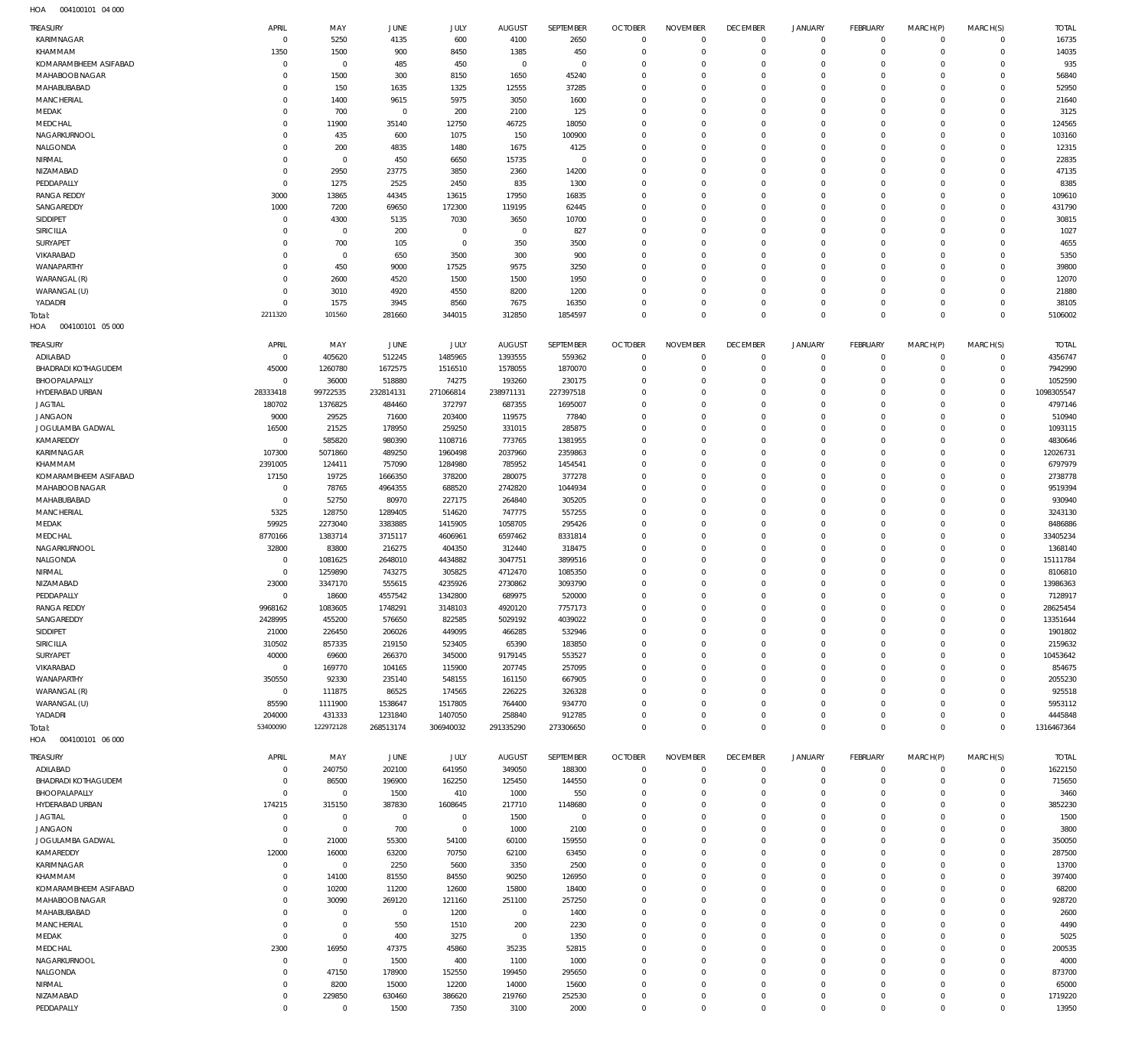004100101 04 000 HOA

| <b>TREASURY</b>                         | APRIL                            | MAY                      | <b>JUNE</b>         | <b>JULY</b>         | <b>AUGUST</b>           | SEPTEMBER             | <b>OCTOBER</b>                | <b>NOVEMBER</b>            | <b>DECEMBER</b>               | <b>JANUARY</b>             | <b>FEBRUARY</b>               | MARCH(P)                   | MARCH(S)                   | <b>TOTAL</b>          |
|-----------------------------------------|----------------------------------|--------------------------|---------------------|---------------------|-------------------------|-----------------------|-------------------------------|----------------------------|-------------------------------|----------------------------|-------------------------------|----------------------------|----------------------------|-----------------------|
| KARIMNAGAR                              | $\overline{0}$                   | 5250                     | 4135                | 600                 | 4100                    | 2650                  | $\overline{0}$                | $\mathbf 0$                | $\overline{0}$                | $\mathbf{0}$               | $\overline{0}$                | $\mathbf 0$                | $\mathbf 0$                | 16735                 |
| KHAMMAM                                 | 1350<br>$\circ$                  | 1500<br>$\overline{0}$   | 900<br>485          | 8450<br>450         | 1385<br>$\overline{0}$  | 450<br>$\overline{0}$ | $\overline{0}$<br>$\mathbf 0$ | $\mathbf 0$<br>$\mathbf 0$ | $\overline{0}$<br>$\mathbf 0$ | $\mathbf 0$<br>$\mathbf 0$ | $\overline{0}$<br>$\mathbf 0$ | $\mathbf 0$<br>$\Omega$    | $\mathbf 0$<br>$\mathbf 0$ | 14035<br>935          |
| KOMARAMBHEEM ASIFABAD<br>MAHABOOB NAGAR | $\circ$                          | 1500                     | 300                 | 8150                | 1650                    | 45240                 | $\mathbf 0$                   | $\Omega$                   | $\mathbf 0$                   | $\mathbf 0$                | $\mathbf 0$                   | $\Omega$                   | $\mathbf 0$                | 56840                 |
| MAHABUBABAD                             | $\circ$                          | 150                      | 1635                | 1325                | 12555                   | 37285                 | $\mathbf 0$                   | 0                          | $\mathbf 0$                   | $\mathbf 0$                | $\mathbf 0$                   | $\Omega$                   | $\mathbf 0$                | 52950                 |
| MANCHERIAL                              | $^{\circ}$                       | 1400                     | 9615                | 5975                | 3050                    | 1600                  | $\mathbf 0$                   | $\Omega$                   | $\mathbf 0$                   | $\mathbf 0$                | $\mathbf 0$                   | $\Omega$                   | $\mathbf 0$                | 21640                 |
| MEDAK                                   | $\mathbf 0$                      | 700                      | $\overline{0}$      | 200                 | 2100                    | 125                   | $\mathbf 0$                   | 0                          | $\mathbf 0$                   | $\mathbf 0$                | $\mathbf 0$                   | $\Omega$                   | $\mathbf 0$                | 3125                  |
| MEDCHAL<br>NAGARKURNOOL                 | $\circ$<br>$^{\circ}$            | 11900<br>435             | 35140<br>600        | 12750<br>1075       | 46725<br>150            | 18050<br>100900       | $\mathbf 0$<br>$\mathbf 0$    | $\Omega$<br>$\Omega$       | $\mathbf 0$<br>$\mathbf 0$    | $\mathbf 0$<br>$\mathbf 0$ | $\mathbf 0$<br>$\mathbf 0$    | $\Omega$<br>$\Omega$       | $\mathbf 0$<br>$\mathbf 0$ | 124565<br>103160      |
| NALGONDA                                | $^{\circ}$                       | 200                      | 4835                | 1480                | 1675                    | 4125                  | $\mathbf 0$                   | 0                          | $\mathbf 0$                   | $\mathbf 0$                | $\mathbf 0$                   | $\Omega$                   | $\mathbf 0$                | 12315                 |
| NIRMAL                                  | $\mathbf 0$                      | $\overline{0}$           | 450                 | 6650                | 15735                   | $\mathbf 0$           | $\mathbf 0$                   | $\Omega$                   | $\mathbf 0$                   | $\mathbf 0$                | $\mathbf 0$                   | $\Omega$                   | $\mathbf 0$                | 22835                 |
| NIZAMABAD                               | $\circ$                          | 2950                     | 23775               | 3850                | 2360                    | 14200                 | $\mathbf 0$                   | $\Omega$                   | $\mathbf 0$                   | $\mathbf 0$                | $\mathbf 0$                   | $\Omega$                   | $\mathbf 0$                | 47135                 |
| PEDDAPALLY                              | $\overline{0}$                   | 1275                     | 2525                | 2450                | 835                     | 1300                  | $\mathbf 0$                   | $\Omega$                   | $\mathbf 0$                   | $\mathbf 0$                | $\mathbf 0$                   | $\Omega$                   | $\mathbf 0$                | 8385                  |
| <b>RANGA REDDY</b>                      | 3000                             | 13865                    | 44345               | 13615               | 17950                   | 16835                 | $\mathbf 0$<br>$\mathbf 0$    | $\Omega$                   | $\mathbf 0$<br>$\mathbf 0$    | $\mathbf 0$<br>$\mathbf 0$ | $\mathbf 0$                   | $\Omega$<br>$\Omega$       | $\mathbf 0$<br>$\mathbf 0$ | 109610                |
| SANGAREDDY<br>SIDDIPET                  | 1000<br>$\overline{0}$           | 7200<br>4300             | 69650<br>5135       | 172300<br>7030      | 119195<br>3650          | 62445<br>10700        | $\mathbf 0$                   | 0<br>$\Omega$              | $\mathbf 0$                   | $\mathbf 0$                | $\mathbf 0$<br>$\mathbf 0$    | $\Omega$                   | $\mathbf 0$                | 431790<br>30815       |
| SIRICILLA                               | $\circ$                          | $\overline{0}$           | 200                 | $\mathbf 0$         | $\overline{0}$          | 827                   | $\mathbf 0$                   | $\Omega$                   | $\mathbf 0$                   | $\mathbf 0$                | $\mathbf 0$                   | $\Omega$                   | $\mathbf 0$                | 1027                  |
| SURYAPET                                | $^{\circ}$                       | 700                      | 105                 | $\mathbf 0$         | 350                     | 3500                  | $\mathbf 0$                   | 0                          | $\mathbf 0$                   | $\mathbf 0$                | $\mathbf 0$                   | $\Omega$                   | $\mathbf 0$                | 4655                  |
| VIKARABAD                               | $\circ$                          | $\overline{0}$           | 650                 | 3500                | 300                     | 900                   | $\mathbf 0$                   | $\Omega$                   | $\mathbf 0$                   | $\mathbf 0$                | $\mathbf 0$                   | $\Omega$                   | $\mathbf 0$                | 5350                  |
| WANAPARTHY                              | $^{\circ}$<br>$\circ$            | 450                      | 9000                | 17525               | 9575                    | 3250                  | $\mathbf 0$<br>$\mathbf 0$    | $\Omega$                   | $\mathbf 0$<br>$\mathbf 0$    | $\mathbf 0$<br>$\mathbf 0$ | $\mathbf 0$                   | $\Omega$<br>$\Omega$       | $\mathbf 0$<br>$\mathbf 0$ | 39800                 |
| WARANGAL (R)<br>WARANGAL (U)            | $\circ$                          | 2600<br>3010             | 4520<br>4920        | 1500<br>4550        | 1500<br>8200            | 1950<br>1200          | $\mathbf 0$                   | 0<br>$\mathbf 0$           | $\mathbf 0$                   | $\mathbf 0$                | $\mathbf 0$<br>$\mathbf 0$    | $\Omega$                   | $\mathbf 0$                | 12070<br>21880        |
| YADADRI                                 | $\overline{0}$                   | 1575                     | 3945                | 8560                | 7675                    | 16350                 | $\mathbf 0$                   | $\mathbf 0$                | $\mathbf 0$                   | $\mathbf 0$                | $\mathbf 0$                   | $\mathbf 0$                | $\mathbf 0$                | 38105                 |
| Total:                                  | 2211320                          | 101560                   | 281660              | 344015              | 312850                  | 1854597               | $\overline{0}$                | $\mathbf 0$                | $\mathbf 0$                   | $\mathbf 0$                | $\overline{0}$                | $\mathbf 0$                | $\mathbf 0$                | 5106002               |
| HOA<br>004100101 05 000                 |                                  |                          |                     |                     |                         |                       |                               |                            |                               |                            |                               |                            |                            |                       |
| TREASURY                                | APRIL                            | MAY                      | JUNE                | JULY                | <b>AUGUST</b>           | SEPTEMBER             | <b>OCTOBER</b>                | <b>NOVEMBER</b>            | <b>DECEMBER</b>               | <b>JANUARY</b>             | FEBRUARY                      | MARCH(P)                   | MARCH(S)                   | <b>TOTAL</b>          |
| ADILABAD                                | $\overline{0}$                   | 405620                   | 512245              | 1485965             | 1393555                 | 559362                | $\overline{0}$                | $\mathbf 0$                | $\overline{0}$                | $\mathbf 0$                | $\overline{0}$                | $\mathbf 0$                | $\mathbf 0$                | 4356747               |
| <b>BHADRADI KOTHAGUDEM</b>              | 45000                            | 1260780                  | 1672575             | 1516510             | 1578055                 | 1870070               | $\mathbf 0$                   | $\mathbf 0$                | $\mathbf 0$                   | $\mathbf 0$                | $\overline{0}$                | $\mathbf 0$                | $\mathbf 0$                | 7942990               |
| BHOOPALAPALLY<br>HYDERABAD URBAN        | $\overline{0}$                   | 36000<br>99722535        | 518880              | 74275               | 193260                  | 230175                | $\mathbf 0$<br>$\mathbf 0$    | $\Omega$<br>$\mathbf 0$    | $\mathbf 0$<br>$\mathbf 0$    | $\mathbf 0$<br>$\mathbf 0$ | $\mathbf 0$<br>$\mathbf 0$    | $\Omega$<br>$\Omega$       | $\mathbf 0$<br>$\mathbf 0$ | 1052590<br>1098305547 |
| <b>JAGTIAL</b>                          | 28333418<br>180702               | 1376825                  | 232814131<br>484460 | 271066814<br>372797 | 238971131<br>687355     | 227397518<br>1695007  | $\mathbf 0$                   | $\mathbf 0$                | $\mathbf 0$                   | $\mathbf 0$                | $\mathbf 0$                   | $\Omega$                   | $\mathbf 0$                | 4797146               |
| <b>JANGAON</b>                          | 9000                             | 29525                    | 71600               | 203400              | 119575                  | 77840                 | $\mathbf 0$                   | $\Omega$                   | $\mathbf 0$                   | $\mathbf 0$                | $\Omega$                      | $\Omega$                   | $\mathbf 0$                | 510940                |
| JOGULAMBA GADWAL                        | 16500                            | 21525                    | 178950              | 259250              | 331015                  | 285875                | $\mathbf 0$                   | $\mathbf 0$                | $\mathbf 0$                   | $\mathbf 0$                | $\mathbf 0$                   | $\Omega$                   | $\mathbf 0$                | 1093115               |
| KAMAREDDY                               | $\overline{0}$                   | 585820                   | 980390              | 1108716             | 773765                  | 1381955               | $\mathbf 0$                   | $\Omega$                   | $\mathbf 0$                   | $\mathbf 0$                | $\Omega$                      | $\Omega$                   | $\mathbf 0$                | 4830646               |
| KARIMNAGAR                              | 107300                           | 5071860                  | 489250              | 1960498             | 2037960                 | 2359863               | $\mathbf 0$                   | $\mathbf 0$                | $\mathbf 0$                   | $\mathbf 0$                | $\mathbf 0$                   | $\Omega$                   | $\mathbf 0$                | 12026731              |
| KHAMMAM<br>KOMARAMBHEEM ASIFABAD        | 2391005<br>17150                 | 124411<br>19725          | 757090<br>1666350   | 1284980<br>378200   | 785952<br>280075        | 1454541<br>377278     | $\mathbf 0$<br>$\mathbf 0$    | $\mathbf 0$<br>$\Omega$    | $\mathbf 0$<br>$\mathbf 0$    | $\mathbf 0$<br>$\mathbf 0$ | $\mathbf 0$<br>$\mathbf 0$    | $\Omega$<br>$\Omega$       | $\mathbf 0$<br>$\mathbf 0$ | 6797979<br>2738778    |
| MAHABOOB NAGAR                          | $\overline{0}$                   | 78765                    | 4964355             | 688520              | 2742820                 | 1044934               | $\mathbf 0$                   | $\mathbf 0$                | $\mathbf 0$                   | $\mathbf 0$                | $\mathbf 0$                   | $\Omega$                   | $\mathbf 0$                | 9519394               |
| MAHABUBABAD                             | $\overline{0}$                   | 52750                    | 80970               | 227175              | 264840                  | 305205                | $\mathbf 0$                   | $\mathbf 0$                | $\mathbf 0$                   | $\mathbf 0$                | $\mathbf 0$                   | $\Omega$                   | $\mathbf 0$                | 930940                |
| MANCHERIAL                              | 5325                             | 128750                   | 1289405             | 514620              | 747775                  | 557255                | $\mathbf 0$                   | $\mathbf 0$                | $\mathbf 0$                   | $\mathbf 0$                | $\Omega$                      | $\Omega$                   | $\mathbf 0$                | 3243130               |
| MEDAK                                   | 59925                            | 2273040                  | 3383885             | 1415905             | 1058705                 | 295426                | $\mathbf 0$                   | $\mathbf 0$                | $\mathbf 0$                   | $\mathbf 0$                | $\mathbf 0$                   | $\Omega$                   | $\mathbf 0$                | 8486886               |
| MEDCHAL<br>NAGARKURNOOL                 | 8770166<br>32800                 | 1383714<br>83800         | 3715117<br>216275   | 4606961<br>404350   | 6597462<br>312440       | 8331814<br>318475     | $\mathbf 0$<br>$\mathbf 0$    | $\Omega$<br>$\mathbf 0$    | $\mathbf 0$<br>$\mathbf 0$    | $\mathbf 0$<br>$\mathbf 0$ | $\Omega$<br>$\mathbf 0$       | $\Omega$<br>$\Omega$       | $\mathbf 0$<br>$\mathbf 0$ | 33405234<br>1368140   |
| NALGONDA                                | $\overline{0}$                   | 1081625                  | 2648010             | 4434882             | 3047751                 | 3899516               | $\mathbf 0$                   | $\mathbf 0$                | $\mathbf 0$                   | $\mathbf 0$                | $\mathbf 0$                   | $\Omega$                   | $\mathbf 0$                | 15111784              |
| NIRMAL                                  | $\overline{0}$                   | 1259890                  | 743275              | 305825              | 4712470                 | 1085350               | $\mathbf 0$                   | $\Omega$                   | $\mathbf 0$                   | $\mathbf 0$                | $\mathbf 0$                   | $\Omega$                   | $\mathbf 0$                | 8106810               |
| NIZAMABAD                               | 23000                            | 3347170                  | 555615              | 4235926             | 2730862                 | 3093790               | $\mathbf 0$                   | $\mathbf 0$                | $\mathbf 0$                   | $\mathbf 0$                | $\mathbf 0$                   | $\mathbf 0$                | $\mathbf 0$                | 13986363              |
| PEDDAPALLY                              | $\overline{0}$                   | 18600                    | 4557542             | 1342800             | 689975                  | 520000                | $\mathbf 0$                   | $\mathbf 0$                | $\mathbf 0$                   | $\mathbf 0$                | $\Omega$                      | $\Omega$                   | $\mathbf 0$                | 7128917               |
| <b>RANGA REDDY</b><br>SANGAREDDY        | 9968162<br>2428995               | 1083605<br>455200        | 1748291<br>576650   | 3148103<br>822585   | 4920120<br>5029192      | 7757173<br>4039022    | $\mathbf 0$<br>$\mathbf 0$    | $\mathbf 0$<br>$\mathbf 0$ | $\mathbf 0$<br>$\mathbf 0$    | $\mathbf 0$<br>$\mathbf 0$ | $\mathbf 0$<br>$\mathbf 0$    | $\mathbf 0$<br>$\mathbf 0$ | $\mathbf 0$<br>$\mathbf 0$ | 28625454<br>13351644  |
| SIDDIPET                                | 21000                            | 226450                   | 206026              | 449095              | 466285                  | 532946                | $\mathbf 0$                   | $\mathbf 0$                | $\mathbf 0$                   | $\mathbf 0$                | $\mathbf 0$                   | $\mathbf 0$                | $\mathbf 0$                | 1901802               |
| SIRICILLA                               | 310502                           | 857335                   | 219150              | 523405              | 65390                   | 183850                | $\mathbf 0$                   | $\mathbf 0$                | $\mathbf 0$                   | $\mathbf 0$                | $\mathbf 0$                   | $\Omega$                   | $\mathbf 0$                | 2159632               |
| SURYAPET                                | 40000                            | 69600                    | 266370              | 345000              | 9179145                 | 553527                | $\mathbf 0$                   | $\mathbf 0$                | $\mathbf 0$                   | $\mathbf 0$                | $\mathbf 0$                   | $\mathbf 0$                | $\mathbf 0$                | 10453642              |
| VIKARABAD                               | $\overline{0}$                   | 169770                   | 104165              | 115900              | 207745                  | 257095                | $\mathbf 0$                   | $\Omega$                   | $\mathbf 0$                   | $\mathbf 0$                | $\mathbf 0$                   | $\Omega$                   | $\mathbf 0$                | 854675                |
| WANAPARTHY<br>WARANGAL (R)              | 350550<br>$\overline{0}$         | 92330<br>111875          | 235140<br>86525     | 548155<br>174565    | 161150<br>226225        | 667905<br>326328      | $\mathbf 0$<br>$\mathbf 0$    | $\mathbf 0$<br>$\Omega$    | $\mathbf 0$<br>$\mathbf 0$    | $\mathbf 0$<br>$\mathbf 0$ | $\mathbf 0$<br>$\mathbf 0$    | $\mathbf 0$<br>$\Omega$    | $\mathbf 0$<br>$\mathbf 0$ | 2055230<br>925518     |
| WARANGAL (U)                            | 85590                            | 1111900                  | 1538647             | 1517805             | 764400                  | 934770                | $\mathbf 0$                   | $\mathbf 0$                | $\mathbf 0$                   | $\mathbf 0$                | $\mathbf 0$                   | $\mathbf 0$                | $\mathbf 0$                | 5953112               |
| YADADRI                                 | 204000                           | 431333                   | 1231840             | 1407050             | 258840                  | 912785                | $\mathbf 0$                   | $\mathbf 0$                | $\mathbf 0$                   | $\mathbf 0$                | $\mathbf 0$                   | $\mathbf 0$                | $\mathbf 0$                | 4445848               |
| Total:                                  | 53400090                         | 122972128                | 268513174           | 306940032           | 291335290               | 273306650             | $\mathbf 0$                   | $\mathbf 0$                | $\overline{0}$                | $\mathbf 0$                | $\overline{0}$                | $\mathbf 0$                | $\mathbf 0$                | 1316467364            |
| HOA   004100101   06   000              |                                  |                          |                     |                     |                         |                       |                               |                            |                               |                            |                               |                            |                            |                       |
| TREASURY                                | APRIL                            | MAY                      | JUNE                | JULY                | <b>AUGUST</b>           | SEPTEMBER             | <b>OCTOBER</b>                | <b>NOVEMBER</b>            | <b>DECEMBER</b>               | <b>JANUARY</b>             | FEBRUARY                      | MARCH(P)                   | MARCH(S)                   | <b>TOTAL</b>          |
| ADILABAD                                | $\overline{0}$                   | 240750                   | 202100              | 641950              | 349050                  | 188300                | $\overline{0}$                | $\mathbf 0$                | $\overline{0}$                | $\mathbf 0$                | $\overline{0}$                | $\mathbf 0$                | $\mathbf 0$                | 1622150               |
| <b>BHADRADI KOTHAGUDEM</b>              | $\overline{0}$<br>$\overline{0}$ | 86500                    | 196900              | 162250              | 125450                  | 144550                | $\overline{0}$<br>$\mathbf 0$ | $\mathbf 0$                | $\mathbf 0$                   | $\mathbf 0$<br>$\mathbf 0$ | $\overline{0}$                | $\mathbf 0$                | $\mathbf 0$                | 715650                |
| BHOOPALAPALLY<br>HYDERABAD URBAN        | 174215                           | $\overline{0}$<br>315150 | 1500<br>387830      | 410<br>1608645      | 1000<br>217710          | 550<br>1148680        | $\mathbf 0$                   | $\mathbf 0$<br>$\mathbf 0$ | $\mathbf 0$<br>$\mathbf 0$    | $\mathbf 0$                | $\mathbf 0$<br>$\mathbf 0$    | $\mathbf 0$<br>0           | $\mathbf 0$<br>$\mathbf 0$ | 3460<br>3852230       |
| <b>JAGTIAL</b>                          | $\overline{0}$                   | $\overline{0}$           | $\overline{0}$      | $\mathbf 0$         | 1500                    | $\overline{0}$        | $\mathbf 0$                   | $\Omega$                   | $\mathbf 0$                   | $\mathbf 0$                | $\mathbf 0$                   | $\Omega$                   | $\mathbf 0$                | 1500                  |
| <b>JANGAON</b>                          | $\overline{0}$                   | $\overline{0}$           | 700                 | $\mathbf 0$         | 1000                    | 2100                  | $\mathbf 0$                   | $\mathbf 0$                | $\mathbf 0$                   | $\mathbf 0$                | $\mathbf 0$                   | $\Omega$                   | $\mathbf 0$                | 3800                  |
| JOGULAMBA GADWAL                        | $\overline{0}$                   | 21000                    | 55300               | 54100               | 60100                   | 159550                | $\mathbf 0$                   | 0                          | $\mathbf 0$                   | $\mathbf 0$                | $\mathbf 0$                   | $\Omega$                   | $\mathbf 0$                | 350050                |
| KAMAREDDY                               | 12000                            | 16000                    | 63200               | 70750               | 62100                   | 63450                 | $\mathbf 0$                   | $\Omega$                   | $\mathbf 0$                   | $\mathbf 0$                | $\mathbf 0$                   | $\Omega$                   | $\mathbf 0$                | 287500                |
| KARIMNAGAR<br>KHAMMAM                   | $\overline{0}$<br>$\mathbf 0$    | $\overline{0}$<br>14100  | 2250<br>81550       | 5600<br>84550       | 3350<br>90250           | 2500<br>126950        | $\mathbf 0$<br>$\mathbf 0$    | $\mathbf 0$<br>0           | $\mathbf 0$<br>$\mathbf 0$    | $\mathbf 0$<br>$\mathbf 0$ | $\mathbf 0$<br>$\mathbf 0$    | $\Omega$<br>$\Omega$       | $\mathbf 0$<br>$\mathbf 0$ | 13700<br>397400       |
| KOMARAMBHEEM ASIFABAD                   | $\mathbf 0$                      | 10200                    | 11200               | 12600               | 15800                   | 18400                 | $\mathbf 0$                   | $\mathbf 0$                | $\mathbf 0$                   | $\mathbf 0$                | $\mathbf 0$                   | $\Omega$                   | $\mathbf 0$                | 68200                 |
| MAHABOOB NAGAR                          | $\mathbf 0$                      | 30090                    | 269120              | 121160              | 251100                  | 257250                | $\mathbf 0$                   | $\mathbf 0$                | $\mathbf 0$                   | $\mathbf 0$                | $\mathbf 0$                   | 0                          | $\mathbf 0$                | 928720                |
| MAHABUBABAD                             | $\circ$                          | $\mathbf 0$              | $\overline{0}$      | 1200                | $\overline{0}$          | 1400                  | $\mathbf 0$                   | $\Omega$                   | $\mathbf 0$                   | $\mathbf 0$                | $\mathbf 0$                   | $\Omega$                   | $\mathbf 0$                | 2600                  |
| MANCHERIAL                              | $\overline{0}$                   | $\mathbf 0$              | 550                 | 1510                | 200                     | 2230                  | $\mathbf 0$                   | $\mathbf 0$                | $\mathbf 0$                   | $\mathbf 0$                | $\mathbf 0$                   | $\Omega$                   | $\mathbf 0$                | 4490                  |
| MEDAK<br>MEDCHAL                        | $\overline{0}$<br>2300           | $\overline{0}$<br>16950  | 400<br>47375        | 3275<br>45860       | $\overline{0}$<br>35235 | 1350<br>52815         | $\mathbf 0$<br>$\mathbf 0$    | 0<br>$\Omega$              | $\mathbf 0$<br>$\mathbf 0$    | $\mathbf 0$<br>$\mathbf 0$ | $\mathbf 0$<br>$\mathbf 0$    | $\Omega$<br>$\Omega$       | $\mathbf 0$<br>$\mathbf 0$ | 5025<br>200535        |
| NAGARKURNOOL                            | $\overline{0}$                   | $\overline{0}$           | 1500                | 400                 | 1100                    | 1000                  | $\mathbf 0$                   | $\mathbf 0$                | $\mathbf 0$                   | $\mathbf 0$                | $\mathbf 0$                   | $\Omega$                   | $\mathbf 0$                | 4000                  |
| NALGONDA                                | $\mathbf 0$                      | 47150                    | 178900              | 152550              | 199450                  | 295650                | $\mathbf 0$                   | $\mathbf 0$                | $\mathbf 0$                   | $\mathbf 0$                | $\mathbf 0$                   | $\Omega$                   | $\mathbf 0$                | 873700                |
| NIRMAL                                  | $\overline{0}$                   | 8200                     | 15000               | 12200               | 14000                   | 15600                 | $\mathbf 0$                   | $\mathbf 0$                | $\mathbf 0$                   | $\mathbf 0$                | $\mathbf 0$                   | $\mathbf 0$                | $\mathbf 0$                | 65000                 |
| NIZAMABAD                               | $\overline{0}$                   | 229850                   | 630460              | 386620              | 219760                  | 252530                | $\mathbf 0$                   | $\mathbf 0$                | $\mathbf 0$                   | $\bf 0$                    | $\mathbf 0$                   | $\mathbf 0$                | $\mathbf 0$                | 1719220               |
| PEDDAPALLY                              | $\overline{0}$                   | $\overline{0}$           | 1500                | 7350                | 3100                    | 2000                  | $\mathbf 0$                   | $\mathbf 0$                | $\overline{0}$                | $\mathbf 0$                | $\mathbf 0$                   | $\mathbf 0$                | $\mathbf 0$                | 13950                 |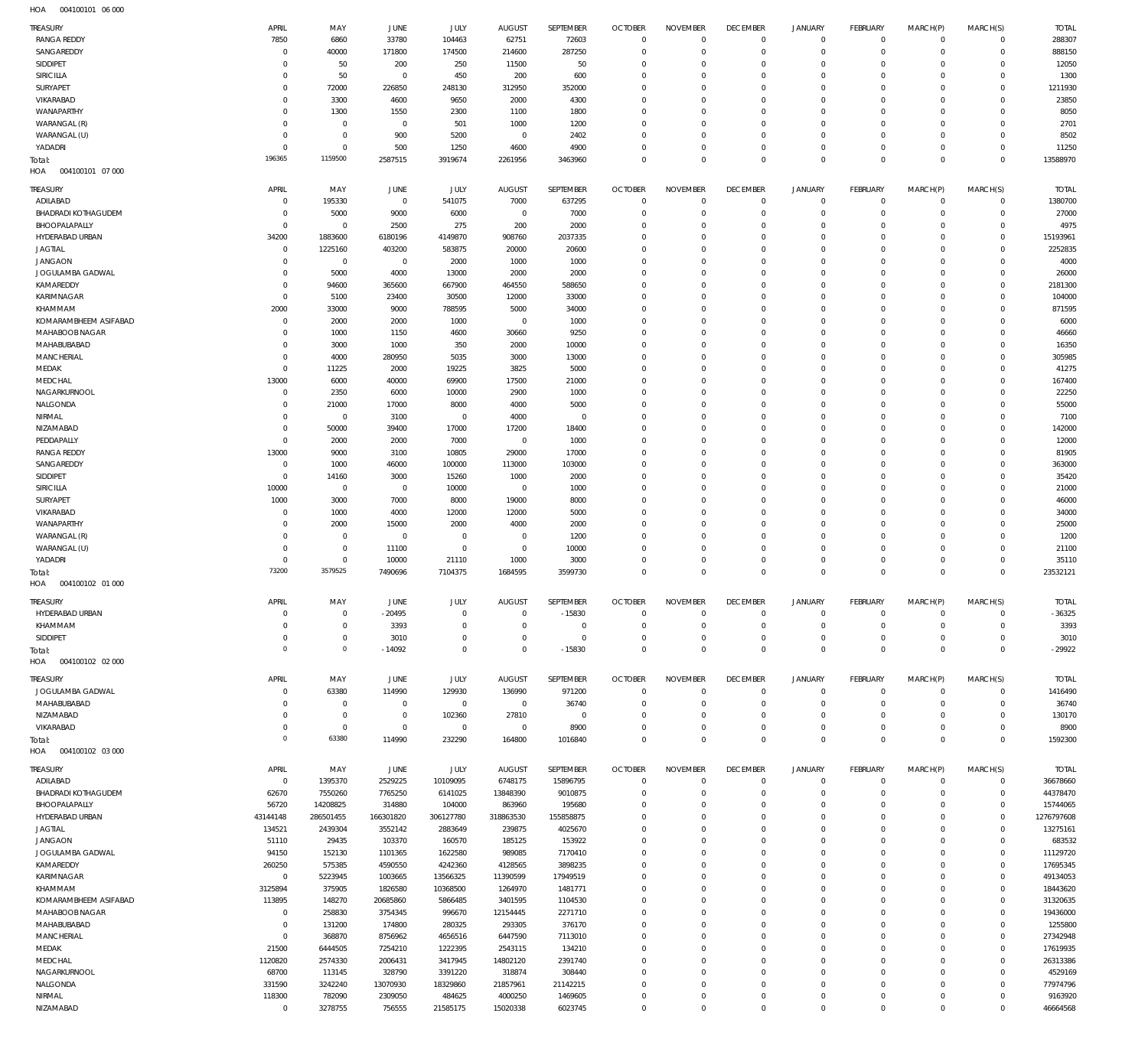004100101 06 000 HOA

| TREASURY                   | APRIL        | MAY            | JUNE           | JULY           | <b>AUGUST</b> | SEPTEMBER    | <b>OCTOBER</b> | <b>NOVEMBER</b> | <b>DECEMBER</b> | <b>JANUARY</b> | <b>FEBRUARY</b> | MARCH(P)    | MARCH(S)    | <b>TOTAL</b> |
|----------------------------|--------------|----------------|----------------|----------------|---------------|--------------|----------------|-----------------|-----------------|----------------|-----------------|-------------|-------------|--------------|
| <b>RANGA REDDY</b>         | 7850         | 6860           | 33780          | 104463         | 62751         | 72603        | $\circ$        | $\mathbf 0$     | $\mathbf 0$     | $\mathbf 0$    | $\overline{0}$  | $^{\circ}$  | $^{\circ}$  | 288307       |
| SANGAREDDY                 | $\mathsf{C}$ | 40000          | 171800         | 174500         | 214600        | 287250       | $^{\circ}$     | $\mathbf 0$     | $^{\circ}$      | $\mathbf 0$    | $\mathbf 0$     | $\mathbf 0$ | $\mathbf 0$ | 888150       |
| SIDDIPET                   | $\Omega$     | 50             | 200            | 250            | 11500         | 50           | $\Omega$       | $\mathbf 0$     | $\Omega$        | $\mathbf 0$    | $\Omega$        | $\Omega$    | $^{\circ}$  | 12050        |
| SIRICILLA                  | $\Omega$     | 50             | $\overline{0}$ | 450            | 200           | 600          | $^{\circ}$     | $\mathbf 0$     | $^{\circ}$      | $\mathbf 0$    | $^{\circ}$      | $\Omega$    | $^{\circ}$  | 1300         |
| <b>SURYAPET</b>            | $\Omega$     | 72000          | 226850         | 248130         | 312950        | 352000       | $\Omega$       | $\Omega$        | $\Omega$        | $\mathbf 0$    | $\Omega$        | $\Omega$    | $\Omega$    | 1211930      |
| VIKARABAD                  | 0            | 3300           | 4600           | 9650           | 2000          | 4300         | $^{\circ}$     | $\mathbf 0$     | $\Omega$        | $\mathbf 0$    | $\Omega$        | $\Omega$    | $\Omega$    | 23850        |
| WANAPARTHY                 | $\Omega$     | 1300           | 1550           | 2300           | 1100          | 1800         | $\Omega$       | $\mathbf 0$     | $\Omega$        | $\mathbf 0$    | $\Omega$        | $\Omega$    | $\Omega$    | 8050         |
| WARANGAL (R)               | $\Omega$     | $\overline{0}$ | $^{\circ}$     | 501            | 1000          | 1200         | $\Omega$       | $\mathbf 0$     | $\Omega$        | $\Omega$       | $\Omega$        | $\Omega$    | $\Omega$    | 2701         |
| WARANGAL (U)               | $\Omega$     | $\,0\,$        | 900            | 5200           | $\mathbf 0$   | 2402         | $\Omega$       | $\mathbf 0$     | $^{\circ}$      | $\mathbf 0$    | $^{\circ}$      | $\Omega$    | $\mathbf 0$ | 8502         |
|                            |              |                |                |                |               |              |                |                 |                 |                |                 |             |             |              |
| YADADRI                    | $\Omega$     | $\mathbf 0$    | 500            | 1250           | 4600          | 4900         | $^{\circ}$     | $\mathbf 0$     | $\mathbf 0$     | $\mathbf 0$    | $^{\circ}$      | $\mathbf 0$ | $^{\circ}$  | 11250        |
| Total:                     | 196365       | 1159500        | 2587515        | 3919674        | 2261956       | 3463960      | $^{\circ}$     | $\mathbf 0$     | $\mathbf 0$     | $\mathbf 0$    | $\Omega$        | $\mathbf 0$ | $\Omega$    | 13588970     |
| 004100101 07 000<br>HOA    |              |                |                |                |               |              |                |                 |                 |                |                 |             |             |              |
| TREASURY                   | APRIL        | MAY            | JUNE           | JULY           | <b>AUGUST</b> | SEPTEMBER    | <b>OCTOBER</b> | <b>NOVEMBER</b> | <b>DECEMBER</b> | <b>JANUARY</b> | FEBRUARY        | MARCH(P)    | MARCH(S)    | <b>TOTAL</b> |
| ADILABAD                   | $\Omega$     | 195330         | $^{\circ}$     | 541075         | 7000          | 637295       | $\Omega$       | $\Omega$        | $\mathbf 0$     | $\mathbf 0$    | $^{\circ}$      | $^{\circ}$  | $\mathbf 0$ | 1380700      |
| <b>BHADRADI KOTHAGUDEM</b> | $\Omega$     | 5000           | 9000           | 6000           | $^{\circ}$    | 7000         | $^{\circ}$     | $\Omega$        | $\Omega$        | $\mathbf 0$    | $^{\circ}$      | $\Omega$    | $\mathbf 0$ | 27000        |
|                            |              |                |                |                |               |              |                |                 |                 |                |                 |             |             |              |
| BHOOPALAPALLY              | $\Omega$     | $^{\circ}$     | 2500           | 275            | 200           | 2000         | $\Omega$       | $\Omega$        | $\Omega$        | $\Omega$       | $\Omega$        | $\Omega$    | $\Omega$    | 4975         |
| HYDERABAD URBAN            | 34200        | 1883600        | 6180196        | 4149870        | 908760        | 2037335      | $\Omega$       | $\Omega$        | $\Omega$        | $\Omega$       | $\Omega$        | $\Omega$    | $\Omega$    | 15193961     |
| <b>JAGTIAL</b>             | $^{\circ}$   | 1225160        | 403200         | 583875         | 20000         | 20600        | $\Omega$       | $\Omega$        | $\Omega$        | $\Omega$       | $\Omega$        | $\Omega$    | $\Omega$    | 2252835      |
| <b>JANGAON</b>             | $\Omega$     | $\overline{0}$ | $^{\circ}$     | 2000           | 1000          | 1000         | $\Omega$       | $\Omega$        | $\Omega$        | $\Omega$       | $\Omega$        | $\Omega$    | $\Omega$    | 4000         |
| JOGULAMBA GADWAL           | $\Omega$     | 5000           | 4000           | 13000          | 2000          | 2000         | $\Omega$       | $\Omega$        | $\Omega$        | $\Omega$       | $\Omega$        | $\Omega$    | $\Omega$    | 26000        |
| KAMAREDDY                  | $\Omega$     | 94600          | 365600         | 667900         | 464550        | 588650       | $\Omega$       | $\Omega$        | $\Omega$        | $\Omega$       | $\Omega$        | $\Omega$    | $\Omega$    | 2181300      |
| KARIMNAGAR                 | $\Omega$     | 5100           | 23400          | 30500          | 12000         | 33000        | $\Omega$       | $\Omega$        | $\Omega$        | $\Omega$       | $\Omega$        | $\Omega$    | $\Omega$    | 104000       |
| KHAMMAM                    | 2000         | 33000          | 9000           | 788595         | 5000          | 34000        | $\Omega$       | $\Omega$        | $\Omega$        | $\Omega$       | $\Omega$        | $\Omega$    | $\Omega$    | 871595       |
| KOMARAMBHEEM ASIFABAD      | $\Omega$     | 2000           | 2000           | 1000           | $^{\circ}$    | 1000         | $\Omega$       | $\Omega$        | $\Omega$        | $\Omega$       | $\Omega$        | $\Omega$    | $\Omega$    | 6000         |
| MAHABOOB NAGAR             | C            | 1000           | 1150           | 4600           | 30660         | 9250         | $\Omega$       | $\Omega$        | $\Omega$        | $\Omega$       | $\Omega$        | $\Omega$    | $\Omega$    | 46660        |
| MAHABUBABAD                | $\Omega$     | 3000           | 1000           | 350            |               | 10000        | $\Omega$       | $\Omega$        | $\Omega$        | $\Omega$       | $\Omega$        | $\Omega$    | $\Omega$    | 16350        |
|                            |              |                |                |                | 2000          |              |                |                 |                 |                |                 |             |             |              |
| MANCHERIAL                 | $\Omega$     | 4000           | 280950         | 5035           | 3000          | 13000        | $\Omega$       | $\Omega$        | $\Omega$        | $\Omega$       | $\Omega$        | $\Omega$    | $\Omega$    | 305985       |
| MEDAK                      | $\mathsf{C}$ | 11225          | 2000           | 19225          | 3825          | 5000         | $\Omega$       | $\Omega$        | $\Omega$        | $\Omega$       | $\Omega$        | $\Omega$    | $\Omega$    | 41275        |
| MEDCHAL                    | 13000        | 6000           | 40000          | 69900          | 17500         | 21000        | $\Omega$       | $\Omega$        | $\Omega$        | $\Omega$       | $\Omega$        | $\Omega$    | $\Omega$    | 167400       |
| NAGARKURNOOL               | $\Omega$     | 2350           | 6000           | 10000          | 2900          | 1000         | $\Omega$       | $\Omega$        | $\Omega$        | $\Omega$       | $\Omega$        | $\Omega$    | $\Omega$    | 22250        |
| NALGONDA                   | $\Omega$     | 21000          | 17000          | 8000           | 4000          | 5000         | $\Omega$       | $\Omega$        | $\Omega$        | $\Omega$       | $\Omega$        | $\Omega$    | $\Omega$    | 55000        |
| NIRMAL                     | $\Omega$     | $^{\circ}$     | 3100           | $^{\circ}$     | 4000          | $\mathbf 0$  | $\Omega$       | $\Omega$        | $\Omega$        | $\Omega$       | $\Omega$        | $\Omega$    | $\Omega$    | 7100         |
| NIZAMABAD                  | C            | 50000          | 39400          | 17000          | 17200         | 18400        | $\Omega$       | $\Omega$        | $\Omega$        | $\Omega$       | $\Omega$        | $\Omega$    | $\Omega$    | 142000       |
| PEDDAPALLY                 | $\Omega$     | 2000           | 2000           | 7000           | $^{\circ}$    | 1000         | $\Omega$       | $\Omega$        | $\Omega$        | $\Omega$       | $\Omega$        | $\Omega$    | $\Omega$    | 12000        |
| <b>RANGA REDDY</b>         | 13000        | 9000           | 3100           | 10805          | 29000         | 17000        | $\Omega$       | $\Omega$        | $\Omega$        | $\Omega$       | $\Omega$        | $\Omega$    | $\Omega$    | 81905        |
|                            | $\Omega$     |                |                |                |               |              | $\Omega$       | $\Omega$        | $\Omega$        | $\Omega$       | $\Omega$        | $\Omega$    | $\Omega$    |              |
| SANGAREDDY                 |              | 1000           | 46000          | 100000         | 113000        | 103000       |                |                 |                 |                |                 |             |             | 363000       |
| SIDDIPET                   | C            | 14160          | 3000           | 15260          | 1000          | 2000         | $\Omega$       | $\Omega$        | $\Omega$        | $\Omega$       | $\Omega$        | $\Omega$    | $\Omega$    | 35420        |
| SIRICILLA                  | 10000        | $\mathbf 0$    | $^{\circ}$     | 10000          | $^{\circ}$    | 1000         | $\Omega$       | $\Omega$        | $\Omega$        | $\Omega$       | $\Omega$        | $\Omega$    | $\Omega$    | 21000        |
| <b>SURYAPET</b>            | 1000         | 3000           | 7000           | 8000           | 19000         | 8000         | $\Omega$       | $\Omega$        | $\Omega$        | $\Omega$       | $\Omega$        | $\Omega$    | $\Omega$    | 46000        |
| VIKARABAD                  | C            | 1000           | 4000           | 12000          | 12000         | 5000         | $\Omega$       | $\Omega$        | $\Omega$        | $\Omega$       | $\Omega$        | $\Omega$    | $\Omega$    | 34000        |
| WANAPARTHY                 | $\Omega$     | 2000           | 15000          | 2000           | 4000          | 2000         | $\Omega$       | $\Omega$        | $\Omega$        | $\Omega$       | $\Omega$        | $\Omega$    | $\Omega$    | 25000        |
| WARANGAL (R)               | $\Omega$     | $\overline{0}$ | $^{\circ}$     | $\overline{0}$ | 0             | 1200         | $\Omega$       | $\Omega$        | $\Omega$        | $\Omega$       | $\Omega$        | $\Omega$    | $\Omega$    | 1200         |
| WARANGAL (U)               | $\Omega$     | $\mathbf 0$    | 11100          | $\mathbf 0$    | $\Omega$      | 10000        | $\Omega$       | $\Omega$        | $\Omega$        | $\Omega$       | $\Omega$        | $\Omega$    | $\Omega$    | 21100        |
| YADADRI                    | $\Omega$     | $\mathbf 0$    | 10000          | 21110          | 1000          | 3000         | $\Omega$       | $\mathbf 0$     | $\mathbf 0$     | $\mathbf 0$    | $^{\circ}$      | $\Omega$    | $\mathbf 0$ | 35110        |
|                            | 73200        | 3579525        | 7490696        | 7104375        | 1684595       | 3599730      | $\Omega$       | $\Omega$        | $\Omega$        | $\Omega$       | $\Omega$        | $\Omega$    | $\Omega$    | 23532121     |
| Total:                     |              |                |                |                |               |              |                |                 |                 |                |                 |             |             |              |
| 004100102 01 000<br>HOA    |              |                |                |                |               |              |                |                 |                 |                |                 |             |             |              |
| TREASURY                   | APRIL        | MAY            | <b>JUNE</b>    | JULY           | <b>AUGUST</b> | SEPTEMBER    | <b>OCTOBER</b> | <b>NOVEMBER</b> | <b>DECEMBER</b> | <b>JANUARY</b> | <b>FEBRUARY</b> | MARCH(P)    | MARCH(S)    | <b>TOTAL</b> |
| HYDERABAD URBAN            |              | $\overline{0}$ | -20495         | $\Omega$       | $\Omega$      | $-15830$     | -0             | $^{\circ}$      | -0              | $\mathbf 0$    | $\Omega$        | $\Omega$    | $\Omega$    | -36325       |
| KHAMMAM                    | $\Omega$     | $\,0\,$        | 3393           | $\mathbf{0}$   | $\Omega$      | $\mathbf{0}$ | $^{\circ}$     | $\mathbf 0$     | $^{\circ}$      | $\mathbf 0$    | $^{\circ}$      | $\mathbf 0$ | $\mathbf 0$ | 3393         |
|                            | $^{\circ}$   | $\,0\,$        | 3010           | $\mathbf 0$    | $^{\circ}$    | $\mathbf 0$  | $^{\circ}$     | $\mathbf 0$     | $^{\circ}$      | $\mathbf 0$    | $\mathbf 0$     | $\mathbf 0$ | $\mathbf 0$ | 3010         |
| SIDDIPET                   |              |                |                |                |               |              |                |                 |                 |                |                 |             |             |              |
| Total:                     | $\mathbf 0$  | $\mathbb O$    | $-14092$       | $\mathbf 0$    | $\Omega$      | $-15830$     | $\mathbf 0$    | $\mathbb O$     | $\mathbf 0$     | $\mathbb O$    | $\overline{0}$  | $\mathbf 0$ | $\mathbf 0$ | $-29922$     |
| HOA<br>004100102 02 000    |              |                |                |                |               |              |                |                 |                 |                |                 |             |             |              |
| TREASURY                   | APRIL        | MAY            | JUNE           | JULY           | <b>AUGUST</b> | SEPTEMBER    | <b>OCTOBER</b> | <b>NOVEMBER</b> | <b>DECEMBER</b> | <b>JANUARY</b> | FEBRUARY        | MARCH(P)    | MARCH(S)    | <b>TOTAL</b> |
| JOGULAMBA GADWAL           | $\Omega$     | 63380          | 114990         | 129930         | 136990        | 971200       | $\mathbf 0$    | $\mathbf 0$     | $^{\circ}$      | $\mathbf 0$    | $\mathbf 0$     | $\mathbf 0$ | $\mathbf 0$ | 1416490      |
| MAHABUBABAD                | C            |                | $\mathbf{0}$   | $\mathbf 0$    | $\mathbf 0$   | 36740        | $^{\circ}$     | $^{\circ}$      | $^{\circ}$      | $\mathbf 0$    | $^{\circ}$      | $^{\circ}$  | $\mathbf 0$ | 36740        |
|                            |              | $\mathbf 0$    |                |                |               |              |                |                 |                 |                |                 |             |             |              |
| NIZAMABAD                  | $\Omega$     | $\mathbf 0$    | $^{\circ}$     | 102360         | 27810         | $\mathbf{0}$ | $\Omega$       | $\Omega$        | $\mathbf 0$     | $\mathbf 0$    | $^{\circ}$      | $\Omega$    | $^{\circ}$  | 130170       |
| VIKARABAD                  | $\mathbf 0$  | $\,0\,$        | $\mathbf 0$    | $\mathbf 0$    | $^{\circ}$    | 8900         | $\mathbf 0$    | $\mathbf 0$     | $\mathbf 0$     | $\mathbf 0$    | $^{\circ}$      | $\mathbf 0$ | $\mathbf 0$ | 8900         |
| Total:                     | $\mathbf 0$  | 63380          | 114990         | 232290         | 164800        | 1016840      | $\mathbf 0$    | $\mathbf 0$     | $\mathbf 0$     | $\mathbf 0$    | $\overline{0}$  | $\Omega$    | $\mathbf 0$ | 1592300      |
| HOA   004100102   03   000 |              |                |                |                |               |              |                |                 |                 |                |                 |             |             |              |
| TREASURY                   | APRIL        | MAY            | JUNE           | JULY           | <b>AUGUST</b> | SEPTEMBER    | <b>OCTOBER</b> | <b>NOVEMBER</b> | <b>DECEMBER</b> | <b>JANUARY</b> | FEBRUARY        | MARCH(P)    | MARCH(S)    | <b>TOTAL</b> |
| ADILABAD                   | $\,0\,$      | 1395370        | 2529225        | 10109095       | 6748175       | 15896795     | $\circ$        | $\mathbf 0$     | $\mathbf 0$     | $\mathsf{O}$   | $\overline{0}$  | $\mathbf 0$ | $\mathbf 0$ | 36678660     |
|                            |              |                |                |                |               |              |                |                 |                 |                |                 |             |             |              |
| BHADRADI KOTHAGUDEM        | 62670        | 7550260        | 7765250        | 6141025        | 13848390      | 9010875      | $^{\circ}$     | $\mathbf 0$     | $^{\circ}$      | $\mathsf{O}$   | $\mathbf 0$     | $\mathbf 0$ | $\mathbf 0$ | 44378470     |
| BHOOPALAPALLY              | 56720        | 14208825       | 314880         | 104000         | 863960        | 195680       | $^{\circ}$     | $\mathbf 0$     | $\mathbf 0$     | $\mathbf 0$    | $^{\circ}$      | $\Omega$    | $\mathbf 0$ | 15744065     |
| HYDERABAD URBAN            | 43144148     | 286501455      | 166301820      | 306127780      | 318863530     | 155858875    | $^{\circ}$     | $\mathbf 0$     | $\mathbf 0$     | $\mathbf 0$    | $^{\circ}$      | $\mathbf 0$ | $\mathbf 0$ | 1276797608   |
| <b>JAGTIAL</b>             | 134521       | 2439304        | 3552142        | 2883649        | 239875        | 4025670      | $^{\circ}$     | $\mathbf 0$     | $\mathbf 0$     | $\mathbf 0$    | $^{\circ}$      | $\Omega$    | $\mathbf 0$ | 13275161     |
| <b>JANGAON</b>             | 51110        | 29435          | 103370         | 160570         | 185125        | 153922       | $^{\circ}$     | $\mathbf 0$     | $\mathbf 0$     | $\mathbf 0$    | $^{\circ}$      | $\mathbf 0$ | $\mathbf 0$ | 683532       |
| JOGULAMBA GADWAL           | 94150        | 152130         | 1101365        | 1622580        | 989085        | 7170410      | $\Omega$       | $\mathbf 0$     | $\mathbf 0$     | $\mathbf 0$    | $^{\circ}$      | $\Omega$    | $\mathbf 0$ | 11129720     |
| KAMAREDDY                  | 260250       | 575385         | 4590550        | 4242360        | 4128565       | 3898235      | $\mathbf 0$    | $\mathbf 0$     | $\Omega$        | $\mathbf 0$    | $^{\circ}$      | $\Omega$    | $\mathbf 0$ | 17695345     |
| KARIMNAGAR                 | $\mathbf 0$  | 5223945        | 1003665        | 13566325       | 11390599      | 17949519     | $^{\circ}$     | $\mathbf 0$     | $\mathbf 0$     | $\mathbf 0$    | $^{\circ}$      | $\Omega$    | $\mathbf 0$ | 49134053     |
| KHAMMAM                    | 3125894      | 375905         | 1826580        | 10368500       | 1264970       | 1481771      | $^{\circ}$     | $\mathbf 0$     | $\Omega$        | $\mathbf 0$    | $^{\circ}$      | $\Omega$    | $\mathbf 0$ | 18443620     |
| KOMARAMBHEEM ASIFABAD      | 113895       | 148270         | 20685860       | 5866485        | 3401595       | 1104530      | $^{\circ}$     | $\mathbf 0$     | $^{\circ}$      | $\mathbf 0$    | $^{\circ}$      | $\Omega$    | $\mathbf 0$ | 31320635     |
| MAHABOOB NAGAR             | $\mathbf 0$  | 258830         | 3754345        | 996670         | 12154445      | 2271710      | $^{\circ}$     | $\mathbf 0$     | $\Omega$        | $\mathbf 0$    | $^{\circ}$      | $\Omega$    | $\mathbf 0$ | 19436000     |
|                            |              |                |                |                |               |              |                |                 |                 |                |                 |             |             |              |
| MAHABUBABAD                | $^{\circ}$   | 131200         | 174800         | 280325         | 293305        | 376170       | $^{\circ}$     | $\mathbf 0$     | $^{\circ}$      | $\mathbf 0$    | $^{\circ}$      | $\Omega$    | $\mathbf 0$ | 1255800      |
| MANCHERIAL                 | $^{\circ}$   | 368870         | 8756962        | 4656516        | 6447590       | 7113010      | $^{\circ}$     | $\mathbf 0$     | $\mathbf 0$     | $\mathbf 0$    | $^{\circ}$      | $^{\circ}$  | $\mathbf 0$ | 27342948     |
| MEDAK                      | 21500        | 6444505        | 7254210        | 1222395        | 2543115       | 134210       | $^{\circ}$     | $\mathbf 0$     | $\mathbf 0$     | $\mathbf 0$    | $\Omega$        | $\Omega$    | $\mathbf 0$ | 17619935     |
| MEDCHAL                    |              | 2574330        | 2006431        | 3417945        | 14802120      | 2391740      | $^{\circ}$     | $\mathbf 0$     | $\mathbf 0$     | $\mathbf 0$    | $^{\circ}$      | $\mathbf 0$ | $\mathbf 0$ | 26313386     |
|                            | 1120820      |                |                |                |               |              |                |                 |                 |                |                 |             |             |              |
| NAGARKURNOOL               | 68700        | 113145         | 328790         | 3391220        | 318874        | 308440       | $\Omega$       | $\mathbf 0$     | $\mathbf 0$     | $\mathbf 0$    | $\Omega$        | $\Omega$    | $\Omega$    | 4529169      |
| NALGONDA                   | 331590       | 3242240        | 13070930       | 18329860       | 21857961      | 21142215     | $\mathbf 0$    | $\mathbf 0$     | $\mathbf 0$     | $\mathbf 0$    | $^{\circ}$      | $^{\circ}$  | $\mathbf 0$ | 77974796     |
| NIRMAL                     | 118300       | 782090         | 2309050        | 484625         | 4000250       | 1469605      | $\mathbf 0$    | $\mathbf 0$     | $\mathbf 0$     | $\mathsf{O}$   | $^{\circ}$      | $^{\circ}$  | $^{\circ}$  | 9163920      |
| NIZAMABAD                  | $\,0\,$      | 3278755        | 756555         | 21585175       | 15020338      | 6023745      | $\mathbf 0$    | $\mathbf 0$     | $\mathbf 0$     | $\mathbf 0$    | $\mathbf 0$     | $\mathbf 0$ | $\mathbf 0$ | 46664568     |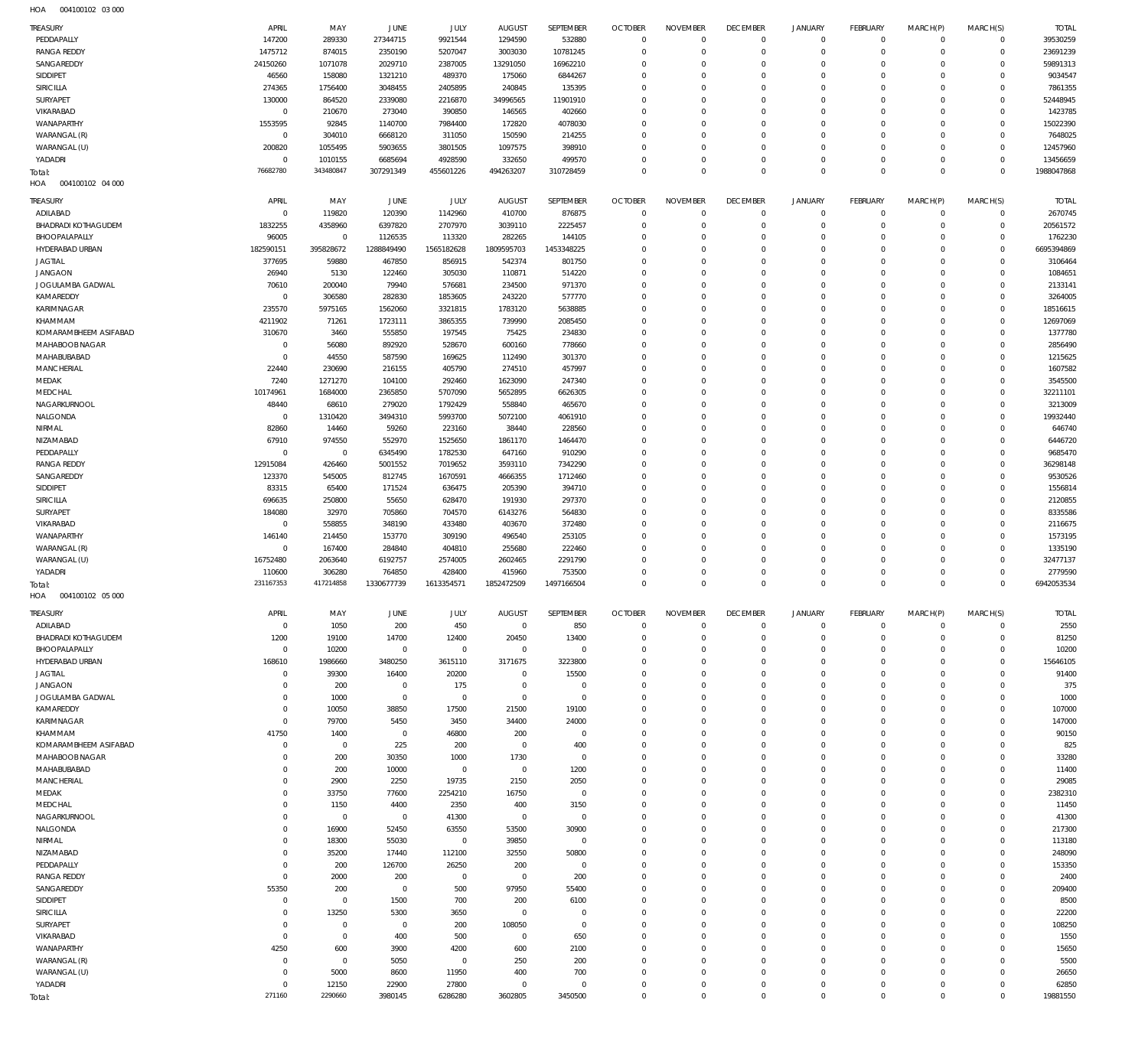| $H\cap \Lambda$ | 004100102 03.000 |  |
|-----------------|------------------|--|

| TREASURY                   | APRIL       | MAY              | JUNE             | JULY             | <b>AUGUST</b>             | SEPTEMBER              | <b>OCTOBER</b>             | <b>NOVEMBER</b> | <b>DECEMBER</b> | JANUARY     | <b>FEBRUARY</b>            | MARCH(P)    | MARCH(S)                   | <b>TOTAL</b>      |
|----------------------------|-------------|------------------|------------------|------------------|---------------------------|------------------------|----------------------------|-----------------|-----------------|-------------|----------------------------|-------------|----------------------------|-------------------|
| PEDDAPALLY                 | 147200      | 289330           | 27344715         | 9921544          | 1294590                   | 532880                 | $\mathbf 0$                | $\Omega$        | $\mathbf 0$     | $\mathbf 0$ | $\mathbf 0$                | $\mathbf 0$ | $\mathbf 0$                | 39530259          |
| <b>RANGA REDDY</b>         | 1475712     | 874015           | 2350190          | 5207047          | 3003030                   | 10781245               | $\mathbf 0$                | $\mathbf{0}$    | $\Omega$        | $\Omega$    | $\mathbf 0$                | $\mathbf 0$ | $\mathbf 0$                | 23691239          |
| SANGAREDDY                 | 24150260    | 1071078          | 2029710          | 2387005          | 13291050                  | 16962210               | $\mathbf{0}$               | $\Omega$        | $\Omega$        | $\Omega$    | $\mathbf 0$                | $\Omega$    | $\mathbf 0$                | 59891313          |
| SIDDIPET                   | 46560       | 158080           | 1321210          | 489370           | 175060                    | 6844267                | $\mathbf{0}$               | $\Omega$        | $\Omega$        | $\Omega$    | $\mathbf 0$                | $\Omega$    | $\mathbf 0$                | 9034547           |
| SIRICILLA                  | 274365      | 1756400          | 3048455          | 2405895          | 240845                    | 135395                 | $\mathbf{0}$               | $\Omega$        | $\Omega$        | $\Omega$    | $\mathbf 0$                | $\Omega$    | $\mathbf 0$                | 7861355           |
|                            |             |                  |                  |                  |                           |                        | $\mathbf 0$                | $\Omega$        | $\Omega$        | $\Omega$    | $\mathbf 0$                | $\Omega$    | $\mathbf 0$                | 52448945          |
| SURYAPET                   | 130000      | 864520           | 2339080          | 2216870          | 34996565                  | 11901910               |                            |                 |                 |             |                            |             |                            |                   |
| VIKARABAD                  | $\mathbf 0$ | 210670           | 273040           | 390850           | 146565                    | 402660                 | $\mathbf{0}$               | $\Omega$        | $\Omega$        | $\Omega$    | $\mathbf 0$                | $\Omega$    | $\mathbf 0$                | 1423785           |
| WANAPARTHY                 | 1553595     | 92845            | 1140700          | 7984400          | 172820                    | 4078030                | $\mathbf{0}$               | $\Omega$        | $\Omega$        | $\Omega$    | $\mathbf 0$                | $\Omega$    | $\mathbf 0$                | 15022390          |
| WARANGAL (R)               | $\mathbf 0$ | 304010           | 6668120          | 311050           | 150590                    | 214255                 | $\Omega$                   | $\Omega$        | $\Omega$        | $\Omega$    | $\mathbf 0$                | O           | $\mathbf 0$                | 7648025           |
| WARANGAL (U)               | 200820      | 1055495          | 5903655          | 3801505          | 1097575                   | 398910                 | $\mathbf 0$                | $\Omega$        | $\Omega$        | $\Omega$    | $\mathbf 0$                | $\Omega$    | $\mathbf 0$                | 12457960          |
| YADADRI                    | $\circ$     | 1010155          | 6685694          | 4928590          | 332650                    | 499570                 | $\mathbf{0}$               | $\Omega$        | $\Omega$        | $\Omega$    | $\mathbf 0$                | $\Omega$    | $\mathbf 0$                | 13456659          |
| Total:                     | 76682780    | 343480847        | 307291349        | 455601226        | 494263207                 | 310728459              | $\Omega$                   | $\Omega$        | $\Omega$        | $\Omega$    | $\mathbb O$                | $\Omega$    | $\mathbf 0$                | 1988047868        |
| 004100102 04 000<br>HOA    |             |                  |                  |                  |                           |                        |                            |                 |                 |             |                            |             |                            |                   |
|                            |             |                  |                  |                  |                           |                        |                            |                 |                 |             |                            |             |                            |                   |
| TREASURY                   | APRIL       | MAY              | JUNE             | JULY             | <b>AUGUST</b>             | SEPTEMBER              | <b>OCTOBER</b>             | <b>NOVEMBER</b> | <b>DECEMBER</b> | JANUARY     | <b>FEBRUARY</b>            | MARCH(P)    | MARCH(S)                   | <b>TOTAL</b>      |
| ADILABAD                   | $\mathbf 0$ | 119820           | 120390           | 1142960          | 410700                    | 876875                 | $\mathbf 0$                | $\mathbf{0}$    | $\Omega$        | $\mathbf 0$ | $\mathbf 0$                | $^{\circ}$  | $\mathbf 0$                | 2670745           |
| <b>BHADRADI KOTHAGUDEM</b> | 1832255     | 4358960          | 6397820          | 2707970          | 3039110                   | 2225457                | $\mathbf{0}$               | $^{\circ}$      | $\mathbf 0$     | $\mathbf 0$ | $\mathbf 0$                | $^{\circ}$  | $\mathbf 0$                | 20561572          |
| BHOOPALAPALLY              | 96005       | $\mathsf{O}$     | 1126535          | 113320           | 282265                    | 144105                 | $\mathbf{0}$               | $\Omega$        | $\Omega$        | $\Omega$    | $\mathbf 0$                | $\Omega$    | $\mathbf 0$                | 1762230           |
| HYDERABAD URBAN            | 182590151   | 395828672        | 1288849490       | 1565182628       | 1809595703                | 1453348225             | $\mathbf{0}$               | $\Omega$        | $\Omega$        | $\Omega$    | $\mathbf 0$                | $\Omega$    | $\mathbf 0$                | 6695394869        |
| <b>JAGTIAL</b>             | 377695      | 59880            | 467850           | 856915           | 542374                    | 801750                 | $\mathbf{0}$               | $\Omega$        | $\Omega$        | $\Omega$    | $\mathbf 0$                | $\Omega$    | $\mathbf 0$                | 3106464           |
| <b>JANGAON</b>             | 26940       | 5130             | 122460           | 305030           | 110871                    | 514220                 | $\mathbf{0}$               | $\Omega$        | $\Omega$        | $\Omega$    | $\mathbf 0$                | $\Omega$    | $\mathbf 0$                | 1084651           |
| JOGULAMBA GADWAL           | 70610       | 200040           | 79940            | 576681           | 234500                    | 971370                 | $\mathbf{0}$               | $\Omega$        | $\Omega$        | $\Omega$    | $\mathbf 0$                | $\Omega$    | $\mathbf 0$                | 2133141           |
| KAMAREDDY                  | $\mathbf 0$ | 306580           | 282830           | 1853605          | 243220                    | 577770                 | $\mathbf{0}$               | $\Omega$        | $\Omega$        | $\Omega$    | $\mathbf 0$                | $\Omega$    | $\mathbf 0$                | 3264005           |
| KARIMNAGAR                 | 235570      | 5975165          | 1562060          | 3321815          | 1783120                   | 5638885                | $\mathbf{0}$               | $\Omega$        | $\Omega$        | $\Omega$    | $\mathbf 0$                | $\Omega$    | $\mathbf 0$                | 18516615          |
| KHAMMAM                    | 4211902     | 71261            | 1723111          | 3865355          | 739990                    | 2085450                | $\mathbf{0}$               | $\Omega$        | $\Omega$        | $\Omega$    | $\mathbf 0$                | $\Omega$    | $\mathbf 0$                | 12697069          |
| KOMARAMBHEEM ASIFABAD      | 310670      | 3460             | 555850           | 197545           | 75425                     | 234830                 | $\mathbf{0}$               | $\Omega$        | $\Omega$        | $\Omega$    | $\mathbf 0$                | $\Omega$    | $\mathbf 0$                | 1377780           |
| MAHABOOB NAGAR             | $\mathbf 0$ | 56080            | 892920           | 528670           | 600160                    | 778660                 | $\mathbf{0}$               | $\Omega$        | $\Omega$        | $\Omega$    | $\mathbf 0$                | $\Omega$    | $\mathbf 0$                | 2856490           |
|                            |             |                  |                  |                  |                           |                        |                            |                 | $\Omega$        |             |                            |             |                            |                   |
| MAHABUBABAD                | $\mathbf 0$ | 44550            | 587590           | 169625           | 112490                    | 301370                 | $\mathbf{0}$               | $\Omega$        |                 | $\Omega$    | $\mathbf 0$                | $\Omega$    | $\mathbf 0$                | 1215625           |
| <b>MANCHERIAL</b>          | 22440       | 230690           | 216155           | 405790           | 274510                    | 457997                 | $\mathbf{0}$               | $\Omega$        | $\Omega$        | $\Omega$    | $\mathbf 0$                | $\Omega$    | $\mathbf 0$                | 1607582           |
| MEDAK                      | 7240        | 1271270          | 104100           | 292460           | 1623090                   | 247340                 | $\mathbf{0}$               | $\Omega$        | $\Omega$        | $\Omega$    | $\mathbf 0$                | $\Omega$    | $\mathbf 0$                | 3545500           |
| MEDCHAL                    | 10174961    | 1684000          | 2365850          | 5707090          | 5652895                   | 6626305                | $\mathbf{0}$               | $\Omega$        | $\Omega$        | $\Omega$    | $\mathbf 0$                | $\Omega$    | $\mathbf 0$                | 32211101          |
| NAGARKURNOOL               | 48440       | 68610            | 279020           | 1792429          | 558840                    | 465670                 | $\mathbf{0}$               | $\Omega$        | $\Omega$        | $\Omega$    | $\mathbf 0$                | $\Omega$    | $\mathbf 0$                | 3213009           |
| NALGONDA                   | $\mathbf 0$ | 1310420          | 3494310          | 5993700          | 5072100                   | 4061910                | $\mathbf{0}$               | $\Omega$        | $\Omega$        | $\Omega$    | $\mathbf 0$                | $\Omega$    | $\mathbf 0$                | 19932440          |
| NIRMAL                     | 82860       | 14460            | 59260            | 223160           | 38440                     | 228560                 | $\mathbf{0}$               | $\Omega$        | $\Omega$        | $\Omega$    | $\mathbf 0$                | $\Omega$    | $\mathbf 0$                | 646740            |
| NIZAMABAD                  | 67910       | 974550           | 552970           | 1525650          | 1861170                   | 1464470                | $\mathbf{0}$               | $\Omega$        | $\Omega$        | $\Omega$    | $\mathbf 0$                | $\Omega$    | $\mathbf 0$                | 6446720           |
| PEDDAPALLY                 | $\mathbf 0$ | $\mathbb O$      | 6345490          | 1782530          | 647160                    | 910290                 | $\mathbf{0}$               | $\Omega$        | $\Omega$        | $\Omega$    | $\mathbf 0$                | $\Omega$    | $\mathbf 0$                | 9685470           |
| <b>RANGA REDDY</b>         | 12915084    | 426460           | 5001552          | 7019652          | 3593110                   | 7342290                | $\mathbf{0}$               | $\Omega$        | $\Omega$        | $\Omega$    | $\mathbf 0$                | $\Omega$    | $\mathbf 0$                | 36298148          |
| SANGAREDDY                 | 123370      | 545005           | 812745           | 1670591          | 4666355                   | 1712460                | $\mathbf{0}$               | $\Omega$        | $\Omega$        | $\Omega$    | $\mathbf 0$                | $\Omega$    | $\mathbf 0$                | 9530526           |
| SIDDIPET                   | 83315       | 65400            | 171524           | 636475           | 205390                    | 394710                 | $\mathbf{0}$               | $\Omega$        | $\Omega$        | $\Omega$    | $\mathbf 0$                | $\Omega$    | $\mathbf 0$                | 1556814           |
| SIRICILLA                  | 696635      | 250800           | 55650            | 628470           | 191930                    | 297370                 | $\mathbf{0}$               | $\Omega$        | $\Omega$        | $\Omega$    | $\mathbf 0$                | $\Omega$    | $\mathbf 0$                | 2120855           |
| SURYAPET                   | 184080      | 32970            | 705860           | 704570           | 6143276                   | 564830                 | $\mathbf{0}$               | $\Omega$        | $\Omega$        | $\Omega$    | $\mathbf 0$                | $\Omega$    | $\mathbf 0$                | 8335586           |
| VIKARABAD                  | $\mathbf 0$ | 558855           | 348190           | 433480           | 403670                    |                        | $\mathbf{0}$               |                 | $\Omega$        |             |                            |             | $\mathbf 0$                | 2116675           |
|                            |             |                  |                  |                  |                           | 372480                 |                            | $\Omega$        |                 | $\Omega$    | $\mathbf 0$                | $\Omega$    |                            |                   |
|                            |             |                  |                  |                  |                           |                        |                            |                 |                 |             |                            |             |                            |                   |
| WANAPARTHY                 | 146140      | 214450           | 153770           | 309190           | 496540                    | 253105                 | $\mathbf{0}$               | $\Omega$        | $\Omega$        | $\Omega$    | $\mathbf 0$                | $\Omega$    | $\mathbf 0$                | 1573195           |
| WARANGAL (R)               | $\mathbf 0$ | 167400           | 284840           | 404810           | 255680                    | 222460                 | $\mathbf{0}$               | $\Omega$        | $\Omega$        | $\Omega$    | $\mathbf 0$                | $\Omega$    | $\mathbf 0$                | 1335190           |
| WARANGAL (U)               | 16752480    | 2063640          | 6192757          | 2574005          | 2602465                   | 2291790                | $\mathbf{0}$               | $\Omega$        | $\Omega$        | $\Omega$    | $\mathbf 0$                | $\Omega$    | $\mathbf 0$                | 32477137          |
| YADADRI                    | 110600      | 306280           | 764850           | 428400           | 415960                    | 753500                 | $\mathbf{0}$               | $^{\circ}$      | $\Omega$        | $\Omega$    | $\mathbf 0$                | $\mathbf 0$ | $\mathbf 0$                | 2779590           |
| Total:                     | 231167353   | 417214858        | 1330677739       | 1613354571       | 1852472509                | 1497166504             | $\Omega$                   | $\Omega$        | $\Omega$        | $\Omega$    | $\mathbb O$                | $\Omega$    | $\mathbf 0$                | 6942053534        |
| HOA<br>004100102 05 000    |             |                  |                  |                  |                           |                        |                            |                 |                 |             |                            |             |                            |                   |
|                            |             |                  |                  |                  |                           |                        |                            |                 |                 |             |                            |             |                            |                   |
| TREASURY                   | APRIL       | MAY              | <b>JUNE</b>      | JULY             | <b>AUGUST</b>             | SEPTEMBER              | <b>OCTOBER</b>             | <b>NOVEMBER</b> | <b>DECEMBER</b> | JANUARY     | FEBRUARY                   | MARCH(P)    | MARCH(S)                   | <b>TOTAL</b>      |
| ADILABAD                   | $\mathbf 0$ | 1050             | 200              | 450              | $\overline{0}$            | 850                    | $\mathbf 0$                | $^{\circ}$      | $\mathbf 0$     | $\mathbf 0$ | $\mathbf 0$                | $\mathbf 0$ | $\mathbf 0$                | 2550              |
| <b>BHADRADI KOTHAGUDEM</b> | 1200        | 19100            | 14700            | 12400            | 20450                     | 13400                  | $\mathbf{0}$               | $\Omega$        | $\Omega$        | $\Omega$    | $\mathbf 0$                | $^{\circ}$  | $\mathbf 0$                | 81250             |
| BHOOPALAPALLY              | $\mathbf 0$ | 10200            | $\mathbf 0$      | $\mathbf 0$      | $\mathbf{0}$              | $\mathbf 0$            | $\mathbf{0}$               | $\Omega$        | $\Omega$        | $\Omega$    | $\mathbf 0$                | $\Omega$    | $\mathbf 0$                | 10200             |
| HYDERABAD URBAN            | 168610      | 1986660          | 3480250          | 3615110          | 3171675                   | 3223800                | $\mathbf 0$                | $\Omega$        | $\Omega$        | $\Omega$    | $\mathbf 0$                | $\Omega$    | $\mathbf 0$                | 15646105          |
| <b>JAGTIAL</b>             | 0           | 39300            | 16400            | 20200            | $\overline{0}$            | 15500                  | $\mathbf{0}$               | $\Omega$        | $\Omega$        | $\Omega$    | $\mathbf 0$                | $\Omega$    | $\Omega$                   | 91400             |
| <b>JANGAON</b>             | $\mathbf 0$ | 200              | $\mathbf 0$      | 175              | $\overline{0}$            | $\mathbf 0$            | $\mathbf{0}$               | $\Omega$        | $\Omega$        | $\Omega$    | $\mathbf 0$                | $\Omega$    | $\Omega$                   | 375               |
| JOGULAMBA GADWAL           | 0           | 1000             | $\overline{0}$   | $\mathbf 0$      | $\overline{0}$            | $\mathbf 0$            | $\mathbf 0$                | $\Omega$        | $\Omega$        | $\Omega$    | $\mathbf 0$                | $\Omega$    | $\Omega$                   | 1000              |
| KAMAREDDY                  | $\mathbf 0$ | 10050            | 38850            | 17500            | 21500                     | 19100                  | $\mathbf{0}$               | $\Omega$        | $\Omega$        | $\Omega$    | $\mathbf 0$                | $\Omega$    | $\Omega$                   | 107000            |
| KARIMNAGAR                 | $\mathbf 0$ | 79700            | 5450             | 3450             | 34400                     | 24000                  | $\mathbf 0$                | $\Omega$        | $\Omega$        | $\Omega$    | $\mathbf 0$                | $\Omega$    | $\Omega$                   | 147000            |
| KHAMMAM                    | 41750       | 1400             | $\overline{0}$   | 46800            | 200                       | $\mathbf 0$            | $\mathbf{0}$               | $\Omega$        | $\Omega$        | $\Omega$    | $\mathbf 0$                | O           | $\Omega$                   | 90150             |
| KOMARAMBHEEM ASIFABAD      | $\mathbf 0$ | $\mathsf{O}$     | 225              | 200              | $\overline{0}$            | 400                    | $\mathbf 0$                | $\Omega$        | $\Omega$        | $\Omega$    | $\mathbf 0$                | $\Omega$    | $\mathbf 0$                | 825               |
| <b>MAHABOOB NAGAR</b>      | 0           | 200              | 30350            | 1000             | 1730                      | $\mathbf 0$            | $\mathbf{0}$               | $\Omega$        | $\Omega$        | $\Omega$    | $\mathbf 0$                | O           | $\Omega$                   | 33280             |
|                            | 0           |                  |                  | $\mathbf 0$      |                           |                        | $\mathbf 0$                | $\Omega$        | $\Omega$        | $\Omega$    | $\mathbf 0$                | $\Omega$    | $\mathbf 0$                |                   |
| MAHABUBABAD                |             | 200              | 10000            |                  | $\overline{0}$            | 1200                   |                            | $\Omega$        | $\Omega$        | $\Omega$    |                            |             |                            | 11400             |
| <b>MANCHERIAL</b>          | $\Omega$    | 2900             | 2250             | 19735            | 2150                      | 2050                   | $\mathbf{0}$               |                 |                 |             | $\mathbf 0$                | O           | $\mathbf 0$                | 29085             |
| MEDAK                      | 0           | 33750            | 77600            | 2254210          | 16750                     | $\mathbf 0$            | $\mathbf 0$                | $\Omega$        | $\Omega$        | $\Omega$    | $\mathbf 0$                | $\Omega$    | $\mathbf 0$                | 2382310           |
| MEDCHAL                    | $\Omega$    | 1150             | 4400             | 2350             | 400                       | 3150                   | $\mathbf{0}$               | $\Omega$        | $\Omega$        | $\Omega$    | $\mathbf 0$                | O           | $\mathbf 0$                | 11450             |
| NAGARKURNOOL               | 0           | $\mathbf 0$      | $\overline{0}$   | 41300            | $\overline{0}$            | $\mathbf 0$            | $\mathbf 0$                | $\Omega$        | $\Omega$        | $\Omega$    | $\mathbf 0$                | $\Omega$    | $\Omega$                   | 41300             |
| NALGONDA                   | $\Omega$    | 16900            | 52450            | 63550            | 53500                     | 30900                  | $\mathbf{0}$               | $\Omega$        | $\Omega$        | $\Omega$    | $\mathbf 0$                | O           | $\Omega$                   | 217300            |
| NIRMAL                     | 0           | 18300            | 55030            | $\mathbf 0$      | 39850                     | $\mathbf 0$            | $\mathbf 0$                | $\Omega$        | $\Omega$        | $\Omega$    | $\mathbf 0$                | $\Omega$    | $\mathbf 0$                | 113180            |
| NIZAMABAD                  | $\Omega$    | 35200            | 17440            | 112100           | 32550                     | 50800                  | $\mathbf{0}$               | $\Omega$        | $\Omega$        | $\Omega$    | $\mathbf 0$                | O           | $\Omega$                   | 248090            |
| PEDDAPALLY                 | $\mathbf 0$ | 200              | 126700           | 26250            | 200                       | $\mathbf 0$            | $\mathbf 0$                | $\Omega$        | $\Omega$        | $\Omega$    | $\mathbf 0$                | $\Omega$    | $\mathbf 0$                | 153350            |
| <b>RANGA REDDY</b>         | $^{\circ}$  | 2000             | 200              | $\mathbf 0$      | $\overline{0}$            | 200                    | $\mathbf{0}$               | $\Omega$        | $\Omega$        | $\Omega$    | $\mathbf 0$                | O           | $\mathbf 0$                | 2400              |
| SANGAREDDY                 | 55350       | 200              | $\mathbf 0$      | 500              | 97950                     | 55400                  | $\mathbf 0$                | $\Omega$        | $\Omega$        | $\Omega$    | $\mathbf 0$                | $\Omega$    | $\mathbf 0$                | 209400            |
| SIDDIPET                   | $\mathbf 0$ | $\mathbf 0$      | 1500             | 700              | 200                       | 6100                   | $\mathbf{0}$               | $\Omega$        | $\Omega$        | $\Omega$    | $\mathbf 0$                | O           | $\mathbf 0$                | 8500              |
| SIRICILLA                  | $\Omega$    | 13250            | 5300             | 3650             | $\overline{0}$            | $\mathbf 0$            | $\mathbf 0$                | $\Omega$        | $\Omega$        | $\Omega$    | $\mathbf 0$                | $\Omega$    | $\Omega$                   | 22200             |
| SURYAPET                   | 0           | $\mathsf{O}$     | $\mathbf 0$      | 200              | 108050                    | $\mathbf 0$            | $\mathbf{0}$               | $\Omega$        | $\Omega$        | $\Omega$    | $\mathbf 0$                | O           | $\mathbf 0$                | 108250            |
| VIKARABAD                  | $\mathbf 0$ | $\mathbf 0$      | 400              | 500              | $\overline{0}$            | 650                    | $\mathbf 0$                | $\Omega$        | $\Omega$        | $\Omega$    | $\mathbf 0$                | $\Omega$    | $\Omega$                   | 1550              |
| WANAPARTHY                 | 4250        | 600              | 3900             | 4200             | 600                       | 2100                   | $\mathbf{0}$               | $\Omega$        | $\Omega$        | $\Omega$    | $\mathbf 0$                | O           | $\mathbf 0$                | 15650             |
|                            | $\mathbf 0$ | $\mathbf 0$      |                  | $\mathbf 0$      |                           |                        | $\mathbf 0$                | $\Omega$        | $\Omega$        | $\Omega$    | $\mathbf 0$                | $\Omega$    | $\Omega$                   | 5500              |
| WARANGAL (R)               | $^{\circ}$  |                  | 5050             |                  | 250                       | 200                    | $\mathbf{0}$               | $\Omega$        | $\Omega$        | $\Omega$    | $\mathbf 0$                | $\Omega$    | $\mathbf 0$                |                   |
| WARANGAL (U)               | $\Omega$    | 5000             | 8600             | 11950            | 400                       | 700                    |                            | $\Omega$        | $\Omega$        | $\Omega$    |                            | $\Omega$    |                            | 26650             |
| YADADRI<br>Total:          | 271160      | 12150<br>2290660 | 22900<br>3980145 | 27800<br>6286280 | $\overline{0}$<br>3602805 | $\mathbf 0$<br>3450500 | $\mathbf 0$<br>$\mathbf 0$ | $\circ$         | $\mathbf 0$     | $\mathbf 0$ | $\mathbf 0$<br>$\mathbf 0$ | $\Omega$    | $\mathbf 0$<br>$\mathbf 0$ | 62850<br>19881550 |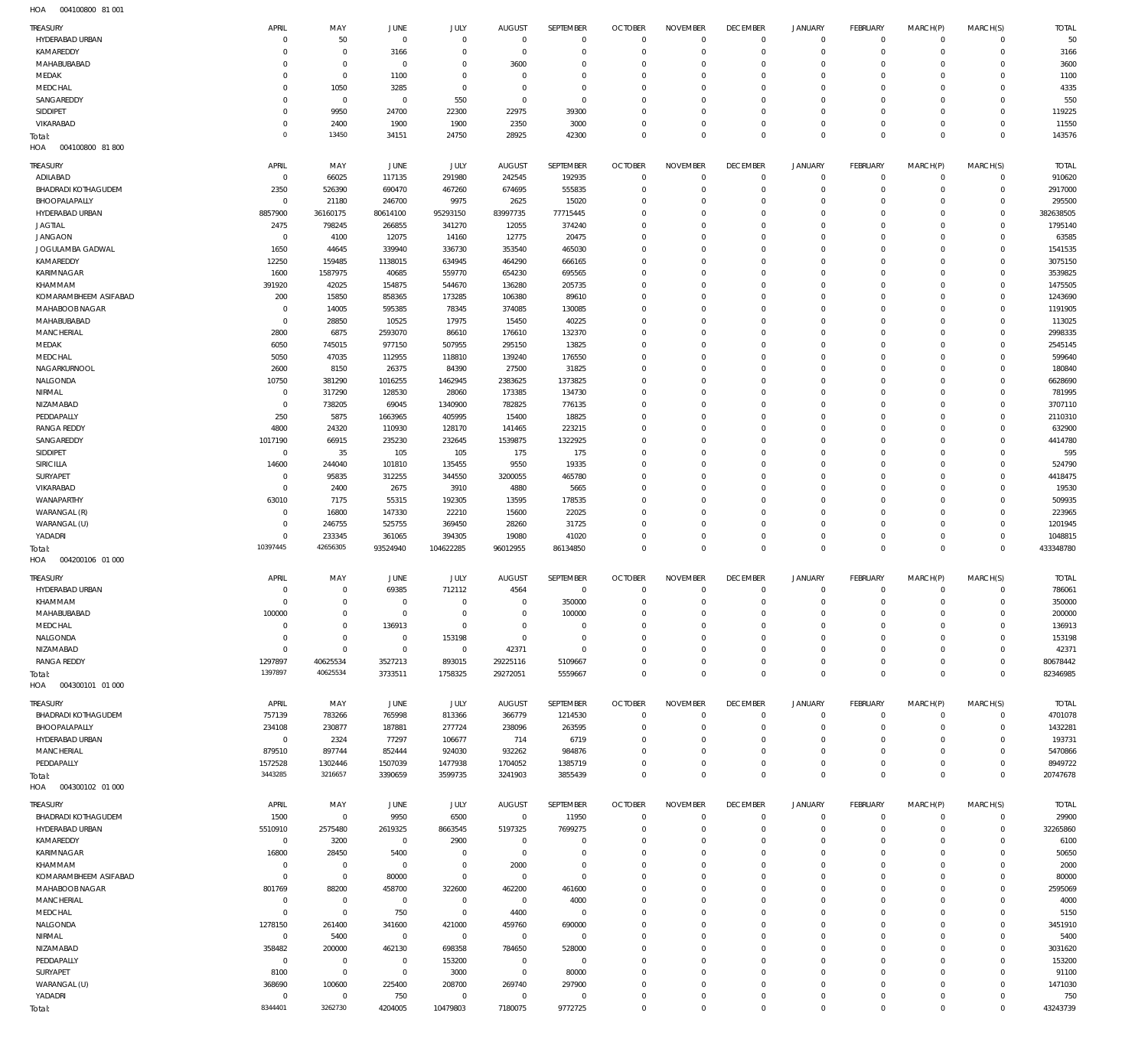004100800 81 001 HOA

| <b>TREASURY</b>                        | APRIL                   | MAY                   | JUNE                | JULY                     | <b>AUGUST</b>                   | SEPTEMBER                | <b>OCTOBER</b>                   | <b>NOVEMBER</b>                | <b>DECEMBER</b>                | <b>JANUARY</b>                | FEBRUARY                   | MARCH(P)                   | MARCH(S)                   | <b>TOTAL</b>       |
|----------------------------------------|-------------------------|-----------------------|---------------------|--------------------------|---------------------------------|--------------------------|----------------------------------|--------------------------------|--------------------------------|-------------------------------|----------------------------|----------------------------|----------------------------|--------------------|
| HYDERABAD URBAN                        | $\mathbf 0$             | 50                    | $\mathbf 0$         | $\mathbf 0$              | $\mathbf{0}$                    | $\mathbf{0}$             | $\Omega$                         | $\mathbf 0$                    | $\overline{0}$                 | $\circ$                       | $\mathbf 0$                | $^{\circ}$                 | $\mathbf{0}$               | 50                 |
| KAMAREDDY                              | $\mathbf 0$             | $\,0\,$               | 3166                | $\mathbf{0}$             | $^{\circ}$                      | $\mathbf{0}$             | $\Omega$                         | $\mathbf 0$                    | $\overline{0}$                 | $\mathbf 0$                   | $\mathbf 0$                | $\mathbf 0$                | $\mathbf 0$                | 3166               |
| MAHABUBABAD                            | $\mathbf 0$             | $\mathbf 0$           | $\overline{0}$      | $^{\circ}$               | 3600                            | $^{\circ}$               | $\Omega$                         | $\mathbf 0$                    | $^{\circ}$                     | $\mathbf 0$                   | $\circ$                    | $^{\circ}$                 | $\mathbf 0$                | 3600               |
| MEDAK                                  | $\mathbf 0$             | $\,0\,$               | 1100                | $\Omega$                 | $^{\circ}$                      | $\Omega$                 | $\Omega$                         | $\mathbf 0$                    | $\mathbf{0}$                   | $\mathbf 0$                   | $\mathbf 0$                | $\mathbf 0$                | $\mathbf 0$                | 1100               |
| MEDCHAL                                | $\mathbf 0$             | 1050                  | 3285                | $\mathbf{0}$             | $^{\circ}$                      | $\mathbf{0}$             | $\Omega$                         | $\mathbf 0$                    | $^{\circ}$                     | $\mathbf 0$                   | $\circ$                    | $\mathbf 0$                | $\mathbf 0$                | 4335               |
| SANGAREDDY<br>SIDDIPET                 | 0<br>$\mathbf 0$        | $\mathbf 0$<br>9950   | $^{\circ}$<br>24700 | 550<br>22300             | $^{\circ}$<br>22975             | $^{\circ}$<br>39300      | $\Omega$<br>$\Omega$             | $\mathbf 0$<br>$\mathbf 0$     | $^{\circ}$<br>$\mathbf{0}$     | $\mathbf 0$<br>$\mathbf 0$    | $\circ$<br>$\mathbf 0$     | $\mathbf 0$<br>$\mathbf 0$ | $\mathbf 0$<br>$\mathbf 0$ | 550<br>119225      |
| VIKARABAD                              | $\mathbf 0$             | 2400                  | 1900                | 1900                     | 2350                            | 3000                     | $\Omega$                         | $\mathbf 0$                    | $\overline{0}$                 | $\mathbf 0$                   | $\mathbf 0$                | $\mathbf 0$                | $\mathbf 0$                | 11550              |
| Total:                                 | $\Omega$                | 13450                 | 34151               | 24750                    | 28925                           | 42300                    | $\Omega$                         | $\Omega$                       | $\mathbf 0$                    | $\mathbb O$                   | $\Omega$                   | $\mathbf 0$                | $\mathbf 0$                | 143576             |
| 004100800 81 800<br>HOA                |                         |                       |                     |                          |                                 |                          |                                  |                                |                                |                               |                            |                            |                            |                    |
|                                        |                         |                       |                     |                          |                                 |                          |                                  |                                |                                |                               |                            |                            |                            |                    |
| TREASURY                               | APRIL                   | MAY                   | JUNE                | JULY                     | <b>AUGUST</b>                   | SEPTEMBER                | <b>OCTOBER</b>                   | <b>NOVEMBER</b>                | <b>DECEMBER</b>                | <b>JANUARY</b>                | FEBRUARY                   | MARCH(P)                   | MARCH(S)                   | <b>TOTAL</b>       |
| ADILABAD<br><b>BHADRADI KOTHAGUDEM</b> | $\mathbf 0$<br>2350     | 66025<br>526390       | 117135<br>690470    | 291980<br>467260         | 242545<br>674695                | 192935<br>555835         | $^{\circ}$<br>$\Omega$           | $\mathbf 0$<br>$\mathbf 0$     | $^{\circ}$<br>$^{\circ}$       | $\mathbf 0$<br>$\mathbf 0$    | $\circ$<br>$\mathbf 0$     | $^{\circ}$<br>$\mathbf 0$  | $\mathbf 0$<br>$\mathbf 0$ | 910620<br>2917000  |
| BHOOPALAPALLY                          | $\mathbf 0$             | 21180                 | 246700              | 9975                     | 2625                            | 15020                    | $\Omega$                         | $\mathbf 0$                    | 0                              | $\mathbf 0$                   | $\circ$                    | $\mathbf 0$                | $\mathbf 0$                | 295500             |
| HYDERABAD URBAN                        | 8857900                 | 36160175              | 80614100            | 95293150                 | 83997735                        | 77715445                 | $\Omega$                         | $\mathbf 0$                    | $^{\circ}$                     | $\mathbf 0$                   | $\circ$                    | $\mathbf 0$                | $\mathbf 0$                | 382638505          |
| <b>JAGTIAL</b>                         | 2475                    | 798245                | 266855              | 341270                   | 12055                           | 374240                   | $\Omega$                         | $\mathbf 0$                    | $^{\circ}$                     | $\mathbf 0$                   | -0                         | $\mathbf 0$                | $\mathbf 0$                | 1795140            |
| <b>JANGAON</b>                         | $\mathbf 0$             | 4100                  | 12075               | 14160                    | 12775                           | 20475                    | $\Omega$                         | $\Omega$                       | $\Omega$                       | $\mathbf 0$                   | $\circ$                    | $\mathbf 0$                | $\mathbf 0$                | 63585              |
| JOGULAMBA GADWAL                       | 1650                    | 44645                 | 339940              | 336730                   | 353540                          | 465030                   | $\Omega$                         | $\mathbf 0$                    | $^{\circ}$                     | $\mathbf 0$                   | $\circ$                    | $\mathbf 0$                | $\mathbf 0$                | 1541535            |
| KAMAREDDY                              | 12250                   | 159485                | 1138015             | 634945                   | 464290                          | 666165                   | $\Omega$                         | $\mathbf 0$                    | 0                              | $\mathbf 0$                   | $\circ$                    | $\mathbf 0$                | 0                          | 3075150            |
| KARIMNAGAR                             | 1600                    | 1587975               | 40685               | 559770                   | 654230                          | 695565                   | $\Omega$                         | $\mathbf 0$                    | $^{\circ}$                     | $\mathbf 0$                   | $\circ$                    | $\mathbf 0$                | $\mathbf 0$                | 3539825            |
| KHAMMAM                                | 391920                  | 42025                 | 154875              | 544670                   | 136280                          | 205735                   | $\Omega$                         | $^{\circ}$                     | 0                              | $\mathbf 0$                   | $\circ$                    | $\mathbf 0$                | $^{\circ}$                 | 1475505            |
| KOMARAMBHEEM ASIFABAD                  | 200                     | 15850                 | 858365              | 173285                   | 106380                          | 89610                    | $\Omega$                         | $\mathbf 0$                    | $^{\circ}$                     | $\mathbf 0$                   | $\circ$                    | $\mathbf 0$                | $\mathbf 0$                | 1243690            |
| MAHABOOB NAGAR                         | $\mathbf 0$             | 14005                 | 595385              | 78345                    | 374085                          | 130085                   | $\Omega$                         | $\mathbf 0$                    | 0                              | $\mathbf 0$                   | $\circ$                    | $\mathbf 0$                | 0                          | 1191905            |
| MAHABUBABAD                            | $\mathbf{0}$            | 28850                 | 10525               | 17975                    | 15450                           | 40225<br>132370          | $\Omega$<br>$\Omega$             | $\mathbf 0$                    | $^{\circ}$                     | $\mathbf 0$                   | $\circ$                    | $\mathbf 0$                | $\mathbf 0$                | 113025             |
| MANCHERIAL<br>MEDAK                    | 2800<br>6050            | 6875<br>745015        | 2593070<br>977150   | 86610<br>507955          | 176610<br>295150                | 13825                    | $\Omega$                         | $\mathbf 0$<br>$\mathbf 0$     | $^{\circ}$<br>$^{\circ}$       | $\mathbf 0$<br>$\mathbf 0$    | $\circ$<br>$\circ$         | $\mathbf 0$<br>$\mathbf 0$ | $\mathbf 0$<br>$\mathbf 0$ | 2998335<br>2545145 |
| MEDCHAL                                | 5050                    | 47035                 | 112955              | 118810                   | 139240                          | 176550                   | $\Omega$                         | $\mathbf 0$                    | $^{\circ}$                     | $\mathbf 0$                   | $\mathbf 0$                | $\mathbf 0$                | $^{\circ}$                 | 599640             |
| NAGARKURNOOL                           | 2600                    | 8150                  | 26375               | 84390                    | 27500                           | 31825                    | $\Omega$                         | $\mathbf 0$                    | $^{\circ}$                     | $\mathbf 0$                   | $\circ$                    | $\mathbf 0$                | $\mathbf 0$                | 180840             |
| NALGONDA                               | 10750                   | 381290                | 1016255             | 1462945                  | 2383625                         | 1373825                  | $\Omega$                         | $\Omega$                       | $\Omega$                       | $\mathbf 0$                   | $\circ$                    | $\mathbf 0$                | $\mathbf 0$                | 6628690            |
| NIRMAL                                 | $\mathbf 0$             | 317290                | 128530              | 28060                    | 173385                          | 134730                   | $\Omega$                         | $\mathbf 0$                    | $^{\circ}$                     | $\mathbf 0$                   | $\circ$                    | $\mathbf 0$                | $\mathbf 0$                | 781995             |
| NIZAMABAD                              | $\mathbf{0}$            | 738205                | 69045               | 1340900                  | 782825                          | 776135                   | $\Omega$                         | $\mathbf 0$                    | $\Omega$                       | $\mathbf 0$                   | $\circ$                    | $\mathbf 0$                | $^{\circ}$                 | 3707110            |
| PEDDAPALLY                             | 250                     | 5875                  | 1663965             | 405995                   | 15400                           | 18825                    | $\Omega$                         | $\mathbf 0$                    | $^{\circ}$                     | $\mathbf 0$                   | $\circ$                    | $\mathbf 0$                | $\mathbf 0$                | 2110310            |
| <b>RANGA REDDY</b>                     | 4800                    | 24320                 | 110930              | 128170                   | 141465                          | 223215                   | $\Omega$                         | $\Omega$                       | $\Omega$                       | $\mathbf 0$                   | $\circ$                    | $\mathbf 0$                | $\mathbf 0$                | 632900             |
| SANGAREDDY                             | 1017190                 | 66915                 | 235230              | 232645                   | 1539875                         | 1322925                  | $\Omega$                         | $\mathbf 0$                    | $^{\circ}$                     | $\mathbf 0$                   | $\circ$                    | $\mathbf 0$                | $\mathbf 0$                | 4414780            |
| SIDDIPET                               | $\,0\,$                 | 35                    | 105                 | 105                      | 175                             | 175                      | $\Omega$                         | $\mathbf 0$                    | 0                              | $\mathbf 0$                   | $\circ$                    | $\mathbf 0$                | $^{\circ}$                 | 595                |
| SIRICILLA                              | 14600                   | 244040                | 101810              | 135455                   | 9550                            | 19335                    | $\Omega$                         | $\mathbf 0$                    | $^{\circ}$                     | $\mathbf 0$                   | $\circ$                    | $\mathbf 0$                | $\mathbf 0$                | 524790             |
| SURYAPET                               | $\mathbf{0}$            | 95835                 | 312255              | 344550                   | 3200055                         | 465780                   | $\Omega$                         | $\mathbf 0$                    | 0                              | $\mathbf 0$                   | $\circ$                    | $\mathbf 0$                | $\mathbf 0$                | 4418475            |
| VIKARABAD                              | $\mathbf{0}$            | 2400                  | 2675                | 3910                     | 4880                            | 5665                     | $\Omega$                         | $\mathbf 0$                    | $^{\circ}$                     | $\mathsf{O}$                  | $\circ$                    | $\mathbf 0$                | $\mathbf 0$                | 19530              |
| WANAPARTHY                             | 63010<br>$\mathbf{0}$   | 7175<br>16800         | 55315<br>147330     | 192305<br>22210          | 13595                           | 178535<br>22025          | $\Omega$<br>$\Omega$             | $\mathbf 0$<br>$\mathbf 0$     | 0                              | $\mathbf 0$<br>$\mathsf{O}$   | $\circ$<br>$\circ$         | $\mathbf 0$<br>$\mathbf 0$ | $^{\circ}$<br>$\mathbf 0$  | 509935<br>223965   |
| WARANGAL (R)<br>WARANGAL (U)           | $\mathbf 0$             | 246755                | 525755              | 369450                   | 15600<br>28260                  | 31725                    | $\Omega$                         | $\mathbf 0$                    | $^{\circ}$<br>$^{\circ}$       | $\mathsf{O}$                  | $\mathbf 0$                | $\mathbf 0$                | $\mathbf 0$                | 1201945            |
| YADADRI                                | $\mathbf 0$             | 233345                | 361065              | 394305                   | 19080                           | 41020                    | $\Omega$                         | $\mathbf 0$                    | $\overline{0}$                 | $\mathsf{O}\xspace$           | $\mathbf 0$                | $\mathbf 0$                | $\mathbf 0$                | 1048815            |
| Total:                                 | 10397445                | 42656305              | 93524940            | 104622285                | 96012955                        | 86134850                 | $\Omega$                         | $\mathbf 0$                    | $\mathbf 0$                    | $\mathbb O$                   | $\mathbf{0}$               | $\mathbf 0$                | $\mathbf 0$                | 433348780          |
| HOA<br>004200106 01 000                |                         |                       |                     |                          |                                 |                          |                                  |                                |                                |                               |                            |                            |                            |                    |
|                                        |                         |                       |                     |                          |                                 |                          |                                  |                                |                                |                               |                            |                            |                            |                    |
| TREASURY<br>HYDERABAD URBAN            | APRIL<br>$\overline{0}$ | MAY<br>$^{\circ}$     | JUNE<br>69385       | JULY<br>712112           | <b>AUGUST</b>                   | SEPTEMBER<br>$^{\circ}$  | <b>OCTOBER</b><br>$\Omega$       | <b>NOVEMBER</b><br>$^{\circ}$  | <b>DECEMBER</b><br>$^{\circ}$  | <b>JANUARY</b><br>$\mathbf 0$ | FEBRUARY                   | MARCH(P)<br>$^{\circ}$     | MARCH(S)<br>$\mathbf 0$    | <b>TOTAL</b>       |
| KHAMMAM                                | $\overline{0}$          | $\,0\,$               | $\mathbf 0$         | $\mathbf 0$              | 4564<br>$^{\circ}$              | 350000                   | $\Omega$                         | $\mathbf 0$                    | $\mathbf 0$                    | $\mathsf{O}\xspace$           | -0<br>$\mathbf 0$          | $\mathbf 0$                | $\mathbf 0$                | 786061<br>350000   |
| MAHABUBABAD                            | 100000                  | 0                     |                     |                          |                                 | 100000                   |                                  |                                |                                |                               |                            |                            |                            | 200000             |
| MEDCHAL                                | $^{\circ}$              | $\mathbf 0$           | 136913              | $\mathbf{0}$             | $\mathbf 0$                     | $\overline{0}$           | $\Omega$                         | $\mathbf 0$                    | $\overline{0}$                 | $\mathsf{O}$                  | $\mathbf 0$                | $\mathbf 0$                | $\mathbf 0$                | 136913             |
| NALGONDA                               | $\mathbf{0}$            | $\,0\,$               | $\mathbf 0$         | 153198                   | $\overline{0}$                  | $\mathbf{0}$             | $\Omega$                         | $\mathbf 0$                    | $\overline{0}$                 | $\mathsf{O}$                  | $\mathbf 0$                | $\mathbf 0$                | $\mathbf 0$                | 153198             |
| NIZAMABAD                              | $\mathbf{0}$            | $\,0\,$               | $\mathbf 0$         | $\overline{0}$           | 42371                           | $\Omega$                 | $\Omega$                         | $\mathbf 0$                    | $\overline{0}$                 | $\mathsf{O}$                  | $\mathbf 0$                | $\mathbf 0$                | $\mathbf 0$                | 42371              |
| <b>RANGA REDDY</b>                     | 1297897                 | 40625534              | 3527213             | 893015                   | 29225116                        | 5109667                  | $\Omega$                         | $\mathbf 0$                    | $\overline{0}$                 | $\mathsf{O}$                  | $\mathbf 0$                | $\mathbf 0$                | $\mathbf 0$                | 80678442           |
| Total:                                 | 1397897                 | 40625534              | 3733511             | 1758325                  | 29272051                        | 5559667                  | $\Omega$                         | $\mathbf 0$                    | $\mathbf 0$                    | $\mathbb O$                   | $\Omega$                   | $\mathbf 0$                | $\mathbf 0$                | 82346985           |
| 004300101 01 000<br>HOA                |                         |                       |                     |                          |                                 |                          |                                  |                                |                                |                               |                            |                            |                            |                    |
| TREASURY                               | APRIL                   | MAY                   | JUNE                | JULY                     | <b>AUGUST</b>                   | SEPTEMBER                | <b>OCTOBER</b>                   | <b>NOVEMBER</b>                | <b>DECEMBER</b>                | <b>JANUARY</b>                | FEBRUARY                   | MARCH(P)                   | MARCH(S)                   | <b>TOTAL</b>       |
| <b>BHADRADI KOTHAGUDEM</b>             | 757139                  | 783266                | 765998              | 813366                   | 366779                          | 1214530                  | $\overline{0}$                   | $\mathbf 0$                    | $^{\circ}$                     | $\mathbf 0$                   | $\mathbf 0$                | $\mathbf 0$                | $^{\circ}$                 | 4701078            |
| BHOOPALAPALLY                          | 234108                  | 230877                | 187881              | 277724                   | 238096                          | 263595                   | $\Omega$                         | $\mathbf 0$                    | $^{\circ}$                     | $\mathbf 0$                   | $\circ$                    | $\mathbf 0$                | $\mathbf 0$                | 1432281            |
| HYDERABAD URBAN                        |                         |                       |                     |                          |                                 |                          |                                  |                                |                                |                               |                            |                            |                            | 193731             |
| <b>MANCHERIAL</b>                      | $\mathbf 0$             | 2324                  | 77297               | 106677                   | 714                             | 6719                     | $\Omega$                         | $\mathbf 0$                    | $^{\circ}$                     | $\mathsf{O}$                  | $\mathbf 0$                | $\mathbf 0$                | $\mathbf 0$                |                    |
|                                        | 879510                  | 897744                | 852444              | 924030                   | 932262                          | 984876                   | $\Omega$                         | $\mathbf 0$                    | $^{\circ}$                     | $\mathsf{O}$                  | $\mathbf 0$                | $\mathbf 0$                | $\mathbf 0$                | 5470866            |
| PEDDAPALLY                             | 1572528                 | 1302446               | 1507039             | 1477938                  | 1704052                         | 1385719                  | $\Omega$                         | $\mathbf 0$                    | $\overline{0}$                 | $\mathsf{O}$                  | $\mathbf 0$                | $\mathbf 0$                | $\mathbf 0$                | 8949722            |
| Total:                                 | 3443285                 | 3216657               | 3390659             | 3599735                  | 3241903                         | 3855439                  | $\Omega$                         | $\mathbb O$                    | $\mathbf 0$                    | $\mathbb O$                   | $\mathbf{0}$               | $\mathbf 0$                | $\mathbf 0$                | 20747678           |
| HOA<br>004300102 01 000                |                         |                       |                     |                          |                                 |                          |                                  |                                |                                |                               |                            |                            |                            |                    |
|                                        |                         |                       |                     |                          |                                 |                          |                                  |                                |                                |                               |                            |                            |                            |                    |
| TREASURY<br><b>BHADRADI KOTHAGUDEM</b> | APRIL<br>1500           | MAY<br>$\mathbf 0$    | JUNE                | JULY                     | <b>AUGUST</b><br>$\overline{0}$ | SEPTEMBER<br>11950       | <b>OCTOBER</b><br>$\overline{0}$ | <b>NOVEMBER</b><br>$\mathbf 0$ | <b>DECEMBER</b><br>$\mathbf 0$ | <b>JANUARY</b><br>$\circ$     | FEBRUARY<br>$\mathbf 0$    | MARCH(P)<br>$\mathbf 0$    | MARCH(S)<br>$\mathbf 0$    | <b>TOTAL</b>       |
| HYDERABAD URBAN                        | 5510910                 | 2575480               | 9950<br>2619325     | 6500<br>8663545          | 5197325                         | 7699275                  | $\mathbf 0$                      | $\mathbf 0$                    | $^{\circ}$                     | $\mathbf 0$                   | $\mathbf 0$                | $\mathbf 0$                | $\mathbf 0$                | 29900<br>32265860  |
| KAMAREDDY                              | $\mathbf 0$             | 3200                  | $\mathbf 0$         | 2900                     | $\overline{0}$                  | $^{\circ}$               | $\Omega$                         | $\mathbf 0$                    | $\overline{0}$                 | $\mathsf{O}$                  | $\mathbf 0$                | $\mathbf 0$                | $\mathbf 0$                | 6100               |
| KARIMNAGAR                             | 16800                   | 28450                 | 5400                | $^{\circ}$               | $\mathbf 0$                     | $^{\circ}$               | $\Omega$                         | $\mathbf 0$                    | $\mathbf{0}$                   | $\mathsf{O}$                  | $\mathbf 0$                | $\mathbf 0$                | $\mathbf 0$                | 50650              |
| KHAMMAM                                | $\mathbf{0}$            | $\,0\,$               | $\overline{0}$      | $\mathbf 0$              | 2000                            | $\mathbf{0}$             | $\Omega$                         | $\mathbf 0$                    | $\mathbf 0$                    | $\mathsf{O}$                  | $\mathbf 0$                | $\mathbf 0$                | $\mathbf 0$                | 2000               |
| KOMARAMBHEEM ASIFABAD                  | $\mathbf 0$             | $\overline{0}$        | 80000               | $\mathbf 0$              | $\overline{0}$                  | $\mathbf 0$              | $\Omega$                         | $\mathbf 0$                    | $\mathbf 0$                    | $\mathsf{O}$                  | $\mathbf 0$                | $\mathbf 0$                | $\mathbf 0$                | 80000              |
| MAHABOOB NAGAR                         | 801769                  | 88200                 | 458700              | 322600                   | 462200                          | 461600                   | $\Omega$                         | $\mathbf 0$                    | $\mathbf{0}$                   | $\mathsf{O}$                  | $\mathbf 0$                | $\mathbf 0$                | $\mathbf 0$                | 2595069            |
| MANCHERIAL                             | $\mathbf 0$             | $\overline{0}$        | $\overline{0}$      | $\mathbf 0$              | $\overline{0}$                  | 4000                     | $\Omega$                         | $\mathbf 0$                    | $\mathbf 0$                    | $\mathsf{O}$                  | $\mathbf 0$                | $\mathbf 0$                | $\mathbf 0$                | 4000               |
| MEDCHAL                                | $\mathbf{0}$            | $\overline{0}$        | 750                 | $\overline{0}$           | 4400                            | $\mathbf 0$              | $\Omega$                         | $\mathbf 0$                    | $\mathbf 0$                    | $\mathsf{O}$                  | $\mathbf 0$                | $\mathbf 0$                | $\mathbf 0$                | 5150               |
| NALGONDA                               | 1278150                 | 261400                | 341600              | 421000                   | 459760                          | 690000                   | $\Omega$                         | $\mathbf 0$                    | $\mathbf 0$                    | $\mathsf{O}$                  | $\mathbf 0$                | $\mathbf 0$                | $\mathbf 0$                | 3451910            |
| NIRMAL                                 | $\mathbf 0$             | 5400                  | $\mathbf 0$         | $\mathbf 0$              | $\overline{0}$                  | $\overline{0}$           | $\mathbf{0}$                     | $\mathbf 0$                    | $\mathbf{0}$                   | $\mathsf{O}$                  | $\mathbf 0$                | $\mathbf 0$                | $\mathbf 0$                | 5400               |
| NIZAMABAD                              | 358482                  | 200000                | 462130              | 698358                   | 784650                          | 528000                   | $\Omega$                         | $\mathbf 0$                    | $\mathbf 0$                    | $\mathsf{O}$                  | $\mathbf 0$                | $\mathbf 0$                | $\mathbf 0$                | 3031620            |
| PEDDAPALLY                             | $\mathbf 0$             | $\mathbf 0$           | $\mathbf 0$         | 153200                   | $^{\circ}$                      | $\overline{0}$           | $\mathbf 0$<br>$\Omega$          | $\mathbf 0$                    | $\overline{0}$                 | $\mathsf{O}$                  | $\mathbf 0$                | $\mathbf 0$                | $\mathbf 0$                | 153200             |
| SURYAPET                               | 8100                    | $\overline{0}$        | $\mathbf 0$         | 3000                     | $\overline{0}$                  | 80000                    | $\Omega$                         | $\mathbf 0$<br>$\mathbf 0$     | $\mathbf 0$<br>$\overline{0}$  | $\mathsf{O}$<br>$\mathsf{O}$  | $\mathbf 0$<br>$\mathbf 0$ | $\mathbf 0$<br>$\mathbf 0$ | $\mathbf 0$<br>$\mathbf 0$ | 91100              |
| WARANGAL (U)<br>YADADRI                | 368690<br>$^{\circ}$    | 100600<br>$\mathbf 0$ | 225400<br>750       | 208700<br>$\overline{0}$ | 269740<br>$^{\circ}$            | 297900<br>$\overline{0}$ | $\mathbf{0}$                     | $\mathbf 0$                    | $\overline{0}$                 | $\mathbf 0$                   | $\mathbf 0$                | $\mathbf 0$                | $\mathbf 0$                | 1471030<br>750     |
| Total:                                 | 8344401                 | 3262730               | 4204005             | 10479803                 | 7180075                         | 9772725                  | $\mathbf 0$                      | $\mathbb O$                    | $\mathbf 0$                    | $\mathbb O$                   | $\mathbf 0$                | $\mathsf 0$                | $\mathbf 0$                | 43243739           |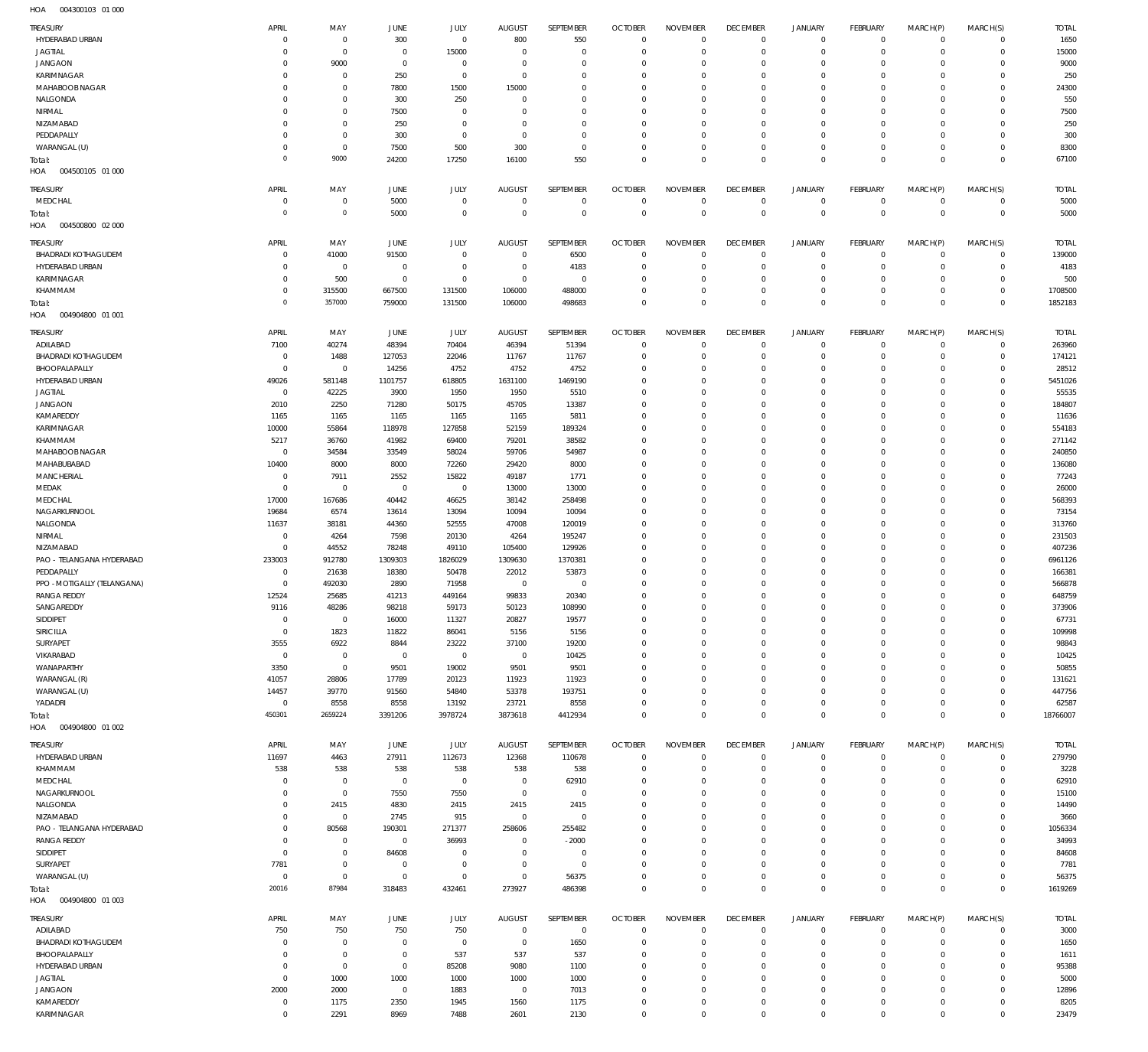| TREASURY                               | APRIL                  | MAY                      | JUNE             | <b>JULY</b>     | <b>AUGUST</b>                | SEPTEMBER       | <b>OCTOBER</b>           | <b>NOVEMBER</b>               | <b>DECEMBER</b>      | <b>JANUARY</b>                | FEBRUARY             | MARCH(P)            | MARCH(S)                   | <b>TOTAL</b>     |
|----------------------------------------|------------------------|--------------------------|------------------|-----------------|------------------------------|-----------------|--------------------------|-------------------------------|----------------------|-------------------------------|----------------------|---------------------|----------------------------|------------------|
| HYDERABAD URBAN                        | $\Omega$               | $\overline{0}$           | 300              | $\mathbf 0$     | 800                          | 550             | $\mathbf{0}$             | $\mathbf{0}$                  | $^{\circ}$           | $\mathbf 0$                   | $\mathbf 0$          | $\mathbf 0$         | $\mathbf 0$                | 1650             |
| <b>JAGTIAL</b>                         |                        | $\overline{0}$           | $^{\circ}$       | 15000           | $\mathbf 0$                  | $\overline{0}$  | C                        | $\mathbf 0$                   | 0                    | $\mathbf 0$                   | -0                   | $\mathbf 0$         | $\mathbf 0$                | 15000            |
| <b>JANGAON</b>                         |                        | 9000                     | $\mathbf 0$      | $\mathbf 0$     | $\Omega$                     | $\mathbf 0$     | -C                       | $\Omega$                      | $\Omega$             | $\mathbf 0$                   | 0                    | $\Omega$            | 0                          | 9000             |
| KARIMNAGAR                             | $\Omega$               | $\overline{0}$           | 250              | $\overline{0}$  | $\Omega$                     | $\mathbf 0$     | $\Omega$                 | $\mathbf 0$                   | 0                    | $\mathbf 0$                   | 0                    | 0                   | 0                          | 250              |
| MAHABOOB NAGAR                         |                        | $\mathbf 0$              | 7800             | 1500            | 15000                        | $\Omega$        | -C                       | $\Omega$                      | $\Omega$             | $\mathbf 0$                   | $\Omega$             | $\Omega$            | 0                          | 24300            |
| NALGONDA                               | $\Omega$               | $\overline{0}$           | 300              | 250             | 0                            | $\mathbf 0$     | $\Omega$                 | $\mathbf 0$                   | 0                    | $\mathbf 0$                   | 0                    | $\mathbf 0$         | 0                          | 550              |
| NIRMAL                                 |                        | $\mathbf 0$              | 7500             | $\Omega$        | -C                           | $\Omega$        | -C                       | $\Omega$                      | $\Omega$             | $\mathbf 0$                   | $\Omega$             | $\Omega$            | 0                          | 7500             |
| NIZAMABAD                              | $\Omega$               | $\overline{0}$           | 250              | $\mathbf 0$     | $\Omega$                     | $\mathbf 0$     | $\Omega$                 | $\mathbf 0$                   | 0                    | $\mathbf 0$                   | $\Omega$             | $\mathbf 0$         | $\mathbf 0$                | 250              |
| PEDDAPALLY                             | $\Omega$               | $\overline{0}$           | 300              | $\mathbf 0$     | 0                            | $\mathbf 0$     | $\Omega$                 | $\mathbf 0$                   | 0                    | $\mathbf 0$                   | 0                    | $\mathbf 0$         | 0                          | 300              |
| WARANGAL (U)                           |                        | $\overline{0}$           | 7500             | 500             | 300                          | $\mathbf 0$     | $\Omega$                 | $\mathbf 0$                   | 0                    | $\mathbf 0$                   | 0                    | $\mathbf 0$         | $\mathbf 0$                | 8300             |
| Total:                                 | $\Omega$               | 9000                     | 24200            | 17250           | 16100                        | 550             | $\Omega$                 | $\mathbf 0$                   | $\mathbf 0$          | $\mathbf 0$                   | $\mathbf 0$          | $\mathbf 0$         | $\mathbf 0$                | 67100            |
| HOA<br>004500105 01 000                |                        |                          |                  |                 |                              |                 |                          |                               |                      |                               |                      |                     |                            |                  |
| TREASURY                               | APRIL                  | MAY                      | JUNE             | <b>JULY</b>     | <b>AUGUST</b>                | SEPTEMBER       | <b>OCTOBER</b>           | <b>NOVEMBER</b>               | <b>DECEMBER</b>      | <b>JANUARY</b>                | FEBRUARY             | MARCH(P)            | MARCH(S)                   | <b>TOTAL</b>     |
| MEDCHAL                                | $\Omega$               | $\overline{0}$           | 5000             | $\mathbf 0$     | $\mathbf 0$                  | $\overline{0}$  | $\overline{0}$           | $\mathbf 0$                   | $^{\circ}$           | $\mathbf 0$                   | $\mathbf 0$          | $\mathbf 0$         | $\mathbf 0$                | 5000             |
| Total:                                 | $\Omega$               | $\,0\,$                  | 5000             | $\mathbf 0$     | $\Omega$                     | $\mathbb O$     | $\mathbf{0}$             | $\mathbb O$                   | $\mathbf{0}$         | $\mathbb O$                   | $\mathbf{0}$         | $\mathbf 0$         | $^{\circ}$                 | 5000             |
| 004500800 02 000<br>HOA                |                        |                          |                  |                 |                              |                 |                          |                               |                      |                               |                      |                     |                            |                  |
|                                        |                        |                          |                  | <b>JULY</b>     |                              | SEPTEMBER       | <b>OCTOBER</b>           | <b>NOVEMBER</b>               | <b>DECEMBER</b>      |                               |                      |                     |                            | <b>TOTAL</b>     |
| TREASURY<br><b>BHADRADI KOTHAGUDEM</b> | APRIL<br>$\Omega$      | MAY<br>41000             | JUNE<br>91500    | $\mathbf 0$     | <b>AUGUST</b><br>$\mathbf 0$ | 6500            | $^{\circ}$               | $\mathbf 0$                   | $\overline{0}$       | <b>JANUARY</b><br>$\mathbf 0$ | FEBRUARY<br>$\circ$  | MARCH(P)<br>$\circ$ | MARCH(S)<br>$\mathbf 0$    | 139000           |
| HYDERABAD URBAN                        | $\Omega$               | $\overline{0}$           | $^{\circ}$       | $\overline{0}$  | $^{\circ}$                   | 4183            | $^{\circ}$               | $^{\circ}$                    | $\circ$              | $\mathbf 0$                   | -0                   | $\mathbf 0$         | $\mathbf 0$                | 4183             |
| KARIMNAGAR                             | $\Omega$               | 500                      | $^{\circ}$       | $\mathbf 0$     | $\mathbf 0$                  | $\overline{0}$  | -C                       | $\mathbf 0$                   | 0                    | $\mathbf 0$                   | 0                    | $\mathbf 0$         | 0                          | 500              |
| KHAMMAM                                | $\Omega$               | 315500                   | 667500           | 131500          | 106000                       | 488000          | $\Omega$                 | $\mathbf 0$                   | 0                    | $\mathbf 0$                   | 0                    | $\mathbf 0$         | $\mathbf 0$                | 1708500          |
| Total:                                 | $\Omega$               | 357000                   | 759000           | 131500          | 106000                       | 498683          | $^{\circ}$               | $\mathbf 0$                   | $\mathbf 0$          | $\mathbf 0$                   | $\mathbf 0$          | $\mathbf 0$         | $\mathbf 0$                | 1852183          |
| HOA<br>004904800 01 001                |                        |                          |                  |                 |                              |                 |                          |                               |                      |                               |                      |                     |                            |                  |
|                                        |                        |                          |                  |                 |                              |                 |                          |                               |                      |                               |                      |                     |                            |                  |
| <b>TREASURY</b>                        | APRIL                  | MAY                      | JUNE             | JULY            | <b>AUGUST</b>                | SEPTEMBER       | <b>OCTOBER</b>           | <b>NOVEMBER</b>               | <b>DECEMBER</b>      | <b>JANUARY</b>                | FEBRUARY             | MARCH(P)            | MARCH(S)                   | <b>TOTAL</b>     |
| ADILABAD                               | 7100                   | 40274                    | 48394            | 70404           | 46394                        | 51394           | $\overline{0}$           | $\mathbf 0$                   | $^{\circ}$           | $\mathbf 0$                   | $\circ$              | $\mathbf 0$         | $\mathbf 0$                | 263960           |
| <b>BHADRADI KOTHAGUDEM</b>             | $^{\circ}$<br>$\Omega$ | 1488                     | 127053           | 22046           | 11767                        | 11767           | $\overline{0}$           | $\overline{0}$                | $^{\circ}$           | $\circ$                       | $^{\circ}$           | $^{\circ}$          | $\mathbf 0$                | 174121           |
| BHOOPALAPALLY<br>HYDERABAD URBAN       | 49026                  | $\overline{0}$<br>581148 | 14256<br>1101757 | 4752<br>618805  | 4752<br>1631100              | 4752<br>1469190 | $^{\circ}$<br>$^{\circ}$ | $\mathbf 0$<br>$\mathbf 0$    | 0<br>$\mathbf 0$     | $\mathbf 0$<br>$\mathbf 0$    | 0<br>0               | $\mathbf 0$<br>0    | $\mathbf 0$<br>$\mathbf 0$ | 28512<br>5451026 |
| <b>JAGTIAL</b>                         | $\overline{0}$         | 42225                    | 3900             | 1950            | 1950                         | 5510            | 0                        | $\mathbf 0$                   | 0                    | $\mathbf 0$                   | 0                    | $\mathbf 0$         | $\mathbf 0$                | 55535            |
| <b>JANGAON</b>                         | 2010                   | 2250                     | 71280            | 50175           | 45705                        | 13387           | $^{\circ}$               | $\mathbf 0$                   | 0                    | 0                             | 0                    | $\mathbf 0$         | $\mathbf 0$                | 184807           |
| KAMAREDDY                              | 1165                   | 1165                     | 1165             | 1165            | 1165                         | 5811            | $^{\circ}$               | $\mathbf 0$                   | 0                    | $\mathbf 0$                   | 0                    | 0                   | $\mathbf 0$                | 11636            |
| <b>KARIMNAGAR</b>                      | 10000                  | 55864                    | 118978           | 127858          | 52159                        | 189324          | $^{\circ}$               | $\mathbf 0$                   | 0                    | 0                             | 0                    | 0                   | $\mathbf 0$                | 554183           |
| KHAMMAM                                | 5217                   | 36760                    | 41982            | 69400           | 79201                        | 38582           | $^{\circ}$               | $\mathbf 0$                   | 0                    | $\mathbf 0$                   | 0                    | $\mathbf 0$         | $\mathbf 0$                | 271142           |
| MAHABOOB NAGAR                         | 0                      | 34584                    | 33549            | 58024           | 59706                        | 54987           | $^{\circ}$               | $\mathbf 0$                   | 0                    | 0                             | 0                    | $\mathbf 0$         | $\circ$                    | 240850           |
| MAHABUBABAD                            | 10400                  | 8000                     | 8000             | 72260           | 29420                        | 8000            | $\Omega$                 | $\mathbf 0$                   | 0                    | $\mathbf 0$                   | 0                    | 0                   | $\mathbf 0$                | 136080           |
| <b>MANCHERIAL</b>                      | $^{\circ}$             | 7911                     | 2552             | 15822           | 49187                        | 1771            | $^{\circ}$               | $\mathbf 0$                   | 0                    | $\mathbf 0$                   | 0                    | 0                   | $\mathbf 0$                | 77243            |
| MEDAK                                  | $\Omega$               | $\mathbf 0$              | $^{\circ}$       | $\overline{0}$  | 13000                        | 13000           | $\Omega$                 | $\mathbf 0$                   | 0                    | $\mathbf 0$                   | 0                    | $\mathbf 0$         | $\mathbf 0$                | 26000            |
| MEDCHAL                                | 17000                  | 167686                   | 40442            | 46625           | 38142                        | 258498          | $^{\circ}$               | $\mathbf 0$                   | 0                    | $\mathbf 0$                   | 0                    | 0                   | $\mathbf 0$                | 568393           |
| NAGARKURNOOL                           | 19684                  | 6574                     | 13614            | 13094           | 10094                        | 10094           | $\mathsf{C}$             | $\mathbf 0$                   | 0                    | $\mathbf 0$                   | 0                    | $\mathbf 0$         | $\mathbf 0$                | 73154            |
| <b>NALGONDA</b>                        | 11637                  | 38181                    | 44360            | 52555           | 47008                        | 120019          | $^{\circ}$               | $\mathbf 0$                   | 0                    | $\mathbf 0$                   | 0                    | 0                   | $\mathbf 0$                | 313760           |
| NIRMAL                                 | $^{\circ}$             | 4264                     | 7598             | 20130           | 4264                         | 195247          | 0                        | $\mathbf 0$                   | 0                    | $\mathbf 0$                   | 0                    | $\mathbf 0$         | $\mathbf 0$                | 231503           |
| NIZAMABAD                              | $^{\circ}$             | 44552                    | 78248            | 49110           | 105400                       | 129926          | $^{\circ}$               | $\mathbf 0$                   | 0                    | 0                             | 0                    | $\mathbf 0$         | $\mathbf 0$                | 407236           |
| PAO - TELANGANA HYDERABAD              | 233003                 | 912780                   | 1309303          | 1826029         | 1309630                      | 1370381         | $^{\circ}$               | $\mathbf 0$                   | 0                    | $\mathbf 0$                   | 0                    | $\mathbf 0$         | $\mathbf 0$                | 6961126          |
| PEDDAPALLY                             | $\Omega$               | 21638                    | 18380            | 50478           | 22012                        | 53873           | $\Omega$                 | $\mathbf 0$                   | 0                    | 0                             | 0                    | $\mathbf 0$         | $\circ$                    | 166381           |
| PPO - MOTIGALLY (TELANGANA)            | $^{\circ}$             | 492030                   | 2890             | 71958           | $\overline{0}$               | $\overline{0}$  | 0                        | $\mathbf 0$                   | 0                    | $\mathbf 0$                   | 0                    | $\mathbf 0$         | 0                          | 566878           |
| <b>RANGA REDDY</b><br>SANGAREDDY       | 12524<br>9116          | 25685<br>48286           | 41213<br>98218   | 449164<br>59173 | 99833<br>50123               | 20340<br>108990 | $\Omega$<br>$\Omega$     | $\mathbf 0$<br>$\overline{0}$ | $\Omega$<br>$\Omega$ | 0<br>$\circ$                  | $\Omega$<br>$\Omega$ | 0<br>$\mathbf{0}$   | $\mathbf 0$<br>$\Omega$    | 648759<br>373906 |
| <b>SIDDIPET</b>                        | $\overline{0}$         | $\overline{0}$           | 16000            | 11327           | 20827                        | 19577           | $^{\circ}$               | $\overline{0}$                | $\overline{0}$       | $\circ$                       | $\mathbf 0$          | $\circ$             | $\mathbf 0$                | 67731            |
| SIRICILLA                              | $\mathbf 0$            | 1823                     | 11822            | 86041           | 5156                         | 5156            | $^{\circ}$               | $\mathbf 0$                   | $\mathbf 0$          | $\mathbf 0$                   | $\mathbf 0$          | $\mathbf 0$         | $\mathbf 0$                | 109998           |
| SURYAPET                               | 3555                   | 6922                     | 8844             | 23222           | 37100                        | 19200           | $^{\circ}$               | $\overline{0}$                | $\mathbf 0$          | $\circ$                       | $\mathbf 0$          | $\mathbf 0$         | $\mathbf 0$                | 98843            |
| VIKARABAD                              | $\overline{0}$         | $\mathbf 0$              | $\overline{0}$   | $\mathbf 0$     | $\overline{0}$               | 10425           | $^{\circ}$               | $\mathbf 0$                   | $\mathbf 0$          | $\mathbf 0$                   | 0                    | 0                   | $\mathbf 0$                | 10425            |
| WANAPARTHY                             | 3350                   | $\mathbf 0$              | 9501             | 19002           | 9501                         | 9501            | $\mathbf{0}$             | $\overline{0}$                | $\mathbf 0$          | $\circ$                       | $\circ$              | $\mathbf 0$         | $\mathbf 0$                | 50855            |
| WARANGAL (R)                           | 41057                  | 28806                    | 17789            | 20123           | 11923                        | 11923           | $\Omega$                 | $\mathbf 0$                   | $\mathbf 0$          | $\mathbf 0$                   | 0                    | 0                   | $\mathbf 0$                | 131621           |
| WARANGAL (U)                           | 14457                  | 39770                    | 91560            | 54840           | 53378                        | 193751          | $\mathbf{0}$             | $\overline{0}$                | $\mathbf 0$          | $\circ$                       | $\circ$              | $\mathbf 0$         | $\mathbf 0$                | 447756           |
| YADADRI                                | $\overline{0}$         | 8558                     | 8558             | 13192           | 23721                        | 8558            | $\mathbf{0}$             | $\mathbf 0$                   | $^{\circ}$           | $\mathbf 0$                   | $\mathbf 0$          | $\mathbf 0$         | $\mathbf 0$                | 62587            |
| Total:                                 | 450301                 | 2659224                  | 3391206          | 3978724         | 3873618                      | 4412934         | $^{\circ}$               | $\mathbf 0$                   | $\mathbf 0$          | $\mathbb O$                   | $\mathbf 0$          | $\mathbf 0$         | $\mathbf 0$                | 18766007         |
| HOA<br>004904800 01 002                |                        |                          |                  |                 |                              |                 |                          |                               |                      |                               |                      |                     |                            |                  |
| TREASURY                               | APRIL                  | MAY                      | JUNE             | JULY            | <b>AUGUST</b>                | SEPTEMBER       | <b>OCTOBER</b>           | <b>NOVEMBER</b>               | <b>DECEMBER</b>      | <b>JANUARY</b>                | FEBRUARY             | MARCH(P)            | MARCH(S)                   | <b>TOTAL</b>     |
| HYDERABAD URBAN                        | 11697                  | 4463                     | 27911            | 112673          | 12368                        | 110678          | $\mathbf 0$              | $\mathbf 0$                   | $^{\circ}$           | $\mathbf 0$                   | $^{\circ}$           | $^{\circ}$          | $\mathbf 0$                | 279790           |
| KHAMMAM                                | 538                    | 538                      | 538              | 538             | 538                          | 538             | $^{\circ}$               | $\mathbf 0$                   | $\overline{0}$       | $\mathbf 0$                   | $\circ$              | $^{\circ}$          | $\mathbf 0$                | 3228             |
| MEDCHAL                                | $\Omega$               | $\overline{0}$           | $\overline{0}$   | $\mathbf 0$     | $\overline{0}$               | 62910           | $\mathbf{0}$             | $\mathbf 0$                   | 0                    | $\mathbf 0$                   | 0                    | $\mathbf 0$         | $\mathbf 0$                | 62910            |
| NAGARKURNOOL                           | $\Omega$               | $\mathbf 0$              | 7550             | 7550            | $\overline{0}$               | $\mathbf 0$     | $^{\circ}$               | $\mathbf 0$                   | 0                    | $\mathbf 0$                   | 0                    | $\mathbf 0$         | $\mathbf 0$                | 15100            |
| NALGONDA                               | $\Omega$               | 2415                     | 4830             | 2415            | 2415                         | 2415            | $\Omega$                 | $\Omega$                      | $\Omega$             | 0                             | 0                    | $\Omega$            | $\circ$                    | 14490            |
| NIZAMABAD                              | $\Omega$               | $\mathbf 0$              | 2745             | 915             | $\overline{0}$               | $\mathbf 0$     | $\mathbf{0}$             | $\mathbf 0$                   | 0                    | $\mathbf 0$                   | 0                    | $\mathbf 0$         | $\mathbf 0$                | 3660             |
| PAO - TELANGANA HYDERABAD              |                        | 80568                    | 190301           | 271377          | 258606                       | 255482          | $\Omega$                 | $\Omega$                      | $\Omega$             | 0                             | $\Omega$             | $\Omega$            | $\circ$                    | 1056334          |
| <b>RANGA REDDY</b>                     | $\Omega$               | $\overline{0}$           | $\overline{0}$   | 36993           | $\overline{0}$               | $-2000$         | $\mathbf{0}$             | $\overline{0}$                | 0                    | $\mathbf 0$                   | 0                    | $\mathbf 0$         | $\mathbf 0$                | 34993            |
| SIDDIPET                               | $\mathbf 0$            | $\mathbf 0$              | 84608            | $\mathbf 0$     | $\mathbf 0$                  | $\overline{0}$  | $\Omega$                 | $\Omega$                      | $\Omega$             | 0                             | $\Omega$             | $\mathbf 0$         | $\circ$                    | 84608            |
| SURYAPET                               | 7781                   | $\mathbf 0$              | $\overline{0}$   | $\overline{0}$  | $\overline{0}$               | $\mathbf 0$     | $\Omega$                 | $\overline{0}$                | $\mathbf 0$          | $\mathbf 0$                   | 0                    | $\mathbf 0$         | $\mathbf 0$                | 7781             |
| WARANGAL (U)                           | $\overline{0}$         | $\mathbf 0$              | $\overline{0}$   | $\mathbf 0$     | $\overline{0}$               | 56375           | $\mathbf{0}$             | $^{\circ}$                    | $^{\circ}$           | $\mathbf 0$                   | $^{\circ}$           | $\mathbf 0$         | $\mathbf 0$                | 56375            |
| Total:                                 | 20016                  | 87984                    | 318483           | 432461          | 273927                       | 486398          | $^{\circ}$               | $\mathbb O$                   | $\mathbf 0$          | $\mathbb O$                   | $\Omega$             | $\mathbf 0$         | $\mathbf 0$                | 1619269          |
| 004904800 01 003<br>HOA                |                        |                          |                  |                 |                              |                 |                          |                               |                      |                               |                      |                     |                            |                  |
| TREASURY                               | APRIL                  | MAY                      | JUNE             | JULY            | <b>AUGUST</b>                | SEPTEMBER       | <b>OCTOBER</b>           | <b>NOVEMBER</b>               | <b>DECEMBER</b>      | <b>JANUARY</b>                | FEBRUARY             | MARCH(P)            | MARCH(S)                   | <b>TOTAL</b>     |
| ADILABAD                               | 750                    | 750                      | 750              | 750             | $\overline{0}$               | $\overline{0}$  | $^{\circ}$               | $\overline{0}$                | $^{\circ}$           | $\circ$                       | $^{\circ}$           | $\mathbf 0$         | $\mathbf 0$                | 3000             |
| <b>BHADRADI KOTHAGUDEM</b>             | $\Omega$               | $\overline{0}$           | $^{\circ}$       | $\overline{0}$  | $^{\circ}$                   | 1650            | $^{\circ}$               | $\mathbf{0}$                  | $\overline{0}$       | $\mathbf 0$                   | $\circ$              | $\mathbf 0$         | $\mathbf 0$                | 1650             |
| BHOOPALAPALLY                          | $\Omega$               | $\mathbf 0$              | $\overline{0}$   | 537             | 537                          | 537             | $^{\circ}$               | $\overline{0}$                | $^{\circ}$           | $\circ$                       | $^{\circ}$           | $\mathbf 0$         | $\mathbf 0$                | 1611             |
| HYDERABAD URBAN                        | $\Omega$               | $\mathbf 0$              | $\overline{0}$   | 85208           | 9080                         | 1100            | $^{\circ}$               | $\mathbf 0$                   | $\mathbf 0$          | $\mathbf 0$                   | $\circ$              | 0                   | $\mathbf 0$                | 95388            |
| <b>JAGTIAL</b>                         | $\mathbf 0$            | 1000                     | 1000             | 1000            | 1000                         | 1000            | $^{\circ}$               | $\overline{0}$                | $\mathbf 0$          | $\circ$                       | $^{\circ}$           | $\mathbf 0$         | $\mathbf 0$                | 5000             |
| <b>JANGAON</b>                         | 2000                   | 2000                     | $\overline{0}$   | 1883            | $\overline{0}$               | 7013            | $^{\circ}$               | $\overline{0}$                | $^{\circ}$           | $\circ$                       | -0                   | $\mathbf 0$         | $\mathbf 0$                | 12896            |
| KAMAREDDY                              | $\overline{0}$         | 1175                     | 2350             | 1945            | 1560                         | 1175            | $^{\circ}$               | $\mathbf 0$                   | $^{\circ}$           | $\circ$                       | $^{\circ}$           | $\mathbf 0$         | $\mathbf 0$                | 8205             |
| KARIMNAGAR                             | $\mathbf 0$            | 2291                     | 8969             | 7488            | 2601                         | 2130            | $\mathbf{0}$             | $\mathbb O$                   | $\mathbf 0$          | $\mathbf 0$                   | $\mathbf 0$          | $\mathsf{O}$        | $\mathbf 0$                | 23479            |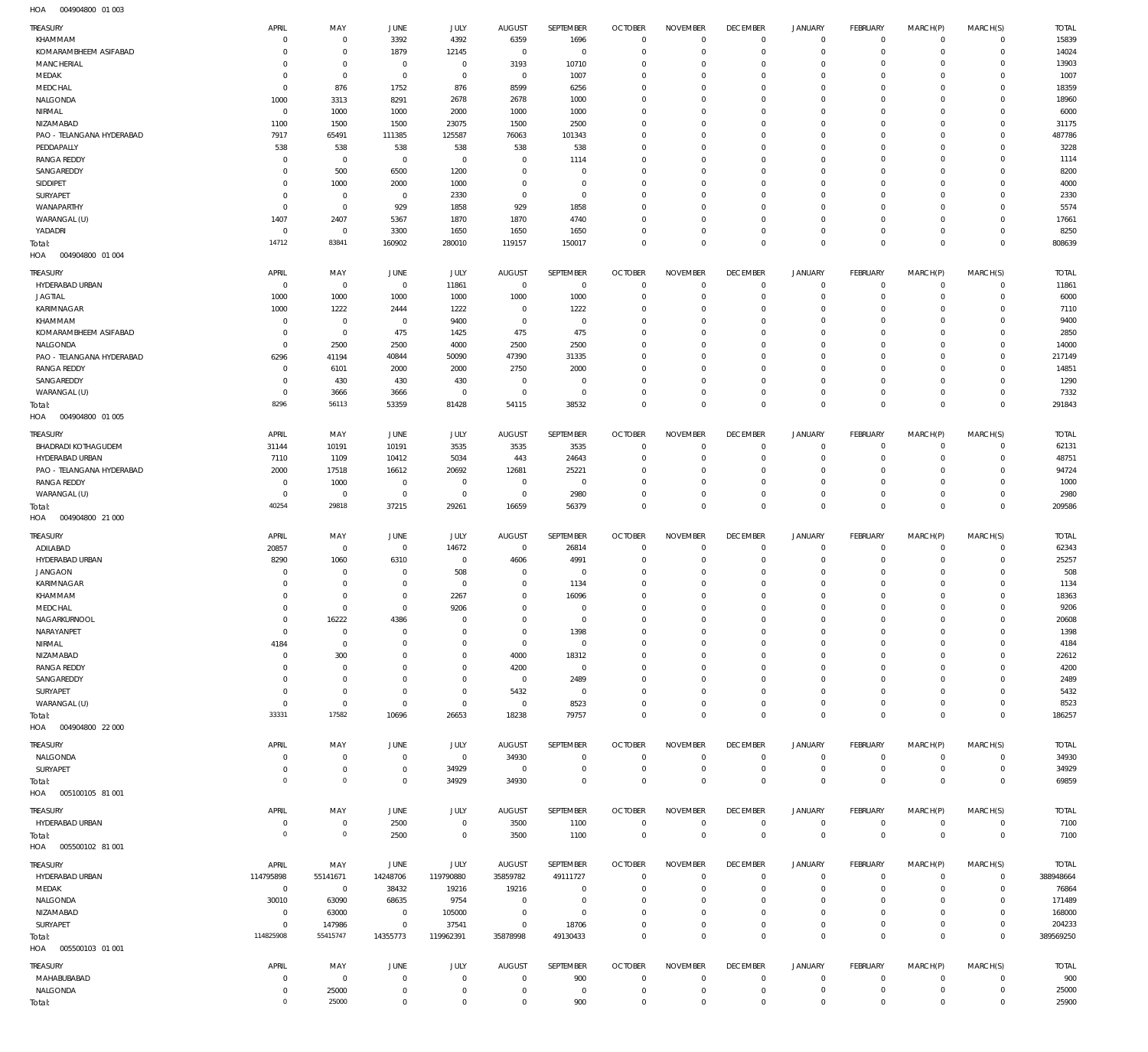004904800 01 003 HOA

| TREASURY                          | APRIL                      | MAY                         | JUNE                     | <b>JULY</b>                | <b>AUGUST</b>               | <b>SEPTEMBER</b>        | <b>OCTOBER</b>               | <b>NOVEMBER</b>              | <b>DECEMBER</b>            | <b>JANUARY</b>             | <b>FEBRUARY</b>               | MARCH(P)                   | MARCH(S)                       | <b>TOTAL</b>    |
|-----------------------------------|----------------------------|-----------------------------|--------------------------|----------------------------|-----------------------------|-------------------------|------------------------------|------------------------------|----------------------------|----------------------------|-------------------------------|----------------------------|--------------------------------|-----------------|
| KHAMMAM                           | C                          | $\mathbf{0}$                | 3392                     | 4392                       | 6359                        | 1696                    | $\overline{0}$               | $\mathbf 0$                  | $\mathbf 0$                | $\mathbf 0$                | $\overline{0}$                | $\mathbf 0$                | $\mathbf{0}$                   | 15839           |
| KOMARAMBHEEM ASIFABAD             | $\mathbf 0$                | $\mathbf 0$                 | 1879                     | 12145                      | $^{\circ}$                  | $\mathbf 0$             | $^{\circ}$                   | $\mathbf 0$                  | $\mathbf 0$                | $\mathbf 0$                | $\overline{0}$                | $\mathbf 0$                | $\mathbf{0}$                   | 14024           |
| <b>MANCHERIAL</b>                 | 0                          | $\mathbf 0$                 | $\overline{0}$           | $\mathbf 0$                | 3193                        | 10710                   | $^{\circ}$                   | $\mathbf{0}$                 | $\mathbf 0$                | $\mathbf 0$                | $\mathbf 0$                   | $\Omega$                   | $\mathbf 0$                    | 13903           |
| MEDAK                             | $\mathbf 0$                | $\mathbf 0$                 | $\overline{0}$           | $\mathbf 0$                | $^{\circ}$                  | 1007                    | $^{\circ}$                   | $\mathbf{0}$                 | $\mathbf 0$                | $\mathbf 0$                | $\mathbf 0$                   | $\Omega$                   | $\mathbf{0}$                   | 1007            |
| MEDCHAL                           | $^{\circ}$                 | 876                         | 1752                     | 876                        | 8599                        | 6256                    | $^{\circ}$                   | $\mathbf{0}$                 | $\mathbf 0$                | $\mathbf 0$                | $\mathbf 0$                   | $\Omega$                   | $\mathbf 0$                    | 18359           |
| NALGONDA                          | 1000                       | 3313                        | 8291                     | 2678                       | 2678                        | 1000                    | $^{\circ}$                   | $\mathbf{0}$                 | $\mathbf 0$                | $\mathbf 0$                | $^{\circ}$                    | $\Omega$                   | $\mathbf 0$                    | 18960           |
| NIRMAL                            | $\overline{0}$             | 1000                        | 1000                     | 2000                       | 1000                        | 1000                    | $^{\circ}$                   | $\mathbf{0}$                 | $\mathbf 0$                | $\mathbf 0$                | $\mathbf 0$                   | $\Omega$                   | $\mathbf 0$                    | 6000            |
| NIZAMABAD                         | 1100                       | 1500                        | 1500                     | 23075                      | 1500                        | 2500                    | $^{\circ}$                   | $\mathbf{0}$                 | $\mathbf 0$                | $\mathbf 0$                | $\mathbf 0$                   | $\Omega$                   | $\mathbf 0$                    | 31175           |
| PAO - TELANGANA HYDERABAD         | 7917                       | 65491                       | 111385                   | 125587                     | 76063                       | 101343                  | $^{\circ}$                   | $\mathbf{0}$                 | $\mathbf 0$                | $\mathbf 0$                | $\mathbf 0$                   | $\Omega$                   | $\mathbf 0$                    | 487786          |
| PEDDAPALLY                        | 538                        | 538                         | 538                      | 538                        | 538                         | 538                     | $^{\circ}$                   | $\mathbf{0}$                 | $\mathbf 0$                | $\mathbf 0$                | $\mathbf 0$                   | $\Omega$                   | $\mathbf 0$                    | 3228            |
| <b>RANGA REDDY</b>                | $\overline{0}$             | $\mathbf 0$                 | $\overline{0}$           | $\mathbf 0$                | $\mathbf 0$                 | 1114                    | $^{\circ}$                   | $\mathbf{0}$                 | $\mathbf 0$                | $\mathbf 0$                | $\mathbf 0$                   | $\Omega$                   | $\mathbf 0$                    | 1114            |
| SANGAREDDY                        | $\overline{0}$             | 500                         | 6500                     | 1200                       | $\mathbf 0$                 | $\mathbf 0$             | $^{\circ}$                   | $\mathbf{0}$                 | $\mathbf 0$                | $\mathbf 0$                | $\mathbf 0$                   | $\Omega$                   | $\mathbf 0$                    | 8200            |
| SIDDIPET                          | 0                          | 1000                        | 2000                     | 1000                       | $\mathbf 0$                 | $\mathbf 0$             | $^{\circ}$                   | $\mathbf{0}$                 | $\mathbf 0$                | $\mathbf 0$                | $\mathbf 0$                   | $\Omega$                   | $\mathbf 0$                    | 4000            |
| SURYAPET                          | 0                          | $\mathbf{0}$                | $\overline{0}$           | 2330                       | $\mathbf 0$                 | $\mathbf 0$             | $^{\circ}$                   | $\mathbf{0}$                 | $\mathbf 0$                | $\mathbf 0$                | $\mathbf 0$                   | $\Omega$                   | $\mathbf 0$                    | 2330            |
| WANAPARTHY                        | $\overline{0}$<br>1407     | $\mathbf 0$<br>2407         | 929<br>5367              | 1858                       | 929                         | 1858<br>4740            | $^{\circ}$<br>$^{\circ}$     | $\mathbf{0}$<br>$\mathbf{0}$ | $\mathbf 0$<br>$\mathbf 0$ | $\mathbf 0$<br>$\mathbf 0$ | $\mathbf 0$<br>$\mathbf 0$    | $\Omega$<br>$\mathbf 0$    | $\mathbf 0$<br>$\mathbf{0}$    | 5574            |
| WARANGAL (U)<br>YADADRI           | $\overline{0}$             | $\mathbf{0}$                | 3300                     | 1870<br>1650               | 1870<br>1650                | 1650                    | $^{\circ}$                   | $\mathbf{0}$                 | $\mathbf 0$                | $\mathbf 0$                | $\mathbf 0$                   | $\mathbf 0$                | $\mathbf 0$                    | 17661<br>8250   |
|                                   | 14712                      | 83841                       | 160902                   | 280010                     | 119157                      | 150017                  | $\overline{0}$               | $\mathbf 0$                  | $\mathbf 0$                | $\mathbf 0$                | $\overline{0}$                | $\mathbf 0$                | $\overline{0}$                 | 808639          |
| Total:<br>004904800 01 004<br>HOA |                            |                             |                          |                            |                             |                         |                              |                              |                            |                            |                               |                            |                                |                 |
|                                   |                            |                             |                          |                            |                             |                         |                              |                              |                            |                            |                               |                            |                                |                 |
| TREASURY                          | APRIL                      | MAY                         | JUNE                     | <b>JULY</b>                | <b>AUGUST</b>               | SEPTEMBER               | <b>OCTOBER</b>               | <b>NOVEMBER</b>              | <b>DECEMBER</b>            | <b>JANUARY</b>             | FEBRUARY                      | MARCH(P)                   | MARCH(S)                       | <b>TOTAL</b>    |
| <b>HYDERABAD URBAN</b>            | $\overline{0}$             | $\mathbf{0}$                | $\mathbf{0}$             | 11861                      | $\mathbf 0$                 | $\overline{0}$          | $\overline{0}$               | $\mathbf 0$                  | $\mathbf 0$                | $\mathbf 0$                | $\mathbf 0$                   | $\mathbf 0$                | $\mathbf{0}$                   | 11861           |
| <b>JAGTIAL</b>                    | 1000                       | 1000                        | 1000                     | 1000                       | 1000                        | 1000                    | $^{\circ}$                   | $\overline{0}$               | $\mathbf 0$                | $\mathbf 0$                | $\mathbf 0$                   | $\mathbf 0$                | $\mathbf 0$                    | 6000            |
| KARIMNAGAR                        | 1000                       | 1222                        | 2444                     | 1222                       | $\mathbf 0$                 | 1222                    | $^{\circ}$                   | $\mathbf{0}$                 | $\mathbf 0$                | $\mathbf 0$                | $\mathbf 0$                   | $\Omega$                   | $\mathbf 0$                    | 7110            |
| KHAMMAM                           | C                          | $\mathbf{0}$                | $\overline{0}$           | 9400                       | $\mathbf 0$                 | $\overline{0}$          | $^{\circ}$                   | $^{\circ}$                   | $\mathbf 0$                | $\mathbf 0$                | $\mathbf 0$                   | $\Omega$                   | $\mathbf 0$                    | 9400            |
| KOMARAMBHEEM ASIFABAD             | C                          | $\mathbf 0$                 | 475                      | 1425                       | 475                         | 475                     | $^{\circ}$                   | $^{\circ}$                   | $\mathbf 0$                | $\mathbf 0$                | $\mathbf 0$                   | $\Omega$                   | $\mathbf 0$                    | 2850            |
| NALGONDA                          | $\mathbf 0$                | 2500                        | 2500                     | 4000                       | 2500                        | 2500                    | $^{\circ}$                   | $\mathbf{0}$                 | $\mathbf 0$                | $\mathbf 0$                | $\mathbf 0$                   | $\Omega$                   | $\mathbf 0$                    | 14000           |
| PAO - TELANGANA HYDERABAD         | 6296                       | 41194                       | 40844                    | 50090                      | 47390                       | 31335                   | $^{\circ}$                   | $\mathbf{0}$                 | $\mathbf 0$                | $\mathbf 0$                | $\mathbf 0$                   | $\Omega$                   | $\mathbf 0$                    | 217149          |
| <b>RANGA REDDY</b><br>SANGAREDDY  | $^{\circ}$<br>$\mathsf{C}$ | 6101<br>430                 | 2000<br>430              | 2000<br>430                | 2750<br>$^{\circ}$          | 2000<br>$^{\circ}$      | $^{\circ}$<br>$^{\circ}$     | $\mathbf{0}$<br>$^{\circ}$   | $\mathbf 0$<br>$\mathbf 0$ | $\mathbf 0$<br>$\mathbf 0$ | $\mathbf 0$<br>$\Omega$       | $\Omega$<br>$\Omega$       | $\mathbf 0$<br>$\mathbf 0$     | 14851<br>1290   |
|                                   | $\overline{0}$             | 3666                        | 3666                     | $\mathbf 0$                | $\mathbf 0$                 | $\mathbf 0$             | $^{\circ}$                   | $\mathbf{0}$                 | $\mathbf 0$                | $\mathbf 0$                | $\mathbf 0$                   | $\mathbf 0$                | $\mathbf 0$                    | 7332            |
| WARANGAL (U)<br>Total:            | 8296                       | 56113                       | 53359                    | 81428                      | 54115                       | 38532                   | $\overline{0}$               | $\mathbf 0$                  | $\mathbf 0$                | $\mathbf 0$                | $\overline{0}$                | $\mathbf 0$                | $\mathbf 0$                    | 291843          |
| 004904800 01 005<br>HOA           |                            |                             |                          |                            |                             |                         |                              |                              |                            |                            |                               |                            |                                |                 |
|                                   |                            |                             |                          |                            |                             |                         |                              |                              |                            |                            |                               |                            |                                |                 |
| TREASURY                          | APRIL                      | MAY                         | JUNE                     | <b>JULY</b>                | <b>AUGUST</b>               | SEPTEMBER               | <b>OCTOBER</b>               | <b>NOVEMBER</b>              | <b>DECEMBER</b>            | <b>JANUARY</b>             | <b>FEBRUARY</b>               | MARCH(P)                   | MARCH(S)                       | <b>TOTAL</b>    |
| <b>BHADRADI KOTHAGUDEM</b>        | 31144                      | 10191                       | 10191                    | 3535                       | 3535                        | 3535                    | $^{\circ}$                   | $^{\circ}$                   | $\mathbf 0$                | $\mathbf 0$                | $\overline{0}$                | $\mathbf 0$                | $\mathbf{0}$                   | 62131           |
| HYDERABAD URBAN                   | 7110                       | 1109                        | 10412                    | 5034                       | 443                         | 24643                   | $^{\circ}$                   | $\mathbf 0$                  | $\mathbf 0$                | $\mathbf 0$                | $\overline{0}$                | $\mathbf 0$                | $\mathbf{0}$                   | 48751           |
| PAO - TELANGANA HYDERABAD         | 2000                       | 17518                       | 16612                    | 20692                      | 12681                       | 25221                   | $^{\circ}$                   | $\mathbf 0$                  | $\mathbf 0$                | $\mathbf 0$                | $\mathbf 0$                   | $\Omega$                   | $\mathbf{0}$                   | 94724           |
| <b>RANGA REDDY</b>                | $\overline{0}$             | 1000                        | $\overline{0}$           | $\mathbf 0$                | $\mathbf 0$                 | $\overline{0}$          | $^{\circ}$                   | $\mathbf{0}$                 | $\mathbf 0$                | $\mathbf 0$                | $\mathbf 0$                   | $\mathbf 0$                | $\mathbf{0}$                   | 1000            |
| WARANGAL (U)                      | C                          | $\mathbf{0}$                | $\overline{0}$           | $\mathbf 0$                | $^{\circ}$                  | 2980                    | $^{\circ}$                   | $\mathbf 0$                  | $\mathbf 0$                | $\mathbf 0$                | $\mathbf 0$                   | $\mathbf 0$                | $\mathbf 0$                    | 2980            |
| Total:                            | 40254                      | 29818                       | 37215                    | 29261                      | 16659                       | 56379                   | $\overline{0}$               | $\mathbf 0$                  | $\mathbf 0$                | $\mathbf 0$                | $\overline{0}$                | $\mathbf 0$                | $\overline{0}$                 | 209586          |
| 004904800 21 000<br>HOA           |                            |                             |                          |                            |                             |                         |                              |                              |                            |                            |                               |                            |                                |                 |
| TREASURY                          | APRIL                      | MAY                         | JUNE                     | JULY                       | <b>AUGUST</b>               | SEPTEMBER               | <b>OCTOBER</b>               | <b>NOVEMBER</b>              | <b>DECEMBER</b>            | <b>JANUARY</b>             | FEBRUARY                      | MARCH(P)                   | MARCH(S)                       | <b>TOTAL</b>    |
| ADILABAD                          | 20857                      | $\mathbf{0}$                | $\overline{0}$           | 14672                      | $\mathbf 0$                 | 26814                   | $^{\circ}$                   | $\overline{0}$               | $\mathbf 0$                | $\mathbf 0$                | $\mathbf 0$                   | $\mathbf 0$                | $\mathbf{0}$                   | 62343           |
| HYDERABAD URBAN                   | 8290                       | 1060                        | 6310                     | $\mathbf 0$                | 4606                        | 4991                    | $^{\circ}$                   | $^{\circ}$                   | $\mathbf 0$                | $\mathbf 0$                | $\mathbf 0$                   | $\mathbf 0$                | $\mathbf 0$                    | 25257           |
| <b>JANGAON</b>                    | C                          | $^{\circ}$                  | $\overline{0}$           | 508                        | 0                           | $\mathbf 0$             | $^{\circ}$                   | $\mathbf{0}$                 | $\mathbf 0$                | $\mathbf 0$                | $\mathbf 0$                   | $\Omega$                   | $\mathbf 0$                    | 508             |
| KARIMNAGAR                        | $\Omega$                   | $^{\circ}$                  | $\overline{0}$           | $^{\circ}$                 | $\mathbf 0$                 | 1134                    | $^{\circ}$                   | $\mathbf{0}$                 | $\mathbf 0$                | $\mathbf 0$                | $\Omega$                      | $\Omega$                   | $\mathbf 0$                    | 1134            |
| KHAMMAM                           | $\Omega$                   | $\mathbf 0$                 | $^{\circ}$               | 2267                       | $\mathbf 0$                 | 16096                   | $\mathbf 0$                  | $\mathbf 0$                  | $\mathbf 0$                | $\mathbf 0$                | $\Omega$                      | $\Omega$                   | $\mathbf{0}$                   | 18363           |
| MEDCHAL                           | $\Omega$                   | $\Omega$                    | $\Omega$                 | 9206                       | $\mathbf{0}$                | $\mathbf 0$             | $\Omega$                     | $\Omega$                     | $\Omega$                   | $\Omega$                   | $\Omega$                      | $\Omega$                   | $\Omega$                       | 9206            |
| NAGARKURNOOL                      | $^{\circ}$                 | 16222                       | 4386                     | $\mathbf 0$                | $\mathbf 0$                 | $\mathbf 0$             | $\mathbf 0$                  | $\mathbf{0}$                 | $\mathbf 0$                | $\mathbf 0$                | $\mathbf 0$                   | $\mathbf 0$                | $\mathbf 0$                    | 20608           |
| NARAYANPET                        | $\overline{0}$             | $\mathbf 0$                 | $\overline{0}$           | $\mathbf 0$                | $^{\circ}$                  | 1398                    | $^{\circ}$                   | $\mathbf{0}$                 | $\mathbf 0$                | $\mathbf 0$                | $\mathbf 0$                   | $\mathbf 0$                | $\mathbf 0$                    | 1398            |
| NIRMAL                            | 4184                       | $\mathbf 0$                 | $\overline{0}$           | $^{\circ}$                 | $^{\circ}$                  | $^{\circ}$              | $^{\circ}$                   | $^{\circ}$                   | $\mathbf 0$                | $\mathbf 0$                | $\mathbf 0$                   | $\Omega$                   | $\mathbf 0$                    | 4184            |
| NIZAMABAD                         | $^{\circ}$                 | 300                         | 0                        | $^{\circ}$                 | 4000                        | 18312                   | $^{\circ}$                   | $^{\circ}$                   | $\mathbf 0$                | $\mathbf 0$                | $\mathbf 0$                   | 0                          | $\mathbf 0$                    | 22612           |
| <b>RANGA REDDY</b>                | C                          | $^{\circ}$                  | 0                        | $\mathbf 0$<br>$^{\circ}$  | 4200<br>$\mathbf 0$         | $^{\circ}$<br>2489      | $^{\circ}$<br>$^{\circ}$     | $^{\circ}$<br>$\mathbf{0}$   | $\mathbf 0$<br>$\mathbf 0$ | $\mathbf 0$<br>$\mathbf 0$ | $\mathbf 0$<br>$\mathbf 0$    | 0<br>$\Omega$              | $\mathbf 0$<br>$\mathbf 0$     | 4200            |
| SANGAREDDY<br>SURYAPET            | 0<br>C                     | $\mathbf{0}$<br>$\mathbf 0$ | 0<br>$\overline{0}$      | $^{\circ}$                 | 5432                        | $^{\circ}$              | $^{\circ}$                   | $^{\circ}$                   | $\mathbf 0$                | $\mathbf 0$                | $\mathbf 0$                   | $\Omega$                   | $\mathbf 0$                    | 2489<br>5432    |
|                                   | $^{\circ}$                 | $\mathbf 0$                 | $^{\circ}$               | $\mathbf 0$                | $\mathbf 0$                 | 8523                    | $^{\circ}$                   | $\mathbf{0}$                 | $\mathbf 0$                | $\mathbf 0$                | $^{\circ}$                    | $\mathbf 0$                | $\mathbf 0$                    | 8523            |
| WARANGAL (U)<br>Total:            | 33331                      | 17582                       | 10696                    | 26653                      | 18238                       | 79757                   | $^{\circ}$                   | $\mathbf 0$                  | $\mathbf 0$                | $\mathbf 0$                | $\mathbf 0$                   | $\mathbf 0$                | $\mathbf 0$                    | 186257          |
| HOA   004904800   22 000          |                            |                             |                          |                            |                             |                         |                              |                              |                            |                            |                               |                            |                                |                 |
|                                   |                            |                             |                          |                            |                             |                         |                              |                              |                            |                            |                               |                            |                                |                 |
| TREASURY                          | APRIL                      | MAY                         | JUNE                     | JULY                       | <b>AUGUST</b>               | SEPTEMBER               | <b>OCTOBER</b>               | <b>NOVEMBER</b>              | <b>DECEMBER</b>            | <b>JANUARY</b>             | <b>FEBRUARY</b>               | MARCH(P)                   | MARCH(S)                       | <b>TOTAL</b>    |
| NALGONDA                          | $\overline{0}$             | $\mathbf{0}$                | $\overline{0}$           | $\mathbf 0$                | 34930                       | $\mathbf 0$             | $\overline{0}$               | $\mathbf{0}$                 | $\mathbf 0$                | $\mathbf 0$                | $\overline{0}$                | $\mathbf 0$                | $\mathbf{0}$                   | 34930           |
| SURYAPET                          | 0                          | $\mathbf 0$                 | $\mathbf 0$              | 34929                      | $\overline{0}$              | $\mathbf 0$             | $\overline{0}$               | $\mathbf 0$                  | $\mathbf 0$                | $\mathbf 0$                | $\overline{0}$                | $\mathbf 0$                | $\circ$                        | 34929           |
| Total:                            |                            |                             | $\mathbf{0}$             | 34929                      | 34930                       | $\mathbf 0$             | $\overline{0}$               | $\mathbf 0$                  | $\mathbf 0$                | $\mathbf 0$                | $\overline{0}$                | $\mathbf 0$                | $\overline{0}$                 | 69859           |
|                                   | $^{\circ}$                 | $\mathsf{O}\xspace$         |                          |                            |                             |                         |                              |                              |                            |                            |                               |                            |                                |                 |
| HOA   005100105   81   001        |                            |                             |                          |                            |                             |                         |                              |                              |                            |                            |                               |                            |                                |                 |
| TREASURY                          | APRIL                      | MAY                         | JUNE                     | JULY                       | AUGUST                      | SEPTEMBER               | <b>OCTOBER</b>               | <b>NOVEMBER</b>              | <b>DECEMBER</b>            | <b>JANUARY</b>             | <b>FEBRUARY</b>               | MARCH(P)                   | MARCH(S)                       | <b>TOTAL</b>    |
| HYDERABAD URBAN                   | $^{\circ}$                 | $\mathbf{0}$                | 2500                     | $\mathbf 0$                | 3500                        | 1100                    | $^{\circ}$                   | $^{\circ}$                   | $\mathbf 0$                | $\mathbf 0$                | $\overline{0}$                | $\mathbf 0$                | $\mathbf{0}$                   | 7100            |
| Total:                            | $\mathbf 0$                | $\mathsf{O}\xspace$         | 2500                     | $\mathbf 0$                | 3500                        | 1100                    | $\overline{0}$               | $\overline{0}$               | $\mathbf{0}$               | $\mathbf 0$                | $\overline{0}$                | $\mathbf 0$                | $\overline{0}$                 | 7100            |
| HOA   005500102   81 001          |                            |                             |                          |                            |                             |                         |                              |                              |                            |                            |                               |                            |                                |                 |
|                                   |                            |                             |                          |                            |                             |                         |                              |                              |                            |                            |                               |                            |                                |                 |
| TREASURY                          | APRIL                      | MAY                         | JUNE                     | JULY                       | <b>AUGUST</b>               | SEPTEMBER               | <b>OCTOBER</b>               | <b>NOVEMBER</b>              | <b>DECEMBER</b>            | <b>JANUARY</b>             | <b>FEBRUARY</b>               | MARCH(P)                   | MARCH(S)                       | <b>TOTAL</b>    |
| HYDERABAD URBAN                   | 114795898<br>$\mathbf 0$   | 55141671<br>$\mathbf 0$     | 14248706                 | 119790880                  | 35859782                    | 49111727<br>$\mathbf 0$ | $\overline{0}$<br>$^{\circ}$ | $\mathbf{0}$<br>$^{\circ}$   | $\mathbf 0$<br>$\mathbf 0$ | $\mathbf 0$<br>$\mathbf 0$ | $\overline{0}$<br>$\mathbf 0$ | $\mathbf 0$<br>$\mathbf 0$ | $\overline{0}$<br>$\mathbf{0}$ | 388948664       |
| MEDAK<br>NALGONDA                 | 30010                      | 63090                       | 38432<br>68635           | 19216<br>9754              | 19216<br>$\mathbf 0$        | $\mathbf 0$             | $^{\circ}$                   | $^{\circ}$                   | $\mathbf 0$                | $\mathbf 0$                | $\mathbf 0$                   | $\mathbf 0$                | $\mathbf 0$                    | 76864<br>171489 |
| NIZAMABAD                         | $^{\circ}$                 | 63000                       | $^{\circ}$               | 105000                     | $\mathbf 0$                 | $\mathbf 0$             | $^{\circ}$                   | $\mathbf{0}$                 | $\mathbf 0$                | $\mathbf 0$                | $\mathbf 0$                   | $\mathbf 0$                | $\mathbf{0}$                   | 168000          |
| SURYAPET                          | $^{\circ}$                 | 147986                      | $\mathbf{0}$             | 37541                      | $\mathbf 0$                 | 18706                   | $^{\circ}$                   | $\mathbf{0}$                 | $\mathbf 0$                | $\mathbf 0$                | $\overline{0}$                | $\mathbf 0$                | $\mathbf{0}$                   | 204233          |
| Total:                            | 114825908                  | 55415747                    | 14355773                 | 119962391                  | 35878998                    | 49130433                | $\mathbf 0$                  | $\mathbf 0$                  | $\mathbf 0$                | $\mathbf 0$                | $\overline{0}$                | $\mathbf 0$                | $\overline{0}$                 | 389569250       |
| HOA   005500103   01   001        |                            |                             |                          |                            |                             |                         |                              |                              |                            |                            |                               |                            |                                |                 |
|                                   |                            |                             |                          |                            |                             |                         |                              |                              |                            |                            |                               |                            |                                |                 |
| TREASURY                          | APRIL                      | MAY                         | JUNE                     | JULY                       | <b>AUGUST</b>               | SEPTEMBER               | <b>OCTOBER</b>               | <b>NOVEMBER</b>              | <b>DECEMBER</b>            | <b>JANUARY</b>             | FEBRUARY                      | MARCH(P)                   | MARCH(S)                       | <b>TOTAL</b>    |
| MAHABUBABAD                       | 0                          | $^{\circ}$                  | $\overline{0}$           | $^{\circ}$                 | $^{\circ}$                  | 900                     | $^{\circ}$                   | $\overline{0}$               | $\mathbf 0$                | $\mathbf 0$                | $\mathbf 0$                   | $\mathbf 0$                | $^{\circ}$                     | 900             |
| NALGONDA<br>Total:                | $\circ$<br>$\overline{0}$  | 25000<br>25000              | $^{\circ}$<br>$^{\circ}$ | $\mathbf 0$<br>$\mathbf 0$ | $\mathbf{0}$<br>$\mathbf 0$ | $\overline{0}$<br>900   | $^{\circ}$<br>$^{\circ}$     | $\mathbf{0}$<br>$\mathbf 0$  | $\mathbf 0$<br>$\mathbf 0$ | $\mathbf 0$<br>$\mathbf 0$ | $\overline{0}$<br>$\mathbf 0$ | $\mathbf 0$<br>$\mathbf 0$ | $\mathbf{0}$<br>$\mathbf 0$    | 25000<br>25900  |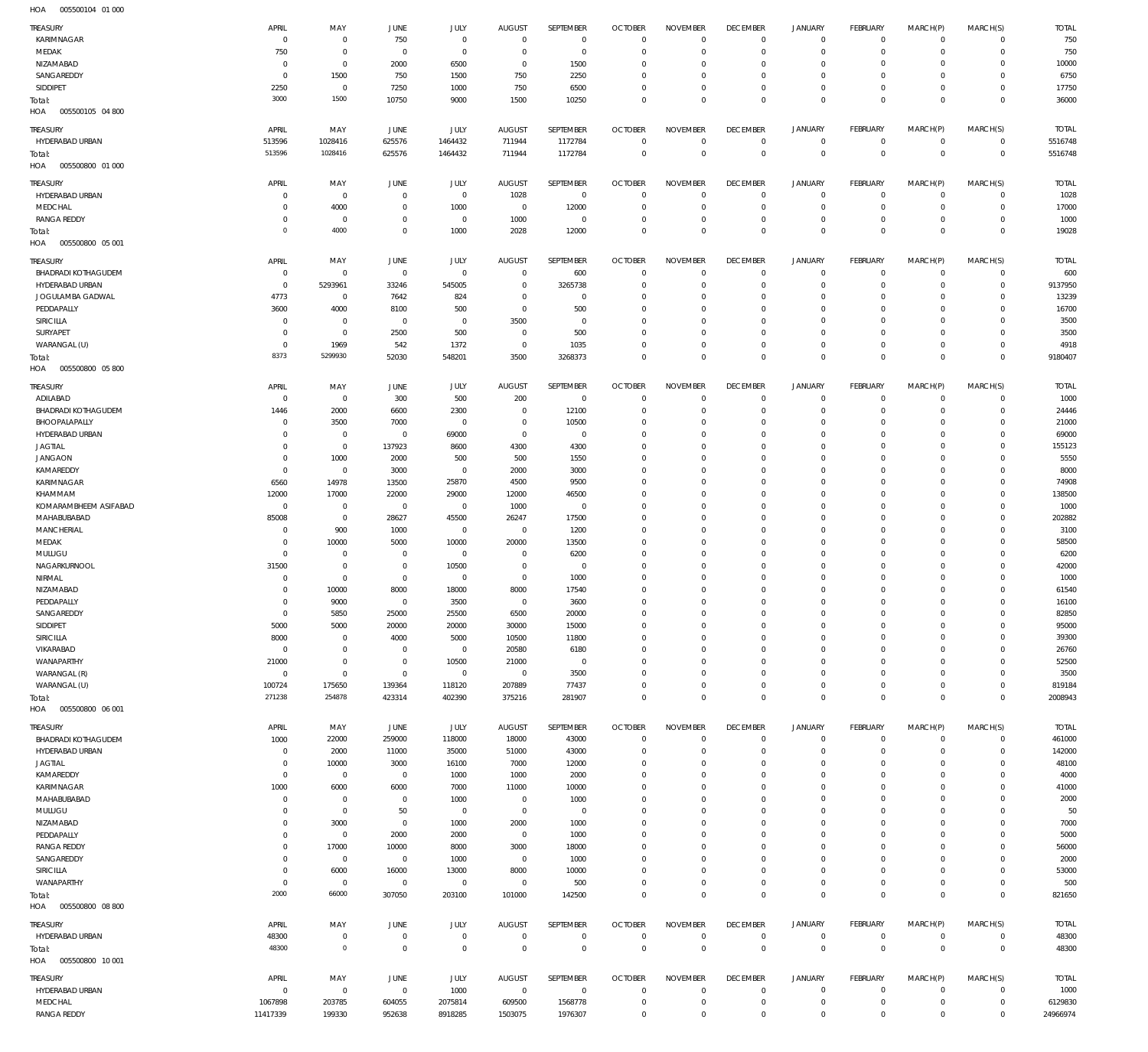| TREASURY                          | APRIL          | MAY            | <b>JUNE</b>    | JULY                | <b>AUGUST</b>  | SEPTEMBER      | <b>OCTOBER</b> | <b>NOVEMBER</b> | <b>DECEMBER</b> | <b>JANUARY</b> | FEBRUARY       | MARCH(P)     | MARCH(S)       | <b>TOTAL</b> |
|-----------------------------------|----------------|----------------|----------------|---------------------|----------------|----------------|----------------|-----------------|-----------------|----------------|----------------|--------------|----------------|--------------|
| KARIMNAGAR                        | 0              | $\mathbf 0$    | 750            | $\bf 0$             | $\overline{0}$ | $\mathbf 0$    | $\overline{0}$ | $\mathbf 0$     | $\overline{0}$  | $\circ$        | $\overline{0}$ | $\mathbf 0$  | $\mathbf 0$    | 750          |
| MEDAK                             | 750            | $\mathbb O$    | $\overline{0}$ | $\mathsf{O}\xspace$ | $\overline{0}$ | $\bf 0$        | $\overline{0}$ | $\mathbf 0$     | $\overline{0}$  | $\mathbf 0$    | $\overline{0}$ | $\mathbf 0$  | $\mathbf 0$    | 750          |
| NIZAMABAD                         | 0              | $\mathbf 0$    | 2000           | 6500                | $\mathbf 0$    | 1500           | $\overline{0}$ | $\mathbf 0$     | $\mathbf 0$     | 0              | $\mathbf{0}$   | 0            | $\mathbf 0$    | 10000        |
| SANGAREDDY                        | $^{\circ}$     | 1500           | 750            | 1500                | 750            | 2250           | $\overline{0}$ | $\mathbf 0$     | $\overline{0}$  | $\mathbf 0$    | $\mathbf{0}$   | 0            | $\mathbf 0$    | 6750         |
| SIDDIPET                          | 2250           | $\overline{0}$ | 7250           | 1000                | 750            | 6500           | $\overline{0}$ | $\mathbf 0$     | $\overline{0}$  | $\mathbf 0$    | $\overline{0}$ | $\mathbf 0$  | $\mathbf 0$    | 17750        |
| Total:<br>HOA<br>005500105 04 800 | 3000           | 1500           | 10750          | 9000                | 1500           | 10250          | $\overline{0}$ | $\mathbf 0$     | $\mathbf 0$     | $\mathbf 0$    | $\overline{0}$ | $\mathbf 0$  | $\mathbf{0}$   | 36000        |
|                                   |                |                |                |                     |                |                |                |                 |                 |                |                |              |                |              |
| TREASURY                          | APRIL          | MAY            | JUNE           | JULY                | <b>AUGUST</b>  | SEPTEMBER      | <b>OCTOBER</b> | <b>NOVEMBER</b> | <b>DECEMBER</b> | <b>JANUARY</b> | FEBRUARY       | MARCH(P)     | MARCH(S)       | <b>TOTAL</b> |
| HYDERABAD URBAN                   | 513596         | 1028416        | 625576         | 1464432             | 711944         | 1172784        | $\overline{0}$ | $\mathbf 0$     | $\overline{0}$  | $\circ$        | $\overline{0}$ | $\mathbf 0$  | $\overline{0}$ | 5516748      |
| Total:                            | 513596         | 1028416        | 625576         | 1464432             | 711944         | 1172784        | $\overline{0}$ | $\mathbf 0$     | $\overline{0}$  | $\overline{0}$ | $\overline{0}$ | $\mathbf{0}$ | $\overline{0}$ | 5516748      |
| HOA<br>005500800 01 000           |                |                |                |                     |                |                |                |                 |                 |                |                |              |                |              |
| TREASURY                          | APRIL          | MAY            | <b>JUNE</b>    | JULY                | <b>AUGUST</b>  | SEPTEMBER      | <b>OCTOBER</b> | <b>NOVEMBER</b> | <b>DECEMBER</b> | <b>JANUARY</b> | FEBRUARY       | MARCH(P)     | MARCH(S)       | <b>TOTAL</b> |
| HYDERABAD URBAN                   | $^{\circ}$     | $\mathbb O$    | $\mathbf 0$    | $\mathsf{O}\xspace$ | 1028           | $\overline{0}$ | $\overline{0}$ | $\mathbf 0$     | $\overline{0}$  | $\circ$        | $\overline{0}$ | $\mathbf 0$  | $\mathbf 0$    | 1028         |
| MEDCHAL                           | 0              | 4000           | $\overline{0}$ | 1000                | $\mathbf 0$    | 12000          | $\overline{0}$ | 0               | $\mathbf 0$     | 0              | $\overline{0}$ | $\mathbf 0$  | $\overline{0}$ | 17000        |
| <b>RANGA REDDY</b>                | $^{\circ}$     | $\mathbf 0$    | $\mathbf 0$    | $\bf 0$             | 1000           | $\overline{0}$ | $\overline{0}$ | $\mathbf 0$     | $\overline{0}$  | $\mathbf 0$    | $\overline{0}$ | $\mathbf 0$  | $\mathbf 0$    | 1000         |
| Total:                            | $\overline{0}$ | 4000           | $\mathbf 0$    | 1000                | 2028           | 12000          | $\overline{0}$ | $\mathbf 0$     | $\overline{0}$  | $\mathbf 0$    | $\overline{0}$ | $\mathbf 0$  | $\overline{0}$ | 19028        |
| HOA<br>005500800 05 001           |                |                |                |                     |                |                |                |                 |                 |                |                |              |                |              |
|                                   |                |                |                |                     |                |                |                |                 |                 |                |                |              |                |              |
| <b>TREASURY</b>                   | APRIL          | MAY            | <b>JUNE</b>    | JULY                | <b>AUGUST</b>  | SEPTEMBER      | <b>OCTOBER</b> | <b>NOVEMBER</b> | <b>DECEMBER</b> | <b>JANUARY</b> | FEBRUARY       | MARCH(P)     | MARCH(S)       | <b>TOTAL</b> |
| <b>BHADRADI KOTHAGUDEM</b>        | $\mathbf 0$    | $\mathbf 0$    | $\mathbf 0$    | $\mathbf 0$         | $\mathbf 0$    | 600            | $\overline{0}$ | $\mathbf 0$     | $\mathbf 0$     | $\circ$        | $\overline{0}$ | $\mathbf 0$  | $\mathbf 0$    | 600          |
| HYDERABAD URBAN                   | $^{\circ}$     | 5293961        | 33246          | 545005              | $\mathbf 0$    | 3265738        | $\overline{0}$ | $\Omega$        | $\mathbf 0$     | $\mathbf 0$    | $\overline{0}$ | $\mathbf 0$  | $\mathbf 0$    | 9137950      |
| JOGULAMBA GADWAL                  | 4773           | $\mathbf 0$    | 7642           | 824                 | $\mathbf 0$    | $\mathbf 0$    | $\mathbf 0$    | $\Omega$        | $\mathbf 0$     | $\mathbf 0$    | $\mathbf{0}$   | $\Omega$     | $\mathbf 0$    | 13239        |
| PEDDAPALLY                        | 3600           | 4000           | 8100           | 500                 | $^{\circ}$     | 500            | $\mathbf 0$    | $\mathbf 0$     | $\mathbf 0$     | $\mathbf 0$    | $\mathbf{0}$   | $\Omega$     | $\mathbf 0$    | 16700        |
| SIRICILLA                         | $^{\circ}$     | $\mathbf 0$    | $\mathbf 0$    | $\mathbf 0$         | 3500           | $\mathbf 0$    | $\mathbf 0$    | $\mathbf 0$     | $\mathbf 0$     | $\mathbf 0$    | $\mathbf{0}$   | $\Omega$     | $\mathbf 0$    | 3500         |
| SURYAPET                          | $^{\circ}$     | $\mathbf 0$    | 2500           | 500                 | $\overline{0}$ | 500            | $\mathbf 0$    | $\Omega$        | $\mathbf 0$     | $\mathbf 0$    | $\mathbf{0}$   | $\Omega$     | $\mathbf 0$    | 3500         |
| WARANGAL (U)                      | $^{\circ}$     | 1969           | 542            | 1372                | $\mathbf{0}$   | 1035           | $\mathbf 0$    | $\mathbf 0$     | $\mathbf 0$     | $\mathbf 0$    | $\mathbf{0}$   | $\mathbf 0$  | $\mathbf 0$    | 4918         |
| Total:                            | 8373           | 5299930        | 52030          | 548201              | 3500           | 3268373        | $\overline{0}$ | $\Omega$        | $\mathbf 0$     | $\mathbf 0$    | $\overline{0}$ | $\Omega$     | $\mathbf 0$    | 9180407      |
| HOA<br>005500800 05800            |                |                |                |                     |                |                |                |                 |                 |                |                |              |                |              |
| TREASURY                          | APRIL          | MAY            | <b>JUNE</b>    | JULY                | <b>AUGUST</b>  | SEPTEMBER      | <b>OCTOBER</b> | <b>NOVEMBER</b> | <b>DECEMBER</b> | <b>JANUARY</b> | FEBRUARY       | MARCH(P)     | MARCH(S)       | <b>TOTAL</b> |
| ADILABAD                          | 0              | $\mathbf 0$    | 300            | 500                 | 200            | $\overline{0}$ | $\overline{0}$ | 0               | $\overline{0}$  | $\mathbf 0$    | $\overline{0}$ | $\mathbf 0$  | $\mathbf 0$    | 1000         |
| <b>BHADRADI KOTHAGUDEM</b>        | 1446           | 2000           | 6600           | 2300                | $\mathbf 0$    | 12100          | $\overline{0}$ | $\mathbf 0$     | $\mathbf 0$     | $\mathbf 0$    | $\mathbf 0$    | $\mathbf 0$  | $\mathbf 0$    | 24446        |
| BHOOPALAPALLY                     | $^{\circ}$     | 3500           | 7000           | 0                   | $\overline{0}$ | 10500          | $\overline{0}$ | $\mathbf 0$     | $\mathbf 0$     | $\mathbf 0$    | $\mathbf 0$    | 0            | $\mathbf 0$    | 21000        |
| HYDERABAD URBAN                   | 0              | $\mathbb O$    | $\overline{0}$ | 69000               | $\mathbf 0$    | $\mathbf 0$    | $\overline{0}$ | $\mathbf 0$     | $\mathbf 0$     | $\mathbf 0$    | $\mathbf{0}$   | 0            | $\mathbf 0$    | 69000        |
| <b>JAGTIAL</b>                    | $^{\circ}$     | $\mathbb O$    | 137923         | 8600                | 4300           | 4300           | $\overline{0}$ | $\mathbf 0$     | $\mathbf 0$     | 0              | $\mathbf{0}$   | $\Omega$     | $\mathbf 0$    | 155123       |
| <b>JANGAON</b>                    | $^{\circ}$     | 1000           | 2000           | 500                 | 500            | 1550           | $\overline{0}$ | $\mathbf 0$     | $\mathbf 0$     | $\mathbf 0$    | $\mathbf{0}$   | 0            | $\mathbf 0$    | 5550         |
| KAMAREDDY                         | $^{\circ}$     | $\overline{0}$ | 3000           | 0                   | 2000           | 3000           | $\overline{0}$ | $\Omega$        | $\mathbf 0$     | 0              | $\mathbf{0}$   | $\Omega$     | $\mathbf 0$    | 8000         |
|                                   |                |                |                | 25870               |                |                | $\overline{0}$ | $\mathbf 0$     | $\mathbf 0$     | $\mathbf 0$    | $\mathbf{0}$   | 0            | $\mathbf 0$    |              |
| KARIMNAGAR                        | 6560           | 14978          | 13500          |                     | 4500           | 9500           |                |                 |                 |                |                |              |                | 74908        |
| KHAMMAM                           | 12000          | 17000          | 22000          | 29000               | 12000          | 46500          | $\overline{0}$ | $\Omega$        | $\mathbf 0$     | 0              | $\mathbf{0}$   | $\Omega$     | $\mathbf 0$    | 138500       |
| KOMARAMBHEEM ASIFABAD             | $\circ$        | $\mathbb O$    | $\overline{0}$ | $\mathsf{O}\xspace$ | 1000           | $\overline{0}$ | $\overline{0}$ | $\Omega$        | $\mathbf 0$     | $\mathbf 0$    | $\mathbf{0}$   | $\Omega$     | $\mathbf 0$    | 1000         |
| MAHABUBABAD                       | 85008          | $\mathbb O$    | 28627          | 45500               | 26247          | 17500          | $\overline{0}$ | $\mathbf 0$     | $\mathbf 0$     | 0              | $\mathbf{0}$   | 0            | $\mathbf 0$    | 202882       |
| MANCHERIAL                        | $^{\circ}$     | 900            | 1000           | $\mathsf{O}\xspace$ | $\overline{0}$ | 1200           | $\overline{0}$ | $\mathbf 0$     | $\mathbf 0$     | $\mathbf 0$    | $\mathbf{0}$   | $\Omega$     | $\mathbf 0$    | 3100         |
| MEDAK                             | 0              | 10000          | 5000           | 10000               | 20000          | 13500          | $\overline{0}$ | $\mathbf 0$     | $\mathbf 0$     | 0              | $\mathbf{0}$   | 0            | $\mathbf 0$    | 58500        |
| MULUGU                            | $^{\circ}$     | $\mathbf 0$    | $\overline{0}$ | $\bf 0$             | $\mathbf 0$    | 6200           | $\overline{0}$ | $\Omega$        | $\mathbf 0$     | $\mathbf 0$    | $\mathbf{0}$   | $\Omega$     | $\Omega$       | 6200         |
| NAGARKURNOOL                      | 31500          | $\mathbb O$    | $\mathbf 0$    | 10500               | $\mathbf 0$    | $\overline{0}$ | $\overline{0}$ | $\mathbf 0$     | $\mathbf 0$     | 0              | $\mathbf{0}$   | 0            | $\mathbf 0$    | 42000        |
| NIRMAL                            | $^{\circ}$     | $\mathbb O$    | $\mathbf 0$    | 0                   | $\mathbf 0$    | 1000           | $\overline{0}$ | $\mathbf 0$     | $\mathbf 0$     | $\mathbf 0$    | $\mathbf{0}$   | 0            | $\mathbf 0$    | 1000         |
| NIZAMABAD                         | 0              | 10000          | 8000           | 18000               | 8000           | 17540          | $\overline{0}$ | $\mathbf 0$     | $\overline{0}$  | 0              | $\mathbf{0}$   | 0            | $\mathbf 0$    | 61540        |
| PEDDAPALLY                        | $\mathbf 0$    | 9000           | $\overline{0}$ | 3500                | $\mathbf 0$    | 3600           | $\overline{0}$ | $\mathbf 0$     | $\overline{0}$  | $\mathbf 0$    | $\mathbf{0}$   | $\mathbf 0$  | $\mathbf 0$    | 16100        |
| SANGAREDDY                        | 0              | 5850           | 25000          | 25500               | 6500           | 20000          | $\overline{0}$ | 0               | 0               | $\mathbf 0$    | $\mathbf{0}$   | 0            | $\mathbf 0$    | 82850        |
| SIDDIPET                          | 5000           | 5000           | 20000          | 20000               | 30000          | 15000          | $\overline{0}$ | $\mathbf 0$     | $\overline{0}$  | $\mathbf 0$    | $\circ$        | $\mathbf 0$  | $\mathbf 0$    | 95000        |
| SIRICILLA                         | 8000           | $\mathbf 0$    | 4000           | 5000                | 10500          | 11800          | $\overline{0}$ | $\mathbf 0$     | $\mathbf 0$     | 0              | $\circ$        | $\mathbf 0$  | $\mathbf 0$    | 39300        |
| VIKARABAD                         | $\overline{0}$ | $\mathbf 0$    | $\mathbf 0$    | $\mathbf 0$         | 20580          | 6180           | $\overline{0}$ | $\mathbf 0$     | $\overline{0}$  | $\mathbf 0$    | $\mathbf{0}$   | 0            | $\mathbf 0$    | 26760        |
| WANAPARTHY                        | 21000          | $\mathbf 0$    | $\mathbf 0$    | 10500               | 21000          | $\mathbf 0$    | $\overline{0}$ | $\mathbf 0$     | $\mathbf 0$     | 0              | $\mathbf{0}$   | 0            | $\mathbf 0$    | 52500        |
| WARANGAL (R)                      | $\overline{0}$ | $\mathbf 0$    | $\mathbf 0$    | $\mathsf{O}\xspace$ | $\overline{0}$ | 3500           | $\overline{0}$ | $\mathbf 0$     | $\overline{0}$  | $\mathbf 0$    | $\mathbf{0}$   | $\mathbf 0$  | $\mathbf 0$    | 3500         |
| WARANGAL (U)                      | 100724         | 175650         | 139364         | 118120              | 207889         | 77437          | $\overline{0}$ | $\mathbf 0$     | $\overline{0}$  | $\mathbf 0$    | $\overline{0}$ | $\mathbf 0$  | $\overline{0}$ | 819184       |
| Total:                            | 271238         | 254878         | 423314         | 402390              | 375216         | 281907         | $\overline{0}$ | $\mathbf 0$     | $\overline{0}$  | $\mathbf 0$    | $\overline{0}$ | $\mathbf 0$  | $\mathbf{0}$   | 2008943      |
| HOA<br>005500800 06 001           |                |                |                |                     |                |                |                |                 |                 |                |                |              |                |              |
| <b>TREASURY</b>                   | APRIL          | MAY            | JUNE           | <b>JULY</b>         | <b>AUGUST</b>  | SEPTEMBER      | <b>OCTOBER</b> | <b>NOVEMBER</b> | <b>DECEMBER</b> | <b>JANUARY</b> | FEBRUARY       | MARCH(P)     | MARCH(S)       | <b>TOTAL</b> |
| <b>BHADRADI KOTHAGUDEM</b>        | 1000           | 22000          | 259000         | 118000              | 18000          | 43000          | $\overline{0}$ | $\mathbf 0$     | $\overline{0}$  | $\circ$        | $\overline{0}$ | $\mathbf 0$  | $\overline{0}$ | 461000       |
| HYDERABAD URBAN                   | $\mathbf 0$    | 2000           | 11000          | 35000               | 51000          | 43000          | $\overline{0}$ | $\mathbf 0$     | $\mathbf 0$     | $\mathbf 0$    | $\overline{0}$ | $\mathbf 0$  | $\overline{0}$ | 142000       |
| <b>JAGTIAL</b>                    | $^{\circ}$     | 10000          | 3000           | 16100               | 7000           | 12000          | $\overline{0}$ | $\mathbf 0$     | $\mathbf 0$     | $\mathbf 0$    | $\circ$        | 0            | $\mathbf 0$    | 48100        |
| KAMAREDDY                         | $^{\circ}$     | $\mathbf 0$    | $\mathbf 0$    | 1000                | 1000           | 2000           | $\mathbf 0$    | $\mathbf 0$     | $\mathbf 0$     | $\mathbf 0$    | $\mathbf{0}$   | $\Omega$     | $\mathbf 0$    | 4000         |
| KARIMNAGAR                        | 1000           | 6000           | 6000           | 7000                | 11000          | 10000          | $\mathbf 0$    | $\Omega$        | $\mathbf 0$     | $\mathbf 0$    | $\mathbf 0$    | $\Omega$     | $\mathbf 0$    | 41000        |
| MAHABUBABAD                       | $\mathbf 0$    | $\mathbb O$    | $\mathbf 0$    | 1000                | $\mathbf 0$    | 1000           | $\overline{0}$ | $\mathbf 0$     | $\mathbf 0$     | $\mathbf 0$    | $\mathbf{0}$   | 0            | $\mathbf 0$    | 2000         |
| MULUGU                            | 0              | $\mathbb O$    | 50             | $\bf 0$             | $\mathbf 0$    | $\overline{0}$ | $\mathbf 0$    | $\mathbf 0$     | $\mathbf 0$     | $\mathbf 0$    | $\mathbf 0$    | $\Omega$     | $\mathbf 0$    | 50           |
| NIZAMABAD                         | $^{\circ}$     | 3000           | $\mathbf 0$    | 1000                | 2000           | 1000           | $\overline{0}$ | $\mathbf 0$     | $\mathbf 0$     | $\mathbf 0$    | $\mathbf{0}$   | 0            | $\mathbf 0$    | 7000         |
| PEDDAPALLY                        | 0              | $\mathbb O$    | 2000           | 2000                | $\mathbf 0$    | 1000           | $\mathbf 0$    | $\Omega$        | $\mathbf 0$     | $\mathbf 0$    | $\mathbf 0$    | $\Omega$     | $\mathbf 0$    | 5000         |
| <b>RANGA REDDY</b>                | $^{\circ}$     | 17000          | 10000          | 8000                | 3000           | 18000          | $\mathbf 0$    | $\mathbf 0$     | $\mathbf 0$     | $\mathbf 0$    | $\mathbf{0}$   | $\mathbf 0$  | $\mathbf 0$    | 56000        |
| SANGAREDDY                        | 0              | $\mathbb O$    | $\overline{0}$ | 1000                | $\overline{0}$ | 1000           | $\mathbf 0$    | $\mathbf 0$     | $\mathbf 0$     | $\mathbf 0$    | $\mathbf 0$    | 0            | $\mathbf 0$    | 2000         |
| SIRICILLA                         | $^{\circ}$     | 6000           | 16000          | 13000               | 8000           | 10000          | $\mathbf 0$    | $\mathbf 0$     | $\mathbf 0$     | $\mathbf 0$    | $\mathbf{0}$   | 0            | $\mathbf 0$    | 53000        |
| WANAPARTHY                        | 0              | $\mathbb O$    | $\mathbf 0$    | $\mathsf{O}\xspace$ | $\mathbf 0$    | 500            | $\mathbf 0$    | $\mathbf 0$     | $\overline{0}$  | $\mathbf 0$    | $\circ$        | $\mathbf 0$  | $\mathbf 0$    | 500          |
| Total:                            | 2000           | 66000          | 307050         | 203100              | 101000         | 142500         | $\overline{0}$ | $\mathbf 0$     | $\overline{0}$  | $\mathbf 0$    | $\overline{0}$ | $\mathbf 0$  | $\overline{0}$ | 821650       |
| HOA<br>005500800 08 800           |                |                |                |                     |                |                |                |                 |                 |                |                |              |                |              |
|                                   |                |                |                |                     |                |                |                |                 |                 |                |                |              |                |              |
| TREASURY                          | APRIL          | MAY            | JUNE           | <b>JULY</b>         | <b>AUGUST</b>  | SEPTEMBER      | <b>OCTOBER</b> | <b>NOVEMBER</b> | <b>DECEMBER</b> | <b>JANUARY</b> | FEBRUARY       | MARCH(P)     | MARCH(S)       | <b>TOTAL</b> |
| HYDERABAD URBAN                   | 48300          | $\mathbf 0$    | $\overline{0}$ | $\mathsf{O}\xspace$ | $\overline{0}$ | $\mathbf 0$    | $\overline{0}$ | $\overline{0}$  | $\overline{0}$  | $\overline{0}$ | $\overline{0}$ | $\mathbf 0$  | $\overline{0}$ | 48300        |
| Total:                            | 48300          | $\bf 0$        | $\overline{0}$ | $\mathsf{O}\xspace$ | $\overline{0}$ | $\bf 0$        | $\overline{0}$ | $\mathbf 0$     | $\overline{0}$  | $\mathbf 0$    | $\mathbf 0$    | $\mathbf 0$  | $\mathbf 0$    | 48300        |
| HOA<br>005500800 10 001           |                |                |                |                     |                |                |                |                 |                 |                |                |              |                |              |
| TREASURY                          | APRIL          | MAY            | JUNE           | <b>JULY</b>         | <b>AUGUST</b>  | SEPTEMBER      | <b>OCTOBER</b> | <b>NOVEMBER</b> | <b>DECEMBER</b> | <b>JANUARY</b> | FEBRUARY       | MARCH(P)     | MARCH(S)       | <b>TOTAL</b> |
| HYDERABAD URBAN                   | $\mathbf 0$    | $\overline{0}$ | $\,0\,$        | 1000                | $\overline{0}$ | $\mathbf{0}$   | $\overline{0}$ | $\mathbf 0$     | $\overline{0}$  | $\circ$        | $\overline{0}$ | $\mathbf 0$  | $\overline{0}$ | 1000         |
| MEDCHAL                           | 1067898        | 203785         | 604055         | 2075814             | 609500         | 1568778        | $\overline{0}$ | $\mathbf 0$     | $\overline{0}$  | $\circ$        | $\overline{0}$ | $\mathbf 0$  | $\overline{0}$ | 6129830      |
| <b>RANGA REDDY</b>                | 11417339       | 199330         | 952638         | 8918285             | 1503075        | 1976307        | $\overline{0}$ | $\mathbf 0$     | $\mathbf 0$     | $\mathbf 0$    | $\mathbf{0}$   | $\mathbf 0$  | $\mathbf 0$    | 24966974     |
|                                   |                |                |                |                     |                |                |                |                 |                 |                |                |              |                |              |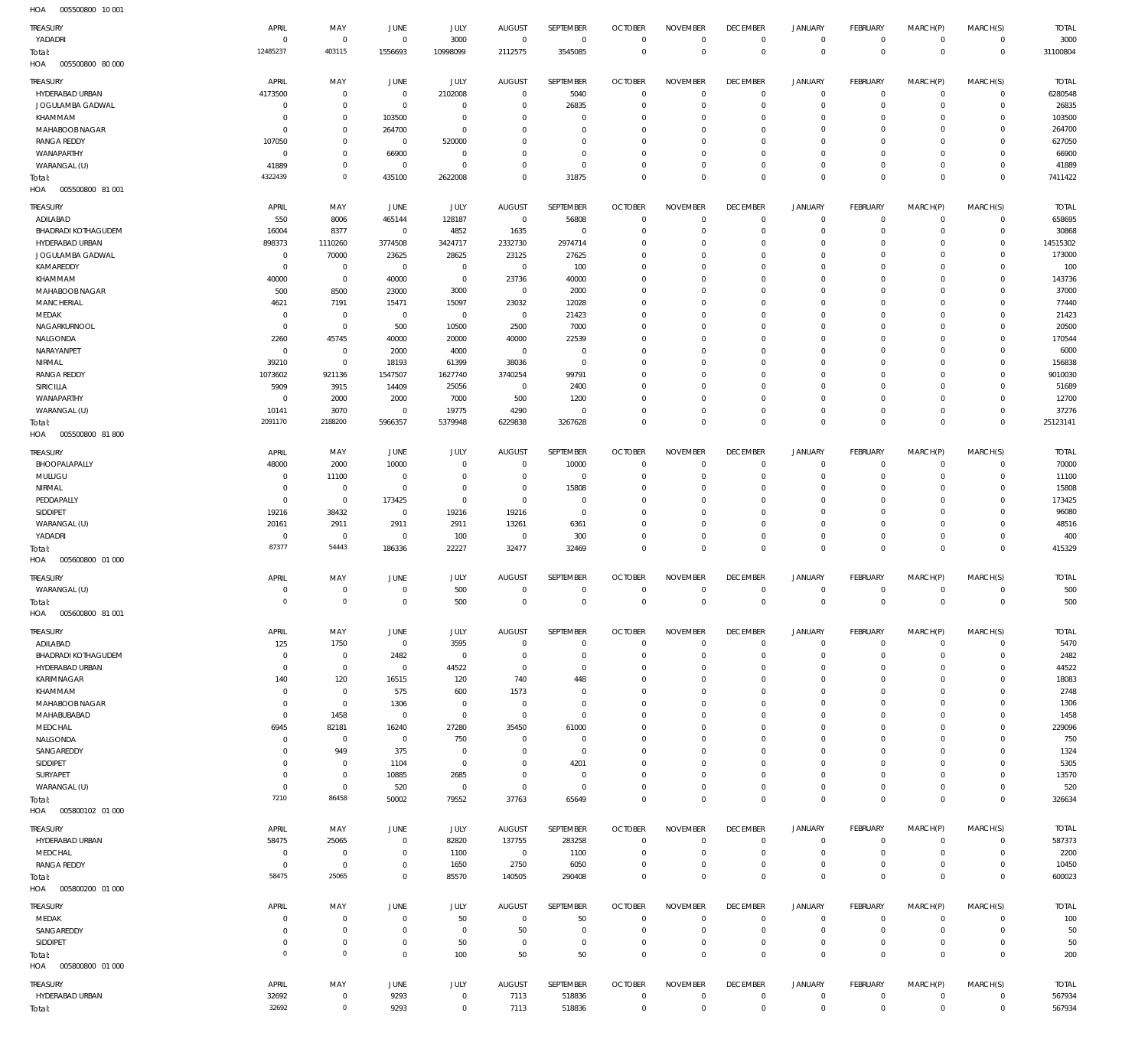005500800 10 001 HOA

| <b>TREASURY</b><br>YADADRI             | APRIL<br>$\overline{0}$          | MAY<br>$\overline{0}$            | JUNE<br>$\overline{0}$         | <b>JULY</b><br>3000          | <b>AUGUST</b><br>$\overline{0}$ | SEPTEMBER<br>$\mathbf 0$         | <b>OCTOBER</b><br>$\Omega$ | <b>NOVEMBER</b><br>$\mathbf 0$    | <b>DECEMBER</b><br>$\overline{0}$ | <b>JANUARY</b><br>$\mathsf{O}\xspace$      | <b>FEBRUARY</b><br>$\mathbf 0$ | MARCH(P)<br>$\mathbf 0$    | MARCH(S)<br>$\mathbf 0$     | <b>TOTAL</b><br>3000 |
|----------------------------------------|----------------------------------|----------------------------------|--------------------------------|------------------------------|---------------------------------|----------------------------------|----------------------------|-----------------------------------|-----------------------------------|--------------------------------------------|--------------------------------|----------------------------|-----------------------------|----------------------|
| Total:<br>HOA<br>005500800 80 000      | 12485237                         | 403115                           | 1556693                        | 10998099                     | 2112575                         | 3545085                          | $\overline{0}$             | $\mathbf 0$                       | $\overline{0}$                    | $\mathbb O$                                | $\mathbf{0}$                   | $\mathbf 0$                | $\mathbf 0$                 | 31100804             |
| TREASURY                               | APRIL                            | MAY                              | JUNE                           | JULY                         | <b>AUGUST</b>                   | SEPTEMBER                        | <b>OCTOBER</b>             | <b>NOVEMBER</b>                   | <b>DECEMBER</b>                   | <b>JANUARY</b>                             | FEBRUARY                       | MARCH(P)                   | MARCH(S)                    | <b>TOTAL</b>         |
| HYDERABAD URBAN                        | 4173500                          | $\overline{0}$                   | $\mathbf 0$                    | 2102008                      | $\Omega$                        | 5040                             | $\Omega$                   | $\Omega$                          | $\overline{0}$                    | 0                                          | $\mathbf 0$                    | $\mathbf 0$                | $\mathbf 0$                 | 6280548              |
| JOGULAMBA GADWAL<br>KHAMMAM            | $\overline{0}$<br>$\overline{0}$ | $\overline{0}$<br>$\overline{0}$ | $\overline{0}$<br>103500       | $\overline{0}$<br>$^{\circ}$ | $\Omega$<br>$\Omega$            | 26835<br>$\overline{0}$          | $\Omega$<br>$\Omega$       | $\overline{0}$<br>$\Omega$        | $\overline{0}$<br>$\Omega$        | $\mathbf 0$<br>$\circ$                     | $\mathbf 0$<br>0               | $\mathbf 0$<br>0           | $\mathbf 0$<br>0            | 26835<br>103500      |
| MAHABOOB NAGAR                         | $\Omega$                         | $\mathbf 0$                      | 264700                         | $\Omega$                     | $\Omega$                        | $\Omega$                         | $\Omega$                   | $\Omega$                          | $\Omega$                          | $\circ$                                    | $\Omega$                       | $\Omega$                   | $\Omega$                    | 264700               |
| <b>RANGA REDDY</b>                     | 107050                           | $\overline{0}$                   | $\overline{0}$                 | 520000                       | $\Omega$                        | $\Omega$                         | $\Omega$                   | $\overline{0}$                    | $\Omega$                          | $\circ$                                    | $\Omega$                       | $\mathbf 0$                | 0                           | 627050               |
| WANAPARTHY<br>WARANGAL (U)             | $\overline{0}$<br>41889          | $\overline{0}$<br>$\overline{0}$ | 66900<br>$\overline{0}$        | $^{\circ}$<br>$\mathbf 0$    | $\Omega$<br>$\Omega$            | $\Omega$<br>$\overline{0}$       | $\Omega$<br>$\Omega$       | $\Omega$<br>$\overline{0}$        | $\Omega$<br>$\overline{0}$        | $\mathbf 0$<br>$\mathsf{O}\xspace$         | $\Omega$<br>$\mathbf 0$        | $\mathbf 0$<br>$\circ$     | $\mathbf 0$<br>$\mathbf 0$  | 66900<br>41889       |
| Total:                                 | 4322439                          | $\mathbf{0}$                     | 435100                         | 2622008                      | $\Omega$                        | 31875                            | $\Omega$                   | $\overline{0}$                    | $\overline{0}$                    | $\mathbb O$                                | $\Omega$                       | $\mathbb O$                | $^{\circ}$                  | 7411422              |
| HOA<br>005500800 81 001                |                                  |                                  |                                |                              |                                 |                                  |                            |                                   |                                   |                                            |                                |                            |                             |                      |
| TREASURY                               | APRIL                            | MAY                              | JUNE                           | <b>JULY</b>                  | <b>AUGUST</b>                   | SEPTEMBER                        | <b>OCTOBER</b>             | <b>NOVEMBER</b>                   | <b>DECEMBER</b>                   | <b>JANUARY</b>                             | <b>FEBRUARY</b>                | MARCH(P)                   | MARCH(S)                    | <b>TOTAL</b>         |
| ADILABAD<br><b>BHADRADI KOTHAGUDEM</b> | 550<br>16004                     | 8006<br>8377                     | 465144<br>$\mathbf 0$          | 128187<br>4852               | $\overline{0}$<br>1635          | 56808<br>$\overline{0}$          | $\Omega$<br>$\Omega$       | $\overline{0}$<br>$\overline{0}$  | $^{\circ}$<br>$^{\circ}$          | $\mathsf{O}\xspace$<br>$\mathsf{O}\xspace$ | $\mathbf 0$<br>$^{\circ}$      | $\mathbf 0$<br>$\mathbf 0$ | $\mathbf 0$<br>$\mathbf 0$  | 658695<br>30868      |
| HYDERABAD URBAN                        | 898373                           | 1110260                          | 3774508                        | 3424717                      | 2332730                         | 2974714                          | $\Omega$                   | $\overline{0}$                    | $\Omega$                          | $\mathbf 0$                                | $\Omega$                       | $\mathbf 0$                | $^{\circ}$                  | 14515302             |
| JOGULAMBA GADWAL                       | $\overline{0}$                   | 70000                            | 23625                          | 28625                        | 23125                           | 27625                            | $\Omega$                   | $\overline{0}$                    | 0                                 | $\mathbf 0$                                | $\Omega$                       | $\mathbf 0$                | $\mathbf 0$                 | 173000               |
| KAMAREDDY                              | $^{\circ}$                       | $\overline{0}$                   | $\overline{0}$                 | $\mathbf 0$                  | $\overline{0}$                  | 100                              | $\Omega$<br>$\Omega$       | $\Omega$                          | $\Omega$                          | $\mathbf 0$                                | $\Omega$                       | $\mathbf 0$                | $\Omega$                    | 100                  |
| KHAMMAM<br>MAHABOOB NAGAR              | 40000<br>500                     | $\overline{0}$<br>8500           | 40000<br>23000                 | $\overline{0}$<br>3000       | 23736<br>$\overline{0}$         | 40000<br>2000                    | $\Omega$                   | $\overline{0}$<br>$\mathbf 0$     | $\Omega$<br>$\Omega$              | $\mathbf 0$<br>$\mathbf 0$                 | $\Omega$<br>$\Omega$           | $\mathbf 0$<br>$\mathbf 0$ | $^{\circ}$<br>$^{\circ}$    | 143736<br>37000      |
| MANCHERIAL                             | 4621                             | 7191                             | 15471                          | 15097                        | 23032                           | 12028                            | $\Omega$                   | $\overline{0}$                    | $\Omega$                          | $\mathbf 0$                                | $\Omega$                       | $\mathbf 0$                | $^{\circ}$                  | 77440                |
| MEDAK                                  | $\mathbf 0$                      | $\overline{0}$                   | $\mathbf 0$                    | $\overline{0}$               | $\overline{0}$                  | 21423                            | $\Omega$                   | $\overline{0}$                    | $\Omega$                          | $\mathbf 0$                                | $\Omega$                       | $\mathbf 0$                | $^{\circ}$                  | 21423                |
| NAGARKURNOOL<br>NALGONDA               | $\mathbf 0$<br>2260              | $\overline{0}$<br>45745          | 500<br>40000                   | 10500<br>20000               | 2500<br>40000                   | 7000<br>22539                    | $\Omega$<br>$\Omega$       | $\overline{0}$<br>$\overline{0}$  | $\Omega$<br>$\Omega$              | $\mathbf 0$<br>$\mathbf 0$                 | $\Omega$<br>$\Omega$           | $\Omega$<br>$\mathbf 0$    | $^{\circ}$<br>$^{\circ}$    | 20500<br>170544      |
| NARAYANPET                             | $^{\circ}$                       | $\overline{0}$                   | 2000                           | 4000                         | $\overline{0}$                  | $\overline{0}$                   | $\Omega$                   | $\overline{0}$                    | $\Omega$                          | $\mathbf 0$                                | $\Omega$                       | $\mathbf 0$                | $^{\circ}$                  | 6000                 |
| NIRMAL                                 | 39210                            | $\overline{0}$                   | 18193                          | 61399                        | 38036                           | $\mathbf 0$                      | $\Omega$                   | $\overline{0}$                    | $\Omega$                          | $\mathbf 0$                                | $\Omega$                       | $\mathbf 0$                | $^{\circ}$                  | 156838               |
| <b>RANGA REDDY</b>                     | 1073602                          | 921136                           | 1547507                        | 1627740                      | 3740254                         | 99791                            | $\Omega$                   | $\mathbf 0$                       | 0                                 | $\mathbf 0$                                | $\Omega$                       | $\mathbf 0$                | $^{\circ}$                  | 9010030              |
| SIRICILLA<br>WANAPARTHY                | 5909<br>$^{\circ}$               | 3915<br>2000                     | 14409<br>2000                  | 25056<br>7000                | $\overline{0}$<br>500           | 2400<br>1200                     | $\Omega$<br>$\Omega$       | $\overline{0}$<br>$\overline{0}$  | $\Omega$<br>0                     | $\mathbf 0$<br>$\mathbf 0$                 | $\Omega$<br>$\Omega$           | $\mathbf 0$<br>$\circ$     | $\Omega$<br>$\mathbf 0$     | 51689<br>12700       |
| WARANGAL (U)                           | 10141                            | 3070                             | $\overline{0}$                 | 19775                        | 4290                            | $\overline{0}$                   | $\Omega$                   | $\overline{0}$                    | $\Omega$                          | $\mathsf{O}\xspace$                        | $^{\circ}$                     | $\mathbf 0$                | $^{\circ}$                  | 37276                |
| Total:                                 | 2091170                          | 2188200                          | 5966357                        | 5379948                      | 6229838                         | 3267628                          | $\Omega$                   | $\mathbf 0$                       | $\mathbf 0$                       | $\mathbb O$                                | $\Omega$                       | $\mathbf 0$                | $\mathbf{0}$                | 25123141             |
| HOA<br>005500800 81800                 |                                  |                                  |                                |                              |                                 |                                  |                            |                                   |                                   |                                            |                                |                            |                             |                      |
| <b>TREASURY</b>                        | APRIL                            | MAY                              | JUNE                           | JULY                         | <b>AUGUST</b>                   | SEPTEMBER                        | <b>OCTOBER</b>             | <b>NOVEMBER</b>                   | <b>DECEMBER</b>                   | <b>JANUARY</b>                             | <b>FEBRUARY</b>                | MARCH(P)                   | MARCH(S)                    | <b>TOTAL</b>         |
| BHOOPALAPALLY                          | 48000                            | 2000                             | 10000                          | $^{\circ}$                   | $\Omega$                        | 10000                            | $\Omega$                   | $\Omega$                          | $\overline{0}$                    | 0                                          | $\circ$                        | $\circ$                    | $\mathbf 0$                 | 70000                |
| MULUGU<br>NIRMAL                       | $^{\circ}$<br>$\overline{0}$     | 11100<br>$\overline{0}$          | $\Omega$<br>$\overline{0}$     | $\Omega$<br>$\overline{0}$   | $\Omega$<br>$\Omega$            | $\overline{0}$<br>15808          | $\Omega$<br>$\Omega$       | $\Omega$<br>$\overline{0}$        | $\Omega$<br>0                     | $\mathbf 0$<br>0                           | $^{\circ}$<br>$\circ$          | $\mathbf 0$<br>$\mathbf 0$ | $\circ$<br>$\mathbf 0$      | 11100<br>15808       |
| PEDDAPALLY                             | $\mathbf 0$                      | $\overline{0}$                   | 173425                         | $\mathbf 0$                  | $\mathbf{0}$                    | $\overline{0}$                   | $\Omega$                   | $\Omega$                          | $\Omega$                          | $\circ$                                    | $\Omega$                       | $\Omega$                   | $\circ$                     | 173425               |
| SIDDIPET                               | 19216                            | 38432                            | $\overline{0}$                 | 19216                        | 19216                           | $\overline{0}$                   | $\Omega$                   | $\overline{0}$                    | $\overline{0}$                    | $\mathbf 0$                                | $\Omega$                       | $\mathbf 0$                | $\mathbf 0$                 | 96080                |
| WARANGAL (U)<br>YADADRI                | 20161<br>$\overline{0}$          | 2911<br>$\overline{0}$           | 2911<br>$\overline{0}$         | 2911<br>100                  | 13261<br>$\overline{0}$         | 6361<br>300                      | $\Omega$<br>$\Omega$       | $\Omega$<br>$\overline{0}$        | $\Omega$<br>$\overline{0}$        | $\mathbf 0$<br>$\mathsf{O}\xspace$         | $\Omega$<br>$\mathbf 0$        | $\mathbf 0$<br>$\circ$     | 0<br>$\mathbf 0$            | 48516<br>400         |
| Total:                                 | 87377                            | 54443                            | 186336                         | 22227                        | 32477                           | 32469                            | $\Omega$                   | $\Omega$                          | $\mathbf 0$                       | $\mathbb O$                                | $\Omega$                       | $\overline{0}$             | $\mathbf 0$                 | 415329               |
| HOA<br>005600800 01 000                |                                  |                                  |                                |                              |                                 |                                  |                            |                                   |                                   |                                            |                                |                            |                             |                      |
| <b>TREASURY</b>                        | APRIL                            | MAY                              | <b>JUNE</b>                    | JULY                         | <b>AUGUST</b>                   | SEPTEMBER                        | <b>OCTOBER</b>             | <b>NOVEMBER</b>                   | <b>DECEMBER</b>                   | <b>JANUARY</b>                             | <b>FEBRUARY</b>                | MARCH(P)                   | MARCH(S)                    | <b>TOTAL</b>         |
| WARANGAL (U)                           | 0                                | $\overline{0}$                   | $\overline{0}$                 | 500                          | $\circ$                         | $^{\circ}$                       | $\Omega$                   | $\mathbf 0$                       | $^{\circ}$                        | 0                                          | 0                              | $\mathbf 0$                | $\mathbf 0$                 | 500                  |
| Total:<br>HOA<br>005600800 81 001      | $\overline{0}$                   | $\mathbf{0}$                     | $\mathbb O$                    | 500                          | $\mathbf{0}$                    | $\overline{0}$                   | $\Omega$                   | $\mathbf 0$                       | $\mathbf 0$                       | $\mathbb O$                                | $\mathbb O$                    | $\mathbb O$                | $\mathbf 0$                 | 500                  |
|                                        |                                  |                                  |                                |                              |                                 |                                  |                            |                                   |                                   |                                            |                                |                            |                             |                      |
| TREASURY<br>ADILABAD                   | APRIL<br>125                     | MAY<br>1750                      | JUNE<br>$\mathbb O$            | JULY<br>3595                 | <b>AUGUST</b><br>$\Omega$       | SEPTEMBER<br>$\Omega$            | <b>OCTOBER</b><br>$\Omega$ | <b>NOVEMBER</b><br>$\overline{0}$ | <b>DECEMBER</b><br>$\overline{0}$ | <b>JANUARY</b><br>$\circ$                  | FEBRUARY<br>$\mathbf 0$        | MARCH(P)<br>$\mathbf 0$    | MARCH(S)<br>$\mathbf 0$     | <b>TOTAL</b><br>5470 |
| <b>BHADRADI KOTHAGUDEM</b>             | $\overline{0}$                   | $\overline{0}$                   | 2482                           | $\overline{0}$               | $\circ$                         | $\overline{0}$                   | $\Omega$                   | $\overline{0}$                    | $\overline{0}$                    | $\mathsf{O}\xspace$                        | $\circ$                        | $\mathbf 0$                | $\mathbf 0$                 | 2482                 |
| HYDERABAD URBAN                        | $\overline{0}$                   | $\overline{0}$                   | $\overline{0}$                 | 44522                        | $\circ$                         | $\Omega$                         | $\Omega$                   | $\Omega$                          | $\Omega$                          | $\circ$                                    | $\Omega$                       | 0                          | 0                           | 44522                |
| KARIMNAGAR<br>KHAMMAM                  | 140<br>$\mathbf 0$               | 120<br>$\overline{0}$            | 16515<br>575                   | 120<br>600                   | 740<br>1573                     | 448<br>$\circ$                   | $\Omega$<br>$\Omega$       | $\overline{0}$<br>$\Omega$        | $\Omega$<br>$\Omega$              | $\circ$<br>$\circ$                         | $\Omega$<br>$\Omega$           | $\circ$<br>$\Omega$        | $\circ$<br>0                | 18083<br>2748        |
| MAHABOOB NAGAR                         | $\overline{0}$                   | $\overline{0}$                   | 1306                           | $^{\circ}$                   | $\Omega$                        | $\overline{0}$                   | $\Omega$                   | $\overline{0}$                    | $\Omega$                          | $\mathbf 0$                                | $\Omega$                       | $\Omega$                   | $\mathbf 0$                 | 1306                 |
| MAHABUBABAD                            | $\mathbf 0$                      | 1458                             | $\overline{0}$                 | $\mathbb O$                  | $\mathbf{0}$                    | $\overline{0}$                   | $\Omega$                   | $\Omega$                          | $\Omega$                          | $\circ$                                    | $\Omega$                       | $\Omega$                   | 0                           | 1458                 |
| MEDCHAL                                | 6945                             | 82181                            | 16240                          | 27280                        | 35450                           | 61000                            | $\Omega$                   | $\Omega$                          | $\Omega$                          | $\circ$                                    | $\Omega$                       | $\Omega$                   | $\Omega$                    | 229096               |
| NALGONDA<br>SANGAREDDY                 | $\mathbf 0$<br>$^{\circ}$        | $\overline{0}$<br>949            | $\overline{0}$<br>375          | 750<br>$^{\circ}$            | $\circ$<br>$\Omega$             | $\overline{0}$<br>$\overline{0}$ | $\Omega$<br>$\Omega$       | $\Omega$<br>$\Omega$              | $\Omega$<br>$\Omega$              | $\circ$<br>$\circ$                         | 0<br>$\Omega$                  | $\Omega$<br>$\mathbf 0$    | 0<br>0                      | 750<br>1324          |
| SIDDIPET                               | $\mathbf 0$                      | $\overline{0}$                   | 1104                           | $\overline{0}$               | $\circ$                         | 4201                             | $\Omega$                   | $\overline{0}$                    | $\Omega$                          | $\circ$                                    | $\Omega$                       | $\Omega$                   | 0                           | 5305                 |
| SURYAPET                               | $\mathbf 0$                      | $\overline{0}$                   | 10885                          | 2685                         | $\Omega$                        | $\overline{0}$                   | $\Omega$                   | $\Omega$                          | $\Omega$                          | 0                                          | 0                              | $\circ$                    | $\circ$                     | 13570                |
| WARANGAL (U)                           | $\overline{0}$<br>7210           | $\overline{0}$<br>86458          | 520                            | $\overline{0}$               | $\mathbf{0}$                    | $\overline{0}$                   | $\Omega$<br>$\Omega$       | $\overline{0}$                    | $^{\circ}$                        | $\mathsf{O}\xspace$                        | $\circ$                        | $\mathbf 0$                | $\circ$                     | 520                  |
| Total:<br>005800102 01 000<br>HOA      |                                  |                                  | 50002                          | 79552                        | 37763                           | 65649                            |                            | $\mathbf 0$                       | $\mathbf 0$                       | $\mathbb O$                                | $\mathbb O$                    | $\mathbb O$                | $\mathbf 0$                 | 326634               |
| TREASURY                               | APRIL                            | MAY                              | JUNE                           | <b>JULY</b>                  | <b>AUGUST</b>                   | SEPTEMBER                        | <b>OCTOBER</b>             | <b>NOVEMBER</b>                   | <b>DECEMBER</b>                   | JANUARY                                    | FEBRUARY                       | MARCH(P)                   | MARCH(S)                    | <b>TOTAL</b>         |
| HYDERABAD URBAN                        | 58475                            | 25065                            | $\mathbf 0$                    | 82820                        | 137755                          | 283258                           | $\Omega$                   | $^{\circ}$                        | $^{\circ}$                        | $\mathsf{O}\xspace$                        | $^{\circ}$                     | $\mathbf 0$                | $\mathbf 0$                 | 587373               |
| MEDCHAL                                | $\mathbf 0$                      | $\overline{0}$                   | $\mathbf 0$                    | 1100                         | $\overline{0}$                  | 1100                             | $\Omega$                   | $\mathbf 0$                       | $^{\circ}$                        | $\mathsf{O}\xspace$                        | 0                              | $\mathbf 0$                | $\mathbf 0$                 | 2200                 |
| <b>RANGA REDDY</b>                     | $^{\circ}$                       | $\overline{0}$                   | $\overline{0}$                 | 1650                         | 2750                            | 6050                             | $\Omega$                   | $\mathbf 0$                       | $^{\circ}$                        | $\mathsf{O}\xspace$                        | $\mathbf 0$                    | $\mathbf 0$                | $\mathbf 0$                 | 10450                |
| Total:<br>005800200 01 000<br>HOA      | 58475                            | 25065                            | $\overline{0}$                 | 85570                        | 140505                          | 290408                           | $\Omega$                   | $\mathbf 0$                       | $\mathbf 0$                       | $\mathbb O$                                | $\mathbf{0}$                   | $\mathbf 0$                | $\mathbf 0$                 | 600023               |
| TREASURY                               | APRIL                            | MAY                              | <b>JUNE</b>                    | JULY                         | <b>AUGUST</b>                   | SEPTEMBER                        | <b>OCTOBER</b>             | <b>NOVEMBER</b>                   | <b>DECEMBER</b>                   | <b>JANUARY</b>                             | FEBRUARY                       | MARCH(P)                   | MARCH(S)                    | <b>TOTAL</b>         |
| MEDAK                                  | $\overline{0}$                   | $\mathbf 0$                      | $\overline{0}$                 | 50                           | $\circ$                         | 50                               | $\Omega$                   | $\Omega$                          | $\overline{0}$                    | 0                                          | $\circ$                        | $\circ$                    | $\mathbf 0$                 | 100                  |
| SANGAREDDY                             | $\overline{0}$                   | $\overline{0}$                   | $\overline{0}$                 | $\overline{0}$               | 50                              | $\overline{0}$                   | $\Omega$                   | $\Omega$                          | $^{\circ}$                        | $\mathsf{O}\xspace$                        | $\circ$                        | $\mathbf 0$                | $^{\circ}$                  | 50                   |
| SIDDIPET<br>Total:                     | $\overline{0}$<br>$\circ$        | $\overline{0}$<br>$\mathbf{0}$   | $\overline{0}$<br>$\mathbf{0}$ | 50<br>100                    | $\circ$<br>50                   | $\overline{0}$<br>50             | $\Omega$<br>$\Omega$       | $\overline{0}$<br>$\overline{0}$  | $\overline{0}$<br>$\mathbf 0$     | $\mathsf{O}\xspace$<br>$\mathbf 0$         | $\circ$<br>$\mathbf{0}$        | $\circ$<br>$\mathbf 0$     | $\mathbf 0$<br>$\mathbf{0}$ | 50<br>200            |
| 005800800 01 000<br>HOA                |                                  |                                  |                                |                              |                                 |                                  |                            |                                   |                                   |                                            |                                |                            |                             |                      |
| TREASURY                               | APRIL                            | MAY                              | JUNE                           | <b>JULY</b>                  | <b>AUGUST</b>                   | SEPTEMBER                        | <b>OCTOBER</b>             | <b>NOVEMBER</b>                   | <b>DECEMBER</b>                   | <b>JANUARY</b>                             | FEBRUARY                       | MARCH(P)                   | MARCH(S)                    | <b>TOTAL</b>         |
| HYDERABAD URBAN                        | 32692                            | $\overline{0}$                   | 9293                           | $\mathbf 0$                  | 7113                            | 518836                           | 0                          | $\overline{0}$                    | $\overline{0}$                    | 0                                          | 0                              | $\mathbf 0$                | $\mathbf 0$                 | 567934               |
| Total:                                 | 32692                            | $\overline{0}$                   | 9293                           | $\,0\,$                      | 7113                            | 518836                           | $\Omega$                   | $\mathbf 0$                       | $\mathbf 0$                       | $\,0\,$                                    | $\mathbf{0}$                   | $\,0\,$                    | $\mathbf 0$                 | 567934               |
|                                        |                                  |                                  |                                |                              |                                 |                                  |                            |                                   |                                   |                                            |                                |                            |                             |                      |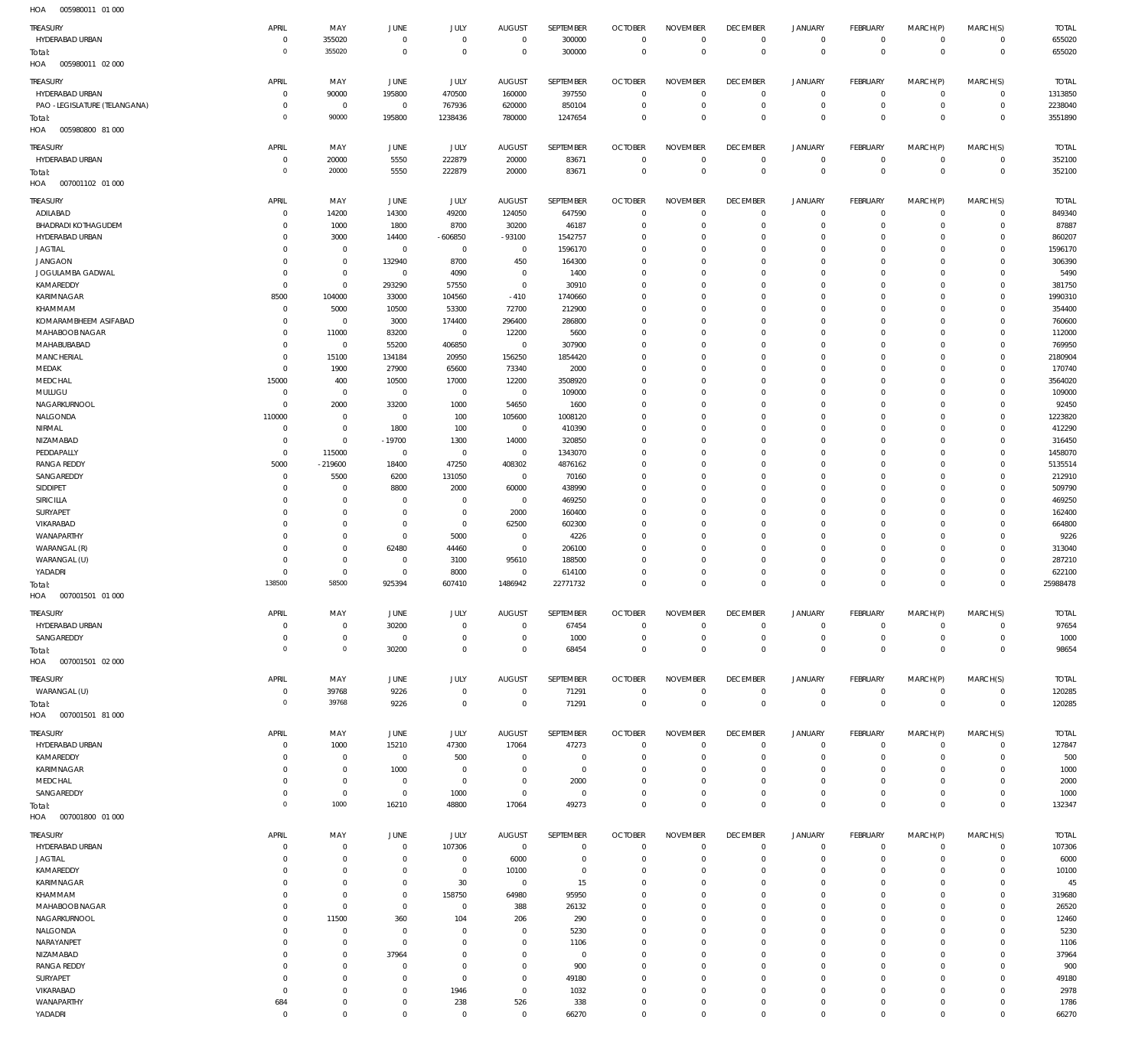| 11271<br>000700011                     |                              |                            |                                  |                            |                               |                   |                                  |                            |                               |                           |                               |                      |                            |                    |
|----------------------------------------|------------------------------|----------------------------|----------------------------------|----------------------------|-------------------------------|-------------------|----------------------------------|----------------------------|-------------------------------|---------------------------|-------------------------------|----------------------|----------------------------|--------------------|
| TREASURY                               | APRIL                        | MAY                        | <b>JUNE</b>                      | <b>JULY</b>                | <b>AUGUST</b>                 | SEPTEMBER         | <b>OCTOBER</b>                   | <b>NOVEMBER</b>            | <b>DECEMBER</b>               | <b>JANUARY</b>            | FEBRUARY                      | MARCH(P)             | MARCH(S)                   | <b>TOTAL</b>       |
| HYDERABAD URBAN                        | $\mathbf 0$<br>$\circ$       | 355020<br>355020           | $\overline{0}$<br>$\overline{0}$ | $\mathbf 0$<br>$\mathbf 0$ | $\overline{0}$<br>$\mathbf 0$ | 300000            | $\overline{0}$<br>$\overline{0}$ | $\mathbf 0$<br>$\mathbf 0$ | $\overline{0}$<br>$\mathbb O$ | $\circ$<br>$\mathbf 0$    | $\circ$<br>$\mathbf{0}$       | $\circ$<br>$\Omega$  | $\mathbf 0$<br>$\mathbf 0$ | 655020<br>655020   |
| Total:<br>HOA<br>005980011 02 000      |                              |                            |                                  |                            |                               | 300000            |                                  |                            |                               |                           |                               |                      |                            |                    |
|                                        |                              |                            |                                  |                            |                               |                   |                                  |                            |                               |                           |                               |                      |                            |                    |
| TREASURY                               | APRIL                        | MAY                        | JUNE                             | JULY                       | <b>AUGUST</b>                 | SEPTEMBER         | <b>OCTOBER</b>                   | <b>NOVEMBER</b>            | <b>DECEMBER</b>               | JANUARY                   | FEBRUARY                      | MARCH(P)             | MARCH(S)                   | <b>TOTAL</b>       |
| HYDERABAD URBAN                        | 0                            | 90000                      | 195800                           | 470500                     | 160000                        | 397550            | $\overline{0}$                   | $\overline{0}$             | $\overline{0}$                | $\mathbf 0$               | $\circ$                       | $^{\circ}$           | $\mathbb O$                | 1313850            |
| PAO -LEGISLATURE (TELANGANA)           | $^{\circ}$<br>$\overline{0}$ | $\mathbb O$<br>90000       | $\overline{0}$<br>195800         | 767936<br>1238436          | 620000<br>780000              | 850104<br>1247654 | $\mathbf 0$<br>$\overline{0}$    | $\mathbf 0$<br>$\mathbf 0$ | $\mathbf 0$<br>$\mathbb O$    | $^{\circ}$<br>$\mathbf 0$ | $\overline{0}$<br>$\mathbb O$ | $\circ$<br>$\Omega$  | $\mathbb O$<br>$\mathbf 0$ | 2238040<br>3551890 |
| Total:<br>HOA<br>005980800 81 000      |                              |                            |                                  |                            |                               |                   |                                  |                            |                               |                           |                               |                      |                            |                    |
|                                        |                              |                            |                                  |                            |                               |                   |                                  |                            |                               |                           |                               |                      |                            |                    |
| <b>TREASURY</b>                        | APRIL                        | MAY                        | <b>JUNE</b>                      | JULY                       | <b>AUGUST</b>                 | SEPTEMBER         | <b>OCTOBER</b>                   | <b>NOVEMBER</b>            | <b>DECEMBER</b>               | <b>JANUARY</b>            | FEBRUARY                      | MARCH(P)             | MARCH(S)                   | <b>TOTAL</b>       |
| HYDERABAD URBAN                        | $^{\circ}$                   | 20000                      | 5550                             | 222879                     | 20000                         | 83671             | $\mathbf 0$                      | $^{\circ}$                 | $\overline{0}$                | $^{\circ}$                | $\mathbf 0$                   | $\Omega$             | $\circ$                    | 352100             |
| Total:<br>HOA<br>007001102 01 000      | $\overline{0}$               | 20000                      | 5550                             | 222879                     | 20000                         | 83671             | $\mathbb O$                      | $\mathbb O$                | $\mathbb O$                   | $\mathbf 0$               | $\overline{0}$                | $\mathbf 0$          | $\mathbf 0$                | 352100             |
|                                        |                              |                            |                                  |                            |                               |                   |                                  |                            |                               |                           |                               |                      |                            |                    |
| <b>TREASURY</b>                        | APRIL                        | MAY                        | JUNE                             | JULY                       | <b>AUGUST</b>                 | SEPTEMBER         | <b>OCTOBER</b>                   | <b>NOVEMBER</b>            | <b>DECEMBER</b>               | JANUARY                   | FEBRUARY                      | MARCH(P)             | MARCH(S)                   | <b>TOTAL</b>       |
| ADILABAD                               | 0                            | 14200                      | 14300                            | 49200                      | 124050                        | 647590            | $\overline{0}$                   | $\overline{0}$             | $\mathbf 0$                   | $^{\circ}$                | $\overline{0}$                | $\Omega$             | $\mathbf 0$                | 849340             |
| BHADRADI KOTHAGUDEM<br>HYDERABAD URBAN | $^{\circ}$<br>$^{\circ}$     | 1000<br>3000               | 1800<br>14400                    | 8700<br>$-606850$          | 30200<br>$-93100$             | 46187<br>1542757  | $\overline{0}$<br>$\overline{0}$ | $\mathbf 0$<br>$\Omega$    | $\mathbf 0$<br>$\mathbf 0$    | $^{\circ}$<br>$^{\circ}$  | $\mathbf 0$<br>$\Omega$       | $\Omega$<br>$\Omega$ | $\mathbf 0$<br>$\mathbf 0$ | 87887<br>860207    |
| <b>JAGTIAL</b>                         | $^{\circ}$                   | $\mathbb O$                | $\overline{0}$                   | $\mathbf 0$                | $\overline{0}$                | 1596170           | $\mathbf 0$                      | $\mathbf 0$                | $\mathbf 0$                   | $\Omega$                  | $\Omega$                      | $\Omega$             | $\mathbf 0$                | 1596170            |
| <b>JANGAON</b>                         | $^{\circ}$                   | $\mathbb O$                | 132940                           | 8700                       | 450                           | 164300            | $\mathbf 0$                      | $\Omega$                   | $\mathbf 0$                   | $^{\circ}$                | $\Omega$                      | $\Omega$             | $\mathbf 0$                | 306390             |
| JOGULAMBA GADWAL                       | $\mathbf 0$                  | $\mathbf 0$                | $\overline{0}$                   | 4090                       | $\overline{0}$                | 1400              | $\mathbf{0}$                     | $\mathbf{0}$               | $\mathbf 0$                   | $\Omega$                  | $\Omega$                      | $\Omega$             | $\mathbf 0$                | 5490               |
| KAMAREDDY                              | $\circ$                      | $\mathbb O$                | 293290                           | 57550                      | $\overline{0}$                | 30910             | $\mathbf{0}$                     | $\Omega$                   | $\mathbf 0$                   | $^{\circ}$                | $\Omega$                      | $\Omega$             | $\mathbf 0$                | 381750             |
| KARIMNAGAR                             | 8500                         | 104000                     | 33000                            | 104560                     | $-410$                        | 1740660           | $\mathbf{0}$                     | $\Omega$                   | $\Omega$                      | $\Omega$                  | $\Omega$                      | $\Omega$             | $\mathbf 0$                | 1990310            |
| KHAMMAM                                | $\mathbf 0$                  | 5000                       | 10500                            | 53300                      | 72700                         | 212900            | $\overline{0}$                   | $\mathbf 0$                | $\mathbf 0$                   | $^{\circ}$                | $\Omega$                      | $\Omega$             | $\mathbf 0$                | 354400             |
| KOMARAMBHEEM ASIFABAD                  | $^{\circ}$                   | $\mathbf 0$                | 3000                             | 174400                     | 296400                        | 286800            | $\mathbf{0}$                     | $\mathbf 0$                | $\overline{0}$                | $\Omega$                  | $\Omega$                      | $\Omega$             | $\circ$                    | 760600             |
| MAHABOOB NAGAR                         | $\mathbf 0$                  | 11000                      | 83200                            | $\mathbf 0$                | 12200                         | 5600              | $\overline{0}$                   | $\Omega$                   | $\mathbf 0$                   | $^{\circ}$                | $\Omega$                      | $\Omega$             | $\mathbf 0$                | 112000             |
| MAHABUBABAD                            | $^{\circ}$                   | $\mathbf 0$                | 55200                            | 406850                     | $\overline{0}$                | 307900            | $\overline{0}$                   | $\Omega$<br>$\Omega$       | $\Omega$                      | $\Omega$<br>$\Omega$      | $\Omega$<br>$\Omega$          | $\Omega$<br>$\Omega$ | $\mathbf 0$                | 769950             |
| MANCHERIAL<br>MEDAK                    | $^{\circ}$<br>0              | 15100<br>1900              | 134184<br>27900                  | 20950<br>65600             | 156250<br>73340               | 1854420<br>2000   | $\overline{0}$<br>$\mathbf 0$    | $\mathbf 0$                | $\mathbf 0$<br>$\overline{0}$ | $\Omega$                  | $\Omega$                      | $\Omega$             | $\mathbf 0$<br>$\mathbf 0$ | 2180904<br>170740  |
| MEDCHAL                                | 15000                        | 400                        | 10500                            | 17000                      | 12200                         | 3508920           | $\mathbf 0$                      | $\Omega$                   | $\mathbf 0$                   | $\Omega$                  | $\circ$                       | $\Omega$             | $\mathbf 0$                | 3564020            |
| MULUGU                                 | $^{\circ}$                   | $\mathbb O$                | $\overline{0}$                   | $\mathbf 0$                | $\overline{0}$                | 109000            | $\mathbf 0$                      | $\mathbf 0$                | $\overline{0}$                | $\Omega$                  | $\Omega$                      | $\Omega$             | $\mathbf 0$                | 109000             |
| NAGARKURNOOL                           | $\circ$                      | 2000                       | 33200                            | 1000                       | 54650                         | 1600              | $\mathbf{0}$                     | $\Omega$                   | $\mathbf 0$                   | $\Omega$                  | $\Omega$                      | $\Omega$             | $\mathbf 0$                | 92450              |
| NALGONDA                               | 110000                       | $\mathbb O$                | $\overline{0}$                   | 100                        | 105600                        | 1008120           | $\mathbf{0}$                     | $\mathbf{0}$               | $\mathbf 0$                   | $\Omega$                  | $\Omega$                      | $\Omega$             | $\mathbf 0$                | 1223820            |
| NIRMAL                                 | 0                            | $\mathbb O$                | 1800                             | 100                        | $\overline{0}$                | 410390            | $\mathbf{0}$                     | $\Omega$                   | $\mathbf 0$                   | $\Omega$                  | $\Omega$                      | $\Omega$             | $\mathbf 0$                | 412290             |
| NIZAMABAD                              | $^{\circ}$                   | $\mathbb O$                | $-19700$                         | 1300                       | 14000                         | 320850            | $\mathbf 0$                      | $\Omega$                   | $\mathbf 0$                   | $\Omega$                  | $\Omega$                      | $\Omega$             | $\mathbf 0$                | 316450             |
| PEDDAPALLY                             | 0                            | 115000                     | $\overline{0}$                   | $\mathbf 0$                | $\overline{0}$                | 1343070           | $\mathbf 0$                      | $\Omega$                   | $\mathbf 0$                   | $^{\circ}$                | $\Omega$                      | $\Omega$             | $\mathbf 0$                | 1458070            |
| <b>RANGA REDDY</b>                     | 5000                         | $-219600$                  | 18400                            | 47250                      | 408302                        | 4876162           | $\mathbf 0$                      | $\mathbf 0$                | $\mathbf 0$                   | $\Omega$                  | $\Omega$                      | $\Omega$             | $\mathbf 0$                | 5135514            |
| SANGAREDDY                             | 0                            | 5500                       | 6200                             | 131050                     | $\overline{0}$                | 70160             | $\mathbf 0$                      | $\Omega$                   | $\mathbf 0$                   | $^{\circ}$                | $\Omega$                      | $\Omega$             | $\mathbf 0$                | 212910             |
| SIDDIPET                               | $^{\circ}$                   | $\mathbf 0$                | 8800                             | 2000                       | 60000                         | 438990            | $\mathbf 0$                      | $\Omega$                   | $\overline{0}$                | $\Omega$                  | $\Omega$<br>$\Omega$          | $\Omega$<br>$\Omega$ | $\mathbf 0$                | 509790             |
| SIRICILLA<br>SURYAPET                  | $^{\circ}$<br>$^{\circ}$     | $\mathbb O$<br>$\mathbb O$ | $\overline{0}$<br>$\overline{0}$ | $\mathbf 0$<br>$\mathbf 0$ | $\overline{0}$<br>2000        | 469250<br>160400  | $\overline{0}$<br>$\mathbf{0}$   | $\mathbf 0$<br>$\Omega$    | $\mathbf 0$<br>$\mathbf 0$    | $^{\circ}$<br>$\Omega$    | $\Omega$                      | $\Omega$             | $\mathbf 0$<br>$\circ$     | 469250<br>162400   |
| VIKARABAD                              | $^{\circ}$                   | $\mathbb O$                | $\overline{0}$                   | $\bf 0$                    | 62500                         | 602300            | $\overline{0}$                   | $\mathbf 0$                | $\mathbf 0$                   | $^{\circ}$                | $\Omega$                      | $\Omega$             | $\mathbf 0$                | 664800             |
| WANAPARTHY                             | $^{\circ}$                   | $\mathbb O$                | $\overline{0}$                   | 5000                       | $\overline{0}$                | 4226              | $\mathbf{0}$                     | $\Omega$                   | $\overline{0}$                | $\Omega$                  | $\Omega$                      | $\Omega$             | $\circ$                    | 9226               |
| WARANGAL (R)                           | $^{\circ}$                   | $\mathbf 0$                | 62480                            | 44460                      | $\overline{0}$                | 206100            | $\overline{0}$                   | $\mathbf 0$                | $\mathbf 0$                   | $^{\circ}$                | $\Omega$                      | $\Omega$             | $\mathbf 0$                | 313040             |
| WARANGAL (U)                           | $^{\circ}$                   | $\mathbb O$                | $\overline{0}$                   | 3100                       | 95610                         | 188500            | $\mathbf{0}$                     | $\mathbf 0$                | $\mathbf 0$                   | $\Omega$                  | $\Omega$                      | $\Omega$             | $\mathbf 0$                | 287210             |
| YADADRI                                | $^{\circ}$                   | $\mathbb O$                | $\overline{0}$                   | 8000                       | $\overline{0}$                | 614100            | $\mathbf 0$                      | $\mathbf 0$                | $\mathbf 0$                   | $^{\circ}$                | $\overline{0}$                | $\Omega$             | $\mathbf 0$                | 622100             |
| Total:                                 | 138500                       | 58500                      | 925394                           | 607410                     | 1486942                       | 22771732          | $\mathbf{0}$                     | $\mathbf 0$                | $\mathbf 0$                   | $\overline{0}$            | $\mathbf{0}$                  | $\Omega$             | $\Omega$                   | 25988478           |
| HOA<br>007001501 01 000                |                              |                            |                                  |                            |                               |                   |                                  |                            |                               |                           |                               |                      |                            |                    |
| <b>TREASURY</b>                        | APRIL                        | MAY                        | <b>JUNE</b>                      | JULY                       | <b>AUGUST</b>                 | SEPTEMBER         | <b>OCTOBER</b>                   | <b>NOVEMBER</b>            | <b>DECEMBER</b>               | <b>JANUARY</b>            | FEBRUARY                      | MARCH(P)             | MARCH(S)                   | <b>TOTAL</b>       |
| HYDERABAD URBAN                        | $^{\circ}$                   | $\mathbb O$                | 30200                            | $\mathbf 0$                | $\overline{0}$                | 67454             | $\overline{0}$                   | $^{\circ}$                 | $^{\circ}$                    | $\mathbf 0$               | $\overline{0}$                | $\Omega$             | $\circ$                    | 97654              |
| SANGAREDDY                             | $^{\circ}$                   | $\mathbb O$                | $\overline{0}$                   | $\mathbf 0$                | $\overline{0}$                | 1000              | $\overline{0}$                   | $\mathbf{0}$               | $\mathbf 0$                   | $\mathbf 0$               | $\overline{0}$                | $\Omega$             | $\mathbf 0$                | 1000               |
| Total:                                 | $\circ$                      | $\mathbf 0$                | 30200                            | $\mathbf 0$                | $\mathbf 0$                   | 68454             | $\overline{0}$                   | $\Omega$                   | $\mathbf 0$                   | $\mathbf 0$               | $\Omega$                      | $\Omega$             | $\mathbf 0$                | 98654              |
| HOA   007001501   02   000             |                              |                            |                                  |                            |                               |                   |                                  |                            |                               |                           |                               |                      |                            |                    |
| TREASURY                               | APRIL                        | MAY                        | <b>JUNE</b>                      | JULY                       | <b>AUGUST</b>                 | SEPTEMBER         | <b>OCTOBER</b>                   | <b>NOVEMBER</b>            | <b>DECEMBER</b>               | JANUARY                   | FEBRUARY                      | MARCH(P)             | MARCH(S)                   | TOTAL              |
| WARANGAL (U)                           | 0                            | 39768                      | 9226                             | $\mathbf 0$                | $\overline{0}$                | 71291             | $\overline{0}$                   | $\overline{0}$             | $\overline{0}$                | $\mathbf 0$               | $\circ$                       | $\mathbf 0$          | $\mathbf 0$                | 120285             |
| Total:                                 | $\overline{0}$               | 39768                      | 9226                             | $\mathbf 0$                | $\overline{0}$                | 71291             | $\mathbb O$                      | $\mathbf 0$                | $\,0\,$                       | $\mathbf 0$               | $\overline{0}$                | $\overline{0}$       | $\mathbf 0$                | 120285             |
| HOA<br>007001501 81 000                |                              |                            |                                  |                            |                               |                   |                                  |                            |                               |                           |                               |                      |                            |                    |
| TREASURY                               | APRIL                        | MAY                        | JUNE                             | JULY                       | <b>AUGUST</b>                 | SEPTEMBER         | <b>OCTOBER</b>                   | <b>NOVEMBER</b>            | <b>DECEMBER</b>               | <b>JANUARY</b>            | FEBRUARY                      | MARCH(P)             | MARCH(S)                   | <b>TOTAL</b>       |
| HYDERABAD URBAN                        | $^{\circ}$                   | 1000                       | 15210                            | 47300                      | 17064                         | 47273             | $\overline{0}$                   | $\Omega$                   | $\mathbf 0$                   | $^{\circ}$                | $\mathbf 0$                   | $\Omega$             | $\mathbf 0$                | 127847             |
| KAMAREDDY                              | $\Omega$                     | $\mathbf 0$                | $\overline{0}$                   | 500                        | $\mathbf 0$                   | $\mathbf{0}$      | $\overline{0}$                   | $\overline{0}$             | $\mathbf 0$                   | $\Omega$                  | $\Omega$                      | $\Omega$             | $\mathbf 0$                | 500                |
| KARIMNAGAR                             | 0                            | $\mathbb O$                | 1000                             | $\mathbf 0$                | $^{\circ}$                    | $\mathbf 0$       | $\mathbf{0}$                     | $\Omega$                   | $\mathbf 0$                   | $^{\circ}$                | $\mathbf 0$                   | $\Omega$             | $\mathbf 0$                | 1000               |
| MEDCHAL                                | $\mathbf 0$                  | $\mathbb O$                | $\mathbf 0$                      | $\mathbf 0$                | $\overline{0}$                | 2000              | $\mathbf{0}$                     | $\Omega$                   | $\mathbf 0$                   | $\mathbf 0$               | $\Omega$                      | $\Omega$             | $\Omega$                   | 2000               |
| SANGAREDDY                             | $\mathbf 0$                  | $\mathbb O$                | $\overline{0}$                   | 1000                       | $\overline{0}$                | $\overline{0}$    | $\mathbf 0$                      | $\mathbf 0$                | $\mathbf 0$                   | $\mathbf 0$               | $\overline{0}$                | $\Omega$             | $\mathbf 0$                | 1000               |
| Total:                                 | $\circ$                      | 1000                       | 16210                            | 48800                      | 17064                         | 49273             | $\mathbf 0$                      | $\Omega$                   | $\mathbb O$                   | $\mathbf 0$               | $\overline{0}$                | $\Omega$             | $\Omega$                   | 132347             |
| HOA<br>007001800 01 000                |                              |                            |                                  |                            |                               |                   |                                  |                            |                               |                           |                               |                      |                            |                    |
| <b>TREASURY</b>                        | APRIL                        | MAY                        | <b>JUNE</b>                      | JULY                       | <b>AUGUST</b>                 | SEPTEMBER         | <b>OCTOBER</b>                   | <b>NOVEMBER</b>            | <b>DECEMBER</b>               | <b>JANUARY</b>            | FEBRUARY                      | MARCH(P)             | MARCH(S)                   | <b>TOTAL</b>       |
| HYDERABAD URBAN                        | $^{\circ}$                   | $\mathbb O$                | $\overline{0}$                   | 107306                     | $\overline{0}$                | $\mathbf 0$       | $\overline{0}$                   | $\mathbf 0$                | $\mathbf 0$                   | $^{\circ}$                | $\circ$                       | $\Omega$             | $\mathbf 0$                | 107306             |
| <b>JAGTIAL</b>                         | 0                            | $\mathbf 0$                | $\overline{0}$                   | $\mathbf 0$                | 6000                          | $\mathbf 0$       | $\overline{0}$                   | $\overline{0}$             | $\mathbf 0$                   | $\circ$                   | $\mathbf 0$                   | $\Omega$             | $\mathbf 0$                | 6000               |
| KAMAREDDY                              | $^{\circ}$                   | $\mathbf 0$                | $\overline{0}$                   | $\mathbf 0$                | 10100                         | $\mathbf{0}$      | $\mathbf 0$                      | $^{\circ}$                 | $\mathbf 0$                   | $\Omega$                  | $\Omega$                      | $\Omega$             | $\mathbf 0$                | 10100              |
| KARIMNAGAR                             | $^{\circ}$<br>$^{\circ}$     | $\mathbb O$<br>$\mathbb O$ | $\overline{0}$<br>$\overline{0}$ | 30<br>158750               | $\overline{0}$<br>64980       | 15                | $\mathbf 0$<br>$\mathbf 0$       | $\Omega$<br>$\Omega$       | $\mathbf 0$<br>$\Omega$       | $\circ$<br>$\Omega$       | $\Omega$<br>$\Omega$          | $\Omega$<br>$\Omega$ | $\mathbf 0$<br>$\mathbf 0$ | 45                 |
| KHAMMAM<br>MAHABOOB NAGAR              | $\mathbf 0$                  | $\mathbb O$                | $\overline{0}$                   | $\mathbf 0$                | 388                           | 95950<br>26132    | $\mathbf 0$                      | $\mathbf 0$                | $\mathbf 0$                   | $\circ$                   | $\Omega$                      | $\Omega$             | $\mathbf 0$                | 319680<br>26520    |
| NAGARKURNOOL                           | $^{\circ}$                   | 11500                      | 360                              | 104                        | 206                           | 290               | $\mathbf{0}$                     | $\mathbf 0$                | $\overline{0}$                | $\Omega$                  | $\Omega$                      | $\Omega$             | $\Omega$                   | 12460              |
| NALGONDA                               | $^{\circ}$                   | $\mathbf 0$                | $\overline{0}$                   | $\mathbf 0$                | $\overline{0}$                | 5230              | $\mathbf 0$                      | $\mathbf 0$                | $\mathbf 0$                   | $^{\circ}$                | $\Omega$                      | $\Omega$             | $\mathbf 0$                | 5230               |
| NARAYANPET                             | $^{\circ}$                   | $\mathbb O$                | $\overline{0}$                   | $\mathbf 0$                | $\overline{0}$                | 1106              | $\mathbf{0}$                     | $\Omega$                   | $\Omega$                      | $\Omega$                  | $\Omega$                      | $\Omega$             | $\Omega$                   | 1106               |
| NIZAMABAD                              | $^{\circ}$                   | $\mathbb O$                | 37964                            | $\mathbf 0$                | $\overline{0}$                | $\overline{0}$    | $\mathbf{0}$                     | $\mathbf 0$                | $\mathbf 0$                   | $^{\circ}$                | $\Omega$                      | $\Omega$             | $\mathbf 0$                | 37964              |
| <b>RANGA REDDY</b>                     | $^{\circ}$                   | $\mathbb O$                | 0                                | $\mathbf 0$                | $\overline{0}$                | 900               | $\mathbf{0}$                     | $\mathbf 0$                | $\overline{0}$                | $\Omega$                  | $\Omega$                      | $\Omega$             | $\mathbf 0$                | 900                |
| SURYAPET                               | $^{\circ}$                   | $\mathbb O$                | $\overline{0}$                   | $\mathbf 0$                | $\overline{0}$                | 49180             | $\mathbf{0}$                     | $\Omega$                   | $\mathbf 0$                   | $\Omega$                  | $\Omega$                      | $\Omega$             | $\mathbf 0$                | 49180              |
| VIKARABAD                              | $\mathbf 0$                  | $\mathbb O$                | $\overline{0}$                   | 1946                       | $\overline{0}$                | 1032              | $\mathbf{0}$                     | $^{\circ}$                 | $\mathbf 0$                   | $\Omega$                  | $\Omega$                      | $\Omega$             | $\mathbf 0$                | 2978               |
| WANAPARTHY                             | 684                          | $\mathbb O$                | $\mathbf 0$                      | 238                        | 526                           | 338               | $\mathbf 0$                      | $\mathbf 0$                | $\overline{0}$                | $\mathbf 0$               | $\overline{0}$                | $\Omega$             | $\mathbf 0$                | 1786               |
| YADADRI                                | $\mathbf 0$                  | $\mathbf 0$                | $\mathbf{0}$                     | $\mathbf 0$                | $\overline{0}$                | 66270             | $\mathbf 0$                      | $\mathbf 0$                | $\mathbf 0$                   | $\mathbf 0$               | $\mathbf 0$                   | $\Omega$             | $\mathbf 0$                | 66270              |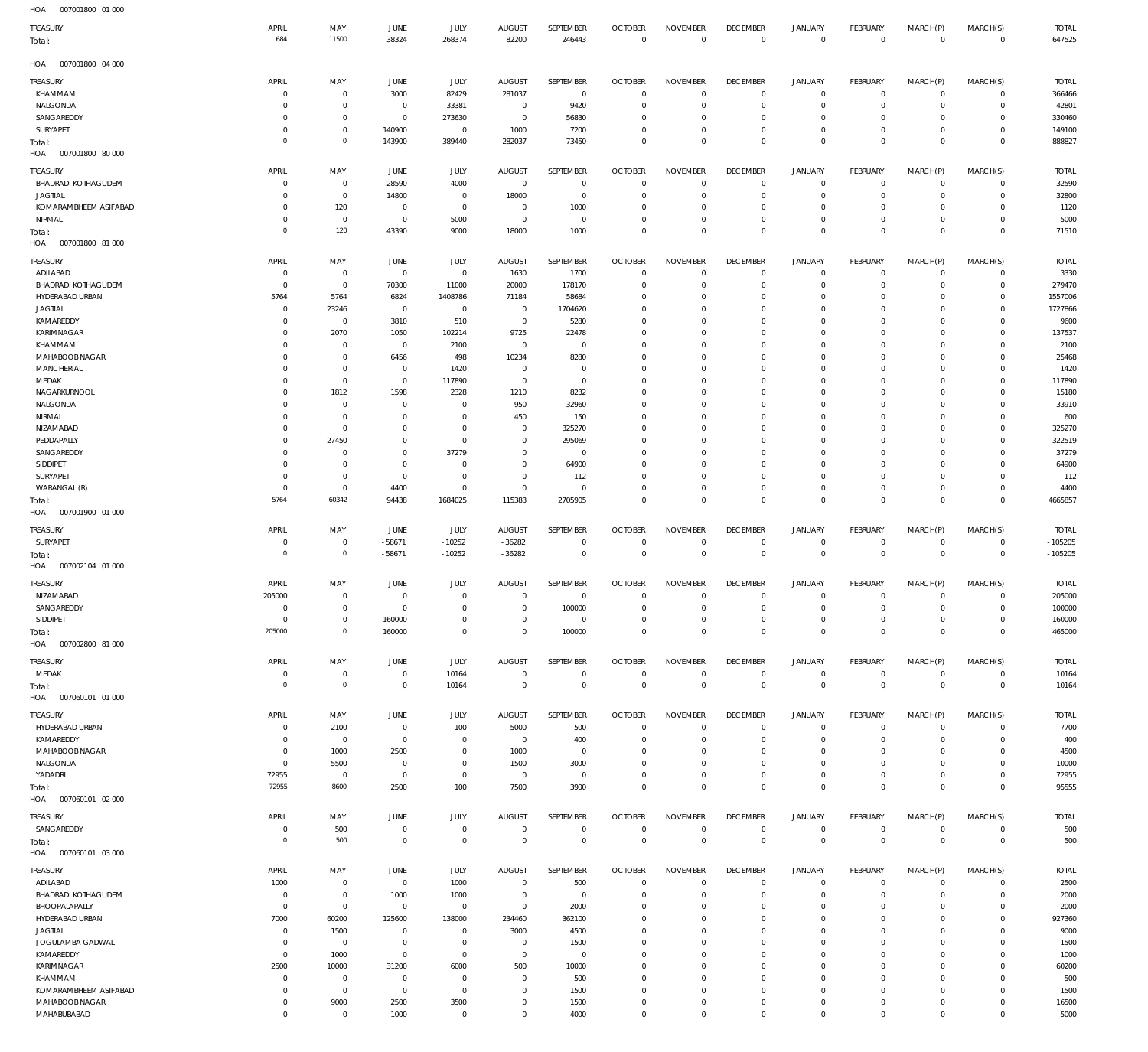007001800 01 000 HOA 007001800 04 000 HOA 007001800 80 000 007001800 81 000 HOA 007001900 01 000 HOA 007002104 01 000 HOA 007002800 81 000 HOA 007060101 01 000 HOA 007060101 02 000 007060101 03 000 HOA HOA HOA  $\overline{0}$   $\Omega$  -58671  $\Omega$  -10252 -36282  $\Omega$   $\,$  0  $\,$   $\Omega$   $\overline{0}$  $\Omega$  $\overline{0}$   $\Omega$  $\Omega$   $\Omega$   $\Omega$  $\Omega$  $\,$  0  $\,$   $\overline{0}$  $\Omega$   $\Omega$  $\Omega$   $\mathbf 0$  $\Omega$  $\Omega$  $\,$  0  $\,$   $\boldsymbol{0}$   $\Omega$  $\Omega$  $\boldsymbol{0}$   $\Omega$  $\Omega$   $\Omega$  $\Omega$  KHAMMAM NALGONDA SANGAREDDY SURYAPET BHADRADI KOTHAGUDEM JAGTIAL KOMARAMBHEEM ASIFABAD NIRMAL ADILABAD BHADRADI KOTHAGUDEM HYDERABAD URBAN JAGTIAL KAMAREDDY KARIMNAGAR KHAMMAM MAHABOOB NAGAR **MANCHERIAL** MEDAK NAGARKURNOOL NALGONDA NIRMAL NIZAMABAD PEDDAPALLY SANGAREDDY SIDDIPET SURYAPET WARANGAL (R) SURYAPET **NIZAMABAD** SANGAREDDY SIDDIPET MEDAK HYDERABAD URBAN KAMAREDDY MAHABOOB NAGAR NALGONDA YADADRI SANGAREDDY ADILABAD BHADRADI KOTHAGUDEM BHOOPALAPALLY HYDERABAD URBAN JAGTIAL JOGULAMBA GADWAL KAMAREDDY KARIMNAGAR KHAMMAM TREASURY TREASURY TREASURY **TREASURY** TREASURY **TREASURY** TREASURY TREASURY TREASURY TREASURY  $\overline{0}$   $\Omega$  $\overline{0}$   $\overline{0}$   $\Omega$   $\Omega$   $\overline{0}$   $\Omega$  $\overline{0}$   $\overline{0}$   $\Omega$   $\overline{0}$   $\Omega$   $\Omega$   $\overline{0}$ APRIL APRIL APRIL APRIL APRIL APRIL APRIL APRIL APRIL APRIL  $\Omega$   $\Omega$   $\Omega$   $\Omega$   $\Omega$   $\Omega$  MAY MAY MAY MAY MAY MAY MAY MAY MAY MAY  $\Omega$   $\Omega$   $\Omega$  -58671  $\Omega$   $\Omega$  JUNE JUNE JUNE **JUNE** JUNE **JUNE** JUNE JUNE JUNE JUNE  $\Omega$  -10252  $\Omega$  JULY JULY JULY JULY JULY JULY JULY JULY JULY JULY  $\Omega$   $\Omega$   $\Omega$   $\Omega$  -36282  $\Omega$  AUGUST AUGUST AUGUST **AUGUST** AUGUST **AUGUST** AUGUST AUGUST AUGUST AUGUST  $\Omega$   $\Omega$   $\Omega$   $\Omega$   $\overline{0}$   $\Omega$  SEPTEMBER SEPTEMBER SEPTEMBER **SEPTEMBER** SEPTEMBER **SEPTEMBER** SEPTEMBER SEPTEMBER SEPTEMBER SEPTEMBER  $\Omega$   $\Omega$   $\Omega$   $\Omega$  $\Omega$   $\Omega$   $\Omega$   $\Omega$  $\overline{0}$   $\Omega$  $\Omega$  $\Omega$   $\Omega$  $\Omega$   $\Omega$   $\Omega$  $\overline{0}$   $\Omega$  OCTOBER OCTOBER OCTOBER **OCTOBER** OCTOBER **OCTOBER OCTOBER** OCTOBER OCTOBER **OCTOBER**  $\Omega$   $\Omega$   $\Omega$   $\Omega$   $\Omega$   $\Omega$   $\Omega$   $\Omega$   $\Omega$   $\Omega$   $\Omega$  NOVEMBER NOVEMBER NOVEMBER NOVEMBER NOVEMBER NOVEMBER NOVEMBER NOVEMBER NOVEMBER NOVEMBER  $\Omega$   $\Omega$  $\overline{0}$   $\Omega$   $\Omega$   $\Omega$   $\overline{0}$   $\Omega$  $\overline{0}$   $\Omega$  $\overline{0}$   $\Omega$   $\overline{0}$   $\Omega$  $\overline{0}$   $\overline{0}$ DECEMBER DECEMBER DECEMBER **DECEMBER** DECEMBER **DECEMBER** DECEMBER DECEMBER DECEMBER DECEMBER  $\Omega$   $\Omega$   $\Omega$   $\Omega$   $\Omega$   $\Omega$   $\Omega$   $\Omega$   $\Omega$  JANUARY JANUARY JANUARY JANUARY JANUARY JANUARY JANUARY JANUARY JANUARY JANUARY  $\Omega$   $\Omega$   $\Omega$   $\Omega$   $\Omega$   $\Omega$  FEBRUARY FEBRUARY FEBRUARY **FFBRUARY** FEBRUARY **FFBRUARY** FEBRUARY FEBRUARY FEBRUARY FEBRUARY  $\Omega$   $\Omega$   $\Omega$   $\Omega$   $\Omega$   $\Omega$   $\Omega$   $\Omega$   $\Omega$  MARCH(P) MARCH(P) MARCH(P) MARCH(P) MARCH(P) MARCH(P) MARCH(P) MARCH(P) MARCH(P) MARCH(P)  $\overline{0}$   $\Omega$   $\Omega$   $\Omega$   $\Omega$   $\Omega$   $\Omega$  $\Omega$   $\Omega$   $\Omega$  MARCH(S) MARCH(S) MARCH(S) MARCH(S) MARCH(S) MARCH(S) MARCH(S) MARCH(S) MARCH(S) MARCH(S) Total: Total: Total: Total: Total: Total: Total: Total: Total:

KOMARAMBHEEM ASIFABAD MAHABOOB NAGAR MAHABUBABAD

 

 

 

 

 

 

  $\Omega$    $\,$  0  $\,$ 

    $\Omega$ 

  $\,$  0  $\,$ 

 

  $\Omega$  TOTAL

TOTAL

TOTAL

TOTAL

-105205

-105205

TOTAL

 

TOTAL

TOTAL

TOTAL

TOTAL

TOTAL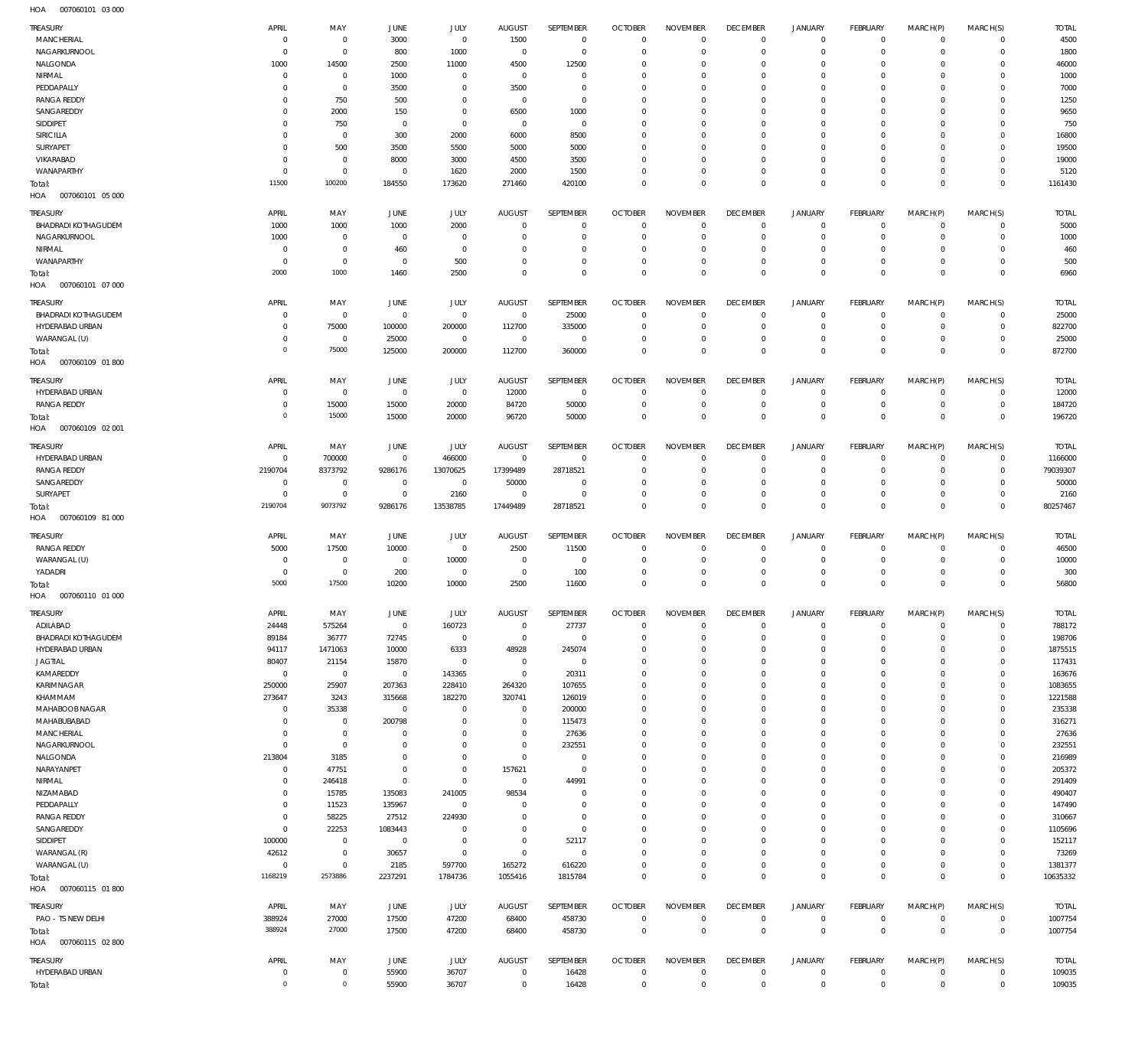007060101 03 000 HOA

| <b>TREASURY</b><br>MANCHERIAL         | APRIL<br>$\overline{0}$       | MAY<br>$\bf 0$                     | <b>JUNE</b><br>3000       | <b>JULY</b><br>$\mathbf 0$ | <b>AUGUST</b><br>1500      | SEPTEMBER<br>$\mathbf 0$ | <b>OCTOBER</b><br>$\overline{0}$ | <b>NOVEMBER</b><br>$\Omega$ | <b>DECEMBER</b><br>$\overline{0}$ | <b>JANUARY</b><br>$\circ$  | FEBRUARY<br>$\overline{0}$       | MARCH(P)<br>$\mathbf 0$    | MARCH(S)<br>$\overline{0}$       | <b>TOTAL</b><br>4500 |
|---------------------------------------|-------------------------------|------------------------------------|---------------------------|----------------------------|----------------------------|--------------------------|----------------------------------|-----------------------------|-----------------------------------|----------------------------|----------------------------------|----------------------------|----------------------------------|----------------------|
| NAGARKURNOOL                          | $\mathbf 0$                   | $\mathbf 0$                        | 800                       | 1000                       | $^{\circ}$                 | $\mathbf 0$              | $\Omega$                         | $\Omega$                    | $\mathbf 0$                       | $\mathbf 0$                | $\mathbf{0}$                     | $\mathbf 0$                | $\mathbf{0}$                     | 1800                 |
| NALGONDA                              | 1000                          | 14500                              | 2500                      | 11000                      | 4500                       | 12500                    | $\mathbf 0$                      | $\Omega$                    | $\mathbf 0$                       | $\mathbf 0$                | $\mathbf 0$                      | $\Omega$                   | $\mathbf 0$                      | 46000                |
| NIRMAL                                | $\mathbf 0$                   | $\mathbf 0$                        | 1000                      | $\mathbf 0$                | $\overline{0}$             | $\mathbf 0$              | $\mathbf 0$                      | $\Omega$                    | $\mathbf 0$                       | $\mathbf 0$                | $\mathbf{0}$                     | $\Omega$                   | $\mathbf{0}$                     | 1000                 |
| PEDDAPALLY                            | 0                             | $\mathsf{O}\xspace$                | 3500                      | $\mathbf 0$                | 3500                       | $\mathbf 0$              | $\mathbf 0$                      | $\Omega$<br>$\Omega$        | $\mathbf 0$                       | $\mathbf 0$                | $\mathbf 0$<br>$\Omega$          | $\Omega$                   | $\mathbf 0$<br>$\Omega$          | 7000                 |
| <b>RANGA REDDY</b><br>SANGAREDDY      | $\Omega$<br>$\Omega$          | 750<br>2000                        | 500<br>150                | $\mathbf 0$<br>$\mathbf 0$ | $^{\circ}$<br>6500         | $\mathbf 0$<br>1000      | $\Omega$<br>$\mathbf 0$          | $\Omega$                    | $\mathbf 0$<br>$\mathbf 0$        | $\mathbf 0$<br>$\mathbf 0$ | $\mathbf 0$                      | $\Omega$<br>$\Omega$       | $\mathbf 0$                      | 1250<br>9650         |
| SIDDIPET                              | 0                             | 750                                | $\overline{0}$            | $\mathbf 0$                | $\overline{0}$             | $\mathbf 0$              | $\Omega$                         | $\Omega$                    | $\mathbf 0$                       | $\mathbf 0$                | $\mathbf 0$                      | $\Omega$                   | $\Omega$                         | 750                  |
| SIRICILLA                             | $\Omega$                      | $\mathsf{O}\xspace$                | 300                       | 2000                       | 6000                       | 8500                     | $\mathbf 0$                      | $\Omega$                    | $\mathbf 0$                       | $\mathbf 0$                | $\mathbf 0$                      | $\Omega$                   | $\mathbf 0$                      | 16800                |
| SURYAPET                              | $\mathbf 0$                   | 500                                | 3500                      | 5500                       | 5000                       | 5000                     | $\mathbf 0$                      | $\Omega$                    | $\mathbf 0$                       | $\mathbf 0$                | $\mathbf 0$                      | $\Omega$                   | $\mathbf 0$                      | 19500                |
| VIKARABAD                             | $\mathbf 0$                   | $\bf 0$                            | 8000                      | 3000                       | 4500                       | 3500                     | $\Omega$                         | $\Omega$                    | $\mathbf 0$                       | $\mathbf 0$                | $\mathbf 0$                      | $\Omega$                   | $\mathbf 0$                      | 19000                |
| WANAPARTHY                            | $\mathbf 0$                   | $\mathbf 0$                        | $\overline{0}$            | 1620                       | 2000                       | 1500                     | $\mathbf 0$                      | $\Omega$                    | $\overline{0}$                    | $\mathbf 0$                | $\mathbf{0}$                     | $\Omega$                   | $\mathbf{0}$                     | 5120                 |
| Total:                                | 11500                         | 100200                             | 184550                    | 173620                     | 271460                     | 420100                   | $\mathbf 0$                      | $\Omega$                    | $\mathbf 0$                       | $\mathbf 0$                | $\mathbf 0$                      | $\Omega$                   | $\mathbf 0$                      | 1161430              |
| HOA  007060101  05  000               |                               |                                    |                           |                            |                            |                          |                                  |                             |                                   |                            |                                  |                            |                                  |                      |
| <b>TREASURY</b>                       | APRIL                         | MAY                                | <b>JUNE</b>               | JULY                       | <b>AUGUST</b>              | SEPTEMBER                | <b>OCTOBER</b>                   | <b>NOVEMBER</b>             | <b>DECEMBER</b>                   | <b>JANUARY</b>             | FEBRUARY                         | MARCH(P)                   | MARCH(S)                         | <b>TOTAL</b>         |
| <b>BHADRADI KOTHAGUDEM</b>            | 1000                          | 1000                               | 1000                      | 2000                       | $\overline{0}$             | $\mathbf 0$              | $\overline{0}$                   | $\mathbf 0$                 | $\overline{0}$                    | $\circ$                    | $\overline{0}$                   | $\mathbf 0$                | $\circ$                          | 5000                 |
| NAGARKURNOOL                          | 1000                          | $\mathsf{O}\xspace$                | $\overline{0}$            | 0                          | $\overline{0}$             | $\bf 0$                  | $\overline{0}$                   | $\mathbf 0$                 | $\overline{0}$                    | $\mathbf 0$                | $\overline{0}$                   | $\mathbf 0$                | $\overline{0}$                   | 1000                 |
| NIRMAL                                | $\mathbf 0$                   | $\mathsf{O}\xspace$                | 460                       | $\bf 0$                    | $\mathbf 0$                | $\mathbf 0$              | $\overline{0}$                   | $\mathbf 0$                 | $\overline{0}$                    | $\mathbf 0$                | $\mathbf{0}$                     | $\mathbf 0$                | $\mathbf{0}$                     | 460                  |
| WANAPARTHY                            | $\mathbf 0$                   | $\mathbf 0$                        | $\overline{0}$            | 500                        | $\mathbf 0$                | $\mathbf 0$              | $\overline{0}$                   | $\mathbf 0$                 | $\overline{0}$                    | $\mathbf 0$                | $\overline{0}$                   | $\mathbf 0$                | $\overline{0}$                   | 500                  |
| Total:                                | 2000                          | 1000                               | 1460                      | 2500                       | $\mathbf 0$                | $\mathbf 0$              | $\overline{0}$                   | $\mathbf 0$                 | $\overline{0}$                    | $\bf 0$                    | $\overline{0}$                   | $\mathbf 0$                | $\overline{0}$                   | 6960                 |
| HOA<br>007060101 07 000               |                               |                                    |                           |                            |                            |                          |                                  |                             |                                   |                            |                                  |                            |                                  |                      |
| <b>TREASURY</b>                       | <b>APRIL</b>                  | MAY                                | <b>JUNE</b>               | JULY                       | <b>AUGUST</b>              | SEPTEMBER                | <b>OCTOBER</b>                   | <b>NOVEMBER</b>             | <b>DECEMBER</b>                   | <b>JANUARY</b>             | FEBRUARY                         | MARCH(P)                   | MARCH(S)                         | <b>TOTAL</b>         |
| BHADRADI KOTHAGUDEM                   | $^{\circ}$                    | $\bf 0$                            | $\overline{0}$            | $\mathbf 0$                | $\overline{0}$             | 25000                    | $\overline{0}$                   | $\Omega$                    | $\overline{0}$                    | $\circ$                    | $\overline{0}$                   | $\mathbf{0}$               | $\overline{0}$                   | 25000                |
| HYDERABAD URBAN                       | $\mathbf 0$                   | 75000                              | 100000                    | 200000                     | 112700                     | 335000                   | $\overline{0}$                   | $\mathbf 0$                 | $\overline{0}$                    | $\mathbf 0$                | $\circ$                          | $\mathbf 0$                | $\circ$                          | 822700               |
| WARANGAL (U)                          | $\mathbf 0$                   | $\bf 0$                            | 25000                     | $\mathsf{O}\xspace$        | $\overline{0}$             | $\mathbf 0$              | $\overline{0}$                   | $\mathbf 0$                 | $\overline{0}$                    | $\mathbf 0$                | $\mathbf{0}$                     | $\mathbf 0$                | $\mathbf{0}$                     | 25000                |
| Total:                                | $\mathbf 0$                   | 75000                              | 125000                    | 200000                     | 112700                     | 360000                   | $\overline{0}$                   | $\mathbf 0$                 | $\overline{0}$                    | $\mathbf 0$                | $\overline{0}$                   | $\mathbf 0$                | $\overline{0}$                   | 872700               |
| HOA<br>007060109 01 800               |                               |                                    |                           |                            |                            |                          |                                  |                             |                                   |                            |                                  |                            |                                  |                      |
| <b>TREASURY</b>                       | APRIL                         | MAY                                | JUNE                      | JULY                       | <b>AUGUST</b>              | SEPTEMBER                | <b>OCTOBER</b>                   | <b>NOVEMBER</b>             | <b>DECEMBER</b>                   | <b>JANUARY</b>             | FEBRUARY                         | MARCH(P)                   | MARCH(S)                         | <b>TOTAL</b>         |
| HYDERABAD URBAN                       | 0                             | $\mathbf 0$                        | $\overline{0}$            | $\,0\,$                    | 12000                      | $\overline{0}$           | $\overline{0}$                   | $\mathbf 0$                 | $\overline{0}$                    | $\circ$                    | $\overline{0}$                   | $\mathbf 0$                | $\circ$                          | 12000                |
| <b>RANGA REDDY</b>                    | $\mathbf 0$                   | 15000                              | 15000                     | 20000                      | 84720                      | 50000                    | $\overline{0}$                   | $\mathbf 0$                 | $\overline{0}$                    | $\mathbf 0$                | $\overline{0}$                   | $\circ$                    | $\overline{0}$                   | 184720               |
| Total:                                | $\overline{0}$                | 15000                              | 15000                     | 20000                      | 96720                      | 50000                    | $\overline{0}$                   | $\mathbf 0$                 | $\overline{0}$                    | $\mathbf 0$                | $\overline{0}$                   | $\mathbf 0$                | $\overline{0}$                   | 196720               |
| HOA<br>007060109 02 001               |                               |                                    |                           |                            |                            |                          |                                  |                             |                                   |                            |                                  |                            |                                  |                      |
|                                       |                               |                                    |                           |                            |                            |                          |                                  |                             |                                   |                            |                                  |                            |                                  |                      |
| <b>TREASURY</b>                       | APRIL                         | MAY                                | JUNE                      | JULY                       | <b>AUGUST</b>              | SEPTEMBER                | <b>OCTOBER</b><br>$\Omega$       | <b>NOVEMBER</b><br>$\Omega$ | <b>DECEMBER</b>                   | <b>JANUARY</b>             | FEBRUARY                         | MARCH(P)                   | MARCH(S)                         | <b>TOTAL</b>         |
| HYDERABAD URBAN<br><b>RANGA REDDY</b> | $\mathbf 0$                   | 700000                             | $\mathbf{0}$              | 466000                     | $\mathbf{0}$<br>17399489   | $\mathbf 0$              | $\overline{0}$                   | $\Omega$                    | $\overline{0}$<br>$\overline{0}$  | $\mathbf 0$<br>$\mathbf 0$ | $\mathbf{0}$<br>$\circ$          | $\mathbf 0$<br>$\mathbf 0$ | $\overline{0}$<br>$\circ$        | 1166000<br>79039307  |
| SANGAREDDY                            | 2190704<br>$\mathbf 0$        | 8373792<br>$\bf 0$                 | 9286176<br>$\overline{0}$ | 13070625<br>$\mathbf 0$    | 50000                      | 28718521<br>$\mathbf 0$  | $\mathbf 0$                      | $\Omega$                    | $\mathbf 0$                       | $\mathbf 0$                | $\mathbf{0}$                     | $\Omega$                   | $\mathbf{0}$                     | 50000                |
| SURYAPET                              | $\mathbf 0$                   | $\mathbf 0$                        | $\overline{0}$            | 2160                       | $\mathbf 0$                | $\mathbf 0$              | $\mathbf 0$                      | $\Omega$                    | $\overline{0}$                    | $\mathbf 0$                | $\circ$                          | $\mathbf 0$                | $\mathbf{0}$                     | 2160                 |
| Total:                                | 2190704                       | 9073792                            | 9286176                   | 13538785                   | 17449489                   | 28718521                 | $\overline{0}$                   | $\mathbf 0$                 | $\overline{0}$                    | $\mathbf 0$                | $\overline{0}$                   | $\mathbf 0$                | $\overline{0}$                   | 80257467             |
| HOA<br>007060109 81 000               |                               |                                    |                           |                            |                            |                          |                                  |                             |                                   |                            |                                  |                            |                                  |                      |
|                                       |                               |                                    |                           |                            |                            |                          |                                  |                             |                                   |                            |                                  |                            |                                  |                      |
| <b>TREASURY</b>                       | APRIL                         | MAY                                | JUNE                      | JULY                       | <b>AUGUST</b>              | SEPTEMBER                | <b>OCTOBER</b>                   | <b>NOVEMBER</b>             | <b>DECEMBER</b>                   | <b>JANUARY</b>             | FEBRUARY                         | MARCH(P)                   | MARCH(S)                         | <b>TOTAL</b>         |
| <b>RANGA REDDY</b>                    | 5000                          | 17500                              | 10000                     | $\mathsf{O}\xspace$        | 2500                       | 11500                    | $\overline{0}$                   | $\mathbf 0$                 | $\overline{0}$                    | $\circ$                    | $\overline{0}$                   | $\mathbf 0$                | $\overline{0}$                   | 46500                |
| WARANGAL (U)                          | $\mathbf 0$<br>$\overline{0}$ | $\mathbf 0$<br>$\mathsf{O}\xspace$ | $\overline{0}$            | 10000                      | $\mathbf 0$                | $\overline{0}$           | $\overline{0}$<br>$\overline{0}$ | $\mathbf 0$<br>$\mathbf 0$  | $\overline{0}$<br>$\overline{0}$  | $\mathbf 0$<br>$\mathbf 0$ | $\overline{0}$<br>$\circ$        | $\mathbf 0$<br>$\mathbf 0$ | $\overline{0}$<br>$\mathbf{0}$   | 10000                |
| YADADRI                               | 5000                          | 17500                              | 200<br>10200              | 0<br>10000                 | $\overline{0}$<br>2500     | 100<br>11600             | $\overline{0}$                   | $\mathbf 0$                 | $\overline{0}$                    | $\mathbf 0$                | $\overline{0}$                   | $\Omega$                   | $\overline{0}$                   | 300<br>56800         |
| Total:<br>HOA   007060110   01   000  |                               |                                    |                           |                            |                            |                          |                                  |                             |                                   |                            |                                  |                            |                                  |                      |
|                                       |                               |                                    |                           |                            |                            |                          |                                  |                             |                                   |                            |                                  |                            |                                  |                      |
| TREASURY                              | APRIL                         | MAY                                | JUNE                      | <b>JULY</b>                | <b>AUGUST</b>              | SEPTEMBER                | <b>OCTOBER</b>                   | <b>NOVEMBER</b>             | <b>DECEMBER</b>                   | JANUARY                    | FEBRUARY                         | MARCH(P)                   | MARCH(S)                         | <b>TOTAL</b>         |
| ADILABAD                              | 24448                         | 575264                             | $\mathbf 0$               | 160723                     | $^{\circ}$                 | 27737                    | $\overline{0}$                   | $\mathbf 0$                 | $\overline{0}$                    | 0                          | $\mathbf{0}$                     | $\mathbf 0$                | $^{\circ}$                       | 788172               |
| <b>BHADRADI KOTHAGUDEM</b>            | 89184                         | 36777                              | 72745                     | $\mathbf 0$                | $\mathbf 0$                | $\mathbf 0$              | $\mathbf 0$                      | $\mathbf 0$                 | $\mathbf 0$                       | $\mathbf 0$                | $\circ$                          | $\mathbf 0$                | $\mathbf{0}$                     | 198706               |
| HYDERABAD URBAN<br><b>JAGTIAL</b>     | 94117<br>80407                | 1471063<br>21154                   | 10000<br>15870            | 6333<br>$\mathbf 0$        | 48928<br>$\mathbf 0$       | 245074<br>$\overline{0}$ | $\mathbf 0$<br>$\mathbf 0$       | $\mathbf 0$<br>$\Omega$     | $\mathbf 0$<br>$\mathbf 0$        | $\mathbf 0$<br>$\mathbf 0$ | $\mathbf{0}$<br>$\mathbf 0$      | $\Omega$<br>$\Omega$       | $\mathbf{0}$<br>$\mathbf 0$      | 1875515<br>117431    |
| KAMAREDDY                             | $\mathbf 0$                   | $\mathbf 0$                        | $\overline{0}$            | 143365                     | $\mathbf 0$                | 20311                    | $\mathbf 0$                      | $\Omega$                    | $\mathbf 0$                       | $\mathbf 0$                | $\mathbf{0}$                     | $\Omega$                   | $\mathbf{0}$                     | 163676               |
| KARIMNAGAR                            | 250000                        | 25907                              | 207363                    | 228410                     | 264320                     | 107655                   | $\mathbf 0$                      | $\Omega$                    | $\mathbf 0$                       | $\mathbf 0$                | $\mathbf 0$                      | $\Omega$                   | $\mathbf 0$                      | 1083655              |
| KHAMMAM                               | 273647                        | 3243                               | 315668                    | 182270                     | 320741                     | 126019                   | $\mathbf 0$                      | $\Omega$                    | $\mathbf 0$                       | $\mathbf 0$                | $\mathbf 0$                      | $\Omega$                   | $\mathbf 0$                      | 1221588              |
| MAHABOOB NAGAR                        | $\mathbf 0$                   | 35338                              | $\overline{0}$            | $\mathbf 0$                | $\mathbf 0$                | 200000                   | $\mathbf 0$                      | $\Omega$                    | $\mathbf 0$                       | $\mathbf 0$                | $\mathbf 0$                      | $\Omega$                   | $\mathbf 0$                      | 235338               |
| MAHABUBABAD                           | $\mathbf 0$                   | $\bf 0$                            | 200798                    | $\mathbf 0$                | $\mathbf 0$                | 115473                   | $\mathbf 0$                      | $\Omega$                    | $\mathbf 0$                       | $\mathbf 0$                | $\mathbf 0$                      | $\Omega$                   | $\mathbf 0$                      | 316271               |
| MANCHERIAL                            | $\mathbf 0$                   | $\mathsf{O}\xspace$                | $\overline{0}$            | $\Omega$                   | $\mathbf 0$                | 27636                    | $\mathbf 0$                      | $\Omega$                    | $\mathbf 0$                       | $\mathbf 0$                | $\mathbf 0$                      | $\Omega$                   | $\mathbf 0$                      | 27636                |
| NAGARKURNOOL                          | $\mathbf 0$                   | $\mathbf 0$                        | $\mathbf 0$               | $\Omega$                   | $\mathbf 0$                | 232551                   | $\mathbf 0$                      | $\mathbf 0$                 | $\mathbf 0$                       | $\mathbf 0$                | $\mathbf 0$                      | $\Omega$                   | $\mathbf 0$                      | 232551               |
| NALGONDA                              | 213804                        | 3185                               | $\mathbf 0$               | $\mathbf 0$                | $\mathbf 0$                | $\mathbf 0$              | $\mathbf 0$                      | $\Omega$                    | $\mathbf 0$                       | $\mathbf 0$                | $\mathbf 0$                      | $\Omega$                   | $\mathbf 0$                      | 216989               |
| NARAYANPET                            | $\mathbf 0$                   | 47751                              | $\mathbf 0$               | $\mathbf 0$                | 157621                     | $\mathbf 0$              | $\mathbf 0$                      | $\Omega$                    | $\mathbf 0$                       | $\mathbf 0$                | $\mathbf 0$                      | $\Omega$                   | $\mathbf 0$                      | 205372               |
| NIRMAL                                | $\mathbf 0$                   | 246418                             | $\bf 0$                   | $\mathbf 0$                | $\overline{0}$             | 44991                    | $\mathbf 0$                      | $\Omega$                    | $\mathbf 0$                       | $\mathbf 0$                | $^{\circ}$                       | $\Omega$                   | $\mathbf 0$                      | 291409               |
| NIZAMABAD                             | $\mathbf 0$                   | 15785                              | 135083                    | 241005                     | 98534                      | $\mathbf 0$              | $\mathbf 0$                      | $\mathbf 0$                 | $\mathbf 0$                       | $\mathbf 0$                | $\mathbf 0$                      | $\Omega$                   | $\mathbf 0$                      | 490407               |
| PEDDAPALLY                            | $\mathbf 0$                   | 11523                              | 135967                    | $\mathbf 0$                | $\mathbf 0$                | $\mathbf 0$              | $\mathbf 0$                      | $\Omega$                    | $\mathbf 0$                       | $\mathbf 0$                | $\mathbf 0$                      | $\Omega$                   | $\mathbf 0$                      | 147490               |
| <b>RANGA REDDY</b>                    | $\mathbf 0$                   | 58225                              | 27512                     | 224930                     | $\Omega$                   | $\mathbf 0$              | $\mathbf 0$                      | $\Omega$                    | $\mathbf 0$                       | $\mathbf 0$                | $\mathbf 0$                      | $\Omega$                   | $\mathbf 0$                      | 310667               |
| SANGAREDDY<br>SIDDIPET                | $\mathbf 0$<br>100000         | 22253<br>$\bf 0$                   | 1083443<br>$\overline{0}$ | $\mathbf 0$<br>$\mathbf 0$ | $\mathbf 0$<br>$\mathbf 0$ | $\mathbf 0$<br>52117     | $\mathbf 0$<br>$\mathbf 0$       | $\Omega$<br>$\Omega$        | $\mathbf 0$<br>$\mathbf 0$        | $\mathbf 0$<br>$\mathbf 0$ | $\mathbf 0$<br>$\mathbf 0$       | $\Omega$<br>$\Omega$       | $\mathbf 0$<br>$\mathbf 0$       | 1105696<br>152117    |
| WARANGAL (R)                          | 42612                         | $\bf 0$                            | 30657                     | $\mathbf 0$                | $\mathbf 0$                | $\mathbf 0$              | $\mathbf 0$                      | $\Omega$                    | $\mathbf 0$                       | $\mathbf 0$                | $\mathbf 0$                      | $\Omega$                   | $\mathbf 0$                      | 73269                |
| WARANGAL (U)                          | $\mathbf 0$                   | $\mathbf 0$                        | 2185                      | 597700                     | 165272                     | 616220                   | $\mathbf 0$                      | $\mathbf 0$                 | $\mathbf 0$                       | $\mathbf 0$                | $\mathbf 0$                      | $\mathbf 0$                | $\mathbf{0}$                     | 1381377              |
| Total:                                | 1168219                       | 2573886                            | 2237291                   | 1784736                    | 1055416                    | 1815784                  | $\mathbf 0$                      | $\Omega$                    | $\overline{0}$                    | $\mathbf 0$                | $\mathbf 0$                      | $\Omega$                   | $\mathbf 0$                      | 10635332             |
| HOA  007060115  01  800               |                               |                                    |                           |                            |                            |                          |                                  |                             |                                   |                            |                                  |                            |                                  |                      |
|                                       |                               |                                    |                           |                            |                            |                          |                                  |                             |                                   |                            |                                  |                            |                                  |                      |
| <b>TREASURY</b>                       | APRIL                         | MAY                                | JUNE                      | <b>JULY</b>                | <b>AUGUST</b>              | SEPTEMBER                | <b>OCTOBER</b>                   | <b>NOVEMBER</b>             | <b>DECEMBER</b>                   | <b>JANUARY</b>             | FEBRUARY                         | MARCH(P)                   | MARCH(S)                         | <b>TOTAL</b>         |
| PAO - TS NEW DELHI                    | 388924<br>388924              | 27000<br>27000                     | 17500                     | 47200<br>47200             | 68400<br>68400             | 458730<br>458730         | $\overline{0}$<br>$\overline{0}$ | $\mathbf 0$<br>$\mathbf 0$  | $\overline{0}$<br>$\overline{0}$  | $\circ$<br>$\mathbf 0$     | $\overline{0}$<br>$\overline{0}$ | 0<br>$\mathbf 0$           | $\overline{0}$<br>$\overline{0}$ | 1007754<br>1007754   |
| Total:<br>HOA<br>007060115 02 800     |                               |                                    | 17500                     |                            |                            |                          |                                  |                             |                                   |                            |                                  |                            |                                  |                      |
|                                       |                               |                                    |                           |                            |                            |                          |                                  |                             |                                   |                            |                                  |                            |                                  |                      |
| <b>TREASURY</b>                       | APRIL                         | MAY                                | JUNE                      | <b>JULY</b>                | <b>AUGUST</b>              | SEPTEMBER                | <b>OCTOBER</b>                   | <b>NOVEMBER</b>             | <b>DECEMBER</b>                   | <b>JANUARY</b>             | FEBRUARY                         | MARCH(P)                   | MARCH(S)                         | <b>TOTAL</b>         |
| HYDERABAD URBAN                       | $\mathbf 0$                   | $\bf 0$                            | 55900                     | 36707                      | $\overline{0}$             | 16428                    | $\overline{0}$                   | $\mathbf 0$                 | $\overline{0}$                    | $\circ$                    | $\overline{0}$                   | $\circ$                    | $\overline{0}$                   | 109035               |
| Total:                                | $\mathbf 0$                   | $\mathsf{O}\xspace$                | 55900                     | 36707                      | $\bf 0$                    | 16428                    | $\overline{0}$                   | $\mathbf 0$                 | $\overline{0}$                    | $\mathbf 0$                | $\overline{0}$                   | $\mathbf 0$                | $\overline{0}$                   | 109035               |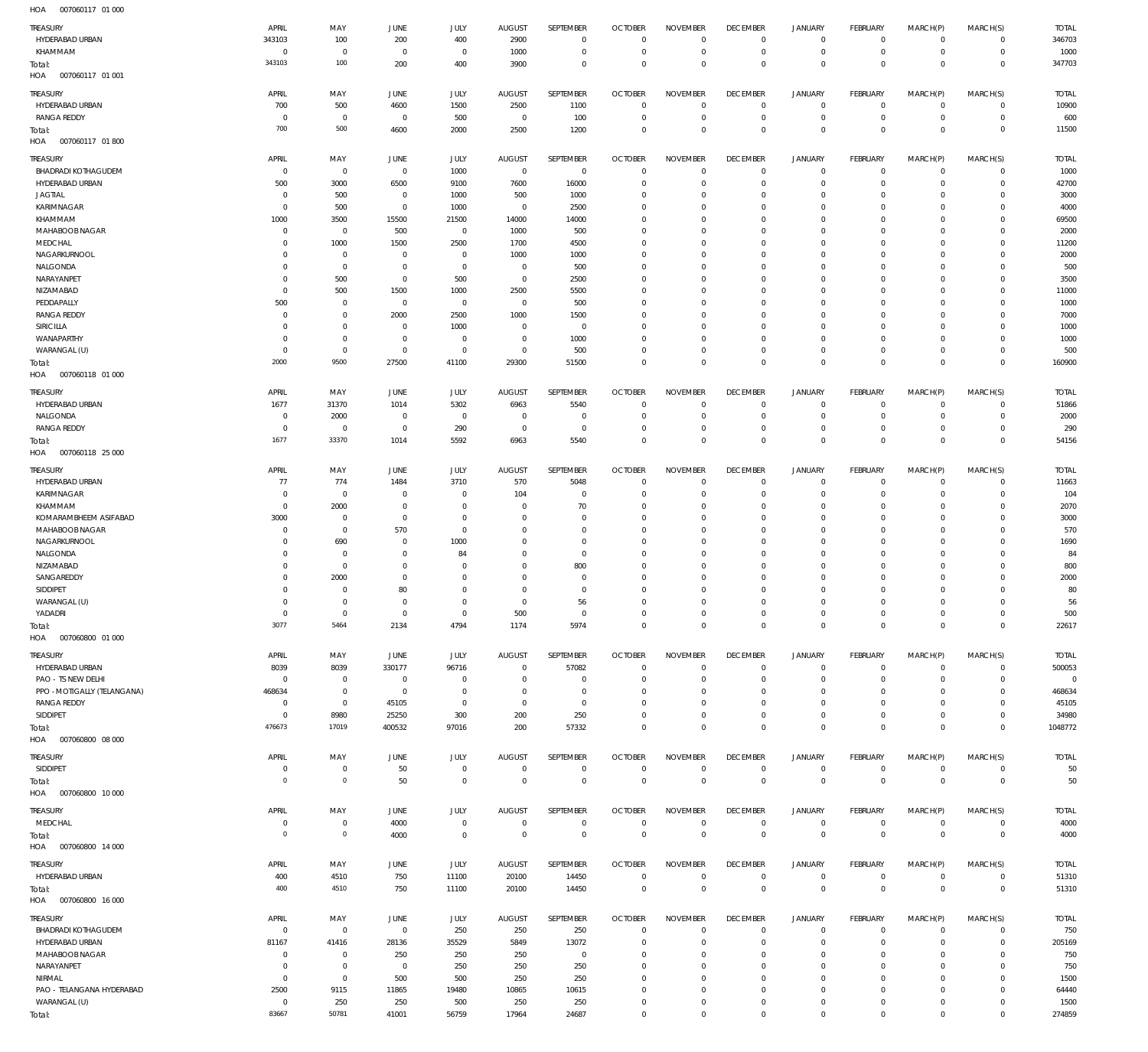| ,,,,,<br>001000111                     |                            |                        |                          |                             |                                 |                          |                                  |                                 |                                |                                    |                                    |                            |                            |                       |
|----------------------------------------|----------------------------|------------------------|--------------------------|-----------------------------|---------------------------------|--------------------------|----------------------------------|---------------------------------|--------------------------------|------------------------------------|------------------------------------|----------------------------|----------------------------|-----------------------|
| <b>TREASURY</b>                        | APRIL                      | MAY                    | JUNE                     | JULY                        | <b>AUGUST</b>                   | SEPTEMBER                | <b>OCTOBER</b>                   | <b>NOVEMBER</b>                 | <b>DECEMBER</b>                | <b>JANUARY</b>                     | FEBRUARY                           | MARCH(P)                   | MARCH(S)                   | <b>TOTAL</b>          |
| HYDERABAD URBAN                        | 343103<br>$^{\circ}$       | 100                    | 200<br>$\Omega$          | 400                         | 2900                            | $\mathbf 0$              | $^{\circ}$<br>$^{\circ}$         | $^{\circ}$<br>$\overline{0}$    | $\mathbf 0$                    | 0<br>$\mathbf 0$                   | $^{\circ}$                         | $\mathbf 0$<br>$\mathbf 0$ | $\circ$<br>$\circ$         | 346703<br>1000        |
| KHAMMAM<br>Total:                      | 343103                     | $\overline{0}$<br>100  | 200                      | $\overline{0}$<br>400       | 1000<br>3900                    | $\,0\,$<br>$\mathbf 0$   | $\Omega$                         | $\mathbf 0$                     | $\mathbf 0$<br>$\mathbf 0$     | $\mathbf 0$                        | $\mathbf 0$<br>$\overline{0}$      | $\mathbf 0$                | $\overline{0}$             | 347703                |
| HOA<br>007060117 01 001                |                            |                        |                          |                             |                                 |                          |                                  |                                 |                                |                                    |                                    |                            |                            |                       |
|                                        |                            |                        |                          |                             |                                 |                          |                                  |                                 |                                |                                    |                                    |                            |                            |                       |
| TREASURY<br>HYDERABAD URBAN            | APRIL<br>700               | MAY<br>500             | JUNE                     | JULY<br>1500                | <b>AUGUST</b><br>2500           | SEPTEMBER<br>1100        | <b>OCTOBER</b><br>$\overline{0}$ | <b>NOVEMBER</b><br>$^{\circ}$   | <b>DECEMBER</b><br>$\mathbf 0$ | <b>JANUARY</b><br>0                | FEBRUARY<br>$\overline{0}$         | MARCH(P)<br>$\mathbf 0$    | MARCH(S)<br>$\circ$        | <b>TOTAL</b><br>10900 |
| <b>RANGA REDDY</b>                     | $\circ$                    | $\overline{0}$         | 4600<br>$\overline{0}$   | 500                         | $\overline{0}$                  | 100                      | $\overline{0}$                   | $\mathbf 0$                     | 0                              | $\mathsf{O}$                       | $\overline{0}$                     | $\mathbf 0$                | $\circ$                    | 600                   |
| Total:                                 | 700                        | 500                    | 4600                     | 2000                        | 2500                            | 1200                     | $\Omega$                         | $\mathbf 0$                     | $^{\circ}$                     | $\mathbb O$                        | $^{\circ}$                         | $\mathbf 0$                | $\overline{0}$             | 11500                 |
| HOA<br>007060117 01 800                |                            |                        |                          |                             |                                 |                          |                                  |                                 |                                |                                    |                                    |                            |                            |                       |
|                                        |                            |                        |                          |                             |                                 |                          |                                  |                                 | <b>DECEMBER</b>                |                                    |                                    |                            |                            |                       |
| TREASURY<br><b>BHADRADI KOTHAGUDEM</b> | APRIL<br>$^{\circ}$        | MAY<br>$\overline{0}$  | JUNE<br>$\Omega$         | JULY<br>1000                | <b>AUGUST</b><br>$\overline{0}$ | SEPTEMBER<br>$\mathbf 0$ | <b>OCTOBER</b><br>$\overline{0}$ | <b>NOVEMBER</b><br>$^{\circ}$   | $^{\circ}$                     | <b>JANUARY</b><br>$\mathbf 0$      | FEBRUARY<br>$^{\circ}$             | MARCH(P)<br>$\mathbf 0$    | MARCH(S)<br>$^{\circ}$     | <b>TOTAL</b><br>1000  |
| HYDERABAD URBAN                        | 500                        | 3000                   | 6500                     | 9100                        | 7600                            | 16000                    | 0                                | $\overline{0}$                  | $\mathbf 0$                    | $\mathbf 0$                        | $^{\circ}$                         | $\Omega$                   | $\mathbf 0$                | 42700                 |
| <b>JAGTIAL</b>                         | $\circ$                    | 500                    | $\overline{0}$           | 1000                        | 500                             | 1000                     | 0                                | $^{\circ}$                      | 0                              | $^{\circ}$                         | $^{\circ}$                         | $\Omega$                   | $\mathbf 0$                | 3000                  |
| KARIMNAGAR                             | $\Omega$                   | 500                    | $\Omega$                 | 1000                        | $^{\circ}$                      | 2500                     | $\Omega$                         | $^{\circ}$                      | 0                              | $^{\circ}$                         | 0                                  | $\Omega$                   | $\mathbf 0$                | 4000                  |
| KHAMMAM                                | 1000                       | 3500                   | 15500                    | 21500                       | 14000                           | 14000                    | $\Omega$                         | $^{\circ}$                      | 0                              | $^{\circ}$                         | $^{\circ}$                         | $\Omega$                   | $\mathbf 0$                | 69500                 |
| MAHABOOB NAGAR                         | $\overline{0}$             | $\overline{0}$         | 500                      | $\overline{0}$              | 1000                            | 500                      | 0                                | $^{\circ}$                      | 0                              | $\mathbf 0$                        | 0                                  | $\Omega$                   | $\mathbf 0$                | 2000                  |
| MEDCHAL                                | $^{\circ}$                 | 1000                   | 1500                     | 2500                        | 1700                            | 4500                     | $\Omega$                         | $\Omega$                        | 0                              | $^{\circ}$                         | $^{\circ}$                         | $\Omega$                   | $\mathbf 0$                | 11200                 |
| NAGARKURNOOL                           | $\circ$                    | $\overline{0}$         | $\Omega$                 | $\overline{0}$              | 1000                            | 1000                     | 0                                | $^{\circ}$                      | 0                              | $\mathbf 0$                        | 0                                  | $\Omega$                   | $\mathbf 0$                | 2000                  |
| NALGONDA<br>NARAYANPET                 | $\Omega$<br>$\overline{0}$ | $\overline{0}$<br>500  | $\Omega$<br>$\Omega$     | $\overline{0}$<br>500       | $\mathbf 0$<br>$\overline{0}$   | 500<br>2500              | $\Omega$<br>$\circ$              | $\Omega$<br>$^{\circ}$          | 0<br>0                         | $^{\circ}$<br>$\mathbf 0$          | $^{\circ}$<br>$^{\circ}$           | $\Omega$<br>$\Omega$       | $\mathbf 0$<br>$\mathbf 0$ | 500<br>3500           |
| NIZAMABAD                              | $^{\circ}$                 | 500                    | 1500                     | 1000                        | 2500                            | 5500                     | $\Omega$                         | $^{\circ}$                      | 0                              | $^{\circ}$                         | 0                                  | $\Omega$                   | $\mathbf 0$                | 11000                 |
| PEDDAPALLY                             | 500                        | $\overline{0}$         | $\Omega$                 | $\overline{0}$              | $\mathbf 0$                     | 500                      | $\Omega$                         | $^{\circ}$                      | 0                              | $\mathbf 0$                        | $^{\circ}$                         | $\Omega$                   | $\mathbf 0$                | 1000                  |
| <b>RANGA REDDY</b>                     | $\circ$                    | $\overline{0}$         | 2000                     | 2500                        | 1000                            | 1500                     | C                                | $^{\circ}$                      | 0                              | $^{\circ}$                         | 0                                  | $\Omega$                   | $\mathbf 0$                | 7000                  |
| SIRICILLA                              | $^{\circ}$                 | $\overline{0}$         | $\Omega$                 | 1000                        | $\Omega$                        | $\overline{0}$           | $\Omega$                         | $^{\circ}$                      | $\mathbf 0$                    | $\mathbf 0$                        | $\Omega$                           | $\Omega$                   | $\mathbf 0$                | 1000                  |
| WANAPARTHY                             | $\circ$                    | $\overline{0}$         | $\Omega$                 | $\mathbf{0}$                | 0                               | 1000                     | $\Omega$                         | $^{\circ}$                      | 0                              | $\mathbf 0$                        | $^{\circ}$                         | $\Omega$                   | $\mathbf 0$                | 1000                  |
| WARANGAL (U)                           | $\circ$                    | $\overline{0}$         | $\Omega$                 | $\overline{0}$              | $\Omega$                        | 500                      | $\Omega$                         | $^{\circ}$                      | $\mathbf 0$                    | $\mathbf 0$                        | $^{\circ}$                         | $\mathbf 0$                | $\mathbf 0$                | 500                   |
| Total:                                 | 2000                       | 9500                   | 27500                    | 41100                       | 29300                           | 51500                    | $^{\circ}$                       | $\mathbf 0$                     | $\mathbf 0$                    | $\mathbf 0$                        | $\overline{0}$                     | $\mathbf 0$                | $\overline{0}$             | 160900                |
| HOA<br>007060118 01 000                |                            |                        |                          |                             |                                 |                          |                                  |                                 |                                |                                    |                                    |                            |                            |                       |
| <b>TREASURY</b>                        | APRIL                      | MAY                    | JUNE                     | JULY                        | <b>AUGUST</b>                   | SEPTEMBER                | <b>OCTOBER</b>                   | <b>NOVEMBER</b>                 | <b>DECEMBER</b>                | <b>JANUARY</b>                     | FEBRUARY                           | MARCH(P)                   | MARCH(S)                   | <b>TOTAL</b>          |
| HYDERABAD URBAN                        | 1677                       | 31370                  | 1014                     | 5302                        | 6963                            | 5540                     | C                                | $\overline{0}$                  | $\mathbf 0$                    | 0                                  | $\mathbf 0$                        | $\mathbf 0$                | $\circ$                    | 51866                 |
| NALGONDA                               | $^{\circ}$                 | 2000                   | $\mathbf{0}$             | $\overline{0}$              | - 0                             | $\,0\,$                  | $\overline{0}$                   | $\mathbf 0$                     | $\mathbf 0$                    | $\mathsf{O}$                       | $\mathbf 0$                        | $\mathbf 0$                | $\circ$                    | 2000                  |
| <b>RANGA REDDY</b>                     | $\Omega$<br>1677           | $\overline{0}$         | $\Omega$                 | 290                         | $^{\circ}$                      | $\,0\,$                  | C                                | $^{\circ}$                      | $^{\circ}$                     | $\mathbf 0$                        | $\mathbf 0$                        | $\mathbf 0$                | $\circ$                    | 290                   |
| Total:<br>HOA<br>007060118 25 000      |                            | 33370                  | 1014                     | 5592                        | 6963                            | 5540                     | $^{\circ}$                       | $\mathbf 0$                     | $\mathbf 0$                    | $\mathbb O$                        | $\overline{0}$                     | $\mathbf 0$                | $\overline{0}$             | 54156                 |
|                                        |                            |                        |                          |                             |                                 |                          |                                  |                                 |                                |                                    |                                    |                            |                            |                       |
| <b>TREASURY</b>                        | APRIL                      | MAY                    | JUNE                     | JULY                        | <b>AUGUST</b>                   | SEPTEMBER                | <b>OCTOBER</b>                   | <b>NOVEMBER</b>                 | <b>DECEMBER</b>                | <b>JANUARY</b>                     | FEBRUARY                           | MARCH(P)                   | MARCH(S)                   | <b>TOTAL</b>          |
| HYDERABAD URBAN                        | 77                         | 774                    | 1484                     | 3710                        | 570                             | 5048                     | $\Omega$                         | $\Omega$                        | $\mathbf 0$                    | $^{\circ}$                         | $^{\circ}$                         | $\Omega$                   | $\mathbf 0$                | 11663                 |
| KARIMNAGAR<br>KHAMMAM                  | $^{\circ}$<br>$^{\circ}$   | $\overline{0}$<br>2000 | $\Omega$<br>$\Omega$     | $\mathbf{0}$<br>$\mathbf 0$ | 104<br>$\Omega$                 | $\overline{0}$<br>70     | 0<br>0                           | $^{\circ}$<br>$\overline{0}$    | $\mathbf 0$<br>0               | $\mathbf 0$<br>$\mathbf 0$         | $^{\circ}$<br>$^{\circ}$           | $\Omega$<br>$\Omega$       | $\mathbf 0$<br>$\mathbf 0$ | 104<br>2070           |
| KOMARAMBHEEM ASIFABAD                  | 3000                       | $\overline{0}$         | $\Omega$                 | $\overline{0}$              | $\Omega$                        | $\overline{0}$           | $\Omega$                         | $^{\circ}$                      | $\mathbf 0$                    | $\mathbf 0$                        | $^{\circ}$                         | $\Omega$                   | $\mathbf 0$                | 3000                  |
| MAHABOOB NAGAR                         | $^{\circ}$                 | $\overline{0}$         | 570                      | $\overline{0}$              | $\Omega$                        | $\overline{0}$           | $\Omega$                         | $^{\circ}$                      | 0                              | $\mathbf 0$                        | 0                                  | $\Omega$                   | $\mathbf 0$                | 570                   |
| NAGARKURNOOL                           | $\Omega$                   | 690                    | $\Omega$                 | 1000                        | $\Omega$                        | $\mathbf 0$              | $\Omega$                         | $^{\circ}$                      | 0                              | $\mathbf 0$                        | $^{\circ}$                         | $\Omega$                   | $\mathbf 0$                | 1690                  |
| NALGONDA                               | $\circ$                    | $\overline{0}$         | $\Omega$                 | 84                          | $\Omega$                        | $\mathbf 0$              | $\Omega$                         | $^{\circ}$                      | 0                              | $\mathbf 0$                        | $^{\circ}$                         | $\Omega$                   | $\mathbf 0$                | 84                    |
| NIZAMABAD                              | $\Omega$                   | $\overline{0}$         | $\Omega$                 | $\Omega$                    | $\Omega$                        | 800                      | $\Omega$                         | $^{\circ}$                      | 0                              | $\mathbf 0$                        | 0                                  | $\Omega$                   | $\mathbf 0$                | 800                   |
| SANGAREDDY                             | $\circ$                    | 2000                   | $\Omega$                 | $\Omega$                    | $\Omega$                        | $\overline{0}$           | $\Omega$                         | $^{\circ}$                      | 0                              | $\mathbf 0$                        | 0                                  | $\Omega$                   | $\mathbf 0$                | 2000                  |
| SIDDIPET                               | $\Omega$                   | $^{\circ}$             | 80                       | $\Omega$                    | $\Omega$                        | $\mathbf 0$              | $\Omega$                         | $^{\circ}$                      | $\Omega$                       | $\mathbf 0$                        | $\Omega$                           | $\Omega$                   | $\mathbf 0$                | 80                    |
| WARANGAL (U)                           | $\overline{0}$             | $\overline{0}$         | $\Omega$                 | $\overline{0}$              | $\overline{0}$                  | 56                       | $\overline{0}$                   | $\mathbf{0}$                    | $\Omega$                       | $\Omega$                           | $\Omega$                           | $\Omega$<br>$\mathbf 0$    | $\Omega$                   | 56                    |
| YADADRI                                | $\overline{0}$<br>3077     | $\overline{0}$<br>5464 | $\mathbf{0}$<br>2134     | $\overline{0}$<br>4794      | 500<br>1174                     | $\,0\,$<br>5974          | $\overline{0}$<br>$\mathbf 0$    | $\mathbf 0$<br>$\mathbf 0$      | $\mathbf 0$<br>$\mathbf 0$     | $\mathbf 0$<br>$\mathsf{O}\xspace$ | $\mathsf{O}\xspace$<br>$\mathbf 0$ | $\mathbf 0$                | $\mathbb O$<br>$\,0\,$     | 500<br>22617          |
| Total:<br>HOA<br>007060800 01 000      |                            |                        |                          |                             |                                 |                          |                                  |                                 |                                |                                    |                                    |                            |                            |                       |
|                                        |                            |                        |                          |                             |                                 |                          |                                  |                                 |                                |                                    |                                    |                            |                            |                       |
| <b>TREASURY</b>                        | APRIL                      | MAY                    | JUNE                     | JULY                        | <b>AUGUST</b>                   | SEPTEMBER                | <b>OCTOBER</b><br>$\overline{0}$ | <b>NOVEMBER</b><br>$\mathbf{0}$ | <b>DECEMBER</b>                | <b>JANUARY</b>                     | FEBRUARY                           | MARCH(P)                   | MARCH(S)                   | <b>TOTAL</b>          |
| HYDERABAD URBAN<br>PAO - TS NEW DELHI  | 8039<br>$\circ$            | 8039<br>$\overline{0}$ | 330177<br>$\overline{0}$ | 96716<br>$\overline{0}$     | $\mathbf 0$<br>$\Omega$         | 57082<br>$\,0\,$         | $\overline{0}$                   | $\mathbf{0}$                    | $\mathbb O$<br>$\mathbf 0$     | $\mathbf 0$<br>$\mathsf{O}$        | $\overline{0}$<br>$\overline{0}$   | $\mathbf 0$<br>$\mathbf 0$ | $\circ$<br>$\circ$         | 500053<br>$\mathbf 0$ |
| PPO - MOTIGALLY (TELANGANA)            | 468634                     | $\overline{0}$         | $\overline{0}$           | $\mathbf 0$                 | 0                               | $\,0\,$                  | 0                                | $\mathbf 0$                     | $\mathbf 0$                    | 0                                  | $\mathbf 0$                        | $\mathbf 0$                | $\circ$                    | 468634                |
| <b>RANGA REDDY</b>                     | $^{\circ}$                 | $\overline{0}$         | 45105                    | $\mathbf 0$                 | $\overline{0}$                  | $\mathbf 0$              | $\Omega$                         | $^{\circ}$                      | $\mathbf 0$                    | $\mathsf{O}$                       | $^{\circ}$                         | $\mathbf 0$                | $\mathbf{0}$               | 45105                 |
| SIDDIPET                               | $\overline{0}$             | 8980                   | 25250                    | 300                         | 200                             | 250                      | 0                                | $\mathbf 0$                     | $\mathbf 0$                    | $\mathsf{O}$                       | $\mathbf 0$                        | $\mathbf 0$                | $\circ$                    | 34980                 |
| Total:                                 | 476673                     | 17019                  | 400532                   | 97016                       | 200                             | 57332                    | $^{\circ}$                       | $\mathbf 0$                     | $\mathbf 0$                    | $\mathsf{O}\xspace$                | $\mathbf 0$                        | $\mathbf 0$                | $\overline{0}$             | 1048772               |
| HOA<br>007060800 08 000                |                            |                        |                          |                             |                                 |                          |                                  |                                 |                                |                                    |                                    |                            |                            |                       |
| TREASURY                               | APRIL                      | MAY                    | JUNE                     | JULY                        | <b>AUGUST</b>                   | SEPTEMBER                | <b>OCTOBER</b>                   | <b>NOVEMBER</b>                 | <b>DECEMBER</b>                | JANUARY                            | FEBRUARY                           | MARCH(P)                   | MARCH(S)                   | <b>TOTAL</b>          |
| SIDDIPET                               | $\mathbf 0$                | $\overline{0}$         | 50                       | $\overline{0}$              | $\mathbf 0$                     | $\,0\,$                  | $\,0\,$                          | $\mathbf 0$                     | $\mathbf 0$                    | $\mathsf{O}$                       | $\mathbf 0$                        | $\mathbf 0$                | $\overline{0}$             | 50                    |
| Total:                                 | $\circ$                    | $\circ$                | 50                       | $\mathbf 0$                 | $\mathbf 0$                     | $\mathbb O$              | $\mathbf 0$                      | $\mathbb O$                     | $\mathbb O$                    | $\mathbf 0$                        | $\overline{0}$                     | $\mathbf 0$                | $\,0\,$                    | 50                    |
| 007060800 10 000<br>HOA                |                            |                        |                          |                             |                                 |                          |                                  |                                 |                                |                                    |                                    |                            |                            |                       |
| TREASURY                               | APRIL                      | MAY                    | JUNE                     | JULY                        | <b>AUGUST</b>                   | SEPTEMBER                | <b>OCTOBER</b>                   | <b>NOVEMBER</b>                 | <b>DECEMBER</b>                | <b>JANUARY</b>                     | FEBRUARY                           | MARCH(P)                   | MARCH(S)                   | <b>TOTAL</b>          |
| MEDCHAL                                | $\mathbf 0$                | $\overline{0}$         | 4000                     | $\,0\,$                     | $\mathbf 0$                     | $\,0\,$                  | $\mathbf 0$                      | $\mathbf 0$                     | $\mathbb O$                    | $\mathsf{O}$                       | $\mathbf 0$                        | $\overline{0}$             | $\overline{0}$             | 4000                  |
| Total:                                 | $\Omega$                   | $\circ$                | 4000                     | $\mathbf 0$                 | $\overline{0}$                  | $\,0\,$                  | $\mathbf 0$                      | $\mathbf 0$                     | $\mathbb O$                    | $\mathbb O$                        | $\mathbf 0$                        | $\bf 0$                    | $\overline{0}$             | 4000                  |
| 007060800 14 000<br>HOA                |                            |                        |                          |                             |                                 |                          |                                  |                                 |                                |                                    |                                    |                            |                            |                       |
| TREASURY                               | APRIL                      | MAY                    | JUNE                     | JULY                        | <b>AUGUST</b>                   | SEPTEMBER                | <b>OCTOBER</b>                   | <b>NOVEMBER</b>                 | <b>DECEMBER</b>                | <b>JANUARY</b>                     | FEBRUARY                           | MARCH(P)                   | MARCH(S)                   | <b>TOTAL</b>          |
| HYDERABAD URBAN                        | 400                        | 4510                   | 750                      | 11100                       | 20100                           | 14450                    | $\mathbb O$                      | $\mathbf 0$                     | $\mathbb O$                    | $\mathsf{O}$                       | $\mathbf 0$                        | $\mathbf 0$                | $\overline{0}$             | 51310                 |
| Total:                                 | 400                        | 4510                   | 750                      | 11100                       | 20100                           | 14450                    | $\,0\,$                          | $\mathbb O$                     | $\mathbb O$                    | $\mathbb O$                        | $\mathbf 0$                        | $\mathbf 0$                | $\,0\,$                    | 51310                 |
| HOA  007060800  16 000                 |                            |                        |                          |                             |                                 |                          |                                  |                                 |                                |                                    |                                    |                            |                            |                       |
| TREASURY                               | APRIL                      | MAY                    | JUNE                     | JULY                        | <b>AUGUST</b>                   | SEPTEMBER                | <b>OCTOBER</b>                   | <b>NOVEMBER</b>                 | <b>DECEMBER</b>                | <b>JANUARY</b>                     | FEBRUARY                           | MARCH(P)                   | MARCH(S)                   | <b>TOTAL</b>          |
| <b>BHADRADI KOTHAGUDEM</b>             | $\mathbf 0$                | $\overline{0}$         | $\mathbf 0$              | 250                         | 250                             | 250                      | C                                | $\overline{0}$                  | $\mathbf 0$                    | 0                                  | $\mathbf 0$                        | $\mathbf 0$                | $\circ$                    | 750                   |
| HYDERABAD URBAN                        | 81167                      | 41416                  | 28136                    | 35529                       | 5849                            | 13072                    | $\overline{0}$                   | $\mathbf 0$                     | $\mathbf 0$                    | $\mathsf{O}$                       | $\overline{0}$                     | $\mathbf 0$                | $\circ$                    | 205169                |
| MAHABOOB NAGAR                         | $\circ$                    | $\overline{0}$         | 250                      | 250                         | 250                             | $\,0\,$                  | $\circ$                          | $^{\circ}$                      | $\mathbf 0$                    | $\mathsf{O}$                       | $\mathbf 0$                        | $\mathbf 0$                | $\circ$                    | 750                   |
| NARAYANPET                             | $\circ$                    | $\overline{0}$         | $\overline{0}$           | 250                         | 250                             | 250                      | 0                                | $^{\circ}$                      | $\mathbf 0$                    | $\mathsf{O}$                       | $^{\circ}$                         | $\mathbf 0$                | $\circ$                    | 750                   |
| NIRMAL                                 | $\overline{0}$             | $\overline{0}$         | 500                      | 500                         | 250                             | 250                      | $\Omega$                         | $\mathbf{0}$                    | $\mathbf 0$                    | $\mathsf{O}$                       | $^{\circ}$                         | $\mathbf 0$                | $\mathbf{0}$               | 1500                  |
| PAO - TELANGANA HYDERABAD              | 2500                       | 9115<br>250            | 11865                    | 19480                       | 10865                           | 10615                    | $^{\circ}$<br>$\circ$            | $\mathbf 0$<br>$\mathbf 0$      | $\mathbf 0$<br>$\mathbb O$     | $\mathsf{O}$<br>$\mathbf 0$        | $^{\circ}$<br>$\mathbf 0$          | $\mathbf 0$<br>$\mathbf 0$ | $\circ$<br>$\circ$         | 64440                 |
| WARANGAL (U)<br>Total:                 | $\mathbf 0$<br>83667       | 50781                  | 250<br>41001             | 500<br>56759                | 250<br>17964                    | 250<br>24687             | $\overline{0}$                   | $\mathbf 0$                     | $\mathbf 0$                    | $\mathbf 0$                        | $\mathbf 0$                        | $\mathbf 0$                | $\mathbf{0}$               | 1500<br>274859        |
|                                        |                            |                        |                          |                             |                                 |                          |                                  |                                 |                                |                                    |                                    |                            |                            |                       |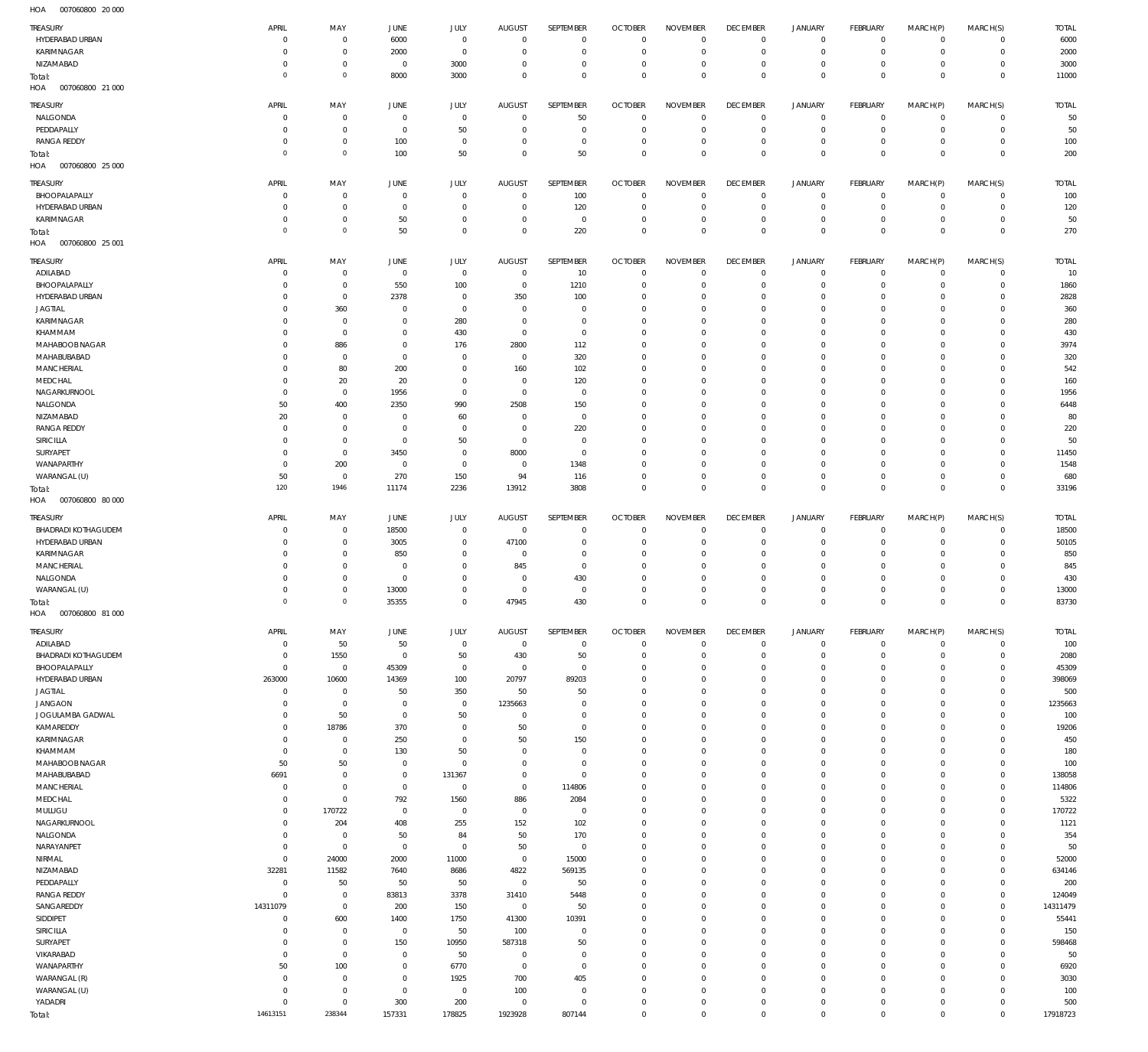007060800 20 000 HOA

| <b>TREASURY</b>                               | APRIL                      | MAY                        | JUNE                          | <b>JULY</b>                | <b>AUGUST</b>                | SEPTEMBER                      | <b>OCTOBER</b>                   | <b>NOVEMBER</b>            | <b>DECEMBER</b>                  | <b>JANUARY</b>                     | FEBRUARY                      | MARCH(P)                      | MARCH(S)                   | <b>TOTAL</b>     |
|-----------------------------------------------|----------------------------|----------------------------|-------------------------------|----------------------------|------------------------------|--------------------------------|----------------------------------|----------------------------|----------------------------------|------------------------------------|-------------------------------|-------------------------------|----------------------------|------------------|
| HYDERABAD URBAN                               | $^{\circ}$                 | $\,0\,$                    | 6000                          | $\mathbb O$                | $\mathbf 0$                  | $\bf 0$                        | $\overline{0}$                   | $\mathbf 0$                | $\overline{0}$                   | $\mathsf 0$                        | $\mathbb O$                   | $^{\circ}$                    | $\Omega$                   | 6000             |
| KARIMNAGAR<br>NIZAMABAD                       | $^{\circ}$<br>$\Omega$     | $\,0\,$<br>$\,0\,$         | 2000<br>$\mathbf 0$           | $\mathbf 0$<br>3000        | $\mathbf 0$<br>$^{\circ}$    | $\mathsf{O}\xspace$<br>$\bf 0$ | $\overline{0}$<br>$\overline{0}$ | $\mathbf 0$<br>$\mathbf 0$ | $\overline{0}$<br>$\overline{0}$ | $\mathsf 0$<br>$\mathbf 0$         | $\mathbb O$<br>$\mathbb O$    | $^{\circ}$<br>$\circ$         | $\circ$<br>$\mathbf 0$     | 2000<br>3000     |
| Total:                                        | $\Omega$                   | $\circ$                    | 8000                          | 3000                       | $\mathbf 0$                  | $\mathbf 0$                    | $\overline{0}$                   | $\mathbf 0$                | $\overline{0}$                   | $\mathbf 0$                        | $\mathbf 0$                   | $\mathbf 0$                   | $\mathbf 0$                | 11000            |
| HOA<br>007060800 21 000                       |                            |                            |                               |                            |                              |                                |                                  |                            |                                  |                                    |                               |                               |                            |                  |
| TREASURY                                      | APRIL                      | MAY                        | JUNE                          | <b>JULY</b>                | <b>AUGUST</b>                | SEPTEMBER                      | <b>OCTOBER</b>                   | <b>NOVEMBER</b>            | <b>DECEMBER</b>                  | JANUARY                            | FEBRUARY                      | MARCH(P)                      | MARCH(S)                   | <b>TOTAL</b>     |
| NALGONDA<br>PEDDAPALLY                        | $\Omega$<br>$\Omega$       | $\mathbf 0$<br>$\,0\,$     | $\overline{0}$<br>$\mathbf 0$ | $\mathbf 0$<br>50          | $\mathbf 0$<br>$\mathbf 0$   | 50<br>$\mathbf 0$              | $\overline{0}$<br>$\overline{0}$ | $\Omega$<br>$\mathbf 0$    | $\overline{0}$<br>$\overline{0}$ | $\overline{0}$<br>$\mathbf 0$      | $\circ$<br>$\overline{0}$     | $\Omega$<br>$\Omega$          | $\mathbf 0$<br>$\circ$     | 50<br>50         |
| <b>RANGA REDDY</b>                            | $\Omega$                   | $\,0\,$                    | 100                           | $\mathbf 0$                | 0                            | $\mathbf 0$                    | $\mathbf 0$                      | $\mathbf 0$                | $\overline{0}$                   | $\mathbf 0$                        | $\mathbb O$                   | $^{\circ}$                    | $\mathbf 0$                | 100              |
| Total:                                        | $^{\circ}$                 | $\circ$                    | 100                           | 50                         | $\mathbf 0$                  | 50                             | $\overline{0}$                   | $\mathbf 0$                | $\overline{0}$                   | $\overline{0}$                     | $\mathbf 0$                   | $\overline{0}$                | $\mathbf 0$                | 200              |
| HOA<br>007060800 25 000                       |                            |                            |                               |                            |                              |                                |                                  |                            |                                  |                                    |                               |                               |                            |                  |
| TREASURY                                      | APRIL                      | MAY                        | JUNE                          | JULY                       | <b>AUGUST</b>                | SEPTEMBER                      | <b>OCTOBER</b>                   | <b>NOVEMBER</b>            | <b>DECEMBER</b>                  | <b>JANUARY</b>                     | FEBRUARY                      | MARCH(P)                      | MARCH(S)                   | <b>TOTAL</b>     |
| BHOOPALAPALLY                                 | $\Omega$                   | $\,0\,$                    | $\overline{0}$                | $\mathbb O$                | $\overline{0}$               | 100                            | $\overline{0}$                   | $\mathbf 0$                | $\overline{0}$                   | $\mathsf 0$                        | $\mathbb O$                   | $\circ$                       | $\mathbf 0$                | 100              |
| HYDERABAD URBAN<br>KARIMNAGAR                 | $\Omega$<br>$\Omega$       | $\,0\,$<br>$\,0\,$         | $\overline{0}$<br>50          | $\mathbf 0$<br>$\mathbb O$ | $\overline{0}$<br>$^{\circ}$ | 120<br>$\bf 0$                 | $\overline{0}$<br>$\overline{0}$ | $\mathbf 0$<br>$\mathbf 0$ | $\overline{0}$<br>$\overline{0}$ | $\mathbf 0$<br>$\mathsf{O}\xspace$ | $\overline{0}$<br>$\mathbb O$ | $\circ$<br>$\circ$            | $\mathbf 0$<br>$\mathbf 0$ | 120<br>50        |
| Total:                                        | $\Omega$                   | $\circ$                    | 50                            | $\mathbf 0$                | $\mathbf 0$                  | 220                            | $\overline{0}$                   | $\mathbf 0$                | $\overline{0}$                   | $\mathbf 0$                        | $\,0\,$                       | $\mathbf 0$                   | $\mathbf 0$                | 270              |
| HOA<br>007060800 25 001                       |                            |                            |                               |                            |                              |                                |                                  |                            |                                  |                                    |                               |                               |                            |                  |
| <b>TREASURY</b>                               | APRIL                      | MAY                        | JUNE                          | JULY                       | <b>AUGUST</b>                | SEPTEMBER                      | <b>OCTOBER</b>                   | <b>NOVEMBER</b>            | <b>DECEMBER</b>                  | <b>JANUARY</b>                     | <b>FEBRUARY</b>               | MARCH(P)                      | MARCH(S)                   | <b>TOTAL</b>     |
| ADILABAD                                      | $\Omega$                   | $\mathbf 0$                | $\mathbf 0$                   | $\mathbf 0$                | $\mathbf 0$                  | 10                             | $\overline{0}$                   | $\mathbf 0$                | $\overline{0}$                   | $\mathbf 0$                        | 0                             | $^{\circ}$                    | $\circ$                    | 10               |
| BHOOPALAPALLY<br>HYDERABAD URBAN              | $\Omega$<br>$\Omega$       | $\,0\,$<br>$\mathbf 0$     | 550<br>2378                   | 100<br>0                   | $\mathbf 0$<br>350           | 1210<br>100                    | $\overline{0}$<br>$\mathbf 0$    | $\Omega$<br>$\mathbf 0$    | $\overline{0}$<br>$\mathbf 0$    | $\mathbf 0$<br>0                   | $\mathbf 0$<br>$\mathbf 0$    | $\Omega$<br>$\Omega$          | $\mathbf 0$<br>$\Omega$    | 1860<br>2828     |
| <b>JAGTIAL</b>                                | $\Omega$                   | 360                        | $\overline{0}$                | $\mathbf 0$                | $\mathbf 0$                  | $\mathbf 0$                    | $\mathbf 0$                      | $\mathbf 0$                | $\overline{0}$                   | $\mathbf 0$                        | $\mathbf 0$                   | $\Omega$                      | $\circ$                    | 360              |
| KARIMNAGAR                                    | $\Omega$                   | $\,0\,$                    | $\circ$                       | 280                        | $\mathbf 0$                  | $\mathbf 0$                    | $\mathbf 0$                      | $\Omega$                   | $\mathbf 0$                      | $\mathbf 0$                        | $\circ$                       | $\Omega$                      | $\Omega$                   | 280              |
| KHAMMAM                                       | $\Omega$                   | $\mathbf 0$                | $\overline{0}$                | 430                        | $\mathbf 0$                  | $\mathbf 0$                    | $\mathbf 0$                      | $\Omega$                   | $\mathbf 0$                      | $\mathbf 0$                        | $\mathbf 0$                   | $\Omega$                      | $\Omega$                   | 430              |
| MAHABOOB NAGAR<br>MAHABUBABAD                 | $\Omega$<br>$\Omega$       | 886<br>$\,0\,$             | $\circ$<br>$\overline{0}$     | 176<br>0                   | 2800<br>$\mathbf 0$          | 112<br>320                     | $\mathbf 0$<br>$\mathbf 0$       | $\Omega$<br>$\Omega$       | $\mathbf 0$<br>$\mathbf 0$       | $\mathbf 0$<br>0                   | $\mathbf 0$<br>$\mathbf 0$    | $\Omega$<br>$\Omega$          | $\Omega$<br>$\Omega$       | 3974<br>320      |
| MANCHERIAL                                    | $\Omega$                   | 80                         | 200                           | $\mathbf 0$                | 160                          | 102                            | $\mathbf 0$                      | $\mathbf 0$                | $\mathbf 0$                      | $\mathbf 0$                        | $\mathbf 0$                   | $\Omega$                      | $\Omega$                   | 542              |
| MEDCHAL                                       | $\Omega$                   | 20                         | 20                            | $\mathbf 0$                | $\mathbf 0$                  | 120                            | $\mathbf 0$                      | $\Omega$                   | $\mathbf 0$                      | 0                                  | $\mathbf 0$                   | $\Omega$                      | $\Omega$                   | 160              |
| NAGARKURNOOL<br>NALGONDA                      | $\mathbf 0$<br>50          | $\mathbb O$                | 1956                          | $\mathbf 0$<br>990         | $^{\circ}$                   | $\mathbf 0$                    | $\mathbf 0$<br>$\mathbf 0$       | $\mathbf 0$<br>$\Omega$    | $\overline{0}$<br>$\mathbf 0$    | $\mathbf 0$<br>0                   | $\mathbf 0$<br>$^{\circ}$     | $\Omega$<br>$\Omega$          | $\Omega$<br>$\Omega$       | 1956<br>6448     |
| NIZAMABAD                                     | 20                         | 400<br>$\mathbb O$         | 2350<br>$\overline{0}$        | 60                         | 2508<br>$^{\circ}$           | 150<br>$\mathbf 0$             | $\mathbf 0$                      | $\mathbf 0$                | $\overline{0}$                   | $\mathbf 0$                        | $\mathbf 0$                   | $\Omega$                      | $\Omega$                   | 80               |
| <b>RANGA REDDY</b>                            | $\Omega$                   | $\mathbb O$                | $^{\circ}$                    | $^{\circ}$                 | $^{\circ}$                   | 220                            | $\mathbf 0$                      | $\Omega$                   | $\mathbf 0$                      | 0                                  | $\mathbf 0$                   | $\Omega$                      | $\Omega$                   | 220              |
| SIRICILLA                                     | $^{\circ}$                 | $\mathbb O$                | $^{\circ}$                    | 50                         | $^{\circ}$                   | $\mathbf 0$                    | $\mathbf 0$                      | $\mathbf 0$                | $\overline{0}$                   | $\mathbf 0$                        | $\mathbf 0$                   | $\Omega$                      | $\Omega$                   | 50               |
| SURYAPET<br>WANAPARTHY                        | $\Omega$<br>$^{\circ}$     | $\mathbb O$<br>200         | 3450<br>$\mathbf 0$           | $^{\circ}$<br>$\mathbf 0$  | 8000<br>$\mathbf 0$          | $\mathbf 0$<br>1348            | $\mathbf 0$<br>$\mathbf 0$       | $\Omega$<br>$\mathbf 0$    | $\mathbf 0$<br>$\overline{0}$    | 0<br>$\mathbf 0$                   | $^{\circ}$<br>$\mathbf 0$     | $\Omega$<br>$\Omega$          | $\Omega$<br>$\Omega$       | 11450<br>1548    |
| WARANGAL (U)                                  | 50                         | $\mathbb O$                | 270                           | 150                        | 94                           | 116                            | $\mathbf 0$                      | $\mathbf 0$                | $\mathbf 0$                      | $\mathsf{O}\xspace$                | $\mathbf 0$                   | $\Omega$                      | $\mathbf 0$                | 680              |
| Total:                                        | 120                        | 1946                       | 11174                         | 2236                       | 13912                        | 3808                           | $\overline{0}$                   | $\mathbf 0$                | $\overline{0}$                   | $\overline{0}$                     | $\,0\,$                       | $\overline{0}$                | $\mathbf 0$                | 33196            |
| HOA<br>007060800 80 000                       |                            |                            |                               |                            |                              |                                |                                  |                            |                                  |                                    |                               |                               |                            |                  |
| TREASURY                                      | APRIL                      | MAY                        | JUNE                          | JULY                       | <b>AUGUST</b>                | SEPTEMBER                      | <b>OCTOBER</b>                   | <b>NOVEMBER</b>            | <b>DECEMBER</b>                  | <b>JANUARY</b>                     | <b>FEBRUARY</b>               | MARCH(P)                      | MARCH(S)                   | <b>TOTAL</b>     |
| <b>BHADRADI KOTHAGUDEM</b><br>HYDERABAD URBAN | $\Omega$<br>$\Omega$       | $\,0\,$<br>$\,0\,$         | 18500<br>3005                 | $\mathbb O$<br>$\mathbb O$ | $\overline{0}$<br>47100      | 0<br>$\bf 0$                   | $\overline{0}$<br>$\overline{0}$ | $\mathbf 0$<br>$\mathbf 0$ | $\overline{0}$<br>$\overline{0}$ | $\overline{0}$<br>$\mathbf 0$      | $\mathbb O$<br>$\mathbf 0$    | $\circ$<br>$\Omega$           | $\mathbf 0$<br>$\mathbf 0$ | 18500<br>50105   |
| KARIMNAGAR                                    | $\Omega$                   | $\,0\,$                    | 850                           | $\mathbf 0$                | $\mathbf 0$                  | $\bf 0$                        | $\overline{0}$                   | $\mathbf 0$                | $\overline{0}$                   | $\mathbf 0$                        | $\mathbf 0$                   | $\Omega$                      | $\Omega$                   | 850              |
| MANCHERIAL                                    | $\Omega$                   | $\,0\,$                    | $\overline{0}$                | $\mathbf 0$                | 845                          | $\mathsf{O}\xspace$            | $\overline{0}$                   | $\mathbf 0$                | $\overline{0}$                   | $\mathbf 0$                        | $\mathbf 0$                   | $\Omega$                      | $\Omega$                   | 845              |
| NALGONDA                                      | $\Omega$                   | $\,0\,$                    | $\mathbf 0$                   | $\mathbf 0$                | $\mathbf 0$                  | 430                            | $\overline{0}$                   | $\mathbf 0$                | $\overline{0}$                   | $\mathbf 0$                        | $\mathbf 0$                   | $\Omega$                      | $\Omega$                   | 430              |
| WARANGAL (U)<br>Total:                        | $\Omega$<br>$\Omega$       | $\,0\,$<br>$\circ$         | 13000<br>35355                | $\mathbf 0$<br>$\mathbf 0$ | $\mathbf 0$<br>47945         | 0<br>430                       | $\overline{0}$<br>$\overline{0}$ | $\mathbf 0$<br>$\mathbf 0$ | $\overline{0}$<br>$\overline{0}$ | $\mathbf 0$<br>$\mathbf 0$         | $\mathbf 0$<br>$\mathbf 0$    | $\Omega$<br>$\mathbf 0$       | $\Omega$<br>$\mathbf 0$    | 13000<br>83730   |
| HOA<br>007060800 81 000                       |                            |                            |                               |                            |                              |                                |                                  |                            |                                  |                                    |                               |                               |                            |                  |
| TREASURY                                      | APRIL                      | MAY                        | JUNE                          | JULY                       | <b>AUGUST</b>                | SEPTEMBER                      | <b>OCTOBER</b>                   | <b>NOVEMBER</b>            | <b>DECEMBER</b>                  | <b>JANUARY</b>                     | FEBRUARY                      | MARCH(P)                      | MARCH(S)                   | <b>TOTAL</b>     |
| ADILABAD                                      | $^{\circ}$                 | 50                         | 50                            | $\mathbb O$                | $\overline{0}$               | $\mathbf 0$                    | $\overline{0}$                   | $\mathbf 0$                | $\overline{0}$                   | $\mathsf 0$                        | $\overline{0}$                | $\mathbf 0$                   | $\circ$                    | 100              |
| <b>BHADRADI KOTHAGUDEM</b>                    | - 0                        | 1550                       | $\mathbf 0$                   | 50                         | 430                          | 50                             | $\overline{0}$                   | $\mathbf 0$                | $\overline{0}$                   | $\mathbf 0$                        | $\mathbb O$                   | $\mathbf 0$                   | $\circ$                    | 2080             |
| BHOOPALAPALLY<br>HYDERABAD URBAN              | $\mathbf 0$<br>263000      | $\,0\,$<br>10600           | 45309<br>14369                | $\mathbf 0$<br>100         | $\mathbf 0$<br>20797         | 0<br>89203                     | $\mathbf 0$<br>$\mathbf 0$       | $\mathbf 0$<br>$\mathbf 0$ | $\mathbf 0$<br>$\overline{0}$    | 0<br>$\mathbf 0$                   | $\mathbf 0$<br>$\mathbf 0$    | $\Omega$<br>$\Omega$          | $\circ$<br>$\circ$         | 45309<br>398069  |
| <b>JAGTIAL</b>                                | $^{\circ}$                 | $\,0\,$                    | 50                            | 350                        | 50                           | 50                             | $\mathbf 0$                      | $\Omega$                   | $\mathbf 0$                      | $\mathbf 0$                        | $\mathbf 0$                   | $\Omega$                      | $\circ$                    | 500              |
| <b>JANGAON</b>                                | - 0                        | $\,0\,$                    | $\mathbf 0$                   | $\mathbb O$                | 1235663                      | $\mathbf 0$                    | $\overline{0}$                   | $\mathbf 0$                | $\overline{0}$                   | $\mathbf 0$                        | $\mathbf 0$                   | $\mathbf{0}$                  | $\circ$                    | 1235663          |
| JOGULAMBA GADWAL<br>KAMAREDDY                 | $\Omega$<br>$\mathbf 0$    | 50<br>18786                | $^{\circ}$<br>370             | 50<br>$\mathbf 0$          | $^{\circ}$<br>50             | $\mathbf 0$<br>$\mathbf 0$     | $\mathbf 0$<br>$\mathbf 0$       | $\mathbf 0$<br>$\mathbf 0$ | $\mathbf 0$<br>$\overline{0}$    | $\mathbf 0$<br>$\mathbf 0$         | $\mathbf 0$<br>$\mathbf 0$    | $\Omega$<br>$\Omega$          | $\circ$<br>$\circ$         | 100<br>19206     |
| KARIMNAGAR                                    | $\Omega$                   | $\,0\,$                    | 250                           | $\mathbf 0$                | 50                           | 150                            | $\mathbf 0$                      | $\Omega$                   | $\mathbf 0$                      | $\mathbf 0$                        | $\mathbf 0$                   | $\Omega$                      | $\circ$                    | 450              |
| KHAMMAM                                       | $\mathbf 0$                | $\mathbb O$                | 130                           | 50                         | $\mathbf 0$                  | $\mathbf 0$                    | $\overline{0}$                   | $\mathbf 0$                | $\overline{0}$                   | $\mathbf 0$                        | $\mathbf 0$                   | $\mathbf{0}$                  | $\circ$                    | 180              |
| MAHABOOB NAGAR                                | 50                         | 50                         | $\overline{0}$                | $\mathbf 0$                | $^{\circ}$                   | $\bf 0$                        | $\mathbf 0$                      | $\mathbf 0$                | $\mathbf 0$                      | $\mathbf 0$                        | $\mathbf 0$                   | $\Omega$                      | $\circ$                    | 100              |
| MAHABUBABAD<br>MANCHERIAL                     | 6691<br>$\overline{0}$     | $\mathbb O$<br>$\mathbb O$ | $\mathbf 0$<br>$\mathbf 0$    | 131367<br>$\mathbb O$      | $^{\circ}$<br>$\mathbf 0$    | $\mathbf 0$<br>114806          | $\mathbf 0$<br>$\mathbf 0$       | $\mathbf 0$<br>$\mathbf 0$ | $\overline{0}$<br>$\mathbf 0$    | $\mathbf 0$<br>$\mathbf 0$         | $\mathbf 0$<br>$\mathbf 0$    | $\Omega$<br>$\Omega$          | $\circ$<br>$\circ$         | 138058<br>114806 |
| MEDCHAL                                       | $^{\circ}$                 | $\mathbb O$                | 792                           | 1560                       | 886                          | 2084                           | $\mathbf 0$                      | $\mathbf 0$                | $\overline{0}$                   | $\mathbf 0$                        | $\mathbf 0$                   | $\mathbf{0}$                  | $\circ$                    | 5322             |
| MULUGU                                        | $\overline{0}$             | 170722                     | $\mathbf 0$                   | $\mathbf 0$                | $\mathbf 0$                  | 0                              | $\mathbf 0$                      | $\mathbf 0$                | $\mathbf 0$                      | $\mathsf{O}\xspace$                | $\mathbf 0$                   | $\Omega$                      | $\circ$                    | 170722           |
| NAGARKURNOOL<br>NALGONDA                      | $\Omega$<br>$^{\circ}$     | 204<br>$\mathbb O$         | 408<br>50                     | 255<br>84                  | 152<br>50                    | 102<br>170                     | $\mathbf 0$<br>$\mathbf 0$       | $\mathbf 0$<br>$\mathbf 0$ | $\mathbf 0$<br>$\mathbf 0$       | $\mathbf 0$<br>$\mathbf 0$         | $\mathbf 0$<br>$\mathbf 0$    | $\Omega$<br>$\Omega$          | $\circ$<br>$\circ$         | 1121<br>354      |
| NARAYANPET                                    | $\overline{0}$             | $\mathbb O$                | $\mathbf 0$                   | $\mathbf 0$                | 50                           | $\mathbf 0$                    | $\mathbf 0$                      | $\mathbf 0$                | $\mathbf 0$                      | $\mathbf 0$                        | $\mathbf 0$                   | $\Omega$                      | $\circ$                    | 50               |
| NIRMAL                                        | $\mathbf 0$                | 24000                      | 2000                          | 11000                      | $\mathbb O$                  | 15000                          | $\mathbf 0$                      | $\mathbf 0$                | $\overline{0}$                   | $\mathbf 0$                        | $\mathbf 0$                   | $\Omega$                      | $\circ$                    | 52000            |
| NIZAMABAD                                     | 32281                      | 11582                      | 7640                          | 8686                       | 4822                         | 569135                         | $\mathbf 0$                      | $\mathbf 0$                | $\mathbf 0$                      | $\mathbf 0$                        | $\mathbf 0$                   | $\Omega$                      | $\circ$                    | 634146           |
| PEDDAPALLY<br><b>RANGA REDDY</b>              | $\mathbf 0$<br>$\Omega$    | 50<br>$\mathbb O$          | 50<br>83813                   | 50<br>3378                 | $\mathbb O$<br>31410         | 50<br>5448                     | $\mathbf 0$<br>$\mathbf 0$       | $\mathbf 0$<br>$\mathbf 0$ | $\mathbf 0$<br>$\mathbf 0$       | $\mathbf 0$<br>$\mathbf 0$         | $\mathbf 0$<br>$\mathbf 0$    | $\Omega$<br>$\Omega$          | $\mathbf 0$<br>$\circ$     | 200<br>124049    |
| SANGAREDDY                                    | 14311079                   | $\mathbb O$                | 200                           | 150                        | $\mathbf 0$                  | 50                             | $\mathbf 0$                      | $\mathbf 0$                | $\overline{0}$                   | $\mathbf 0$                        | $\mathbf 0$                   | $\Omega$                      | $\mathbf 0$                | 14311479         |
| SIDDIPET                                      | $\overline{0}$             | 600                        | 1400                          | 1750                       | 41300                        | 10391                          | $\mathbf 0$                      | $\mathbf 0$                | $\mathbf 0$                      | $\mathbf 0$                        | $\mathbf 0$                   | $\Omega$                      | $\circ$                    | 55441            |
| SIRICILLA                                     | $\Omega$                   | $\mathbb O$<br>$\mathbb O$ | $\mathbf 0$                   | 50                         | 100                          | $\mathbf 0$                    | $\mathbf 0$                      | $\mathbf 0$                | $\mathbf 0$                      | $\mathbf 0$                        | $\mathbf 0$                   | $\Omega$                      | $\mathbf 0$                | 150              |
| SURYAPET<br>VIKARABAD                         |                            |                            | 150                           | 10950                      | 587318                       | 50                             | $\mathbf 0$                      | $\mathbf 0$                | $\overline{0}$                   | $\mathbf 0$                        | $\mathbf 0$                   | $\Omega$                      | $\mathbf 0$                | 598468           |
|                                               | 0<br>$\overline{0}$        |                            | $^{\circ}$                    |                            | $^{\circ}$                   | $\mathbf 0$                    | $\mathbf 0$                      | $\mathbf 0$                | $\mathbf 0$                      | $\mathbf 0$                        | $\mathbf 0$                   | $\Omega$                      | $\circ$                    |                  |
| WANAPARTHY                                    | 50                         | $\mathbb O$<br>100         | $\mathbf 0$                   | 50<br>6770                 | $\mathbf 0$                  | $\mathbf 0$                    | $\mathbf 0$                      | $\mathbf 0$                | $\overline{0}$                   | $\mathbf 0$                        | $\mathbf 0$                   | $\Omega$                      | $\circ$                    | 50<br>6920       |
| WARANGAL (R)                                  | $\Omega$                   | $\,0\,$                    | $^{\circ}$                    | 1925                       | 700                          | 405                            | $\mathbf 0$                      | $\mathbf 0$                | $\mathbf 0$                      | $\mathbf 0$                        | $\mathbf 0$                   | $\Omega$                      | $\mathbf 0$                | 3030             |
| WARANGAL (U)                                  | $\overline{0}$             | $\,0\,$                    | $\mathbf 0$                   | $\mathbf 0$                | 100                          | 0                              | $\mathbf 0$                      | $\mathbf 0$                | $\overline{0}$                   | $\mathbf 0$                        | $\mathbf 0$                   | $\mathbf{0}$                  | $\circ$                    | 100              |
| YADADRI<br>Total:                             | $\overline{0}$<br>14613151 | $\,0\,$<br>238344          | 300<br>157331                 | 200<br>178825              | $\mathbb O$<br>1923928       | $\bf 0$<br>807144              | $\mathbf 0$<br>$\mathbf 0$       | $\mathbf 0$<br>$\,0\,$     | $\mathbf 0$<br>$\mathbf 0$       | $\mathsf{O}\xspace$<br>$\bf 0$     | $\mathbb O$<br>$\,0\,$        | $\mathbf 0$<br>$\overline{0}$ | $\mathbf 0$<br>$\mathbb O$ | 500<br>17918723  |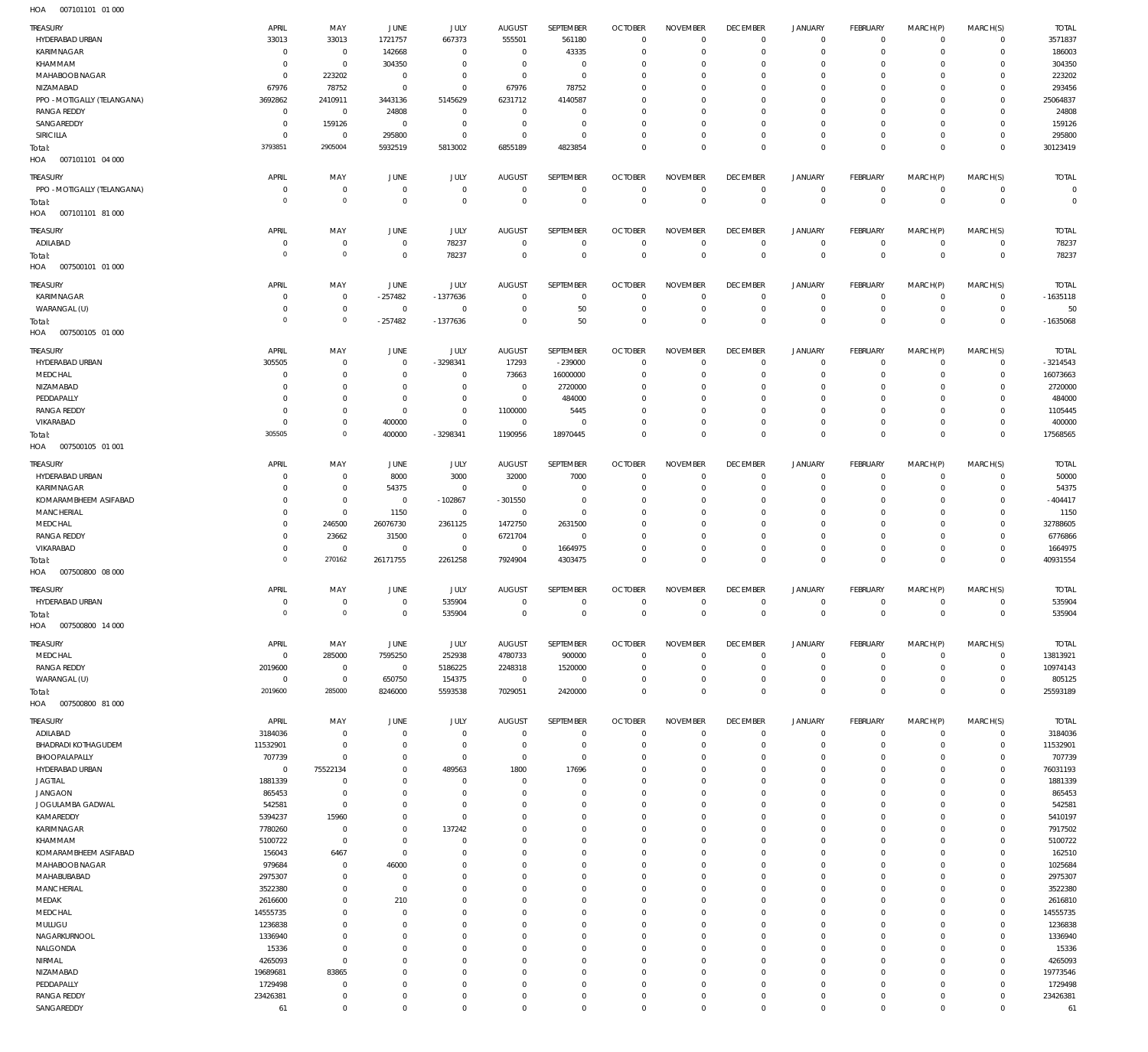| TREASURY                                   | APRIL                      | MAY                              | JUNE                     | JULY                           | <b>AUGUST</b>                | SEPTEMBER                  | <b>OCTOBER</b>                   | <b>NOVEMBER</b>                   | <b>DECEMBER</b>                | <b>JANUARY</b>                | <b>FEBRUARY</b>            | MARCH(P)             | MARCH(S)                    | <b>TOTAL</b>           |
|--------------------------------------------|----------------------------|----------------------------------|--------------------------|--------------------------------|------------------------------|----------------------------|----------------------------------|-----------------------------------|--------------------------------|-------------------------------|----------------------------|----------------------|-----------------------------|------------------------|
| HYDERABAD URBAN                            | 33013                      | 33013                            | 1721757                  | 667373                         | 555501                       | 561180                     | $\overline{0}$                   | $\mathbf 0$                       | $\mathbf 0$                    | $\mathbf 0$                   | $\circ$                    | $\Omega$             | $\mathbf 0$                 | 3571837                |
| KARIMNAGAR<br>KHAMMAM                      | $^{\circ}$<br>$^{\circ}$   | $\overline{0}$<br>$\overline{0}$ | 142668<br>304350         | $\mathbb O$<br>$\mathbb O$     | $\mathbf 0$<br>$\mathbf 0$   | 43335<br>$\mathbf 0$       | $\overline{0}$<br>$\overline{0}$ | $\Omega$<br>$\mathbf 0$           | $\mathbf{0}$<br>$^{\circ}$     | $\Omega$<br>$\mathbf 0$       | $\Omega$<br>$\Omega$       | $\Omega$<br>$\Omega$ | $\mathbf 0$<br>$\mathbf 0$  | 186003<br>304350       |
| MAHABOOB NAGAR                             | $\Omega$                   | 223202                           | $^{\circ}$               | $\mathbb O$                    | $\mathbf 0$                  | $\mathbf 0$                | $\mathbf 0$                      | $\Omega$                          | $\mathbf 0$                    | $\Omega$                      | $\Omega$                   | $\Omega$             | $\mathbf 0$                 | 223202                 |
| NIZAMABAD                                  | 67976                      | 78752                            | $\Omega$                 | $\mathbb O$                    | 67976                        | 78752                      | $\overline{0}$                   | $\Omega$                          | $^{\circ}$                     | $\mathbf{0}$                  | $\Omega$                   | $\Omega$             | $\mathbf 0$                 | 293456                 |
| PPO - MOTIGALLY (TELANGANA)                | 3692862                    | 2410911                          | 3443136                  | 5145629                        | 6231712                      | 4140587                    | $\mathbf 0$                      | $\Omega$                          | $\mathbf 0$                    | $\Omega$                      | $\Omega$                   | $\Omega$             | $\mathbf 0$                 | 25064837               |
| <b>RANGA REDDY</b><br>SANGAREDDY           | $\overline{0}$<br>$\Omega$ | $\overline{0}$<br>159126         | 24808<br>$\Omega$        | $\overline{0}$<br>$\mathbb O$  | $\mathbf 0$<br>$\mathbf 0$   | $^{\circ}$<br>$\mathbf 0$  | $\overline{0}$<br>$\mathbf 0$    | $\Omega$<br>$\Omega$              | $^{\circ}$<br>$\mathbf 0$      | $\mathbf{0}$<br>$\Omega$      | $\Omega$<br>$\Omega$       | $\Omega$<br>$\Omega$ | $\mathbf 0$<br>$\mathbf 0$  | 24808<br>159126        |
| SIRICILLA                                  | $^{\circ}$                 | $\overline{0}$                   | 295800                   | $\mathbb O$                    | $\mathbf 0$                  | $\mathbf 0$                | $\overline{0}$                   | $\mathbf 0$                       | $\mathbf{0}$                   | $\mathbf 0$                   | $\circ$                    | $\Omega$             | $\mathbf 0$                 | 295800                 |
| Total:                                     | 3793851                    | 2905004                          | 5932519                  | 5813002                        | 6855189                      | 4823854                    | $\mathbf 0$                      | $\mathbf 0$                       | $\mathbf 0$                    | $\mathbf 0$                   | $\mathbb O$                | $\Omega$             | $\mathbf 0$                 | 30123419               |
| 007101101 04 000<br>HOA                    |                            |                                  |                          |                                |                              |                            |                                  |                                   |                                |                               |                            |                      |                             |                        |
| TREASURY                                   | APRIL                      | MAY                              | JUNE                     | JULY                           | <b>AUGUST</b>                | SEPTEMBER                  | <b>OCTOBER</b>                   | <b>NOVEMBER</b>                   | <b>DECEMBER</b>                | <b>JANUARY</b>                | FEBRUARY                   | MARCH(P)             | MARCH(S)                    | <b>TOTAL</b>           |
| PPO - MOTIGALLY (TELANGANA)                | $^{\circ}$                 | $\overline{0}$                   | $\mathbf 0$              | $\overline{0}$                 | $\mathbf 0$                  | $\mathbf 0$                | $\overline{0}$                   | $\mathbf 0$                       | $\mathbf 0$                    | $\mathbf 0$                   | $\circ$                    | $\circ$              | $\mathbf 0$                 | $\overline{0}$         |
| Total:<br>007101101 81 000<br>HOA          | $^{\circ}$                 | $\circ$                          | $^{\circ}$               | $\mathbf 0$                    | $\Omega$                     | $\mathbf 0$                | $\overline{0}$                   | $\overline{0}$                    | $\overline{0}$                 | $\mathbf 0$                   | $\mathbf 0$                | $\overline{0}$       | $\mathbf 0$                 | $\mathbf 0$            |
| TREASURY                                   | APRIL                      | MAY                              | <b>JUNE</b>              | <b>JULY</b>                    | <b>AUGUST</b>                | SEPTEMBER                  | <b>OCTOBER</b>                   | <b>NOVEMBER</b>                   | <b>DECEMBER</b>                | <b>JANUARY</b>                | <b>FEBRUARY</b>            | MARCH(P)             | MARCH(S)                    | <b>TOTAL</b>           |
| ADILABAD                                   | - 0                        | $\overline{0}$                   | $\mathbf 0$              | 78237                          | $^{\circ}$                   | $\mathbf 0$                | $\overline{0}$                   | $\mathbf 0$                       | $\overline{0}$                 | $\mathbf 0$                   | $\mathbf 0$                | $^{\circ}$           | 0                           | 78237                  |
| Total:                                     | $\overline{0}$             | $\circ$                          | $\mathbf 0$              | 78237                          | $^{\circ}$                   | $\mathbf 0$                | $\overline{0}$                   | $\mathbf 0$                       | $\overline{0}$                 | $\mathbf 0$                   | $\mathbf 0$                | $\overline{0}$       | $\overline{0}$              | 78237                  |
| 007500101 01 000<br>HOA                    |                            |                                  |                          |                                |                              |                            |                                  |                                   |                                |                               |                            |                      |                             |                        |
| TREASURY                                   | APRIL                      | MAY                              | JUNE                     | JULY                           | <b>AUGUST</b>                | SEPTEMBER                  | <b>OCTOBER</b>                   | <b>NOVEMBER</b>                   | <b>DECEMBER</b>                | <b>JANUARY</b>                | <b>FEBRUARY</b>            | MARCH(P)             | MARCH(S)                    | <b>TOTAL</b>           |
| KARIMNAGAR                                 | $^{\circ}$                 | $\overline{0}$                   | $-257482$                | $-1377636$                     | $\Omega$                     | $\mathbf 0$                | $\mathbf 0$                      | $\mathbf 0$                       | $\mathbf 0$                    | $\mathbf 0$                   | $\mathbf 0$                | $\Omega$             | $\mathbf 0$                 | $-1635118$             |
| WARANGAL (U)                               | $\Omega$<br>$\overline{0}$ | $\overline{0}$<br>$\circ$        | $\mathbf 0$<br>$-257482$ | $\mathbf 0$<br>-1377636        | $\Omega$<br>$\Omega$         | 50<br>50                   | $\overline{0}$<br>$\overline{0}$ | $\mathbf 0$<br>$\mathbf 0$        | $\mathbf 0$<br>$\mathbf{0}$    | $\mathbf 0$<br>$\mathbf 0$    | $\circ$<br>$\Omega$        | $\circ$<br>$\Omega$  | $\mathbf 0$<br>$\mathbf 0$  | 50<br>$-1635068$       |
| Total:<br>007500105 01 000<br>HOA          |                            |                                  |                          |                                |                              |                            |                                  |                                   |                                |                               |                            |                      |                             |                        |
| TREASURY                                   | APRIL                      | MAY                              | JUNE                     | JULY                           | <b>AUGUST</b>                | SEPTEMBER                  | <b>OCTOBER</b>                   | <b>NOVEMBER</b>                   | <b>DECEMBER</b>                | <b>JANUARY</b>                | <b>FEBRUARY</b>            | MARCH(P)             | MARCH(S)                    | <b>TOTAL</b>           |
| HYDERABAD URBAN                            | 305505                     | $\overline{0}$                   | $^{\circ}$               | $-3298341$                     | 17293                        | $-239000$                  | $\overline{0}$                   | $\mathbf 0$                       | $^{\circ}$                     | $\mathbf 0$                   | $\circ$                    | $\Omega$             | 0                           | $-3214543$             |
| MEDCHAL                                    | - 0                        | $\overline{0}$                   | $\Omega$                 | $\overline{0}$                 | 73663                        | 16000000                   | $\overline{0}$                   | $\mathbf 0$                       | $\mathbf{0}$                   | $\mathbf 0$                   | $\mathbf 0$                | $\Omega$             | $\mathbf 0$                 | 16073663               |
| NIZAMABAD                                  | $\Omega$                   | $\overline{0}$                   | $\Omega$                 | $\mathbf 0$                    | $\mathbf 0$                  | 2720000                    | $\overline{0}$                   | $\mathbf 0$                       | $^{\circ}$                     | $\Omega$                      | $\Omega$                   | $\Omega$             | $\mathbf 0$                 | 2720000                |
| PEDDAPALLY                                 | $\Omega$                   | $\overline{0}$                   | $\Omega$                 | $\mathbf 0$                    | $\mathbf 0$                  | 484000                     | $\mathbf 0$                      | $\Omega$                          | $\mathbf 0$                    | $\mathbf 0$                   | $\Omega$                   | $\Omega$             | $\mathbf 0$                 | 484000                 |
| <b>RANGA REDDY</b><br>VIKARABAD            | $\Omega$<br>$\overline{0}$ | $\overline{0}$<br>$\overline{0}$ | $\Omega$<br>400000       | $\mathbf 0$<br>$\mathbf 0$     | 1100000<br>$\mathbb O$       | 5445<br>$\mathbf 0$        | $\overline{0}$<br>$\mathbf 0$    | $\mathbf 0$<br>$\mathbf 0$        | $\mathbf{0}$<br>$\mathbf{0}$   | $\mathbf{0}$<br>$\mathbf 0$   | $\circ$<br>$\circ$         | $\Omega$<br>$\Omega$ | $\mathbf 0$<br>$\mathbf 0$  | 1105445<br>400000      |
| Total:                                     | 305505                     | $\circ$                          | 400000                   | $-3298341$                     | 1190956                      | 18970445                   | $\overline{0}$                   | $\mathbf 0$                       | $\mathbf{0}$                   | $\mathbf 0$                   | $\mathbf 0$                | $\Omega$             | $\mathbf 0$                 | 17568565               |
| 007500105 01 001<br>HOA                    |                            |                                  |                          |                                |                              |                            |                                  |                                   |                                |                               |                            |                      |                             |                        |
| TREASURY                                   | APRIL                      | MAY                              | JUNE                     | JULY                           | <b>AUGUST</b>                | SEPTEMBER                  | <b>OCTOBER</b>                   | <b>NOVEMBER</b>                   | <b>DECEMBER</b>                | <b>JANUARY</b>                | FEBRUARY                   | MARCH(P)             | MARCH(S)                    | <b>TOTAL</b>           |
| HYDERABAD URBAN                            | $\Omega$                   | $\mathbf{0}$                     | 8000                     | 3000                           | 32000                        | 7000                       | $\mathbf 0$                      | $\Omega$                          | $\mathbf 0$                    | $^{\circ}$                    | $\Omega$                   | $\Omega$             | $\mathbf 0$                 | 50000                  |
| KARIMNAGAR                                 | $\overline{0}$             | $\overline{0}$                   | 54375                    | $\overline{0}$                 | $\mathbf 0$                  | $\mathbf 0$                | $\overline{0}$                   | $\mathbf 0$                       | $^{\circ}$                     | $\mathbf 0$                   | $\circ$                    | $\Omega$             | $\mathbf 0$                 | 54375                  |
| KOMARAMBHEEM ASIFABAD<br><b>MANCHERIAL</b> | $\Omega$<br>$\mathbf 0$    | $\overline{0}$<br>$\overline{0}$ | $\Omega$<br>1150         | $-102867$<br>$\overline{0}$    | $-301550$<br>$\mathbf 0$     | $^{\circ}$<br>$^{\circ}$   | $\Omega$<br>$\Omega$             | $\Omega$<br>$\Omega$              | $\Omega$<br>$\mathbf 0$        | $\Omega$<br>$\mathbf{0}$      | $\Omega$<br>$\Omega$       | $\Omega$<br>$\Omega$ | $\Omega$<br>$\mathbf{0}$    | $-404417$<br>1150      |
| MEDCHAL                                    | $\Omega$                   | 246500                           | 26076730                 | 2361125                        | 1472750                      | 2631500                    | $\Omega$                         | $\Omega$                          | $\Omega$                       | $\Omega$                      | $\Omega$                   | $\Omega$             | $\Omega$                    | 32788605               |
| <b>RANGA REDDY</b>                         | $\mathbf 0$                | 23662                            | 31500                    | $\overline{0}$                 | 6721704                      | $^{\circ}$                 | $\Omega$                         | $\Omega$                          | $^{\circ}$                     | $\mathbf 0$                   | $\overline{0}$             | $\Omega$             | $\mathbf{0}$                | 6776866                |
| VIKARABAD                                  | $\Omega$                   | $\overline{0}$                   | $\mathbf 0$              | $\mathbf 0$                    | $\mathbf 0$                  | 1664975                    | $\mathbf 0$                      | $\Omega$                          | $\mathbf 0$                    | $\mathbf 0$                   | $\mathbf 0$                | $\Omega$             | $\mathbf 0$                 | 1664975                |
| Total:<br>007500800 08 000<br>HOA          | $^{\circ}$                 | 270162                           | 26171755                 | 2261258                        | 7924904                      | 4303475                    | $\Omega$                         | $\Omega$                          | $\mathbf 0$                    | $\mathbf 0$                   | $\mathbf 0$                | $\Omega$             | $\mathbf 0$                 | 40931554               |
|                                            |                            |                                  |                          |                                |                              |                            |                                  |                                   |                                |                               |                            |                      |                             |                        |
| TREASURY<br>HYDERABAD URBAN                | APRIL<br>$\mathbf 0$       | MAY<br>$\overline{0}$            | JUNE<br>$^{\circ}$       | <b>JULY</b><br>535904          | <b>AUGUST</b><br>$\mathbf 0$ | SEPTEMBER<br>$\mathbf 0$   | <b>OCTOBER</b><br>$\overline{0}$ | <b>NOVEMBER</b><br>$\overline{0}$ | <b>DECEMBER</b><br>$\mathbf 0$ | <b>JANUARY</b><br>$\mathbf 0$ | FEBRUARY<br>$\mathbf 0$    | MARCH(P)<br>$\circ$  | MARCH(S)<br>$\mathbf 0$     | <b>TOTAL</b><br>535904 |
| Total:                                     | 0                          |                                  | $\mathbf 0$              | 535904                         | $\mathbf 0$                  | $\mathbf 0$                | $\overline{0}$                   | $\overline{0}$                    | $\mathbf 0$                    | $\overline{0}$                | $\mathbf 0$                | $^{\circ}$           | $\mathbf 0$                 | 535904                 |
| 007500800 14 000<br>HOA                    |                            |                                  |                          |                                |                              |                            |                                  |                                   |                                |                               |                            |                      |                             |                        |
| TREASURY                                   | APRIL                      | MAY                              | JUNE                     | <b>JULY</b>                    | <b>AUGUST</b>                | SEPTEMBER                  | <b>OCTOBER</b>                   | <b>NOVEMBER</b>                   | <b>DECEMBER</b>                | <b>JANUARY</b>                | <b>FEBRUARY</b>            | MARCH(P)             | MARCH(S)                    | <b>TOTAL</b>           |
| MEDCHAL                                    | $\mathbf 0$                | 285000                           | 7595250                  | 252938                         | 4780733                      | 900000                     | $\overline{0}$                   | $\overline{0}$                    | $\overline{0}$                 | 0                             | $\circ$                    | $\circ$              | $\mathbf 0$                 | 13813921               |
| <b>RANGA REDDY</b><br>WARANGAL (U)         | 2019600<br>$\Omega$        | $\overline{0}$<br>$\overline{0}$ | $\overline{0}$<br>650750 | 5186225                        | 2248318<br>$\mathbf 0$       | 1520000<br>$^{\circ}$      | $\mathbf 0$<br>$\mathbf 0$       | $\mathbf 0$<br>$\mathbf 0$        | $\mathbf 0$<br>$\mathbf 0$     | $\mathbf 0$<br>$\mathbf 0$    | $\mathbf 0$<br>$\mathbf 0$ | $\Omega$<br>$\Omega$ | $\mathbf 0$<br>$\mathbf{0}$ | 10974143               |
| Total:                                     | 2019600                    | 285000                           | 8246000                  | 154375<br>5593538              | 7029051                      | 2420000                    | $\overline{0}$                   | $\mathbf 0$                       | $\mathbf 0$                    | $\mathbf 0$                   | $\mathbf 0$                | $\Omega$             | $\mathbf 0$                 | 805125<br>25593189     |
| HOA  007500800  81  000                    |                            |                                  |                          |                                |                              |                            |                                  |                                   |                                |                               |                            |                      |                             |                        |
| TREASURY                                   | APRIL                      | MAY                              | JUNE                     | JULY                           | <b>AUGUST</b>                | SEPTEMBER                  | <b>OCTOBER</b>                   | <b>NOVEMBER</b>                   | <b>DECEMBER</b>                | JANUARY                       | <b>FEBRUARY</b>            | MARCH(P)             | MARCH(S)                    | <b>TOTAL</b>           |
| ADILABAD                                   | 3184036                    | $\overline{0}$                   | $\Omega$                 | $\,0\,$                        | $\mathbf 0$                  | $\mathbf 0$                | $\overline{0}$                   | $\mathbf 0$                       | $\mathbf 0$                    | 0                             | $\circ$                    | $\Omega$             | $\mathbf 0$                 | 3184036                |
| <b>BHADRADI KOTHAGUDEM</b>                 | 11532901                   | $\overline{0}$                   | $\Omega$                 | $\mathbf 0$                    | $\mathbf 0$                  | $\mathbf 0$                | $\overline{0}$                   | $\mathbf 0$                       | $\mathbf 0$                    | $^{\circ}$                    | $\mathbf 0$                | $\Omega$             | $\mathbf 0$                 | 11532901               |
| BHOOPALAPALLY<br>HYDERABAD URBAN           | 707739<br>$\mathbf 0$      | $\overline{0}$<br>75522134       | $\Omega$<br>$\Omega$     | $\mathbf 0$<br>489563          | $\mathbf 0$<br>1800          | $\mathbf 0$<br>17696       | $\overline{0}$<br>$\overline{0}$ | $\mathbf 0$<br>$\mathbf 0$        | $^{\circ}$<br>$\mathbf{0}$     | $\mathbf 0$<br>$\mathbf 0$    | $\circ$<br>$\circ$         | $\Omega$<br>$\Omega$ | $\mathbf 0$<br>$\mathbf 0$  | 707739<br>76031193     |
| <b>JAGTIAL</b>                             | 1881339                    | $\overline{0}$                   | $\Omega$                 | $\overline{0}$                 | $\Omega$                     | $\mathbf 0$                | $\overline{0}$                   | $\Omega$                          | $\mathbf{0}$                   | $\mathbf 0$                   | $\circ$                    | $\Omega$             | $\mathbf 0$                 | 1881339                |
| <b>JANGAON</b>                             | 865453                     | $\overline{0}$                   | $\Omega$                 | $\overline{0}$                 | $\Omega$                     | $\mathbf 0$                | $\overline{0}$                   | $\mathbf 0$                       | $\mathbf{0}$                   | $\mathbf 0$                   | $\circ$                    | $\Omega$             | $\mathbf 0$                 | 865453                 |
| JOGULAMBA GADWAL                           | 542581                     | $\overline{0}$                   | $\Omega$                 | $\mathbf 0$                    | $\Omega$                     | $\mathbf 0$                | $\overline{0}$                   | $\Omega$                          | $\mathbf{0}$                   | $\mathbf 0$                   | $\circ$                    | $\Omega$             | $\mathbf 0$                 | 542581                 |
| KAMAREDDY<br>KARIMNAGAR                    | 5394237<br>7780260         | 15960<br>$\overline{0}$          | $\Omega$<br>$\Omega$     | $\mathbb O$<br>137242          | $\Omega$<br>$\Omega$         | $\mathbf 0$<br>$\mathbf 0$ | $\mathbf 0$<br>$\overline{0}$    | $\mathbf 0$<br>$\Omega$           | $\mathbf 0$<br>$\mathbf{0}$    | $\mathbf 0$<br>$\mathbf 0$    | $\mathbf 0$<br>$\circ$     | $\Omega$<br>$\Omega$ | $\mathbf 0$<br>$\mathbf 0$  | 5410197<br>7917502     |
| KHAMMAM                                    | 5100722                    | $\overline{0}$                   | $\Omega$                 | $\overline{0}$                 | $\Omega$                     | $\mathbf 0$                | $\mathbf 0$                      | $\mathbf 0$                       | $\mathbf{0}$                   | $\mathbf 0$                   | $\circ$                    | $\Omega$             | $\mathbf 0$                 | 5100722                |
| KOMARAMBHEEM ASIFABAD                      | 156043                     | 6467                             | $\Omega$                 | $\mathbb O$                    | $\Omega$                     | $\Omega$                   | $\overline{0}$                   | $\Omega$                          | $\mathbf{0}$                   | $\mathbf 0$                   | $\circ$                    | $\Omega$             | $\mathbf 0$                 | 162510                 |
| MAHABOOB NAGAR                             | 979684                     | $\overline{0}$                   | 46000                    | $\overline{0}$                 | $\Omega$                     | $\mathbf 0$                | $\mathbf 0$                      | $\mathbf 0$                       | $\mathbf{0}$                   | $\mathbf 0$                   | $\circ$                    | $\Omega$             | $\mathbf 0$                 | 1025684                |
| MAHABUBABAD<br><b>MANCHERIAL</b>           | 2975307                    | $\overline{0}$<br>$\overline{0}$ | $^{\circ}$<br>$^{\circ}$ | $\mathbf{0}$<br>$\overline{0}$ | $\Omega$<br>$\Omega$         | $\mathbf 0$<br>$\mathbf 0$ | $\overline{0}$<br>$\overline{0}$ | $\Omega$<br>$\mathbf 0$           | $\mathbf{0}$<br>$\mathbf{0}$   | $\mathbf 0$<br>$\mathbf 0$    | $\circ$<br>$\circ$         | $\Omega$<br>$\Omega$ | $\mathbf 0$<br>$\mathbf 0$  | 2975307                |
| MEDAK                                      | 3522380<br>2616600         | $\overline{0}$                   | 210                      | $\mathbf{0}$                   | $\Omega$                     | $\Omega$                   | $\overline{0}$                   | $\Omega$                          | $\mathbf 0$                    | $\mathbf 0$                   | $\circ$                    | $\Omega$             | $\mathbf 0$                 | 3522380<br>2616810     |
| MEDCHAL                                    | 14555735                   | $\overline{0}$                   | $\Omega$                 | $\overline{0}$                 | $\Omega$                     | $\mathbf 0$                | $\mathbf 0$                      | $\mathbf 0$                       | $\mathbf{0}$                   | $\mathbf 0$                   | $\circ$                    | $\Omega$             | $\mathbf 0$                 | 14555735               |
| MULUGU                                     | 1236838                    | $\overline{0}$                   | $\Omega$                 | $\mathbf{0}$                   | $\Omega$                     | $\mathbf 0$                | $\overline{0}$                   | $\Omega$                          | $\mathbf 0$                    | $\mathbf 0$                   | $\mathbf 0$                | $\Omega$             | $\mathbf 0$                 | 1236838                |
| NAGARKURNOOL                               | 1336940                    | $\overline{0}$                   | $\Omega$                 | $\overline{0}$                 | $\Omega$                     | $\mathbf 0$                | $\overline{0}$                   | $\mathbf 0$                       | $\mathbf{0}$                   | $\mathbf 0$                   | $\circ$                    | $\Omega$             | $\mathbf 0$                 | 1336940                |
| NALGONDA<br>NIRMAL                         | 15336<br>4265093           | $\overline{0}$<br>$\overline{0}$ | $\Omega$<br>$\Omega$     | $\overline{0}$<br>$\mathbf{0}$ | $\Omega$<br>$\Omega$         | $\Omega$<br>$\Omega$       | $\mathbf 0$<br>$\overline{0}$    | $\Omega$<br>$\mathbf 0$           | $\mathbf 0$<br>$\mathbf{0}$    | $\mathbf 0$<br>$\mathbf 0$    | $\circ$<br>$\circ$         | $\Omega$<br>$\Omega$ | $\mathbf 0$<br>$\mathbf 0$  | 15336<br>4265093       |
| NIZAMABAD                                  | 19689681                   | 83865                            | $\Omega$                 | $\mathbf{0}$                   | $\Omega$                     | $^{\circ}$                 | $\overline{0}$                   | $\Omega$                          | $\mathbf 0$                    | $\mathbf 0$                   | $\circ$                    | $\Omega$             | $\mathbf 0$                 | 19773546               |
| PEDDAPALLY                                 | 1729498                    | $\overline{0}$                   | $\Omega$                 | $\overline{0}$                 | $\Omega$                     | $\Omega$                   | $\overline{0}$                   | $\mathbf 0$                       | $\mathbf{0}$                   | $\mathbf 0$                   | $\circ$                    | $\Omega$             | $\mathbf 0$                 | 1729498                |
| <b>RANGA REDDY</b>                         | 23426381                   | $\overline{0}$                   | $\Omega$                 | $\overline{0}$                 | $\Omega$                     | $\mathbf 0$                | $\mathbf 0$                      | $\mathbf 0$                       | $\mathbf 0$                    | $\mathbf 0$                   | $\circ$                    | $\Omega$             | $\mathbf 0$                 | 23426381               |
| SANGAREDDY                                 | 61                         | $\mathbf 0$                      | $\Omega$                 | $\mathbf 0$                    | $\Omega$                     | $\mathbf 0$                | $\overline{0}$                   | $\mathbf 0$                       | $\mathbf{0}$                   | $\mathbf 0$                   | $\mathbf 0$                | $\Omega$             | $\mathbf 0$                 | 61                     |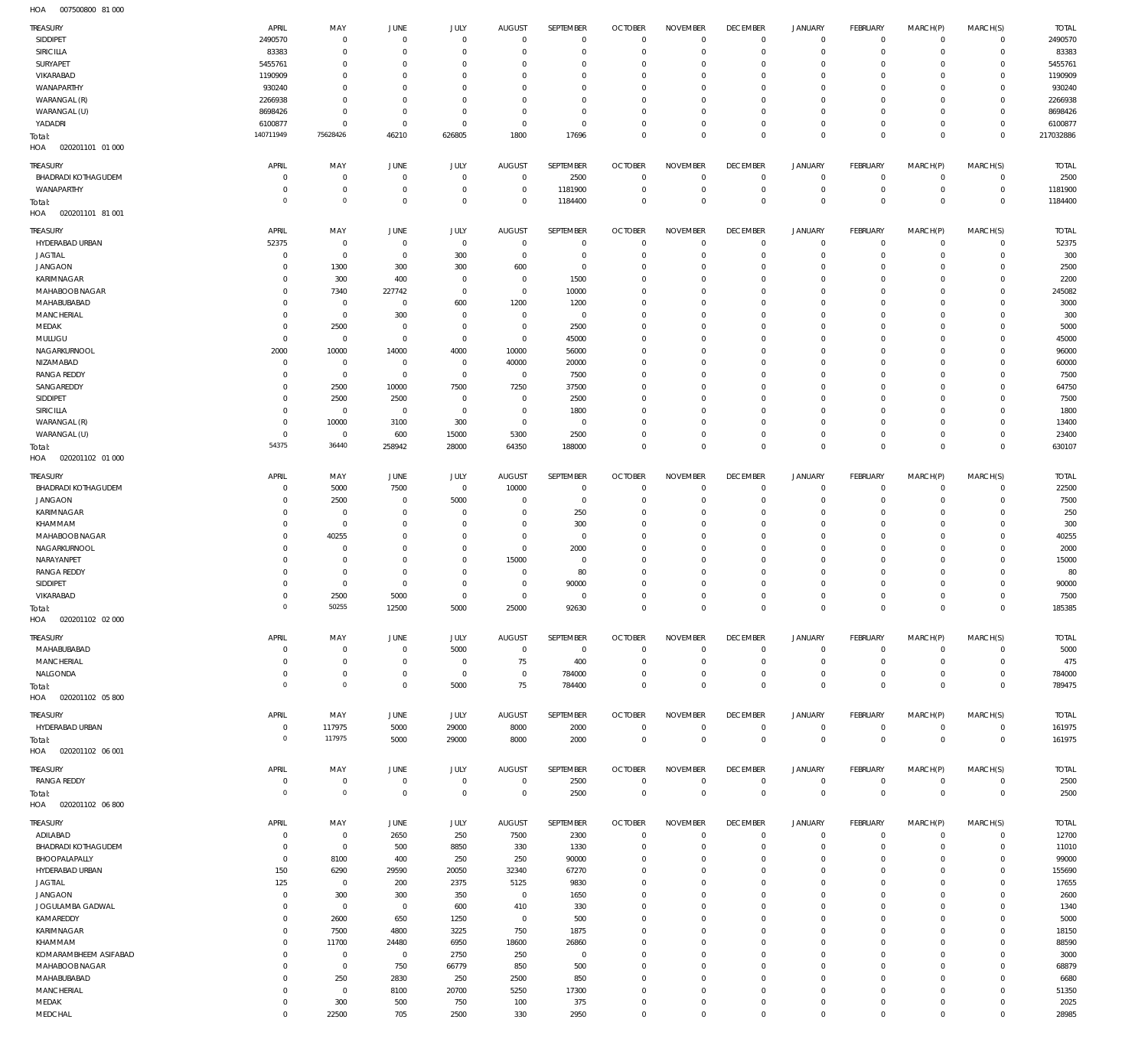007500800 81 000 HOA

| <b>TREASURY</b>                             | APRIL               | MAY                              | <b>JUNE</b>    | <b>JULY</b>    | <b>AUGUST</b>         | SEPTEMBER         | <b>OCTOBER</b>                   | <b>NOVEMBER</b>             | <b>DECEMBER</b>                | <b>JANUARY</b>                | FEBRUARY                   | MARCH(P)            | MARCH(S)                | <b>TOTAL</b>          |
|---------------------------------------------|---------------------|----------------------------------|----------------|----------------|-----------------------|-------------------|----------------------------------|-----------------------------|--------------------------------|-------------------------------|----------------------------|---------------------|-------------------------|-----------------------|
| SIDDIPET                                    | 2490570             | $\overline{0}$                   | $\Omega$       | $\mathbf 0$    | $\mathbf{0}$          | $\mathbb O$       | $\overline{0}$                   | $\mathbf 0$                 | $\overline{0}$                 | $\mathbf 0$                   | $\mathsf 0$                | $^{\circ}$          | $\mathbf{0}$            | 2490570               |
| <b>SIRICILLA</b>                            | 83383               | $\overline{0}$                   | $\Omega$       | $\mathbf 0$    | $\Omega$              | $\mathbf 0$       | $\overline{0}$                   | $\mathbf 0$                 | $\overline{0}$                 | $\mathbf 0$                   | $\overline{0}$             | $^{\circ}$          | $\mathbf 0$             | 83383                 |
| SURYAPET                                    | 5455761             | $\overline{0}$                   | $\Omega$       | $\overline{0}$ | $\Omega$              | $\mathbf 0$       | $^{\circ}$                       | $\mathbf 0$                 | $\mathbf 0$                    | 0                             | $\overline{0}$             | $\Omega$            | $\mathbf 0$             | 5455761               |
| VIKARABAD                                   | 1190909             | $\overline{0}$                   | $\Omega$       | $\overline{0}$ | $\Omega$              | $\mathbf 0$       | $^{\circ}$                       | $\mathbf 0$                 | $\mathbf 0$                    | $\mathbf 0$                   | $\overline{0}$             | $\Omega$            | $\Omega$                | 1190909               |
| WANAPARTHY                                  | 930240              | $\overline{0}$                   | $\Omega$       | $\mathbf 0$    | $\Omega$              | $\mathbf 0$       | $^{\circ}$                       | $\mathbf 0$                 | $\mathbf 0$                    | 0                             | $\overline{0}$             | $\Omega$            | $\Omega$                | 930240                |
| WARANGAL (R)                                | 2266938             | $\overline{0}$                   | $\Omega$       | $\mathbf 0$    | $\Omega$              | $\mathbf 0$       | $^{\circ}$                       | $\mathbf 0$                 | $\mathbf 0$                    | $\mathbf 0$                   | $\overline{0}$             | $\Omega$            | $\Omega$                | 2266938               |
| WARANGAL (U)                                | 8698426             | $\overline{0}$                   | $\Omega$       | $\mathbf 0$    | 0                     | $\mathbb O$       | $^{\circ}$                       | $\mathbf 0$                 | $\mathbf 0$                    | 0                             | $\overline{0}$             | $\Omega$            | $\Omega$                | 8698426               |
| YADADRI                                     | 6100877             | $\overline{0}$                   | $\overline{0}$ | $\mathbf 0$    | $\Omega$              | $\mathbf 0$       | $\overline{0}$                   | $\mathbf 0$                 | $\mathbf 0$                    | $\mathbf 0$                   | $\overline{0}$             | $\Omega$            | $\circ$                 | 6100877               |
| Total:                                      | 140711949           | 75628426                         | 46210          | 626805         | 1800                  | 17696             | $\overline{0}$                   | $\mathbf 0$                 | $\overline{0}$                 | $\mathbf 0$                   | $\mathbb O$                | $\Omega$            | $\mathbb O$             | 217032886             |
| HOA<br>020201101 01 000                     |                     |                                  |                |                |                       |                   |                                  |                             |                                |                               |                            |                     |                         |                       |
| <b>TREASURY</b>                             | APRIL               | MAY                              | JUNE           | JULY           | <b>AUGUST</b>         | SEPTEMBER         | <b>OCTOBER</b>                   | <b>NOVEMBER</b>             | <b>DECEMBER</b>                | <b>JANUARY</b>                | <b>FEBRUARY</b>            | MARCH(P)            | MARCH(S)                | <b>TOTAL</b>          |
| <b>BHADRADI KOTHAGUDEM</b>                  | $\circ$             | $\overline{0}$                   | $\Omega$       | $\overline{0}$ | $\mathbf{0}$          | 2500              | $\overline{0}$                   | $\mathbf 0$                 | $\overline{0}$                 | $\mathbf 0$                   | $\overline{0}$             | $\circ$             | $\mathbf 0$             | 2500                  |
| WANAPARTHY                                  | $\circ$             | $\overline{0}$                   | $^{\circ}$     | $\mathbf 0$    | $\circ$               | 1181900           | $\overline{0}$                   | $\mathbf 0$                 | $\mathbf 0$                    | $\mathbf 0$                   | $\mathsf 0$                | $^{\circ}$          | $\mathbf 0$             | 1181900               |
| Total:                                      | $\circ$             | $\circ$                          | $\overline{0}$ | $\mathbf 0$    | $\Omega$              | 1184400           | $\mathbf 0$                      | $\mathbf 0$                 | $\mathbf 0$                    | $\mathbf 0$                   | $\mathbb O$                | $\overline{0}$      | $\mathbf 0$             | 1184400               |
| HOA<br>020201101 81 001                     |                     |                                  |                |                |                       |                   |                                  |                             |                                |                               |                            |                     |                         |                       |
| <b>TREASURY</b>                             | APRIL               | MAY                              | JUNE           | <b>JULY</b>    | <b>AUGUST</b>         | SEPTEMBER         | <b>OCTOBER</b>                   | <b>NOVEMBER</b>             | <b>DECEMBER</b>                | <b>JANUARY</b>                | FEBRUARY                   | MARCH(P)            | MARCH(S)                | <b>TOTAL</b>          |
| HYDERABAD URBAN                             | 52375               | $\overline{0}$                   | $^{\circ}$     | $\mathbb O$    | $^{\circ}$            | $\mathbb O$       | $\mathbf 0$                      | $\mathbf 0$                 | $\overline{0}$                 | $\mathbf 0$                   | $\mathsf 0$                | $^{\circ}$          | $\mathbf{0}$            | 52375                 |
| <b>JAGTIAL</b>                              | $^{\circ}$          | $\overline{0}$                   | $\overline{0}$ | 300            | $^{\circ}$            | $\mathbb O$       | $^{\circ}$                       | $\mathbf 0$                 | $\mathbf 0$                    | $\mathbf 0$                   | $\overline{0}$             | $\Omega$            | $\mathbf{0}$            | 300                   |
| <b>JANGAON</b>                              | $\circ$             | 1300                             | 300            | 300            | 600                   | $\mathbb O$       | $^{\circ}$                       | $\mathbf 0$                 | $\mathbf 0$                    | $\mathbf 0$                   | $\overline{0}$             | $\Omega$            | $\Omega$                | 2500                  |
| KARIMNAGAR                                  | $\circ$             | 300                              | 400            | $\overline{0}$ | $^{\circ}$            | 1500              | $^{\circ}$                       | $\mathbf 0$                 | $\mathbf 0$                    | $\mathbf 0$                   | $\overline{0}$             | $\Omega$            | $\Omega$                | 2200                  |
| MAHABOOB NAGAR                              | $\circ$             | 7340                             | 227742         | $\mathbb O$    | $^{\circ}$            | 10000             | $^{\circ}$                       | $\mathbf 0$                 | $\mathbf 0$                    | $\mathbf 0$                   | $\overline{0}$             | $\Omega$            | $\Omega$                | 245082                |
| MAHABUBABAD                                 | $\Omega$            | $\overline{0}$                   | $^{\circ}$     | 600            | 1200                  | 1200              | $^{\circ}$                       | $\Omega$                    | $\mathbf 0$                    | $\mathbf 0$                   | $\overline{0}$             | $\Omega$            | $\Omega$                | 3000                  |
| MANCHERIAL                                  | $\circ$             | $\overline{0}$                   | 300            | $\mathbb O$    | $^{\circ}$            | $\mathbb O$       | $^{\circ}$                       | $\mathbf 0$                 | $\mathbf 0$                    | $\mathbf 0$                   | $\overline{0}$             | $\Omega$            | $\Omega$                | 300                   |
| MEDAK                                       | $^{\circ}$          | 2500                             | 0              | $\mathbb O$    | $^{\circ}$            | 2500              | $^{\circ}$                       | $\mathbf 0$                 | $\mathbf 0$                    | $\mathbf 0$                   | $\overline{0}$             | $\Omega$            | $\Omega$                | 5000                  |
| MULUGU                                      | $^{\circ}$          | $\overline{0}$                   | $\overline{0}$ | $\mathbb O$    | $^{\circ}$            | 45000             | $^{\circ}$                       | $\mathbf 0$                 | $\mathbf 0$                    | $\mathbf 0$                   | $\overline{0}$             | $\Omega$            | $\Omega$                | 45000                 |
| NAGARKURNOOL                                | 2000                | 10000                            | 14000          | 4000           | 10000                 | 56000             | $^{\circ}$                       | $\Omega$                    | $\mathbf 0$                    | $\mathbf 0$                   | $\overline{0}$             | $\Omega$            | $\Omega$                | 96000                 |
| NIZAMABAD                                   | $^{\circ}$          | $\overline{0}$                   | $^{\circ}$     | $\mathbb O$    | 40000                 | 20000             | $^{\circ}$                       | $\mathbf 0$                 | $\mathbf 0$                    | $\mathbf 0$                   | $\overline{0}$             | $\Omega$            | $\Omega$                | 60000                 |
| <b>RANGA REDDY</b>                          | $^{\circ}$          | $\overline{0}$                   | $\mathbf 0$    | $\mathbb O$    | $\mathbf 0$           | 7500              | $^{\circ}$                       | $\mathbf 0$                 | $\mathbf 0$                    | $\mathbf 0$                   | $\overline{0}$             | $\Omega$            | $\Omega$                | 7500                  |
| SANGAREDDY                                  | $\Omega$            | 2500                             | 10000          | 7500           | 7250                  | 37500             | $^{\circ}$                       | $\mathbf 0$                 | $\mathbf 0$                    | $\mathbf 0$                   | $\overline{0}$             | $\Omega$            | $\Omega$                | 64750                 |
| SIDDIPET                                    | $^{\circ}$          | 2500                             | 2500           | $\mathbb O$    | $^{\circ}$            | 2500              | $^{\circ}$                       | $\mathbf 0$                 | $\mathbf 0$                    | $\mathbf 0$                   | $\overline{0}$             | $\Omega$            | $\Omega$                | 7500                  |
| SIRICILLA                                   | $\Omega$            | $\overline{0}$                   | $\overline{0}$ | $\mathbb O$    | $^{\circ}$            | 1800              | $^{\circ}$                       | $\mathbf 0$                 | $\mathbf 0$                    | $\mathbf 0$                   | $\overline{0}$             | $\Omega$            | $\Omega$                | 1800                  |
| WARANGAL (R)                                | $^{\circ}$          | 10000                            | 3100           | 300            | $^{\circ}$            | $\mathbb O$       | $^{\circ}$                       | $\mathbf 0$                 | $\mathbf 0$                    | 0                             | $\overline{0}$             | $\Omega$            | $\mathbf{0}$            | 13400                 |
| WARANGAL (U)                                | $^{\circ}$          | $\overline{0}$                   | 600            | 15000          | 5300                  | 2500              | $\overline{0}$                   | $\mathbf 0$                 | $\overline{0}$                 | $\mathbf 0$                   | $\overline{0}$             | $^{\circ}$          | $\mathbf{0}$            | 23400                 |
| Total:                                      | 54375               | 36440                            | 258942         | 28000          | 64350                 | 188000            | $\overline{0}$                   | $\mathbf 0$                 | $\overline{0}$                 | $\overline{0}$                | $\mathbb O$                | $\mathbf 0$         | $\mathbf 0$             | 630107                |
| HOA<br>020201102 01 000                     |                     |                                  |                |                |                       |                   |                                  |                             |                                |                               |                            |                     |                         |                       |
| <b>TREASURY</b>                             | APRIL               | MAY                              | JUNE           | JULY           | <b>AUGUST</b>         | SEPTEMBER         | <b>OCTOBER</b>                   | <b>NOVEMBER</b>             | <b>DECEMBER</b>                | <b>JANUARY</b>                | <b>FEBRUARY</b>            | MARCH(P)            | MARCH(S)                | <b>TOTAL</b>          |
| <b>BHADRADI KOTHAGUDEM</b>                  | $^{\circ}$          | 5000                             | 7500           | $\mathbb O$    | 10000                 | $\mathbf 0$       | $^{\circ}$                       | $\Omega$                    | $\mathbf 0$                    | $\mathbf 0$                   | $\overline{0}$             | $\Omega$            | $\mathbf 0$             | 22500                 |
| <b>JANGAON</b>                              | $^{\circ}$          | 2500                             | $^{\circ}$     | 5000           | $\circ$               | $\mathbf 0$       | $^{\circ}$                       | $\mathbf 0$                 | $\mathbf 0$                    | $\mathbf 0$                   | $\mathsf 0$                | $\Omega$            | $\mathbf 0$             | 7500                  |
| KARIMNAGAR                                  | $\Omega$            | $\overline{0}$                   | $\Omega$       | $\overline{0}$ | $\Omega$              | 250               | $^{\circ}$                       | $\mathbf 0$                 | $\mathbf 0$                    | $\mathbf 0$                   | $\overline{0}$             | $\Omega$            | $\Omega$                | 250                   |
| KHAMMAM                                     | $^{\circ}$          | $\overline{0}$                   | $\Omega$       | $\mathbf{0}$   | $\Omega$              | 300               | $^{\circ}$                       | $\Omega$                    | $\mathbf 0$                    | $\mathbf 0$                   | $\overline{0}$             | $\Omega$            | $\Omega$                | 300                   |
| MAHABOOB NAGAR                              | $\Omega$            | 40255                            | $\Omega$       | $\mathbf{0}$   | $\Omega$              | $\mathbf 0$       | $^{\circ}$                       | $\Omega$                    | $\mathbf 0$                    | $\mathbf 0$                   | $\overline{0}$             | $\Omega$            | $\Omega$                | 40255                 |
| NAGARKURNOOL                                | $^{\circ}$          | $\overline{0}$                   | $\Omega$       | $\mathbb O$    | $^{\circ}$            | 2000              | $^{\circ}$                       | $\Omega$                    | $\mathbf 0$                    | $\mathbf 0$                   | $\overline{0}$             | $\Omega$            | $\Omega$                | 2000                  |
| NARAYANPET                                  | $\Omega$            | $\overline{0}$                   | $\Omega$       | $\overline{0}$ | 15000                 | $^{\circ}$        | $^{\circ}$                       | $\Omega$                    | $\mathbf 0$                    | $\mathbf 0$                   | $\overline{0}$             | $\Omega$            | $\Omega$                | 15000                 |
| <b>RANGA REDDY</b>                          | $\Omega$            | $\overline{0}$                   | $\Omega$       | $\overline{0}$ | $^{\circ}$            | 80                | $^{\circ}$                       | $\Omega$                    | $\mathbf 0$                    | $\mathbf 0$                   | $\overline{0}$             | $\Omega$            | $^{\circ}$              | 80                    |
| SIDDIPET                                    | $\Omega$            | $\overline{0}$                   | $\Omega$       | $\mathbf{0}$   | $\Omega$              | 90000             | $^{\circ}$                       | $\Omega$                    | $\mathbf 0$                    | $\mathbf 0$                   | $\circ$                    | $\Omega$            | $\Omega$                | 90000                 |
| VIKARABAD                                   | $\Omega$            | 2500                             | 5000           | $\overline{0}$ | $\mathbf{0}$          | $\mathbf 0$       | $\Omega$                         | $\Omega$                    | $\overline{0}$                 | $\mathbf 0$                   | $\circ$                    | $\circ$             | $\mathbf 0$             | 7500                  |
| Total:                                      |                     | 50255                            | 12500          | 5000           | 25000                 | 92630             | $\Omega$                         | $\Omega$                    | $\mathbf 0$                    | $\Omega$                      | $\Omega$                   | $\mathbb O$         | $\overline{0}$          | 185385                |
| HOA<br>020201102 02 000                     |                     |                                  |                |                |                       |                   |                                  |                             |                                |                               |                            |                     |                         |                       |
| <b>TREASURY</b>                             | APRIL               | MAY                              | JUNE           | JULY           | <b>AUGUST</b>         | SEPTEMBER         | <b>OCTOBER</b>                   | <b>NOVEMBER</b>             | <b>DECEMBER</b>                | <b>JANUARY</b>                | FEBRUARY                   | MARCH(P)            | MARCH(S)                | <b>TOTAL</b>          |
| MAHABUBABAD                                 | $\circ$             | $\overline{0}$                   | $\overline{0}$ | 5000           | $\mathbf 0$           | $\overline{0}$    | $\overline{0}$                   | $\mathbf 0$                 | $\overline{0}$                 | $\overline{0}$                | $\mathsf 0$                | 0                   | $^{\circ}$              | 5000                  |
| MANCHERIAL                                  | $\circ$             | $\overline{0}$                   | $\overline{0}$ | $\,0\,$        | 75                    | 400               | $\overline{0}$                   | $\mathbf 0$                 | $\mathbf 0$                    | $\mathbf 0$                   | $\mathsf 0$                | $\circ$             | $\mathbf 0$             | 475                   |
| NALGONDA                                    | $\overline{0}$      | $\overline{0}$                   | $\overline{0}$ | $\,0\,$        | $^{\circ}$            | 784000            | $^{\circ}$                       | $\mathbf 0$                 | $\overline{0}$                 | $\mathbf 0$                   | $\mathsf 0$                | $\circ$             | $\mathbf 0$             | 784000                |
| Total:                                      | $\circ$             | $\overline{0}$                   | $\mathbf 0$    | 5000           | 75                    | 784400            | $\overline{0}$                   | $\mathbf 0$                 | $\overline{0}$                 | $\mathbf 0$                   | $\overline{0}$             | $\overline{0}$      | $\mathbf 0$             | 789475                |
| 020201102 05 800<br>HOA                     |                     |                                  |                |                |                       |                   |                                  |                             |                                |                               |                            |                     |                         |                       |
| TREASURY                                    | APRIL               | MAY                              | JUNE           | JULY           | <b>AUGUST</b>         | SEPTEMBER         | <b>OCTOBER</b>                   | <b>NOVEMBER</b>             | <b>DECEMBER</b>                | <b>JANUARY</b>                | FEBRUARY                   | MARCH(P)            | MARCH(S)                | <b>TOTAL</b>          |
| HYDERABAD URBAN                             | $\mathbf 0$         | 117975                           | 5000           | 29000          | 8000                  | 2000              | $\overline{0}$                   | $\mathbf 0$                 | $\overline{0}$                 | $\mathbf 0$                   | $\mathsf 0$                | $\circ$             | $\mathbf 0$             | 161975                |
| Total:                                      | $\Omega$            | 117975                           | 5000           | 29000          | 8000                  | 2000              | $\overline{0}$                   | $\mathbf 0$                 | $\overline{0}$                 | $\overline{0}$                | $\mathbf 0$                | $\mathbf 0$         | $\overline{0}$          | 161975                |
| HOA  020201102  06  001                     |                     |                                  |                |                |                       |                   |                                  |                             |                                |                               |                            |                     |                         |                       |
| TREASURY                                    | APRIL               | MAY                              | <b>JUNE</b>    | <b>JULY</b>    | <b>AUGUST</b>         | SEPTEMBER         | <b>OCTOBER</b>                   | <b>NOVEMBER</b>             | <b>DECEMBER</b>                | <b>JANUARY</b>                | FEBRUARY                   | MARCH(P)            | MARCH(S)                | <b>TOTAL</b>          |
| <b>RANGA REDDY</b>                          | $\mathbf 0$         | $\overline{0}$                   | $\mathbf 0$    | $\,0\,$        | $\mathbf 0$           | 2500              | $\overline{0}$                   | $\mathbf 0$                 | $\overline{0}$                 | $\overline{0}$                | $\mathsf 0$                | $^{\circ}$          | $^{\circ}$              | 2500                  |
| Total:                                      | $\Omega$            | $\overline{0}$                   | $\mathbf 0$    | $\,0\,$        | $^{\circ}$            | 2500              | $\overline{0}$                   | $\mathbf 0$                 | $\overline{0}$                 | $\mathbf 0$                   | $\mathbf 0$                | $\mathbf 0$         | $\overline{0}$          | 2500                  |
| 020201102 06 800<br>HOA                     |                     |                                  |                |                |                       |                   |                                  |                             |                                |                               |                            |                     |                         |                       |
|                                             |                     |                                  |                |                |                       |                   |                                  |                             |                                |                               |                            |                     |                         |                       |
| TREASURY<br>ADILABAD                        | APRIL<br>$^{\circ}$ | MAY                              | JUNE<br>2650   | JULY<br>250    | <b>AUGUST</b><br>7500 | SEPTEMBER<br>2300 | <b>OCTOBER</b><br>$\overline{0}$ | <b>NOVEMBER</b><br>$\Omega$ | <b>DECEMBER</b><br>$\mathbf 0$ | <b>JANUARY</b><br>$\mathbf 0$ | FEBRUARY<br>$\overline{0}$ | MARCH(P)<br>$\circ$ | MARCH(S)<br>$\mathbf 0$ | <b>TOTAL</b><br>12700 |
|                                             | $^{\circ}$          | $\overline{0}$<br>$\overline{0}$ |                | 8850           |                       |                   | $^{\circ}$                       | $\mathbf 0$                 | $\mathbf 0$                    | $\mathbf 0$                   | $\overline{0}$             | $^{\circ}$          | $\mathbf 0$             |                       |
| <b>BHADRADI KOTHAGUDEM</b><br>BHOOPALAPALLY | $\overline{0}$      | 8100                             | 500<br>400     | 250            | 330<br>250            | 1330<br>90000     | $^{\circ}$                       | $\Omega$                    | $\mathbf 0$                    | $\mathbf 0$                   | $\mathsf 0$                | $\Omega$            | $\mathbf 0$             | 11010<br>99000        |
| HYDERABAD URBAN                             | 150                 | 6290                             | 29590          | 20050          | 32340                 | 67270             | $^{\circ}$                       | $\mathbf 0$                 | $\mathbf 0$                    | $\mathbf 0$                   | $\circ$                    | $\Omega$            | $\mathbf{0}$            | 155690                |
| <b>JAGTIAL</b>                              | 125                 | $\overline{0}$                   | 200            | 2375           | 5125                  | 9830              | $^{\circ}$                       | $\Omega$                    | $\mathbf 0$                    | $\mathbf 0$                   | $\overline{0}$             | $\Omega$            | $\mathbf 0$             | 17655                 |
| <b>JANGAON</b>                              | $\overline{0}$      | 300                              | 300            | 350            | $\mathbf{0}$          | 1650              | $^{\circ}$                       | $\mathbf 0$                 | $\mathbf 0$                    | $\mathbf 0$                   | $\overline{0}$             | $\Omega$            | $\circ$                 | 2600                  |
| JOGULAMBA GADWAL                            | $\overline{0}$      | $\overline{0}$                   | $\overline{0}$ | 600            | 410                   | 330               | $^{\circ}$                       | $\Omega$                    | $\mathbf 0$                    | $\mathbf 0$                   | $\overline{0}$             | $\Omega$            | $\mathbf 0$             | 1340                  |
| KAMAREDDY                                   | $\overline{0}$      | 2600                             | 650            | 1250           | $\circ$               | 500               | $^{\circ}$                       | $\mathbf 0$                 | $\mathbf 0$                    | $\mathbf 0$                   | $\overline{0}$             | $\Omega$            | $\mathbf{0}$            | 5000                  |
| KARIMNAGAR                                  | $\overline{0}$      | 7500                             | 4800           | 3225           | 750                   | 1875              | $^{\circ}$                       | $\Omega$                    | $\mathbf 0$                    | $\mathbf 0$                   | $\overline{0}$             | $\Omega$            | $\mathbf 0$             | 18150                 |
| KHAMMAM                                     | $\overline{0}$      | 11700                            | 24480          | 6950           | 18600                 | 26860             | $^{\circ}$                       | $\mathbf 0$                 | $\mathbf 0$                    | $\mathbf 0$                   | $\overline{0}$             | $\Omega$            | $\mathbf 0$             | 88590                 |
| KOMARAMBHEEM ASIFABAD                       | $\overline{0}$      | $\overline{0}$                   | $\overline{0}$ | 2750           | 250                   | $\mathbf 0$       | $^{\circ}$                       | $\Omega$                    | $\mathbf 0$                    | $\mathbf 0$                   | $\overline{0}$             | $\Omega$            | $\mathbf 0$             | 3000                  |
| MAHABOOB NAGAR                              | $\overline{0}$      | $\overline{0}$                   | 750            | 66779          | 850                   | 500               | $^{\circ}$                       | $\mathbf 0$                 | $\mathbf 0$                    | $\mathbf 0$                   | $\overline{0}$             | $\Omega$            | $\mathbf 0$             | 68879                 |
| MAHABUBABAD                                 | $\overline{0}$      | 250                              | 2830           | 250            | 2500                  | 850               | $^{\circ}$                       | $\Omega$                    | $\mathbf 0$                    | $\mathbf 0$                   | $\overline{0}$             | $\Omega$            | $\mathbf 0$             | 6680                  |
| <b>MANCHERIAL</b>                           | $\overline{0}$      | $\overline{0}$                   | 8100           | 20700          | 5250                  | 17300             | $^{\circ}$                       | $\mathbf 0$                 | $\mathbf 0$                    | $\mathbf 0$                   | $\overline{0}$             | $\Omega$            | $\mathbf 0$             | 51350                 |
| MEDAK                                       | $\overline{0}$      | 300                              | 500            | 750            | 100                   | 375               | $\overline{0}$                   | $\mathbf 0$                 | $\mathbf 0$                    | $\mathbf 0$                   | $\mathsf 0$                | $^{\circ}$          | $\mathbf 0$             | 2025                  |
| MEDCHAL                                     | $\mathbf 0$         | 22500                            | 705            | 2500           | 330                   | 2950              | $\mathbf 0$                      | $\mathbf 0$                 | $\mathbf 0$                    | $\mathbf 0$                   | $\overline{0}$             | $\mathbf 0$         | $\mathbf 0$             | 28985                 |
|                                             |                     |                                  |                |                |                       |                   |                                  |                             |                                |                               |                            |                     |                         |                       |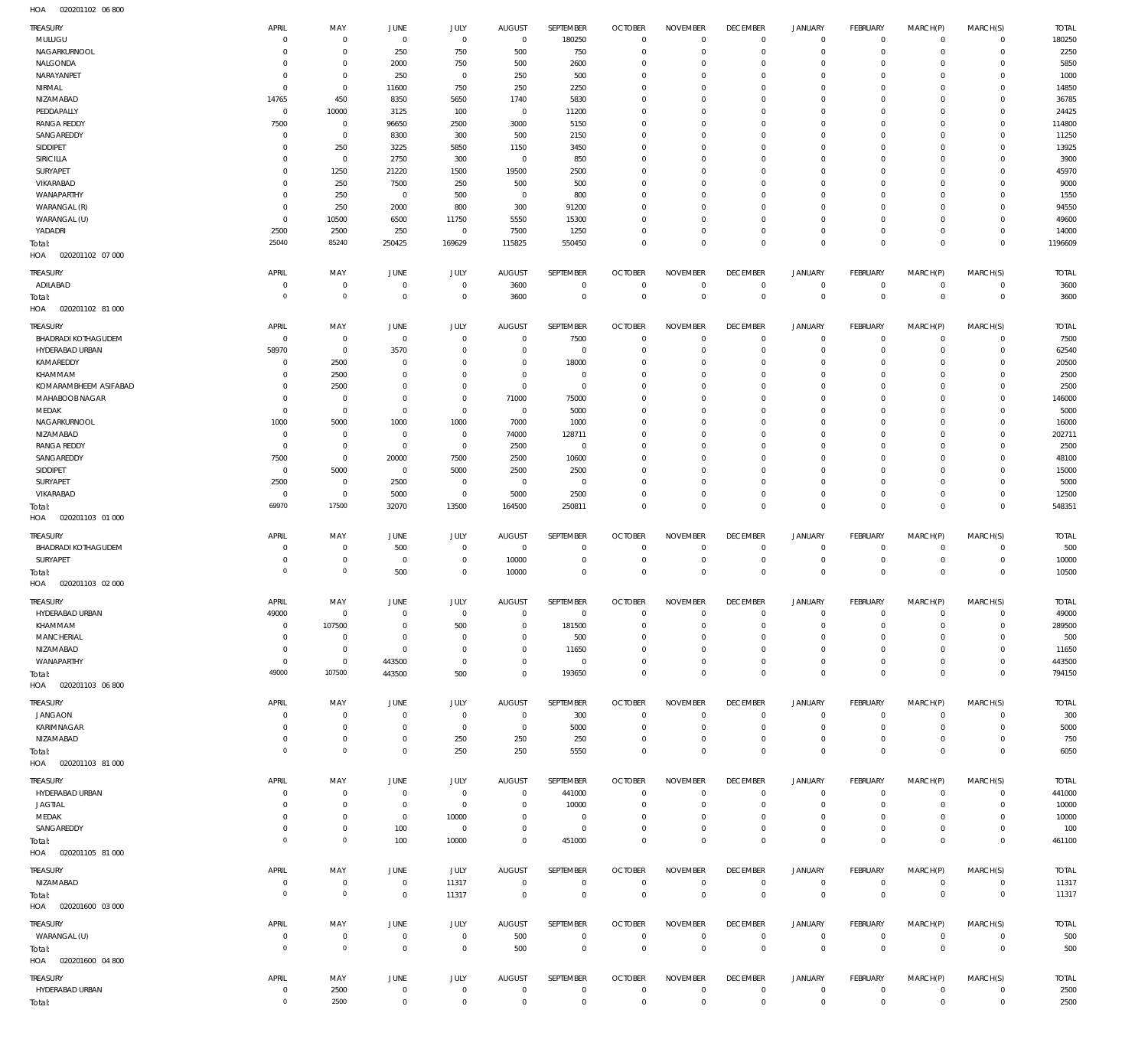020201102 06 800 HOA

| NAGARKURNOOL<br>250<br>750<br>500<br>750<br>$\mathbf 0$<br>$\mathbf 0$<br>$\mathbf 0$<br>2250<br>$^{\circ}$<br>$^{\circ}$<br>$\Omega$<br>$\mathbf 0$<br>$\Omega$<br>-C<br>5850<br>NALGONDA<br>2000<br>750<br>500<br>2600<br>$\mathbf{0}$<br>$^{\circ}$<br>$\Omega$<br>$\Omega$<br>$\mathbf 0$<br>$\mathbf 0$<br>$\Omega$<br>$\mathbf 0$<br>-C<br>NARAYANPET<br>250<br>250<br>500<br>$\Omega$<br>1000<br>$\mathbf{0}$<br>$\mathbf 0$<br>$\Omega$<br>$\Omega$<br>$\Omega$<br>$\Omega$<br>$\Omega$<br>$\Omega$<br>$\Omega$<br>NIRMAL<br>11600<br>750<br>250<br>2250<br>14850<br>$\mathbf{0}$<br>$\Omega$<br>$\Omega$<br>$\Omega$<br>$\Omega$<br>$\Omega$<br>$\Omega$<br>$\Omega$<br>$\Omega$<br>450<br>NIZAMABAD<br>14765<br>8350<br>5650<br>1740<br>5830<br>36785<br>$\Omega$<br>$\Omega$<br>$\Omega$<br>$\Omega$<br>$\Omega$<br>$\Omega$<br>$\Omega$<br>PEDDAPALLY<br>10000<br>3125<br>100<br>11200<br>24425<br>$\Omega$<br>$\mathbf 0$<br>$\Omega$<br>$\Omega$<br>$\Omega$<br>$\Omega$<br>$\Omega$<br>$\Omega$<br>$\Omega$<br><b>RANGA REDDY</b><br>7500<br>96650<br>2500<br>3000<br>5150<br>$\mathbf 0$<br>114800<br>$^{\circ}$<br>$^{\circ}$<br>$\Omega$<br>$\Omega$<br>$\Omega$<br>$\Omega$<br>$\Omega$<br>11250<br>SANGAREDDY<br>8300<br>300<br>500<br>2150<br>$^{\circ}$<br>$\Omega$<br>$\Omega$<br>$\Omega$<br>$\Omega$<br>$\Omega$<br>$\Omega$<br>$\Omega$<br>C<br>SIDDIPET<br>250<br>3225<br>5850<br>1150<br>3450<br>13925<br>$\Omega$<br>$\Omega$<br>$\Omega$<br>$\Omega$<br>$\Omega$<br>$\Omega$<br>$\mathbf 0$<br>-C<br>SIRICILLA<br>2750<br>300<br>850<br>3900<br>$^{\circ}$<br>$\mathbf 0$<br>$\Omega$<br>$\Omega$<br>$\Omega$<br>$\Omega$<br>$\Omega$<br>$\Omega$<br>0<br>C<br>SURYAPET<br>1250<br>21220<br>1500<br>19500<br>2500<br>45970<br>$\Omega$<br>$\Omega$<br>$\Omega$<br>$\Omega$<br>$\Omega$<br>$\Omega$<br>$\Omega$<br>0<br>VIKARABAD<br>250<br>7500<br>250<br>500<br>500<br>9000<br>$\Omega$<br>$\Omega$<br>$\Omega$<br>$\Omega$<br>$\Omega$<br>$\circ$<br>0<br>-0<br>WANAPARTHY<br>250<br>500<br>800<br>1550<br>$\overline{0}$<br>$\mathbf 0$<br>$\Omega$<br>$\Omega$<br>$\Omega$<br>$\Omega$<br>$\Omega$<br>$\Omega$<br>$\Omega$<br>$\Omega$<br>94550<br>WARANGAL (R)<br>250<br>2000<br>800<br>300<br>91200<br>$\Omega$<br>$\Omega$<br>$\Omega$<br>$\Omega$<br>$\Omega$<br>$\circ$<br>0<br>-C<br>WARANGAL (U)<br>10500<br>6500<br>11750<br>5550<br>15300<br>$\Omega$<br>$\Omega$<br>49600<br>$\Omega$<br>$\Omega$<br>$\Omega$<br>$\Omega$<br>$\Omega$<br>C<br>YADADRI<br>2500<br>2500<br>250<br>7500<br>1250<br>$\mathbf 0$<br>14000<br>$\mathbf 0$<br>$^{\circ}$<br>$\Omega$<br>$\mathbf 0$<br>$\mathbf 0$<br>$\Omega$<br>$\mathbf 0$<br>25040<br>85240<br>250425<br>169629<br>115825<br>550450<br>$\Omega$<br>$\Omega$<br>$\mathbf 0$<br>$\mathbf 0$<br>$\Omega$<br>$\Omega$<br>$\mathbf 0$<br>1196609<br>Total:<br>HOA<br>020201102 07 000<br>TREASURY<br>APRIL<br>MAY<br>JUNE<br>JULY<br><b>AUGUST</b><br>SEPTEMBER<br><b>OCTOBER</b><br><b>NOVEMBER</b><br><b>DECEMBER</b><br><b>JANUARY</b><br>FEBRUARY<br>MARCH(P)<br>MARCH(S)<br><b>TOTAL</b><br>ADILABAD<br>$\mathbf 0$<br>$\mathbf 0$<br>3600<br>$\mathbb O$<br>$\overline{0}$<br>$\mathbf 0$<br>$\mathbf 0$<br>$\mathbf 0$<br>$\overline{0}$<br>$\overline{0}$<br>3600<br>C<br>$\overline{0}$<br>$\mathbf 0$<br>$\mathbf 0$<br>$\bf 0$<br>$\overline{0}$<br>$\overline{0}$<br>3600<br>$^{\circ}$<br>$\overline{0}$<br>$\mathbb O$<br>3600<br>$\mathbb O$<br>$\overline{0}$<br>$\mathbf 0$<br>$\mathbf 0$<br>$\mathbf 0$<br>Total:<br>HOA<br>020201102 81 000<br>TREASURY<br>APRIL<br>MAY<br>JUNE<br>JULY<br><b>AUGUST</b><br>SEPTEMBER<br><b>OCTOBER</b><br><b>NOVEMBER</b><br><b>DECEMBER</b><br><b>JANUARY</b><br>FEBRUARY<br>MARCH(P)<br>MARCH(S)<br><b>TOTAL</b><br>BHADRADI KOTHAGUDEM<br>7500<br>7500<br>$\Omega$<br>$^{\circ}$<br>$^{\circ}$<br>$\mathbf 0$<br>$\mathbf 0$<br>$^{\circ}$<br>$^{\circ}$<br>$\mathbf 0$<br>$\mathbf 0$<br>$\mathbf 0$<br>$\mathbf 0$<br>$\mathbf 0$<br>HYDERABAD URBAN<br>58970<br>$\mathbf 0$<br>3570<br>$\mathbf 0$<br>$\mathbf 0$<br>62540<br>$\Omega$<br>$\mathbf 0$<br>$^{\circ}$<br>$\Omega$<br>$\Omega$<br>$^{\circ}$<br>$\Omega$<br>$\Omega$<br>KAMAREDDY<br>2500<br>18000<br>$\mathbf 0$<br>20500<br>$\Omega$<br>$\Omega$<br>$\Omega$<br>$\Omega$<br>$\Omega$<br>$\Omega$<br>$\Omega$<br>$\Omega$<br>C<br>-0<br>KHAMMAM<br>2500<br>2500<br>$\Omega$<br>$\mathbf 0$<br>$\mathbf 0$<br>$^{\circ}$<br>$\Omega$<br>$\Omega$<br>$\Omega$<br>$^{\circ}$<br>$^{\circ}$<br>-0<br>$\Omega$<br>-C<br>KOMARAMBHEEM ASIFABAD<br>2500<br>$\mathbf 0$<br>2500<br>$\Omega$<br>$\mathbf 0$<br>$\Omega$<br>$\Omega$<br>$\Omega$<br>$\Omega$<br>$\Omega$<br>$\Omega$<br>$\Omega$<br>-0<br>-C<br>MAHABOOB NAGAR<br>71000<br>75000<br>146000<br>$^{\circ}$<br>$\Omega$<br>$\Omega$<br>$\Omega$<br>$\Omega$<br>$\Omega$<br>$\Omega$<br>$\Omega$<br>$\Omega$<br>$\Omega$<br>-C<br>MEDAK<br>$\mathbf 0$<br>$\mathbf 0$<br>5000<br>5000<br>$\Omega$<br>$\mathbf 0$<br>$^{\circ}$<br>$\Omega$<br>$\mathbf 0$<br>$\Omega$<br>$\Omega$<br>$\Omega$<br>$\mathbf 0$<br>$\Omega$<br>NAGARKURNOOL<br>1000<br>5000<br>1000<br>1000<br>7000<br>1000<br>16000<br>$\Omega$<br>$\Omega$<br>$\Omega$<br>$\Omega$<br>$\Omega$<br>$\Omega$<br>$\Omega$<br>NIZAMABAD<br>74000<br>128711<br>202711<br>$^{\circ}$<br>$\overline{0}$<br>$\mathbf 0$<br>$^{\circ}$<br>$\Omega$<br>$\Omega$<br>$\Omega$<br>$\Omega$<br>$\Omega$<br>$^{\circ}$<br>0<br><b>RANGA REDDY</b><br>$\mathbf 0$<br>2500<br>2500<br>$^{\circ}$<br>$\overline{0}$<br>$^{\circ}$<br>$\Omega$<br>$\Omega$<br>$\Omega$<br>$\Omega$<br>$\Omega$<br>$\Omega$<br>$\Omega$<br>-C<br>SANGAREDDY<br>7500<br>$\mathbf 0$<br>20000<br>7500<br>2500<br>10600<br>48100<br>$\Omega$<br>$\Omega$<br>$\Omega$<br>$\Omega$<br>$\Omega$<br>$\Omega$<br>$\Omega$<br>SIDDIPET<br>5000<br>5000<br>2500<br>2500<br>15000<br>$\overline{0}$<br>$\overline{0}$<br>$\Omega$<br>$\Omega$<br>$\Omega$<br>$\Omega$<br>$\Omega$<br>$\mathbf 0$<br>0<br>SURYAPET<br>2500<br>2500<br>5000<br>$^{\circ}$<br>$\mathbf 0$<br>$\mathbf 0$<br>$^{\circ}$<br>$\Omega$<br>$\Omega$<br>$\Omega$<br>$\Omega$<br>$\Omega$<br>$\Omega$<br>$\Omega$<br>VIKARABAD<br>$\mathbf 0$<br>5000<br>$\mathbf 0$<br>5000<br>2500<br>$\mathbf 0$<br>$\mathbf 0$<br>$\mathbf 0$<br>12500<br>$^{\circ}$<br>$\Omega$<br>$\mathbf 0$<br>$\Omega$<br>-C<br>69970<br>17500<br>548351<br>32070<br>13500<br>164500<br>250811<br>$\Omega$<br>$\Omega$<br>$\Omega$<br>$\mathbf 0$<br>$\Omega$<br>$\Omega$<br>$\mathbf 0$<br>Total:<br>HOA<br>020201103 01 000<br>TREASURY<br>APRIL<br>MAY<br>JUNE<br><b>JULY</b><br><b>AUGUST</b><br>SEPTEMBER<br><b>OCTOBER</b><br><b>NOVEMBER</b><br><b>DECEMBER</b><br><b>JANUARY</b><br>FEBRUARY<br>MARCH(P)<br>MARCH(S)<br><b>TOTAL</b><br>BHADRADI KOTHAGUDEM<br>500<br>$\overline{0}$<br>$\overline{0}$<br>500<br>$\mathbf 0$<br>0<br>$\mathbf 0$<br>$\mathbf 0$<br>$^{\circ}$<br>$^{\circ}$<br>$\mathbf 0$<br>0<br>$\mathbf 0$<br>0<br>SURYAPET<br>$\mathbf 0$<br>10000<br>$\mathbf 0$<br>$\mathbf 0$<br>$\mathbf 0$<br>$\overline{0}$<br>$\circ$<br>10000<br>$\overline{0}$<br>$\mathbf 0$<br>$^{\circ}$<br>$^{\circ}$<br>$\mathbf 0$<br>C<br>$\mathsf{O}\xspace$<br>$^{\circ}$<br>500<br>$\mathbf 0$<br>10000<br>$\mathbf 0$<br>$\overline{0}$<br>$\mathbf 0$<br>$\mathbf{0}$<br>$\mathbf 0$<br>$\overline{0}$<br>$\mathbf{0}$<br>$\overline{0}$<br>10500<br>Total:<br>HOA<br>020201103 02 000<br>TREASURY<br>APRIL<br>MAY<br>JUNE<br>JULY<br><b>AUGUST</b><br>SEPTEMBER<br><b>OCTOBER</b><br><b>NOVEMBER</b><br><b>DECEMBER</b><br><b>JANUARY</b><br>FEBRUARY<br>MARCH(P)<br>MARCH(S)<br><b>TOTAL</b><br>HYDERABAD URBAN<br>49000<br>4900C<br>0<br>$\Omega$<br>0<br>0<br>U<br>KHAMMAM<br>107500<br>500<br>181500<br>$\mathbf 0$<br>$\mathbf 0$<br>289500<br>$^{\circ}$<br>$^{\circ}$<br>$\mathbf 0$<br>$^{\circ}$<br>$^{\circ}$<br>$\mathbf 0$<br>$\mathbf 0$<br>$^{\circ}$<br>MANCHERIAL<br>500<br>$\mathbf 0$<br>500<br>$\mathbf 0$<br>$\mathbf 0$<br>$^{\circ}$<br>$^{\circ}$<br>$^{\circ}$<br>$^{\circ}$<br>$\mathbf 0$<br>$^{\circ}$<br>$\mathbf 0$<br>$\Omega$<br>$\Omega$<br>NIZAMABAD<br>$\mathbf 0$<br>11650<br>$\mathbf 0$<br>$\mathbf 0$<br>11650<br>$^{\circ}$<br>$^{\circ}$<br>$\Omega$<br>$^{\circ}$<br>$\Omega$<br>$\mathbf 0$<br>$\Omega$<br>$\Omega$<br>$\circ$<br>443500<br>WANAPARTHY<br>$\mathbf 0$<br>443500<br>$\overline{0}$<br>$\mathbf 0$<br>$\overline{0}$<br>$\mathbf 0$<br>$^{\circ}$<br>$\mathbf 0$<br>$\mathbf 0$<br>$^{\circ}$<br>$\mathbf{0}$<br>$\mathbf 0$<br>$\mathbf 0$<br>49000<br>107500<br>$\mathbf 0$<br>443500<br>500<br>$\Omega$<br>193650<br>$\overline{0}$<br>$\mathbf 0$<br>$\mathbf 0$<br>$\overline{0}$<br>$\mathbf 0$<br>$\mathbf 0$<br>794150<br>Total:<br>HOA  020201103  06  800<br>TREASURY<br>APRIL<br>MAY<br>JUNE<br>JULY<br><b>AUGUST</b><br>SEPTEMBER<br><b>OCTOBER</b><br><b>NOVEMBER</b><br><b>DECEMBER</b><br><b>JANUARY</b><br>FEBRUARY<br>MARCH(P)<br>MARCH(S)<br><b>TOTAL</b><br>JANGAON<br>$\mathbf 0$<br>$\mathbf 0$<br>$\overline{0}$<br>300<br>$\overline{0}$<br>$\mathbf 0$<br>$\mathbf 0$<br>$\overline{0}$<br>$\overline{0}$<br>$\overline{0}$<br>300<br>$\overline{0}$<br>$\mathbf 0$<br>$\mathbf 0$<br>5000<br>KARIMNAGAR<br>$\mathbf 0$<br>$\mathbf 0$<br>$\overline{0}$<br>5000<br>$\mathbf 0$<br>$\mathbf 0$<br>$\mathbf 0$<br>$\mathbf 0$<br>$\overline{0}$<br>$\circ$<br>$\mathbf 0$<br>$\mathbf 0$<br>$\Omega$<br>NIZAMABAD<br>$\mathbf 0$<br>250<br>250<br>250<br>$\overline{0}$<br>$\mathbf 0$<br>$\mathbf 0$<br>$\mathsf{O}\xspace$<br>$\overline{0}$<br>$\overline{0}$<br>750<br>$^{\circ}$<br>$\mathbf 0$<br>$\mathbf 0$<br>$\mathsf{O}\xspace$<br>250<br>5550<br>$\mathsf{O}\xspace$<br>$\overline{0}$<br>$\overline{0}$<br>6050<br>$\circ$<br>$\mathbf 0$<br>250<br>$\overline{0}$<br>$\mathbf 0$<br>$\mathbf 0$<br>$\mathbf 0$<br>Total:<br>HOA  020201103  81  000<br><b>TOTAL</b><br>TREASURY<br>APRIL<br>MAY<br>JUNE<br><b>JULY</b><br>AUGUST<br>SEPTEMBER<br><b>OCTOBER</b><br><b>NOVEMBER</b><br><b>DECEMBER</b><br><b>JANUARY</b><br>FEBRUARY<br>MARCH(P)<br>MARCH(S)<br>HYDERABAD URBAN<br>441000<br>$\bf 0$<br>$\overline{0}$<br>$\mathbf{0}$<br>441000<br>$\mathbf 0$<br>$\mathbf 0$<br>$\mathbf 0$<br>$\mathbf 0$<br>$^{\circ}$<br>$^{\circ}$<br>0<br>$\Omega$<br>0<br><b>JAGTIAL</b><br>$\mathbf 0$<br>10000<br>$\overline{0}$<br>$\mathbf 0$<br>$\overline{0}$<br>$\circ$<br>10000<br>$\mathbf 0$<br>$\mathbf 0$<br>$\mathbf 0$<br>$^{\circ}$<br>$\mathbf 0$<br>$\mathbf 0$<br>$\Omega$<br>MEDAK<br>$\mathbf 0$<br>10000<br>$\mathbf 0$<br>$\mathbf 0$<br>$\mathbf 0$<br>10000<br>$\mathbf 0$<br>$^{\circ}$<br>$^{\circ}$<br>$^{\circ}$<br>$\mathbf 0$<br>$^{\circ}$<br>$\mathbf 0$<br>$\Omega$<br>SANGAREDDY<br>$\mathbf 0$<br>100<br>$\mathbb O$<br>$\mathbf 0$<br>$\mathsf{O}\xspace$<br>$\overline{0}$<br>$\circ$<br>100<br>$^{\circ}$<br>$^{\circ}$<br>$\mathbf{0}$<br>$\mathbf 0$<br>$\mathbf 0$<br>$\circ$<br>$\mathsf{O}\xspace$<br>$\mathbf 0$<br>$\circ$<br>100<br>10000<br>$\mathbf 0$<br>451000<br>$\mathbf 0$<br>$\mathbf 0$<br>$\mathbf 0$<br>$\overline{0}$<br>$\mathbf 0$<br>$\mathbf 0$<br>Total:<br>HOA  020201105  81  000<br>TREASURY<br>APRIL<br>MAY<br>JUNE<br>JULY<br>AUGUST<br>SEPTEMBER<br><b>OCTOBER</b><br><b>NOVEMBER</b><br><b>DECEMBER</b><br><b>JANUARY</b><br>FEBRUARY<br>MARCH(P)<br>MARCH(S)<br><b>TOTAL</b><br>NIZAMABAD<br>$\overline{0}$<br>$\mathbf 0$<br>11317<br>$\mathbf 0$<br>$\mathbb O$<br>$\overline{0}$<br>$\mathbf 0$<br>$\mathbf 0$<br>$\mathbf 0$<br>$\overline{0}$<br>$\mathbf 0$<br>$\overline{0}$<br>11317<br>$^{\circ}$<br>$\mathsf{O}\xspace$<br>$\mathsf 0$<br>$\mathbb O$<br>$\,0\,$<br>$\overline{0}$<br>$\mathbf 0$<br>$\overline{0}$<br>11317<br>$\circ$<br>$\mathbf 0$<br>11317<br>$\mathbf 0$<br>$\overline{0}$<br>$\mathbf 0$<br>Total:<br>HOA  020201600  03  000<br><b>TOTAL</b><br>TREASURY<br>APRIL<br>MAY<br>JUNE<br>JULY<br>AUGUST<br>SEPTEMBER<br><b>OCTOBER</b><br><b>NOVEMBER</b><br><b>DECEMBER</b><br><b>JANUARY</b><br>FEBRUARY<br>MARCH(P)<br>MARCH(S)<br>500<br>WARANGAL (U)<br>$\mathbf 0$<br>500<br>$\mathbb O$<br>$\overline{0}$<br>$\mathbf 0$<br>$\mathbf 0$<br>$\overline{0}$<br>$\overline{0}$<br>$\circ$<br>$^{\circ}$<br>$\mathbf 0$<br>$\mathbf 0$<br>$\mathbf 0$<br>$\mathsf{O}\xspace$<br>$\mathbf 0$<br>500<br>$\mathbb O$<br>$\,0\,$<br>$\mathbb O$<br>$\,0\,$<br>$\mathsf{O}\xspace$<br>$\overline{0}$<br>$\overline{0}$<br>$\overline{0}$<br>500<br>$\mathbf 0$<br>$\mathbb O$<br>Total:<br>HOA  020201600  04 800<br>TREASURY<br>APRIL<br>MAY<br>JUNE<br>JULY<br><b>AUGUST</b><br>SEPTEMBER<br><b>OCTOBER</b><br><b>NOVEMBER</b><br><b>DECEMBER</b><br><b>JANUARY</b><br>FEBRUARY<br>MARCH(P)<br>MARCH(S)<br><b>TOTAL</b><br>HYDERABAD URBAN<br>2500<br>$\mathbf 0$<br>$\mathbf 0$<br>$\mathbf 0$<br>$\mathbb O$<br>$\overline{0}$<br>$\mathbf 0$<br>$\mathbf 0$<br>$\mathbf 0$<br>$\overline{0}$<br>$\mathbf 0$<br>$\overline{0}$<br>$\mathbf 0$<br>$\mathbf 0$<br>2500<br>$\mathsf 0$<br>$\mathbf 0$<br>$\overline{0}$<br>$\mathbf 0$<br>$\mathbf 0$<br>$\mathbf 0$<br>$\mathbf 0$<br>$\mathbf 0$<br>$\mathbb O$<br>$\,0\,$<br>$\bf 0$<br>Total: | TREASURY<br>MULUGU | APRIL<br>C | MAY<br>$^{\circ}$ | JUNE<br>$\overline{0}$ | <b>JULY</b><br>$\mathbf 0$ | <b>AUGUST</b><br>$\mathbf 0$ | SEPTEMBER<br>180250 | <b>OCTOBER</b><br>$\overline{0}$ | <b>NOVEMBER</b><br>$\Omega$ | <b>DECEMBER</b><br>$\mathbf 0$ | <b>JANUARY</b><br>$\mathbf 0$ | FEBRUARY<br>$\mathbf 0$ | MARCH(P)<br>$\mathbf 0$ | MARCH(S)<br>$\circ$ | <b>TOTAL</b><br>180250 |
|-------------------------------------------------------------------------------------------------------------------------------------------------------------------------------------------------------------------------------------------------------------------------------------------------------------------------------------------------------------------------------------------------------------------------------------------------------------------------------------------------------------------------------------------------------------------------------------------------------------------------------------------------------------------------------------------------------------------------------------------------------------------------------------------------------------------------------------------------------------------------------------------------------------------------------------------------------------------------------------------------------------------------------------------------------------------------------------------------------------------------------------------------------------------------------------------------------------------------------------------------------------------------------------------------------------------------------------------------------------------------------------------------------------------------------------------------------------------------------------------------------------------------------------------------------------------------------------------------------------------------------------------------------------------------------------------------------------------------------------------------------------------------------------------------------------------------------------------------------------------------------------------------------------------------------------------------------------------------------------------------------------------------------------------------------------------------------------------------------------------------------------------------------------------------------------------------------------------------------------------------------------------------------------------------------------------------------------------------------------------------------------------------------------------------------------------------------------------------------------------------------------------------------------------------------------------------------------------------------------------------------------------------------------------------------------------------------------------------------------------------------------------------------------------------------------------------------------------------------------------------------------------------------------------------------------------------------------------------------------------------------------------------------------------------------------------------------------------------------------------------------------------------------------------------------------------------------------------------------------------------------------------------------------------------------------------------------------------------------------------------------------------------------------------------------------------------------------------------------------------------------------------------------------------------------------------------------------------------------------------------------------------------------------------------------------------------------------------------------------------------------------------------------------------------------------------------------------------------------------------------------------------------------------------------------------------------------------------------------------------------------------------------------------------------------------------------------------------------------------------------------------------------------------------------------------------------------------------------------------------------------------------------------------------------------------------------------------------------------------------------------------------------------------------------------------------------------------------------------------------------------------------------------------------------------------------------------------------------------------------------------------------------------------------------------------------------------------------------------------------------------------------------------------------------------------------------------------------------------------------------------------------------------------------------------------------------------------------------------------------------------------------------------------------------------------------------------------------------------------------------------------------------------------------------------------------------------------------------------------------------------------------------------------------------------------------------------------------------------------------------------------------------------------------------------------------------------------------------------------------------------------------------------------------------------------------------------------------------------------------------------------------------------------------------------------------------------------------------------------------------------------------------------------------------------------------------------------------------------------------------------------------------------------------------------------------------------------------------------------------------------------------------------------------------------------------------------------------------------------------------------------------------------------------------------------------------------------------------------------------------------------------------------------------------------------------------------------------------------------------------------------------------------------------------------------------------------------------------------------------------------------------------------------------------------------------------------------------------------------------------------------------------------------------------------------------------------------------------------------------------------------------------------------------------------------------------------------------------------------------------------------------------------------------------------------------------------------------------------------------------------------------------------------------------------------------------------------------------------------------------------------------------------------------------------------------------------------------------------------------------------------------------------------------------------------------------------------------------------------------------------------------------------------------------------------------------------------------------------------------------------------------------------------------------------------------------------------------------------------------------------------------------------------------------------------------------------------------------------------------------------------------------------------------------------------------------------------------------------------------------------------------------------------------------------------------------------------------------------------------------------------------------------------------------------------------------------------------------------------------------------------------------------------------------------------------------------------------------------------------------------------------------------------------------------------------------------------------------------------------------------------------------------------------------------------------------------------------------------------------------------------------------------------------------------------------------------------------------------------------------------------------------------------------------------------------------------------------------------------------------------------------------------------------------------------------------------------------------------------------------------------------------------------------------------------------------------------------------------------------------------------------------------------------------------------------------------------------------------------------------------------------------------------------------------------------------------------------------------------------------------------------------------------------------------------------------------------------------------------------------------------------------------------------------------------------------------------------------------------------------------------------------------------------------------------------------------------------------------------------------------------------------------------------------------------------------------------------------------------------------------------------------------------------------------------------------------------------------------------------------------------------------------------------------------------------------------------------------------------------------------------------------------------------------------------------------------------------------------------------------------------------------------------------------------------------------------------------------------------------------------------------------------------------------------------------------------------------------------------------------------------------------------------------------------------------------------------------------------------------------------------------------------------------------------------------------------------------------------------------------------------------------------------------------------------------------------------------------------------------------------------------------------------------------------------------------------------------------------------------------------------------------------------------------------------------------------------------------------------------------------------------------------------------------------------------------------------------------------------------------------------------------------------------------------------------------------------------------------------------------------------------------------------------------------------------------------------------------------------------------------------------------------------------------------------------------------------------------------------------------------------------------------------------------------------------------------------------------------------------------------------------------------------------------------------------------------------------------------------------------------------------------------------------------------------------------------------------------------------------------------------------------------------------------------------------------------------------------------------------------------------------------------------------------------------------------------------------------------------------------------------------------------------------------------------------------------------------------------------------------------------------------------------------------------------------------------------------------------------------------------------------------------------------------------------------------------------------------------------------------------------------------------------------------------------------------------------------------------------------------------------------------------------------------------------------------------------------------------------------------------------------------------------------------------------------------------------------------------------------------------------------------------------------------------------------------------------------------------------------------------------------------------------------------------------------------------------------------------------------------------------------------------------------------------------------|--------------------|------------|-------------------|------------------------|----------------------------|------------------------------|---------------------|----------------------------------|-----------------------------|--------------------------------|-------------------------------|-------------------------|-------------------------|---------------------|------------------------|
|                                                                                                                                                                                                                                                                                                                                                                                                                                                                                                                                                                                                                                                                                                                                                                                                                                                                                                                                                                                                                                                                                                                                                                                                                                                                                                                                                                                                                                                                                                                                                                                                                                                                                                                                                                                                                                                                                                                                                                                                                                                                                                                                                                                                                                                                                                                                                                                                                                                                                                                                                                                                                                                                                                                                                                                                                                                                                                                                                                                                                                                                                                                                                                                                                                                                                                                                                                                                                                                                                                                                                                                                                                                                                                                                                                                                                                                                                                                                                                                                                                                                                                                                                                                                                                                                                                                                                                                                                                                                                                                                                                                                                                                                                                                                                                                                                                                                                                                                                                                                                                                                                                                                                                                                                                                                                                                                                                                                                                                                                                                                                                                                                                                                                                                                                                                                                                                                                                                                                                                                                                                                                                                                                                                                                                                                                                                                                                                                                                                                                                                                                                                                                                                                                                                                                                                                                                                                                                                                                                                                                                                                                                                                                                                                                                                                                                                                                                                                                                                                                                                                                                                                                                                                                                                                                                                                                                                                                                                                                                                                                                                                                                                                                                                                                                                                                                                                                                                                                                                                                                                                                                                                                                                                                                                                                                                                                                                                                                                                                                                                                                                                                                                                                                                                                                                                                                                                                                                                                                                                                                                                                                                                                                                                                                                                                                                                                                                                                                                                                                                                                                                                                                                                                                                                                                                                                                                                                                                                                                                                                                                                                                                                                                                                                                                                                                                                                                                                                                                                                                                                                                                                                                                                                                                                                                                                                                                                                                                                                                                                                                                                                                                                                                                                                                                                                                                                                                                                                                                                                                                                                                                                                                                                                                                                                                                                                                                                                                                                                                                                                                                                                                                                                                                                                                                                                                                                                                                                                                                                                                                                                                                                                                                                                                                           |                    |            |                   |                        |                            |                              |                     |                                  |                             |                                |                               |                         |                         |                     |                        |
|                                                                                                                                                                                                                                                                                                                                                                                                                                                                                                                                                                                                                                                                                                                                                                                                                                                                                                                                                                                                                                                                                                                                                                                                                                                                                                                                                                                                                                                                                                                                                                                                                                                                                                                                                                                                                                                                                                                                                                                                                                                                                                                                                                                                                                                                                                                                                                                                                                                                                                                                                                                                                                                                                                                                                                                                                                                                                                                                                                                                                                                                                                                                                                                                                                                                                                                                                                                                                                                                                                                                                                                                                                                                                                                                                                                                                                                                                                                                                                                                                                                                                                                                                                                                                                                                                                                                                                                                                                                                                                                                                                                                                                                                                                                                                                                                                                                                                                                                                                                                                                                                                                                                                                                                                                                                                                                                                                                                                                                                                                                                                                                                                                                                                                                                                                                                                                                                                                                                                                                                                                                                                                                                                                                                                                                                                                                                                                                                                                                                                                                                                                                                                                                                                                                                                                                                                                                                                                                                                                                                                                                                                                                                                                                                                                                                                                                                                                                                                                                                                                                                                                                                                                                                                                                                                                                                                                                                                                                                                                                                                                                                                                                                                                                                                                                                                                                                                                                                                                                                                                                                                                                                                                                                                                                                                                                                                                                                                                                                                                                                                                                                                                                                                                                                                                                                                                                                                                                                                                                                                                                                                                                                                                                                                                                                                                                                                                                                                                                                                                                                                                                                                                                                                                                                                                                                                                                                                                                                                                                                                                                                                                                                                                                                                                                                                                                                                                                                                                                                                                                                                                                                                                                                                                                                                                                                                                                                                                                                                                                                                                                                                                                                                                                                                                                                                                                                                                                                                                                                                                                                                                                                                                                                                                                                                                                                                                                                                                                                                                                                                                                                                                                                                                                                                                                                                                                                                                                                                                                                                                                                                                                                                                                                                                                           |                    |            |                   |                        |                            |                              |                     |                                  |                             |                                |                               |                         |                         |                     |                        |
|                                                                                                                                                                                                                                                                                                                                                                                                                                                                                                                                                                                                                                                                                                                                                                                                                                                                                                                                                                                                                                                                                                                                                                                                                                                                                                                                                                                                                                                                                                                                                                                                                                                                                                                                                                                                                                                                                                                                                                                                                                                                                                                                                                                                                                                                                                                                                                                                                                                                                                                                                                                                                                                                                                                                                                                                                                                                                                                                                                                                                                                                                                                                                                                                                                                                                                                                                                                                                                                                                                                                                                                                                                                                                                                                                                                                                                                                                                                                                                                                                                                                                                                                                                                                                                                                                                                                                                                                                                                                                                                                                                                                                                                                                                                                                                                                                                                                                                                                                                                                                                                                                                                                                                                                                                                                                                                                                                                                                                                                                                                                                                                                                                                                                                                                                                                                                                                                                                                                                                                                                                                                                                                                                                                                                                                                                                                                                                                                                                                                                                                                                                                                                                                                                                                                                                                                                                                                                                                                                                                                                                                                                                                                                                                                                                                                                                                                                                                                                                                                                                                                                                                                                                                                                                                                                                                                                                                                                                                                                                                                                                                                                                                                                                                                                                                                                                                                                                                                                                                                                                                                                                                                                                                                                                                                                                                                                                                                                                                                                                                                                                                                                                                                                                                                                                                                                                                                                                                                                                                                                                                                                                                                                                                                                                                                                                                                                                                                                                                                                                                                                                                                                                                                                                                                                                                                                                                                                                                                                                                                                                                                                                                                                                                                                                                                                                                                                                                                                                                                                                                                                                                                                                                                                                                                                                                                                                                                                                                                                                                                                                                                                                                                                                                                                                                                                                                                                                                                                                                                                                                                                                                                                                                                                                                                                                                                                                                                                                                                                                                                                                                                                                                                                                                                                                                                                                                                                                                                                                                                                                                                                                                                                                                                                                                           |                    |            |                   |                        |                            |                              |                     |                                  |                             |                                |                               |                         |                         |                     |                        |
|                                                                                                                                                                                                                                                                                                                                                                                                                                                                                                                                                                                                                                                                                                                                                                                                                                                                                                                                                                                                                                                                                                                                                                                                                                                                                                                                                                                                                                                                                                                                                                                                                                                                                                                                                                                                                                                                                                                                                                                                                                                                                                                                                                                                                                                                                                                                                                                                                                                                                                                                                                                                                                                                                                                                                                                                                                                                                                                                                                                                                                                                                                                                                                                                                                                                                                                                                                                                                                                                                                                                                                                                                                                                                                                                                                                                                                                                                                                                                                                                                                                                                                                                                                                                                                                                                                                                                                                                                                                                                                                                                                                                                                                                                                                                                                                                                                                                                                                                                                                                                                                                                                                                                                                                                                                                                                                                                                                                                                                                                                                                                                                                                                                                                                                                                                                                                                                                                                                                                                                                                                                                                                                                                                                                                                                                                                                                                                                                                                                                                                                                                                                                                                                                                                                                                                                                                                                                                                                                                                                                                                                                                                                                                                                                                                                                                                                                                                                                                                                                                                                                                                                                                                                                                                                                                                                                                                                                                                                                                                                                                                                                                                                                                                                                                                                                                                                                                                                                                                                                                                                                                                                                                                                                                                                                                                                                                                                                                                                                                                                                                                                                                                                                                                                                                                                                                                                                                                                                                                                                                                                                                                                                                                                                                                                                                                                                                                                                                                                                                                                                                                                                                                                                                                                                                                                                                                                                                                                                                                                                                                                                                                                                                                                                                                                                                                                                                                                                                                                                                                                                                                                                                                                                                                                                                                                                                                                                                                                                                                                                                                                                                                                                                                                                                                                                                                                                                                                                                                                                                                                                                                                                                                                                                                                                                                                                                                                                                                                                                                                                                                                                                                                                                                                                                                                                                                                                                                                                                                                                                                                                                                                                                                                                                                                           |                    |            |                   |                        |                            |                              |                     |                                  |                             |                                |                               |                         |                         |                     |                        |
|                                                                                                                                                                                                                                                                                                                                                                                                                                                                                                                                                                                                                                                                                                                                                                                                                                                                                                                                                                                                                                                                                                                                                                                                                                                                                                                                                                                                                                                                                                                                                                                                                                                                                                                                                                                                                                                                                                                                                                                                                                                                                                                                                                                                                                                                                                                                                                                                                                                                                                                                                                                                                                                                                                                                                                                                                                                                                                                                                                                                                                                                                                                                                                                                                                                                                                                                                                                                                                                                                                                                                                                                                                                                                                                                                                                                                                                                                                                                                                                                                                                                                                                                                                                                                                                                                                                                                                                                                                                                                                                                                                                                                                                                                                                                                                                                                                                                                                                                                                                                                                                                                                                                                                                                                                                                                                                                                                                                                                                                                                                                                                                                                                                                                                                                                                                                                                                                                                                                                                                                                                                                                                                                                                                                                                                                                                                                                                                                                                                                                                                                                                                                                                                                                                                                                                                                                                                                                                                                                                                                                                                                                                                                                                                                                                                                                                                                                                                                                                                                                                                                                                                                                                                                                                                                                                                                                                                                                                                                                                                                                                                                                                                                                                                                                                                                                                                                                                                                                                                                                                                                                                                                                                                                                                                                                                                                                                                                                                                                                                                                                                                                                                                                                                                                                                                                                                                                                                                                                                                                                                                                                                                                                                                                                                                                                                                                                                                                                                                                                                                                                                                                                                                                                                                                                                                                                                                                                                                                                                                                                                                                                                                                                                                                                                                                                                                                                                                                                                                                                                                                                                                                                                                                                                                                                                                                                                                                                                                                                                                                                                                                                                                                                                                                                                                                                                                                                                                                                                                                                                                                                                                                                                                                                                                                                                                                                                                                                                                                                                                                                                                                                                                                                                                                                                                                                                                                                                                                                                                                                                                                                                                                                                                                                                                           |                    |            |                   |                        |                            |                              |                     |                                  |                             |                                |                               |                         |                         |                     |                        |
|                                                                                                                                                                                                                                                                                                                                                                                                                                                                                                                                                                                                                                                                                                                                                                                                                                                                                                                                                                                                                                                                                                                                                                                                                                                                                                                                                                                                                                                                                                                                                                                                                                                                                                                                                                                                                                                                                                                                                                                                                                                                                                                                                                                                                                                                                                                                                                                                                                                                                                                                                                                                                                                                                                                                                                                                                                                                                                                                                                                                                                                                                                                                                                                                                                                                                                                                                                                                                                                                                                                                                                                                                                                                                                                                                                                                                                                                                                                                                                                                                                                                                                                                                                                                                                                                                                                                                                                                                                                                                                                                                                                                                                                                                                                                                                                                                                                                                                                                                                                                                                                                                                                                                                                                                                                                                                                                                                                                                                                                                                                                                                                                                                                                                                                                                                                                                                                                                                                                                                                                                                                                                                                                                                                                                                                                                                                                                                                                                                                                                                                                                                                                                                                                                                                                                                                                                                                                                                                                                                                                                                                                                                                                                                                                                                                                                                                                                                                                                                                                                                                                                                                                                                                                                                                                                                                                                                                                                                                                                                                                                                                                                                                                                                                                                                                                                                                                                                                                                                                                                                                                                                                                                                                                                                                                                                                                                                                                                                                                                                                                                                                                                                                                                                                                                                                                                                                                                                                                                                                                                                                                                                                                                                                                                                                                                                                                                                                                                                                                                                                                                                                                                                                                                                                                                                                                                                                                                                                                                                                                                                                                                                                                                                                                                                                                                                                                                                                                                                                                                                                                                                                                                                                                                                                                                                                                                                                                                                                                                                                                                                                                                                                                                                                                                                                                                                                                                                                                                                                                                                                                                                                                                                                                                                                                                                                                                                                                                                                                                                                                                                                                                                                                                                                                                                                                                                                                                                                                                                                                                                                                                                                                                                                                                                                           |                    |            |                   |                        |                            |                              |                     |                                  |                             |                                |                               |                         |                         |                     |                        |
|                                                                                                                                                                                                                                                                                                                                                                                                                                                                                                                                                                                                                                                                                                                                                                                                                                                                                                                                                                                                                                                                                                                                                                                                                                                                                                                                                                                                                                                                                                                                                                                                                                                                                                                                                                                                                                                                                                                                                                                                                                                                                                                                                                                                                                                                                                                                                                                                                                                                                                                                                                                                                                                                                                                                                                                                                                                                                                                                                                                                                                                                                                                                                                                                                                                                                                                                                                                                                                                                                                                                                                                                                                                                                                                                                                                                                                                                                                                                                                                                                                                                                                                                                                                                                                                                                                                                                                                                                                                                                                                                                                                                                                                                                                                                                                                                                                                                                                                                                                                                                                                                                                                                                                                                                                                                                                                                                                                                                                                                                                                                                                                                                                                                                                                                                                                                                                                                                                                                                                                                                                                                                                                                                                                                                                                                                                                                                                                                                                                                                                                                                                                                                                                                                                                                                                                                                                                                                                                                                                                                                                                                                                                                                                                                                                                                                                                                                                                                                                                                                                                                                                                                                                                                                                                                                                                                                                                                                                                                                                                                                                                                                                                                                                                                                                                                                                                                                                                                                                                                                                                                                                                                                                                                                                                                                                                                                                                                                                                                                                                                                                                                                                                                                                                                                                                                                                                                                                                                                                                                                                                                                                                                                                                                                                                                                                                                                                                                                                                                                                                                                                                                                                                                                                                                                                                                                                                                                                                                                                                                                                                                                                                                                                                                                                                                                                                                                                                                                                                                                                                                                                                                                                                                                                                                                                                                                                                                                                                                                                                                                                                                                                                                                                                                                                                                                                                                                                                                                                                                                                                                                                                                                                                                                                                                                                                                                                                                                                                                                                                                                                                                                                                                                                                                                                                                                                                                                                                                                                                                                                                                                                                                                                                                                                                           |                    |            |                   |                        |                            |                              |                     |                                  |                             |                                |                               |                         |                         |                     |                        |
|                                                                                                                                                                                                                                                                                                                                                                                                                                                                                                                                                                                                                                                                                                                                                                                                                                                                                                                                                                                                                                                                                                                                                                                                                                                                                                                                                                                                                                                                                                                                                                                                                                                                                                                                                                                                                                                                                                                                                                                                                                                                                                                                                                                                                                                                                                                                                                                                                                                                                                                                                                                                                                                                                                                                                                                                                                                                                                                                                                                                                                                                                                                                                                                                                                                                                                                                                                                                                                                                                                                                                                                                                                                                                                                                                                                                                                                                                                                                                                                                                                                                                                                                                                                                                                                                                                                                                                                                                                                                                                                                                                                                                                                                                                                                                                                                                                                                                                                                                                                                                                                                                                                                                                                                                                                                                                                                                                                                                                                                                                                                                                                                                                                                                                                                                                                                                                                                                                                                                                                                                                                                                                                                                                                                                                                                                                                                                                                                                                                                                                                                                                                                                                                                                                                                                                                                                                                                                                                                                                                                                                                                                                                                                                                                                                                                                                                                                                                                                                                                                                                                                                                                                                                                                                                                                                                                                                                                                                                                                                                                                                                                                                                                                                                                                                                                                                                                                                                                                                                                                                                                                                                                                                                                                                                                                                                                                                                                                                                                                                                                                                                                                                                                                                                                                                                                                                                                                                                                                                                                                                                                                                                                                                                                                                                                                                                                                                                                                                                                                                                                                                                                                                                                                                                                                                                                                                                                                                                                                                                                                                                                                                                                                                                                                                                                                                                                                                                                                                                                                                                                                                                                                                                                                                                                                                                                                                                                                                                                                                                                                                                                                                                                                                                                                                                                                                                                                                                                                                                                                                                                                                                                                                                                                                                                                                                                                                                                                                                                                                                                                                                                                                                                                                                                                                                                                                                                                                                                                                                                                                                                                                                                                                                                                                                           |                    |            |                   |                        |                            |                              |                     |                                  |                             |                                |                               |                         |                         |                     |                        |
|                                                                                                                                                                                                                                                                                                                                                                                                                                                                                                                                                                                                                                                                                                                                                                                                                                                                                                                                                                                                                                                                                                                                                                                                                                                                                                                                                                                                                                                                                                                                                                                                                                                                                                                                                                                                                                                                                                                                                                                                                                                                                                                                                                                                                                                                                                                                                                                                                                                                                                                                                                                                                                                                                                                                                                                                                                                                                                                                                                                                                                                                                                                                                                                                                                                                                                                                                                                                                                                                                                                                                                                                                                                                                                                                                                                                                                                                                                                                                                                                                                                                                                                                                                                                                                                                                                                                                                                                                                                                                                                                                                                                                                                                                                                                                                                                                                                                                                                                                                                                                                                                                                                                                                                                                                                                                                                                                                                                                                                                                                                                                                                                                                                                                                                                                                                                                                                                                                                                                                                                                                                                                                                                                                                                                                                                                                                                                                                                                                                                                                                                                                                                                                                                                                                                                                                                                                                                                                                                                                                                                                                                                                                                                                                                                                                                                                                                                                                                                                                                                                                                                                                                                                                                                                                                                                                                                                                                                                                                                                                                                                                                                                                                                                                                                                                                                                                                                                                                                                                                                                                                                                                                                                                                                                                                                                                                                                                                                                                                                                                                                                                                                                                                                                                                                                                                                                                                                                                                                                                                                                                                                                                                                                                                                                                                                                                                                                                                                                                                                                                                                                                                                                                                                                                                                                                                                                                                                                                                                                                                                                                                                                                                                                                                                                                                                                                                                                                                                                                                                                                                                                                                                                                                                                                                                                                                                                                                                                                                                                                                                                                                                                                                                                                                                                                                                                                                                                                                                                                                                                                                                                                                                                                                                                                                                                                                                                                                                                                                                                                                                                                                                                                                                                                                                                                                                                                                                                                                                                                                                                                                                                                                                                                                                                                           |                    |            |                   |                        |                            |                              |                     |                                  |                             |                                |                               |                         |                         |                     |                        |
|                                                                                                                                                                                                                                                                                                                                                                                                                                                                                                                                                                                                                                                                                                                                                                                                                                                                                                                                                                                                                                                                                                                                                                                                                                                                                                                                                                                                                                                                                                                                                                                                                                                                                                                                                                                                                                                                                                                                                                                                                                                                                                                                                                                                                                                                                                                                                                                                                                                                                                                                                                                                                                                                                                                                                                                                                                                                                                                                                                                                                                                                                                                                                                                                                                                                                                                                                                                                                                                                                                                                                                                                                                                                                                                                                                                                                                                                                                                                                                                                                                                                                                                                                                                                                                                                                                                                                                                                                                                                                                                                                                                                                                                                                                                                                                                                                                                                                                                                                                                                                                                                                                                                                                                                                                                                                                                                                                                                                                                                                                                                                                                                                                                                                                                                                                                                                                                                                                                                                                                                                                                                                                                                                                                                                                                                                                                                                                                                                                                                                                                                                                                                                                                                                                                                                                                                                                                                                                                                                                                                                                                                                                                                                                                                                                                                                                                                                                                                                                                                                                                                                                                                                                                                                                                                                                                                                                                                                                                                                                                                                                                                                                                                                                                                                                                                                                                                                                                                                                                                                                                                                                                                                                                                                                                                                                                                                                                                                                                                                                                                                                                                                                                                                                                                                                                                                                                                                                                                                                                                                                                                                                                                                                                                                                                                                                                                                                                                                                                                                                                                                                                                                                                                                                                                                                                                                                                                                                                                                                                                                                                                                                                                                                                                                                                                                                                                                                                                                                                                                                                                                                                                                                                                                                                                                                                                                                                                                                                                                                                                                                                                                                                                                                                                                                                                                                                                                                                                                                                                                                                                                                                                                                                                                                                                                                                                                                                                                                                                                                                                                                                                                                                                                                                                                                                                                                                                                                                                                                                                                                                                                                                                                                                                                                                           |                    |            |                   |                        |                            |                              |                     |                                  |                             |                                |                               |                         |                         |                     |                        |
|                                                                                                                                                                                                                                                                                                                                                                                                                                                                                                                                                                                                                                                                                                                                                                                                                                                                                                                                                                                                                                                                                                                                                                                                                                                                                                                                                                                                                                                                                                                                                                                                                                                                                                                                                                                                                                                                                                                                                                                                                                                                                                                                                                                                                                                                                                                                                                                                                                                                                                                                                                                                                                                                                                                                                                                                                                                                                                                                                                                                                                                                                                                                                                                                                                                                                                                                                                                                                                                                                                                                                                                                                                                                                                                                                                                                                                                                                                                                                                                                                                                                                                                                                                                                                                                                                                                                                                                                                                                                                                                                                                                                                                                                                                                                                                                                                                                                                                                                                                                                                                                                                                                                                                                                                                                                                                                                                                                                                                                                                                                                                                                                                                                                                                                                                                                                                                                                                                                                                                                                                                                                                                                                                                                                                                                                                                                                                                                                                                                                                                                                                                                                                                                                                                                                                                                                                                                                                                                                                                                                                                                                                                                                                                                                                                                                                                                                                                                                                                                                                                                                                                                                                                                                                                                                                                                                                                                                                                                                                                                                                                                                                                                                                                                                                                                                                                                                                                                                                                                                                                                                                                                                                                                                                                                                                                                                                                                                                                                                                                                                                                                                                                                                                                                                                                                                                                                                                                                                                                                                                                                                                                                                                                                                                                                                                                                                                                                                                                                                                                                                                                                                                                                                                                                                                                                                                                                                                                                                                                                                                                                                                                                                                                                                                                                                                                                                                                                                                                                                                                                                                                                                                                                                                                                                                                                                                                                                                                                                                                                                                                                                                                                                                                                                                                                                                                                                                                                                                                                                                                                                                                                                                                                                                                                                                                                                                                                                                                                                                                                                                                                                                                                                                                                                                                                                                                                                                                                                                                                                                                                                                                                                                                                                                                                           |                    |            |                   |                        |                            |                              |                     |                                  |                             |                                |                               |                         |                         |                     |                        |
|                                                                                                                                                                                                                                                                                                                                                                                                                                                                                                                                                                                                                                                                                                                                                                                                                                                                                                                                                                                                                                                                                                                                                                                                                                                                                                                                                                                                                                                                                                                                                                                                                                                                                                                                                                                                                                                                                                                                                                                                                                                                                                                                                                                                                                                                                                                                                                                                                                                                                                                                                                                                                                                                                                                                                                                                                                                                                                                                                                                                                                                                                                                                                                                                                                                                                                                                                                                                                                                                                                                                                                                                                                                                                                                                                                                                                                                                                                                                                                                                                                                                                                                                                                                                                                                                                                                                                                                                                                                                                                                                                                                                                                                                                                                                                                                                                                                                                                                                                                                                                                                                                                                                                                                                                                                                                                                                                                                                                                                                                                                                                                                                                                                                                                                                                                                                                                                                                                                                                                                                                                                                                                                                                                                                                                                                                                                                                                                                                                                                                                                                                                                                                                                                                                                                                                                                                                                                                                                                                                                                                                                                                                                                                                                                                                                                                                                                                                                                                                                                                                                                                                                                                                                                                                                                                                                                                                                                                                                                                                                                                                                                                                                                                                                                                                                                                                                                                                                                                                                                                                                                                                                                                                                                                                                                                                                                                                                                                                                                                                                                                                                                                                                                                                                                                                                                                                                                                                                                                                                                                                                                                                                                                                                                                                                                                                                                                                                                                                                                                                                                                                                                                                                                                                                                                                                                                                                                                                                                                                                                                                                                                                                                                                                                                                                                                                                                                                                                                                                                                                                                                                                                                                                                                                                                                                                                                                                                                                                                                                                                                                                                                                                                                                                                                                                                                                                                                                                                                                                                                                                                                                                                                                                                                                                                                                                                                                                                                                                                                                                                                                                                                                                                                                                                                                                                                                                                                                                                                                                                                                                                                                                                                                                                                                                           |                    |            |                   |                        |                            |                              |                     |                                  |                             |                                |                               |                         |                         |                     |                        |
|                                                                                                                                                                                                                                                                                                                                                                                                                                                                                                                                                                                                                                                                                                                                                                                                                                                                                                                                                                                                                                                                                                                                                                                                                                                                                                                                                                                                                                                                                                                                                                                                                                                                                                                                                                                                                                                                                                                                                                                                                                                                                                                                                                                                                                                                                                                                                                                                                                                                                                                                                                                                                                                                                                                                                                                                                                                                                                                                                                                                                                                                                                                                                                                                                                                                                                                                                                                                                                                                                                                                                                                                                                                                                                                                                                                                                                                                                                                                                                                                                                                                                                                                                                                                                                                                                                                                                                                                                                                                                                                                                                                                                                                                                                                                                                                                                                                                                                                                                                                                                                                                                                                                                                                                                                                                                                                                                                                                                                                                                                                                                                                                                                                                                                                                                                                                                                                                                                                                                                                                                                                                                                                                                                                                                                                                                                                                                                                                                                                                                                                                                                                                                                                                                                                                                                                                                                                                                                                                                                                                                                                                                                                                                                                                                                                                                                                                                                                                                                                                                                                                                                                                                                                                                                                                                                                                                                                                                                                                                                                                                                                                                                                                                                                                                                                                                                                                                                                                                                                                                                                                                                                                                                                                                                                                                                                                                                                                                                                                                                                                                                                                                                                                                                                                                                                                                                                                                                                                                                                                                                                                                                                                                                                                                                                                                                                                                                                                                                                                                                                                                                                                                                                                                                                                                                                                                                                                                                                                                                                                                                                                                                                                                                                                                                                                                                                                                                                                                                                                                                                                                                                                                                                                                                                                                                                                                                                                                                                                                                                                                                                                                                                                                                                                                                                                                                                                                                                                                                                                                                                                                                                                                                                                                                                                                                                                                                                                                                                                                                                                                                                                                                                                                                                                                                                                                                                                                                                                                                                                                                                                                                                                                                                                                                                           |                    |            |                   |                        |                            |                              |                     |                                  |                             |                                |                               |                         |                         |                     |                        |
|                                                                                                                                                                                                                                                                                                                                                                                                                                                                                                                                                                                                                                                                                                                                                                                                                                                                                                                                                                                                                                                                                                                                                                                                                                                                                                                                                                                                                                                                                                                                                                                                                                                                                                                                                                                                                                                                                                                                                                                                                                                                                                                                                                                                                                                                                                                                                                                                                                                                                                                                                                                                                                                                                                                                                                                                                                                                                                                                                                                                                                                                                                                                                                                                                                                                                                                                                                                                                                                                                                                                                                                                                                                                                                                                                                                                                                                                                                                                                                                                                                                                                                                                                                                                                                                                                                                                                                                                                                                                                                                                                                                                                                                                                                                                                                                                                                                                                                                                                                                                                                                                                                                                                                                                                                                                                                                                                                                                                                                                                                                                                                                                                                                                                                                                                                                                                                                                                                                                                                                                                                                                                                                                                                                                                                                                                                                                                                                                                                                                                                                                                                                                                                                                                                                                                                                                                                                                                                                                                                                                                                                                                                                                                                                                                                                                                                                                                                                                                                                                                                                                                                                                                                                                                                                                                                                                                                                                                                                                                                                                                                                                                                                                                                                                                                                                                                                                                                                                                                                                                                                                                                                                                                                                                                                                                                                                                                                                                                                                                                                                                                                                                                                                                                                                                                                                                                                                                                                                                                                                                                                                                                                                                                                                                                                                                                                                                                                                                                                                                                                                                                                                                                                                                                                                                                                                                                                                                                                                                                                                                                                                                                                                                                                                                                                                                                                                                                                                                                                                                                                                                                                                                                                                                                                                                                                                                                                                                                                                                                                                                                                                                                                                                                                                                                                                                                                                                                                                                                                                                                                                                                                                                                                                                                                                                                                                                                                                                                                                                                                                                                                                                                                                                                                                                                                                                                                                                                                                                                                                                                                                                                                                                                                                                                                           |                    |            |                   |                        |                            |                              |                     |                                  |                             |                                |                               |                         |                         |                     |                        |
|                                                                                                                                                                                                                                                                                                                                                                                                                                                                                                                                                                                                                                                                                                                                                                                                                                                                                                                                                                                                                                                                                                                                                                                                                                                                                                                                                                                                                                                                                                                                                                                                                                                                                                                                                                                                                                                                                                                                                                                                                                                                                                                                                                                                                                                                                                                                                                                                                                                                                                                                                                                                                                                                                                                                                                                                                                                                                                                                                                                                                                                                                                                                                                                                                                                                                                                                                                                                                                                                                                                                                                                                                                                                                                                                                                                                                                                                                                                                                                                                                                                                                                                                                                                                                                                                                                                                                                                                                                                                                                                                                                                                                                                                                                                                                                                                                                                                                                                                                                                                                                                                                                                                                                                                                                                                                                                                                                                                                                                                                                                                                                                                                                                                                                                                                                                                                                                                                                                                                                                                                                                                                                                                                                                                                                                                                                                                                                                                                                                                                                                                                                                                                                                                                                                                                                                                                                                                                                                                                                                                                                                                                                                                                                                                                                                                                                                                                                                                                                                                                                                                                                                                                                                                                                                                                                                                                                                                                                                                                                                                                                                                                                                                                                                                                                                                                                                                                                                                                                                                                                                                                                                                                                                                                                                                                                                                                                                                                                                                                                                                                                                                                                                                                                                                                                                                                                                                                                                                                                                                                                                                                                                                                                                                                                                                                                                                                                                                                                                                                                                                                                                                                                                                                                                                                                                                                                                                                                                                                                                                                                                                                                                                                                                                                                                                                                                                                                                                                                                                                                                                                                                                                                                                                                                                                                                                                                                                                                                                                                                                                                                                                                                                                                                                                                                                                                                                                                                                                                                                                                                                                                                                                                                                                                                                                                                                                                                                                                                                                                                                                                                                                                                                                                                                                                                                                                                                                                                                                                                                                                                                                                                                                                                                                                                           |                    |            |                   |                        |                            |                              |                     |                                  |                             |                                |                               |                         |                         |                     |                        |
|                                                                                                                                                                                                                                                                                                                                                                                                                                                                                                                                                                                                                                                                                                                                                                                                                                                                                                                                                                                                                                                                                                                                                                                                                                                                                                                                                                                                                                                                                                                                                                                                                                                                                                                                                                                                                                                                                                                                                                                                                                                                                                                                                                                                                                                                                                                                                                                                                                                                                                                                                                                                                                                                                                                                                                                                                                                                                                                                                                                                                                                                                                                                                                                                                                                                                                                                                                                                                                                                                                                                                                                                                                                                                                                                                                                                                                                                                                                                                                                                                                                                                                                                                                                                                                                                                                                                                                                                                                                                                                                                                                                                                                                                                                                                                                                                                                                                                                                                                                                                                                                                                                                                                                                                                                                                                                                                                                                                                                                                                                                                                                                                                                                                                                                                                                                                                                                                                                                                                                                                                                                                                                                                                                                                                                                                                                                                                                                                                                                                                                                                                                                                                                                                                                                                                                                                                                                                                                                                                                                                                                                                                                                                                                                                                                                                                                                                                                                                                                                                                                                                                                                                                                                                                                                                                                                                                                                                                                                                                                                                                                                                                                                                                                                                                                                                                                                                                                                                                                                                                                                                                                                                                                                                                                                                                                                                                                                                                                                                                                                                                                                                                                                                                                                                                                                                                                                                                                                                                                                                                                                                                                                                                                                                                                                                                                                                                                                                                                                                                                                                                                                                                                                                                                                                                                                                                                                                                                                                                                                                                                                                                                                                                                                                                                                                                                                                                                                                                                                                                                                                                                                                                                                                                                                                                                                                                                                                                                                                                                                                                                                                                                                                                                                                                                                                                                                                                                                                                                                                                                                                                                                                                                                                                                                                                                                                                                                                                                                                                                                                                                                                                                                                                                                                                                                                                                                                                                                                                                                                                                                                                                                                                                                                                                                           |                    |            |                   |                        |                            |                              |                     |                                  |                             |                                |                               |                         |                         |                     |                        |
|                                                                                                                                                                                                                                                                                                                                                                                                                                                                                                                                                                                                                                                                                                                                                                                                                                                                                                                                                                                                                                                                                                                                                                                                                                                                                                                                                                                                                                                                                                                                                                                                                                                                                                                                                                                                                                                                                                                                                                                                                                                                                                                                                                                                                                                                                                                                                                                                                                                                                                                                                                                                                                                                                                                                                                                                                                                                                                                                                                                                                                                                                                                                                                                                                                                                                                                                                                                                                                                                                                                                                                                                                                                                                                                                                                                                                                                                                                                                                                                                                                                                                                                                                                                                                                                                                                                                                                                                                                                                                                                                                                                                                                                                                                                                                                                                                                                                                                                                                                                                                                                                                                                                                                                                                                                                                                                                                                                                                                                                                                                                                                                                                                                                                                                                                                                                                                                                                                                                                                                                                                                                                                                                                                                                                                                                                                                                                                                                                                                                                                                                                                                                                                                                                                                                                                                                                                                                                                                                                                                                                                                                                                                                                                                                                                                                                                                                                                                                                                                                                                                                                                                                                                                                                                                                                                                                                                                                                                                                                                                                                                                                                                                                                                                                                                                                                                                                                                                                                                                                                                                                                                                                                                                                                                                                                                                                                                                                                                                                                                                                                                                                                                                                                                                                                                                                                                                                                                                                                                                                                                                                                                                                                                                                                                                                                                                                                                                                                                                                                                                                                                                                                                                                                                                                                                                                                                                                                                                                                                                                                                                                                                                                                                                                                                                                                                                                                                                                                                                                                                                                                                                                                                                                                                                                                                                                                                                                                                                                                                                                                                                                                                                                                                                                                                                                                                                                                                                                                                                                                                                                                                                                                                                                                                                                                                                                                                                                                                                                                                                                                                                                                                                                                                                                                                                                                                                                                                                                                                                                                                                                                                                                                                                                                                                           |                    |            |                   |                        |                            |                              |                     |                                  |                             |                                |                               |                         |                         |                     |                        |
|                                                                                                                                                                                                                                                                                                                                                                                                                                                                                                                                                                                                                                                                                                                                                                                                                                                                                                                                                                                                                                                                                                                                                                                                                                                                                                                                                                                                                                                                                                                                                                                                                                                                                                                                                                                                                                                                                                                                                                                                                                                                                                                                                                                                                                                                                                                                                                                                                                                                                                                                                                                                                                                                                                                                                                                                                                                                                                                                                                                                                                                                                                                                                                                                                                                                                                                                                                                                                                                                                                                                                                                                                                                                                                                                                                                                                                                                                                                                                                                                                                                                                                                                                                                                                                                                                                                                                                                                                                                                                                                                                                                                                                                                                                                                                                                                                                                                                                                                                                                                                                                                                                                                                                                                                                                                                                                                                                                                                                                                                                                                                                                                                                                                                                                                                                                                                                                                                                                                                                                                                                                                                                                                                                                                                                                                                                                                                                                                                                                                                                                                                                                                                                                                                                                                                                                                                                                                                                                                                                                                                                                                                                                                                                                                                                                                                                                                                                                                                                                                                                                                                                                                                                                                                                                                                                                                                                                                                                                                                                                                                                                                                                                                                                                                                                                                                                                                                                                                                                                                                                                                                                                                                                                                                                                                                                                                                                                                                                                                                                                                                                                                                                                                                                                                                                                                                                                                                                                                                                                                                                                                                                                                                                                                                                                                                                                                                                                                                                                                                                                                                                                                                                                                                                                                                                                                                                                                                                                                                                                                                                                                                                                                                                                                                                                                                                                                                                                                                                                                                                                                                                                                                                                                                                                                                                                                                                                                                                                                                                                                                                                                                                                                                                                                                                                                                                                                                                                                                                                                                                                                                                                                                                                                                                                                                                                                                                                                                                                                                                                                                                                                                                                                                                                                                                                                                                                                                                                                                                                                                                                                                                                                                                                                                                                           |                    |            |                   |                        |                            |                              |                     |                                  |                             |                                |                               |                         |                         |                     |                        |
|                                                                                                                                                                                                                                                                                                                                                                                                                                                                                                                                                                                                                                                                                                                                                                                                                                                                                                                                                                                                                                                                                                                                                                                                                                                                                                                                                                                                                                                                                                                                                                                                                                                                                                                                                                                                                                                                                                                                                                                                                                                                                                                                                                                                                                                                                                                                                                                                                                                                                                                                                                                                                                                                                                                                                                                                                                                                                                                                                                                                                                                                                                                                                                                                                                                                                                                                                                                                                                                                                                                                                                                                                                                                                                                                                                                                                                                                                                                                                                                                                                                                                                                                                                                                                                                                                                                                                                                                                                                                                                                                                                                                                                                                                                                                                                                                                                                                                                                                                                                                                                                                                                                                                                                                                                                                                                                                                                                                                                                                                                                                                                                                                                                                                                                                                                                                                                                                                                                                                                                                                                                                                                                                                                                                                                                                                                                                                                                                                                                                                                                                                                                                                                                                                                                                                                                                                                                                                                                                                                                                                                                                                                                                                                                                                                                                                                                                                                                                                                                                                                                                                                                                                                                                                                                                                                                                                                                                                                                                                                                                                                                                                                                                                                                                                                                                                                                                                                                                                                                                                                                                                                                                                                                                                                                                                                                                                                                                                                                                                                                                                                                                                                                                                                                                                                                                                                                                                                                                                                                                                                                                                                                                                                                                                                                                                                                                                                                                                                                                                                                                                                                                                                                                                                                                                                                                                                                                                                                                                                                                                                                                                                                                                                                                                                                                                                                                                                                                                                                                                                                                                                                                                                                                                                                                                                                                                                                                                                                                                                                                                                                                                                                                                                                                                                                                                                                                                                                                                                                                                                                                                                                                                                                                                                                                                                                                                                                                                                                                                                                                                                                                                                                                                                                                                                                                                                                                                                                                                                                                                                                                                                                                                                                                                                                           |                    |            |                   |                        |                            |                              |                     |                                  |                             |                                |                               |                         |                         |                     |                        |
|                                                                                                                                                                                                                                                                                                                                                                                                                                                                                                                                                                                                                                                                                                                                                                                                                                                                                                                                                                                                                                                                                                                                                                                                                                                                                                                                                                                                                                                                                                                                                                                                                                                                                                                                                                                                                                                                                                                                                                                                                                                                                                                                                                                                                                                                                                                                                                                                                                                                                                                                                                                                                                                                                                                                                                                                                                                                                                                                                                                                                                                                                                                                                                                                                                                                                                                                                                                                                                                                                                                                                                                                                                                                                                                                                                                                                                                                                                                                                                                                                                                                                                                                                                                                                                                                                                                                                                                                                                                                                                                                                                                                                                                                                                                                                                                                                                                                                                                                                                                                                                                                                                                                                                                                                                                                                                                                                                                                                                                                                                                                                                                                                                                                                                                                                                                                                                                                                                                                                                                                                                                                                                                                                                                                                                                                                                                                                                                                                                                                                                                                                                                                                                                                                                                                                                                                                                                                                                                                                                                                                                                                                                                                                                                                                                                                                                                                                                                                                                                                                                                                                                                                                                                                                                                                                                                                                                                                                                                                                                                                                                                                                                                                                                                                                                                                                                                                                                                                                                                                                                                                                                                                                                                                                                                                                                                                                                                                                                                                                                                                                                                                                                                                                                                                                                                                                                                                                                                                                                                                                                                                                                                                                                                                                                                                                                                                                                                                                                                                                                                                                                                                                                                                                                                                                                                                                                                                                                                                                                                                                                                                                                                                                                                                                                                                                                                                                                                                                                                                                                                                                                                                                                                                                                                                                                                                                                                                                                                                                                                                                                                                                                                                                                                                                                                                                                                                                                                                                                                                                                                                                                                                                                                                                                                                                                                                                                                                                                                                                                                                                                                                                                                                                                                                                                                                                                                                                                                                                                                                                                                                                                                                                                                                                                                           |                    |            |                   |                        |                            |                              |                     |                                  |                             |                                |                               |                         |                         |                     |                        |
|                                                                                                                                                                                                                                                                                                                                                                                                                                                                                                                                                                                                                                                                                                                                                                                                                                                                                                                                                                                                                                                                                                                                                                                                                                                                                                                                                                                                                                                                                                                                                                                                                                                                                                                                                                                                                                                                                                                                                                                                                                                                                                                                                                                                                                                                                                                                                                                                                                                                                                                                                                                                                                                                                                                                                                                                                                                                                                                                                                                                                                                                                                                                                                                                                                                                                                                                                                                                                                                                                                                                                                                                                                                                                                                                                                                                                                                                                                                                                                                                                                                                                                                                                                                                                                                                                                                                                                                                                                                                                                                                                                                                                                                                                                                                                                                                                                                                                                                                                                                                                                                                                                                                                                                                                                                                                                                                                                                                                                                                                                                                                                                                                                                                                                                                                                                                                                                                                                                                                                                                                                                                                                                                                                                                                                                                                                                                                                                                                                                                                                                                                                                                                                                                                                                                                                                                                                                                                                                                                                                                                                                                                                                                                                                                                                                                                                                                                                                                                                                                                                                                                                                                                                                                                                                                                                                                                                                                                                                                                                                                                                                                                                                                                                                                                                                                                                                                                                                                                                                                                                                                                                                                                                                                                                                                                                                                                                                                                                                                                                                                                                                                                                                                                                                                                                                                                                                                                                                                                                                                                                                                                                                                                                                                                                                                                                                                                                                                                                                                                                                                                                                                                                                                                                                                                                                                                                                                                                                                                                                                                                                                                                                                                                                                                                                                                                                                                                                                                                                                                                                                                                                                                                                                                                                                                                                                                                                                                                                                                                                                                                                                                                                                                                                                                                                                                                                                                                                                                                                                                                                                                                                                                                                                                                                                                                                                                                                                                                                                                                                                                                                                                                                                                                                                                                                                                                                                                                                                                                                                                                                                                                                                                                                                                                                           |                    |            |                   |                        |                            |                              |                     |                                  |                             |                                |                               |                         |                         |                     |                        |
|                                                                                                                                                                                                                                                                                                                                                                                                                                                                                                                                                                                                                                                                                                                                                                                                                                                                                                                                                                                                                                                                                                                                                                                                                                                                                                                                                                                                                                                                                                                                                                                                                                                                                                                                                                                                                                                                                                                                                                                                                                                                                                                                                                                                                                                                                                                                                                                                                                                                                                                                                                                                                                                                                                                                                                                                                                                                                                                                                                                                                                                                                                                                                                                                                                                                                                                                                                                                                                                                                                                                                                                                                                                                                                                                                                                                                                                                                                                                                                                                                                                                                                                                                                                                                                                                                                                                                                                                                                                                                                                                                                                                                                                                                                                                                                                                                                                                                                                                                                                                                                                                                                                                                                                                                                                                                                                                                                                                                                                                                                                                                                                                                                                                                                                                                                                                                                                                                                                                                                                                                                                                                                                                                                                                                                                                                                                                                                                                                                                                                                                                                                                                                                                                                                                                                                                                                                                                                                                                                                                                                                                                                                                                                                                                                                                                                                                                                                                                                                                                                                                                                                                                                                                                                                                                                                                                                                                                                                                                                                                                                                                                                                                                                                                                                                                                                                                                                                                                                                                                                                                                                                                                                                                                                                                                                                                                                                                                                                                                                                                                                                                                                                                                                                                                                                                                                                                                                                                                                                                                                                                                                                                                                                                                                                                                                                                                                                                                                                                                                                                                                                                                                                                                                                                                                                                                                                                                                                                                                                                                                                                                                                                                                                                                                                                                                                                                                                                                                                                                                                                                                                                                                                                                                                                                                                                                                                                                                                                                                                                                                                                                                                                                                                                                                                                                                                                                                                                                                                                                                                                                                                                                                                                                                                                                                                                                                                                                                                                                                                                                                                                                                                                                                                                                                                                                                                                                                                                                                                                                                                                                                                                                                                                                                                                           |                    |            |                   |                        |                            |                              |                     |                                  |                             |                                |                               |                         |                         |                     |                        |
|                                                                                                                                                                                                                                                                                                                                                                                                                                                                                                                                                                                                                                                                                                                                                                                                                                                                                                                                                                                                                                                                                                                                                                                                                                                                                                                                                                                                                                                                                                                                                                                                                                                                                                                                                                                                                                                                                                                                                                                                                                                                                                                                                                                                                                                                                                                                                                                                                                                                                                                                                                                                                                                                                                                                                                                                                                                                                                                                                                                                                                                                                                                                                                                                                                                                                                                                                                                                                                                                                                                                                                                                                                                                                                                                                                                                                                                                                                                                                                                                                                                                                                                                                                                                                                                                                                                                                                                                                                                                                                                                                                                                                                                                                                                                                                                                                                                                                                                                                                                                                                                                                                                                                                                                                                                                                                                                                                                                                                                                                                                                                                                                                                                                                                                                                                                                                                                                                                                                                                                                                                                                                                                                                                                                                                                                                                                                                                                                                                                                                                                                                                                                                                                                                                                                                                                                                                                                                                                                                                                                                                                                                                                                                                                                                                                                                                                                                                                                                                                                                                                                                                                                                                                                                                                                                                                                                                                                                                                                                                                                                                                                                                                                                                                                                                                                                                                                                                                                                                                                                                                                                                                                                                                                                                                                                                                                                                                                                                                                                                                                                                                                                                                                                                                                                                                                                                                                                                                                                                                                                                                                                                                                                                                                                                                                                                                                                                                                                                                                                                                                                                                                                                                                                                                                                                                                                                                                                                                                                                                                                                                                                                                                                                                                                                                                                                                                                                                                                                                                                                                                                                                                                                                                                                                                                                                                                                                                                                                                                                                                                                                                                                                                                                                                                                                                                                                                                                                                                                                                                                                                                                                                                                                                                                                                                                                                                                                                                                                                                                                                                                                                                                                                                                                                                                                                                                                                                                                                                                                                                                                                                                                                                                                                                                                           |                    |            |                   |                        |                            |                              |                     |                                  |                             |                                |                               |                         |                         |                     |                        |
|                                                                                                                                                                                                                                                                                                                                                                                                                                                                                                                                                                                                                                                                                                                                                                                                                                                                                                                                                                                                                                                                                                                                                                                                                                                                                                                                                                                                                                                                                                                                                                                                                                                                                                                                                                                                                                                                                                                                                                                                                                                                                                                                                                                                                                                                                                                                                                                                                                                                                                                                                                                                                                                                                                                                                                                                                                                                                                                                                                                                                                                                                                                                                                                                                                                                                                                                                                                                                                                                                                                                                                                                                                                                                                                                                                                                                                                                                                                                                                                                                                                                                                                                                                                                                                                                                                                                                                                                                                                                                                                                                                                                                                                                                                                                                                                                                                                                                                                                                                                                                                                                                                                                                                                                                                                                                                                                                                                                                                                                                                                                                                                                                                                                                                                                                                                                                                                                                                                                                                                                                                                                                                                                                                                                                                                                                                                                                                                                                                                                                                                                                                                                                                                                                                                                                                                                                                                                                                                                                                                                                                                                                                                                                                                                                                                                                                                                                                                                                                                                                                                                                                                                                                                                                                                                                                                                                                                                                                                                                                                                                                                                                                                                                                                                                                                                                                                                                                                                                                                                                                                                                                                                                                                                                                                                                                                                                                                                                                                                                                                                                                                                                                                                                                                                                                                                                                                                                                                                                                                                                                                                                                                                                                                                                                                                                                                                                                                                                                                                                                                                                                                                                                                                                                                                                                                                                                                                                                                                                                                                                                                                                                                                                                                                                                                                                                                                                                                                                                                                                                                                                                                                                                                                                                                                                                                                                                                                                                                                                                                                                                                                                                                                                                                                                                                                                                                                                                                                                                                                                                                                                                                                                                                                                                                                                                                                                                                                                                                                                                                                                                                                                                                                                                                                                                                                                                                                                                                                                                                                                                                                                                                                                                                                                                                           |                    |            |                   |                        |                            |                              |                     |                                  |                             |                                |                               |                         |                         |                     |                        |
|                                                                                                                                                                                                                                                                                                                                                                                                                                                                                                                                                                                                                                                                                                                                                                                                                                                                                                                                                                                                                                                                                                                                                                                                                                                                                                                                                                                                                                                                                                                                                                                                                                                                                                                                                                                                                                                                                                                                                                                                                                                                                                                                                                                                                                                                                                                                                                                                                                                                                                                                                                                                                                                                                                                                                                                                                                                                                                                                                                                                                                                                                                                                                                                                                                                                                                                                                                                                                                                                                                                                                                                                                                                                                                                                                                                                                                                                                                                                                                                                                                                                                                                                                                                                                                                                                                                                                                                                                                                                                                                                                                                                                                                                                                                                                                                                                                                                                                                                                                                                                                                                                                                                                                                                                                                                                                                                                                                                                                                                                                                                                                                                                                                                                                                                                                                                                                                                                                                                                                                                                                                                                                                                                                                                                                                                                                                                                                                                                                                                                                                                                                                                                                                                                                                                                                                                                                                                                                                                                                                                                                                                                                                                                                                                                                                                                                                                                                                                                                                                                                                                                                                                                                                                                                                                                                                                                                                                                                                                                                                                                                                                                                                                                                                                                                                                                                                                                                                                                                                                                                                                                                                                                                                                                                                                                                                                                                                                                                                                                                                                                                                                                                                                                                                                                                                                                                                                                                                                                                                                                                                                                                                                                                                                                                                                                                                                                                                                                                                                                                                                                                                                                                                                                                                                                                                                                                                                                                                                                                                                                                                                                                                                                                                                                                                                                                                                                                                                                                                                                                                                                                                                                                                                                                                                                                                                                                                                                                                                                                                                                                                                                                                                                                                                                                                                                                                                                                                                                                                                                                                                                                                                                                                                                                                                                                                                                                                                                                                                                                                                                                                                                                                                                                                                                                                                                                                                                                                                                                                                                                                                                                                                                                                                                                                           |                    |            |                   |                        |                            |                              |                     |                                  |                             |                                |                               |                         |                         |                     |                        |
|                                                                                                                                                                                                                                                                                                                                                                                                                                                                                                                                                                                                                                                                                                                                                                                                                                                                                                                                                                                                                                                                                                                                                                                                                                                                                                                                                                                                                                                                                                                                                                                                                                                                                                                                                                                                                                                                                                                                                                                                                                                                                                                                                                                                                                                                                                                                                                                                                                                                                                                                                                                                                                                                                                                                                                                                                                                                                                                                                                                                                                                                                                                                                                                                                                                                                                                                                                                                                                                                                                                                                                                                                                                                                                                                                                                                                                                                                                                                                                                                                                                                                                                                                                                                                                                                                                                                                                                                                                                                                                                                                                                                                                                                                                                                                                                                                                                                                                                                                                                                                                                                                                                                                                                                                                                                                                                                                                                                                                                                                                                                                                                                                                                                                                                                                                                                                                                                                                                                                                                                                                                                                                                                                                                                                                                                                                                                                                                                                                                                                                                                                                                                                                                                                                                                                                                                                                                                                                                                                                                                                                                                                                                                                                                                                                                                                                                                                                                                                                                                                                                                                                                                                                                                                                                                                                                                                                                                                                                                                                                                                                                                                                                                                                                                                                                                                                                                                                                                                                                                                                                                                                                                                                                                                                                                                                                                                                                                                                                                                                                                                                                                                                                                                                                                                                                                                                                                                                                                                                                                                                                                                                                                                                                                                                                                                                                                                                                                                                                                                                                                                                                                                                                                                                                                                                                                                                                                                                                                                                                                                                                                                                                                                                                                                                                                                                                                                                                                                                                                                                                                                                                                                                                                                                                                                                                                                                                                                                                                                                                                                                                                                                                                                                                                                                                                                                                                                                                                                                                                                                                                                                                                                                                                                                                                                                                                                                                                                                                                                                                                                                                                                                                                                                                                                                                                                                                                                                                                                                                                                                                                                                                                                                                                                                                           |                    |            |                   |                        |                            |                              |                     |                                  |                             |                                |                               |                         |                         |                     |                        |
|                                                                                                                                                                                                                                                                                                                                                                                                                                                                                                                                                                                                                                                                                                                                                                                                                                                                                                                                                                                                                                                                                                                                                                                                                                                                                                                                                                                                                                                                                                                                                                                                                                                                                                                                                                                                                                                                                                                                                                                                                                                                                                                                                                                                                                                                                                                                                                                                                                                                                                                                                                                                                                                                                                                                                                                                                                                                                                                                                                                                                                                                                                                                                                                                                                                                                                                                                                                                                                                                                                                                                                                                                                                                                                                                                                                                                                                                                                                                                                                                                                                                                                                                                                                                                                                                                                                                                                                                                                                                                                                                                                                                                                                                                                                                                                                                                                                                                                                                                                                                                                                                                                                                                                                                                                                                                                                                                                                                                                                                                                                                                                                                                                                                                                                                                                                                                                                                                                                                                                                                                                                                                                                                                                                                                                                                                                                                                                                                                                                                                                                                                                                                                                                                                                                                                                                                                                                                                                                                                                                                                                                                                                                                                                                                                                                                                                                                                                                                                                                                                                                                                                                                                                                                                                                                                                                                                                                                                                                                                                                                                                                                                                                                                                                                                                                                                                                                                                                                                                                                                                                                                                                                                                                                                                                                                                                                                                                                                                                                                                                                                                                                                                                                                                                                                                                                                                                                                                                                                                                                                                                                                                                                                                                                                                                                                                                                                                                                                                                                                                                                                                                                                                                                                                                                                                                                                                                                                                                                                                                                                                                                                                                                                                                                                                                                                                                                                                                                                                                                                                                                                                                                                                                                                                                                                                                                                                                                                                                                                                                                                                                                                                                                                                                                                                                                                                                                                                                                                                                                                                                                                                                                                                                                                                                                                                                                                                                                                                                                                                                                                                                                                                                                                                                                                                                                                                                                                                                                                                                                                                                                                                                                                                                                                                                           |                    |            |                   |                        |                            |                              |                     |                                  |                             |                                |                               |                         |                         |                     |                        |
|                                                                                                                                                                                                                                                                                                                                                                                                                                                                                                                                                                                                                                                                                                                                                                                                                                                                                                                                                                                                                                                                                                                                                                                                                                                                                                                                                                                                                                                                                                                                                                                                                                                                                                                                                                                                                                                                                                                                                                                                                                                                                                                                                                                                                                                                                                                                                                                                                                                                                                                                                                                                                                                                                                                                                                                                                                                                                                                                                                                                                                                                                                                                                                                                                                                                                                                                                                                                                                                                                                                                                                                                                                                                                                                                                                                                                                                                                                                                                                                                                                                                                                                                                                                                                                                                                                                                                                                                                                                                                                                                                                                                                                                                                                                                                                                                                                                                                                                                                                                                                                                                                                                                                                                                                                                                                                                                                                                                                                                                                                                                                                                                                                                                                                                                                                                                                                                                                                                                                                                                                                                                                                                                                                                                                                                                                                                                                                                                                                                                                                                                                                                                                                                                                                                                                                                                                                                                                                                                                                                                                                                                                                                                                                                                                                                                                                                                                                                                                                                                                                                                                                                                                                                                                                                                                                                                                                                                                                                                                                                                                                                                                                                                                                                                                                                                                                                                                                                                                                                                                                                                                                                                                                                                                                                                                                                                                                                                                                                                                                                                                                                                                                                                                                                                                                                                                                                                                                                                                                                                                                                                                                                                                                                                                                                                                                                                                                                                                                                                                                                                                                                                                                                                                                                                                                                                                                                                                                                                                                                                                                                                                                                                                                                                                                                                                                                                                                                                                                                                                                                                                                                                                                                                                                                                                                                                                                                                                                                                                                                                                                                                                                                                                                                                                                                                                                                                                                                                                                                                                                                                                                                                                                                                                                                                                                                                                                                                                                                                                                                                                                                                                                                                                                                                                                                                                                                                                                                                                                                                                                                                                                                                                                                                                                                           |                    |            |                   |                        |                            |                              |                     |                                  |                             |                                |                               |                         |                         |                     |                        |
|                                                                                                                                                                                                                                                                                                                                                                                                                                                                                                                                                                                                                                                                                                                                                                                                                                                                                                                                                                                                                                                                                                                                                                                                                                                                                                                                                                                                                                                                                                                                                                                                                                                                                                                                                                                                                                                                                                                                                                                                                                                                                                                                                                                                                                                                                                                                                                                                                                                                                                                                                                                                                                                                                                                                                                                                                                                                                                                                                                                                                                                                                                                                                                                                                                                                                                                                                                                                                                                                                                                                                                                                                                                                                                                                                                                                                                                                                                                                                                                                                                                                                                                                                                                                                                                                                                                                                                                                                                                                                                                                                                                                                                                                                                                                                                                                                                                                                                                                                                                                                                                                                                                                                                                                                                                                                                                                                                                                                                                                                                                                                                                                                                                                                                                                                                                                                                                                                                                                                                                                                                                                                                                                                                                                                                                                                                                                                                                                                                                                                                                                                                                                                                                                                                                                                                                                                                                                                                                                                                                                                                                                                                                                                                                                                                                                                                                                                                                                                                                                                                                                                                                                                                                                                                                                                                                                                                                                                                                                                                                                                                                                                                                                                                                                                                                                                                                                                                                                                                                                                                                                                                                                                                                                                                                                                                                                                                                                                                                                                                                                                                                                                                                                                                                                                                                                                                                                                                                                                                                                                                                                                                                                                                                                                                                                                                                                                                                                                                                                                                                                                                                                                                                                                                                                                                                                                                                                                                                                                                                                                                                                                                                                                                                                                                                                                                                                                                                                                                                                                                                                                                                                                                                                                                                                                                                                                                                                                                                                                                                                                                                                                                                                                                                                                                                                                                                                                                                                                                                                                                                                                                                                                                                                                                                                                                                                                                                                                                                                                                                                                                                                                                                                                                                                                                                                                                                                                                                                                                                                                                                                                                                                                                                                                                                           |                    |            |                   |                        |                            |                              |                     |                                  |                             |                                |                               |                         |                         |                     |                        |
|                                                                                                                                                                                                                                                                                                                                                                                                                                                                                                                                                                                                                                                                                                                                                                                                                                                                                                                                                                                                                                                                                                                                                                                                                                                                                                                                                                                                                                                                                                                                                                                                                                                                                                                                                                                                                                                                                                                                                                                                                                                                                                                                                                                                                                                                                                                                                                                                                                                                                                                                                                                                                                                                                                                                                                                                                                                                                                                                                                                                                                                                                                                                                                                                                                                                                                                                                                                                                                                                                                                                                                                                                                                                                                                                                                                                                                                                                                                                                                                                                                                                                                                                                                                                                                                                                                                                                                                                                                                                                                                                                                                                                                                                                                                                                                                                                                                                                                                                                                                                                                                                                                                                                                                                                                                                                                                                                                                                                                                                                                                                                                                                                                                                                                                                                                                                                                                                                                                                                                                                                                                                                                                                                                                                                                                                                                                                                                                                                                                                                                                                                                                                                                                                                                                                                                                                                                                                                                                                                                                                                                                                                                                                                                                                                                                                                                                                                                                                                                                                                                                                                                                                                                                                                                                                                                                                                                                                                                                                                                                                                                                                                                                                                                                                                                                                                                                                                                                                                                                                                                                                                                                                                                                                                                                                                                                                                                                                                                                                                                                                                                                                                                                                                                                                                                                                                                                                                                                                                                                                                                                                                                                                                                                                                                                                                                                                                                                                                                                                                                                                                                                                                                                                                                                                                                                                                                                                                                                                                                                                                                                                                                                                                                                                                                                                                                                                                                                                                                                                                                                                                                                                                                                                                                                                                                                                                                                                                                                                                                                                                                                                                                                                                                                                                                                                                                                                                                                                                                                                                                                                                                                                                                                                                                                                                                                                                                                                                                                                                                                                                                                                                                                                                                                                                                                                                                                                                                                                                                                                                                                                                                                                                                                                                                                           |                    |            |                   |                        |                            |                              |                     |                                  |                             |                                |                               |                         |                         |                     |                        |
|                                                                                                                                                                                                                                                                                                                                                                                                                                                                                                                                                                                                                                                                                                                                                                                                                                                                                                                                                                                                                                                                                                                                                                                                                                                                                                                                                                                                                                                                                                                                                                                                                                                                                                                                                                                                                                                                                                                                                                                                                                                                                                                                                                                                                                                                                                                                                                                                                                                                                                                                                                                                                                                                                                                                                                                                                                                                                                                                                                                                                                                                                                                                                                                                                                                                                                                                                                                                                                                                                                                                                                                                                                                                                                                                                                                                                                                                                                                                                                                                                                                                                                                                                                                                                                                                                                                                                                                                                                                                                                                                                                                                                                                                                                                                                                                                                                                                                                                                                                                                                                                                                                                                                                                                                                                                                                                                                                                                                                                                                                                                                                                                                                                                                                                                                                                                                                                                                                                                                                                                                                                                                                                                                                                                                                                                                                                                                                                                                                                                                                                                                                                                                                                                                                                                                                                                                                                                                                                                                                                                                                                                                                                                                                                                                                                                                                                                                                                                                                                                                                                                                                                                                                                                                                                                                                                                                                                                                                                                                                                                                                                                                                                                                                                                                                                                                                                                                                                                                                                                                                                                                                                                                                                                                                                                                                                                                                                                                                                                                                                                                                                                                                                                                                                                                                                                                                                                                                                                                                                                                                                                                                                                                                                                                                                                                                                                                                                                                                                                                                                                                                                                                                                                                                                                                                                                                                                                                                                                                                                                                                                                                                                                                                                                                                                                                                                                                                                                                                                                                                                                                                                                                                                                                                                                                                                                                                                                                                                                                                                                                                                                                                                                                                                                                                                                                                                                                                                                                                                                                                                                                                                                                                                                                                                                                                                                                                                                                                                                                                                                                                                                                                                                                                                                                                                                                                                                                                                                                                                                                                                                                                                                                                                                                                                           |                    |            |                   |                        |                            |                              |                     |                                  |                             |                                |                               |                         |                         |                     |                        |
|                                                                                                                                                                                                                                                                                                                                                                                                                                                                                                                                                                                                                                                                                                                                                                                                                                                                                                                                                                                                                                                                                                                                                                                                                                                                                                                                                                                                                                                                                                                                                                                                                                                                                                                                                                                                                                                                                                                                                                                                                                                                                                                                                                                                                                                                                                                                                                                                                                                                                                                                                                                                                                                                                                                                                                                                                                                                                                                                                                                                                                                                                                                                                                                                                                                                                                                                                                                                                                                                                                                                                                                                                                                                                                                                                                                                                                                                                                                                                                                                                                                                                                                                                                                                                                                                                                                                                                                                                                                                                                                                                                                                                                                                                                                                                                                                                                                                                                                                                                                                                                                                                                                                                                                                                                                                                                                                                                                                                                                                                                                                                                                                                                                                                                                                                                                                                                                                                                                                                                                                                                                                                                                                                                                                                                                                                                                                                                                                                                                                                                                                                                                                                                                                                                                                                                                                                                                                                                                                                                                                                                                                                                                                                                                                                                                                                                                                                                                                                                                                                                                                                                                                                                                                                                                                                                                                                                                                                                                                                                                                                                                                                                                                                                                                                                                                                                                                                                                                                                                                                                                                                                                                                                                                                                                                                                                                                                                                                                                                                                                                                                                                                                                                                                                                                                                                                                                                                                                                                                                                                                                                                                                                                                                                                                                                                                                                                                                                                                                                                                                                                                                                                                                                                                                                                                                                                                                                                                                                                                                                                                                                                                                                                                                                                                                                                                                                                                                                                                                                                                                                                                                                                                                                                                                                                                                                                                                                                                                                                                                                                                                                                                                                                                                                                                                                                                                                                                                                                                                                                                                                                                                                                                                                                                                                                                                                                                                                                                                                                                                                                                                                                                                                                                                                                                                                                                                                                                                                                                                                                                                                                                                                                                                                                                                           |                    |            |                   |                        |                            |                              |                     |                                  |                             |                                |                               |                         |                         |                     |                        |
|                                                                                                                                                                                                                                                                                                                                                                                                                                                                                                                                                                                                                                                                                                                                                                                                                                                                                                                                                                                                                                                                                                                                                                                                                                                                                                                                                                                                                                                                                                                                                                                                                                                                                                                                                                                                                                                                                                                                                                                                                                                                                                                                                                                                                                                                                                                                                                                                                                                                                                                                                                                                                                                                                                                                                                                                                                                                                                                                                                                                                                                                                                                                                                                                                                                                                                                                                                                                                                                                                                                                                                                                                                                                                                                                                                                                                                                                                                                                                                                                                                                                                                                                                                                                                                                                                                                                                                                                                                                                                                                                                                                                                                                                                                                                                                                                                                                                                                                                                                                                                                                                                                                                                                                                                                                                                                                                                                                                                                                                                                                                                                                                                                                                                                                                                                                                                                                                                                                                                                                                                                                                                                                                                                                                                                                                                                                                                                                                                                                                                                                                                                                                                                                                                                                                                                                                                                                                                                                                                                                                                                                                                                                                                                                                                                                                                                                                                                                                                                                                                                                                                                                                                                                                                                                                                                                                                                                                                                                                                                                                                                                                                                                                                                                                                                                                                                                                                                                                                                                                                                                                                                                                                                                                                                                                                                                                                                                                                                                                                                                                                                                                                                                                                                                                                                                                                                                                                                                                                                                                                                                                                                                                                                                                                                                                                                                                                                                                                                                                                                                                                                                                                                                                                                                                                                                                                                                                                                                                                                                                                                                                                                                                                                                                                                                                                                                                                                                                                                                                                                                                                                                                                                                                                                                                                                                                                                                                                                                                                                                                                                                                                                                                                                                                                                                                                                                                                                                                                                                                                                                                                                                                                                                                                                                                                                                                                                                                                                                                                                                                                                                                                                                                                                                                                                                                                                                                                                                                                                                                                                                                                                                                                                                                                                                           |                    |            |                   |                        |                            |                              |                     |                                  |                             |                                |                               |                         |                         |                     |                        |
|                                                                                                                                                                                                                                                                                                                                                                                                                                                                                                                                                                                                                                                                                                                                                                                                                                                                                                                                                                                                                                                                                                                                                                                                                                                                                                                                                                                                                                                                                                                                                                                                                                                                                                                                                                                                                                                                                                                                                                                                                                                                                                                                                                                                                                                                                                                                                                                                                                                                                                                                                                                                                                                                                                                                                                                                                                                                                                                                                                                                                                                                                                                                                                                                                                                                                                                                                                                                                                                                                                                                                                                                                                                                                                                                                                                                                                                                                                                                                                                                                                                                                                                                                                                                                                                                                                                                                                                                                                                                                                                                                                                                                                                                                                                                                                                                                                                                                                                                                                                                                                                                                                                                                                                                                                                                                                                                                                                                                                                                                                                                                                                                                                                                                                                                                                                                                                                                                                                                                                                                                                                                                                                                                                                                                                                                                                                                                                                                                                                                                                                                                                                                                                                                                                                                                                                                                                                                                                                                                                                                                                                                                                                                                                                                                                                                                                                                                                                                                                                                                                                                                                                                                                                                                                                                                                                                                                                                                                                                                                                                                                                                                                                                                                                                                                                                                                                                                                                                                                                                                                                                                                                                                                                                                                                                                                                                                                                                                                                                                                                                                                                                                                                                                                                                                                                                                                                                                                                                                                                                                                                                                                                                                                                                                                                                                                                                                                                                                                                                                                                                                                                                                                                                                                                                                                                                                                                                                                                                                                                                                                                                                                                                                                                                                                                                                                                                                                                                                                                                                                                                                                                                                                                                                                                                                                                                                                                                                                                                                                                                                                                                                                                                                                                                                                                                                                                                                                                                                                                                                                                                                                                                                                                                                                                                                                                                                                                                                                                                                                                                                                                                                                                                                                                                                                                                                                                                                                                                                                                                                                                                                                                                                                                                                                                           |                    |            |                   |                        |                            |                              |                     |                                  |                             |                                |                               |                         |                         |                     |                        |
|                                                                                                                                                                                                                                                                                                                                                                                                                                                                                                                                                                                                                                                                                                                                                                                                                                                                                                                                                                                                                                                                                                                                                                                                                                                                                                                                                                                                                                                                                                                                                                                                                                                                                                                                                                                                                                                                                                                                                                                                                                                                                                                                                                                                                                                                                                                                                                                                                                                                                                                                                                                                                                                                                                                                                                                                                                                                                                                                                                                                                                                                                                                                                                                                                                                                                                                                                                                                                                                                                                                                                                                                                                                                                                                                                                                                                                                                                                                                                                                                                                                                                                                                                                                                                                                                                                                                                                                                                                                                                                                                                                                                                                                                                                                                                                                                                                                                                                                                                                                                                                                                                                                                                                                                                                                                                                                                                                                                                                                                                                                                                                                                                                                                                                                                                                                                                                                                                                                                                                                                                                                                                                                                                                                                                                                                                                                                                                                                                                                                                                                                                                                                                                                                                                                                                                                                                                                                                                                                                                                                                                                                                                                                                                                                                                                                                                                                                                                                                                                                                                                                                                                                                                                                                                                                                                                                                                                                                                                                                                                                                                                                                                                                                                                                                                                                                                                                                                                                                                                                                                                                                                                                                                                                                                                                                                                                                                                                                                                                                                                                                                                                                                                                                                                                                                                                                                                                                                                                                                                                                                                                                                                                                                                                                                                                                                                                                                                                                                                                                                                                                                                                                                                                                                                                                                                                                                                                                                                                                                                                                                                                                                                                                                                                                                                                                                                                                                                                                                                                                                                                                                                                                                                                                                                                                                                                                                                                                                                                                                                                                                                                                                                                                                                                                                                                                                                                                                                                                                                                                                                                                                                                                                                                                                                                                                                                                                                                                                                                                                                                                                                                                                                                                                                                                                                                                                                                                                                                                                                                                                                                                                                                                                                                                                                           |                    |            |                   |                        |                            |                              |                     |                                  |                             |                                |                               |                         |                         |                     |                        |
|                                                                                                                                                                                                                                                                                                                                                                                                                                                                                                                                                                                                                                                                                                                                                                                                                                                                                                                                                                                                                                                                                                                                                                                                                                                                                                                                                                                                                                                                                                                                                                                                                                                                                                                                                                                                                                                                                                                                                                                                                                                                                                                                                                                                                                                                                                                                                                                                                                                                                                                                                                                                                                                                                                                                                                                                                                                                                                                                                                                                                                                                                                                                                                                                                                                                                                                                                                                                                                                                                                                                                                                                                                                                                                                                                                                                                                                                                                                                                                                                                                                                                                                                                                                                                                                                                                                                                                                                                                                                                                                                                                                                                                                                                                                                                                                                                                                                                                                                                                                                                                                                                                                                                                                                                                                                                                                                                                                                                                                                                                                                                                                                                                                                                                                                                                                                                                                                                                                                                                                                                                                                                                                                                                                                                                                                                                                                                                                                                                                                                                                                                                                                                                                                                                                                                                                                                                                                                                                                                                                                                                                                                                                                                                                                                                                                                                                                                                                                                                                                                                                                                                                                                                                                                                                                                                                                                                                                                                                                                                                                                                                                                                                                                                                                                                                                                                                                                                                                                                                                                                                                                                                                                                                                                                                                                                                                                                                                                                                                                                                                                                                                                                                                                                                                                                                                                                                                                                                                                                                                                                                                                                                                                                                                                                                                                                                                                                                                                                                                                                                                                                                                                                                                                                                                                                                                                                                                                                                                                                                                                                                                                                                                                                                                                                                                                                                                                                                                                                                                                                                                                                                                                                                                                                                                                                                                                                                                                                                                                                                                                                                                                                                                                                                                                                                                                                                                                                                                                                                                                                                                                                                                                                                                                                                                                                                                                                                                                                                                                                                                                                                                                                                                                                                                                                                                                                                                                                                                                                                                                                                                                                                                                                                                                                                           |                    |            |                   |                        |                            |                              |                     |                                  |                             |                                |                               |                         |                         |                     |                        |
|                                                                                                                                                                                                                                                                                                                                                                                                                                                                                                                                                                                                                                                                                                                                                                                                                                                                                                                                                                                                                                                                                                                                                                                                                                                                                                                                                                                                                                                                                                                                                                                                                                                                                                                                                                                                                                                                                                                                                                                                                                                                                                                                                                                                                                                                                                                                                                                                                                                                                                                                                                                                                                                                                                                                                                                                                                                                                                                                                                                                                                                                                                                                                                                                                                                                                                                                                                                                                                                                                                                                                                                                                                                                                                                                                                                                                                                                                                                                                                                                                                                                                                                                                                                                                                                                                                                                                                                                                                                                                                                                                                                                                                                                                                                                                                                                                                                                                                                                                                                                                                                                                                                                                                                                                                                                                                                                                                                                                                                                                                                                                                                                                                                                                                                                                                                                                                                                                                                                                                                                                                                                                                                                                                                                                                                                                                                                                                                                                                                                                                                                                                                                                                                                                                                                                                                                                                                                                                                                                                                                                                                                                                                                                                                                                                                                                                                                                                                                                                                                                                                                                                                                                                                                                                                                                                                                                                                                                                                                                                                                                                                                                                                                                                                                                                                                                                                                                                                                                                                                                                                                                                                                                                                                                                                                                                                                                                                                                                                                                                                                                                                                                                                                                                                                                                                                                                                                                                                                                                                                                                                                                                                                                                                                                                                                                                                                                                                                                                                                                                                                                                                                                                                                                                                                                                                                                                                                                                                                                                                                                                                                                                                                                                                                                                                                                                                                                                                                                                                                                                                                                                                                                                                                                                                                                                                                                                                                                                                                                                                                                                                                                                                                                                                                                                                                                                                                                                                                                                                                                                                                                                                                                                                                                                                                                                                                                                                                                                                                                                                                                                                                                                                                                                                                                                                                                                                                                                                                                                                                                                                                                                                                                                                                                                                           |                    |            |                   |                        |                            |                              |                     |                                  |                             |                                |                               |                         |                         |                     |                        |
|                                                                                                                                                                                                                                                                                                                                                                                                                                                                                                                                                                                                                                                                                                                                                                                                                                                                                                                                                                                                                                                                                                                                                                                                                                                                                                                                                                                                                                                                                                                                                                                                                                                                                                                                                                                                                                                                                                                                                                                                                                                                                                                                                                                                                                                                                                                                                                                                                                                                                                                                                                                                                                                                                                                                                                                                                                                                                                                                                                                                                                                                                                                                                                                                                                                                                                                                                                                                                                                                                                                                                                                                                                                                                                                                                                                                                                                                                                                                                                                                                                                                                                                                                                                                                                                                                                                                                                                                                                                                                                                                                                                                                                                                                                                                                                                                                                                                                                                                                                                                                                                                                                                                                                                                                                                                                                                                                                                                                                                                                                                                                                                                                                                                                                                                                                                                                                                                                                                                                                                                                                                                                                                                                                                                                                                                                                                                                                                                                                                                                                                                                                                                                                                                                                                                                                                                                                                                                                                                                                                                                                                                                                                                                                                                                                                                                                                                                                                                                                                                                                                                                                                                                                                                                                                                                                                                                                                                                                                                                                                                                                                                                                                                                                                                                                                                                                                                                                                                                                                                                                                                                                                                                                                                                                                                                                                                                                                                                                                                                                                                                                                                                                                                                                                                                                                                                                                                                                                                                                                                                                                                                                                                                                                                                                                                                                                                                                                                                                                                                                                                                                                                                                                                                                                                                                                                                                                                                                                                                                                                                                                                                                                                                                                                                                                                                                                                                                                                                                                                                                                                                                                                                                                                                                                                                                                                                                                                                                                                                                                                                                                                                                                                                                                                                                                                                                                                                                                                                                                                                                                                                                                                                                                                                                                                                                                                                                                                                                                                                                                                                                                                                                                                                                                                                                                                                                                                                                                                                                                                                                                                                                                                                                                                                                                           |                    |            |                   |                        |                            |                              |                     |                                  |                             |                                |                               |                         |                         |                     |                        |
|                                                                                                                                                                                                                                                                                                                                                                                                                                                                                                                                                                                                                                                                                                                                                                                                                                                                                                                                                                                                                                                                                                                                                                                                                                                                                                                                                                                                                                                                                                                                                                                                                                                                                                                                                                                                                                                                                                                                                                                                                                                                                                                                                                                                                                                                                                                                                                                                                                                                                                                                                                                                                                                                                                                                                                                                                                                                                                                                                                                                                                                                                                                                                                                                                                                                                                                                                                                                                                                                                                                                                                                                                                                                                                                                                                                                                                                                                                                                                                                                                                                                                                                                                                                                                                                                                                                                                                                                                                                                                                                                                                                                                                                                                                                                                                                                                                                                                                                                                                                                                                                                                                                                                                                                                                                                                                                                                                                                                                                                                                                                                                                                                                                                                                                                                                                                                                                                                                                                                                                                                                                                                                                                                                                                                                                                                                                                                                                                                                                                                                                                                                                                                                                                                                                                                                                                                                                                                                                                                                                                                                                                                                                                                                                                                                                                                                                                                                                                                                                                                                                                                                                                                                                                                                                                                                                                                                                                                                                                                                                                                                                                                                                                                                                                                                                                                                                                                                                                                                                                                                                                                                                                                                                                                                                                                                                                                                                                                                                                                                                                                                                                                                                                                                                                                                                                                                                                                                                                                                                                                                                                                                                                                                                                                                                                                                                                                                                                                                                                                                                                                                                                                                                                                                                                                                                                                                                                                                                                                                                                                                                                                                                                                                                                                                                                                                                                                                                                                                                                                                                                                                                                                                                                                                                                                                                                                                                                                                                                                                                                                                                                                                                                                                                                                                                                                                                                                                                                                                                                                                                                                                                                                                                                                                                                                                                                                                                                                                                                                                                                                                                                                                                                                                                                                                                                                                                                                                                                                                                                                                                                                                                                                                                                                                                           |                    |            |                   |                        |                            |                              |                     |                                  |                             |                                |                               |                         |                         |                     |                        |
|                                                                                                                                                                                                                                                                                                                                                                                                                                                                                                                                                                                                                                                                                                                                                                                                                                                                                                                                                                                                                                                                                                                                                                                                                                                                                                                                                                                                                                                                                                                                                                                                                                                                                                                                                                                                                                                                                                                                                                                                                                                                                                                                                                                                                                                                                                                                                                                                                                                                                                                                                                                                                                                                                                                                                                                                                                                                                                                                                                                                                                                                                                                                                                                                                                                                                                                                                                                                                                                                                                                                                                                                                                                                                                                                                                                                                                                                                                                                                                                                                                                                                                                                                                                                                                                                                                                                                                                                                                                                                                                                                                                                                                                                                                                                                                                                                                                                                                                                                                                                                                                                                                                                                                                                                                                                                                                                                                                                                                                                                                                                                                                                                                                                                                                                                                                                                                                                                                                                                                                                                                                                                                                                                                                                                                                                                                                                                                                                                                                                                                                                                                                                                                                                                                                                                                                                                                                                                                                                                                                                                                                                                                                                                                                                                                                                                                                                                                                                                                                                                                                                                                                                                                                                                                                                                                                                                                                                                                                                                                                                                                                                                                                                                                                                                                                                                                                                                                                                                                                                                                                                                                                                                                                                                                                                                                                                                                                                                                                                                                                                                                                                                                                                                                                                                                                                                                                                                                                                                                                                                                                                                                                                                                                                                                                                                                                                                                                                                                                                                                                                                                                                                                                                                                                                                                                                                                                                                                                                                                                                                                                                                                                                                                                                                                                                                                                                                                                                                                                                                                                                                                                                                                                                                                                                                                                                                                                                                                                                                                                                                                                                                                                                                                                                                                                                                                                                                                                                                                                                                                                                                                                                                                                                                                                                                                                                                                                                                                                                                                                                                                                                                                                                                                                                                                                                                                                                                                                                                                                                                                                                                                                                                                                                                                                           |                    |            |                   |                        |                            |                              |                     |                                  |                             |                                |                               |                         |                         |                     |                        |
|                                                                                                                                                                                                                                                                                                                                                                                                                                                                                                                                                                                                                                                                                                                                                                                                                                                                                                                                                                                                                                                                                                                                                                                                                                                                                                                                                                                                                                                                                                                                                                                                                                                                                                                                                                                                                                                                                                                                                                                                                                                                                                                                                                                                                                                                                                                                                                                                                                                                                                                                                                                                                                                                                                                                                                                                                                                                                                                                                                                                                                                                                                                                                                                                                                                                                                                                                                                                                                                                                                                                                                                                                                                                                                                                                                                                                                                                                                                                                                                                                                                                                                                                                                                                                                                                                                                                                                                                                                                                                                                                                                                                                                                                                                                                                                                                                                                                                                                                                                                                                                                                                                                                                                                                                                                                                                                                                                                                                                                                                                                                                                                                                                                                                                                                                                                                                                                                                                                                                                                                                                                                                                                                                                                                                                                                                                                                                                                                                                                                                                                                                                                                                                                                                                                                                                                                                                                                                                                                                                                                                                                                                                                                                                                                                                                                                                                                                                                                                                                                                                                                                                                                                                                                                                                                                                                                                                                                                                                                                                                                                                                                                                                                                                                                                                                                                                                                                                                                                                                                                                                                                                                                                                                                                                                                                                                                                                                                                                                                                                                                                                                                                                                                                                                                                                                                                                                                                                                                                                                                                                                                                                                                                                                                                                                                                                                                                                                                                                                                                                                                                                                                                                                                                                                                                                                                                                                                                                                                                                                                                                                                                                                                                                                                                                                                                                                                                                                                                                                                                                                                                                                                                                                                                                                                                                                                                                                                                                                                                                                                                                                                                                                                                                                                                                                                                                                                                                                                                                                                                                                                                                                                                                                                                                                                                                                                                                                                                                                                                                                                                                                                                                                                                                                                                                                                                                                                                                                                                                                                                                                                                                                                                                                                                                                           |                    |            |                   |                        |                            |                              |                     |                                  |                             |                                |                               |                         |                         |                     |                        |
|                                                                                                                                                                                                                                                                                                                                                                                                                                                                                                                                                                                                                                                                                                                                                                                                                                                                                                                                                                                                                                                                                                                                                                                                                                                                                                                                                                                                                                                                                                                                                                                                                                                                                                                                                                                                                                                                                                                                                                                                                                                                                                                                                                                                                                                                                                                                                                                                                                                                                                                                                                                                                                                                                                                                                                                                                                                                                                                                                                                                                                                                                                                                                                                                                                                                                                                                                                                                                                                                                                                                                                                                                                                                                                                                                                                                                                                                                                                                                                                                                                                                                                                                                                                                                                                                                                                                                                                                                                                                                                                                                                                                                                                                                                                                                                                                                                                                                                                                                                                                                                                                                                                                                                                                                                                                                                                                                                                                                                                                                                                                                                                                                                                                                                                                                                                                                                                                                                                                                                                                                                                                                                                                                                                                                                                                                                                                                                                                                                                                                                                                                                                                                                                                                                                                                                                                                                                                                                                                                                                                                                                                                                                                                                                                                                                                                                                                                                                                                                                                                                                                                                                                                                                                                                                                                                                                                                                                                                                                                                                                                                                                                                                                                                                                                                                                                                                                                                                                                                                                                                                                                                                                                                                                                                                                                                                                                                                                                                                                                                                                                                                                                                                                                                                                                                                                                                                                                                                                                                                                                                                                                                                                                                                                                                                                                                                                                                                                                                                                                                                                                                                                                                                                                                                                                                                                                                                                                                                                                                                                                                                                                                                                                                                                                                                                                                                                                                                                                                                                                                                                                                                                                                                                                                                                                                                                                                                                                                                                                                                                                                                                                                                                                                                                                                                                                                                                                                                                                                                                                                                                                                                                                                                                                                                                                                                                                                                                                                                                                                                                                                                                                                                                                                                                                                                                                                                                                                                                                                                                                                                                                                                                                                                                                                                           |                    |            |                   |                        |                            |                              |                     |                                  |                             |                                |                               |                         |                         |                     |                        |
|                                                                                                                                                                                                                                                                                                                                                                                                                                                                                                                                                                                                                                                                                                                                                                                                                                                                                                                                                                                                                                                                                                                                                                                                                                                                                                                                                                                                                                                                                                                                                                                                                                                                                                                                                                                                                                                                                                                                                                                                                                                                                                                                                                                                                                                                                                                                                                                                                                                                                                                                                                                                                                                                                                                                                                                                                                                                                                                                                                                                                                                                                                                                                                                                                                                                                                                                                                                                                                                                                                                                                                                                                                                                                                                                                                                                                                                                                                                                                                                                                                                                                                                                                                                                                                                                                                                                                                                                                                                                                                                                                                                                                                                                                                                                                                                                                                                                                                                                                                                                                                                                                                                                                                                                                                                                                                                                                                                                                                                                                                                                                                                                                                                                                                                                                                                                                                                                                                                                                                                                                                                                                                                                                                                                                                                                                                                                                                                                                                                                                                                                                                                                                                                                                                                                                                                                                                                                                                                                                                                                                                                                                                                                                                                                                                                                                                                                                                                                                                                                                                                                                                                                                                                                                                                                                                                                                                                                                                                                                                                                                                                                                                                                                                                                                                                                                                                                                                                                                                                                                                                                                                                                                                                                                                                                                                                                                                                                                                                                                                                                                                                                                                                                                                                                                                                                                                                                                                                                                                                                                                                                                                                                                                                                                                                                                                                                                                                                                                                                                                                                                                                                                                                                                                                                                                                                                                                                                                                                                                                                                                                                                                                                                                                                                                                                                                                                                                                                                                                                                                                                                                                                                                                                                                                                                                                                                                                                                                                                                                                                                                                                                                                                                                                                                                                                                                                                                                                                                                                                                                                                                                                                                                                                                                                                                                                                                                                                                                                                                                                                                                                                                                                                                                                                                                                                                                                                                                                                                                                                                                                                                                                                                                                                                                                           |                    |            |                   |                        |                            |                              |                     |                                  |                             |                                |                               |                         |                         |                     |                        |
|                                                                                                                                                                                                                                                                                                                                                                                                                                                                                                                                                                                                                                                                                                                                                                                                                                                                                                                                                                                                                                                                                                                                                                                                                                                                                                                                                                                                                                                                                                                                                                                                                                                                                                                                                                                                                                                                                                                                                                                                                                                                                                                                                                                                                                                                                                                                                                                                                                                                                                                                                                                                                                                                                                                                                                                                                                                                                                                                                                                                                                                                                                                                                                                                                                                                                                                                                                                                                                                                                                                                                                                                                                                                                                                                                                                                                                                                                                                                                                                                                                                                                                                                                                                                                                                                                                                                                                                                                                                                                                                                                                                                                                                                                                                                                                                                                                                                                                                                                                                                                                                                                                                                                                                                                                                                                                                                                                                                                                                                                                                                                                                                                                                                                                                                                                                                                                                                                                                                                                                                                                                                                                                                                                                                                                                                                                                                                                                                                                                                                                                                                                                                                                                                                                                                                                                                                                                                                                                                                                                                                                                                                                                                                                                                                                                                                                                                                                                                                                                                                                                                                                                                                                                                                                                                                                                                                                                                                                                                                                                                                                                                                                                                                                                                                                                                                                                                                                                                                                                                                                                                                                                                                                                                                                                                                                                                                                                                                                                                                                                                                                                                                                                                                                                                                                                                                                                                                                                                                                                                                                                                                                                                                                                                                                                                                                                                                                                                                                                                                                                                                                                                                                                                                                                                                                                                                                                                                                                                                                                                                                                                                                                                                                                                                                                                                                                                                                                                                                                                                                                                                                                                                                                                                                                                                                                                                                                                                                                                                                                                                                                                                                                                                                                                                                                                                                                                                                                                                                                                                                                                                                                                                                                                                                                                                                                                                                                                                                                                                                                                                                                                                                                                                                                                                                                                                                                                                                                                                                                                                                                                                                                                                                                                                                                           |                    |            |                   |                        |                            |                              |                     |                                  |                             |                                |                               |                         |                         |                     |                        |
|                                                                                                                                                                                                                                                                                                                                                                                                                                                                                                                                                                                                                                                                                                                                                                                                                                                                                                                                                                                                                                                                                                                                                                                                                                                                                                                                                                                                                                                                                                                                                                                                                                                                                                                                                                                                                                                                                                                                                                                                                                                                                                                                                                                                                                                                                                                                                                                                                                                                                                                                                                                                                                                                                                                                                                                                                                                                                                                                                                                                                                                                                                                                                                                                                                                                                                                                                                                                                                                                                                                                                                                                                                                                                                                                                                                                                                                                                                                                                                                                                                                                                                                                                                                                                                                                                                                                                                                                                                                                                                                                                                                                                                                                                                                                                                                                                                                                                                                                                                                                                                                                                                                                                                                                                                                                                                                                                                                                                                                                                                                                                                                                                                                                                                                                                                                                                                                                                                                                                                                                                                                                                                                                                                                                                                                                                                                                                                                                                                                                                                                                                                                                                                                                                                                                                                                                                                                                                                                                                                                                                                                                                                                                                                                                                                                                                                                                                                                                                                                                                                                                                                                                                                                                                                                                                                                                                                                                                                                                                                                                                                                                                                                                                                                                                                                                                                                                                                                                                                                                                                                                                                                                                                                                                                                                                                                                                                                                                                                                                                                                                                                                                                                                                                                                                                                                                                                                                                                                                                                                                                                                                                                                                                                                                                                                                                                                                                                                                                                                                                                                                                                                                                                                                                                                                                                                                                                                                                                                                                                                                                                                                                                                                                                                                                                                                                                                                                                                                                                                                                                                                                                                                                                                                                                                                                                                                                                                                                                                                                                                                                                                                                                                                                                                                                                                                                                                                                                                                                                                                                                                                                                                                                                                                                                                                                                                                                                                                                                                                                                                                                                                                                                                                                                                                                                                                                                                                                                                                                                                                                                                                                                                                                                                                                                           |                    |            |                   |                        |                            |                              |                     |                                  |                             |                                |                               |                         |                         |                     |                        |
|                                                                                                                                                                                                                                                                                                                                                                                                                                                                                                                                                                                                                                                                                                                                                                                                                                                                                                                                                                                                                                                                                                                                                                                                                                                                                                                                                                                                                                                                                                                                                                                                                                                                                                                                                                                                                                                                                                                                                                                                                                                                                                                                                                                                                                                                                                                                                                                                                                                                                                                                                                                                                                                                                                                                                                                                                                                                                                                                                                                                                                                                                                                                                                                                                                                                                                                                                                                                                                                                                                                                                                                                                                                                                                                                                                                                                                                                                                                                                                                                                                                                                                                                                                                                                                                                                                                                                                                                                                                                                                                                                                                                                                                                                                                                                                                                                                                                                                                                                                                                                                                                                                                                                                                                                                                                                                                                                                                                                                                                                                                                                                                                                                                                                                                                                                                                                                                                                                                                                                                                                                                                                                                                                                                                                                                                                                                                                                                                                                                                                                                                                                                                                                                                                                                                                                                                                                                                                                                                                                                                                                                                                                                                                                                                                                                                                                                                                                                                                                                                                                                                                                                                                                                                                                                                                                                                                                                                                                                                                                                                                                                                                                                                                                                                                                                                                                                                                                                                                                                                                                                                                                                                                                                                                                                                                                                                                                                                                                                                                                                                                                                                                                                                                                                                                                                                                                                                                                                                                                                                                                                                                                                                                                                                                                                                                                                                                                                                                                                                                                                                                                                                                                                                                                                                                                                                                                                                                                                                                                                                                                                                                                                                                                                                                                                                                                                                                                                                                                                                                                                                                                                                                                                                                                                                                                                                                                                                                                                                                                                                                                                                                                                                                                                                                                                                                                                                                                                                                                                                                                                                                                                                                                                                                                                                                                                                                                                                                                                                                                                                                                                                                                                                                                                                                                                                                                                                                                                                                                                                                                                                                                                                                                                                                                                           |                    |            |                   |                        |                            |                              |                     |                                  |                             |                                |                               |                         |                         |                     |                        |
|                                                                                                                                                                                                                                                                                                                                                                                                                                                                                                                                                                                                                                                                                                                                                                                                                                                                                                                                                                                                                                                                                                                                                                                                                                                                                                                                                                                                                                                                                                                                                                                                                                                                                                                                                                                                                                                                                                                                                                                                                                                                                                                                                                                                                                                                                                                                                                                                                                                                                                                                                                                                                                                                                                                                                                                                                                                                                                                                                                                                                                                                                                                                                                                                                                                                                                                                                                                                                                                                                                                                                                                                                                                                                                                                                                                                                                                                                                                                                                                                                                                                                                                                                                                                                                                                                                                                                                                                                                                                                                                                                                                                                                                                                                                                                                                                                                                                                                                                                                                                                                                                                                                                                                                                                                                                                                                                                                                                                                                                                                                                                                                                                                                                                                                                                                                                                                                                                                                                                                                                                                                                                                                                                                                                                                                                                                                                                                                                                                                                                                                                                                                                                                                                                                                                                                                                                                                                                                                                                                                                                                                                                                                                                                                                                                                                                                                                                                                                                                                                                                                                                                                                                                                                                                                                                                                                                                                                                                                                                                                                                                                                                                                                                                                                                                                                                                                                                                                                                                                                                                                                                                                                                                                                                                                                                                                                                                                                                                                                                                                                                                                                                                                                                                                                                                                                                                                                                                                                                                                                                                                                                                                                                                                                                                                                                                                                                                                                                                                                                                                                                                                                                                                                                                                                                                                                                                                                                                                                                                                                                                                                                                                                                                                                                                                                                                                                                                                                                                                                                                                                                                                                                                                                                                                                                                                                                                                                                                                                                                                                                                                                                                                                                                                                                                                                                                                                                                                                                                                                                                                                                                                                                                                                                                                                                                                                                                                                                                                                                                                                                                                                                                                                                                                                                                                                                                                                                                                                                                                                                                                                                                                                                                                                                                                           |                    |            |                   |                        |                            |                              |                     |                                  |                             |                                |                               |                         |                         |                     |                        |
|                                                                                                                                                                                                                                                                                                                                                                                                                                                                                                                                                                                                                                                                                                                                                                                                                                                                                                                                                                                                                                                                                                                                                                                                                                                                                                                                                                                                                                                                                                                                                                                                                                                                                                                                                                                                                                                                                                                                                                                                                                                                                                                                                                                                                                                                                                                                                                                                                                                                                                                                                                                                                                                                                                                                                                                                                                                                                                                                                                                                                                                                                                                                                                                                                                                                                                                                                                                                                                                                                                                                                                                                                                                                                                                                                                                                                                                                                                                                                                                                                                                                                                                                                                                                                                                                                                                                                                                                                                                                                                                                                                                                                                                                                                                                                                                                                                                                                                                                                                                                                                                                                                                                                                                                                                                                                                                                                                                                                                                                                                                                                                                                                                                                                                                                                                                                                                                                                                                                                                                                                                                                                                                                                                                                                                                                                                                                                                                                                                                                                                                                                                                                                                                                                                                                                                                                                                                                                                                                                                                                                                                                                                                                                                                                                                                                                                                                                                                                                                                                                                                                                                                                                                                                                                                                                                                                                                                                                                                                                                                                                                                                                                                                                                                                                                                                                                                                                                                                                                                                                                                                                                                                                                                                                                                                                                                                                                                                                                                                                                                                                                                                                                                                                                                                                                                                                                                                                                                                                                                                                                                                                                                                                                                                                                                                                                                                                                                                                                                                                                                                                                                                                                                                                                                                                                                                                                                                                                                                                                                                                                                                                                                                                                                                                                                                                                                                                                                                                                                                                                                                                                                                                                                                                                                                                                                                                                                                                                                                                                                                                                                                                                                                                                                                                                                                                                                                                                                                                                                                                                                                                                                                                                                                                                                                                                                                                                                                                                                                                                                                                                                                                                                                                                                                                                                                                                                                                                                                                                                                                                                                                                                                                                                                                                                           |                    |            |                   |                        |                            |                              |                     |                                  |                             |                                |                               |                         |                         |                     |                        |
|                                                                                                                                                                                                                                                                                                                                                                                                                                                                                                                                                                                                                                                                                                                                                                                                                                                                                                                                                                                                                                                                                                                                                                                                                                                                                                                                                                                                                                                                                                                                                                                                                                                                                                                                                                                                                                                                                                                                                                                                                                                                                                                                                                                                                                                                                                                                                                                                                                                                                                                                                                                                                                                                                                                                                                                                                                                                                                                                                                                                                                                                                                                                                                                                                                                                                                                                                                                                                                                                                                                                                                                                                                                                                                                                                                                                                                                                                                                                                                                                                                                                                                                                                                                                                                                                                                                                                                                                                                                                                                                                                                                                                                                                                                                                                                                                                                                                                                                                                                                                                                                                                                                                                                                                                                                                                                                                                                                                                                                                                                                                                                                                                                                                                                                                                                                                                                                                                                                                                                                                                                                                                                                                                                                                                                                                                                                                                                                                                                                                                                                                                                                                                                                                                                                                                                                                                                                                                                                                                                                                                                                                                                                                                                                                                                                                                                                                                                                                                                                                                                                                                                                                                                                                                                                                                                                                                                                                                                                                                                                                                                                                                                                                                                                                                                                                                                                                                                                                                                                                                                                                                                                                                                                                                                                                                                                                                                                                                                                                                                                                                                                                                                                                                                                                                                                                                                                                                                                                                                                                                                                                                                                                                                                                                                                                                                                                                                                                                                                                                                                                                                                                                                                                                                                                                                                                                                                                                                                                                                                                                                                                                                                                                                                                                                                                                                                                                                                                                                                                                                                                                                                                                                                                                                                                                                                                                                                                                                                                                                                                                                                                                                                                                                                                                                                                                                                                                                                                                                                                                                                                                                                                                                                                                                                                                                                                                                                                                                                                                                                                                                                                                                                                                                                                                                                                                                                                                                                                                                                                                                                                                                                                                                                                                                                           |                    |            |                   |                        |                            |                              |                     |                                  |                             |                                |                               |                         |                         |                     |                        |
|                                                                                                                                                                                                                                                                                                                                                                                                                                                                                                                                                                                                                                                                                                                                                                                                                                                                                                                                                                                                                                                                                                                                                                                                                                                                                                                                                                                                                                                                                                                                                                                                                                                                                                                                                                                                                                                                                                                                                                                                                                                                                                                                                                                                                                                                                                                                                                                                                                                                                                                                                                                                                                                                                                                                                                                                                                                                                                                                                                                                                                                                                                                                                                                                                                                                                                                                                                                                                                                                                                                                                                                                                                                                                                                                                                                                                                                                                                                                                                                                                                                                                                                                                                                                                                                                                                                                                                                                                                                                                                                                                                                                                                                                                                                                                                                                                                                                                                                                                                                                                                                                                                                                                                                                                                                                                                                                                                                                                                                                                                                                                                                                                                                                                                                                                                                                                                                                                                                                                                                                                                                                                                                                                                                                                                                                                                                                                                                                                                                                                                                                                                                                                                                                                                                                                                                                                                                                                                                                                                                                                                                                                                                                                                                                                                                                                                                                                                                                                                                                                                                                                                                                                                                                                                                                                                                                                                                                                                                                                                                                                                                                                                                                                                                                                                                                                                                                                                                                                                                                                                                                                                                                                                                                                                                                                                                                                                                                                                                                                                                                                                                                                                                                                                                                                                                                                                                                                                                                                                                                                                                                                                                                                                                                                                                                                                                                                                                                                                                                                                                                                                                                                                                                                                                                                                                                                                                                                                                                                                                                                                                                                                                                                                                                                                                                                                                                                                                                                                                                                                                                                                                                                                                                                                                                                                                                                                                                                                                                                                                                                                                                                                                                                                                                                                                                                                                                                                                                                                                                                                                                                                                                                                                                                                                                                                                                                                                                                                                                                                                                                                                                                                                                                                                                                                                                                                                                                                                                                                                                                                                                                                                                                                                                                                                           |                    |            |                   |                        |                            |                              |                     |                                  |                             |                                |                               |                         |                         |                     |                        |
|                                                                                                                                                                                                                                                                                                                                                                                                                                                                                                                                                                                                                                                                                                                                                                                                                                                                                                                                                                                                                                                                                                                                                                                                                                                                                                                                                                                                                                                                                                                                                                                                                                                                                                                                                                                                                                                                                                                                                                                                                                                                                                                                                                                                                                                                                                                                                                                                                                                                                                                                                                                                                                                                                                                                                                                                                                                                                                                                                                                                                                                                                                                                                                                                                                                                                                                                                                                                                                                                                                                                                                                                                                                                                                                                                                                                                                                                                                                                                                                                                                                                                                                                                                                                                                                                                                                                                                                                                                                                                                                                                                                                                                                                                                                                                                                                                                                                                                                                                                                                                                                                                                                                                                                                                                                                                                                                                                                                                                                                                                                                                                                                                                                                                                                                                                                                                                                                                                                                                                                                                                                                                                                                                                                                                                                                                                                                                                                                                                                                                                                                                                                                                                                                                                                                                                                                                                                                                                                                                                                                                                                                                                                                                                                                                                                                                                                                                                                                                                                                                                                                                                                                                                                                                                                                                                                                                                                                                                                                                                                                                                                                                                                                                                                                                                                                                                                                                                                                                                                                                                                                                                                                                                                                                                                                                                                                                                                                                                                                                                                                                                                                                                                                                                                                                                                                                                                                                                                                                                                                                                                                                                                                                                                                                                                                                                                                                                                                                                                                                                                                                                                                                                                                                                                                                                                                                                                                                                                                                                                                                                                                                                                                                                                                                                                                                                                                                                                                                                                                                                                                                                                                                                                                                                                                                                                                                                                                                                                                                                                                                                                                                                                                                                                                                                                                                                                                                                                                                                                                                                                                                                                                                                                                                                                                                                                                                                                                                                                                                                                                                                                                                                                                                                                                                                                                                                                                                                                                                                                                                                                                                                                                                                                                                                                           |                    |            |                   |                        |                            |                              |                     |                                  |                             |                                |                               |                         |                         |                     |                        |
|                                                                                                                                                                                                                                                                                                                                                                                                                                                                                                                                                                                                                                                                                                                                                                                                                                                                                                                                                                                                                                                                                                                                                                                                                                                                                                                                                                                                                                                                                                                                                                                                                                                                                                                                                                                                                                                                                                                                                                                                                                                                                                                                                                                                                                                                                                                                                                                                                                                                                                                                                                                                                                                                                                                                                                                                                                                                                                                                                                                                                                                                                                                                                                                                                                                                                                                                                                                                                                                                                                                                                                                                                                                                                                                                                                                                                                                                                                                                                                                                                                                                                                                                                                                                                                                                                                                                                                                                                                                                                                                                                                                                                                                                                                                                                                                                                                                                                                                                                                                                                                                                                                                                                                                                                                                                                                                                                                                                                                                                                                                                                                                                                                                                                                                                                                                                                                                                                                                                                                                                                                                                                                                                                                                                                                                                                                                                                                                                                                                                                                                                                                                                                                                                                                                                                                                                                                                                                                                                                                                                                                                                                                                                                                                                                                                                                                                                                                                                                                                                                                                                                                                                                                                                                                                                                                                                                                                                                                                                                                                                                                                                                                                                                                                                                                                                                                                                                                                                                                                                                                                                                                                                                                                                                                                                                                                                                                                                                                                                                                                                                                                                                                                                                                                                                                                                                                                                                                                                                                                                                                                                                                                                                                                                                                                                                                                                                                                                                                                                                                                                                                                                                                                                                                                                                                                                                                                                                                                                                                                                                                                                                                                                                                                                                                                                                                                                                                                                                                                                                                                                                                                                                                                                                                                                                                                                                                                                                                                                                                                                                                                                                                                                                                                                                                                                                                                                                                                                                                                                                                                                                                                                                                                                                                                                                                                                                                                                                                                                                                                                                                                                                                                                                                                                                                                                                                                                                                                                                                                                                                                                                                                                                                                                                                                           |                    |            |                   |                        |                            |                              |                     |                                  |                             |                                |                               |                         |                         |                     |                        |
|                                                                                                                                                                                                                                                                                                                                                                                                                                                                                                                                                                                                                                                                                                                                                                                                                                                                                                                                                                                                                                                                                                                                                                                                                                                                                                                                                                                                                                                                                                                                                                                                                                                                                                                                                                                                                                                                                                                                                                                                                                                                                                                                                                                                                                                                                                                                                                                                                                                                                                                                                                                                                                                                                                                                                                                                                                                                                                                                                                                                                                                                                                                                                                                                                                                                                                                                                                                                                                                                                                                                                                                                                                                                                                                                                                                                                                                                                                                                                                                                                                                                                                                                                                                                                                                                                                                                                                                                                                                                                                                                                                                                                                                                                                                                                                                                                                                                                                                                                                                                                                                                                                                                                                                                                                                                                                                                                                                                                                                                                                                                                                                                                                                                                                                                                                                                                                                                                                                                                                                                                                                                                                                                                                                                                                                                                                                                                                                                                                                                                                                                                                                                                                                                                                                                                                                                                                                                                                                                                                                                                                                                                                                                                                                                                                                                                                                                                                                                                                                                                                                                                                                                                                                                                                                                                                                                                                                                                                                                                                                                                                                                                                                                                                                                                                                                                                                                                                                                                                                                                                                                                                                                                                                                                                                                                                                                                                                                                                                                                                                                                                                                                                                                                                                                                                                                                                                                                                                                                                                                                                                                                                                                                                                                                                                                                                                                                                                                                                                                                                                                                                                                                                                                                                                                                                                                                                                                                                                                                                                                                                                                                                                                                                                                                                                                                                                                                                                                                                                                                                                                                                                                                                                                                                                                                                                                                                                                                                                                                                                                                                                                                                                                                                                                                                                                                                                                                                                                                                                                                                                                                                                                                                                                                                                                                                                                                                                                                                                                                                                                                                                                                                                                                                                                                                                                                                                                                                                                                                                                                                                                                                                                                                                                                                                           |                    |            |                   |                        |                            |                              |                     |                                  |                             |                                |                               |                         |                         |                     |                        |
|                                                                                                                                                                                                                                                                                                                                                                                                                                                                                                                                                                                                                                                                                                                                                                                                                                                                                                                                                                                                                                                                                                                                                                                                                                                                                                                                                                                                                                                                                                                                                                                                                                                                                                                                                                                                                                                                                                                                                                                                                                                                                                                                                                                                                                                                                                                                                                                                                                                                                                                                                                                                                                                                                                                                                                                                                                                                                                                                                                                                                                                                                                                                                                                                                                                                                                                                                                                                                                                                                                                                                                                                                                                                                                                                                                                                                                                                                                                                                                                                                                                                                                                                                                                                                                                                                                                                                                                                                                                                                                                                                                                                                                                                                                                                                                                                                                                                                                                                                                                                                                                                                                                                                                                                                                                                                                                                                                                                                                                                                                                                                                                                                                                                                                                                                                                                                                                                                                                                                                                                                                                                                                                                                                                                                                                                                                                                                                                                                                                                                                                                                                                                                                                                                                                                                                                                                                                                                                                                                                                                                                                                                                                                                                                                                                                                                                                                                                                                                                                                                                                                                                                                                                                                                                                                                                                                                                                                                                                                                                                                                                                                                                                                                                                                                                                                                                                                                                                                                                                                                                                                                                                                                                                                                                                                                                                                                                                                                                                                                                                                                                                                                                                                                                                                                                                                                                                                                                                                                                                                                                                                                                                                                                                                                                                                                                                                                                                                                                                                                                                                                                                                                                                                                                                                                                                                                                                                                                                                                                                                                                                                                                                                                                                                                                                                                                                                                                                                                                                                                                                                                                                                                                                                                                                                                                                                                                                                                                                                                                                                                                                                                                                                                                                                                                                                                                                                                                                                                                                                                                                                                                                                                                                                                                                                                                                                                                                                                                                                                                                                                                                                                                                                                                                                                                                                                                                                                                                                                                                                                                                                                                                                                                                                                                                           |                    |            |                   |                        |                            |                              |                     |                                  |                             |                                |                               |                         |                         |                     |                        |
|                                                                                                                                                                                                                                                                                                                                                                                                                                                                                                                                                                                                                                                                                                                                                                                                                                                                                                                                                                                                                                                                                                                                                                                                                                                                                                                                                                                                                                                                                                                                                                                                                                                                                                                                                                                                                                                                                                                                                                                                                                                                                                                                                                                                                                                                                                                                                                                                                                                                                                                                                                                                                                                                                                                                                                                                                                                                                                                                                                                                                                                                                                                                                                                                                                                                                                                                                                                                                                                                                                                                                                                                                                                                                                                                                                                                                                                                                                                                                                                                                                                                                                                                                                                                                                                                                                                                                                                                                                                                                                                                                                                                                                                                                                                                                                                                                                                                                                                                                                                                                                                                                                                                                                                                                                                                                                                                                                                                                                                                                                                                                                                                                                                                                                                                                                                                                                                                                                                                                                                                                                                                                                                                                                                                                                                                                                                                                                                                                                                                                                                                                                                                                                                                                                                                                                                                                                                                                                                                                                                                                                                                                                                                                                                                                                                                                                                                                                                                                                                                                                                                                                                                                                                                                                                                                                                                                                                                                                                                                                                                                                                                                                                                                                                                                                                                                                                                                                                                                                                                                                                                                                                                                                                                                                                                                                                                                                                                                                                                                                                                                                                                                                                                                                                                                                                                                                                                                                                                                                                                                                                                                                                                                                                                                                                                                                                                                                                                                                                                                                                                                                                                                                                                                                                                                                                                                                                                                                                                                                                                                                                                                                                                                                                                                                                                                                                                                                                                                                                                                                                                                                                                                                                                                                                                                                                                                                                                                                                                                                                                                                                                                                                                                                                                                                                                                                                                                                                                                                                                                                                                                                                                                                                                                                                                                                                                                                                                                                                                                                                                                                                                                                                                                                                                                                                                                                                                                                                                                                                                                                                                                                                                                                                                                                                           |                    |            |                   |                        |                            |                              |                     |                                  |                             |                                |                               |                         |                         |                     |                        |
|                                                                                                                                                                                                                                                                                                                                                                                                                                                                                                                                                                                                                                                                                                                                                                                                                                                                                                                                                                                                                                                                                                                                                                                                                                                                                                                                                                                                                                                                                                                                                                                                                                                                                                                                                                                                                                                                                                                                                                                                                                                                                                                                                                                                                                                                                                                                                                                                                                                                                                                                                                                                                                                                                                                                                                                                                                                                                                                                                                                                                                                                                                                                                                                                                                                                                                                                                                                                                                                                                                                                                                                                                                                                                                                                                                                                                                                                                                                                                                                                                                                                                                                                                                                                                                                                                                                                                                                                                                                                                                                                                                                                                                                                                                                                                                                                                                                                                                                                                                                                                                                                                                                                                                                                                                                                                                                                                                                                                                                                                                                                                                                                                                                                                                                                                                                                                                                                                                                                                                                                                                                                                                                                                                                                                                                                                                                                                                                                                                                                                                                                                                                                                                                                                                                                                                                                                                                                                                                                                                                                                                                                                                                                                                                                                                                                                                                                                                                                                                                                                                                                                                                                                                                                                                                                                                                                                                                                                                                                                                                                                                                                                                                                                                                                                                                                                                                                                                                                                                                                                                                                                                                                                                                                                                                                                                                                                                                                                                                                                                                                                                                                                                                                                                                                                                                                                                                                                                                                                                                                                                                                                                                                                                                                                                                                                                                                                                                                                                                                                                                                                                                                                                                                                                                                                                                                                                                                                                                                                                                                                                                                                                                                                                                                                                                                                                                                                                                                                                                                                                                                                                                                                                                                                                                                                                                                                                                                                                                                                                                                                                                                                                                                                                                                                                                                                                                                                                                                                                                                                                                                                                                                                                                                                                                                                                                                                                                                                                                                                                                                                                                                                                                                                                                                                                                                                                                                                                                                                                                                                                                                                                                                                                                                                                                           |                    |            |                   |                        |                            |                              |                     |                                  |                             |                                |                               |                         |                         |                     |                        |
|                                                                                                                                                                                                                                                                                                                                                                                                                                                                                                                                                                                                                                                                                                                                                                                                                                                                                                                                                                                                                                                                                                                                                                                                                                                                                                                                                                                                                                                                                                                                                                                                                                                                                                                                                                                                                                                                                                                                                                                                                                                                                                                                                                                                                                                                                                                                                                                                                                                                                                                                                                                                                                                                                                                                                                                                                                                                                                                                                                                                                                                                                                                                                                                                                                                                                                                                                                                                                                                                                                                                                                                                                                                                                                                                                                                                                                                                                                                                                                                                                                                                                                                                                                                                                                                                                                                                                                                                                                                                                                                                                                                                                                                                                                                                                                                                                                                                                                                                                                                                                                                                                                                                                                                                                                                                                                                                                                                                                                                                                                                                                                                                                                                                                                                                                                                                                                                                                                                                                                                                                                                                                                                                                                                                                                                                                                                                                                                                                                                                                                                                                                                                                                                                                                                                                                                                                                                                                                                                                                                                                                                                                                                                                                                                                                                                                                                                                                                                                                                                                                                                                                                                                                                                                                                                                                                                                                                                                                                                                                                                                                                                                                                                                                                                                                                                                                                                                                                                                                                                                                                                                                                                                                                                                                                                                                                                                                                                                                                                                                                                                                                                                                                                                                                                                                                                                                                                                                                                                                                                                                                                                                                                                                                                                                                                                                                                                                                                                                                                                                                                                                                                                                                                                                                                                                                                                                                                                                                                                                                                                                                                                                                                                                                                                                                                                                                                                                                                                                                                                                                                                                                                                                                                                                                                                                                                                                                                                                                                                                                                                                                                                                                                                                                                                                                                                                                                                                                                                                                                                                                                                                                                                                                                                                                                                                                                                                                                                                                                                                                                                                                                                                                                                                                                                                                                                                                                                                                                                                                                                                                                                                                                                                                                                                                           |                    |            |                   |                        |                            |                              |                     |                                  |                             |                                |                               |                         |                         |                     |                        |
|                                                                                                                                                                                                                                                                                                                                                                                                                                                                                                                                                                                                                                                                                                                                                                                                                                                                                                                                                                                                                                                                                                                                                                                                                                                                                                                                                                                                                                                                                                                                                                                                                                                                                                                                                                                                                                                                                                                                                                                                                                                                                                                                                                                                                                                                                                                                                                                                                                                                                                                                                                                                                                                                                                                                                                                                                                                                                                                                                                                                                                                                                                                                                                                                                                                                                                                                                                                                                                                                                                                                                                                                                                                                                                                                                                                                                                                                                                                                                                                                                                                                                                                                                                                                                                                                                                                                                                                                                                                                                                                                                                                                                                                                                                                                                                                                                                                                                                                                                                                                                                                                                                                                                                                                                                                                                                                                                                                                                                                                                                                                                                                                                                                                                                                                                                                                                                                                                                                                                                                                                                                                                                                                                                                                                                                                                                                                                                                                                                                                                                                                                                                                                                                                                                                                                                                                                                                                                                                                                                                                                                                                                                                                                                                                                                                                                                                                                                                                                                                                                                                                                                                                                                                                                                                                                                                                                                                                                                                                                                                                                                                                                                                                                                                                                                                                                                                                                                                                                                                                                                                                                                                                                                                                                                                                                                                                                                                                                                                                                                                                                                                                                                                                                                                                                                                                                                                                                                                                                                                                                                                                                                                                                                                                                                                                                                                                                                                                                                                                                                                                                                                                                                                                                                                                                                                                                                                                                                                                                                                                                                                                                                                                                                                                                                                                                                                                                                                                                                                                                                                                                                                                                                                                                                                                                                                                                                                                                                                                                                                                                                                                                                                                                                                                                                                                                                                                                                                                                                                                                                                                                                                                                                                                                                                                                                                                                                                                                                                                                                                                                                                                                                                                                                                                                                                                                                                                                                                                                                                                                                                                                                                                                                                                                                                           |                    |            |                   |                        |                            |                              |                     |                                  |                             |                                |                               |                         |                         |                     | 461100                 |
|                                                                                                                                                                                                                                                                                                                                                                                                                                                                                                                                                                                                                                                                                                                                                                                                                                                                                                                                                                                                                                                                                                                                                                                                                                                                                                                                                                                                                                                                                                                                                                                                                                                                                                                                                                                                                                                                                                                                                                                                                                                                                                                                                                                                                                                                                                                                                                                                                                                                                                                                                                                                                                                                                                                                                                                                                                                                                                                                                                                                                                                                                                                                                                                                                                                                                                                                                                                                                                                                                                                                                                                                                                                                                                                                                                                                                                                                                                                                                                                                                                                                                                                                                                                                                                                                                                                                                                                                                                                                                                                                                                                                                                                                                                                                                                                                                                                                                                                                                                                                                                                                                                                                                                                                                                                                                                                                                                                                                                                                                                                                                                                                                                                                                                                                                                                                                                                                                                                                                                                                                                                                                                                                                                                                                                                                                                                                                                                                                                                                                                                                                                                                                                                                                                                                                                                                                                                                                                                                                                                                                                                                                                                                                                                                                                                                                                                                                                                                                                                                                                                                                                                                                                                                                                                                                                                                                                                                                                                                                                                                                                                                                                                                                                                                                                                                                                                                                                                                                                                                                                                                                                                                                                                                                                                                                                                                                                                                                                                                                                                                                                                                                                                                                                                                                                                                                                                                                                                                                                                                                                                                                                                                                                                                                                                                                                                                                                                                                                                                                                                                                                                                                                                                                                                                                                                                                                                                                                                                                                                                                                                                                                                                                                                                                                                                                                                                                                                                                                                                                                                                                                                                                                                                                                                                                                                                                                                                                                                                                                                                                                                                                                                                                                                                                                                                                                                                                                                                                                                                                                                                                                                                                                                                                                                                                                                                                                                                                                                                                                                                                                                                                                                                                                                                                                                                                                                                                                                                                                                                                                                                                                                                                                                                                                                           |                    |            |                   |                        |                            |                              |                     |                                  |                             |                                |                               |                         |                         |                     |                        |
|                                                                                                                                                                                                                                                                                                                                                                                                                                                                                                                                                                                                                                                                                                                                                                                                                                                                                                                                                                                                                                                                                                                                                                                                                                                                                                                                                                                                                                                                                                                                                                                                                                                                                                                                                                                                                                                                                                                                                                                                                                                                                                                                                                                                                                                                                                                                                                                                                                                                                                                                                                                                                                                                                                                                                                                                                                                                                                                                                                                                                                                                                                                                                                                                                                                                                                                                                                                                                                                                                                                                                                                                                                                                                                                                                                                                                                                                                                                                                                                                                                                                                                                                                                                                                                                                                                                                                                                                                                                                                                                                                                                                                                                                                                                                                                                                                                                                                                                                                                                                                                                                                                                                                                                                                                                                                                                                                                                                                                                                                                                                                                                                                                                                                                                                                                                                                                                                                                                                                                                                                                                                                                                                                                                                                                                                                                                                                                                                                                                                                                                                                                                                                                                                                                                                                                                                                                                                                                                                                                                                                                                                                                                                                                                                                                                                                                                                                                                                                                                                                                                                                                                                                                                                                                                                                                                                                                                                                                                                                                                                                                                                                                                                                                                                                                                                                                                                                                                                                                                                                                                                                                                                                                                                                                                                                                                                                                                                                                                                                                                                                                                                                                                                                                                                                                                                                                                                                                                                                                                                                                                                                                                                                                                                                                                                                                                                                                                                                                                                                                                                                                                                                                                                                                                                                                                                                                                                                                                                                                                                                                                                                                                                                                                                                                                                                                                                                                                                                                                                                                                                                                                                                                                                                                                                                                                                                                                                                                                                                                                                                                                                                                                                                                                                                                                                                                                                                                                                                                                                                                                                                                                                                                                                                                                                                                                                                                                                                                                                                                                                                                                                                                                                                                                                                                                                                                                                                                                                                                                                                                                                                                                                                                                                                                                           |                    |            |                   |                        |                            |                              |                     |                                  |                             |                                |                               |                         |                         |                     |                        |
|                                                                                                                                                                                                                                                                                                                                                                                                                                                                                                                                                                                                                                                                                                                                                                                                                                                                                                                                                                                                                                                                                                                                                                                                                                                                                                                                                                                                                                                                                                                                                                                                                                                                                                                                                                                                                                                                                                                                                                                                                                                                                                                                                                                                                                                                                                                                                                                                                                                                                                                                                                                                                                                                                                                                                                                                                                                                                                                                                                                                                                                                                                                                                                                                                                                                                                                                                                                                                                                                                                                                                                                                                                                                                                                                                                                                                                                                                                                                                                                                                                                                                                                                                                                                                                                                                                                                                                                                                                                                                                                                                                                                                                                                                                                                                                                                                                                                                                                                                                                                                                                                                                                                                                                                                                                                                                                                                                                                                                                                                                                                                                                                                                                                                                                                                                                                                                                                                                                                                                                                                                                                                                                                                                                                                                                                                                                                                                                                                                                                                                                                                                                                                                                                                                                                                                                                                                                                                                                                                                                                                                                                                                                                                                                                                                                                                                                                                                                                                                                                                                                                                                                                                                                                                                                                                                                                                                                                                                                                                                                                                                                                                                                                                                                                                                                                                                                                                                                                                                                                                                                                                                                                                                                                                                                                                                                                                                                                                                                                                                                                                                                                                                                                                                                                                                                                                                                                                                                                                                                                                                                                                                                                                                                                                                                                                                                                                                                                                                                                                                                                                                                                                                                                                                                                                                                                                                                                                                                                                                                                                                                                                                                                                                                                                                                                                                                                                                                                                                                                                                                                                                                                                                                                                                                                                                                                                                                                                                                                                                                                                                                                                                                                                                                                                                                                                                                                                                                                                                                                                                                                                                                                                                                                                                                                                                                                                                                                                                                                                                                                                                                                                                                                                                                                                                                                                                                                                                                                                                                                                                                                                                                                                                                                                                                           |                    |            |                   |                        |                            |                              |                     |                                  |                             |                                |                               |                         |                         |                     |                        |
|                                                                                                                                                                                                                                                                                                                                                                                                                                                                                                                                                                                                                                                                                                                                                                                                                                                                                                                                                                                                                                                                                                                                                                                                                                                                                                                                                                                                                                                                                                                                                                                                                                                                                                                                                                                                                                                                                                                                                                                                                                                                                                                                                                                                                                                                                                                                                                                                                                                                                                                                                                                                                                                                                                                                                                                                                                                                                                                                                                                                                                                                                                                                                                                                                                                                                                                                                                                                                                                                                                                                                                                                                                                                                                                                                                                                                                                                                                                                                                                                                                                                                                                                                                                                                                                                                                                                                                                                                                                                                                                                                                                                                                                                                                                                                                                                                                                                                                                                                                                                                                                                                                                                                                                                                                                                                                                                                                                                                                                                                                                                                                                                                                                                                                                                                                                                                                                                                                                                                                                                                                                                                                                                                                                                                                                                                                                                                                                                                                                                                                                                                                                                                                                                                                                                                                                                                                                                                                                                                                                                                                                                                                                                                                                                                                                                                                                                                                                                                                                                                                                                                                                                                                                                                                                                                                                                                                                                                                                                                                                                                                                                                                                                                                                                                                                                                                                                                                                                                                                                                                                                                                                                                                                                                                                                                                                                                                                                                                                                                                                                                                                                                                                                                                                                                                                                                                                                                                                                                                                                                                                                                                                                                                                                                                                                                                                                                                                                                                                                                                                                                                                                                                                                                                                                                                                                                                                                                                                                                                                                                                                                                                                                                                                                                                                                                                                                                                                                                                                                                                                                                                                                                                                                                                                                                                                                                                                                                                                                                                                                                                                                                                                                                                                                                                                                                                                                                                                                                                                                                                                                                                                                                                                                                                                                                                                                                                                                                                                                                                                                                                                                                                                                                                                                                                                                                                                                                                                                                                                                                                                                                                                                                                                                                                                           |                    |            |                   |                        |                            |                              |                     |                                  |                             |                                |                               |                         |                         |                     |                        |
|                                                                                                                                                                                                                                                                                                                                                                                                                                                                                                                                                                                                                                                                                                                                                                                                                                                                                                                                                                                                                                                                                                                                                                                                                                                                                                                                                                                                                                                                                                                                                                                                                                                                                                                                                                                                                                                                                                                                                                                                                                                                                                                                                                                                                                                                                                                                                                                                                                                                                                                                                                                                                                                                                                                                                                                                                                                                                                                                                                                                                                                                                                                                                                                                                                                                                                                                                                                                                                                                                                                                                                                                                                                                                                                                                                                                                                                                                                                                                                                                                                                                                                                                                                                                                                                                                                                                                                                                                                                                                                                                                                                                                                                                                                                                                                                                                                                                                                                                                                                                                                                                                                                                                                                                                                                                                                                                                                                                                                                                                                                                                                                                                                                                                                                                                                                                                                                                                                                                                                                                                                                                                                                                                                                                                                                                                                                                                                                                                                                                                                                                                                                                                                                                                                                                                                                                                                                                                                                                                                                                                                                                                                                                                                                                                                                                                                                                                                                                                                                                                                                                                                                                                                                                                                                                                                                                                                                                                                                                                                                                                                                                                                                                                                                                                                                                                                                                                                                                                                                                                                                                                                                                                                                                                                                                                                                                                                                                                                                                                                                                                                                                                                                                                                                                                                                                                                                                                                                                                                                                                                                                                                                                                                                                                                                                                                                                                                                                                                                                                                                                                                                                                                                                                                                                                                                                                                                                                                                                                                                                                                                                                                                                                                                                                                                                                                                                                                                                                                                                                                                                                                                                                                                                                                                                                                                                                                                                                                                                                                                                                                                                                                                                                                                                                                                                                                                                                                                                                                                                                                                                                                                                                                                                                                                                                                                                                                                                                                                                                                                                                                                                                                                                                                                                                                                                                                                                                                                                                                                                                                                                                                                                                                                                                                                           |                    |            |                   |                        |                            |                              |                     |                                  |                             |                                |                               |                         |                         |                     |                        |
|                                                                                                                                                                                                                                                                                                                                                                                                                                                                                                                                                                                                                                                                                                                                                                                                                                                                                                                                                                                                                                                                                                                                                                                                                                                                                                                                                                                                                                                                                                                                                                                                                                                                                                                                                                                                                                                                                                                                                                                                                                                                                                                                                                                                                                                                                                                                                                                                                                                                                                                                                                                                                                                                                                                                                                                                                                                                                                                                                                                                                                                                                                                                                                                                                                                                                                                                                                                                                                                                                                                                                                                                                                                                                                                                                                                                                                                                                                                                                                                                                                                                                                                                                                                                                                                                                                                                                                                                                                                                                                                                                                                                                                                                                                                                                                                                                                                                                                                                                                                                                                                                                                                                                                                                                                                                                                                                                                                                                                                                                                                                                                                                                                                                                                                                                                                                                                                                                                                                                                                                                                                                                                                                                                                                                                                                                                                                                                                                                                                                                                                                                                                                                                                                                                                                                                                                                                                                                                                                                                                                                                                                                                                                                                                                                                                                                                                                                                                                                                                                                                                                                                                                                                                                                                                                                                                                                                                                                                                                                                                                                                                                                                                                                                                                                                                                                                                                                                                                                                                                                                                                                                                                                                                                                                                                                                                                                                                                                                                                                                                                                                                                                                                                                                                                                                                                                                                                                                                                                                                                                                                                                                                                                                                                                                                                                                                                                                                                                                                                                                                                                                                                                                                                                                                                                                                                                                                                                                                                                                                                                                                                                                                                                                                                                                                                                                                                                                                                                                                                                                                                                                                                                                                                                                                                                                                                                                                                                                                                                                                                                                                                                                                                                                                                                                                                                                                                                                                                                                                                                                                                                                                                                                                                                                                                                                                                                                                                                                                                                                                                                                                                                                                                                                                                                                                                                                                                                                                                                                                                                                                                                                                                                                                                                                                           |                    |            |                   |                        |                            |                              |                     |                                  |                             |                                |                               |                         |                         |                     |                        |
|                                                                                                                                                                                                                                                                                                                                                                                                                                                                                                                                                                                                                                                                                                                                                                                                                                                                                                                                                                                                                                                                                                                                                                                                                                                                                                                                                                                                                                                                                                                                                                                                                                                                                                                                                                                                                                                                                                                                                                                                                                                                                                                                                                                                                                                                                                                                                                                                                                                                                                                                                                                                                                                                                                                                                                                                                                                                                                                                                                                                                                                                                                                                                                                                                                                                                                                                                                                                                                                                                                                                                                                                                                                                                                                                                                                                                                                                                                                                                                                                                                                                                                                                                                                                                                                                                                                                                                                                                                                                                                                                                                                                                                                                                                                                                                                                                                                                                                                                                                                                                                                                                                                                                                                                                                                                                                                                                                                                                                                                                                                                                                                                                                                                                                                                                                                                                                                                                                                                                                                                                                                                                                                                                                                                                                                                                                                                                                                                                                                                                                                                                                                                                                                                                                                                                                                                                                                                                                                                                                                                                                                                                                                                                                                                                                                                                                                                                                                                                                                                                                                                                                                                                                                                                                                                                                                                                                                                                                                                                                                                                                                                                                                                                                                                                                                                                                                                                                                                                                                                                                                                                                                                                                                                                                                                                                                                                                                                                                                                                                                                                                                                                                                                                                                                                                                                                                                                                                                                                                                                                                                                                                                                                                                                                                                                                                                                                                                                                                                                                                                                                                                                                                                                                                                                                                                                                                                                                                                                                                                                                                                                                                                                                                                                                                                                                                                                                                                                                                                                                                                                                                                                                                                                                                                                                                                                                                                                                                                                                                                                                                                                                                                                                                                                                                                                                                                                                                                                                                                                                                                                                                                                                                                                                                                                                                                                                                                                                                                                                                                                                                                                                                                                                                                                                                                                                                                                                                                                                                                                                                                                                                                                                                                                                                                           |                    |            |                   |                        |                            |                              |                     |                                  |                             |                                |                               |                         |                         |                     |                        |
|                                                                                                                                                                                                                                                                                                                                                                                                                                                                                                                                                                                                                                                                                                                                                                                                                                                                                                                                                                                                                                                                                                                                                                                                                                                                                                                                                                                                                                                                                                                                                                                                                                                                                                                                                                                                                                                                                                                                                                                                                                                                                                                                                                                                                                                                                                                                                                                                                                                                                                                                                                                                                                                                                                                                                                                                                                                                                                                                                                                                                                                                                                                                                                                                                                                                                                                                                                                                                                                                                                                                                                                                                                                                                                                                                                                                                                                                                                                                                                                                                                                                                                                                                                                                                                                                                                                                                                                                                                                                                                                                                                                                                                                                                                                                                                                                                                                                                                                                                                                                                                                                                                                                                                                                                                                                                                                                                                                                                                                                                                                                                                                                                                                                                                                                                                                                                                                                                                                                                                                                                                                                                                                                                                                                                                                                                                                                                                                                                                                                                                                                                                                                                                                                                                                                                                                                                                                                                                                                                                                                                                                                                                                                                                                                                                                                                                                                                                                                                                                                                                                                                                                                                                                                                                                                                                                                                                                                                                                                                                                                                                                                                                                                                                                                                                                                                                                                                                                                                                                                                                                                                                                                                                                                                                                                                                                                                                                                                                                                                                                                                                                                                                                                                                                                                                                                                                                                                                                                                                                                                                                                                                                                                                                                                                                                                                                                                                                                                                                                                                                                                                                                                                                                                                                                                                                                                                                                                                                                                                                                                                                                                                                                                                                                                                                                                                                                                                                                                                                                                                                                                                                                                                                                                                                                                                                                                                                                                                                                                                                                                                                                                                                                                                                                                                                                                                                                                                                                                                                                                                                                                                                                                                                                                                                                                                                                                                                                                                                                                                                                                                                                                                                                                                                                                                                                                                                                                                                                                                                                                                                                                                                                                                                                                                                           |                    |            |                   |                        |                            |                              |                     |                                  |                             |                                |                               |                         |                         |                     |                        |
|                                                                                                                                                                                                                                                                                                                                                                                                                                                                                                                                                                                                                                                                                                                                                                                                                                                                                                                                                                                                                                                                                                                                                                                                                                                                                                                                                                                                                                                                                                                                                                                                                                                                                                                                                                                                                                                                                                                                                                                                                                                                                                                                                                                                                                                                                                                                                                                                                                                                                                                                                                                                                                                                                                                                                                                                                                                                                                                                                                                                                                                                                                                                                                                                                                                                                                                                                                                                                                                                                                                                                                                                                                                                                                                                                                                                                                                                                                                                                                                                                                                                                                                                                                                                                                                                                                                                                                                                                                                                                                                                                                                                                                                                                                                                                                                                                                                                                                                                                                                                                                                                                                                                                                                                                                                                                                                                                                                                                                                                                                                                                                                                                                                                                                                                                                                                                                                                                                                                                                                                                                                                                                                                                                                                                                                                                                                                                                                                                                                                                                                                                                                                                                                                                                                                                                                                                                                                                                                                                                                                                                                                                                                                                                                                                                                                                                                                                                                                                                                                                                                                                                                                                                                                                                                                                                                                                                                                                                                                                                                                                                                                                                                                                                                                                                                                                                                                                                                                                                                                                                                                                                                                                                                                                                                                                                                                                                                                                                                                                                                                                                                                                                                                                                                                                                                                                                                                                                                                                                                                                                                                                                                                                                                                                                                                                                                                                                                                                                                                                                                                                                                                                                                                                                                                                                                                                                                                                                                                                                                                                                                                                                                                                                                                                                                                                                                                                                                                                                                                                                                                                                                                                                                                                                                                                                                                                                                                                                                                                                                                                                                                                                                                                                                                                                                                                                                                                                                                                                                                                                                                                                                                                                                                                                                                                                                                                                                                                                                                                                                                                                                                                                                                                                                                                                                                                                                                                                                                                                                                                                                                                                                                                                                                                                                           |                    |            |                   |                        |                            |                              |                     |                                  |                             |                                |                               |                         |                         |                     |                        |
|                                                                                                                                                                                                                                                                                                                                                                                                                                                                                                                                                                                                                                                                                                                                                                                                                                                                                                                                                                                                                                                                                                                                                                                                                                                                                                                                                                                                                                                                                                                                                                                                                                                                                                                                                                                                                                                                                                                                                                                                                                                                                                                                                                                                                                                                                                                                                                                                                                                                                                                                                                                                                                                                                                                                                                                                                                                                                                                                                                                                                                                                                                                                                                                                                                                                                                                                                                                                                                                                                                                                                                                                                                                                                                                                                                                                                                                                                                                                                                                                                                                                                                                                                                                                                                                                                                                                                                                                                                                                                                                                                                                                                                                                                                                                                                                                                                                                                                                                                                                                                                                                                                                                                                                                                                                                                                                                                                                                                                                                                                                                                                                                                                                                                                                                                                                                                                                                                                                                                                                                                                                                                                                                                                                                                                                                                                                                                                                                                                                                                                                                                                                                                                                                                                                                                                                                                                                                                                                                                                                                                                                                                                                                                                                                                                                                                                                                                                                                                                                                                                                                                                                                                                                                                                                                                                                                                                                                                                                                                                                                                                                                                                                                                                                                                                                                                                                                                                                                                                                                                                                                                                                                                                                                                                                                                                                                                                                                                                                                                                                                                                                                                                                                                                                                                                                                                                                                                                                                                                                                                                                                                                                                                                                                                                                                                                                                                                                                                                                                                                                                                                                                                                                                                                                                                                                                                                                                                                                                                                                                                                                                                                                                                                                                                                                                                                                                                                                                                                                                                                                                                                                                                                                                                                                                                                                                                                                                                                                                                                                                                                                                                                                                                                                                                                                                                                                                                                                                                                                                                                                                                                                                                                                                                                                                                                                                                                                                                                                                                                                                                                                                                                                                                                                                                                                                                                                                                                                                                                                                                                                                                                                                                                                                                                                           |                    |            |                   |                        |                            |                              |                     |                                  |                             |                                |                               |                         |                         |                     |                        |
|                                                                                                                                                                                                                                                                                                                                                                                                                                                                                                                                                                                                                                                                                                                                                                                                                                                                                                                                                                                                                                                                                                                                                                                                                                                                                                                                                                                                                                                                                                                                                                                                                                                                                                                                                                                                                                                                                                                                                                                                                                                                                                                                                                                                                                                                                                                                                                                                                                                                                                                                                                                                                                                                                                                                                                                                                                                                                                                                                                                                                                                                                                                                                                                                                                                                                                                                                                                                                                                                                                                                                                                                                                                                                                                                                                                                                                                                                                                                                                                                                                                                                                                                                                                                                                                                                                                                                                                                                                                                                                                                                                                                                                                                                                                                                                                                                                                                                                                                                                                                                                                                                                                                                                                                                                                                                                                                                                                                                                                                                                                                                                                                                                                                                                                                                                                                                                                                                                                                                                                                                                                                                                                                                                                                                                                                                                                                                                                                                                                                                                                                                                                                                                                                                                                                                                                                                                                                                                                                                                                                                                                                                                                                                                                                                                                                                                                                                                                                                                                                                                                                                                                                                                                                                                                                                                                                                                                                                                                                                                                                                                                                                                                                                                                                                                                                                                                                                                                                                                                                                                                                                                                                                                                                                                                                                                                                                                                                                                                                                                                                                                                                                                                                                                                                                                                                                                                                                                                                                                                                                                                                                                                                                                                                                                                                                                                                                                                                                                                                                                                                                                                                                                                                                                                                                                                                                                                                                                                                                                                                                                                                                                                                                                                                                                                                                                                                                                                                                                                                                                                                                                                                                                                                                                                                                                                                                                                                                                                                                                                                                                                                                                                                                                                                                                                                                                                                                                                                                                                                                                                                                                                                                                                                                                                                                                                                                                                                                                                                                                                                                                                                                                                                                                                                                                                                                                                                                                                                                                                                                                                                                                                                                                                                                                                           |                    |            |                   |                        |                            |                              |                     |                                  |                             |                                |                               |                         |                         |                     | 2500                   |
|                                                                                                                                                                                                                                                                                                                                                                                                                                                                                                                                                                                                                                                                                                                                                                                                                                                                                                                                                                                                                                                                                                                                                                                                                                                                                                                                                                                                                                                                                                                                                                                                                                                                                                                                                                                                                                                                                                                                                                                                                                                                                                                                                                                                                                                                                                                                                                                                                                                                                                                                                                                                                                                                                                                                                                                                                                                                                                                                                                                                                                                                                                                                                                                                                                                                                                                                                                                                                                                                                                                                                                                                                                                                                                                                                                                                                                                                                                                                                                                                                                                                                                                                                                                                                                                                                                                                                                                                                                                                                                                                                                                                                                                                                                                                                                                                                                                                                                                                                                                                                                                                                                                                                                                                                                                                                                                                                                                                                                                                                                                                                                                                                                                                                                                                                                                                                                                                                                                                                                                                                                                                                                                                                                                                                                                                                                                                                                                                                                                                                                                                                                                                                                                                                                                                                                                                                                                                                                                                                                                                                                                                                                                                                                                                                                                                                                                                                                                                                                                                                                                                                                                                                                                                                                                                                                                                                                                                                                                                                                                                                                                                                                                                                                                                                                                                                                                                                                                                                                                                                                                                                                                                                                                                                                                                                                                                                                                                                                                                                                                                                                                                                                                                                                                                                                                                                                                                                                                                                                                                                                                                                                                                                                                                                                                                                                                                                                                                                                                                                                                                                                                                                                                                                                                                                                                                                                                                                                                                                                                                                                                                                                                                                                                                                                                                                                                                                                                                                                                                                                                                                                                                                                                                                                                                                                                                                                                                                                                                                                                                                                                                                                                                                                                                                                                                                                                                                                                                                                                                                                                                                                                                                                                                                                                                                                                                                                                                                                                                                                                                                                                                                                                                                                                                                                                                                                                                                                                                                                                                                                                                                                                                                                                                                                                           |                    |            |                   |                        |                            |                              |                     |                                  |                             |                                |                               |                         |                         |                     | 2500                   |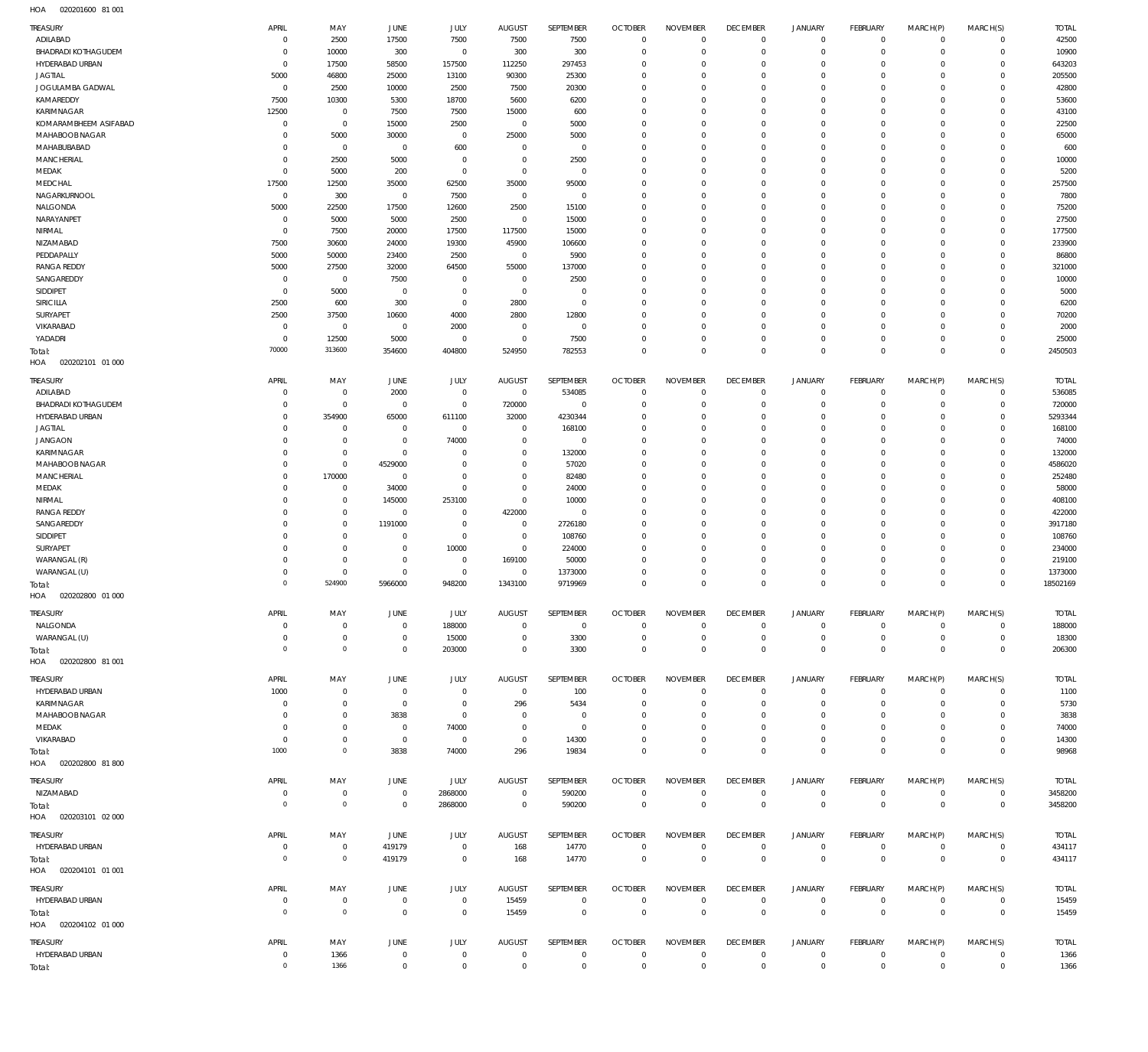020201600 81 001 HOA

| <b>TREASURY</b><br>ADILABAD             | APRIL<br>$\mathbf 0$          | MAY<br>2500                                | JUNE<br>17500                    | JULY<br>7500                  | <b>AUGUST</b><br>7500            | SEPTEMBER<br>7500             | <b>OCTOBER</b><br>$\overline{0}$ | <b>NOVEMBER</b><br>$\mathbf 0$   | <b>DECEMBER</b><br>$\overline{0}$ | <b>JANUARY</b><br>$\circ$     | FEBRUARY<br>$\overline{0}$       | MARCH(P)<br>$\mathbf 0$    | MARCH(S)<br>$\overline{0}$       | <b>TOTAL</b><br>42500 |
|-----------------------------------------|-------------------------------|--------------------------------------------|----------------------------------|-------------------------------|----------------------------------|-------------------------------|----------------------------------|----------------------------------|-----------------------------------|-------------------------------|----------------------------------|----------------------------|----------------------------------|-----------------------|
| BHADRADI KOTHAGUDEM                     | $\overline{0}$                | 10000                                      | 300                              | $\overline{0}$                | 300                              | 300                           | $\overline{0}$                   | $\mathbf 0$                      | $\overline{0}$                    | $\circ$                       | $\overline{0}$                   | $\mathbf 0$                | $\overline{0}$                   | 10900                 |
| HYDERABAD URBAN<br><b>JAGTIAL</b>       | $\overline{0}$<br>5000        | 17500<br>46800                             | 58500<br>25000                   | 157500<br>13100               | 112250<br>90300                  | 297453<br>25300               | $\overline{0}$<br>$\overline{0}$ | $\mathbf 0$<br>$\mathbf 0$       | $\overline{0}$<br>$\overline{0}$  | $\mathbf 0$<br>$\mathbf 0$    | $\overline{0}$<br>$\mathbf 0$    | 0<br>$\Omega$              | $\overline{0}$<br>$\overline{0}$ | 643203<br>205500      |
| JOGULAMBA GADWAL                        | $\overline{0}$                | 2500                                       | 10000                            | 2500                          | 7500                             | 20300                         | $\overline{0}$                   | $\mathbf 0$                      | $\overline{0}$                    | $\mathbf 0$                   | $\mathbf 0$                      | $\Omega$                   | $\overline{0}$                   | 42800                 |
| KAMAREDDY                               | 7500                          | 10300                                      | 5300                             | 18700                         | 5600                             | 6200                          | $\overline{0}$                   | $\mathbf 0$                      | $\overline{0}$                    | $\mathbf 0$                   | $\mathbf 0$                      | $\Omega$                   | $\Omega$                         | 53600                 |
| KARIMNAGAR                              | 12500                         | $\overline{0}$                             | 7500                             | 7500                          | 15000                            | 600                           | $\overline{0}$                   | $\mathbf 0$                      | $\overline{0}$                    | $\mathbf 0$                   | $\mathbf 0$                      | $\Omega$                   | $\overline{0}$                   | 43100                 |
| KOMARAMBHEEM ASIFABAD<br>MAHABOOB NAGAR | $\mathbf 0$<br>$\mathbf 0$    | $\bf 0$<br>5000                            | 15000<br>30000                   | 2500<br>$\overline{0}$        | $\overline{0}$<br>25000          | 5000<br>5000                  | $\overline{0}$<br>$\overline{0}$ | $\Omega$<br>$\mathbf 0$          | $\mathbf 0$<br>$\mathbf 0$        | $\mathbf 0$<br>$\mathbf 0$    | $\mathbf 0$<br>$\mathbf 0$       | $\Omega$<br>$\Omega$       | $\mathbf 0$<br>$\overline{0}$    | 22500<br>65000        |
| MAHABUBABAD                             | $\mathbf 0$                   | $\mathbf 0$                                | $\overline{0}$                   | 600                           | $\overline{0}$                   | $\overline{0}$                | $\overline{0}$                   | $\mathbf 0$                      | $\overline{0}$                    | $\mathbf 0$                   | $\mathbf 0$                      | 0                          | $\overline{0}$                   | 600                   |
| MANCHERIAL                              | $\mathbf 0$                   | 2500                                       | 5000                             | $\mathbf 0$                   | $\overline{0}$                   | 2500                          | $\overline{0}$                   | $\Omega$                         | $\mathbf 0$                       | $\mathbf 0$                   | $\mathbf 0$                      | $\Omega$                   | $\mathbf 0$                      | 10000                 |
| MEDAK                                   | $\overline{0}$                | 5000                                       | 200                              | $\bf 0$                       | $\overline{0}$                   | $\overline{0}$                | $\overline{0}$                   | $\mathbf 0$                      | $\mathbf 0$                       | $\mathbf 0$                   | $\mathbf 0$                      | $\mathbf 0$                | $\overline{0}$                   | 5200                  |
| MEDCHAL<br>NAGARKURNOOL                 | 17500<br>$\overline{0}$       | 12500<br>300                               | 35000<br>$\overline{0}$          | 62500<br>7500                 | 35000<br>$\overline{0}$          | 95000<br>$\overline{0}$       | $\overline{0}$<br>$\overline{0}$ | $\Omega$<br>$\mathbf 0$          | $\mathbf 0$<br>$\overline{0}$     | $\mathbf 0$<br>$\mathbf 0$    | $\mathbf 0$<br>$\mathbf 0$       | $\Omega$<br>$\mathbf 0$    | $\mathbf 0$<br>$\circ$           | 257500<br>7800        |
| NALGONDA                                | 5000                          | 22500                                      | 17500                            | 12600                         | 2500                             | 15100                         | $\overline{0}$                   | $\Omega$                         | $\mathbf 0$                       | $\mathbf 0$                   | $\mathbf 0$                      | $\Omega$                   | $\mathbf 0$                      | 75200                 |
| NARAYANPET                              | $\overline{0}$                | 5000                                       | 5000                             | 2500                          | $\overline{0}$                   | 15000                         | $\overline{0}$                   | $\Omega$                         | $\mathbf 0$                       | $\mathbf 0$                   | $\mathbf 0$                      | $\Omega$                   | $\circ$                          | 27500                 |
| NIRMAL                                  | $\overline{0}$                | 7500                                       | 20000                            | 17500                         | 117500                           | 15000                         | $\overline{0}$                   | $\mathbf 0$                      | $\mathbf 0$                       | 0                             | $\mathbf 0$                      | $\Omega$                   | $\mathbf 0$                      | 177500                |
| NIZAMABAD<br>PEDDAPALLY                 | 7500<br>5000                  | 30600<br>50000                             | 24000<br>23400                   | 19300<br>2500                 | 45900<br>$\overline{0}$          | 106600<br>5900                | $\overline{0}$<br>$\overline{0}$ | $\mathbf 0$<br>$\mathbf 0$       | $\mathbf 0$<br>$\mathbf 0$        | $\mathbf 0$<br>$\mathbf 0$    | $\mathbf 0$<br>$\mathbf 0$       | $\Omega$<br>$\Omega$       | $\Omega$<br>$\overline{0}$       | 233900<br>86800       |
| <b>RANGA REDDY</b>                      | 5000                          | 27500                                      | 32000                            | 64500                         | 55000                            | 137000                        | $\overline{0}$                   | $\Omega$                         | $\mathbf 0$                       | $\mathbf 0$                   | $\mathbf 0$                      | $\Omega$                   | $\Omega$                         | 321000                |
| SANGAREDDY                              | $\overline{0}$                | $\overline{0}$                             | 7500                             | $\mathbf 0$                   | $\overline{0}$                   | 2500                          | $\overline{0}$                   | $\mathbf 0$                      | $\mathbf 0$                       | $\mathbf 0$                   | $\mathbf 0$                      | $\Omega$                   | $\overline{0}$                   | 10000                 |
| SIDDIPET                                | $\overline{0}$                | 5000                                       | $\overline{0}$                   | $\mathbf 0$                   | $\overline{0}$                   | $\mathbf 0$                   | $\overline{0}$                   | $\mathbf 0$                      | $\mathbf 0$                       | $\mathbf 0$                   | $\mathbf 0$                      | 0                          | $\mathbf 0$                      | 5000                  |
| SIRICILLA<br>SURYAPET                   | 2500<br>2500                  | 600<br>37500                               | 300<br>10600                     | $\bf 0$<br>4000               | 2800<br>2800                     | $\mathbf 0$<br>12800          | $\overline{0}$<br>$\overline{0}$ | $\Omega$<br>$\mathbf 0$          | $\mathbf 0$<br>$\mathbf 0$        | $\mathbf 0$<br>$\mathbf 0$    | $\mathbf 0$<br>$\mathbf 0$       | $\Omega$<br>$\mathbf 0$    | $\mathbf 0$<br>$\overline{0}$    | 6200<br>70200         |
| VIKARABAD                               | $\overline{0}$                | $\overline{0}$                             | $\overline{0}$                   | 2000                          | $\overline{0}$                   | $\overline{0}$                | $\overline{0}$                   | $\mathbf 0$                      | $\mathbf 0$                       | $\mathbf 0$                   | $\mathbf 0$                      | $\Omega$                   | $\overline{0}$                   | 2000                  |
| YADADRI                                 | $\overline{0}$                | 12500                                      | 5000                             | $\mathbf 0$                   | $\overline{0}$                   | 7500                          | $\overline{0}$                   | $\mathbf 0$                      | $\overline{0}$                    | $\mathbf 0$                   | $\overline{0}$                   | $\mathbf 0$                | $\overline{0}$                   | 25000                 |
| Total:                                  | 70000                         | 313600                                     | 354600                           | 404800                        | 524950                           | 782553                        | $\overline{0}$                   | $\mathbf 0$                      | $\overline{0}$                    | $\overline{0}$                | $\overline{0}$                   | $\mathbf 0$                | $\overline{0}$                   | 2450503               |
| 020202101 01 000<br>HOA                 |                               |                                            |                                  |                               |                                  |                               |                                  |                                  |                                   |                               |                                  |                            |                                  |                       |
| TREASURY                                | <b>APRIL</b>                  | MAY                                        | JUNE                             | JULY                          | <b>AUGUST</b>                    | SEPTEMBER                     | <b>OCTOBER</b>                   | <b>NOVEMBER</b>                  | <b>DECEMBER</b>                   | <b>JANUARY</b>                | FEBRUARY                         | MARCH(P)                   | MARCH(S)                         | <b>TOTAL</b>          |
| ADILABAD<br><b>BHADRADI KOTHAGUDEM</b>  | $\overline{0}$<br>$\mathbf 0$ | $\mathbf 0$<br>$\bf 0$                     | 2000<br>$\overline{0}$           | $\mathbf 0$<br>$\bf 0$        | $\overline{0}$<br>720000         | 534085<br>$\overline{0}$      | $\overline{0}$<br>$\overline{0}$ | $\mathbf 0$<br>$\mathbf 0$       | $\overline{0}$<br>$\overline{0}$  | $\mathbf 0$<br>$\mathbf 0$    | $\overline{0}$<br>$\overline{0}$ | $\mathbf 0$<br>$\mathbf 0$ | $\overline{0}$<br>$\overline{0}$ | 536085<br>720000      |
| HYDERABAD URBAN                         | $\mathbf 0$                   | 354900                                     | 65000                            | 611100                        | 32000                            | 4230344                       | $\mathbf 0$                      | $\Omega$                         | $\mathbf 0$                       | $\mathbf 0$                   | $\mathbf 0$                      | $\Omega$                   | $\overline{0}$                   | 5293344               |
| <b>JAGTIAL</b>                          | $\mathbf 0$                   | $\mathbf 0$                                | $\overline{0}$                   | $\mathbf 0$                   | $^{\circ}$                       | 168100                        | $\mathbf 0$                      | $\Omega$                         | $\mathbf 0$                       | $\mathbf 0$                   | $\mathbf 0$                      | $\Omega$                   | $\mathbf 0$                      | 168100                |
| <b>JANGAON</b>                          | $\mathbf 0$                   | $\mathbf 0$                                | $\overline{0}$                   | 74000                         | $\mathbf 0$                      | $\mathbf 0$                   | $\mathbf 0$                      | $\Omega$                         | $\mathbf 0$                       | $\mathbf 0$                   | $\mathbf 0$                      | $\Omega$                   | $\mathbf 0$                      | 74000                 |
| KARIMNAGAR<br>MAHABOOB NAGAR            | $\mathbf 0$<br>$\mathbf 0$    | $\mathbf 0$<br>$\mathbf 0$                 | $\overline{0}$<br>4529000        | $\Omega$<br>$\mathbf 0$       | $\mathbf 0$<br>$\mathbf 0$       | 132000<br>57020               | $\overline{0}$<br>$\mathbf 0$    | $\Omega$<br>$\Omega$             | $\mathbf 0$<br>$\mathbf 0$        | $\mathbf 0$<br>$\mathbf 0$    | $\mathbf 0$<br>$\mathbf 0$       | $\Omega$<br>$\Omega$       | $\mathbf 0$<br>$\mathbf 0$       | 132000<br>4586020     |
| MANCHERIAL                              | $\Omega$                      | 170000                                     | $\overline{0}$                   | $\mathbf 0$                   | $\mathbf 0$                      | 82480                         | $\mathbf 0$                      | $\Omega$                         | $\mathbf 0$                       | $\mathbf 0$                   | $\mathbf 0$                      | $\Omega$                   | $\mathbf 0$                      | 252480                |
| MEDAK                                   | $\mathbf 0$                   | $\mathbf 0$                                | 34000                            | $\mathbf 0$                   | $\mathbf 0$                      | 24000                         | $\mathbf 0$                      | $\mathbf 0$                      | $\mathbf 0$                       | $\mathbf 0$                   | $\mathbf 0$                      | $\Omega$                   | $\overline{0}$                   | 58000                 |
| NIRMAL                                  | $\mathbf 0$                   | $\bf 0$                                    | 145000                           | 253100                        | $\mathbf 0$                      | 10000                         | $\mathbf 0$                      | $\Omega$                         | $\mathbf 0$                       | $\mathbf 0$                   | $\mathbf 0$                      | $\Omega$                   | $\mathbf 0$                      | 408100                |
| <b>RANGA REDDY</b><br>SANGAREDDY        | $\mathbf 0$<br>$\mathbf 0$    | $\mathsf{O}\xspace$<br>$\mathbf 0$         | $\overline{0}$<br>1191000        | $\mathbf 0$<br>$\mathbf 0$    | 422000<br>$\overline{0}$         | $\mathbf 0$<br>2726180        | $\overline{0}$<br>$\mathbf 0$    | $\Omega$<br>$\Omega$             | $\mathbf 0$<br>$\mathbf 0$        | $\mathbf 0$<br>$\mathbf 0$    | $\mathbf 0$<br>$\mathbf 0$       | $\Omega$<br>$\Omega$       | $\overline{0}$<br>$\mathbf 0$    | 422000<br>3917180     |
| SIDDIPET                                | $\mathbf 0$                   | $\mathsf{O}\xspace$                        | $\overline{0}$                   | $\mathbf 0$                   | $\overline{0}$                   | 108760                        | $\overline{0}$                   | $\mathbf 0$                      | $\mathbf 0$                       | $\mathbf 0$                   | $\mathbf 0$                      | $\Omega$                   | $\overline{0}$                   | 108760                |
| SURYAPET                                | $\mathbf 0$                   | $\bf 0$                                    | $\overline{0}$                   | 10000                         | $\,0\,$                          | 224000                        | $\mathbf 0$                      | $\Omega$                         | $\mathbf 0$                       | $\mathbf 0$                   | $\mathbf 0$                      | $\Omega$                   | $\mathbf 0$                      | 234000                |
| WARANGAL (R)                            | $\mathbf 0$                   | $\mathbf 0$                                | $\overline{0}$                   | $\mathbf 0$                   | 169100                           | 50000                         | $\mathbf 0$                      | $\Omega$                         | $\mathbf 0$                       | $\mathbf 0$                   | $\mathbf 0$                      | $\Omega$                   | $\overline{0}$                   | 219100                |
| WARANGAL (U)                            | $\mathbf 0$<br>$\Omega$       | $\mathbf 0$<br>524900                      | $\overline{0}$<br>5966000        | $\mathbf 0$<br>948200         | $\overline{0}$<br>1343100        | 1373000<br>9719969            | $\mathbf 0$<br>$\mathbf 0$       | $\mathbf 0$<br>$\Omega$          | $\mathbf 0$<br>$\Omega$           | $\mathbf 0$<br>$\mathbf 0$    | $\mathbf 0$<br>$\Omega$          | 0<br>$\Omega$              | $\mathbf 0$<br>$\Omega$          | 1373000<br>18502169   |
| Total:<br>HOA<br>020202800 01 000       |                               |                                            |                                  |                               |                                  |                               |                                  |                                  |                                   |                               |                                  |                            |                                  |                       |
| TREASURY                                | APRIL                         | MAY                                        | <b>JUNE</b>                      | <b>JULY</b>                   | <b>AUGUST</b>                    | SEPTEMBER                     | <b>OCTOBER</b>                   | <b>NOVEMBER</b>                  | <b>DECEMBER</b>                   | <b>JANUARY</b>                | FEBRUARY                         | MARCH(P)                   | MARCH(S)                         | <b>TOTAL</b>          |
| NALGONDA                                | $\mathbf 0$                   | $\mathbf 0$                                | $\overline{0}$                   | 188000                        | $\overline{0}$                   | $\overline{0}$                | $\overline{0}$                   | $\mathbf 0$                      | $\overline{0}$                    | $\circ$                       | $\overline{0}$                   | $\mathbf 0$                | $\overline{0}$                   | 188000                |
| WARANGAL (U)                            | $\overline{0}$                | $\mathsf{O}\xspace$                        | $\overline{0}$                   | 15000                         | $\overline{0}$                   | 3300                          | $\overline{0}$                   | $\mathbf 0$                      | $\overline{0}$                    | $\mathbf 0$                   | $\mathsf 0$                      | $\mathsf{O}\xspace$        | $\mathsf 0$                      | 18300                 |
| Total:                                  | $\overline{0}$                | $\mathsf{O}\xspace$                        | $\overline{0}$                   | 203000                        | $\overline{0}$                   | 3300                          | $\overline{0}$                   | $\overline{0}$                   | $\overline{0}$                    | $\mathbf 0$                   | $\mathbf 0$                      | $\mathbf{0}$               | $\mathbf 0$                      | 206300                |
| HOA  020202800  81  001                 |                               |                                            |                                  |                               |                                  |                               |                                  |                                  |                                   |                               |                                  |                            |                                  |                       |
| TREASURY                                | APRIL                         | MAY                                        | JUNE                             | JULY                          | AUGUST                           | SEPTEMBER                     | <b>OCTOBER</b><br>$\overline{0}$ | <b>NOVEMBER</b><br>$\mathbf 0$   | <b>DECEMBER</b>                   | <b>JANUARY</b>                | FEBRUARY                         | MARCH(P)<br>$\mathbf 0$    | MARCH(S)                         | <b>TOTAL</b>          |
| HYDERABAD URBAN<br>KARIMNAGAR           | 1000<br>$^{\circ}$            | $\mathbf 0$<br>$\bf 0$                     | $\overline{0}$<br>$\overline{0}$ | $\mathbf 0$<br>$\overline{0}$ | $\overline{0}$<br>296            | 100<br>5434                   | $\overline{0}$                   | $\mathbf 0$                      | $\overline{0}$<br>$\overline{0}$  | $\circ$<br>$\circ$            | $\overline{0}$<br>$\overline{0}$ | $\mathbf 0$                | $\mathsf 0$<br>$\overline{0}$    | 1100<br>5730          |
| MAHABOOB NAGAR                          | $\mathbf 0$                   | $\mathsf{O}\xspace$                        | 3838                             | $\overline{0}$                | $^{\circ}$                       | $\overline{0}$                | $\mathbf 0$                      | $\mathbf 0$                      | $\overline{0}$                    | $\mathbf 0$                   | $\mathbf 0$                      | 0                          | $\mathbf 0$                      | 3838                  |
| MEDAK                                   | $\mathbf 0$                   | $\bf 0$                                    | $\overline{0}$                   | 74000                         | $\mathbf 0$                      | $\mathbf 0$                   | $\mathbf 0$                      | $\mathbf 0$                      | $\mathbf 0$                       | $\mathbf 0$                   | $\mathbf 0$                      | $\Omega$                   | $\mathbf 0$                      | 74000                 |
| VIKARABAD                               | $\mathbf 0$<br>1000           | $\mathsf{O}\xspace$<br>$\mathsf{O}\xspace$ | $\overline{0}$                   | $\,0\,$                       | $\overline{0}$                   | 14300                         | $\mathbf 0$<br>$\overline{0}$    | $\mathbf 0$<br>$\mathbf 0$       | $\overline{0}$<br>$\overline{0}$  | $\mathbf 0$<br>$\overline{0}$ | $\overline{0}$<br>$\mathbf{0}$   | $\mathbf 0$<br>$\mathbf 0$ | $\mathbf 0$<br>$\mathbf{0}$      | 14300                 |
| Total:<br>HOA  020202800  81  800       |                               |                                            | 3838                             | 74000                         | 296                              | 19834                         |                                  |                                  |                                   |                               |                                  |                            |                                  | 98968                 |
| TREASURY                                | APRIL                         | MAY                                        | JUNE                             | JULY                          | <b>AUGUST</b>                    | SEPTEMBER                     | <b>OCTOBER</b>                   | <b>NOVEMBER</b>                  | <b>DECEMBER</b>                   | <b>JANUARY</b>                | <b>FEBRUARY</b>                  | MARCH(P)                   | MARCH(S)                         | <b>TOTAL</b>          |
| NIZAMABAD                               | $\mathbf 0$                   | $\mathbf 0$                                | $\overline{0}$                   | 2868000                       | $\overline{0}$                   | 590200                        | $\overline{0}$                   | $\overline{0}$                   | $\overline{0}$                    | $\overline{0}$                | $\mathsf 0$                      | $\mathbf 0$                | $\mathsf 0$                      | 3458200               |
| Total:                                  | $\overline{0}$                | $\mathbf 0$                                | $\overline{0}$                   | 2868000                       | $\overline{0}$                   | 590200                        | $\overline{0}$                   | $\overline{0}$                   | $\mathbf 0$                       | $\mathbf 0$                   | $\mathbf 0$                      | $\mathbf 0$                | $\mathbf 0$                      | 3458200               |
| HOA  020203101  02  000                 |                               |                                            |                                  |                               |                                  |                               |                                  |                                  |                                   |                               |                                  |                            |                                  |                       |
| TREASURY                                | APRIL                         | MAY                                        | JUNE                             | JULY                          | <b>AUGUST</b>                    | SEPTEMBER                     | <b>OCTOBER</b>                   | <b>NOVEMBER</b>                  | <b>DECEMBER</b>                   | <b>JANUARY</b>                | FEBRUARY                         | MARCH(P)                   | MARCH(S)                         | <b>TOTAL</b>          |
| HYDERABAD URBAN                         | $\overline{0}$                | $\bf 0$                                    | 419179                           | $\mathbf 0$                   | 168                              | 14770                         | $\overline{0}$                   | $\overline{0}$                   | $\overline{0}$                    | $\overline{0}$                | $\overline{0}$                   | $\mathbf 0$                | $\mathsf 0$                      | 434117                |
| Total:<br>HOA  020204101  01  001       | $\overline{0}$                | $\mathsf{O}\xspace$                        | 419179                           | $\mathbf 0$                   | 168                              | 14770                         | $\overline{0}$                   | $\overline{0}$                   | $\mathbf 0$                       | $\mathbf 0$                   | $\mathbf 0$                      | $\overline{0}$             | $\mathbf 0$                      | 434117                |
|                                         |                               |                                            |                                  |                               |                                  |                               |                                  |                                  |                                   |                               |                                  |                            |                                  |                       |
| TREASURY<br>HYDERABAD URBAN             | APRIL<br>$\mathbf 0$          | MAY<br>$\mathbf 0$                         | JUNE<br>$\overline{0}$           | JULY<br>$\mathbf 0$           | <b>AUGUST</b><br>15459           | SEPTEMBER<br>$\overline{0}$   | <b>OCTOBER</b><br>$\overline{0}$ | <b>NOVEMBER</b><br>$\mathbf 0$   | <b>DECEMBER</b><br>$\overline{0}$ | <b>JANUARY</b><br>$\circ$     | FEBRUARY<br>$\overline{0}$       | MARCH(P)<br>$\mathbf 0$    | MARCH(S)<br>$\mathsf 0$          | <b>TOTAL</b><br>15459 |
| Total:                                  | $\overline{0}$                | $\mathbf 0$                                | $\overline{0}$                   | $\mathbf 0$                   | 15459                            | $\,0\,$                       | $\overline{0}$                   | $\overline{0}$                   | $\mathbf 0$                       | $\mathbf 0$                   | $\mathbf 0$                      | $\overline{0}$             | $\mathbf 0$                      | 15459                 |
| HOA  020204102  01  000                 |                               |                                            |                                  |                               |                                  |                               |                                  |                                  |                                   |                               |                                  |                            |                                  |                       |
| TREASURY                                |                               |                                            |                                  |                               |                                  |                               |                                  |                                  |                                   |                               |                                  |                            |                                  |                       |
|                                         | APRIL                         | MAY                                        | JUNE                             | JULY                          | <b>AUGUST</b>                    | SEPTEMBER                     | <b>OCTOBER</b>                   | <b>NOVEMBER</b>                  | <b>DECEMBER</b>                   | <b>JANUARY</b>                | <b>FEBRUARY</b>                  | MARCH(P)                   | MARCH(S)                         | <b>TOTAL</b>          |
| HYDERABAD URBAN                         | $\mathbf 0$<br>$\mathbf 0$    | 1366<br>1366                               | $\overline{0}$<br>$\overline{0}$ | $\mathbf 0$<br>$\mathbf 0$    | $\overline{0}$<br>$\overline{0}$ | $\overline{0}$<br>$\mathbb O$ | $\overline{0}$<br>$\overline{0}$ | $\overline{0}$<br>$\overline{0}$ | $\overline{0}$<br>$\mathbf 0$     | $\circ$<br>$\mathbf 0$        | $\overline{0}$<br>$\mathbf 0$    | $\mathbf 0$<br>$\mathbf 0$ | $\mathsf 0$<br>$\overline{0}$    | 1366<br>1366          |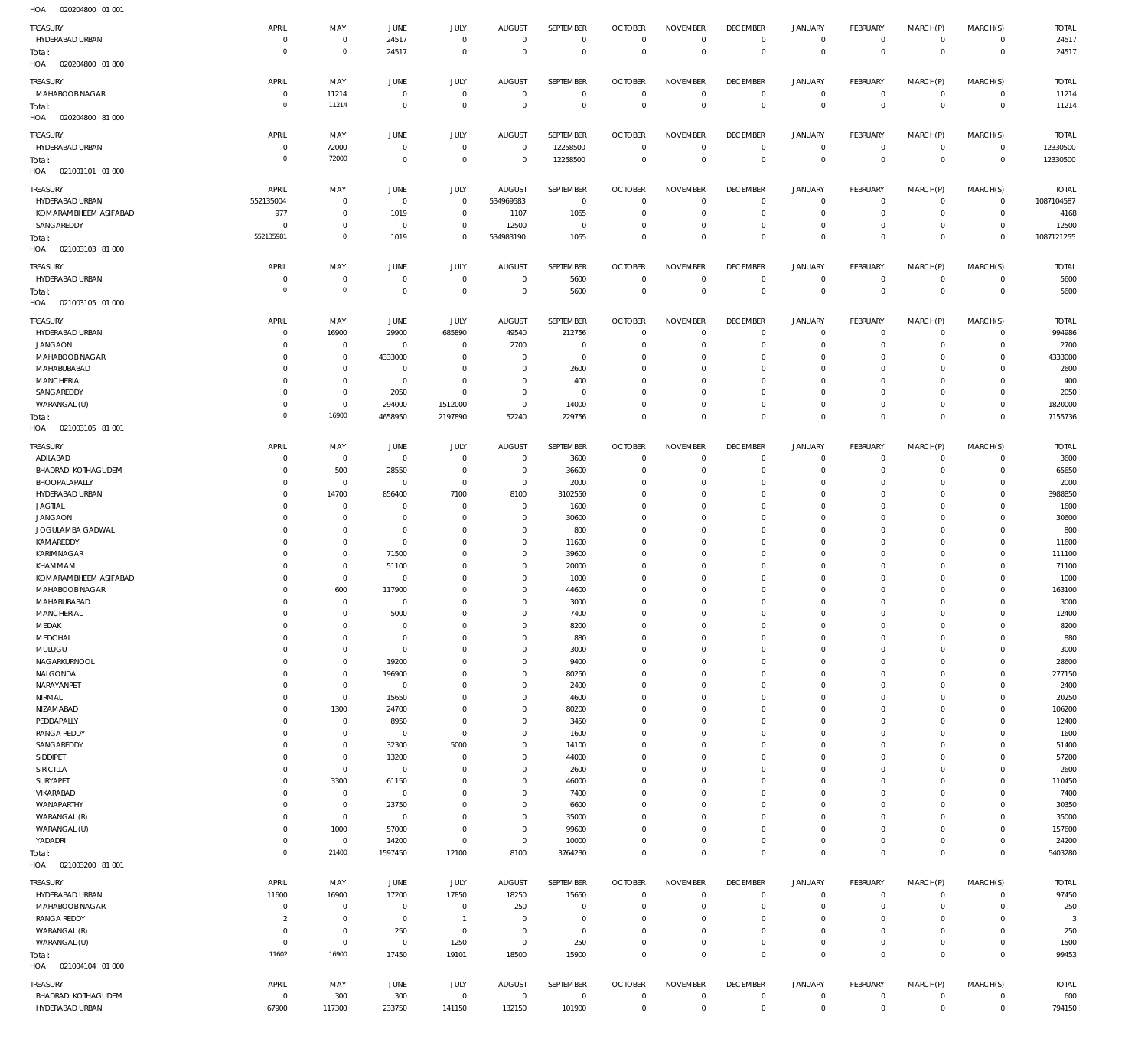020204800 01 001 HOA

| $\cdots$                         |                |                |                |                |                |                |                |                 |                 |                |                |                |                |              |
|----------------------------------|----------------|----------------|----------------|----------------|----------------|----------------|----------------|-----------------|-----------------|----------------|----------------|----------------|----------------|--------------|
| TREASURY                         | APRIL          | MAY            | JUNE           | JULY           | <b>AUGUST</b>  | SEPTEMBER      | <b>OCTOBER</b> | <b>NOVEMBER</b> | <b>DECEMBER</b> | <b>JANUARY</b> | FEBRUARY       | MARCH(P)       | MARCH(S)       | <b>TOTAL</b> |
| HYDERABAD URBAN                  | $\overline{0}$ | $\mathbf 0$    | 24517          | $\overline{0}$ | $\overline{0}$ | $\overline{0}$ | $\overline{0}$ | $\overline{0}$  | $\overline{0}$  | $\mathbf{0}$   | $\overline{0}$ | $\mathbf{0}$   | $\mathbf{0}$   | 24517        |
| Total:                           | $\overline{0}$ | $\mathbf 0$    | 24517          | $\overline{0}$ | $\overline{0}$ | $\mathbf 0$    | $\overline{0}$ | $\mathbf 0$     | $\overline{0}$  | $\mathbf 0$    | $\overline{0}$ | $\mathbf 0$    | $\overline{0}$ | 24517        |
| 020204800 01 800<br>HOA          |                |                |                |                |                |                |                |                 |                 |                |                |                |                |              |
|                                  |                |                |                |                |                |                |                |                 |                 |                |                |                |                |              |
| TREASURY                         | APRIL          | MAY            | JUNE           | JULY           | <b>AUGUST</b>  | SEPTEMBER      | <b>OCTOBER</b> | <b>NOVEMBER</b> | <b>DECEMBER</b> | <b>JANUARY</b> | FEBRUARY       | MARCH(P)       | MARCH(S)       | <b>TOTAL</b> |
| MAHABOOB NAGAR                   | $\overline{0}$ | 11214          | $\overline{0}$ | $\overline{0}$ | $\overline{0}$ | $\mathbf 0$    | $\overline{0}$ | $\mathbf 0$     | $\overline{0}$  | $\mathbf 0$    | $\overline{0}$ | $\mathbf 0$    | $\circ$        | 11214        |
| Total:                           | $\overline{0}$ | 11214          | $\overline{0}$ | $\overline{0}$ | $\overline{0}$ | $\overline{0}$ | $\overline{0}$ | $\overline{0}$  | $\mathbf 0$     | $\overline{0}$ | $\overline{0}$ | $\overline{0}$ | $\overline{0}$ | 11214        |
| 020204800 81 000<br>HOA          |                |                |                |                |                |                |                |                 |                 |                |                |                |                |              |
|                                  |                |                |                |                |                |                |                |                 |                 |                |                |                |                |              |
| TREASURY                         | APRIL          | MAY            | JUNE           | JULY           | <b>AUGUST</b>  | SEPTEMBER      | <b>OCTOBER</b> | <b>NOVEMBER</b> | <b>DECEMBER</b> | <b>JANUARY</b> | FEBRUARY       | MARCH(P)       | MARCH(S)       | <b>TOTAL</b> |
| HYDERABAD URBAN                  | $\overline{0}$ | 72000          | $\overline{0}$ | $\mathbf 0$    | $\overline{0}$ | 12258500       | $\overline{0}$ | $\mathbf 0$     | $\overline{0}$  | $\mathbf 0$    | $\overline{0}$ | $\circ$        | $\overline{0}$ | 12330500     |
| Total:                           | $^{\circ}$     | 72000          | $\overline{0}$ | $\overline{0}$ | $\overline{0}$ | 12258500       | $\overline{0}$ | $\mathbf 0$     | $\overline{0}$  | $\mathbf 0$    | $\overline{0}$ | $\mathbf 0$    | $\overline{0}$ | 12330500     |
| 021001101 01 000<br>HOA          |                |                |                |                |                |                |                |                 |                 |                |                |                |                |              |
|                                  |                |                |                |                |                |                |                |                 |                 |                |                |                |                |              |
| TREASURY                         | APRIL          | MAY            | JUNE           | JULY           | <b>AUGUST</b>  | SEPTEMBER      | <b>OCTOBER</b> | <b>NOVEMBER</b> | <b>DECEMBER</b> | <b>JANUARY</b> | FEBRUARY       | MARCH(P)       | MARCH(S)       | <b>TOTAL</b> |
| HYDERABAD URBAN                  | 552135004      | $\overline{0}$ | $\overline{0}$ | $^{\circ}$     | 534969583      | $\overline{0}$ | $\overline{0}$ | $\mathbf 0$     | $\overline{0}$  | $\mathbf 0$    | $\overline{0}$ | $\mathbf 0$    | $\overline{0}$ | 1087104587   |
| KOMARAMBHEEM ASIFABAD            | 977            | $\mathbf 0$    | 1019           | $\mathbf 0$    | 1107           | 1065           | $\overline{0}$ | $\mathbf 0$     | $\mathbf 0$     | 0              | $\overline{0}$ | $\mathbf 0$    | $\overline{0}$ | 4168         |
| SANGAREDDY                       | $\overline{0}$ | $\mathbf 0$    | $\overline{0}$ | $\mathbf 0$    | 12500          | $\overline{0}$ | $^{\circ}$     | $\mathbf 0$     | $\overline{0}$  | $\mathbf 0$    | $\overline{0}$ | $\mathbf 0$    | $\overline{0}$ | 12500        |
| Total:                           | 552135981      | $\mathbf 0$    | 1019           | $\mathbf 0$    | 534983190      | 1065           | $\overline{0}$ | $\mathbf 0$     | $\overline{0}$  | $\mathbf 0$    | $\overline{0}$ | $\mathbf 0$    | $\overline{0}$ | 1087121255   |
| 021003103 81 000<br>HOA          |                |                |                |                |                |                |                |                 |                 |                |                |                |                |              |
|                                  |                |                |                |                |                |                |                |                 |                 |                |                |                |                |              |
| TREASURY                         | APRIL          | MAY            | <b>JUNE</b>    | JULY           | <b>AUGUST</b>  | SEPTEMBER      | <b>OCTOBER</b> | <b>NOVEMBER</b> | <b>DECEMBER</b> | <b>JANUARY</b> | FEBRUARY       | MARCH(P)       | MARCH(S)       | <b>TOTAL</b> |
| HYDERABAD URBAN                  | $\mathbf 0$    | $\mathbf 0$    | $\overline{0}$ | $\mathbf 0$    | $\overline{0}$ | 5600           | $\overline{0}$ | $\mathbf 0$     | $\overline{0}$  | $\mathbf{0}$   | $\mathbf{0}$   | $\mathbf 0$    | $\mathbf{0}$   | 5600         |
| Total:                           | $^{\circ}$     | $\mathbf 0$    | $\overline{0}$ | $\overline{0}$ | $\overline{0}$ | 5600           | $\overline{0}$ | $\overline{0}$  | $\overline{0}$  | $\mathbf 0$    | $\overline{0}$ | $\mathbf 0$    | $\overline{0}$ | 5600         |
| HOA<br>021003105 01 000          |                |                |                |                |                |                |                |                 |                 |                |                |                |                |              |
|                                  |                |                |                |                |                |                |                |                 |                 |                |                |                |                |              |
| TREASURY                         | APRIL          | MAY            | JUNE           | JULY           | <b>AUGUST</b>  | SEPTEMBER      | <b>OCTOBER</b> | <b>NOVEMBER</b> | <b>DECEMBER</b> | JANUARY        | FEBRUARY       | MARCH(P)       | MARCH(S)       | <b>TOTAL</b> |
| HYDERABAD URBAN                  | $\mathbf 0$    | 16900          | 29900          | 685890         | 49540          | 212756         | $\overline{0}$ | 0               | $\mathbf 0$     | 0              | $\mathbf 0$    | 0              | $\mathbf 0$    | 994986       |
| <b>JANGAON</b>                   | $\Omega$       | $\overline{0}$ | $\overline{0}$ | $^{\circ}$     | 2700           | $\overline{0}$ | $\overline{0}$ | $\mathbf 0$     | $\overline{0}$  | $\mathbf 0$    | $\overline{0}$ | $\mathbf 0$    | $^{\circ}$     | 2700         |
| MAHABOOB NAGAR                   | $\mathbf 0$    | $\mathbf 0$    | 4333000        | $\mathbf 0$    | $\overline{0}$ | $\overline{0}$ | $^{\circ}$     | 0               | $\mathbf 0$     | 0              | $^{\circ}$     | $\Omega$       | $^{\circ}$     | 4333000      |
| MAHABUBABAD                      | $\mathbf 0$    | $\mathbf 0$    | $\overline{0}$ | $\Omega$       | $^{\circ}$     | 2600           | $\mathbf 0$    | $\Omega$        | $\mathbf 0$     | $\Omega$       | $^{\circ}$     | $\Omega$       | $\mathbf 0$    | 2600         |
| MANCHERIAL                       | $\mathbf 0$    | $\mathbf 0$    | $\overline{0}$ | $\mathbf 0$    | $^{\circ}$     | 400            | $^{\circ}$     | $\Omega$        | $\mathbf 0$     | 0              | $^{\circ}$     | $\Omega$       | $^{\circ}$     | 400          |
|                                  |                |                |                |                |                |                |                |                 |                 |                |                |                |                |              |
| SANGAREDDY                       | $\mathbf 0$    | $\mathbf 0$    | 2050           | $\mathbf 0$    | $\overline{0}$ | $^{\circ}$     | $\mathbf 0$    | $\Omega$        | $\mathbf 0$     | 0              | $^{\circ}$     | $\Omega$       | $\mathbf{0}$   | 2050         |
| WARANGAL (U)                     | $\overline{0}$ | $\overline{0}$ | 294000         | 1512000        | $\overline{0}$ | 14000          | $\overline{0}$ | $\mathbf 0$     | $\overline{0}$  | $\mathbf 0$    | $\overline{0}$ | $\Omega$       | $\mathbf{0}$   | 1820000      |
| Total:                           | $^{\circ}$     | 16900          | 4658950        | 2197890        | 52240          | 229756         | $\overline{0}$ | $\mathbf 0$     | $\overline{0}$  | $\mathbf 0$    | $\overline{0}$ | $\mathbf 0$    | $\overline{0}$ | 7155736      |
| 021003105 81 001<br>HOA          |                |                |                |                |                |                |                |                 |                 |                |                |                |                |              |
|                                  |                |                |                |                |                |                |                |                 |                 |                |                |                |                |              |
| TREASURY                         | APRIL          | MAY            | JUNE           | JULY           | <b>AUGUST</b>  | SEPTEMBER      | <b>OCTOBER</b> | <b>NOVEMBER</b> | <b>DECEMBER</b> | JANUARY        | FEBRUARY       | MARCH(P)       | MARCH(S)       | <b>TOTAL</b> |
| ADILABAD                         | $\Omega$       | $\overline{0}$ | $\overline{0}$ | $\mathbf 0$    | $^{\circ}$     | 3600           | $\overline{0}$ | $\Omega$        | $\mathbf 0$     | $\mathbf 0$    | $^{\circ}$     | $\mathbf 0$    | $^{\circ}$     | 3600         |
| <b>BHADRADI KOTHAGUDEM</b>       | $\mathbf 0$    | 500            | 28550          | $\mathbf 0$    | $\overline{0}$ | 36600          | $^{\circ}$     | $\mathbf 0$     | $\mathbf 0$     | $\mathbf 0$    | $^{\circ}$     | $\Omega$       | $^{\circ}$     | 65650        |
| BHOOPALAPALLY                    | $\Omega$       | $\overline{0}$ | $\overline{0}$ | $\Omega$       | $\overline{0}$ | 2000           | $\mathbf 0$    | $\Omega$        | $\mathbf 0$     | $\Omega$       | $\mathbf 0$    | $\Omega$       | $\mathbf 0$    | 2000         |
| HYDERABAD URBAN                  | $\mathbf 0$    | 14700          | 856400         | 7100           | 8100           | 3102550        | $\mathbf 0$    | $\Omega$        | $\Omega$        | $\Omega$       | $^{\circ}$     | $\Omega$       | $\mathbf 0$    | 3988850      |
| <b>JAGTIAL</b>                   | $\mathbf 0$    | $\mathbf 0$    | $\overline{0}$ | $\mathbf 0$    | $\mathbf 0$    | 1600           | $^{\circ}$     | $\Omega$        | $\mathbf 0$     | $\Omega$       | $\mathbf 0$    | $\Omega$       | $\mathbf 0$    | 1600         |
| <b>JANGAON</b>                   | $\Omega$       | $\mathbf 0$    | $\overline{0}$ | $\Omega$       | $^{\circ}$     | 30600          | $^{\circ}$     | $\Omega$        | $\Omega$        | $\Omega$       | $\Omega$       | $\Omega$       | $\Omega$       | 30600        |
|                                  |                |                |                |                |                |                |                |                 |                 |                |                |                |                |              |
| JOGULAMBA GADWAL                 | $\Omega$       | $\mathbf 0$    | $\overline{0}$ | $\Omega$       | $^{\circ}$     | 800            | $^{\circ}$     | $\Omega$        | $\mathbf 0$     | 0              | $\mathbf 0$    | $\Omega$       | $\mathbf 0$    | 800          |
| KAMAREDDY                        | $\Omega$       | $\mathbf 0$    | $\overline{0}$ | $\Omega$       | $\mathbf 0$    | 11600          | $\mathbf 0$    | $\Omega$        | $\mathbf 0$     | $\Omega$       | $\Omega$       | $\Omega$       | $\mathbf 0$    | 11600        |
| KARIMNAGAR                       | $\Omega$       | $\Omega$       | 71500          | $\Omega$       | $\mathbf 0$    | 39600          | $\mathbf 0$    | $\Omega$        | $\Omega$        | $\Omega$       | $\mathbf 0$    | $\Omega$       | $\mathbf 0$    | 111100       |
| KHAMMAM                          | $\Omega$       | $\mathbf 0$    | 51100          | $\Omega$       | $\mathbf 0$    | 20000          | $\mathbf 0$    | $\Omega$        | $\mathbf 0$     | $\Omega$       | $\Omega$       | $\Omega$       | $\mathbf 0$    | 71100        |
| KOMARAMBHEEM ASIFABAD            | $\Omega$       | $\mathbf 0$    | $\overline{0}$ | 0              | $\Omega$       | 1000           | $\Omega$       | $\Omega$        | $\Omega$        | $\Omega$       | $\Omega$       | $\Omega$       | $\Omega$       | 1000         |
| MAHABOOB NAGAR                   | $\mathbf 0$    | 600            | 117900         | $\Omega$       | $\mathbf 0$    | 44600          | $\mathbf 0$    | $\Omega$        | $\Omega$        | $\Omega$       | $\mathbf 0$    | $\Omega$       | $\mathbf 0$    | 163100       |
| MAHABUBABAD                      | $\Omega$       | $\mathbf 0$    | $\Omega$       | $\Omega$       | $\Omega$       | 3000           | $\Omega$       | $\Omega$        | $\Omega$        | $\Omega$       | $\Omega$       | $\Omega$       | $\Omega$       | 3000         |
| MANCHERIAL                       | $\mathbf 0$    | $\mathbf 0$    | 5000           | $\mathbf 0$    | $\mathbf 0$    | 7400           | $\overline{0}$ | $\mathbf 0$     | $\mathbf 0$     | $\mathbf 0$    | $^{\circ}$     | 0              | $^{\circ}$     | 12400        |
|                                  |                |                |                | $\Omega$       |                |                |                |                 |                 |                |                |                |                |              |
| MEDAK                            | $\mathbf 0$    | $\mathbf 0$    | $\overline{0}$ |                | $^{\circ}$     | 8200           | $\overline{0}$ | $\mathbf 0$     | $\mathbf 0$     | 0              | $\mathbf 0$    | 0              | $\mathbf 0$    | 8200         |
| MEDCHAL                          | $^{\circ}$     | $\mathbf 0$    | $\overline{0}$ | $\Omega$       | $^{\circ}$     | 880            | $\mathbf 0$    | $\mathbf 0$     | $^{\circ}$      | 0              | $^{\circ}$     | $\Omega$       | $\mathbf 0$    | 880          |
| MULUGU                           | $^{\circ}$     | $\mathbf 0$    | $\overline{0}$ | $\Omega$       | $^{\circ}$     | 3000           | $\mathbf 0$    | $\Omega$        | $^{\circ}$      | 0              | $^{\circ}$     | $\Omega$       | $\mathbf 0$    | 3000         |
| NAGARKURNOOL                     | $^{\circ}$     | $\mathbf 0$    | 19200          | $\Omega$       | $\mathbf 0$    | 9400           | $^{\circ}$     | $\Omega$        | $^{\circ}$      | 0              | $\mathbf 0$    | $\Omega$       | $\mathbf 0$    | 28600        |
| NALGONDA                         | $^{\circ}$     | $\mathbf 0$    | 196900         | $\Omega$       | $^{\circ}$     | 80250          | $^{\circ}$     | $\Omega$        | $\mathbf 0$     | 0              | $^{\circ}$     | $\Omega$       | $\mathbf 0$    | 277150       |
| NARAYANPET                       | $\mathbf 0$    | $\mathbf 0$    | $\overline{0}$ | $\Omega$       | $\mathbf 0$    | 2400           | $\mathbf 0$    | $\mathbf 0$     | $\mathbf 0$     | 0              | $\mathbf 0$    | $\Omega$       | $\mathbf 0$    | 2400         |
| NIRMAL                           | $\mathbf 0$    | $\mathbf 0$    | 15650          | $\Omega$       | $\mathbf 0$    | 4600           | $\mathbf 0$    | $\Omega$        | $\mathbf 0$     | 0              | $\mathbf 0$    | $\Omega$       | $\mathbf 0$    | 20250        |
| NIZAMABAD                        | $\mathbf 0$    | 1300           | 24700          | $\Omega$       | $\mathbf 0$    | 80200          | $^{\circ}$     | $\mathbf 0$     | $\mathbf 0$     | 0              | $^{\circ}$     | $\Omega$       | $\mathbf 0$    | 106200       |
| PEDDAPALLY                       | $\mathbf 0$    | $\mathbf 0$    |                | $\Omega$       | $\mathbf 0$    | 3450           | $\mathbf 0$    | $\Omega$        | $\mathbf 0$     | 0              | $\mathbf 0$    | $\Omega$       | 0              |              |
|                                  |                |                | 8950           |                |                |                |                |                 |                 |                |                |                |                | 12400        |
| <b>RANGA REDDY</b>               | $\mathbf 0$    | $\mathbf 0$    | $\overline{0}$ | $\Omega$       | $\mathbf 0$    | 1600           | $^{\circ}$     | $\Omega$        | $\mathbf 0$     | 0              | $^{\circ}$     | $\Omega$       | $\mathbf 0$    | 1600         |
| SANGAREDDY                       | $\mathbf 0$    | $\mathbf 0$    | 32300          | 5000           | $\mathbf 0$    | 14100          | $\mathbf 0$    | $\Omega$        | $\mathbf 0$     | 0              | $\mathbf 0$    | $\Omega$       | $\mathbf 0$    | 51400        |
| SIDDIPET                         | $\mathbf 0$    | $\mathbf 0$    | 13200          | $\Omega$       | $\mathbf 0$    | 44000          | $^{\circ}$     | $\Omega$        | $^{\circ}$      | 0              | $\mathbf 0$    | $\Omega$       | $\mathbf 0$    | 57200        |
| SIRICILLA                        | $^{\circ}$     | $\mathbf 0$    | $\overline{0}$ | $\Omega$       | $^{\circ}$     | 2600           | $\mathbf 0$    | $\Omega$        | $^{\circ}$      | 0              | $\mathbf 0$    | $\Omega$       | $\mathbf 0$    | 2600         |
| SURYAPET                         | $^{\circ}$     | 3300           | 61150          | $\Omega$       | $^{\circ}$     | 46000          | $\mathbf 0$    | $\Omega$        | $\mathbf 0$     | 0              | $\mathbf 0$    | $\Omega$       | $\mathbf 0$    | 110450       |
| VIKARABAD                        | $^{\circ}$     | $\mathbf 0$    | $\overline{0}$ | $\Omega$       | $^{\circ}$     | 7400           | $^{\circ}$     | $\Omega$        | $^{\circ}$      | 0              | $\mathbf 0$    | $\Omega$       | $\mathbf 0$    | 7400         |
| WANAPARTHY                       | $^{\circ}$     | $\mathbf 0$    | 23750          | $\Omega$       | $^{\circ}$     | 6600           | $^{\circ}$     | $\mathbf 0$     | $^{\circ}$      | 0              | $\mathbf 0$    | $\Omega$       | $\mathbf 0$    | 30350        |
|                                  | $\Omega$       | $\mathbf 0$    | $\overline{0}$ | $\Omega$       | $^{\circ}$     | 35000          | $^{\circ}$     | $\Omega$        | $\Omega$        | 0              | $\mathbf 0$    | $\Omega$       | $\mathbf 0$    | 35000        |
| WARANGAL (R)                     |                |                |                |                |                |                |                |                 |                 |                |                |                |                |              |
| WARANGAL (U)                     | $^{\circ}$     | 1000           | 57000          | $\mathbf 0$    | $^{\circ}$     | 99600          | $^{\circ}$     | $\mathbf 0$     | $^{\circ}$      | $\mathbf 0$    | $^{\circ}$     | $\Omega$       | $\mathbf{0}$   | 157600       |
| YADADRI                          | $^{\circ}$     | $\overline{0}$ | 14200          | $\mathbf 0$    | $\overline{0}$ | 10000          | $\mathbf 0$    | $\mathbf 0$     | $\mathbf 0$     | $\mathbf 0$    | $\circ$        | 0              | $\mathbf 0$    | 24200        |
| Total:                           | $\mathbf 0$    | 21400          | 1597450        | 12100          | 8100           | 3764230        | $\overline{0}$ | $\mathbf 0$     | $\overline{0}$  | $\mathbf 0$    | $\overline{0}$ | $\mathbf 0$    | $\overline{0}$ | 5403280      |
| 021003200 81 001<br>HOA          |                |                |                |                |                |                |                |                 |                 |                |                |                |                |              |
|                                  |                |                |                |                |                |                |                |                 |                 |                |                |                |                |              |
| <b>TREASURY</b>                  | APRIL          | MAY            | JUNE           | JULY           | <b>AUGUST</b>  | SEPTEMBER      | <b>OCTOBER</b> | <b>NOVEMBER</b> | <b>DECEMBER</b> | <b>JANUARY</b> | FEBRUARY       | MARCH(P)       | MARCH(S)       | <b>TOTAL</b> |
| HYDERABAD URBAN                  | 11600          | 16900          | 17200          | 17850          | 18250          | 15650          | $\overline{0}$ | $\mathbf 0$     | $\overline{0}$  | 0              | $\circ$        | 0              | $\circ$        | 97450        |
| MAHABOOB NAGAR                   | $\overline{0}$ | $\overline{0}$ | $\overline{0}$ | $\overline{0}$ | 250            | $\overline{0}$ | $\overline{0}$ | $\mathbf 0$     | $\mathbf 0$     | 0              | $\overline{0}$ | $\mathbf 0$    | $\circ$        | 250          |
| <b>RANGA REDDY</b>               | $\overline{2}$ | $\mathbf 0$    | $\overline{0}$ | $\mathbf{1}$   | $\overline{0}$ | $\mathbf 0$    | $\overline{0}$ | $\mathbf 0$     | $\overline{0}$  | $\mathbf 0$    | $\mathbf 0$    | $\mathbf 0$    | $\circ$        | -3           |
| WARANGAL (R)                     | $\overline{0}$ | $\mathbf 0$    | 250            | $\mathbf 0$    | $\overline{0}$ | $\mathbf 0$    | $\overline{0}$ | $\mathbf 0$     | $\overline{0}$  | 0              | $\mathbf{0}$   | 0              | $\mathbf{0}$   | 250          |
| WARANGAL (U)                     | $\overline{0}$ | $\overline{0}$ | $\overline{0}$ | 1250           | $\overline{0}$ | 250            | $\overline{0}$ | $\mathbf 0$     | $\overline{0}$  | $\mathbf 0$    | $\overline{0}$ | $\mathbf 0$    | $\mathbf{0}$   | 1500         |
|                                  | 11602          | 16900          | 17450          | 19101          | 18500          | 15900          | $\overline{0}$ | $\mathbf 0$     | $\overline{0}$  | $\mathbf 0$    | $\overline{0}$ | $\mathbf 0$    | $\overline{0}$ | 99453        |
| Total:<br>HOA  021004104  01 000 |                |                |                |                |                |                |                |                 |                 |                |                |                |                |              |
|                                  |                |                |                |                |                |                |                |                 |                 |                |                |                |                |              |
| TREASURY                         | APRIL          | MAY            | JUNE           | JULY           | <b>AUGUST</b>  | SEPTEMBER      | <b>OCTOBER</b> | <b>NOVEMBER</b> | <b>DECEMBER</b> | <b>JANUARY</b> | FEBRUARY       | MARCH(P)       | MARCH(S)       | <b>TOTAL</b> |
| <b>BHADRADI KOTHAGUDEM</b>       | $\overline{0}$ | 300            | 300            | $\overline{0}$ | $\overline{0}$ | $\overline{0}$ | $^{\circ}$     | $^{\circ}$      | $\overline{0}$  | 0              | $\mathbf 0$    | $\mathbf 0$    | $^{\circ}$     | 600          |
| HYDERABAD URBAN                  | 67900          | 117300         | 233750         | 141150         | 132150         | 101900         | $\overline{0}$ | $\mathbf 0$     | $\mathbf 0$     | $\mathbf 0$    | $\mathbf{0}$   | $\mathbf 0$    | $\circ$        | 794150       |
|                                  |                |                |                |                |                |                |                |                 |                 |                |                |                |                |              |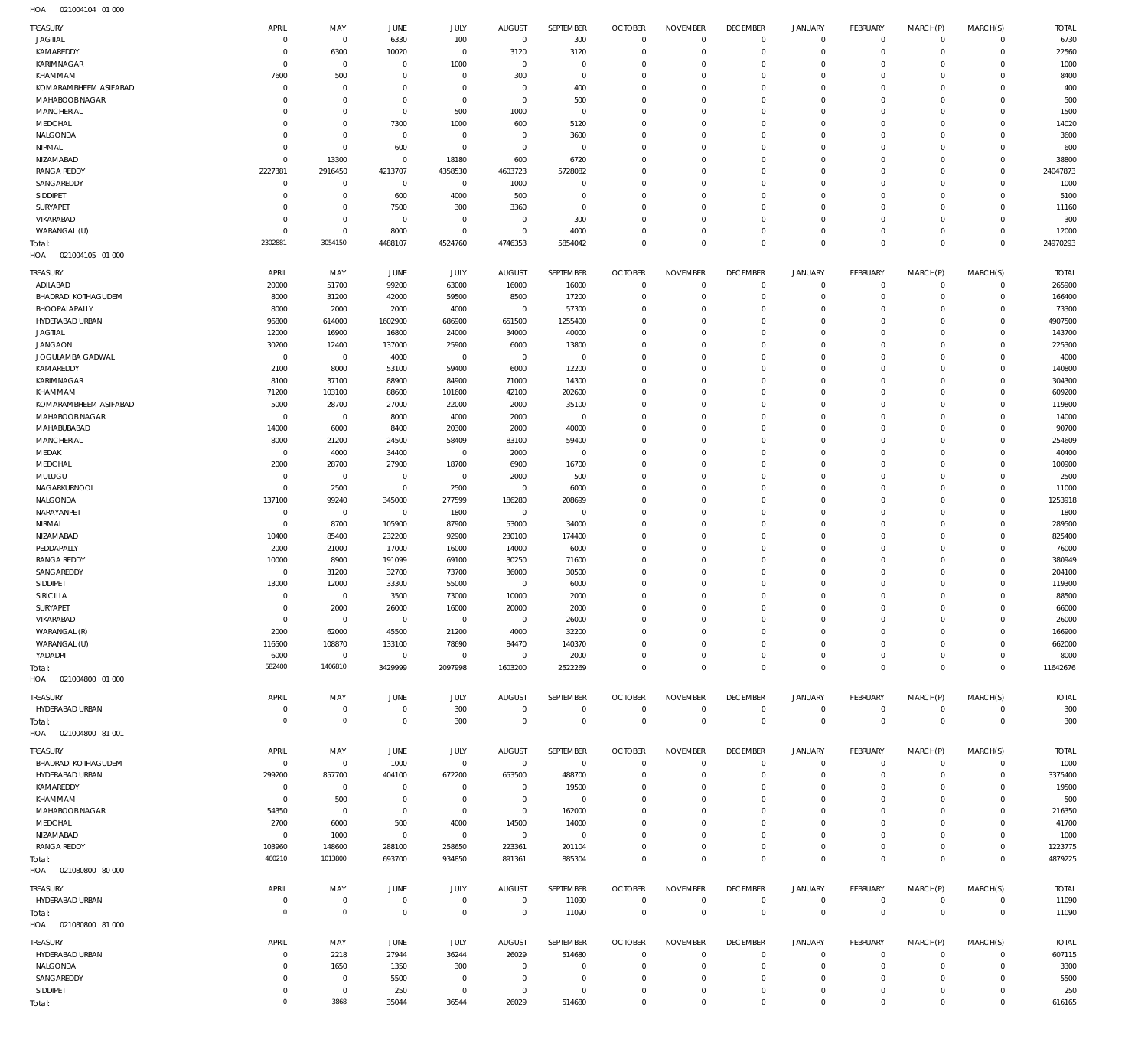| TREASURY                   | APRIL          | MAY         | JUNE           | <b>JULY</b> | <b>AUGUST</b>  | SEPTEMBER           | <b>OCTOBER</b> | <b>NOVEMBER</b> | <b>DECEMBER</b> | <b>JANUARY</b> | FEBRUARY        | MARCH(P)       | MARCH(S)            | <b>TOTAL</b> |
|----------------------------|----------------|-------------|----------------|-------------|----------------|---------------------|----------------|-----------------|-----------------|----------------|-----------------|----------------|---------------------|--------------|
| <b>JAGTIAL</b>             | $^{\circ}$     | $\,0\,$     | 6330           | 100         | $\overline{0}$ | 300                 | $\overline{0}$ | $\mathbf 0$     | $\overline{0}$  | $\mathsf 0$    | $\mathbb O$     | $^{\circ}$     | $\Omega$            | 6730         |
| KAMAREDDY                  | $^{\circ}$     | 6300        | 10020          | $\mathbf 0$ | 3120           | 3120                | $\overline{0}$ | $\mathbf 0$     | $\overline{0}$  | $\mathsf 0$    | $\mathbb O$     | $^{\circ}$     | $\mathbf 0$         | 22560        |
| KARIMNAGAR                 | $\Omega$       | $\,0\,$     | $\overline{0}$ | 1000        | $\mathbf 0$    | $\bf 0$             | $\overline{0}$ | $\mathbf 0$     | $\overline{0}$  | $\mathbf 0$    | $\mathbf 0$     | $\Omega$       | $\Omega$            | 1000         |
| KHAMMAM                    | 7600           | 500         | $^{\circ}$     | $\mathbb O$ | 300            | $\mathbf 0$         | $\overline{0}$ | $\mathbf 0$     | $\overline{0}$  | $\mathbf 0$    | $\mathbf 0$     | $\Omega$       | $\Omega$            | 8400         |
| KOMARAMBHEEM ASIFABAD      | $^{\circ}$     | $\,0\,$     | $\overline{0}$ | $\mathbb O$ | $\mathbf 0$    | 400                 | $\overline{0}$ | $\mathbf 0$     | $\overline{0}$  | $\mathbf 0$    | $\mathbf{0}$    | $\Omega$       | $\Omega$            | 400          |
| MAHABOOB NAGAR             | $\Omega$       | $\mathbf 0$ | $^{\circ}$     | $\mathbf 0$ | $\mathbf 0$    | 500                 | $\overline{0}$ | $\mathbf 0$     | $\overline{0}$  | $\mathbf 0$    | $\mathbf 0$     | $\Omega$       | $\Omega$            | 500          |
| MANCHERIAL                 | $\Omega$       | $\,0\,$     | $\mathbf{0}$   | 500         | 1000           | $\,0\,$             | $\overline{0}$ | $\mathbf 0$     | $\mathbf 0$     | $\mathbf 0$    | $\mathbf{0}$    | $\Omega$       | $\Omega$            | 1500         |
| MEDCHAL                    | $\Omega$       | $\mathbf 0$ | 7300           | 1000        | 600            | 5120                | $\overline{0}$ | $\Omega$        | $\mathbf 0$     | $\mathbf 0$    | $\mathbf 0$     | $\Omega$       | $\Omega$            | 14020        |
| NALGONDA                   | $\mathbf 0$    | $\,0\,$     | $\mathbf 0$    | $\mathbb O$ | $\mathbf 0$    | 3600                | $\overline{0}$ | $\mathbf 0$     | $\mathbf 0$     | $\mathbf 0$    | $\mathbf{0}$    | $\Omega$       | $\Omega$            | 3600         |
| NIRMAL                     | $\Omega$       | $\,0\,$     | 600            | $\mathbf 0$ | $^{\circ}$     | $\bf 0$             | $\overline{0}$ | $\mathbf 0$     | $\overline{0}$  | $\mathbf 0$    | $\mathbf 0$     | $\Omega$       | $\Omega$            | 600          |
| NIZAMABAD                  | $\overline{0}$ | 13300       | $\overline{0}$ | 18180       | 600            | 6720                | $\overline{0}$ | $\mathbf 0$     | $\overline{0}$  | $\mathbf 0$    | $\mathbf 0$     | $\Omega$       | $\circ$             | 38800        |
| <b>RANGA REDDY</b>         | 2227381        | 2916450     | 4213707        | 4358530     | 4603723        | 5728082             | $\overline{0}$ | $\Omega$        | $\mathbf 0$     | $\mathbf 0$    | $\mathbf{0}$    | $\Omega$       | $\circ$             | 24047873     |
| SANGAREDDY                 | $\mathbf 0$    | $\,0\,$     | $\mathbf 0$    | $\mathbf 0$ | 1000           | $\bf 0$             | $\overline{0}$ | $\mathbf 0$     | $\overline{0}$  | $\mathbf 0$    | $\mathbf 0$     | $\Omega$       | $\Omega$            | 1000         |
| SIDDIPET                   | $\Omega$       | $\,0\,$     | 600            | 4000        | 500            | $\mathbf 0$         | $\overline{0}$ | $\mathbf 0$     | $\mathbf 0$     | $\mathbf 0$    | $\mathbf{0}$    | $\Omega$       | $\Omega$            | 5100         |
| SURYAPET                   | $^{\circ}$     | $\,0\,$     | 7500           | 300         | 3360           | $\mathsf{O}\xspace$ | $\overline{0}$ | $\mathbf 0$     | $\overline{0}$  | $\mathbf 0$    | $\mathbf 0$     | $\Omega$       | $\Omega$            | 11160        |
| VIKARABAD                  | $\Omega$       | $\,0\,$     | $\overline{0}$ | $\mathbb O$ | $^{\circ}$     | 300                 | $\mathbf 0$    | $\mathbf 0$     | $\overline{0}$  | $\mathbf 0$    | $\mathbf{0}$    | $\Omega$       | $\Omega$            | 300          |
| WARANGAL (U)               | $^{\circ}$     | $\,0\,$     | 8000           | $\mathbf 0$ | $^{\circ}$     | 4000                | $\overline{0}$ | $\mathbf 0$     | $\overline{0}$  | $\mathbf 0$    | $\mathbf 0$     | $\Omega$       | $\mathbf 0$         | 12000        |
| Total:                     | 2302881        | 3054150     | 4488107        | 4524760     | 4746353        | 5854042             | $\overline{0}$ | $\mathbf 0$     | $\overline{0}$  | $\mathbf 0$    | $\,0\,$         | $\overline{0}$ | $\overline{0}$      | 24970293     |
| HOA<br>021004105 01 000    |                |             |                |             |                |                     |                |                 |                 |                |                 |                |                     |              |
|                            |                |             |                |             |                |                     |                |                 |                 |                |                 |                |                     |              |
| TREASURY                   | APRIL          | MAY         | JUNE           | <b>JULY</b> | <b>AUGUST</b>  | SEPTEMBER           | <b>OCTOBER</b> | <b>NOVEMBER</b> | <b>DECEMBER</b> | <b>JANUARY</b> | <b>FEBRUARY</b> | MARCH(P)       | MARCH(S)            | <b>TOTAL</b> |
| ADILABAD                   | 20000          | 51700       | 99200          | 63000       | 16000          | 16000               | $\overline{0}$ | $\mathbf 0$     | $\overline{0}$  | $\mathsf 0$    | $\mathbf 0$     | $\mathbf{0}$   | $\mathbf 0$         | 265900       |
| <b>BHADRADI KOTHAGUDEM</b> | 8000           | 31200       | 42000          | 59500       | 8500           | 17200               | $\overline{0}$ | $\mathbf 0$     | $\overline{0}$  | $\mathbf 0$    | $\mathbf 0$     | $\Omega$       | $\circ$             | 166400       |
| BHOOPALAPALLY              | 8000           | 2000        | 2000           | 4000        | $\mathbf 0$    | 57300               | $\overline{0}$ | $\mathbf 0$     | $\overline{0}$  | $\mathbf 0$    | $\mathbf 0$     | $\Omega$       | $\Omega$            | 73300        |
| HYDERABAD URBAN            | 96800          | 614000      | 1602900        | 686900      | 651500         | 1255400             | $\mathbf 0$    | $\Omega$        | $\overline{0}$  | $\mathbf 0$    | $\Omega$        | $\Omega$       | $\Omega$            | 4907500      |
| <b>JAGTIAL</b>             | 12000          | 16900       | 16800          | 24000       | 34000          | 40000               | $\mathbf 0$    | $\Omega$        | $\mathbf 0$     | $\mathbf 0$    | $\mathbf 0$     | $\Omega$       | $\Omega$            | 143700       |
| <b>JANGAON</b>             | 30200          | 12400       | 137000         | 25900       | 6000           | 13800               | $\mathbf 0$    | $\Omega$        | $\mathbf 0$     | $\mathbf 0$    | $\mathbf 0$     | $\Omega$       | $\circ$             | 225300       |
| JOGULAMBA GADWAL           | $\mathbf 0$    | $\,0\,$     | 4000           | $\mathbf 0$ | $\mathbf 0$    | $\mathbf 0$         | $\mathbf 0$    | $\Omega$        | $\mathbf 0$     | $\mathbf 0$    | $\mathbf 0$     | $\Omega$       | $\Omega$            | 4000         |
| KAMAREDDY                  | 2100           | 8000        | 53100          | 59400       | 6000           | 12200               | $\mathbf 0$    | $\Omega$        | $\mathbf 0$     | $\mathbf 0$    | $\mathbf 0$     | $\Omega$       | $\Omega$            | 140800       |
| KARIMNAGAR                 | 8100           | 37100       | 88900          | 84900       | 71000          | 14300               | $\mathbf 0$    | $\Omega$        | $\mathbf 0$     | $\mathbf 0$    | $\Omega$        | $\Omega$       | $\Omega$            | 304300       |
| KHAMMAM                    | 71200          | 103100      | 88600          | 101600      | 42100          | 202600              | $\mathbf 0$    | $\mathbf 0$     | $\overline{0}$  | $\mathbf 0$    | $\mathbf 0$     | $\Omega$       | $\Omega$            | 609200       |
| KOMARAMBHEEM ASIFABAD      | 5000           | 28700       | 27000          | 22000       | 2000           | 35100               | $\mathbf 0$    | $\Omega$        | $\mathbf 0$     | $\mathbf 0$    | $\Omega$        | $\Omega$       | $\Omega$            | 119800       |
| MAHABOOB NAGAR             | $\overline{0}$ | $\,0\,$     | 8000           | 4000        | 2000           | $\mathbf 0$         | $\overline{0}$ | $\mathbf 0$     | $\overline{0}$  | $\mathbf 0$    | $\mathbf 0$     | $\Omega$       | $\Omega$            | 14000        |
| MAHABUBABAD                | 14000          | 6000        | 8400           | 20300       | 2000           | 40000               | $\mathbf 0$    | $\Omega$        | $\mathbf 0$     | $\mathbf 0$    | $\Omega$        | $\Omega$       | $\Omega$            | 90700        |
| MANCHERIAL                 | 8000           | 21200       | 24500          | 58409       | 83100          | 59400               | $\overline{0}$ | $\mathbf 0$     | $\overline{0}$  | $\mathbf 0$    | $\circ$         | $\Omega$       | $\circ$             | 254609       |
| MEDAK                      | $^{\circ}$     | 4000        | 34400          | $\mathbf 0$ | 2000           | $\mathbf 0$         | $\mathbf 0$    | $\Omega$        | $\mathbf 0$     | $\mathbf 0$    | $\Omega$        | $\Omega$       | $\Omega$            | 40400        |
| MEDCHAL                    | 2000           | 28700       | 27900          | 18700       | 6900           | 16700               | $\mathbf 0$    | $\Omega$        | $\overline{0}$  | $\mathbf 0$    | $\circ$         | $\Omega$       | $\Omega$            | 100900       |
| MULUGU                     | $\mathbf 0$    | $\,0\,$     | $\overline{0}$ | $\mathbf 0$ | 2000           | 500                 | $\mathbf 0$    | $\Omega$        | $\mathbf 0$     | $\mathbf 0$    | $\mathbf{0}$    | $\Omega$       | $\Omega$            | 2500         |
| NAGARKURNOOL               | $\mathbf 0$    | 2500        | $\mathbf{0}$   | 2500        | $\mathbf 0$    | 6000                | $\mathbf 0$    | $\Omega$        | $\overline{0}$  | $\mathbf 0$    | $\circ$         | $\Omega$       | $\circ$             | 11000        |
| NALGONDA                   | 137100         | 99240       | 345000         | 277599      | 186280         | 208699              | $\mathbf 0$    | $\Omega$        | $\mathbf 0$     | $\mathbf 0$    | $\mathbf{0}$    | $\Omega$       | $\Omega$            | 1253918      |
| NARAYANPET                 | $^{\circ}$     | $\,0\,$     | $^{\circ}$     | 1800        | $\mathbf 0$    | $\mathbf 0$         | $\mathbf 0$    | $\Omega$        | $\mathbf 0$     | $\mathbf 0$    | $\circ$         | $\Omega$       | $\Omega$            | 1800         |
| NIRMAL                     | $\Omega$       | 8700        | 105900         | 87900       | 53000          | 34000               | $\mathbf 0$    | $\Omega$        | $\mathbf 0$     | $\mathbf 0$    | $\mathbf 0$     | $\Omega$       | $\Omega$            | 289500       |
|                            | 10400          |             |                |             |                |                     | $\mathbf 0$    | $\Omega$        | $\mathbf 0$     | $\mathbf 0$    | $\circ$         | $\Omega$       | $\Omega$            | 825400       |
| NIZAMABAD                  |                | 85400       | 232200         | 92900       | 230100         | 174400              | $\mathbf 0$    | $\mathbf 0$     | $\mathbf 0$     | $\mathbf 0$    |                 | $\Omega$       | $\Omega$            |              |
| PEDDAPALLY                 | 2000           | 21000       | 17000          | 16000       | 14000          | 6000                |                | $\Omega$        |                 |                | $\mathbf 0$     | $\Omega$       | $\Omega$            | 76000        |
| <b>RANGA REDDY</b>         | 10000          | 8900        | 191099         | 69100       | 30250          | 71600               | $\mathbf 0$    |                 | $\mathbf 0$     | $\mathbf 0$    | $\circ$         |                |                     | 380949       |
| SANGAREDDY                 | $^{\circ}$     | 31200       | 32700          | 73700       | 36000          | 30500               | $\mathbf 0$    | $\Omega$        | $\mathbf 0$     | $\mathbf 0$    | $\mathbf 0$     | $\Omega$       | $\Omega$            | 204100       |
| SIDDIPET                   | 13000          | 12000       | 33300          | 55000       | $\mathbf 0$    | 6000                | $\mathbf 0$    | $\Omega$        | $\mathbf 0$     | $\Omega$       | $\Omega$        | $\Omega$       | $\Omega$            | 119300       |
| <b>SIRICILLA</b>           | $\overline{0}$ | $\mathbf 0$ | 3500           | 73000       | 10000          | 2000                | $\Omega$       | $\Omega$        | $\Omega$        | $\mathbf 0$    | $\circ$         | $\circ$        | $\circ$             | 88500        |
| SURYAPET                   | $\Omega$       | 2000        | 26000          | 16000       | 20000          | 2000                | $\Omega$       | $\Omega$        | $\mathbf 0$     | $\mathbf 0$    | $\circ$         | $\mathbf 0$    | $\mathsf{O}\xspace$ | 66000        |
| VIKARABAD                  | $\mathbf 0$    | $\,0\,$     | $\mathbf 0$    | $\mathbf 0$ | $\mathbf 0$    | 26000               | $\overline{0}$ | $\Omega$        | $\mathbf 0$     | $\mathbf 0$    | $\mathbf 0$     | $\Omega$       | $\Omega$            | 26000        |
| WARANGAL (R)               | 2000           | 62000       | 45500          | 21200       | 4000           | 32200               | $\mathbf 0$    | $\mathbf 0$     | $\overline{0}$  | $\mathbf 0$    | $\mathbf 0$     | $\Omega$       | $\Omega$            | 166900       |
| WARANGAL (U)               | 116500         | 108870      | 133100         | 78690       | 84470          | 140370              | $\mathbf 0$    | $\mathbf 0$     | $\mathbf 0$     | $\mathbf 0$    | $\mathbf 0$     | $\Omega$       | $\Omega$            | 662000       |
| YADADRI                    | 6000           | $\,0\,$     | $\mathbf 0$    | $\mathbf 0$ | $\overline{0}$ | 2000                | $\mathbf 0$    | $\mathbf 0$     | $\overline{0}$  | $\mathbf 0$    | $\mathbf 0$     | $\Omega$       | $\mathbf 0$         | 8000         |
| Total:                     | 582400         | 1406810     | 3429999        | 2097998     | 1603200        | 2522269             | $\overline{0}$ | $\mathbf 0$     | $\overline{0}$  | $\mathbf 0$    | $\mathbf 0$     | $\overline{0}$ | $\mathbf 0$         | 11642676     |
| HOA<br>021004800 01 000    |                |             |                |             |                |                     |                |                 |                 |                |                 |                |                     |              |
| TREASURY                   | APRIL          | MAY         | JUNE           | JULY        | <b>AUGUST</b>  | SEPTEMBER           | <b>OCTOBER</b> | <b>NOVEMBER</b> | <b>DECEMBER</b> | JANUARY        | FEBRUARY        | MARCH(P)       | MARCH(S)            | <b>TOTAL</b> |
| HYDERABAD URBAN            | $\circ$        | $\,0\,$     | $\mathbf 0$    | 300         | $\mathbf 0$    | 0                   | $\overline{0}$ | $\mathbf 0$     | $\overline{0}$  | $\mathsf 0$    | $\mathbb O$     | $\mathbf 0$    | $\mathbf 0$         | 300          |
| Total:                     | $\mathbf 0$    | $\mathbb O$ | $\mathbf 0$    | 300         | $\overline{0}$ | $\mathsf 0$         | $\overline{0}$ | $\overline{0}$  | $\mathbf 0$     | $\mathbf 0$    | $\,0\,$         | $\overline{0}$ | $\,0\,$             | 300          |
| HOA<br>021004800 81 001    |                |             |                |             |                |                     |                |                 |                 |                |                 |                |                     |              |
|                            |                |             |                |             |                |                     |                |                 |                 |                |                 |                |                     |              |
| TREASURY                   | APRIL          | MAY         | JUNE           | JULY        | AUGUST         | SEPTEMBER           | <b>OCTOBER</b> | <b>NOVEMBER</b> | <b>DECEMBER</b> | JANUARY        | FEBRUARY        | MARCH(P)       | MARCH(S)            | <b>TOTAL</b> |
| <b>BHADRADI KOTHAGUDEM</b> | $\mathbf 0$    | $\,0\,$     | 1000           | $\mathbf 0$ | $\overline{0}$ | $\overline{0}$      | $\overline{0}$ | $\Omega$        | $\overline{0}$  | $\mathbf 0$    | $\mathbf{0}$    | $\Omega$       | $\mathbf 0$         | 1000         |
| HYDERABAD URBAN            | 299200         | 857700      | 404100         | 672200      | 653500         | 488700              | $\overline{0}$ | $\Omega$        | $\overline{0}$  | $\mathbf 0$    | $\mathbf 0$     | $\Omega$       | $\mathbf 0$         | 3375400      |
| KAMAREDDY                  | $^{\circ}$     | $\,0\,$     | $^{\circ}$     | $\mathbf 0$ | $^{\circ}$     | 19500               | $\mathbf 0$    | $\mathbf 0$     | $\mathbf 0$     | 0              | $^{\circ}$      | $\Omega$       | $\mathbf 0$         | 19500        |
| KHAMMAM                    | $\Omega$       | 500         | $\mathbf{0}$   | $\mathbb O$ | $\overline{0}$ | $^{\circ}$          | $\overline{0}$ | $\Omega$        | $\overline{0}$  | $\mathbf 0$    | $\mathbf 0$     | $\Omega$       | $\Omega$            | 500          |
| MAHABOOB NAGAR             | 54350          | $\,0\,$     | $\mathbf{0}$   | $\mathbb O$ | $\overline{0}$ | 162000              | $\mathbf 0$    | $\Omega$        | $\mathbf 0$     | 0              | $^{\circ}$      | $\Omega$       | $\Omega$            | 216350       |
| MEDCHAL                    | 2700           | 6000        | 500            | 4000        | 14500          | 14000               | $\mathbf 0$    | $\Omega$        | $\mathbf 0$     | $\mathbf 0$    | $\circ$         | $\Omega$       | $\Omega$            | 41700        |
| NIZAMABAD                  | $\overline{0}$ | 1000        | $\mathbf 0$    | $\mathbf 0$ | $\overline{0}$ | $\mathbf 0$         | $\mathbf 0$    | $\Omega$        | $\mathbf 0$     | $\mathbf 0$    | $\mathbf 0$     | $\Omega$       | $\mathbf 0$         | 1000         |
| <b>RANGA REDDY</b>         | 103960         | 148600      | 288100         | 258650      | 223361         | 201104              | $\mathbf 0$    | $\mathbf 0$     | $\overline{0}$  | $\mathbf 0$    | $\mathbf 0$     | $\Omega$       | $\mathbf 0$         | 1223775      |
| Total:                     | 460210         | 1013800     | 693700         | 934850      | 891361         | 885304              | $\overline{0}$ | $\mathbf 0$     | $\overline{0}$  | $\overline{0}$ | $\mathbb O$     | $\overline{0}$ | $\mathbb O$         | 4879225      |
| HOA  021080800  80  000    |                |             |                |             |                |                     |                |                 |                 |                |                 |                |                     |              |
|                            |                |             |                |             |                |                     |                |                 |                 |                |                 |                |                     |              |
| TREASURY                   | APRIL          | MAY         | JUNE           | JULY        | <b>AUGUST</b>  | SEPTEMBER           | <b>OCTOBER</b> | <b>NOVEMBER</b> | <b>DECEMBER</b> | <b>JANUARY</b> | FEBRUARY        | MARCH(P)       | MARCH(S)            | <b>TOTAL</b> |
| HYDERABAD URBAN            | 0              | $\mathbb O$ | $\mathbf 0$    | $\mathbb O$ | $\mathbf 0$    | 11090               | $\overline{0}$ | $\mathbf 0$     | $\overline{0}$  | $\mathsf 0$    | $\mathbb O$     | $^{\circ}$     | $\mathbf 0$         | 11090        |
| Total:                     | $\overline{0}$ | $\mathbb O$ | $\mathbf 0$    | $\mathsf 0$ | $\overline{0}$ | 11090               | $\overline{0}$ | $\overline{0}$  | $\mathbf 0$     | $\mathbf 0$    | $\,0\,$         | $\overline{0}$ | $\mathbb O$         | 11090        |
| HOA<br>021080800 81 000    |                |             |                |             |                |                     |                |                 |                 |                |                 |                |                     |              |
| TREASURY                   | APRIL          | MAY         | JUNE           | JULY        | <b>AUGUST</b>  | SEPTEMBER           | <b>OCTOBER</b> | <b>NOVEMBER</b> | <b>DECEMBER</b> | <b>JANUARY</b> | FEBRUARY        | MARCH(P)       | MARCH(S)            | <b>TOTAL</b> |
| HYDERABAD URBAN            | $\Omega$       | 2218        | 27944          | 36244       | 26029          | 514680              | $\overline{0}$ | $\Omega$        | $\overline{0}$  | $\mathsf 0$    | $\mathbf 0$     | $\Omega$       | $\mathbf 0$         | 607115       |
| NALGONDA                   | $\Omega$       | 1650        | 1350           | 300         | $^{\circ}$     | $\mathbf 0$         | $\overline{0}$ | $\mathbf 0$     | $\overline{0}$  | $\mathbf 0$    | $\mathbf 0$     | $\Omega$       | $\mathbf 0$         | 3300         |
| SANGAREDDY                 | $\Omega$       | $\mathbb O$ | 5500           | $\mathbf 0$ | $\mathbf 0$    | $\bf 0$             | $\overline{0}$ | $\mathbf 0$     | $\overline{0}$  | $\mathbf 0$    | $\mathbf 0$     | $\Omega$       | $\mathbf 0$         | 5500         |
| SIDDIPET                   | $\mathbf 0$    | $\mathbb O$ | 250            | 0           | $\mathbf 0$    | $\mathbf 0$         | $\overline{0}$ | $\mathbf 0$     | $\overline{0}$  | $\mathbf 0$    | $\mathbb O$     | $\mathbf 0$    | $\mathbf 0$         | 250          |
| Total:                     | $\circ$        | 3868        | 35044          | 36544       | 26029          | 514680              | $\mathbf 0$    | $\mathbf 0$     | $\overline{0}$  | $\mathbf 0$    | $\mathbf 0$     | $\mathbf 0$    | $\mathbb O$         | 616165       |
|                            |                |             |                |             |                |                     |                |                 |                 |                |                 |                |                     |              |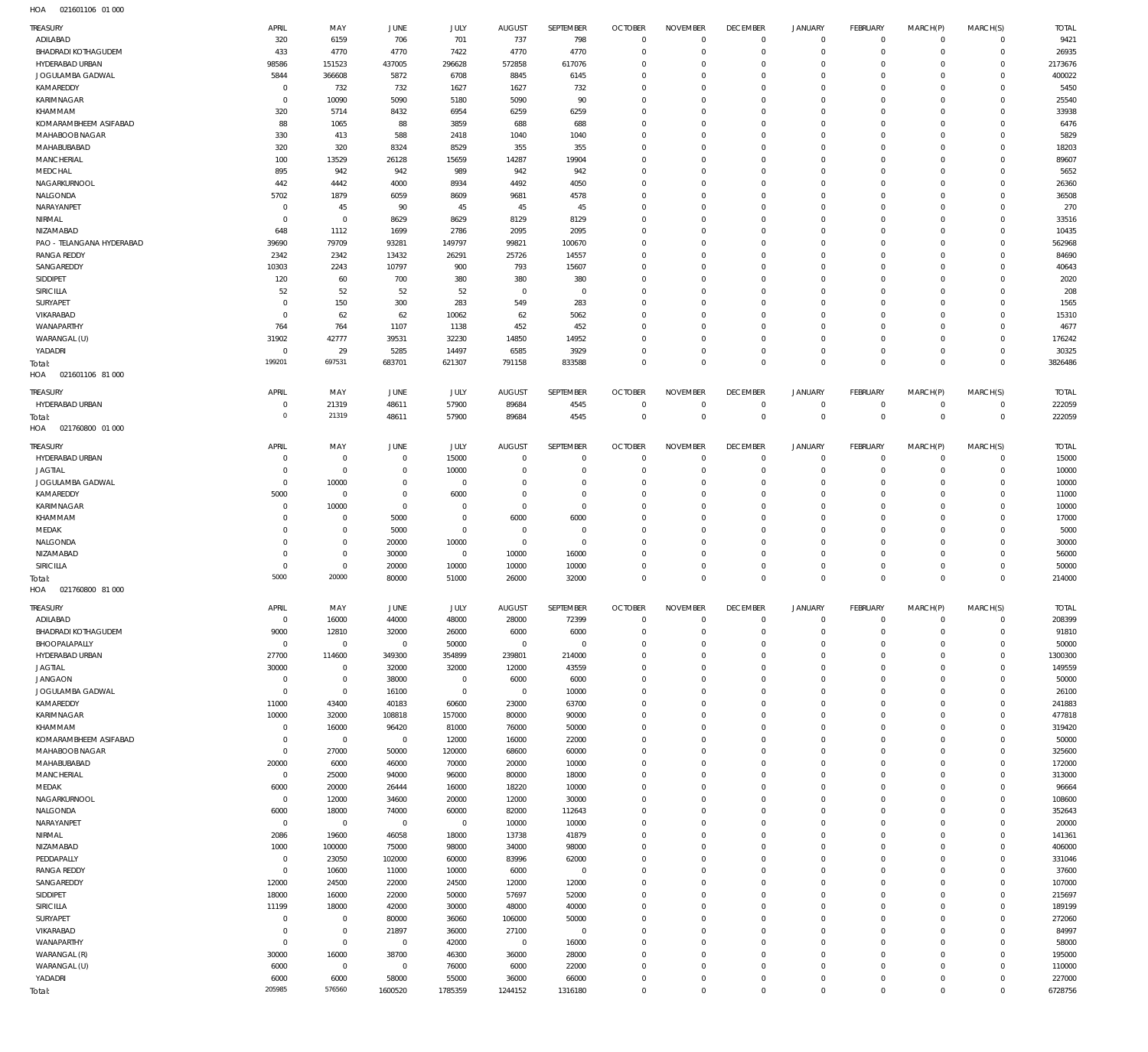| TREASURY                           | APRIL                     | MAY                        | <b>JUNE</b>      | JULY                 | <b>AUGUST</b>                    | SEPTEMBER                 | <b>OCTOBER</b>                   | <b>NOVEMBER</b>          | <b>DECEMBER</b>               | <b>JANUARY</b>                | <b>FEBRUARY</b>              | MARCH(P)                | MARCH(S)                   | <b>TOTAL</b>      |
|------------------------------------|---------------------------|----------------------------|------------------|----------------------|----------------------------------|---------------------------|----------------------------------|--------------------------|-------------------------------|-------------------------------|------------------------------|-------------------------|----------------------------|-------------------|
| ADILABAD                           | 320                       | 6159                       | 706              | 701                  | 737                              | 798                       | $\overline{0}$                   | $\mathbf{0}$             | $\overline{0}$                | 0                             | $\mathbf 0$                  | $\Omega$                | $\Omega$                   | 9421              |
| <b>BHADRADI KOTHAGUDEM</b>         | 433                       | 4770                       | 4770             | 7422                 | 4770                             | 4770                      | $\overline{0}$                   | $\mathbf 0$              | $\mathbf{0}$                  | $\mathbf 0$                   | $\mathbf 0$                  | $\Omega$                | $\circ$                    | 26935             |
| HYDERABAD URBAN                    | 98586                     | 151523                     | 437005           | 296628               | 572858                           | 617076                    | $\overline{0}$                   | $\Omega$                 | $\mathbf 0$                   | $\circ$                       | $\mathbf 0$                  | $\Omega$                | $\circ$                    | 2173676           |
| JOGULAMBA GADWAL                   | 5844                      | 366608                     | 5872             | 6708                 | 8845                             | 6145                      | $\overline{0}$                   | $\Omega$                 | $\mathbf 0$                   | $\mathbf 0$                   | $\mathbf{0}$                 | $\Omega$                | $\Omega$                   | 400022            |
| KAMAREDDY<br>KARIMNAGAR            | $\mathbf 0$<br>$^{\circ}$ | 732<br>10090               | 732<br>5090      | 1627<br>5180         | 1627<br>5090                     | 732<br>90                 | $\overline{0}$<br>$\overline{0}$ | $\Omega$<br>$\mathbf 0$  | $\mathbf 0$<br>$\overline{0}$ | $\circ$<br>$\mathbf 0$        | $\mathbf{0}$<br>$\mathbf{0}$ | $\Omega$<br>$\Omega$    | $\Omega$<br>$\Omega$       | 5450<br>25540     |
| KHAMMAM                            | 320                       | 5714                       | 8432             | 6954                 | 6259                             | 6259                      | $\overline{0}$                   | $\Omega$                 | $\Omega$                      | $\Omega$                      | $\mathbf 0$                  | $\Omega$                | $\Omega$                   | 33938             |
| KOMARAMBHEEM ASIFABAD              | 88                        | 1065                       | 88               | 3859                 | 688                              | 688                       | $\overline{0}$                   | $\Omega$                 | $^{\circ}$                    | $\Omega$                      | $\mathbf{0}$                 | $\Omega$                | $\Omega$                   | 6476              |
| MAHABOOB NAGAR                     | 330                       | 413                        | 588              | 2418                 | 1040                             | 1040                      | $\overline{0}$                   | $\Omega$                 | $\mathbf 0$                   | $\mathbf 0$                   | $\mathbf{0}$                 | $\Omega$                | $\Omega$                   | 5829              |
| MAHABUBABAD                        | 320                       | 320                        | 8324             | 8529                 | 355                              | 355                       | $\overline{0}$                   | $\Omega$                 | $^{\circ}$                    | $\Omega$                      | $\mathbf{0}$                 | $\Omega$                | $\Omega$                   | 18203             |
| MANCHERIAL                         | 100                       | 13529                      | 26128            | 15659                | 14287                            | 19904                     | $\overline{0}$                   | $\Omega$                 | $\mathbf 0$                   | $\mathbf 0$                   | $\mathbf{0}$                 | $\Omega$                | $\Omega$                   | 89607             |
| MEDCHAL                            | 895                       | 942                        | 942              | 989                  | 942                              | 942                       | $\overline{0}$                   | $\Omega$                 | $\Omega$                      | $\Omega$                      | $\Omega$                     | $\Omega$                | $\Omega$                   | 5652              |
| NAGARKURNOOL                       | 442                       | 4442                       | 4000             | 8934                 | 4492                             | 4050                      | $\overline{0}$                   | $\Omega$                 | $\mathbf 0$                   | $\mathbf 0$                   | $\mathbf{0}$                 | $\Omega$                | $\Omega$                   | 26360             |
| NALGONDA                           | 5702                      | 1879                       | 6059             | 8609                 | 9681                             | 4578                      | $\overline{0}$<br>$\overline{0}$ | $\Omega$<br>$\Omega$     | $\Omega$                      | $\Omega$                      | $\mathbf{0}$                 | $\Omega$                | $\Omega$<br>$\Omega$       | 36508             |
| NARAYANPET<br>NIRMAL               | $^{\circ}$<br>$^{\circ}$  | 45<br>$\overline{0}$       | 90<br>8629       | 45<br>8629           | 45<br>8129                       | 45<br>8129                | $\overline{0}$                   | $\Omega$                 | $^{\circ}$<br>$\Omega$        | $\mathbf 0$<br>$\Omega$       | $\mathbf 0$<br>$\Omega$      | $\Omega$<br>$\Omega$    | $\Omega$                   | 270<br>33516      |
| NIZAMABAD                          | 648                       | 1112                       | 1699             | 2786                 | 2095                             | 2095                      | $\overline{0}$                   | $\Omega$                 | $^{\circ}$                    | $\circ$                       | $\mathbf{0}$                 | $\Omega$                | $\Omega$                   | 10435             |
| PAO - TELANGANA HYDERABAD          | 39690                     | 79709                      | 93281            | 149797               | 99821                            | 100670                    | $\overline{0}$                   | $\Omega$                 | $\Omega$                      | $\Omega$                      | $\mathbf{0}$                 | $\Omega$                | $\Omega$                   | 562968            |
| <b>RANGA REDDY</b>                 | 2342                      | 2342                       | 13432            | 26291                | 25726                            | 14557                     | $\overline{0}$                   | $\Omega$                 | $\mathbf{0}$                  | $^{\circ}$                    | $\mathbf 0$                  | $\Omega$                | $\Omega$                   | 84690             |
| SANGAREDDY                         | 10303                     | 2243                       | 10797            | 900                  | 793                              | 15607                     | $\overline{0}$                   | $\Omega$                 | $\mathbf 0$                   | $\Omega$                      | $\mathbf{0}$                 | $\Omega$                | $\Omega$                   | 40643             |
| SIDDIPET                           | 120                       | 60                         | 700              | 380                  | 380                              | 380                       | $\overline{0}$                   | $\Omega$                 | $\mathbf{0}$                  | $^{\circ}$                    | $\mathbf{0}$                 | $\Omega$                | $\Omega$                   | 2020              |
| SIRICILLA                          | 52                        | 52                         | 52               | 52                   | $\overline{0}$                   | $\overline{0}$            | $\overline{0}$                   | $\mathbf 0$              | $\mathbf 0$                   | $\Omega$                      | $\mathbf{0}$                 | $\Omega$                | $\Omega$                   | 208               |
| <b>SURYAPET</b><br>VIKARABAD       | $\Omega$<br>$^{\circ}$    | 150                        | 300              | 283<br>10062         | 549<br>62                        | 283<br>5062               | $\overline{0}$<br>$\overline{0}$ | $\Omega$<br>$\mathbf 0$  | $\Omega$<br>$^{\circ}$        | $\Omega$<br>$\Omega$          | $\mathbf{0}$<br>$\mathbf{0}$ | $\Omega$<br>$\Omega$    | $\Omega$<br>$\Omega$       | 1565<br>15310     |
| WANAPARTHY                         | 764                       | 62<br>764                  | 62<br>1107       | 1138                 | 452                              | 452                       | $\overline{0}$                   | $\Omega$                 | $\mathbf 0$                   | $\mathbf 0$                   | $\mathbf{0}$                 | $\Omega$                | $\Omega$                   | 4677              |
| WARANGAL (U)                       | 31902                     | 42777                      | 39531            | 32230                | 14850                            | 14952                     | $\overline{0}$                   | $\mathbf 0$              | $^{\circ}$                    | $\circ$                       | $\mathbf 0$                  | $\Omega$                | $\Omega$                   | 176242            |
| YADADRI                            | $^{\circ}$                | 29                         | 5285             | 14497                | 6585                             | 3929                      | $\overline{0}$                   | $\Omega$                 | $\mathbf{0}$                  | $\mathbf 0$                   | $\mathbf 0$                  | $\Omega$                | $\Omega$                   | 30325             |
| Total:                             | 199201                    | 697531                     | 683701           | 621307               | 791158                           | 833588                    | $\overline{0}$                   | $\Omega$                 | $\mathbf{0}$                  | $\Omega$                      | $\overline{0}$               | $\Omega$                | $\overline{0}$             | 3826486           |
| HOA<br>021601106 81 000            |                           |                            |                  |                      |                                  |                           |                                  |                          |                               |                               |                              |                         |                            |                   |
| TREASURY                           | APRIL                     | MAY                        | JUNE             | JULY                 | <b>AUGUST</b>                    | SEPTEMBER                 | <b>OCTOBER</b>                   | <b>NOVEMBER</b>          | <b>DECEMBER</b>               | <b>JANUARY</b>                | <b>FEBRUARY</b>              | MARCH(P)                | MARCH(S)                   | <b>TOTAL</b>      |
| HYDERABAD URBAN                    | $^{\circ}$<br>$\circ$     | 21319<br>21319             | 48611<br>48611   | 57900<br>57900       | 89684<br>89684                   | 4545<br>4545              | $\overline{0}$<br>$\overline{0}$ | $\mathbf{0}$<br>$\Omega$ | $\mathbf 0$<br>$\mathbb O$    | 0<br>$\mathbb O$              | $^{\circ}$<br>$\mathbf{0}$   | $^{\circ}$<br>$\Omega$  | $\mathbf 0$<br>$\mathbb O$ | 222059<br>222059  |
| Total:<br>HOA<br>021760800 01 000  |                           |                            |                  |                      |                                  |                           |                                  |                          |                               |                               |                              |                         |                            |                   |
| TREASURY                           | APRIL                     | MAY                        | <b>JUNE</b>      | JULY                 | <b>AUGUST</b>                    | SEPTEMBER                 | <b>OCTOBER</b>                   | <b>NOVEMBER</b>          | <b>DECEMBER</b>               | <b>JANUARY</b>                | <b>FEBRUARY</b>              | MARCH(P)                | MARCH(S)                   | <b>TOTAL</b>      |
| HYDERABAD URBAN                    | $\Omega$                  | $\mathbf 0$                | $\mathbf 0$      | 15000                | $\overline{0}$                   | $\mathbf 0$               | $\overline{0}$                   | $\mathbf 0$              | $\mathbf{0}$                  | $\circ$                       | $^{\circ}$                   | $\Omega$                | $\Omega$                   | 15000             |
| <b>JAGTIAL</b>                     | $\Omega$                  | $\mathbf 0$                | $\overline{0}$   | 10000                | $\overline{0}$                   | $\mathbf 0$               | $\overline{0}$                   | $\mathbf 0$              | $\mathbf{0}$                  | $\circ$                       | $\mathbf 0$                  | $\Omega$                | $\Omega$                   | 10000             |
| JOGULAMBA GADWAL                   | $^{\circ}$                | 10000                      | $\mathbf 0$      | 0                    | $\overline{0}$                   | $\mathbf 0$               | $\overline{0}$                   | $\mathbf 0$              | $\mathbf{0}$                  | $\mathbf 0$                   | $\mathbf{0}$                 | $\Omega$                | $\Omega$                   | 10000             |
| KAMAREDDY                          | 5000                      | $\mathbf 0$                | $\mathbf 0$      | 6000                 | $\overline{0}$                   | $\mathbf 0$               | $\overline{0}$                   | $\Omega$                 | $\mathbf{0}$                  | $\circ$                       | $\mathbf 0$                  | $\Omega$                | $\Omega$                   | 11000             |
| KARIMNAGAR                         | $^{\circ}$                | 10000                      | $\overline{0}$   | $\mathbf 0$          | $\overline{0}$                   | $\mathbf 0$               | $\overline{0}$                   | $\Omega$                 | $^{\circ}$                    | $\Omega$                      | $\mathbf{0}$                 | $\Omega$                | $\Omega$                   | 10000             |
| KHAMMAM                            | $\Omega$                  | $^{\circ}$                 | 5000             | $\mathbf 0$          | 6000                             | 6000                      | $\overline{0}$                   | $\Omega$                 | $\mathbf{0}$                  | $\circ$                       | $\mathbf{0}$                 | $\Omega$                | $\Omega$                   | 17000             |
| MEDAK<br>NALGONDA                  | $\Omega$<br>$\Omega$      | $\mathbf 0$<br>$\mathbf 0$ | 5000<br>20000    | $\mathbf 0$<br>10000 | $\overline{0}$<br>$\overline{0}$ | $^{\circ}$<br>$\mathbf 0$ | $\overline{0}$<br>$\overline{0}$ | $\mathbf 0$<br>$\Omega$  | $^{\circ}$<br>$\mathbf 0$     | $\Omega$<br>$\mathbf 0$       | $\mathbf{0}$<br>$\mathbf 0$  | $\Omega$<br>$\Omega$    | $\Omega$<br>$\Omega$       | 5000<br>30000     |
| NIZAMABAD                          | $\Omega$                  | $\mathbf 0$                | 30000            | $\mathbf 0$          | 10000                            | 16000                     | $\overline{0}$                   | $\Omega$                 | $^{\circ}$                    | $^{\circ}$                    | $\mathbf 0$                  | $\Omega$                | $\Omega$                   | 56000             |
| SIRICILLA                          | $^{\circ}$                | $\mathbb O$                | 20000            | 10000                | 10000                            | 10000                     | $\overline{0}$                   | $\mathbf 0$              | $\mathbf{0}$                  | $\mathbf 0$                   | $\mathbf 0$                  | $\Omega$                | $\Omega$                   | 50000             |
| Total:                             | 5000                      | 20000                      | 80000            | 51000                | 26000                            | 32000                     | $\Omega$                         | $\Omega$                 | $\Omega$                      | $\mathbf 0$                   | $\overline{0}$               | $\Omega$                | $\overline{0}$             | 214000            |
| 021760800 81 000<br>HOA            |                           |                            |                  |                      |                                  |                           |                                  |                          |                               |                               |                              |                         |                            |                   |
| <b>TREASURY</b>                    | <b>APRIL</b>              | MAY                        | JUNE             | JULY                 | <b>AUGUST</b>                    | <b>SEPTEMBER</b>          | <b>OCTOBER</b>                   | <b>NOVEMBER</b>          | <b>DECEMBER</b>               | <b>JANUARY</b>                | <b>FEBRUARY</b>              | MARCH(P)                | MARCH(S)                   | <b>TOTAL</b>      |
| ADILABAD                           | $\mathbb O$               | 16000                      | 44000            | 48000                | 28000                            | 72399                     | $\overline{0}$                   | $\Omega$                 | $\mathbf 0$                   | $\circ$                       | $\mathbf{0}$                 | $\Omega$                | $\Omega$                   | 208399            |
| <b>BHADRADI KOTHAGUDEM</b>         | 9000                      | 12810                      | 32000            | 26000                | 6000                             | 6000                      | $\overline{0}$                   | $\mathbf 0$              | $\mathbf{0}$                  | $\mathbf 0$                   | $\mathbf 0$                  | $\Omega$                | $\circ$                    | 91810             |
| BHOOPALAPALLY                      | $\mathbf 0$               | $\mathbf 0$                | $\mathbf 0$      | 50000                | $\,0\,$                          | $\overline{0}$            | $\overline{0}$                   | $\mathbf 0$              | $\mathbf{0}$                  | $\mathbf 0$                   | $\mathbf 0$                  | $\Omega$                | $\Omega$                   | 50000             |
| HYDERABAD URBAN                    | 27700                     | 114600                     | 349300           | 354899               | 239801                           | 214000                    | $\overline{0}$                   | $\Omega$                 | $\mathbf{0}$                  | $\circ$                       | $\circ$                      | $\Omega$                | $\circ$                    | 1300300           |
| <b>JAGTIAL</b>                     | 30000<br>$\mathbf 0$      | $\mathbf 0$<br>$\mathbf 0$ | 32000            | 32000<br>$\mathbf 0$ | 12000                            | 43559                     | $\overline{0}$<br>$\overline{0}$ | $\Omega$<br>$\Omega$     | $\mathbf 0$<br>$\Omega$       | $\mathbf 0$<br>$\Omega$       | $\mathbf 0$                  | $\Omega$<br>$\Omega$    | $\Omega$<br>$\Omega$       | 149559            |
| <b>JANGAON</b><br>JOGULAMBA GADWAL | $\mathbf 0$               | $\mathbf 0$                | 38000<br>16100   | $\mathbf 0$          | 6000<br>$\overline{0}$           | 6000<br>10000             | $\overline{0}$                   | $\Omega$                 | $\Omega$                      | $\Omega$                      | $\mathbf 0$<br>$\mathbf 0$   | $\Omega$                | $\Omega$                   | 50000<br>26100    |
| KAMAREDDY                          | 11000                     | 43400                      | 40183            | 60600                | 23000                            | 63700                     | $\overline{0}$                   | $\Omega$                 | $\mathbf 0$                   | $\Omega$                      | $\mathbf 0$                  | $\Omega$                | $\Omega$                   | 241883            |
| KARIMNAGAR                         | 10000                     | 32000                      | 108818           | 157000               | 80000                            | 90000                     | $\overline{0}$                   | $\Omega$                 | $\Omega$                      | $\Omega$                      | $\mathbf 0$                  | $\Omega$                | $\Omega$                   | 477818            |
| KHAMMAM                            | $\mathbf 0$               | 16000                      | 96420            | 81000                | 76000                            | 50000                     | $\overline{0}$                   | $\Omega$                 | $\mathbf 0$                   | $\Omega$                      | $\mathbf 0$                  | $\Omega$                | $\Omega$                   | 319420            |
| KOMARAMBHEEM ASIFABAD              | $^{\circ}$                | $\mathbf 0$                | $\mathbf 0$      | 12000                | 16000                            | 22000                     | $\overline{0}$                   | $\Omega$                 | $\Omega$                      | $\Omega$                      | $\mathbf 0$                  | $\Omega$                | $\Omega$                   | 50000             |
| MAHABOOB NAGAR                     | $\mathbf 0$               | 27000                      | 50000            | 120000               | 68600                            | 60000                     | $\overline{0}$                   | $\Omega$                 | $\mathbf 0$                   | $\mathbf 0$                   | $\mathbf 0$                  | $\Omega$                | $\circ$                    | 325600            |
| MAHABUBABAD                        | 20000                     | 6000                       | 46000            | 70000                | 20000                            | 10000                     | $\mathbf 0$                      | $\Omega$                 | $\Omega$                      | $\Omega$                      | $\mathbf 0$                  | $\Omega$                | $\Omega$                   | 172000            |
| MANCHERIAL<br>MEDAK                | $\mathbf 0$<br>6000       | 25000<br>20000             | 94000<br>26444   | 96000<br>16000       | 80000<br>18220                   | 18000<br>10000            | $\overline{0}$<br>$\mathbf 0$    | $\Omega$<br>$\Omega$     | $\mathbf{0}$<br>$\Omega$      | $\circ$<br>$\Omega$           | $\mathbf 0$<br>$\mathbf 0$   | $\Omega$<br>$\Omega$    | $\circ$<br>$\Omega$        | 313000<br>96664   |
| NAGARKURNOOL                       | $\mathbf 0$               | 12000                      | 34600            | 20000                | 12000                            | 30000                     | $\overline{0}$                   | $\Omega$                 | $\mathbf{0}$                  | $\circ$                       | $\mathbf 0$                  | $\Omega$                | $\circ$                    | 108600            |
| NALGONDA                           | 6000                      | 18000                      | 74000            | 60000                | 82000                            | 112643                    | $\mathbf 0$                      | $\Omega$                 | $\mathbf 0$                   | $\Omega$                      | $\mathbf{0}$                 | $\Omega$                | $\Omega$                   | 352643            |
| NARAYANPET                         | $\mathbf 0$               | $\mathbf 0$                | $\mathbf 0$      | $\mathsf{O}\xspace$  | 10000                            | 10000                     | $\overline{0}$                   | $\Omega$                 | $\mathbf{0}$                  | $\circ$                       | $\mathbf 0$                  | $\Omega$                | $\Omega$                   | 20000             |
| NIRMAL                             | 2086                      | 19600                      | 46058            | 18000                | 13738                            | 41879                     | $\mathbf 0$                      | $\Omega$                 | $\mathbf 0$                   | $\Omega$                      | $\mathbf 0$                  | $\Omega$                | $\Omega$                   | 141361            |
| NIZAMABAD                          | 1000                      | 100000                     | 75000            | 98000                | 34000                            | 98000                     | $\overline{0}$                   | $\Omega$                 | $\Omega$                      | $\Omega$                      | $\circ$                      | $\Omega$                | $\Omega$                   | 406000            |
| PEDDAPALLY                         | $\mathbf 0$               | 23050                      | 102000           | 60000                | 83996                            | 62000                     | $\overline{0}$                   | $\Omega$                 | $\mathbf 0$                   | $\Omega$                      | $\mathbf 0$                  | $\Omega$                | $\Omega$                   | 331046            |
| <b>RANGA REDDY</b>                 | $\Omega$                  | 10600                      | 11000            | 10000                | 6000                             | $\overline{0}$            | $\overline{0}$                   | $\Omega$                 | $\Omega$                      | $\Omega$                      | $\circ$                      | $\Omega$                | $\Omega$                   | 37600             |
| SANGAREDDY<br>SIDDIPET             | 12000<br>18000            | 24500<br>16000             | 22000<br>22000   | 24500<br>50000       | 12000<br>57697                   | 12000<br>52000            | $\overline{0}$<br>$\overline{0}$ | $\Omega$<br>$\Omega$     | $\Omega$<br>$\mathbf 0$       | $\Omega$<br>$\Omega$          | $\mathbf 0$<br>$\mathbf 0$   | $\Omega$<br>$\Omega$    | $\Omega$<br>$\Omega$       | 107000<br>215697  |
| <b>SIRICILLA</b>                   | 11199                     | 18000                      | 42000            | 30000                | 48000                            | 40000                     | $\overline{0}$                   | $\Omega$                 | $\Omega$                      | $\Omega$                      | $\mathbf 0$                  | $\Omega$                | $\Omega$                   | 189199            |
| SURYAPET                           | $\mathbf 0$               | $\mathbf 0$                | 80000            | 36060                | 106000                           | 50000                     | $\overline{0}$                   | $\Omega$                 | $\mathbf 0$                   | $\Omega$                      | $\mathbf 0$                  | $\Omega$                | $\Omega$                   | 272060            |
| VIKARABAD                          | $^{\circ}$                | $\mathbf 0$                | 21897            | 36000                | 27100                            | $\overline{0}$            | $\overline{0}$                   | $\Omega$                 | $\Omega$                      | $\Omega$                      | $\mathbf 0$                  | $\Omega$                | $\Omega$                   | 84997             |
| WANAPARTHY                         | $\mathbf 0$               | $\mathbf 0$                | $\mathbf 0$      | 42000                | $\overline{0}$                   | 16000                     | $\overline{0}$                   | $\Omega$                 | $\mathbf{0}$                  | $\mathbf 0$                   | $\mathbf 0$                  | $\Omega$                | $\Omega$                   | 58000             |
| WARANGAL (R)                       | 30000                     | 16000                      | 38700            | 46300                | 36000                            | 28000                     | $\mathbf 0$                      | $\Omega$                 | $\Omega$                      | $\Omega$                      | $\circ$                      | $\Omega$                | $\Omega$                   | 195000            |
| WARANGAL (U)                       |                           |                            |                  |                      |                                  |                           |                                  |                          |                               |                               |                              |                         |                            |                   |
|                                    | 6000                      | $\mathbf 0$                | $\mathbf 0$      | 76000                | 6000                             | 22000                     | $\overline{0}$                   | $\Omega$                 | $\mathbf{0}$                  | $\mathbf 0$                   | $\mathbf 0$                  | $\Omega$                | $\circ$                    | 110000            |
| YADADRI<br>Total:                  | 6000<br>205985            | 6000<br>576560             | 58000<br>1600520 | 55000<br>1785359     | 36000<br>1244152                 | 66000<br>1316180          | $\mathbf 0$<br>$\overline{0}$    | $\Omega$<br>$\mathbf 0$  | $\mathbf 0$<br>$\overline{0}$ | $\mathbf 0$<br>$\overline{0}$ | $\mathbf 0$<br>$\mathbb O$   | $\Omega$<br>$\mathbf 0$ | $\Omega$<br>$\mathbb O$    | 227000<br>6728756 |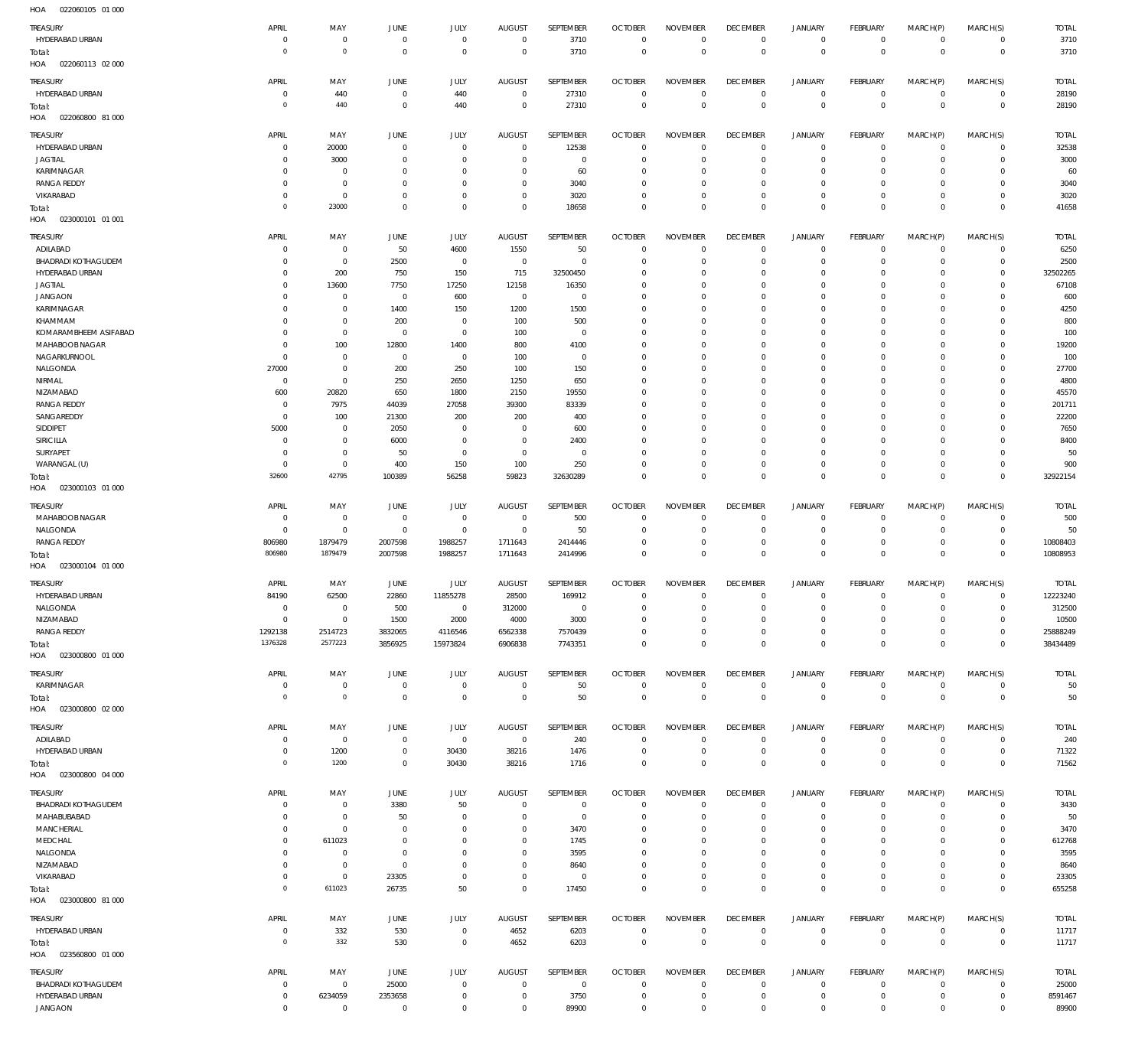| $\cdot$ .                  |              |                     |                |                |                |              |                |                     |                 |                |                 |                |                |              |
|----------------------------|--------------|---------------------|----------------|----------------|----------------|--------------|----------------|---------------------|-----------------|----------------|-----------------|----------------|----------------|--------------|
| TREASURY                   | APRIL        | MAY                 | <b>JUNE</b>    | JULY           | <b>AUGUST</b>  | SEPTEMBER    | <b>OCTOBER</b> | <b>NOVEMBER</b>     | <b>DECEMBER</b> | JANUARY        | FEBRUARY        | MARCH(P)       | MARCH(S)       | <b>TOTAL</b> |
| HYDERABAD URBAN            | $^{\circ}$   | $\mathbf 0$         | $\mathbf 0$    | $\mathbf 0$    | $\mathbf 0$    | 3710         | $\overline{0}$ | $\mathbf 0$         | $\overline{0}$  | $\mathbf 0$    | $\mathbf{0}$    | $\mathbf 0$    | $\mathbf{0}$   | 3710         |
| Total:                     | $\circ$      | $\mathbb O$         | $\overline{0}$ | $\mathbf 0$    | $^{\circ}$     | 3710         | $\overline{0}$ | $\mathbf 0$         | $\mathbf 0$     | $\mathbf 0$    | $\overline{0}$  | $\mathbf 0$    | $\overline{0}$ | 3710         |
|                            |              |                     |                |                |                |              |                |                     |                 |                |                 |                |                |              |
| HOA<br>022060113 02 000    |              |                     |                |                |                |              |                |                     |                 |                |                 |                |                |              |
| TREASURY                   | APRIL        | MAY                 | <b>JUNE</b>    | JULY           | <b>AUGUST</b>  | SEPTEMBER    | <b>OCTOBER</b> | <b>NOVEMBER</b>     | <b>DECEMBER</b> | <b>JANUARY</b> | FEBRUARY        | MARCH(P)       | MARCH(S)       | <b>TOTAL</b> |
| HYDERABAD URBAN            | $^{\circ}$   | 440                 | $\circ$        | 440            | $^{\circ}$     | 27310        | $\overline{0}$ | $\mathbf 0$         | $\overline{0}$  | $\overline{0}$ | $\mathbf{0}$    | $\mathbf 0$    | $\circ$        | 28190        |
|                            |              |                     |                |                |                |              |                |                     |                 |                |                 |                |                |              |
| Total:                     | $\circ$      | 440                 | $\circ$        | 440            | $^{\circ}$     | 27310        | $\overline{0}$ | $\bf 0$             | $\overline{0}$  | $\bf 0$        | $\overline{0}$  | $\mathbf 0$    | $\overline{0}$ | 28190        |
| HOA<br>022060800 81 000    |              |                     |                |                |                |              |                |                     |                 |                |                 |                |                |              |
|                            |              |                     |                |                |                |              |                |                     |                 |                |                 |                |                |              |
| TREASURY                   | APRIL        | MAY                 | <b>JUNE</b>    | <b>JULY</b>    | <b>AUGUST</b>  | SEPTEMBER    | <b>OCTOBER</b> | <b>NOVEMBER</b>     | <b>DECEMBER</b> | <b>JANUARY</b> | FEBRUARY        | MARCH(P)       | MARCH(S)       | <b>TOTAL</b> |
| HYDERABAD URBAN            | $\Omega$     | 20000               | $^{\circ}$     | $\Omega$       | $\mathbf{0}$   | 12538        | $\mathbf 0$    | $\Omega$            | $\mathbf 0$     | $\mathbf 0$    | $\mathbf 0$     | $\mathbf 0$    | $\mathbf 0$    | 32538        |
| <b>JAGTIAL</b>             | $\Omega$     | 3000                | $^{\circ}$     | $\Omega$       | $\Omega$       | $\mathbf 0$  | $\mathbf 0$    | $\Omega$            | $\mathbf 0$     | $\mathbf 0$    | $^{\circ}$      | $\Omega$       | $\mathbf 0$    | 3000         |
| KARIMNAGAR                 | $\Omega$     | $^{\circ}$          | $^{\circ}$     | $\Omega$       | $\Omega$       | 60           | $\mathbf 0$    | $\Omega$            | $\mathbf 0$     | $\mathbf 0$    | $\mathbf 0$     | $\Omega$       | $\mathbf 0$    | 60           |
|                            |              |                     |                |                |                |              |                |                     |                 |                |                 |                |                |              |
| <b>RANGA REDDY</b>         | $\Omega$     | $^{\circ}$          | $\Omega$       | $\Omega$       | $\Omega$       | 3040         | $\Omega$       | $\Omega$            | $\Omega$        | $\mathbf 0$    | $\Omega$        | $\Omega$       | $\mathbf 0$    | 3040         |
| VIKARABAD                  | $\Omega$     | $\mathbf 0$         | $^{\circ}$     | $^{\circ}$     | $^{\circ}$     | 3020         | $\mathbf 0$    | $\Omega$            | $\mathbf 0$     | $\mathbf 0$    | $\mathbf 0$     | $\mathbf 0$    | $\mathbf 0$    | 3020         |
| Total:                     | $\circ$      | 23000               | $\Omega$       | $\Omega$       | $\Omega$       | 18658        | $\Omega$       | $\Omega$            | $\mathbf 0$     | $\mathbf 0$    | $\Omega$        | $\Omega$       | $\mathbf 0$    | 41658        |
| HOA<br>023000101 01 001    |              |                     |                |                |                |              |                |                     |                 |                |                 |                |                |              |
|                            |              |                     |                |                |                |              |                |                     |                 |                |                 |                |                |              |
| TREASURY                   | APRIL        | MAY                 | <b>JUNE</b>    | <b>JULY</b>    | <b>AUGUST</b>  | SEPTEMBER    | <b>OCTOBER</b> | <b>NOVEMBER</b>     | <b>DECEMBER</b> | <b>JANUARY</b> | FEBRUARY        | MARCH(P)       | MARCH(S)       | <b>TOTAL</b> |
| ADILABAD                   | $^{\circ}$   | $\mathbf 0$         | 50             | 4600           | 1550           | 50           | $\overline{0}$ | $\mathbf 0$         | $\mathbf 0$     | $\mathbf 0$    | $\mathbf{0}$    | $\mathbf 0$    | $\overline{0}$ | 6250         |
| <b>BHADRADI KOTHAGUDEM</b> | $\Omega$     | $\mathbb O$         | 2500           | $\mathbf 0$    | $\mathbf 0$    | $\mathbf 0$  | $\mathbf 0$    | $\mathbf 0$         | $\mathbf 0$     | $\mathbf 0$    | $\mathbf{0}$    | $\mathbf 0$    | $\mathbf{0}$   | 2500         |
|                            |              |                     |                |                |                |              |                |                     |                 |                |                 |                |                |              |
| HYDERABAD URBAN            | $\Omega$     | 200                 | 750            | 150            | 715            | 32500450     | $\mathbf 0$    | $\mathbf 0$         | $\mathbf 0$     | $\mathbf 0$    | $^{\circ}$      | $\Omega$       | $\mathbf{0}$   | 32502265     |
| JAGTIAL                    | $\Omega$     | 13600               | 7750           | 17250          | 12158          | 16350        | $\mathbf 0$    | $\Omega$            | $\mathbf 0$     | $\mathbf 0$    | $\mathbf 0$     | $\Omega$       | $\mathbf 0$    | 67108        |
| <b>JANGAON</b>             | $\Omega$     | $\mathbf 0$         | 0              | 600            | $\mathbf{0}$   | $\mathbf{0}$ | $\mathbf 0$    | $\Omega$            | $\Omega$        | $\Omega$       | $\Omega$        | $\Omega$       | $\Omega$       | 600          |
| <b>KARIMNAGAR</b>          | $\Omega$     | $\mathbf 0$         | 1400           | 150            | 1200           | 1500         | $\mathbf 0$    | $\Omega$            | $\mathbf 0$     | $\mathbf 0$    | $^{\circ}$      | $\Omega$       | $\mathbf 0$    | 4250         |
|                            |              |                     |                |                |                |              |                |                     |                 |                |                 |                |                |              |
| KHAMMAM                    | $\Omega$     | $\mathbf 0$         | 200            | $\mathbf 0$    | 100            | 500          | $\mathbf 0$    | $\Omega$            | $\Omega$        | $\Omega$       | $\Omega$        | $\Omega$       | $\mathbf 0$    | 800          |
| KOMARAMBHEEM ASIFABAD      | $\Omega$     | $\mathbf 0$         | 0              | $\mathbf 0$    | 100            | $^{\circ}$   | $\Omega$       | $\Omega$            | $\Omega$        | $\Omega$       | $^{\circ}$      | $\Omega$       | $\mathbf 0$    | 100          |
| MAHABOOB NAGAR             | $\Omega$     | 100                 | 12800          | 1400           | 800            | 4100         | $\mathbf 0$    | $\Omega$            | $\mathbf 0$     | $\Omega$       | $\mathbf 0$     | $\Omega$       | $\mathbf 0$    | 19200        |
| NAGARKURNOOL               | $\Omega$     | $\mathbf 0$         | 0              | $\mathbf 0$    | 100            | $^{\circ}$   | $\Omega$       | $\Omega$            | $\Omega$        | $\Omega$       | $^{\circ}$      | $\Omega$       | $\Omega$       | 100          |
|                            |              |                     |                |                |                |              |                |                     |                 |                |                 |                |                |              |
| NALGONDA                   | 27000        | $\mathbb O$         | 200            | 250            | 100            | 150          | $\mathbf 0$    | $\mathbf 0$         | $\mathbf 0$     | $\mathbf 0$    | $\mathbf 0$     | $\Omega$       | $\mathbf 0$    | 27700        |
| NIRMAL                     | $\mathbf 0$  | $\mathbf 0$         | 250            | 2650           | 1250           | 650          | $\Omega$       | $\Omega$            | $\Omega$        | $\Omega$       | $\mathbf 0$     | $\Omega$       | $\Omega$       | 4800         |
| NIZAMABAD                  | 600          | 20820               | 650            | 1800           | 2150           | 19550        | $\mathbf 0$    | $\Omega$            | $\mathbf 0$     | $\Omega$       | $\mathbf 0$     | $\Omega$       | $\mathbf 0$    | 45570        |
| <b>RANGA REDDY</b>         | $^{\circ}$   | 7975                | 44039          | 27058          | 39300          | 83339        | $\mathbf 0$    | $\Omega$            | $\mathbf 0$     | $\mathbf 0$    | $\mathbf 0$     | $\Omega$       | $\mathbf 0$    | 201711       |
|                            |              |                     |                |                |                |              |                |                     |                 |                |                 |                |                |              |
| SANGAREDDY                 | $^{\circ}$   | 100                 | 21300          | 200            | 200            | 400          | $\mathbf 0$    | $\Omega$            | $\Omega$        | $\Omega$       | $\mathbf 0$     | $\Omega$       | $\mathbf 0$    | 22200        |
| SIDDIPET                   | 5000         | $\mathbf 0$         | 2050           | $^{\circ}$     | $^{\circ}$     | 600          | $\mathbf 0$    | $\Omega$            | $\mathbf 0$     | $\mathbf 0$    | $\mathbf 0$     | $\Omega$       | $\mathbf 0$    | 7650         |
| SIRICILLA                  | $^{\circ}$   | $\mathbf 0$         | 6000           | $\mathbf 0$    | $^{\circ}$     | 2400         | $\Omega$       | $\Omega$            | $\Omega$        | $\Omega$       | $\Omega$        | $\Omega$       | $\Omega$       | 8400         |
| SURYAPET                   | $^{\circ}$   | $\mathbb O$         | 50             | $\mathbf 0$    | $^{\circ}$     | $\mathbf 0$  | $\mathbf 0$    | $\mathbf 0$         | $\mathbf 0$     | $\mathbf 0$    | $\mathbf{0}$    | $\Omega$       | $\mathbf{0}$   | 50           |
|                            |              |                     |                |                |                |              |                |                     |                 |                |                 |                |                |              |
| WARANGAL (U)               | $^{\circ}$   | $\mathbb O$         | 400            | 150            | 100            | 250          | $\mathbf 0$    | $\mathbf 0$         | $\mathbf 0$     | $\mathbf 0$    | $\mathbf{0}$    | $\mathbf 0$    | $\mathbf{0}$   | 900          |
| Total:                     | 32600        | 42795               | 100389         | 56258          | 59823          | 32630289     | $\mathbf 0$    | $\mathbf 0$         | $\mathbf 0$     | $\mathbf 0$    | $\overline{0}$  | $\mathbf 0$    | $\Omega$       | 32922154     |
| HOA<br>023000103 01 000    |              |                     |                |                |                |              |                |                     |                 |                |                 |                |                |              |
|                            |              |                     |                |                |                |              |                |                     |                 |                |                 |                |                |              |
| TREASURY                   | APRIL        | MAY                 | <b>JUNE</b>    | JULY           | <b>AUGUST</b>  | SEPTEMBER    | <b>OCTOBER</b> | <b>NOVEMBER</b>     | <b>DECEMBER</b> | <b>JANUARY</b> | <b>FEBRUARY</b> | MARCH(P)       | MARCH(S)       | <b>TOTAL</b> |
| MAHABOOB NAGAR             | $^{\circ}$   | $\mathbf 0$         | $\mathbf 0$    | $\mathbf 0$    | $\mathbf{0}$   | 500          | $\mathbf 0$    | $\Omega$            | $\mathbf 0$     | $\mathbf 0$    | $\mathbf 0$     | $\Omega$       | $\mathbf 0$    | 500          |
|                            | $\mathbf 0$  | $\mathbf 0$         | $^{\circ}$     | $\mathbf 0$    | $\mathbf{0}$   | 50           | $\mathbf 0$    | $\Omega$            | $\mathbf 0$     | $\mathbf 0$    |                 | $\mathbf 0$    | $\mathbf{0}$   | 50           |
| NALGONDA                   |              |                     |                |                |                |              |                |                     |                 |                | $\mathbf 0$     |                |                |              |
| RANGA REDDY                | 806980       | 1879479             | 2007598        | 1988257        | 1711643        | 2414446      | $\mathbf 0$    | $\mathbf 0$         | $\mathbf 0$     | $\mathbf 0$    | $\mathbf 0$     | $\mathbf 0$    | $\mathbf 0$    | 10808403     |
| Total:                     | 806980       | 1879479             | 2007598        | 1988257        | 1711643        | 2414996      | $\mathbf 0$    | $\Omega$            | $\mathbf 0$     | $\mathbf 0$    | $\overline{0}$  | $\Omega$       | $\mathbf 0$    | 10808953     |
| HOA<br>023000104 01 000    |              |                     |                |                |                |              |                |                     |                 |                |                 |                |                |              |
|                            |              |                     |                |                |                |              |                |                     |                 |                |                 |                |                |              |
| TREASURY                   | <b>APRIL</b> | MAY                 | JUNE           | JULY           | <b>AUGUST</b>  | SEPTEMBER    | <b>OCTOBER</b> | <b>NOVEMBER</b>     | <b>DECEMBER</b> | <b>JANUARY</b> | FEBRUARY        | MARCH(P)       | MARCH(S)       | <b>TOTAL</b> |
| HYDERABAD URBAN            | 84190        | 62500               | 22860          | 11855278       | 28500          | 169912       | $\overline{0}$ | $\mathbf 0$         | $\overline{0}$  | $\overline{0}$ | $\circ$         | $\mathbf 0$    | $\mathbf{0}$   | 12223240     |
|                            |              | $\Omega$            |                | $\Omega$       |                | $\Omega$     |                |                     | $\Omega$        | $\Omega$       | $\Omega$        |                |                |              |
| NALGONDA                   | $\Omega$     |                     | 500            |                | 312000         |              | $\Omega$       | $\Omega$            |                 |                |                 | $\Omega$       | $\Omega$       | 312500       |
| NIZAMABAD                  | $\mathbf 0$  | $\mathbf 0$         | 1500           | 2000           | 4000           | 3000         | $\mathbf 0$    | $\mathbf 0$         | $\mathbf 0$     | $\mathbf 0$    | $\circ$         | $\mathbf 0$    | $^{\circ}$     | 10500        |
| <b>RANGA REDDY</b>         | 1292138      | 2514723             | 3832065        | 4116546        | 6562338        | 7570439      | $\mathbf 0$    | $\mathbf 0$         | $\overline{0}$  | $\mathbf 0$    | $\circ$         | $\mathbf 0$    | $\mathbf{0}$   | 25888249     |
| Total:                     | 1376328      | 2577223             | 3856925        | 15973824       | 6906838        | 7743351      | $\overline{0}$ | $\mathbf 0$         | $\mathbf 0$     | $\mathbf 0$    | $\overline{0}$  | $\mathbf 0$    | $\overline{0}$ | 38434489     |
| 023000800 01 000<br>HOA    |              |                     |                |                |                |              |                |                     |                 |                |                 |                |                |              |
|                            |              |                     |                |                |                |              |                |                     |                 |                |                 |                |                |              |
| TREASURY                   | APRIL        | MAY                 | <b>JUNE</b>    | JULY           | <b>AUGUST</b>  | SEPTEMBER    | <b>OCTOBER</b> | <b>NOVEMBER</b>     | <b>DECEMBER</b> | <b>JANUARY</b> | FEBRUARY        | MARCH(P)       | MARCH(S)       | <b>TOTAL</b> |
| KARIMNAGAR                 | $^{\circ}$   | $\mathbb O$         | $\overline{0}$ | $\mathbf 0$    | $\mathbf 0$    | 50           | $\overline{0}$ | $\mathbf 0$         | $\mathbf 0$     | $\overline{0}$ | $\circ$         | $\mathbf 0$    | $\circ$        | 50           |
|                            |              |                     |                |                |                |              |                |                     |                 |                |                 |                |                |              |
| Total:                     | $\circ$      | $\mathsf{O}\xspace$ | $\overline{0}$ | $\mathbf 0$    | $\mathbf 0$    | 50           | $\mathbf 0$    | $\mathbf 0$         | $\mathbf 0$     | $\mathbf 0$    | $\overline{0}$  | $\overline{0}$ | $\overline{0}$ | 50           |
| HOA  023000800  02  000    |              |                     |                |                |                |              |                |                     |                 |                |                 |                |                |              |
|                            |              |                     |                |                |                |              |                |                     |                 |                |                 |                |                |              |
| TREASURY                   | APRIL        | MAY                 | JUNE           | JULY           | <b>AUGUST</b>  | SEPTEMBER    | <b>OCTOBER</b> | <b>NOVEMBER</b>     | <b>DECEMBER</b> | <b>JANUARY</b> | FEBRUARY        | MARCH(P)       | MARCH(S)       | <b>TOTAL</b> |
| ADILABAD                   | 0            | $\boldsymbol{0}$    | $\overline{0}$ | $\overline{0}$ | $\overline{0}$ | 240          | $\overline{0}$ | $\mathbf 0$         | $\mathbf 0$     | $\overline{0}$ | $\circ$         | $\mathbf 0$    | $\circ$        | 240          |
| HYDERABAD URBAN            | $^{\circ}$   | 1200                | $\overline{0}$ | 30430          | 38216          | 1476         | $\overline{0}$ | $\bf 0$             | $\overline{0}$  | $\overline{0}$ | $\overline{0}$  | $\mathbf 0$    | $\overline{0}$ | 71322        |
| Total:                     | $\circ$      | 1200                | $\overline{0}$ | 30430          | 38216          | 1716         | $\overline{0}$ | $\mathbf 0$         | $\overline{0}$  | $\bf 0$        | $\overline{0}$  | $\mathbf 0$    | $\overline{0}$ | 71562        |
|                            |              |                     |                |                |                |              |                |                     |                 |                |                 |                |                |              |
| 023000800 04 000<br>HOA    |              |                     |                |                |                |              |                |                     |                 |                |                 |                |                |              |
| TREASURY                   | APRIL        | MAY                 | <b>JUNE</b>    | JULY           | <b>AUGUST</b>  | SEPTEMBER    | <b>OCTOBER</b> | <b>NOVEMBER</b>     | <b>DECEMBER</b> | <b>JANUARY</b> | FEBRUARY        | MARCH(P)       | MARCH(S)       | <b>TOTAL</b> |
|                            |              |                     |                |                |                |              |                |                     |                 |                |                 |                |                |              |
| <b>BHADRADI KOTHAGUDEM</b> | $^{\circ}$   | $\mathbf 0$         | 3380           | 50             | $^{\circ}$     | 0            | $\mathbf 0$    | $\mathbf 0$         | $\mathbf 0$     | 0              | $\circ$         | $\mathbf 0$    | $\mathbf 0$    | 3430         |
| MAHABUBABAD                | 0            | $\mathbf 0$         | 50             | $^{\circ}$     | $^{\circ}$     | $\mathbf 0$  | $\mathbf 0$    | $\Omega$            | $\mathbf 0$     | $\mathbf 0$    | $\circ$         | $\Omega$       | $\mathbf 0$    | 50           |
| MANCHERIAL                 | 0            | $\mathbf 0$         | $^{\circ}$     | $\Omega$       | $^{\circ}$     | 3470         | $\mathbf 0$    | $\Omega$            | $\mathbf 0$     | $\mathbf 0$    | $\circ$         | $\Omega$       | $\mathbf 0$    | 3470         |
| MEDCHAL                    | 0            | 611023              | $\mathbf 0$    | $\Omega$       | $\Omega$       | 1745         | $\mathbf 0$    | $\Omega$            | $\mathbf 0$     | $\mathbf 0$    | $\mathbf 0$     | $\Omega$       | $\mathbf 0$    | 612768       |
| NALGONDA                   | 0            | $\mathbf 0$         | $\mathbf 0$    | $^{\circ}$     | 0              | 3595         | $\mathbf 0$    | $\Omega$            | $\mathbf 0$     | $\mathbf 0$    | $\Omega$        | $\Omega$       | $\circ$        | 3595         |
|                            |              |                     |                |                |                |              |                |                     |                 |                |                 |                |                |              |
| NIZAMABAD                  | $\Omega$     | $\mathbf 0$         | $\mathbf 0$    | $\Omega$       | $\Omega$       | 8640         | $\Omega$       | $\Omega$            | $\Omega$        | $\Omega$       | $\Omega$        | $\Omega$       | $\Omega$       | 8640         |
| VIKARABAD                  | $\mathbf 0$  | $\mathbb O$         | 23305          | $\mathbf 0$    | $\mathbf{0}$   | $\mathbf 0$  | $\mathbf 0$    | $\mathbf 0$         | $\mathbf 0$     | $\mathbf 0$    | $\mathbf 0$     | $\mathbf 0$    | $\circ$        | 23305        |
| Total:                     | $\circ$      | 611023              | 26735          | 50             | $\mathbf 0$    | 17450        | $\mathbf 0$    | $\mathbf 0$         | $\mathbf 0$     | $\mathbf 0$    | $\overline{0}$  | $\mathbf 0$    | $\mathbf 0$    | 655258       |
| HOA  023000800  81 000     |              |                     |                |                |                |              |                |                     |                 |                |                 |                |                |              |
|                            |              |                     |                |                |                |              |                |                     |                 |                |                 |                |                |              |
| TREASURY                   | APRIL        | MAY                 | JUNE           | JULY           | <b>AUGUST</b>  | SEPTEMBER    | <b>OCTOBER</b> | <b>NOVEMBER</b>     | <b>DECEMBER</b> | <b>JANUARY</b> | FEBRUARY        | MARCH(P)       | MARCH(S)       | <b>TOTAL</b> |
|                            |              |                     |                | $\mathbb O$    |                |              | $\overline{0}$ | $\mathbf 0$         | $\overline{0}$  | $\overline{0}$ |                 | $\mathbf 0$    | $\circ$        |              |
| HYDERABAD URBAN            | 0            | 332                 | 530            |                | 4652           | 6203         |                |                     |                 |                | $\overline{0}$  |                |                | 11717        |
| Total:                     | $\mathbf 0$  | 332                 | 530            | $\mathbb O$    | 4652           | 6203         | $\mathbf 0$    | $\mathsf{O}\xspace$ | $\mathbf 0$     | $\mathbf 0$    | $\overline{0}$  | $\mathbf 0$    | $\overline{0}$ | 11717        |
| HOA<br>023560800 01 000    |              |                     |                |                |                |              |                |                     |                 |                |                 |                |                |              |
|                            |              |                     |                |                |                |              |                |                     |                 |                |                 |                |                |              |
| TREASURY                   | APRIL        | MAY                 | JUNE           | <b>JULY</b>    | <b>AUGUST</b>  | SEPTEMBER    | <b>OCTOBER</b> | <b>NOVEMBER</b>     | <b>DECEMBER</b> | <b>JANUARY</b> | FEBRUARY        | MARCH(P)       | MARCH(S)       | <b>TOTAL</b> |
| <b>BHADRADI KOTHAGUDEM</b> | $\mathbf 0$  | $\mathbf 0$         | 25000          | $\mathbf 0$    | $\mathbf 0$    | $\mathbf 0$  | $\overline{0}$ | $\mathbf 0$         | $\overline{0}$  | $\mathbf 0$    | $\mathbf{0}$    | $\mathbf 0$    | $\mathbf 0$    | 25000        |
| HYDERABAD URBAN            | $\mathbf 0$  | 6234059             | 2353658        | $\mathbf 0$    | $\mathbf{0}$   | 3750         | 0              | $\mathbf 0$         | 0               | $\mathbf 0$    | $\circ$         | $\mathbf 0$    | $\circ$        | 8591467      |
| <b>JANGAON</b>             | $\mathbf 0$  | $\mathbf 0$         | $\mathbf 0$    | $\mathbf 0$    | $\mathbf 0$    | 89900        | $\mathbf 0$    | $\mathbf 0$         | $\mathbf 0$     | $\mathbf 0$    | $\mathbf 0$     | $\mathbf 0$    | $\mathbf 0$    | 89900        |
|                            |              |                     |                |                |                |              |                |                     |                 |                |                 |                |                |              |
|                            |              |                     |                |                |                |              |                |                     |                 |                |                 |                |                |              |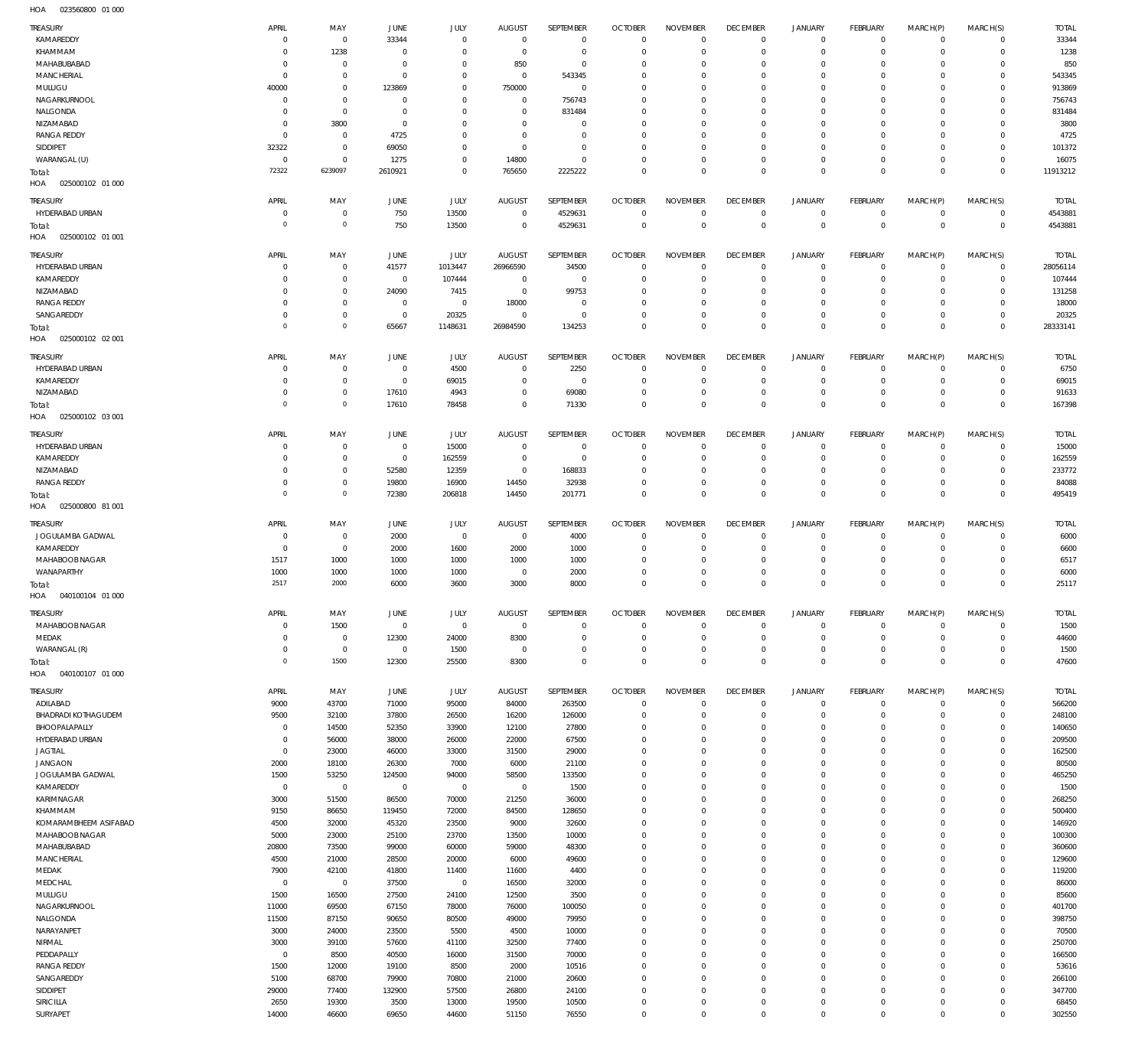| TREASURY                | APRIL          | MAY            | JUNE           | JULY           | <b>AUGUST</b>  | SEPTEMBER        | <b>OCTOBER</b>             | <b>NOVEMBER</b>                    | <b>DECEMBER</b>                | <b>JANUARY</b>                     | FEBRUARY                         | MARCH(P)                   | MARCH(S)           | <b>TOTAL</b>    |
|-------------------------|----------------|----------------|----------------|----------------|----------------|------------------|----------------------------|------------------------------------|--------------------------------|------------------------------------|----------------------------------|----------------------------|--------------------|-----------------|
| KAMAREDDY               | $\Omega$       | $\mathbf 0$    | 33344          | $\mathbf 0$    | $\mathbf 0$    | $\mathbf 0$      | $\overline{0}$             | $\Omega$                           | $\mathbf 0$                    | $\mathbf 0$                        | $\overline{0}$                   | $\mathbf 0$                | $\mathbf{0}$       | 33344           |
| KHAMMAM                 | $\Omega$       | 1238           | $\overline{0}$ | $\mathbf 0$    | $\mathbf 0$    | $\mathbf 0$      | $^{\circ}$                 | $\Omega$                           | $\mathbf 0$                    | $\mathbf 0$                        | $\mathbf 0$                      | $\Omega$                   | $\mathbf{0}$       | 1238            |
|                         |                |                |                |                |                |                  |                            |                                    |                                |                                    |                                  |                            |                    |                 |
| MAHABUBABAD             | -C             | $\mathbf 0$    | $\overline{0}$ | $\mathbf 0$    | 850            | $\mathbf 0$      | $^{\circ}$                 | $\Omega$                           | 0                              | $\mathbf 0$                        | $\mathbf 0$                      | $\Omega$                   | $\mathbf 0$        | 850             |
| MANCHERIAL              | $\Omega$       | $\mathbf 0$    | $\overline{0}$ | $\mathbf 0$    | $\mathbf 0$    | 543345           | $^{\circ}$                 | $\Omega$                           | $\mathbf 0$                    | $\mathbf 0$                        | $\mathbf 0$                      | $\Omega$                   | $\mathbf 0$        | 543345          |
| MULUGU                  | 40000          | $\mathbf 0$    | 123869         | $\mathbf 0$    | 750000         | $\mathbf 0$      | $\Omega$                   | $\Omega$                           | 0                              | $\mathbf 0$                        | $\Omega$                         | $\Omega$                   | $\mathbf 0$        | 913869          |
| NAGARKURNOOL            | $\circ$        | $\mathbf 0$    | $^{\circ}$     | $\mathbf 0$    | $\mathbf 0$    | 756743           | $\Omega$                   | $\Omega$                           | $\mathbf 0$                    | $\mathbf 0$                        | $\Omega$                         | $\Omega$                   | $\mathbf 0$        | 756743          |
|                         |                |                |                |                |                |                  |                            |                                    |                                |                                    |                                  |                            |                    |                 |
| NALGONDA                | 0              | $\mathbf 0$    | $\overline{0}$ | $\Omega$       | $\mathbf 0$    | 831484           | 0                          | $\Omega$                           | $\mathbf 0$                    | $\mathbf 0$                        | $\mathbf 0$                      | $\Omega$                   | $\circ$            | 831484          |
| NIZAMABAD               | $\Omega$       | 3800           | $\overline{0}$ | $\Omega$       | $\Omega$       | $\mathbf 0$      | $\Omega$                   | $\Omega$                           | $\mathbf 0$                    | $\mathbf 0$                        | $\Omega$                         | $\Omega$                   | $\Omega$           | 3800            |
| <b>RANGA REDDY</b>      | $\circ$        | $\mathbf 0$    | 4725           | $\Omega$       | $\mathbf 0$    | $\mathbf 0$      | 0                          | $\Omega$                           | $\mathbf 0$                    | $\mathbf 0$                        | $\mathbf 0$                      | $\Omega$                   | $\mathbf 0$        | 4725            |
| SIDDIPET                |                | $\mathbf 0$    | 69050          | $\Omega$       | $\mathbf 0$    | $\mathbf 0$      | 0                          | $\mathbf{0}$                       | $\mathbf 0$                    | $\mathbf 0$                        | $\Omega$                         | $\Omega$                   | $\mathbf 0$        | 101372          |
|                         | 32322          |                |                |                |                |                  |                            |                                    |                                |                                    |                                  |                            |                    |                 |
| WARANGAL (U)            | $^{\circ}$     | $\mathbf 0$    | 1275           | $\mathbf 0$    | 14800          | $\mathbf 0$      | $^{\circ}$                 | $\Omega$                           | $\mathbf 0$                    | $\mathbf 0$                        | $\mathbf 0$                      | $\circ$                    | $\mathbf 0$        | 16075           |
| Total:                  | 72322          | 6239097        | 2610921        | $\mathbf 0$    | 765650         | 2225222          | $\Omega$                   | $\Omega$                           | $\mathbf 0$                    | $\mathbf 0$                        | $\Omega$                         | $\mathbf 0$                | $\mathbf 0$        | 11913212        |
| HOA<br>025000102 01 000 |                |                |                |                |                |                  |                            |                                    |                                |                                    |                                  |                            |                    |                 |
|                         |                |                |                |                |                |                  |                            |                                    |                                |                                    |                                  |                            |                    |                 |
| TREASURY                | APRIL          | MAY            | JUNE           | JULY           | <b>AUGUST</b>  | SEPTEMBER        | <b>OCTOBER</b>             | <b>NOVEMBER</b>                    | <b>DECEMBER</b>                | JANUARY                            | FEBRUARY                         | MARCH(P)                   | MARCH(S)           | <b>TOTAL</b>    |
| HYDERABAD URBAN         | 0              | $\mathbf 0$    | 750            | 13500          | $\mathbf 0$    | 4529631          | $\overline{0}$             | $\mathbf 0$                        | $\overline{0}$                 | $\overline{0}$                     | $\overline{0}$                   | $\mathbf 0$                | $\overline{0}$     | 4543881         |
|                         |                |                |                |                |                |                  |                            |                                    |                                |                                    |                                  |                            |                    |                 |
| Total:                  | $\circ$        | $\mathbf 0$    | 750            | 13500          | $\mathbf 0$    | 4529631          | $\overline{0}$             | $\mathbf 0$                        | $\mathbf 0$                    | $\bf 0$                            | $\overline{0}$                   | $\mathbf 0$                | $\overline{0}$     | 4543881         |
| HOA<br>025000102 01 001 |                |                |                |                |                |                  |                            |                                    |                                |                                    |                                  |                            |                    |                 |
|                         |                |                |                |                |                |                  |                            |                                    |                                |                                    |                                  |                            |                    |                 |
| TREASURY                | APRIL          | MAY            | JUNE           | JULY           | <b>AUGUST</b>  | SEPTEMBER        | <b>OCTOBER</b>             | <b>NOVEMBER</b>                    | <b>DECEMBER</b>                | <b>JANUARY</b>                     | <b>FEBRUARY</b>                  | MARCH(P)                   | MARCH(S)           | <b>TOTAL</b>    |
| HYDERABAD URBAN         | $\Omega$       | $\mathbf 0$    | 41577          | 1013447        | 26966590       | 34500            | $^{\circ}$                 | $\Omega$                           | $\mathbf 0$                    | $\mathbf 0$                        | $\overline{0}$                   | $\mathbf 0$                | $\mathbf{0}$       | 28056114        |
| KAMAREDDY               | 0              | $\mathbf 0$    | $\mathbf 0$    | 107444         | $\mathbf 0$    | $\mathbf 0$      | $^{\circ}$                 | $\Omega$                           | $\mathbf 0$                    | $\mathbf 0$                        | $\mathbf 0$                      | $\Omega$                   | $\circ$            | 107444          |
|                         |                |                |                |                |                |                  |                            |                                    |                                |                                    |                                  |                            |                    |                 |
| NIZAMABAD               | $\Omega$       | $\mathbf 0$    | 24090          | 7415           | 0              | 99753            | $^{\circ}$                 | $^{\circ}$                         | $\mathbf 0$                    | $\mathbf 0$                        | $\Omega$                         | $\Omega$                   | $\mathbf 0$        | 131258          |
| <b>RANGA REDDY</b>      | $\Omega$       | $\mathbf 0$    | $^{\circ}$     | $\mathbf 0$    | 18000          | $\mathbf 0$      | $\Omega$                   | $\Omega$                           | $\mathbf 0$                    | $\mathbf 0$                        | $\mathbf 0$                      | $\Omega$                   | $\mathbf 0$        | 18000           |
| SANGAREDDY              | 0              | $\mathbf 0$    | $\overline{0}$ | 20325          | $\mathbf 0$    | $\mathbf 0$      | $^{\circ}$                 | $\mathbf{0}$                       | $\mathbf 0$                    | $\mathbf 0$                        | $^{\circ}$                       | $\Omega$                   | $\mathbf{0}$       | 20325           |
| Total:                  | $\circ$        | $\circ$        | 65667          | 1148631        | 26984590       | 134253           | $\Omega$                   | $\Omega$                           | $\mathbf 0$                    | $\mathbf 0$                        | $\overline{0}$                   | $\Omega$                   | $\mathbf 0$        | 28333141        |
|                         |                |                |                |                |                |                  |                            |                                    |                                |                                    |                                  |                            |                    |                 |
| HOA<br>025000102 02 001 |                |                |                |                |                |                  |                            |                                    |                                |                                    |                                  |                            |                    |                 |
| TREASURY                | APRIL          | MAY            | JUNE           | <b>JULY</b>    | <b>AUGUST</b>  | SEPTEMBER        | <b>OCTOBER</b>             | <b>NOVEMBER</b>                    | <b>DECEMBER</b>                | <b>JANUARY</b>                     | FEBRUARY                         | MARCH(P)                   | MARCH(S)           | <b>TOTAL</b>    |
|                         |                |                |                |                |                |                  |                            |                                    |                                |                                    |                                  |                            |                    |                 |
| HYDERABAD URBAN         | 0              | $\mathbf 0$    | $\overline{0}$ | 4500           | $\mathbf 0$    | 2250             | $\overline{0}$             | $^{\circ}$                         | 0                              | 0                                  | $\mathbf 0$                      | 0                          | $\circ$            | 6750            |
| KAMAREDDY               | $\Omega$       | $\mathbf 0$    | $\mathbf 0$    | 69015          | $\mathbf 0$    | $\overline{0}$   | $\overline{0}$             | $\mathbf 0$                        | $\mathbf 0$                    | $\mathbf 0$                        | $\overline{0}$                   | $\mathbf 0$                | $\mathbf{0}$       | 69015           |
| NIZAMABAD               | 0              | $\mathbf 0$    | 17610          | 4943           | $\mathbf 0$    | 69080            | $^{\circ}$                 | $\mathbf{0}$                       | 0                              | $\mathbf 0$                        | $\overline{0}$                   | $\mathbf 0$                | $\circ$            | 91633           |
|                         | $\circ$        | $\circ$        |                |                |                |                  |                            |                                    |                                |                                    |                                  |                            |                    |                 |
| Total:                  |                |                | 17610          | 78458          | $\mathbf 0$    | 71330            | $\overline{0}$             | $\mathbf 0$                        | $\mathbf 0$                    | $\bf 0$                            | $\overline{0}$                   | $\mathbf 0$                | $\overline{0}$     | 167398          |
| HOA<br>025000102 03 001 |                |                |                |                |                |                  |                            |                                    |                                |                                    |                                  |                            |                    |                 |
|                         |                |                |                |                |                |                  |                            |                                    |                                |                                    |                                  |                            |                    |                 |
| TREASURY                | APRIL          | MAY            | JUNE           | <b>JULY</b>    | <b>AUGUST</b>  | SEPTEMBER        | <b>OCTOBER</b>             | <b>NOVEMBER</b>                    | <b>DECEMBER</b>                | <b>JANUARY</b>                     | FEBRUARY                         | MARCH(P)                   | MARCH(S)           | <b>TOTAL</b>    |
| HYDERABAD URBAN         | $\Omega$       | $\mathbf 0$    | $\mathbf 0$    | 15000          | $\mathbf 0$    | $\mathbf 0$      | $^{\circ}$                 | $\Omega$                           | $\mathbf 0$                    | $\mathbf 0$                        | $\overline{0}$                   | $\mathbf 0$                | $^{\circ}$         | 15000           |
| KAMAREDDY               | 0              | $\mathbf 0$    | $\mathbf 0$    | 162559         | 0              | $\mathbf 0$      | $^{\circ}$                 | $^{\circ}$                         | $\mathbf 0$                    | $\mathbf 0$                        | $^{\circ}$                       | $\mathbf 0$                | $\mathbf 0$        | 162559          |
| NIZAMABAD               | $\Omega$       | $\mathbf 0$    | 52580          | 12359          | $\mathbf 0$    | 168833           | $^{\circ}$                 | $\Omega$                           | $\mathbf 0$                    | $\mathbf 0$                        | $\mathbf 0$                      | $\mathbf 0$                | $\mathbf 0$        | 233772          |
|                         |                |                |                |                |                |                  |                            |                                    |                                |                                    |                                  |                            |                    |                 |
| <b>RANGA REDDY</b>      | 0              | $\mathbf 0$    | 19800          | 16900          | 14450          | 32938            | $^{\circ}$                 | $\mathbf{0}$                       | $\mathbf 0$                    | $\mathbf 0$                        | $\mathbf 0$                      | $\mathbf 0$                | $\mathbf 0$        | 84088           |
| Total:                  | $^{\circ}$     | $\circ$        | 72380          | 206818         | 14450          | 201771           | $\overline{0}$             | $\Omega$                           | $\mathbf 0$                    | $\mathbf 0$                        | $\overline{0}$                   | $\Omega$                   | $\mathbf 0$        | 495419          |
| HOA<br>025000800 81 001 |                |                |                |                |                |                  |                            |                                    |                                |                                    |                                  |                            |                    |                 |
|                         |                |                |                |                |                |                  |                            |                                    |                                |                                    |                                  |                            |                    |                 |
| TREASURY                | APRIL          | MAY            | JUNE           | <b>JULY</b>    | <b>AUGUST</b>  | SEPTEMBER        | <b>OCTOBER</b>             | <b>NOVEMBER</b>                    | <b>DECEMBER</b>                | <b>JANUARY</b>                     | FEBRUARY                         | MARCH(P)                   | MARCH(S)           | <b>TOTAL</b>    |
| JOGULAMBA GADWAL        | $\overline{0}$ | $\mathbf 0$    | 2000           | $\mathbf 0$    | $\mathbf 0$    | 4000             | $^{\circ}$                 | $^{\circ}$                         | 0                              | 0                                  | $\overline{0}$                   | $\mathbf 0$                | $\circ$            | 6000            |
|                         |                |                |                |                |                |                  |                            |                                    |                                |                                    |                                  |                            |                    |                 |
| KAMAREDDY               | $\overline{0}$ | $\mathbf 0$    | 2000           | 1600           | 2000           | 1000             | $^{\circ}$                 | $^{\circ}$                         | 0                              | $\mathbf 0$                        | $\overline{0}$                   | $\mathbf 0$                | $\mathbf{0}$       | 6600            |
| MAHABOOB NAGAR          | 1517           | 1000           | 1000           | 1000           | 1000           | 1000             | $^{\circ}$                 | $\mathbf{0}$                       | $\mathbf 0$                    | $\mathsf{O}\xspace$                | $\overline{0}$                   | $\mathbf 0$                | $\mathbf{0}$       | 6517            |
| WANAPARTHY              | 1000           | 1000           | 1000           | 1000           | $\mathbf 0$    | 2000             | $^{\circ}$                 | $\mathbf{0}$                       | 0                              | $\mathbf 0$                        | $\mathbf 0$                      | $\mathbf 0$                | $\mathbf 0$        | 6000            |
| Total:                  | 2517           | 2000           | 6000           | 3600           | 3000           | 8000             | $\Omega$                   | $\mathbf 0$                        | $\mathbf 0$                    | $\mathbf 0$                        | $\overline{0}$                   | $\Omega$                   | $\overline{0}$     | 25117           |
|                         |                |                |                |                |                |                  |                            |                                    |                                |                                    |                                  |                            |                    |                 |
| HOA<br>040100104 01 000 |                |                |                |                |                |                  |                            |                                    |                                |                                    |                                  |                            |                    |                 |
| TREASURY                | APRIL          | MAY            | JUNE           | <b>JULY</b>    |                | AUGUST SEPTEMBER | <b>OCTOBER</b>             | <b>NOVEMBER</b>                    | <b>DECEMBER</b>                | JANUARY                            | FEBRUARY                         | MARCH(P)                   | MARCH(S)           | <b>TOTAL</b>    |
|                         |                |                |                |                |                |                  |                            |                                    |                                |                                    |                                  |                            |                    |                 |
| MAHABOOB NAGAR          | 0              | 1500           | $\mathbf 0$    | $\mathbf 0$    | $\mathbf 0$    | $\mathbf 0$      | $\mathbf 0$                | $\mathbf{0}$                       | $\mathbf 0$                    | $\mathbf 0$                        | $\mathbf 0$                      | $\mathbf 0$                | $\mathbf{0}$       | 1500            |
| MEDAK                   | $\mathbf 0$    | $\mathbf 0$    | 12300          | 24000          | 8300           |                  |                            |                                    | $\mathbf 0$                    | $\mathsf{O}\xspace$                | $\overline{0}$                   | $\mathbf 0$                |                    |                 |
| WARANGAL (R)            |                |                |                |                |                | $\mathbb O$      | $\mathbf 0$                | $\mathbf 0$                        |                                |                                    |                                  |                            | $\circ$            | 44600           |
| Total:                  |                |                |                |                |                |                  | $\mathbf 0$                | $\mathbf 0$                        | $\mathbf 0$                    |                                    | $\mathbf 0$                      | $\mathbf 0$                | $\mathbf{0}$       |                 |
|                         | $\mathbf{0}$   | $\mathbf 0$    | $\mathbf 0$    | 1500           | $\mathbf 0$    | $\mathbb O$      |                            |                                    |                                | $\mathsf{O}\xspace$                |                                  |                            |                    | 1500            |
|                         | $\mathbf 0$    | 1500           | 12300          | 25500          | 8300           | $\mathbf 0$      | $\mathbf 0$                | $\mathbf 0$                        | $\mathbf 0$                    | $\mathbf 0$                        | $\overline{0}$                   | $\mathbf 0$                | $\mathbf 0$        | 47600           |
| HOA  040100107  01  000 |                |                |                |                |                |                  |                            |                                    |                                |                                    |                                  |                            |                    |                 |
|                         |                |                |                |                |                |                  |                            |                                    |                                |                                    |                                  |                            |                    |                 |
| TREASURY                | APRIL          | MAY            | JUNE           | JULY           | <b>AUGUST</b>  | SEPTEMBER        | <b>OCTOBER</b>             | <b>NOVEMBER</b>                    | <b>DECEMBER</b>                | JANUARY                            | FEBRUARY                         | MARCH(P)                   | MARCH(S)           | <b>TOTAL</b>    |
| ADILABAD                | 9000           | 43700          | 71000          | 95000          | 84000          | 263500           | $\overline{0}$             | $\mathbf 0$                        | $\bf 0$                        | $\overline{0}$                     | $\overline{0}$                   | $\mathbf 0$                | $\overline{0}$     | 566200          |
| BHADRADI KOTHAGUDEM     | 9500           | 32100          | 37800          | 26500          | 16200          | 126000           | $\mathbf 0$                | $\mathbf 0$                        | $\mathbf 0$                    | $\mathbf 0$                        | $\overline{0}$                   | $\mathbf 0$                | $\circ$            | 248100          |
| BHOOPALAPALLY           | $\mathbf 0$    | 14500          | 52350          | 33900          | 12100          | 27800            | $\overline{0}$             | $\mathbf 0$                        | $\mathbf 0$                    | $\mathsf{O}\xspace$                | $\overline{0}$                   | $\mathbf 0$                | $\circ$            | 140650          |
|                         |                |                |                |                |                |                  |                            |                                    |                                |                                    |                                  |                            |                    |                 |
| HYDERABAD URBAN         | $^{\circ}$     | 56000          | 38000          | 26000          | 22000          | 67500            | $\mathbf 0$                | $\mathbf 0$                        | $\bf 0$                        | $\mathbf 0$                        | $\mathbf 0$                      | $\mathbf 0$                | $\mathbf{0}$       | 209500          |
| <b>JAGTIAL</b>          | $\mathbf 0$    | 23000          | 46000          | 33000          | 31500          | 29000            | $\overline{0}$             | $\mathbf 0$                        | $\mathbf 0$                    | $\mathbf 0$                        | $\mathbf 0$                      | $\Omega$                   | $\mathbf{0}$       | 162500          |
| <b>JANGAON</b>          | 2000           | 18100          | 26300          | 7000           | 6000           | 21100            | $\mathbf 0$                | $\mathbf 0$                        | $\mathbf 0$                    | $\mathbf 0$                        | $\mathbf 0$                      | $\mathbf 0$                | $\mathbf{0}$       | 80500           |
| JOGULAMBA GADWAL        | 1500           | 53250          | 124500         | 94000          | 58500          | 133500           | $\overline{0}$             | $\mathbf 0$                        | $\mathbf 0$                    | $\mathbf 0$                        | $\mathbf 0$                      | $\Omega$                   | $\mathbf{0}$       | 465250          |
| KAMAREDDY               | $\mathbf 0$    | $\mathbf 0$    | $\mathbf 0$    | $\mathbf 0$    | $\overline{0}$ | 1500             | $\overline{0}$             | $\mathbf 0$                        | $\mathbf 0$                    | $\mathbf 0$                        | $\mathbf 0$                      | $\mathbf 0$                | $\mathbf{0}$       | 1500            |
|                         |                |                |                |                |                |                  |                            |                                    |                                |                                    |                                  |                            |                    |                 |
| KARIMNAGAR              | 3000           | 51500          | 86500          | 70000          | 21250          | 36000            | $\mathbf 0$                | $\mathbf 0$                        | $\mathbf 0$                    | $\mathbf 0$                        | $\mathbf 0$                      | $\Omega$                   | $\mathbf{0}$       | 268250          |
| KHAMMAM                 | 9150           | 86650          | 119450         | 72000          | 84500          | 128650           | $\mathbf 0$                | $\mathbf 0$                        | $\mathbf 0$                    | $\mathbf 0$                        | $\mathbf 0$                      | $\mathbf 0$                | $\mathbf{0}$       | 500400          |
| KOMARAMBHEEM ASIFABAD   | 4500           | 32000          | 45320          | 23500          | 9000           | 32600            | $\mathbf 0$                | $\mathbf 0$                        | $\bf 0$                        | $\mathbf 0$                        | $\mathbf 0$                      | $\mathbf 0$                | $\mathbf{0}$       | 146920          |
| MAHABOOB NAGAR          | 5000           | 23000          | 25100          | 23700          | 13500          | 10000            | $\overline{0}$             | $\mathbf 0$                        | $\mathbf 0$                    | $\mathbf 0$                        | $\mathbf 0$                      | $\Omega$                   | $\mathbf{0}$       | 100300          |
|                         |                |                |                |                |                |                  |                            |                                    |                                |                                    |                                  |                            |                    |                 |
| MAHABUBABAD             | 20800          | 73500          | 99000          | 60000          | 59000          | 48300            | $\mathbf 0$                | $\mathbf 0$                        | $\bf 0$                        | $\mathbf 0$                        | $\mathbf 0$                      | $\mathbf 0$                | $\mathbf{0}$       | 360600          |
| MANCHERIAL              | 4500           | 21000          | 28500          | 20000          | 6000           | 49600            | $\overline{0}$             | $\mathbf 0$                        | $\bf 0$                        | $\mathbf 0$                        | $\mathbf 0$                      | $\Omega$                   | $\mathbf 0$        | 129600          |
| MEDAK                   | 7900           | 42100          | 41800          | 11400          | 11600          | 4400             | $\overline{0}$             | $\mathbf 0$                        | $\mathbf 0$                    | $\mathbf 0$                        | $\mathbf 0$                      | $\mathbf 0$                | $\mathbf{0}$       | 119200          |
| MEDCHAL                 | $\mathbf 0$    | $\mathbf 0$    | 37500          | $\mathbf 0$    | 16500          | 32000            | $\overline{0}$             | $\mathbf 0$                        | $\mathbf 0$                    | $\mathbf 0$                        | $\mathbf 0$                      | $\Omega$                   | $\mathbf{0}$       | 86000           |
|                         |                |                |                |                |                |                  |                            |                                    |                                |                                    |                                  | $\Omega$                   |                    |                 |
| MULUGU                  | 1500           | 16500          | 27500          | 24100          | 12500          | 3500             | $\overline{0}$             | $\mathbf 0$                        | $\mathbf 0$                    | $\mathbf 0$                        | $\mathbf 0$                      |                            | $\mathbf{0}$       | 85600           |
| NAGARKURNOOL            | 11000          | 69500          | 67150          | 78000          | 76000          | 100050           | $\mathbf 0$                | $\mathbf 0$                        | $\bf 0$                        | $\mathbf 0$                        | $\mathbf 0$                      | $\mathbf 0$                | $\mathbf{0}$       | 401700          |
| NALGONDA                | 11500          | 87150          | 90650          | 80500          | 49000          | 79950            | $\overline{0}$             | $\mathbf 0$                        | $\mathbf 0$                    | $\mathbf 0$                        | $\mathbf 0$                      | $\Omega$                   | $\mathbf{0}$       | 398750          |
| NARAYANPET              | 3000           | 24000          | 23500          | 5500           | 4500           | 10000            | $\overline{0}$             | $\mathbf 0$                        | $\mathbf 0$                    | $\mathbf 0$                        | $\mathbf 0$                      | $\mathbf 0$                | $\mathbf{0}$       | 70500           |
|                         |                |                |                |                |                |                  |                            |                                    |                                |                                    |                                  | $\Omega$                   |                    |                 |
| NIRMAL                  | 3000           | 39100          | 57600          | 41100          | 32500          | 77400            | $\mathbf 0$                | $\mathbf 0$                        | $\bf 0$                        | $\mathbf 0$                        | $\mathbf 0$                      |                            | $\mathbf{0}$       | 250700          |
| PEDDAPALLY              | $\mathbf 0$    | 8500           | 40500          | 16000          | 31500          | 70000            | $\mathbf 0$                | $\mathbf 0$                        | $\mathbf 0$                    | $\mathbf 0$                        | $\mathbf 0$                      | $\mathbf 0$                | $\mathbf{0}$       | 166500          |
| <b>RANGA REDDY</b>      | 1500           | 12000          | 19100          | 8500           | 2000           | 10516            | $\mathbf 0$                | $\mathbf 0$                        | $\bf 0$                        | $\mathbf 0$                        | $\mathbf 0$                      | $\mathbf 0$                | $\circ$            | 53616           |
| SANGAREDDY              | 5100           | 68700          | 79900          | 70800          | 21000          | 20600            | $\overline{0}$             | $\mathbf 0$                        | $\mathbf 0$                    | $\mathbf 0$                        | $\mathbf 0$                      | $\Omega$                   | $\mathbf{0}$       | 266100          |
|                         |                |                |                |                |                |                  |                            |                                    |                                |                                    | $\mathbf 0$                      | $\mathbf 0$                |                    |                 |
| SIDDIPET                | 29000          | 77400          | 132900         | 57500          | 26800          | 24100            | $\mathbf 0$                | $\mathbb O$                        | $\bf 0$                        | $\mathsf{O}\xspace$                |                                  |                            | $\circ$            | 347700          |
| SIRICILLA<br>SURYAPET   | 2650<br>14000  | 19300<br>46600 | 3500<br>69650  | 13000<br>44600 | 19500<br>51150 | 10500<br>76550   | $\mathbf 0$<br>$\mathbf 0$ | $\mathbb O$<br>$\mathsf{O}\xspace$ | $\bf 0$<br>$\mathsf{O}\xspace$ | $\mathsf{O}\xspace$<br>$\mathbf 0$ | $\overline{0}$<br>$\overline{0}$ | $\mathbf 0$<br>$\mathbf 0$ | $\circ$<br>$\circ$ | 68450<br>302550 |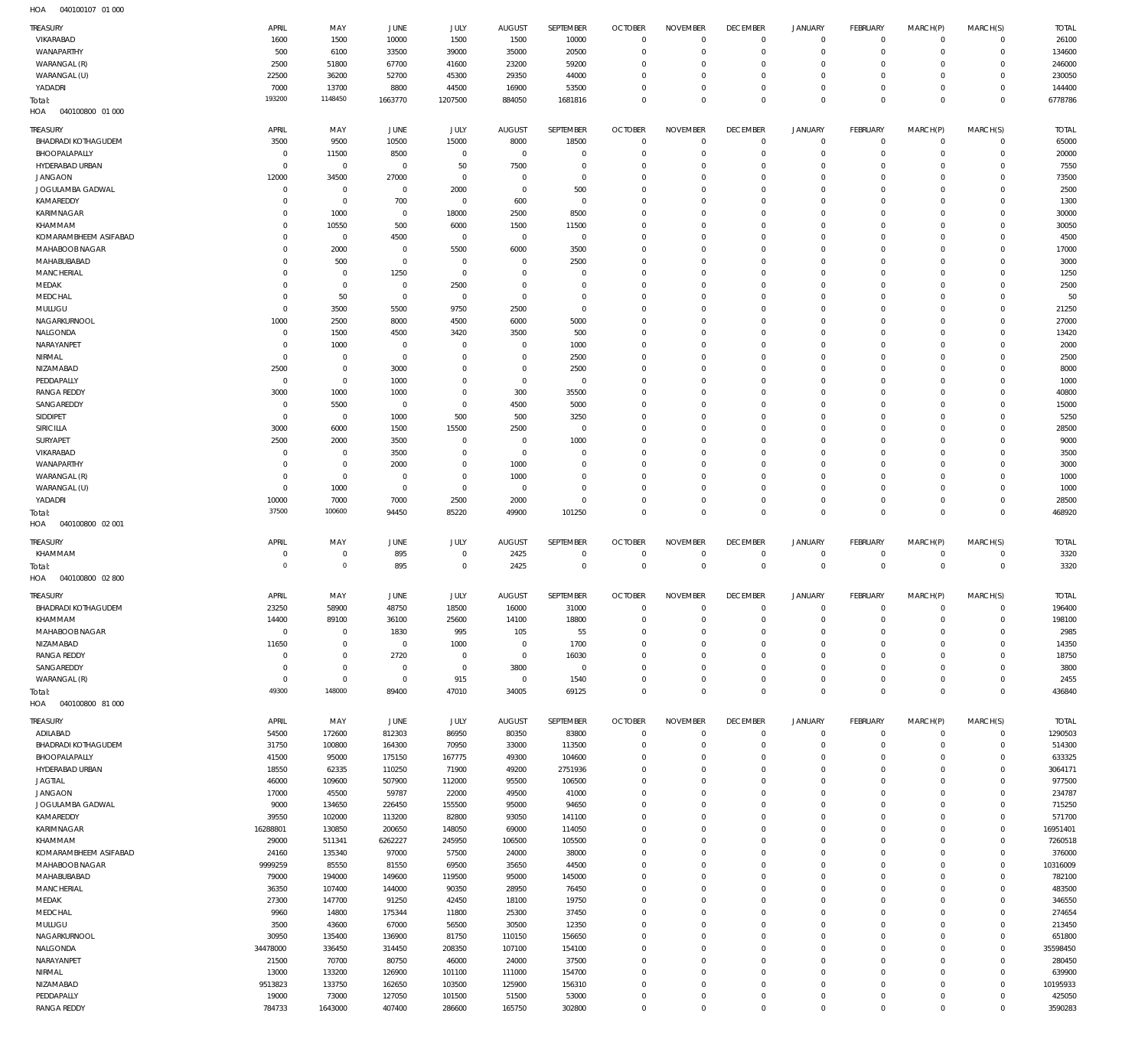| <b>TREASURY</b>                    | APRIL                    | MAY                   | JUNE                         | JULY                | <b>AUGUST</b>          | SEPTEMBER                  | <b>OCTOBER</b>             | <b>NOVEMBER</b>            | <b>DECEMBER</b>            | <b>JANUARY</b>                     | <b>FEBRUARY</b>               | MARCH(P)                   | MARCH(S)                    | <b>TOTAL</b>      |
|------------------------------------|--------------------------|-----------------------|------------------------------|---------------------|------------------------|----------------------------|----------------------------|----------------------------|----------------------------|------------------------------------|-------------------------------|----------------------------|-----------------------------|-------------------|
| VIKARABAD                          | 1600                     | 1500                  | 10000                        | 1500                | 1500                   | 10000                      | $^{\circ}$                 | $\Omega$                   | $\mathbf 0$                | $\mathbf 0$                        | $\mathbf 0$                   | $\mathbf 0$                | $\mathbf{0}$                | 26100             |
| WANAPARTHY                         | 500                      | 6100                  | 33500                        | 39000               | 35000                  | 20500                      | $^{\circ}$                 | $^{\circ}$                 | $\mathbf 0$                | $\mathbf 0$                        | $\mathbf 0$                   | $\Omega$                   | $\mathbf{0}$                | 134600            |
| WARANGAL (R)                       | 2500                     | 51800                 | 67700                        | 41600               | 23200                  | 59200                      | 0                          | $\Omega$                   | 0                          | $\mathbf 0$                        | $\mathbf 0$                   | $\Omega$                   | $\mathbf 0$                 | 246000            |
| WARANGAL (U)                       | 22500                    | 36200                 | 52700                        | 45300               | 29350                  | 44000                      | 0                          | $\mathbf 0$<br>$\mathbf 0$ | $\mathbf 0$<br>$^{\circ}$  | $\mathbf 0$<br>$\mathsf{O}\xspace$ | $\mathbf 0$<br>$\mathbf 0$    | $\Omega$<br>$\mathbf 0$    | $\mathbf 0$<br>$\mathbf 0$  | 230050            |
| YADADRI<br>Total:                  | 7000<br>193200           | 13700<br>1148450      | 8800<br>1663770              | 44500<br>1207500    | 16900<br>884050        | 53500<br>1681816           | 0<br>$\Omega$              | $\mathbf 0$                | $\mathbf 0$                | $\mathbf 0$                        | $\Omega$                      | $\Omega$                   | $\mathbf 0$                 | 144400<br>6778786 |
| HOA<br>040100800 01 000            |                          |                       |                              |                     |                        |                            |                            |                            |                            |                                    |                               |                            |                             |                   |
|                                    |                          |                       |                              |                     |                        |                            |                            |                            |                            |                                    |                               |                            |                             |                   |
| TREASURY                           | APRIL                    | MAY                   | JUNE                         | JULY                | <b>AUGUST</b>          | SEPTEMBER                  | <b>OCTOBER</b>             | <b>NOVEMBER</b>            | <b>DECEMBER</b>            | <b>JANUARY</b>                     | FEBRUARY                      | MARCH(P)                   | MARCH(S)                    | <b>TOTAL</b>      |
| <b>BHADRADI KOTHAGUDEM</b>         | 3500                     | 9500                  | 10500                        | 15000               | 8000                   | 18500                      | $\circ$                    | $\mathbf 0$                | $\overline{0}$             | 0                                  | $\overline{0}$<br>$\mathbf 0$ | $\mathbf 0$                | $\circ$                     | 65000             |
| BHOOPALAPALLY<br>HYDERABAD URBAN   | $^{\circ}$<br>$^{\circ}$ | 11500<br>$\,0\,$      | 8500<br>$\mathbf 0$          | $\mathbf 0$<br>50   | $\mathbf 0$<br>7500    | $\mathbf 0$<br>$\mathbf 0$ | $^{\circ}$<br>$^{\circ}$   | $^{\circ}$<br>$\mathbf 0$  | $^{\circ}$<br>$^{\circ}$   | $\mathbf 0$<br>0                   | $\mathbf 0$                   | $\mathbf 0$<br>$\mathbf 0$ | $\circ$<br>$\mathbf{0}$     | 20000<br>7550     |
| <b>JANGAON</b>                     | 12000                    | 34500                 | 27000                        | $\mathbf 0$         | 0                      | $\mathbf 0$                | 0                          | $\mathbf 0$                | $^{\circ}$                 | $\mathbf 0$                        | $\mathbf 0$                   | 0                          | $\mathbf 0$                 | 73500             |
| JOGULAMBA GADWAL                   | $^{\circ}$               | $\,0\,$               | $\mathbf 0$                  | 2000                | $^{\circ}$             | 500                        | $^{\circ}$                 | $\mathbf 0$                | $^{\circ}$                 | $\mathbf 0$                        | $\mathbf 0$                   | $\Omega$                   | $\mathbf{0}$                | 2500              |
| KAMAREDDY                          | -C                       | $\,0\,$               | 700                          | $\mathbf 0$         | 600                    | $\mathbf 0$                | 0                          | $\mathbf 0$                | 0                          | $\mathbf 0$                        | $\mathbf 0$                   | 0                          | $\mathbf 0$                 | 1300              |
| KARIMNAGAR                         | $\Omega$                 | 1000                  | $\mathbf 0$                  | 18000               | 2500                   | 8500                       | $^{\circ}$                 | $\mathbf 0$                | $^{\circ}$                 | $\mathbf 0$                        | $\mathbf 0$                   | $\Omega$                   | $\mathbf 0$                 | 30000             |
| KHAMMAM                            | -0                       | 10550                 | 500                          | 6000                | 1500                   | 11500                      | $^{\circ}$                 | $\mathbf 0$                | 0                          | $\mathbf 0$                        | $\mathbf 0$                   | 0                          | $\mathbf 0$                 | 30050             |
| KOMARAMBHEEM ASIFABAD              | n                        | $\,0\,$               | 4500                         | $\mathbf 0$         | $^{\circ}$             | $\mathbf 0$                | $^{\circ}$                 | $\mathbf 0$                | $^{\circ}$                 | $\mathbf 0$                        | $\mathbf 0$                   | $\Omega$                   | $\mathbf 0$                 | 4500              |
| MAHABOOB NAGAR                     | $\Omega$                 | 2000                  | $\mathbf 0$                  | 5500                | 6000                   | 3500                       | $^{\circ}$                 | $\mathbf 0$                | 0                          | $\mathbf 0$                        | $\mathbf 0$                   | $\Omega$                   | $\mathbf 0$                 | 17000             |
| MAHABUBABAD                        | -C                       | 500                   | $^{\circ}$                   | $\mathbf{0}$        | 0                      | 2500                       | $^{\circ}$                 | $\mathbf 0$                | 0                          | $\mathbf 0$                        | $\mathbf 0$                   | $\Omega$                   | $\mathbf 0$                 | 3000              |
| <b>MANCHERIAL</b>                  | $\Omega$                 | $\,0\,$               | 1250                         | $\mathbf 0$         | $\Omega$               | $\mathbf 0$                | $^{\circ}$                 | $\mathbf 0$                | $^{\circ}$                 | $\mathbf 0$                        | $\mathbf 0$                   | $\Omega$                   | $\mathbf 0$                 | 1250              |
| MEDAK                              | $\Omega$                 | $\mathbb O$           | $^{\circ}$                   | 2500                | 0                      | $\mathbf 0$                | $^{\circ}$                 | $\mathbf 0$                | 0                          | $\mathbf 0$                        | $\mathbf 0$                   | $\Omega$                   | $\mathbf 0$                 | 2500              |
| MEDCHAL<br>MULUGU                  | $\Omega$<br>0            | 50<br>3500            | $^{\circ}$<br>5500           | $\mathbf 0$<br>9750 | $^{\circ}$<br>2500     | $\mathbf 0$<br>$\mathbf 0$ | $^{\circ}$<br>$^{\circ}$   | $\mathbf 0$<br>$\mathbf 0$ | $^{\circ}$<br>0            | $\mathbf 0$<br>$\mathbf 0$         | $\mathbf 0$<br>$\mathbf 0$    | $\Omega$<br>$\Omega$       | $\mathbf 0$<br>$\mathbf 0$  | 50<br>21250       |
| NAGARKURNOOL                       | 1000                     | 2500                  | 8000                         | 4500                | 6000                   | 5000                       | $^{\circ}$                 | $\mathbf 0$                | $^{\circ}$                 | $\mathbf 0$                        | $\mathbf 0$                   | $\Omega$                   | $\mathbf 0$                 | 27000             |
| NALGONDA                           | $\Omega$                 | 1500                  | 4500                         | 3420                | 3500                   | 500                        | $^{\circ}$                 | $\mathbf 0$                | $^{\circ}$                 | $\mathbf 0$                        | $\mathbf 0$                   | $\Omega$                   | $\mathbf 0$                 | 13420             |
| NARAYANPET                         | -C                       | 1000                  | $\overline{0}$               | $^{\circ}$          | 0                      | 1000                       | $^{\circ}$                 | $\mathbf 0$                | 0                          | $\mathbf 0$                        | $\mathbf 0$                   | 0                          | $\mathbf 0$                 | 2000              |
| NIRMAL                             | $\mathbf 0$              | $\,0\,$               | $^{\circ}$                   | $\mathbf{0}$        | $\circ$                | 2500                       | $^{\circ}$                 | $\mathbf 0$                | $^{\circ}$                 | 0                                  | $\mathbf 0$                   | $\Omega$                   | $\mathbf 0$                 | 2500              |
| NIZAMABAD                          | 2500                     | $\,0\,$               | 3000                         | $\mathbf 0$         | 0                      | 2500                       | $^{\circ}$                 | $\mathbf 0$                | 0                          | $\mathbf 0$                        | $\mathbf 0$                   | 0                          | $\mathbf 0$                 | 8000              |
| PEDDAPALLY                         | 0                        | $\,0\,$               | 1000                         | $\mathbf{0}$        | $\circ$                | $\mathbf 0$                | $^{\circ}$                 | $\mathbf 0$                | $^{\circ}$                 | $\mathbf 0$                        | $\mathbf 0$                   | $\Omega$                   | $\mathbf 0$                 | 1000              |
| <b>RANGA REDDY</b>                 | 3000                     | 1000                  | 1000                         | $\mathbf{0}$        | 300                    | 35500                      | $^{\circ}$                 | $\mathbf 0$                | 0                          | $\mathbf 0$                        | $\mathbf 0$                   | $\Omega$                   | $\mathbf 0$                 | 40800             |
| SANGAREDDY                         | $\mathsf{C}$             | 5500                  | $\overline{0}$               | $\mathbf 0$         | 4500                   | 5000                       | $^{\circ}$                 | $\mathbf 0$                | 0                          | $\mathbf 0$                        | $\mathbf 0$                   | $\Omega$                   | $\mathbf 0$                 | 15000             |
| SIDDIPET                           | -C                       | $\,0\,$               | 1000                         | 500                 | 500                    | 3250                       | $^{\circ}$                 | $\mathbf 0$                | $^{\circ}$                 | $\mathbf 0$                        | $\mathbf 0$                   | $\Omega$                   | $\mathbf 0$                 | 5250              |
| SIRICILLA                          | 3000                     | 6000                  | 1500                         | 15500               | 2500                   | $\mathbf 0$                | $^{\circ}$                 | $\mathbf 0$                | 0                          | $\mathbf 0$                        | $\mathbf 0$                   | $\Omega$                   | $\mathbf 0$                 | 28500             |
| SURYAPET                           | 2500                     | 2000                  | 3500                         | $^{\circ}$          | $\overline{0}$         | 1000                       | $^{\circ}$                 | $\mathbf 0$                | 0                          | $\mathbf 0$                        | $\mathbf 0$                   | $\Omega$                   | $\mathbf 0$                 | 9000              |
| VIKARABAD                          | 0                        | $\,0\,$               | 3500                         | $\mathbf{0}$        | $\circ$                | $\mathbf 0$                | $^{\circ}$                 | $^{\circ}$                 | 0                          | $\mathbf 0$                        | $\mathbf 0$                   | $\Omega$                   | $\mathbf 0$                 | 3500              |
| WANAPARTHY                         | -C                       | $\,0\,$               | 2000                         | $\mathbf{0}$        | 1000                   | $\mathbf 0$                | $\Omega$                   | $^{\circ}$                 | $^{\circ}$                 | $\mathbf 0$                        | $\mathbf 0$                   | $\Omega$                   | $\mathbf 0$                 | 3000              |
| WARANGAL (R)                       | $\Omega$<br>$\Omega$     | $\,0\,$<br>1000       | $\overline{0}$<br>$^{\circ}$ | $\mathbf 0$         | 1000<br>$\overline{0}$ | $\mathbf 0$<br>$\mathbf 0$ | $^{\circ}$                 | $^{\circ}$<br>$^{\circ}$   | 0<br>$^{\circ}$            | $\mathbf 0$<br>0                   | $\mathbf 0$<br>$\mathbf 0$    | $\Omega$<br>$\Omega$       | $\mathbf 0$<br>$\mathbf 0$  | 1000              |
| WARANGAL (U)<br>YADADRI            | 10000                    | 7000                  | 7000                         | $\mathbf 0$<br>2500 | 2000                   | $\mathbf 0$                | 0<br>$^{\circ}$            | $\mathbf 0$                | $^{\circ}$                 | $\mathsf{O}\xspace$                | $\mathbf 0$                   | $\mathbf 0$                | $\circ$                     | 1000<br>28500     |
| Total:                             | 37500                    | 100600                | 94450                        | 85220               | 49900                  | 101250                     | $\mathbf 0$                | $\mathbf 0$                | $\mathbf 0$                | $\mathbb O$                        | $\mathbf 0$                   | $\mathbf 0$                | $\mathbf 0$                 | 468920            |
|                                    |                          |                       |                              |                     |                        |                            |                            |                            |                            |                                    |                               |                            |                             |                   |
|                                    |                          |                       |                              |                     |                        |                            |                            |                            |                            |                                    |                               |                            |                             |                   |
| HOA<br>040100800 02 001            |                          |                       |                              |                     |                        |                            |                            |                            |                            |                                    |                               |                            |                             |                   |
| TREASURY                           | APRIL                    | MAY                   | JUNE                         | <b>JULY</b>         | <b>AUGUST</b>          | SEPTEMBER                  | <b>OCTOBER</b>             | <b>NOVEMBER</b>            | <b>DECEMBER</b>            | <b>JANUARY</b>                     | <b>FEBRUARY</b>               | MARCH(P)                   | MARCH(S)                    | <b>TOTAL</b>      |
| KHAMMAM                            | $\Omega$                 | $\overline{0}$        | 895                          | $^{\circ}$          | 2425                   | $\mathbf{0}$               | $^{\circ}$                 | $^{\circ}$                 | $^{\circ}$                 | $\mathbf 0$                        | $^{\circ}$                    | $\Omega$                   | $\mathbf{0}$                | 3320              |
| Total:                             | $\Omega$                 | $\circ$               | 895                          | $\mathbf 0$         | 2425                   | $\mathbf 0$                | $\mathbf 0$                | $\mathbf 0$                | $\mathbf 0$                | $\mathbf 0$                        | $\overline{0}$                | $\mathbf 0$                | $\overline{0}$              | 3320              |
| HOA<br>040100800 02 800            |                          |                       |                              |                     |                        |                            |                            |                            |                            |                                    |                               |                            |                             |                   |
| <b>TREASURY</b>                    | APRIL                    | MAY                   | JUNE                         | JULY                | <b>AUGUST</b>          | SEPTEMBER                  | <b>OCTOBER</b>             | <b>NOVEMBER</b>            | <b>DECEMBER</b>            | <b>JANUARY</b>                     | FEBRUARY                      | MARCH(P)                   | MARCH(S)                    | <b>TOTAL</b>      |
| <b>BHADRADI KOTHAGUDEM</b>         | 23250                    | 58900                 | 48750                        | 18500               | 16000                  | 31000                      | $\Omega$                   | $\Omega$                   | $\Omega$                   | $\Omega$                           | $\Omega$                      | $\Omega$                   | $\Omega$                    | 196400            |
| KHAMMAM                            | 14400                    | 89100                 | 36100                        | 25600               | 14100                  | 18800                      | $\mathbf 0$                | $\mathbf 0$                | $\mathbf 0$                | $\mathsf{O}\xspace$                | $\mathbf 0$                   | $\mathbf 0$                | $\overline{0}$              | 198100            |
| MAHABOOB NAGAR                     | $\overline{0}$           | $\,0\,$               | 1830                         | 995                 | 105                    | 55                         | $\mathbf 0$                | $\mathbb O$                | $\mathbf 0$                | $\mathsf{O}\xspace$                | $\mathbf 0$                   | $\mathbf 0$                | $\circ$                     | 2985              |
| NIZAMABAD                          | 11650                    | $\,0\,$               | $\,0\,$                      | 1000                | $\mathbf 0$            | 1700                       | $\mathbf 0$                | $\mathbf 0$                | $^{\circ}$                 | $\mathbf 0$                        | $\mathbf 0$                   | $\mathbf 0$                | $\mathbf{0}$                | 14350             |
| <b>RANGA REDDY</b>                 | $\overline{0}$           | $\,0\,$               | 2720                         | $\mathbf 0$         | $\mathbf{0}$           | 16030                      | $\circ$                    | $\mathbf 0$                | $\mathbf 0$                | $\mathsf{O}\xspace$                | $\mathbf 0$                   | $\Omega$                   | $\circ$                     | 18750             |
| SANGAREDDY                         | $^{\circ}$               | $\,0\,$               | $\mathbf 0$                  | $\mathbf 0$         | 3800                   | $\mathbf 0$                | $\mathbf 0$                | $\mathbf 0$                | $\mathbf 0$                | $\mathbf 0$                        | $\mathbf 0$                   | $\mathbf 0$                | $\mathbf{0}$                | 3800              |
| WARANGAL (R)                       | $\mathbf 0$<br>49300     | $\mathsf 0$<br>148000 | $\,0\,$                      | 915                 | $\mathbf 0$            | 1540                       | $^{\circ}$                 | $\mathbb O$                | $\mathbf 0$                | $\mathsf{O}\xspace$                | $\mathbf 0$                   | $\mathbf 0$                | $\circ$                     | 2455              |
| Total:<br>HOA<br>040100800 81 000  |                          |                       | 89400                        | 47010               | 34005                  | 69125                      | $\mathbf 0$                | $\mathbf 0$                | $\mathbf 0$                | $\mathbf 0$                        | $\overline{0}$                | $\mathbf 0$                | $\overline{0}$              | 436840            |
|                                    |                          |                       |                              |                     |                        |                            |                            |                            |                            |                                    |                               |                            |                             |                   |
| <b>TREASURY</b>                    | APRIL                    | MAY                   | JUNE                         | JULY                | <b>AUGUST</b>          | SEPTEMBER                  | <b>OCTOBER</b>             | <b>NOVEMBER</b>            | <b>DECEMBER</b>            | JANUARY                            | FEBRUARY                      | MARCH(P)                   | MARCH(S)                    | <b>TOTAL</b>      |
| ADILABAD                           | 54500                    | 172600                | 812303                       | 86950               | 80350                  | 83800                      | $\mathbf 0$                | $\mathbf 0$                | $\mathbb O$                | $\mathsf{O}\xspace$                | $\overline{0}$                | $\mathbf 0$                | $\overline{0}$              | 1290503           |
| <b>BHADRADI KOTHAGUDEM</b>         | 31750                    | 100800                | 164300                       | 70950               | 33000                  | 113500                     | $^{\circ}$                 | $\mathbf 0$                | $\mathbf 0$                | $\mathbf 0$                        | $\mathbf 0$                   | $\mathbf 0$                | $\mathbf{0}$                | 514300            |
| BHOOPALAPALLY                      | 41500                    | 95000                 | 175150                       | 167775              | 49300                  | 104600                     | $^{\circ}$                 | $\Omega$                   | $^{\circ}$                 | $\mathbf 0$                        | $\mathbf 0$                   | $\Omega$                   | $\mathbf 0$                 | 633325            |
| HYDERABAD URBAN                    | 18550                    | 62335                 | 110250                       | 71900               | 49200                  | 2751936                    | $^{\circ}$                 | $\mathbf 0$<br>$\Omega$    | $^{\circ}$                 | $\mathbf 0$                        | $\mathbf 0$                   | $\Omega$<br>$\Omega$       | $\mathbf 0$                 | 3064171           |
| <b>JAGTIAL</b>                     | 46000                    | 109600                | 507900                       | 112000              | 95500                  | 106500                     | $\mathbf 0$<br>$\mathbf 0$ | $\mathbf 0$                | $\mathbf 0$<br>$\mathbf 0$ | $\mathbf 0$<br>$\mathbf 0$         | $\mathbf 0$<br>$\Omega$       | $\Omega$                   | $\mathbf 0$<br>$\mathbf 0$  | 977500            |
| <b>JANGAON</b><br>JOGULAMBA GADWAL | 17000<br>9000            | 45500<br>134650       | 59787<br>226450              | 22000<br>155500     | 49500<br>95000         | 41000<br>94650             | $^{\circ}$                 | $\Omega$                   | $\mathbf 0$                | $\mathbf 0$                        | $\mathbf 0$                   | $\Omega$                   | $\mathbf 0$                 | 234787<br>715250  |
| KAMAREDDY                          | 39550                    | 102000                | 113200                       | 82800               | 93050                  | 141100                     | $\mathbf 0$                | $\mathbf 0$                | $\mathbf 0$                | $\mathbf 0$                        | $\Omega$                      | $\Omega$                   | $\mathbf{0}$                | 571700            |
| KARIMNAGAR                         | 16288801                 | 130850                | 200650                       | 148050              | 69000                  | 114050                     | $^{\circ}$                 | $\mathbf 0$                | $\mathbf 0$                | $\mathbf 0$                        | $\Omega$                      | $\Omega$                   | $\mathbf 0$                 | 16951401          |
| KHAMMAM                            | 29000                    | 511341                | 6262227                      | 245950              | 106500                 | 105500                     | $\mathbf 0$                | $\mathbf 0$                | $\mathbf 0$                | $\mathbf 0$                        | $\Omega$                      | $\Omega$                   | $\mathbf{0}$                | 7260518           |
| KOMARAMBHEEM ASIFABAD              | 24160                    | 135340                | 97000                        | 57500               | 24000                  | 38000                      | $^{\circ}$                 | $\mathbf 0$                | $\mathbf 0$                | $\mathbf 0$                        | $\mathbf 0$                   | $\Omega$                   | $\mathbf 0$                 | 376000            |
| MAHABOOB NAGAR                     | 9999259                  | 85550                 | 81550                        | 69500               | 35650                  | 44500                      | $\mathbf 0$                | $\mathbf 0$                | $\mathbf 0$                | $\mathbf 0$                        | $\Omega$                      | $\Omega$                   | $\mathbf 0$                 | 10316009          |
| MAHABUBABAD                        | 79000                    | 194000                | 149600                       | 119500              | 95000                  | 145000                     | $\mathbf 0$                | $\mathbf 0$                | $\mathbf 0$                | $\mathbf 0$                        | $\mathbf 0$                   | $\Omega$                   | $\mathbf 0$                 | 782100            |
| <b>MANCHERIAL</b>                  | 36350                    | 107400                | 144000                       | 90350               | 28950                  | 76450                      | $^{\circ}$                 | $\mathbf 0$                | $\mathbf 0$                | $\mathbf 0$                        | $\Omega$                      | $\Omega$                   | $\mathbf 0$                 | 483500            |
| MEDAK                              | 27300                    | 147700                | 91250                        | 42450               | 18100                  | 19750                      | $\circ$                    | $\Omega$                   | $\mathbf 0$                | $\mathbf 0$                        | $\mathbf 0$                   | $\Omega$                   | $\mathbf 0$                 | 346550            |
| MEDCHAL                            | 9960                     | 14800                 | 175344                       | 11800               | 25300                  | 37450                      | $^{\circ}$                 | $\mathbf 0$                | $\mathbf 0$                | $\mathbf 0$                        | $\Omega$                      | $\Omega$                   | $\mathbf 0$                 | 274654            |
| MULUGU                             | 3500                     | 43600                 | 67000                        | 56500               | 30500                  | 12350                      | $^{\circ}$                 | $\Omega$                   | $\mathbf 0$                | $\mathbf 0$                        | $\mathbf 0$                   | $\Omega$                   | $\mathbf 0$                 | 213450            |
| NAGARKURNOOL                       | 30950                    | 135400                | 136900                       | 81750               | 110150                 | 156650                     | $^{\circ}$                 | $\mathbf 0$                | $\mathbf 0$                | $\mathbf 0$                        | $\Omega$                      | $\Omega$                   | $\mathbf 0$                 | 651800            |
| NALGONDA                           | 34478000                 | 336450                | 314450                       | 208350              | 107100                 | 154100                     | $^{\circ}$<br>$\mathbf 0$  | $\Omega$<br>$\mathbf 0$    | $\mathbf 0$<br>$\mathbf 0$ | $\mathbf 0$<br>$\mathbf 0$         | $\mathbf 0$<br>$\Omega$       | $\Omega$<br>$\Omega$       | $\mathbf 0$<br>$\mathbf{0}$ | 35598450          |
| NARAYANPET<br>NIRMAL               | 21500<br>13000           | 70700<br>133200       | 80750<br>126900              | 46000<br>101100     | 24000<br>111000        | 37500<br>154700            | $^{\circ}$                 | $\mathbf 0$                | $\mathbf 0$                | $\mathbf 0$                        | $\Omega$                      | $\Omega$                   | $\mathbf 0$                 | 280450<br>639900  |
| NIZAMABAD                          | 9513823                  | 133750                | 162650                       | 103500              | 125900                 | 156310                     | $\mathbf 0$                | $\mathbf 0$                | $\mathbf 0$                | $\mathbf 0$                        | $\mathbf 0$                   | $\Omega$                   | $\mathbf{0}$                | 10195933          |
| PEDDAPALLY                         | 19000                    | 73000                 | 127050                       | 101500              | 51500                  | 53000                      | $\mathbf 0$                | $\mathbf 0$                | $\mathbf 0$                | $\mathsf{O}\xspace$                | $\mathbf 0$                   | $\mathbf 0$                | $\mathbf 0$                 | 425050            |
| <b>RANGA REDDY</b>                 | 784733                   | 1643000               | 407400                       | 286600              | 165750                 | 302800                     | $\mathbf 0$                | $\mathbf 0$                | $\mathbf 0$                | $\mathbf 0$                        | $\mathbf 0$                   | $\mathbf 0$                | $\mathbb O$                 | 3590283           |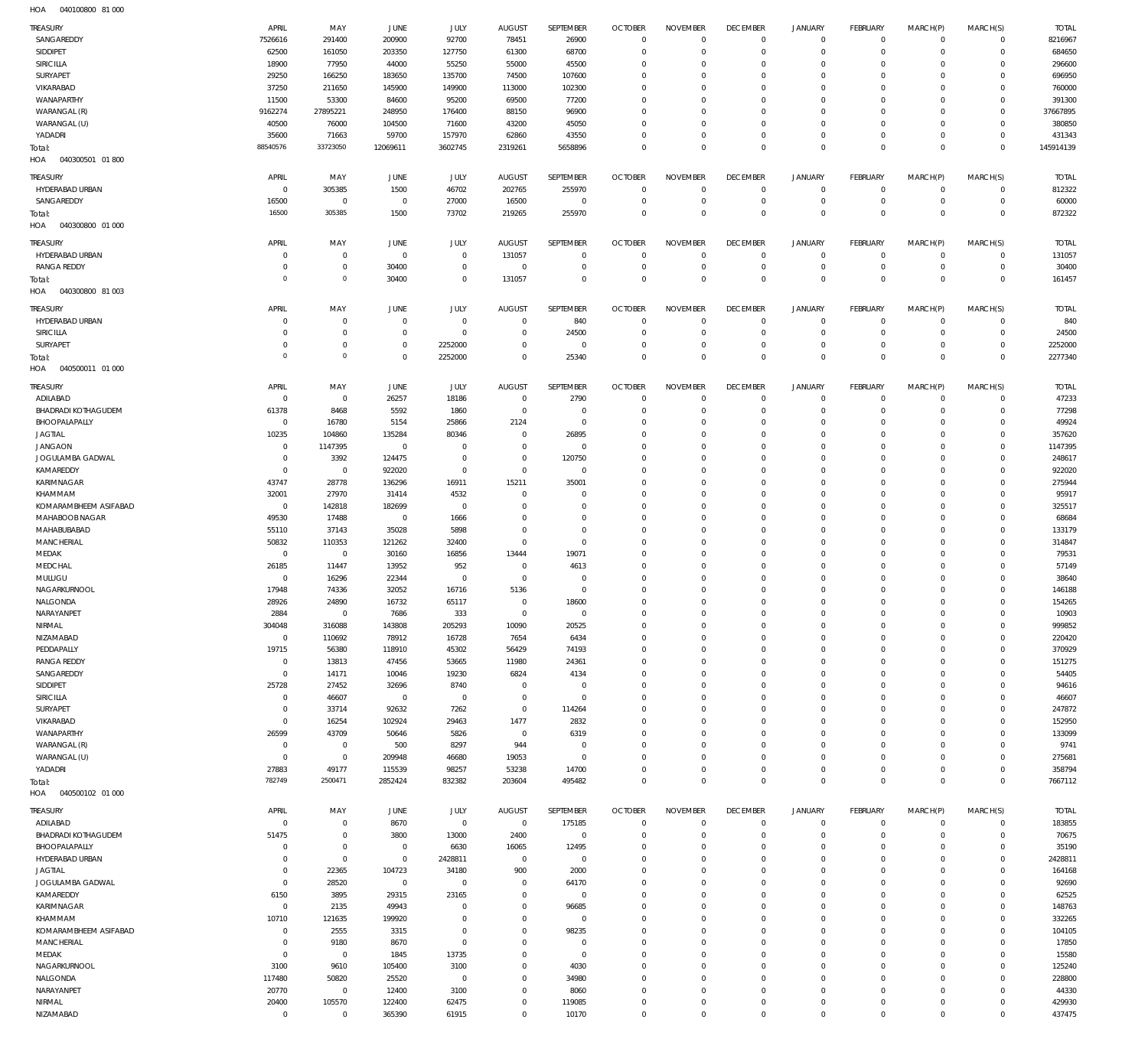040100800 81 000 HOA

| <b>TREASURY</b>         | APRIL          | MAY            | <b>JUNE</b>    | JULY           | <b>AUGUST</b>  | SEPTEMBER        | <b>OCTOBER</b> | <b>NOVEMBER</b> | <b>DECEMBER</b> | JANUARY        | <b>FEBRUARY</b> | MARCH(P)    | MARCH(S)       | <b>TOTAL</b> |
|-------------------------|----------------|----------------|----------------|----------------|----------------|------------------|----------------|-----------------|-----------------|----------------|-----------------|-------------|----------------|--------------|
| SANGAREDDY              | 7526616        | 291400         | 200900         | 92700          | 78451          | 26900            | $\overline{0}$ | $\mathbf 0$     | $\overline{0}$  | $^{\circ}$     | $^{\circ}$      | $\Omega$    | $\mathbf 0$    | 8216967      |
| SIDDIPET                | 62500          | 161050         | 203350         | 127750         | 61300          | 68700            | $\overline{0}$ | $\mathbf 0$     | $\overline{0}$  | $^{\circ}$     | $\mathbf{0}$    | $\Omega$    | $\mathbf 0$    | 684650       |
| SIRICILLA               | 18900          | 77950          | 44000          | 55250          | 55000          | 45500            | $\overline{0}$ | $\Omega$        | $\overline{0}$  | $^{\circ}$     | $^{\circ}$      |             | $\Omega$       | 296600       |
| SURYAPET                | 29250          | 166250         | 183650         | 135700         | 74500          | 107600           | $\overline{0}$ | $\mathbf 0$     | $\overline{0}$  | $\Omega$       | $^{\circ}$      | $\Omega$    | $\Omega$       | 696950       |
| VIKARABAD               | 37250          | 211650         | 145900         | 149900         | 113000         | 102300           | $\overline{0}$ | $\Omega$        | $\overline{0}$  | $^{\circ}$     | $^{\circ}$      |             | $\Omega$       | 760000       |
| WANAPARTHY              | 11500          | 53300          | 84600          | 95200          | 69500          | 77200            | $\overline{0}$ | $\mathbf 0$     | $\overline{0}$  | $\Omega$       | $\Omega$        |             | $\Omega$       | 391300       |
| WARANGAL (R)            | 9162274        | 27895221       | 248950         | 176400         | 88150          | 96900            | $\overline{0}$ | $\Omega$        | $\overline{0}$  | $^{\circ}$     | $^{\circ}$      | $\Omega$    | $\mathbf 0$    | 37667895     |
| WARANGAL (U)            | 40500          | 76000          | 104500         | 71600          | 43200          | 45050            | $\overline{0}$ | $\mathbf 0$     | $\overline{0}$  | $\Omega$       | $\mathbf{0}$    | $\Omega$    | $\Omega$       | 380850       |
| YADADRI                 | 35600          | 71663          | 59700          | 157970         | 62860          | 43550            | $\overline{0}$ | $\mathbf 0$     | $\overline{0}$  | $^{\circ}$     | $\mathbf{0}$    | $\Omega$    | $\mathbf 0$    | 431343       |
| Total:                  | 88540576       | 33723050       | 12069611       | 3602745        | 2319261        | 5658896          | $\overline{0}$ | $\mathbf 0$     | $\overline{0}$  | $\mathbf 0$    | $\overline{0}$  | $\Omega$    | $\overline{0}$ | 145914139    |
| 040300501 01800<br>HOA  |                |                |                |                |                |                  |                |                 |                 |                |                 |             |                |              |
| TREASURY                | APRIL          | MAY            | JUNE           | JULY           | <b>AUGUST</b>  | SEPTEMBER        | <b>OCTOBER</b> | <b>NOVEMBER</b> | <b>DECEMBER</b> | <b>JANUARY</b> | <b>FEBRUARY</b> | MARCH(P)    | MARCH(S)       | <b>TOTAL</b> |
| HYDERABAD URBAN         | $\overline{0}$ | 305385         | 1500           | 46702          | 202765         | 255970           | $\overline{0}$ | $\mathbf 0$     | $\mathbf 0$     | $^{\circ}$     | $^{\circ}$      | $\mathbf 0$ | $\mathbf 0$    | 812322       |
| SANGAREDDY              | 16500          | $^{\circ}$     | $\overline{0}$ | 27000          | 16500          | $^{\circ}$       | $\overline{0}$ | $\mathbf 0$     | $\overline{0}$  | $^{\circ}$     | $\mathbf{0}$    | $\circ$     | $\mathbf 0$    | 60000        |
| Total:                  | 16500          | 305385         | 1500           | 73702          | 219265         | 255970           | $\overline{0}$ | $\mathbf 0$     | $\overline{0}$  | $\mathbf 0$    | $\overline{0}$  | $\Omega$    | $\Omega$       | 872322       |
| 040300800 01 000<br>HOA |                |                |                |                |                |                  |                |                 |                 |                |                 |             |                |              |
| <b>TREASURY</b>         | APRIL          | MAY            | JUNE           | JULY           | <b>AUGUST</b>  | SEPTEMBER        | <b>OCTOBER</b> | <b>NOVEMBER</b> | <b>DECEMBER</b> | <b>JANUARY</b> | <b>FEBRUARY</b> | MARCH(P)    | MARCH(S)       | <b>TOTAL</b> |
| HYDERABAD URBAN         | $^{\circ}$     | $\mathbf 0$    | $\overline{0}$ | $\overline{0}$ | 131057         | $^{\circ}$       | $\overline{0}$ | $\mathbf 0$     | $^{\circ}$      | $^{\circ}$     | $^{\circ}$      | $\Omega$    | $\mathbf 0$    | 131057       |
| <b>RANGA REDDY</b>      | $^{\circ}$     | $\mathbf 0$    | 30400          | $\mathbf 0$    | $\mathbf{0}$   | 0                | $\overline{0}$ | $\mathbf 0$     | $\overline{0}$  | $\mathbf{0}$   | $\mathbf{0}$    | $\Omega$    | $\mathbf 0$    | 30400        |
| Total:                  | $\mathbf 0$    | $\mathbf 0$    | 30400          | $\mathbf 0$    | 131057         | $\mathbf 0$      | $\mathbb O$    | $\mathbf 0$     | $\,0\,$         | $\mathbf 0$    | $\mathbb O$     | $\Omega$    | $\mathbf{0}$   | 161457       |
| 040300800 81 003<br>HOA |                |                |                |                |                |                  |                |                 |                 |                |                 |             |                |              |
|                         |                |                |                |                |                |                  |                |                 |                 |                |                 |             |                |              |
| <b>TREASURY</b>         | APRIL          | MAY            | <b>JUNE</b>    | JULY           | <b>AUGUST</b>  | SEPTEMBER        | <b>OCTOBER</b> | <b>NOVEMBER</b> | <b>DECEMBER</b> | <b>JANUARY</b> | <b>FEBRUARY</b> | MARCH(P)    | MARCH(S)       | <b>TOTAL</b> |
| HYDERABAD URBAN         | 0              | $\mathbf 0$    | $\overline{0}$ | $\mathbf 0$    | $\mathbf 0$    | 840              | $^{\circ}$     | $\mathbf 0$     | $^{\circ}$      | $^{\circ}$     | $^{\circ}$      | $\Omega$    | $\mathbf 0$    | 840          |
| SIRICILLA               | 0              | $\mathbf 0$    | $\overline{0}$ | $\mathbf 0$    | $^{\circ}$     | 24500            | $\overline{0}$ | $\mathbf 0$     | $\overline{0}$  | $^{\circ}$     | $\mathbf{0}$    | $\Omega$    | $\mathbf 0$    | 24500        |
| SURYAPET                | 0              | $\mathbf 0$    | $\overline{0}$ | 2252000        | $\mathbf{0}$   | $^{\circ}$       | $\overline{0}$ | $\mathbf 0$     | $\overline{0}$  | $^{\circ}$     | $^{\circ}$      | $\Omega$    | $\mathbf 0$    | 2252000      |
| Total:                  | $\mathbf 0$    | $\mathbf 0$    | $\overline{0}$ | 2252000        | $\mathbf{0}$   | 25340            | $\overline{0}$ | $\Omega$        | $\mathbf 0$     | $\mathbf 0$    | $\overline{0}$  | $\Omega$    | $\Omega$       | 2277340      |
| 040500011 01 000<br>HOA |                |                |                |                |                |                  |                |                 |                 |                |                 |             |                |              |
| <b>TREASURY</b>         | APRIL          | MAY            | <b>JUNE</b>    | JULY           | <b>AUGUST</b>  | <b>SEPTEMBER</b> | <b>OCTOBER</b> | <b>NOVEMBER</b> | <b>DECEMBER</b> | <b>JANUARY</b> | <b>FEBRUARY</b> | MARCH(P)    | MARCH(S)       | <b>TOTAL</b> |
| ADILABAD                | $\overline{0}$ | $^{\circ}$     | 26257          | 18186          | $\mathbf{0}$   | 2790             | $\overline{0}$ | $\mathbf 0$     | $^{\circ}$      | $^{\circ}$     | $^{\circ}$      | $\Omega$    | $\mathbf 0$    | 47233        |
| BHADRADI KOTHAGUDEM     | 61378          | 8468           | 5592           | 1860           | $\overline{0}$ | $\mathbf{0}$     | $\overline{0}$ | $\mathbf 0$     | $\overline{0}$  | $^{\circ}$     | $\mathbf{0}$    | $\Omega$    | $\mathbf 0$    | 77298        |
| BHOOPALAPALLY           | $\overline{0}$ | 16780          | 5154           | 25866          | 2124           | $\mathbf{0}$     | $\overline{0}$ | $\mathbf 0$     | $\overline{0}$  | $^{\circ}$     | $^{\circ}$      | $\Omega$    | $\mathbf 0$    | 49924        |
| <b>JAGTIAL</b>          | 10235          | 104860         | 135284         | 80346          | $\mathbf{0}$   | 26895            | $\overline{0}$ | $\mathbf 0$     | $\overline{0}$  | $\Omega$       | $^{\circ}$      |             | $\Omega$       | 357620       |
| <b>JANGAON</b>          | $\overline{0}$ | 1147395        | $\overline{0}$ | $^{\circ}$     | $\mathbf{0}$   | $^{\circ}$       | $\overline{0}$ | $\Omega$        | $\overline{0}$  | $\mathbf 0$    | $\mathbf{0}$    | $\Omega$    | $\Omega$       | 1147395      |
| JOGULAMBA GADWAL        | $\overline{0}$ | 3392           | 124475         | $\overline{0}$ | $\overline{0}$ | 120750           | $\overline{0}$ | $\mathbf 0$     | $\overline{0}$  | $\Omega$       | $^{\circ}$      | $\Omega$    | $\Omega$       | 248617       |
| KAMAREDDY               | $\overline{0}$ | $\overline{0}$ | 922020         | $\mathbf 0$    | $\overline{0}$ | $\mathbf{0}$     | $\overline{0}$ | $\Omega$        | $\overline{0}$  | $\mathbf 0$    | $^{\circ}$      |             | $\Omega$       | 922020       |
| KARIMNAGAR              | 43747          | 28778          | 136296         | 16911          | 15211          | 35001            | $\overline{0}$ | $\mathbf 0$     | $\overline{0}$  | $\Omega$       | $^{\circ}$      | $\Omega$    | $\Omega$       | 275944       |
| KHAMMAM                 | 32001          | 27970          | 31414          | 4532           | $\mathbf 0$    | 0                | $\overline{0}$ | $\Omega$        | $\overline{0}$  | $\mathbf 0$    | $\mathbf{0}$    |             | $\Omega$       | 95917        |
| KOMARAMBHEEM ASIFABAD   | $\overline{0}$ | 142818         | 182699         | $\overline{0}$ | $\mathbf 0$    | 0                | $\overline{0}$ | $\mathbf 0$     | $\overline{0}$  | $\Omega$       | $^{\circ}$      | $\Omega$    | $\Omega$       | 325517       |
| MAHABOOB NAGAR          | 49530          | 17488          | $\overline{0}$ | 1666           | $\mathbf 0$    | 0                | $\overline{0}$ | $\Omega$        | $\overline{0}$  | $\mathbf 0$    | $^{\circ}$      |             | $\Omega$       | 68684        |
| MAHABUBABAD             | 55110          | 37143          | 35028          | 5898           | $\overline{0}$ | 0                | $\overline{0}$ | $\mathbf 0$     | $\overline{0}$  | $\Omega$       | $\Omega$        | $\Omega$    | $\Omega$       | 133179       |
| MANCHERIAL              | 50832          | 110353         | 121262         | 32400          | $\mathbf 0$    | $\mathbf 0$      | $\overline{0}$ | $\Omega$        | $\overline{0}$  | $\mathbf 0$    | $\mathbf{0}$    | $\Omega$    | $\Omega$       | 314847       |
| MEDAK                   | $\overline{0}$ | $\overline{0}$ | 30160          | 16856          | 13444          | 19071            | $\overline{0}$ | $\mathbf 0$     | $\overline{0}$  | $\Omega$       | $\Omega$        | $\Omega$    | $\Omega$       | 79531        |
| MEDCHAL                 | 26185          | 11447          | 13952          | 952            | $\overline{0}$ | 4613             | $\overline{0}$ | $\Omega$        | $\overline{0}$  | $\mathbf 0$    | $^{\circ}$      | $\Omega$    | $\mathbf 0$    | 57149        |
| MULUGU                  | $\mathbf 0$    | 16296          | 22344          | $\overline{0}$ | $\overline{0}$ | $\mathbf 0$      | $\overline{0}$ | $\mathbf 0$     | $\overline{0}$  | $\Omega$       | $\Omega$        |             | $\Omega$       | 38640        |
| NAGARKURNOOL            | 17948          | 74336          | 32052          | 16716          | 5136           | $^{\circ}$       | $\overline{0}$ | $\Omega$        | $\overline{0}$  | $\Omega$       | $^{\circ}$      | $\Omega$    | $\Omega$       | 146188       |
| NALGONDA                | 28926          | 24890          | 16732          | 65117          | $\mathbf{0}$   | 18600            | $\overline{0}$ | $\mathbf 0$     | $\mathbb O$     | $\Omega$       | $\mathbf{0}$    | $\Omega$    | $\Omega$       | 154265       |
| NARAYANPET              | 2884           | - 0            | 7686           | 333            | $\circ$        | $\circ$          | 0              |                 |                 |                |                 |             |                | 10903        |
| NIRMAL                  | 304048         | 316088         | 143808         | 205293         | 10090          | 20525            | $\mathbf{0}$   | $\mathbf 0$     | $\mathbf 0$     | $\mathbf 0$    | $^{\circ}$      | $\Omega$    | $\mathbf 0$    | 999852       |
| NIZAMABAD               | $\overline{0}$ | 110692         | 78912          | 16728          | 7654           | 6434             | $\mathbf{0}$   | $\mathbf 0$     | $\overline{0}$  | $\mathbf 0$    | $\mathbf{0}$    | $\Omega$    | $\mathbf 0$    | 220420       |
| PEDDAPALLY              | 19715          | 56380          | 118910         | 45302          | 56429          | 74193            | $\mathbf{0}$   | $\mathbf 0$     | $\overline{0}$  | $\mathbf 0$    | $^{\circ}$      | $\Omega$    | $\Omega$       | 370929       |
| <b>RANGA REDDY</b>      | $\overline{0}$ | 13813          | 47456          | 53665          | 11980          | 24361            | $\overline{0}$ | 0               | $\overline{0}$  | $\mathbf 0$    | $^{\circ}$      |             | $\Omega$       | 151275       |
| SANGAREDDY              | $\overline{0}$ | 14171          | 10046          | 19230          | 6824           | 4134             | $\overline{0}$ | $\mathbf 0$     | $\overline{0}$  | $\Omega$       | $\mathbf{0}$    | $\Omega$    | $\Omega$       | 54405        |
| SIDDIPET                | 25728          | 27452          | 32696          | 8740           | $\mathbf{0}$   | $^{\circ}$       | $\overline{0}$ | 0               | $\overline{0}$  | $\mathbf 0$    | $^{\circ}$      |             | $\Omega$       | 94616        |
| SIRICILLA               | $\mathbf 0$    | 46607          | $\overline{0}$ | $\overline{0}$ | $\mathbf{0}$   | $\mathbf 0$      | $\overline{0}$ | $\mathbf 0$     | $\overline{0}$  | $\mathbf 0$    | $^{\circ}$      |             | $\Omega$       | 46607        |
| SURYAPET                | $\overline{0}$ | 33714          | 92632          | 7262           | $\overline{0}$ | 114264           | $\overline{0}$ | $\Omega$        | $\overline{0}$  | $\mathbf 0$    | $^{\circ}$      |             | $\mathbf 0$    | 247872       |
| VIKARABAD               | $\mathbf 0$    | 16254          | 102924         | 29463          | 1477           | 2832             | $\overline{0}$ | $\mathbf 0$     | $\overline{0}$  | $\Omega$       | $\Omega$        |             | $\Omega$       | 152950       |
| WANAPARTHY              | 26599          | 43709          | 50646          | 5826           | $\overline{0}$ | 6319             | $\overline{0}$ | $\Omega$        | $\overline{0}$  | $\mathbf 0$    | $^{\circ}$      |             | $\Omega$       | 133099       |
| WARANGAL (R)            | $\overline{0}$ | $\mathbf 0$    | 500            | 8297           | 944            | $\mathbf 0$      | $\overline{0}$ | $\mathbf 0$     | $\overline{0}$  | $\mathbf 0$    | $^{\circ}$      |             | $\Omega$       | 9741         |
| WARANGAL (U)            | $\overline{0}$ | $\mathbf 0$    | 209948         | 46680          | 19053          | $\mathbf{0}$     | $\overline{0}$ | $\Omega$        | $\overline{0}$  | $\mathbf 0$    | $^{\circ}$      |             | $\Omega$       | 275681       |
| YADADRI                 | 27883          | 49177          | 115539         | 98257          | 53238          | 14700            | $\overline{0}$ | $\mathbf 0$     | $\overline{0}$  | $\mathbf 0$    | $\mathbf{0}$    | $\Omega$    | $\mathbf 0$    | 358794       |
| Total:                  | 782749         | 2500471        | 2852424        | 832382         | 203604         | 495482           | $\mathbb O$    | $\mathbf 0$     | $\mathbb O$     | $\mathbf 0$    | $\mathbb O$     | $\Omega$    | $\mathbf{0}$   | 7667112      |
| HOA<br>040500102 01 000 |                |                |                |                |                |                  |                |                 |                 |                |                 |             |                |              |
| TREASURY                | APRIL          | MAY            | JUNE           | JULY           | <b>AUGUST</b>  | SEPTEMBER        | <b>OCTOBER</b> | <b>NOVEMBER</b> | <b>DECEMBER</b> | <b>JANUARY</b> | <b>FEBRUARY</b> | MARCH(P)    | MARCH(S)       | <b>TOTAL</b> |
| ADILABAD                | $\mathbf 0$    | $\mathbf 0$    | 8670           | $\overline{0}$ | $\overline{0}$ | 175185           | $\overline{0}$ | $\mathbf 0$     | $\mathbf 0$     | $\mathbf 0$    | $^{\circ}$      | $\circ$     | $\mathbf 0$    | 183855       |
| BHADRADI KOTHAGUDEM     | 51475          | $\mathbf 0$    | 3800           | 13000          | 2400           | $\overline{0}$   | $\overline{0}$ | $\mathbf 0$     | $\overline{0}$  | $^{\circ}$     | $\mathbf{0}$    | $\Omega$    | $\Omega$       | 70675        |
| BHOOPALAPALLY           | $\mathbf 0$    | $\mathbf 0$    | $\overline{0}$ | 6630           | 16065          | 12495            | $^{\circ}$     | $\mathbf 0$     | $^{\circ}$      | $\mathbf 0$    | $^{\circ}$      | $\Omega$    | $\Omega$       | 35190        |
| HYDERABAD URBAN         | $\mathbf 0$    | $\mathbf 0$    | $\overline{0}$ | 2428811        | $\mathbf{0}$   | $^{\circ}$       | $\overline{0}$ | $\Omega$        | $\overline{0}$  | $\mathbf 0$    | $^{\circ}$      |             | $\Omega$       | 2428811      |
| <b>JAGTIAL</b>          | $\mathbf 0$    | 22365          | 104723         | 34180          | 900            | 2000             | $\mathbf{0}$   | $\Omega$        | $^{\circ}$      | $\mathbf 0$    | $\Omega$        |             | $\Omega$       | 164168       |
| JOGULAMBA GADWAL        | $\mathbf 0$    | 28520          | $\overline{0}$ | $\mathbf 0$    | $^{\circ}$     | 64170            | $\overline{0}$ | $\Omega$        | $\mathbf 0$     | $\Omega$       | $^{\circ}$      |             | $\Omega$       | 92690        |
| KAMAREDDY               | 6150           | 3895           | 29315          | 23165          | $\mathbf 0$    | $\mathbf 0$      | $\overline{0}$ | $\Omega$        | $\overline{0}$  | $\mathbf 0$    | $\Omega$        |             | $\Omega$       | 62525        |
| KARIMNAGAR              | $\mathbf 0$    | 2135           | 49943          | $\mathbf 0$    | $\mathbf 0$    | 96685            | $\mathbf 0$    | 0               | $^{\circ}$      | $\mathbf 0$    | $^{\circ}$      |             | $\Omega$       | 148763       |
| KHAMMAM                 | 10710          | 121635         | 199920         | 0              | $\mathbf 0$    | $\mathbf 0$      | $\overline{0}$ | $\Omega$        | $\overline{0}$  | $\mathbf 0$    | $^{\circ}$      |             | $\Omega$       | 332265       |
| KOMARAMBHEEM ASIFABAD   | $^{\circ}$     | 2555           | 3315           | $\mathbf 0$    | $\mathbf 0$    | 98235            | $\overline{0}$ | $\Omega$        | $^{\circ}$      | $\Omega$       | $\Omega$        |             | $\Omega$       | 104105       |
| MANCHERIAL              | $\mathbf 0$    | 9180           | 8670           | $\mathbf 0$    | $\mathbf 0$    | $\mathbf 0$      | $\mathbf{0}$   | 0               | $\overline{0}$  | $\mathbf 0$    | $^{\circ}$      |             | $\Omega$       | 17850        |
| MEDAK                   | $\mathbf 0$    | $\mathbf 0$    | 1845           | 13735          | $\mathbf 0$    | $\mathbf 0$      | $\overline{0}$ | $\Omega$        | $^{\circ}$      | $\Omega$       | $\Omega$        |             | $\Omega$       | 15580        |
| NAGARKURNOOL            | 3100           | 9610           | 105400         | 3100           | $\mathbf 0$    | 4030             | $\mathbf{0}$   | 0               | $\overline{0}$  | $\mathbf 0$    | $^{\circ}$      | $\Omega$    | $\Omega$       | 125240       |
| NALGONDA                | 117480         | 50820          | 25520          | $\overline{0}$ | $\mathbf 0$    | 34980            | $\overline{0}$ | $\Omega$        | $\overline{0}$  | $\Omega$       | $\Omega$        |             | $\Omega$       | 228800       |
| NARAYANPET              | 20770          | $\overline{0}$ | 12400          | 3100           | $\mathbf 0$    | 8060             | $\mathbf{0}$   | $\mathbf 0$     | $\mathbf 0$     | $\mathbf 0$    | $^{\circ}$      |             | $\Omega$       | 44330        |
| NIRMAL                  | 20400          | 105570         | 122400         | 62475          | $\mathbf 0$    | 119085           | $\mathbf{0}$   | $\mathbf 0$     | $\mathbf 0$     | $\mathbf 0$    | $^{\circ}$      | 0           | $\mathbf 0$    | 429930       |
| NIZAMABAD               | $\mathbf 0$    | $\mathbf 0$    | 365390         | 61915          | $\mathbf{0}$   | 10170            | $\mathbf{0}$   | $\mathbf 0$     | $\mathbb O$     | $\mathbf 0$    | $\mathbf 0$     | $\mathbf 0$ | $\mathbf 0$    | 437475       |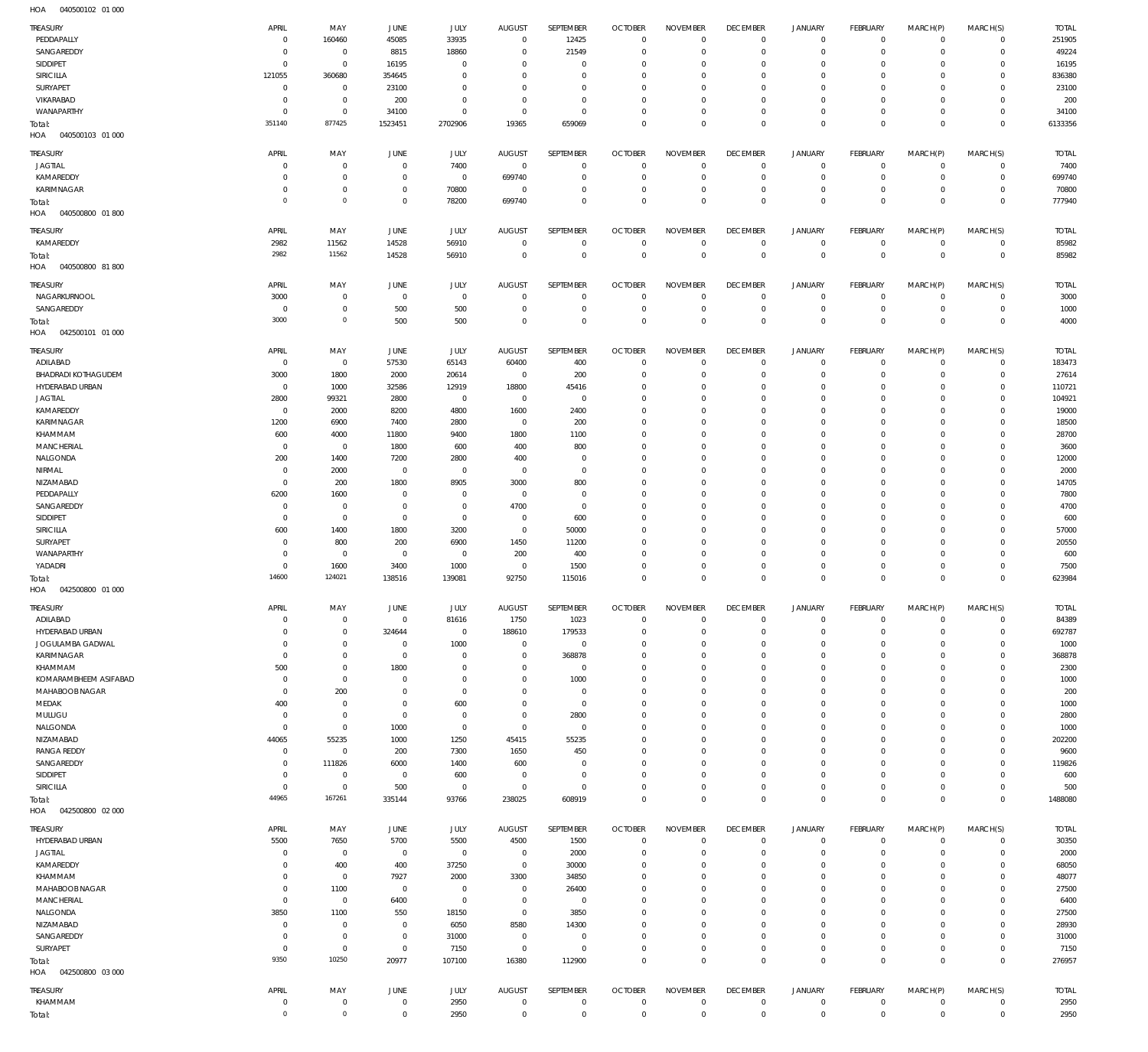| TREASURY                          | APRIL                         | MAY                              | JUNE                             | <b>JULY</b>              | AUGUST                         | SEPTEMBER                     | <b>OCTOBER</b>                   | <b>NOVEMBER</b>                  | <b>DECEMBER</b>               | <b>JANUARY</b>             | FEBRUARY                   | MARCH(P)                   | MARCH(S)                      | <b>TOTAL</b>    |
|-----------------------------------|-------------------------------|----------------------------------|----------------------------------|--------------------------|--------------------------------|-------------------------------|----------------------------------|----------------------------------|-------------------------------|----------------------------|----------------------------|----------------------------|-------------------------------|-----------------|
| PEDDAPALLY                        | $\overline{0}$                | 160460                           | 45085                            | 33935                    | $^{\circ}$                     | 12425                         | $\overline{0}$                   | $^{\circ}$                       | $^{\circ}$                    | 0                          | $\overline{0}$             | $\mathbf 0$                | $\overline{0}$                | 251905          |
| SANGAREDDY                        | $\mathbf 0$                   | $\overline{0}$                   | 8815                             | 18860                    | $\Omega$                       | 21549                         | $\overline{0}$                   | $\mathbf{0}$                     | $^{\circ}$                    | $\mathbf 0$                | $^{\circ}$                 | $\mathbf 0$                | $\mathbf 0$                   | 49224           |
| SIDDIPET                          | $\mathbf 0$                   | $\overline{0}$                   | 16195                            | $^{\circ}$               | $\Omega$                       | $\mathbf 0$                   | 0                                | $^{\circ}$                       | 0                             | $\mathbf 0$                | $^{\circ}$                 | $\mathbf 0$                | $\mathbf 0$                   | 16195           |
| SIRICILLA                         | 121055                        | 360680                           | 354645                           | $\Omega$                 | $\Omega$                       | $\mathbf 0$                   | 0                                | $\overline{0}$                   | $\circ$                       | $\mathbf 0$                | 0                          | $\mathbf 0$                | $\mathbf 0$                   | 836380          |
| SURYAPET<br>VIKARABAD             | $\overline{0}$<br>$\mathbf 0$ | $\overline{0}$<br>$\overline{0}$ | 23100<br>200                     | $^{\circ}$<br>$^{\circ}$ | $\Omega$<br>$\Omega$           | $\mathbf 0$<br>$\mathbf 0$    | 0<br>0                           | $\overline{0}$<br>$\overline{0}$ | $\circ$<br>$\circ$            | $\mathbf 0$<br>$\mathbf 0$ | 0<br>0                     | $\mathbf 0$<br>$\mathbf 0$ | $\mathbf 0$<br>$\mathbf 0$    | 23100<br>200    |
| WANAPARTHY                        | $\overline{0}$                | $\overline{0}$                   | 34100                            | $\mathbf 0$              | $^{\circ}$                     | $\mathbf 0$                   | $\overline{0}$                   | $\mathbb O$                      | $^{\circ}$                    | $\mathbf 0$                | $^{\circ}$                 | 0                          | $\mathbf 0$                   | 34100           |
| Total:                            | 351140                        | 877425                           | 1523451                          | 2702906                  | 19365                          | 659069                        | $\overline{0}$                   | $\mathbb O$                      | $\mathbf{0}$                  | $\mathsf 0$                | $\mathbf 0$                | $\mathbf 0$                | $\mathbf{0}$                  | 6133356         |
| HOA<br>040500103 01 000           |                               |                                  |                                  |                          |                                |                               |                                  |                                  |                               |                            |                            |                            |                               |                 |
| TREASURY                          | APRIL                         | MAY                              | JUNE                             | <b>JULY</b>              | <b>AUGUST</b>                  | SEPTEMBER                     | <b>OCTOBER</b>                   | <b>NOVEMBER</b>                  | <b>DECEMBER</b>               | <b>JANUARY</b>             | FEBRUARY                   | MARCH(P)                   | MARCH(S)                      | <b>TOTAL</b>    |
| <b>JAGTIAL</b>                    | 0                             | $\mathbf 0$                      | $^{\circ}$                       | 7400                     | $\mathbf 0$                    | $\mathbf 0$                   | $\overline{0}$                   | $\overline{0}$                   | $^{\circ}$                    | 0                          | $^{\circ}$                 | $\mathbf 0$                | $\overline{0}$                | 7400            |
| KAMAREDDY                         | $\mathbf 0$                   | $\overline{0}$                   | $\circ$                          | $\overline{0}$           | 699740                         | $\mathbf 0$                   | 0                                | $^{\circ}$                       | $\overline{0}$                | 0                          | $\mathbf 0$                | $\mathbf 0$                | $\overline{0}$                | 699740          |
| KARIMNAGAR                        | $\mathbf 0$                   | $\overline{0}$                   | $\overline{0}$                   | 70800                    | $\overline{0}$                 | $\mathbf 0$                   | $\overline{0}$                   | $\mathbf{0}$                     | $\overline{0}$                | $\mathsf{O}$               | $^{\circ}$                 | $\mathbf 0$                | $\mathbf 0$                   | 70800           |
| Total:                            | $\mathbf 0$                   | $\overline{0}$                   | $\overline{0}$                   | 78200                    | 699740                         | $\mathbf 0$                   | $\overline{0}$                   | $\mathbb O$                      | $\mathbf{0}$                  | $\mathsf 0$                | $\mathbf 0$                | $\mathbf 0$                | $\mathbf{0}$                  | 777940          |
| 040500800 01 800<br>HOA           |                               |                                  |                                  |                          |                                |                               |                                  |                                  |                               |                            |                            |                            |                               |                 |
| TREASURY                          | APRIL                         | MAY                              | JUNE                             | <b>JULY</b>              | <b>AUGUST</b>                  | SEPTEMBER                     | <b>OCTOBER</b>                   | <b>NOVEMBER</b>                  | <b>DECEMBER</b>               | <b>JANUARY</b>             | FEBRUARY                   | MARCH(P)                   | MARCH(S)                      | <b>TOTAL</b>    |
| KAMAREDDY                         | 2982                          | 11562                            | 14528                            | 56910                    | $\Omega$                       | $\mathbf 0$                   | $\overline{0}$                   | $^{\circ}$                       | $\mathbf 0$                   | 0                          | $\overline{0}$             | $\mathbf 0$                | $\circ$                       | 85982           |
| Total:                            | 2982                          | 11562                            | 14528                            | 56910                    | $^{\circ}$                     | $\mathbf 0$                   | $\mathbb O$                      | $\mathbb O$                      | $\mathbf{0}$                  | $\mathsf 0$                | $\overline{0}$             | $\mathbf 0$                | $\,0\,$                       | 85982           |
| HOA<br>040500800 81 800           |                               |                                  |                                  |                          |                                |                               |                                  |                                  |                               |                            |                            |                            |                               |                 |
| TREASURY                          | APRIL                         | MAY                              | <b>JUNE</b>                      | <b>JULY</b>              | AUGUST                         | SEPTEMBER                     | <b>OCTOBER</b>                   | <b>NOVEMBER</b>                  | <b>DECEMBER</b>               | <b>JANUARY</b>             | FEBRUARY                   | MARCH(P)                   | MARCH(S)                      | <b>TOTAL</b>    |
| NAGARKURNOOL                      | 3000                          | $\overline{0}$                   | $\overline{0}$                   | $\overline{0}$           | $^{\circ}$                     | $\mathbf 0$                   | $\overline{0}$                   | $^{\circ}$                       | $^{\circ}$                    | 0                          | $\overline{0}$             | $\mathbf 0$                | $\mathbf 0$                   | 3000            |
| SANGAREDDY                        | - 0                           | $\overline{0}$                   | 500                              | 500                      | $\circ$                        | $\mathbf 0$                   | $\overline{0}$                   | $\mathbb O$                      | $^{\circ}$                    | $\mathsf{O}$               | $\overline{0}$             | $\mathbf 0$                | $\circ$                       | 1000            |
| Total:                            | 3000                          | $\overline{0}$                   | 500                              | 500                      | $\Omega$                       | $\mathbb O$                   | $\overline{0}$                   | $\mathbb O$                      | $\mathbf{0}$                  | $\mathsf 0$                | $\overline{0}$             | $\mathbf 0$                | $\overline{0}$                | 4000            |
| HOA<br>042500101 01 000           |                               |                                  |                                  |                          |                                |                               |                                  |                                  |                               |                            |                            |                            |                               |                 |
| TREASURY                          | APRIL                         | MAY                              | <b>JUNE</b>                      | JULY                     | AUGUST                         | SEPTEMBER                     | <b>OCTOBER</b>                   | <b>NOVEMBER</b>                  | <b>DECEMBER</b>               | <b>JANUARY</b>             | FEBRUARY                   | MARCH(P)                   | MARCH(S)                      | <b>TOTAL</b>    |
| ADILABAD                          | $\overline{0}$                | $\overline{0}$                   | 57530                            | 65143                    | 60400                          | 400                           | $\overline{0}$                   | $^{\circ}$                       | $^{\circ}$                    | $\mathbf 0$                | $\overline{0}$             | $\mathbf 0$                | $\overline{0}$                | 183473          |
| <b>BHADRADI KOTHAGUDEM</b>        | 3000                          | 1800                             | 2000                             | 20614                    | $\overline{0}$                 | 200                           | $\overline{0}$                   | $\mathbf{0}$                     | $\overline{0}$                | $\mathsf{O}$               | $^{\circ}$                 | $\mathbf 0$                | $\mathbf 0$                   | 27614           |
| HYDERABAD URBAN                   | $\overline{0}$                | 1000                             | 32586                            | 12919                    | 18800                          | 45416                         | 0                                | $\overline{0}$                   | $\circ$                       | $\mathbf 0$                | $^{\circ}$                 | $\mathbf 0$                | $\mathbf 0$                   | 110721          |
| <b>JAGTIAL</b><br>KAMAREDDY       | 2800<br>$\overline{0}$        | 99321<br>2000                    | 2800<br>8200                     | $^{\circ}$<br>4800       | $\mathbf{0}$<br>1600           | $\mathbf 0$<br>2400           | 0<br>0                           | $\overline{0}$<br>$\overline{0}$ | 0<br>$\circ$                  | $\mathbf 0$<br>$\mathbf 0$ | $^{\circ}$<br>$^{\circ}$   | $\mathbf 0$<br>$\mathbf 0$ | $\mathbf 0$<br>$\mathbf 0$    | 104921<br>19000 |
| KARIMNAGAR                        | 1200                          | 6900                             | 7400                             | 2800                     | $\mathbf{0}$                   | 200                           | 0                                | $\overline{0}$                   | $\circ$                       | $\mathbf 0$                | $^{\circ}$                 | $\mathbf 0$                | $\mathbf 0$                   | 18500           |
| KHAMMAM                           | 600                           | 4000                             | 11800                            | 9400                     | 1800                           | 1100                          | 0                                | $\overline{0}$                   | $\circ$                       | $\mathbf 0$                | $^{\circ}$                 | $\mathbf 0$                | $\mathbf 0$                   | 28700           |
| <b>MANCHERIAL</b>                 | $\overline{0}$                | $\overline{0}$                   | 1800                             | 600                      | 400                            | 800                           | 0                                | $\overline{0}$                   | $\circ$                       | $\mathbf 0$                | $^{\circ}$                 | $\mathbf 0$                | $\mathbf 0$                   | 3600            |
| NALGONDA                          | 200                           | 1400                             | 7200                             | 2800                     | 400                            | $\mathbf 0$                   | 0                                | $\overline{0}$                   | $\circ$                       | $\mathbf 0$                | $^{\circ}$                 | $\mathbf 0$                | $\mathbf 0$                   | 12000           |
| NIRMAL                            | $\overline{0}$                | 2000                             | $\overline{0}$                   | $^{\circ}$               | $\overline{0}$                 | $\mathbf 0$                   | 0                                | $\overline{0}$                   | $\circ$                       | $\mathbf 0$                | $^{\circ}$                 | $\mathbf 0$                | $\mathbf 0$                   | 2000            |
| NIZAMABAD                         | $\mathbf 0$                   | 200                              | 1800                             | 8905                     | 3000                           | 800                           | 0                                | $\overline{0}$                   | $\circ$                       | $\mathbf 0$                | $^{\circ}$                 | $\mathbf 0$                | $\mathbf 0$                   | 14705           |
| PEDDAPALLY                        | 6200                          | 1600                             | $^{\circ}$                       | $^{\circ}$               | $\overline{0}$                 | $\mathbf 0$                   | $\overline{0}$                   | $\overline{0}$                   | $\circ$                       | $\mathbf 0$                | $^{\circ}$                 | $\mathbf 0$                | $\mathbf 0$                   | 7800            |
| SANGAREDDY<br>SIDDIPET            | $\overline{0}$                | $\overline{0}$<br>$\overline{0}$ | $\overline{0}$                   | $^{\circ}$               | 4700                           | $\mathbf 0$                   | 0                                | $\overline{0}$                   | $\circ$                       | $\mathbf 0$<br>$\mathbf 0$ | $^{\circ}$<br>$^{\circ}$   | $\mathbf 0$<br>$\Omega$    | $\mathbf 0$<br>$\mathbf 0$    | 4700            |
| <b>SIRICILLA</b>                  | $\overline{0}$<br>600         | 1400                             | $\overline{0}$<br>1800           | $\overline{0}$<br>3200   | $\circ$<br>$\circ$             | 600<br>50000                  | 0<br>0                           | $\overline{0}$<br>$\overline{0}$ | $\circ$<br>$\circ$            | $\mathbf 0$                | 0                          | $\mathbf 0$                | $\mathbf 0$                   | 600<br>57000    |
| SURYAPET                          | $\mathbf 0$                   | 800                              | 200                              | 6900                     | 1450                           | 11200                         | $\Omega$                         | $\overline{0}$                   | $\circ$                       | $\mathbf 0$                | $^{\circ}$                 | $\mathbf 0$                | $\mathbf 0$                   | 20550           |
| WANAPARTHY                        | $\mathbf 0$                   | $\overline{0}$                   | $\overline{0}$                   | $\overline{0}$           | 200                            | 400                           | 0                                | $\overline{0}$                   | $\circ$                       | $\mathbf 0$                | 0                          | 0                          | $\mathbf 0$                   | 600             |
| YADADRI                           | $\overline{0}$                | 1600                             | 3400                             | 1000                     | $\overline{0}$                 | 1500                          | $\overline{0}$                   | $\mathbb O$                      | $^{\circ}$                    | $\mathsf{O}$               | $^{\circ}$                 | $\mathbf 0$                | $\mathbf 0$                   | 7500            |
| Total:                            | 14600                         | 124021                           | 138516                           | 139081                   | 92750                          | 115016                        | $\mathbb O$                      | $\mathbb O$                      | $\mathbf 0$                   | $\mathsf 0$                | $\mathbf 0$                | $\mathbf 0$                | $\mathbf{0}$                  | 623984          |
|                                   |                               |                                  |                                  |                          |                                |                               |                                  |                                  |                               |                            |                            |                            |                               |                 |
| 042500800 01 000<br>HOA           |                               |                                  |                                  |                          |                                |                               |                                  |                                  |                               |                            |                            |                            |                               |                 |
| TREASURY                          | APRIL                         | MAY                              | <b>JUNE</b>                      | <b>JULY</b>              | <b>AUGUST</b>                  | SEPTEMBER                     | <b>OCTOBER</b>                   | <b>NOVEMBER</b>                  | <b>DECEMBER</b>               | <b>JANUARY</b>             | <b>FEBRUARY</b>            | MARCH(P)                   | MARCH(S)                      | <b>TOTAL</b>    |
| ADILABAD                          | $\mathbf 0$                   | $\mathbf 0$                      | $^{\circ}$                       | 81616                    | 1750                           | 1023                          | $\overline{0}$                   | $^{\circ}$                       | $\overline{0}$                | $\mathbf 0$                | $^{\circ}$                 | $\mathbf 0$                | $\mathbf 0$                   | 84389           |
| HYDERABAD URBAN                   | $\mathbf 0$                   | $\mathbf 0$                      | 324644                           | $\overline{0}$           | 188610                         | 179533                        | $\overline{0}$                   | $\mathbb O$                      | $\circ$                       | $\mathsf{O}$               | $^{\circ}$                 | $\mathbf 0$                | $\mathbf 0$                   | 692787          |
| JOGULAMBA GADWAL                  | $\mathbf 0$                   | $\mathbf 0$                      | $^{\circ}$                       | 1000                     | $\circ$                        | $\mathbf 0$                   | $\overline{0}$                   | $\mathbb O$                      | 0                             | $\mathbf 0$                | $^{\circ}$                 | $\mathbf 0$                | $\mathbf 0$                   | 1000            |
| KARIMNAGAR                        | $\mathbf 0$                   | $\overline{0}$                   | $^{\circ}$                       | $\Omega$                 | $\Omega$                       | 368878                        | 0                                | $\overline{0}$                   | $\circ$                       | $\mathbf 0$                | $^{\circ}$                 | $\mathbf 0$                | $\mathbf 0$                   | 368878          |
| KHAMMAM                           | 500                           | $\mathbf 0$                      | 1800                             | $\Omega$                 | - 0                            | $\overline{0}$                | $\overline{0}$                   | $\mathbb O$                      | 0                             | $\mathbf 0$                | $^{\circ}$                 | 0                          | $\mathbf 0$                   | 2300            |
| KOMARAMBHEEM ASIFABAD             | $\overline{0}$                | $\overline{0}$                   | $\circ$                          | $\Omega$                 | $\Omega$                       | 1000                          | 0                                | $\mathbb O$                      | $\circ$                       | $\mathbf 0$                | $^{\circ}$                 | $\mathbf 0$                | $\mathbf 0$                   | 1000            |
| MAHABOOB NAGAR                    | $\mathbf 0$                   | 200                              | $\circ$                          | $^{\circ}$               | $\Omega$<br>$\Omega$           | $\overline{0}$                | $\overline{0}$                   | $\overline{0}$                   | 0                             | $\mathbf 0$                | $^{\circ}$                 | $\mathbf 0$<br>$\Omega$    | $\mathbf 0$                   | 200             |
| MEDAK<br>MULUGU                   | 400<br>$\overline{0}$         | $\overline{0}$<br>$\overline{0}$ | $\circ$<br>$\overline{0}$        | 600<br>$^{\circ}$        | $\Omega$                       | $\mathbf 0$<br>2800           | $\overline{0}$<br>$\overline{0}$ | $\mathbb O$<br>$\overline{0}$    | $\circ$<br>0                  | $\mathbf 0$<br>$\mathbf 0$ | $^{\circ}$<br>$^{\circ}$   | $\mathbf 0$                | $\mathbf 0$<br>$^{\circ}$     | 1000<br>2800    |
| NALGONDA                          | $\mathbf 0$                   | $\overline{0}$                   | 1000                             | $\overline{0}$           | $^{\circ}$                     | $\mathbf 0$                   | $\overline{0}$                   | $\mathbb O$                      | $\circ$                       | $\mathsf{O}$               | $^{\circ}$                 | $\mathbf 0$                | $\mathbf 0$                   | 1000            |
| NIZAMABAD                         | 44065                         | 55235                            | 1000                             | 1250                     | 45415                          | 55235                         | $\overline{0}$                   | $\mathbb O$                      | 0                             | $\mathbf 0$                | $^{\circ}$                 | $\mathbf 0$                | $\mathbf 0$                   | 202200          |
| <b>RANGA REDDY</b>                | $\overline{0}$                | $\overline{0}$                   | 200                              | 7300                     | 1650                           | 450                           | 0                                | $\overline{0}$                   | 0                             | $\mathsf{O}$               | $^{\circ}$                 | $\mathbf 0$                | $\mathbf 0$                   | 9600            |
| SANGAREDDY                        | $\mathbf 0$                   | 111826                           | 6000                             | 1400                     | 600                            | $\overline{0}$                | $\overline{0}$                   | $\mathbb O$                      | $\circ$                       | $\mathbf 0$                | $^{\circ}$                 | $\mathbf 0$                | $^{\circ}$                    | 119826          |
| SIDDIPET                          | $\mathbf 0$                   | $\overline{0}$                   | $\overline{0}$                   | 600                      | $\circ$                        | $\overline{0}$                | 0                                | $\overline{0}$                   | $\circ$                       | 0                          | 0                          | $\mathbf 0$                | $\mathbf 0$                   | 600             |
| SIRICILLA                         | $\mathbf 0$                   | $\overline{0}$                   | 500                              | $\overline{0}$           | $^{\circ}$                     | $\mathbf 0$                   | $\overline{0}$                   | $\mathbb O$                      | $^{\circ}$                    | $\mathbf 0$                | $^{\circ}$                 | $\mathbf 0$                | $\mathbf 0$                   | 500             |
| Total:                            | 44965                         | 167261                           | 335144                           | 93766                    | 238025                         | 608919                        | $\overline{0}$                   | $\mathbb O$                      | $\mathbf 0$                   | $\mathsf 0$                | $\mathbf 0$                | $\mathbf 0$                | $\mathbf 0$                   | 1488080         |
| 042500800 02 000<br>HOA           |                               |                                  |                                  |                          |                                |                               |                                  |                                  |                               |                            |                            |                            |                               |                 |
| TREASURY                          | APRIL                         | MAY                              | JUNE                             | JULY                     | AUGUST                         | SEPTEMBER                     | <b>OCTOBER</b>                   | <b>NOVEMBER</b>                  | <b>DECEMBER</b>               | <b>JANUARY</b>             | FEBRUARY                   | MARCH(P)                   | MARCH(S)                      | <b>TOTAL</b>    |
| HYDERABAD URBAN                   | 5500<br>$^{\circ}$            | 7650                             | 5700                             | 5500                     | 4500                           | 1500                          | $\overline{0}$<br>$\overline{0}$ | $\mathbf 0$<br>$\mathbf 0$       | $\mathbf 0$<br>$\overline{0}$ | 0                          | $^{\circ}$<br>$^{\circ}$   | $\mathbf 0$<br>$\mathbf 0$ | $\overline{0}$<br>$\mathbf 0$ | 30350           |
| <b>JAGTIAL</b><br>KAMAREDDY       | $\mathbf 0$                   | $\overline{0}$<br>400            | $\overline{0}$<br>400            | $\overline{0}$<br>37250  | $\mathbf{0}$<br>$\overline{0}$ | 2000<br>30000                 | $\overline{0}$                   | $\overline{0}$                   | 0                             | 0<br>$\mathbf 0$           | $^{\circ}$                 | $\mathbf 0$                | $\mathbf 0$                   | 2000<br>68050   |
| KHAMMAM                           | $\mathbf 0$                   | $\overline{0}$                   | 7927                             | 2000                     | 3300                           | 34850                         | $\overline{0}$                   | $\mathbb O$                      | $\circ$                       | $\mathbf 0$                | $^{\circ}$                 | $\mathbf 0$                | $\mathbf 0$                   | 48077           |
| MAHABOOB NAGAR                    | $\mathbf 0$                   | 1100                             | $\overline{0}$                   | $\overline{0}$           | $^{\circ}$                     | 26400                         | 0                                | $\overline{0}$                   | $^{\circ}$                    | $\mathbf 0$                | $^{\circ}$                 | $\mathbf 0$                | $\mathbf 0$                   | 27500           |
| MANCHERIAL                        | $\mathbf 0$                   | $\overline{0}$                   | 6400                             | $\overline{0}$           | $^{\circ}$                     | $\overline{0}$                | $\overline{0}$                   | $\mathbb O$                      | $\circ$                       | $\mathbf 0$                | $^{\circ}$                 | $\mathbf 0$                | $\mathbf 0$                   | 6400            |
| NALGONDA                          | 3850                          | 1100                             | 550                              | 18150                    | $^{\circ}$                     | 3850                          | 0                                | $\overline{0}$                   | $\circ$                       | $\mathbf 0$                | $^{\circ}$                 | $\mathbf 0$                | $\mathbf 0$                   | 27500           |
| NIZAMABAD                         | $\overline{0}$                | $\overline{0}$                   | $\overline{0}$                   | 6050                     | 8580                           | 14300                         | $\overline{0}$                   | $\mathbb O$                      | $\circ$                       | $\mathbf 0$                | $^{\circ}$                 | $\mathbf 0$                | $\mathbf 0$                   | 28930           |
| SANGAREDDY                        | $\mathbf 0$                   | $\overline{0}$                   | $\overline{0}$                   | 31000                    | $\mathbf{0}$                   | $\overline{0}$                | 0                                | $\overline{0}$                   | $^{\circ}$                    | $\mathbf 0$                | 0                          | 0                          | $\mathbf 0$                   | 31000           |
| SURYAPET                          | $\overline{0}$                | $\overline{0}$                   | $\mathbb O$                      | 7150                     | $\overline{0}$                 | $\mathbf 0$                   | $\overline{0}$                   | $\mathbb O$                      | $^{\circ}$                    | $\mathbf 0$                | $^{\circ}$                 | 0                          | $\mathbf 0$                   | 7150            |
| Total:<br>042500800 03 000<br>HOA | 9350                          | 10250                            | 20977                            | 107100                   | 16380                          | 112900                        | $\mathbb O$                      | $\mathbb O$                      | $\mathbf 0$                   | $\mathsf 0$                | $\mathbf 0$                | $\mathbf 0$                | $\mathbf 0$                   | 276957          |
|                                   |                               |                                  |                                  |                          |                                |                               |                                  |                                  |                               |                            |                            |                            |                               |                 |
| TREASURY                          | APRIL                         | MAY                              | JUNE                             | JULY                     | AUGUST                         | SEPTEMBER                     | <b>OCTOBER</b>                   | <b>NOVEMBER</b>                  | <b>DECEMBER</b>               | <b>JANUARY</b>             | FEBRUARY                   | MARCH(P)                   | MARCH(S)                      | <b>TOTAL</b>    |
| KHAMMAM<br>Total:                 | $\overline{0}$<br>$\mathbf 0$ | $\overline{0}$<br>$\overline{0}$ | $\overline{0}$<br>$\overline{0}$ | 2950<br>2950             | $^{\circ}$<br>$^{\circ}$       | $\overline{0}$<br>$\mathbf 0$ | $\mathbb O$<br>$\overline{0}$    | $\,0\,$<br>$\mathbb O$           | $\mathbf 0$<br>$\mathbf 0$    | 0<br>$\mathsf 0$           | $\mathbf 0$<br>$\mathbf 0$ | 0<br>$\mathbf 0$           | $\circ$<br>$\overline{0}$     | 2950<br>2950    |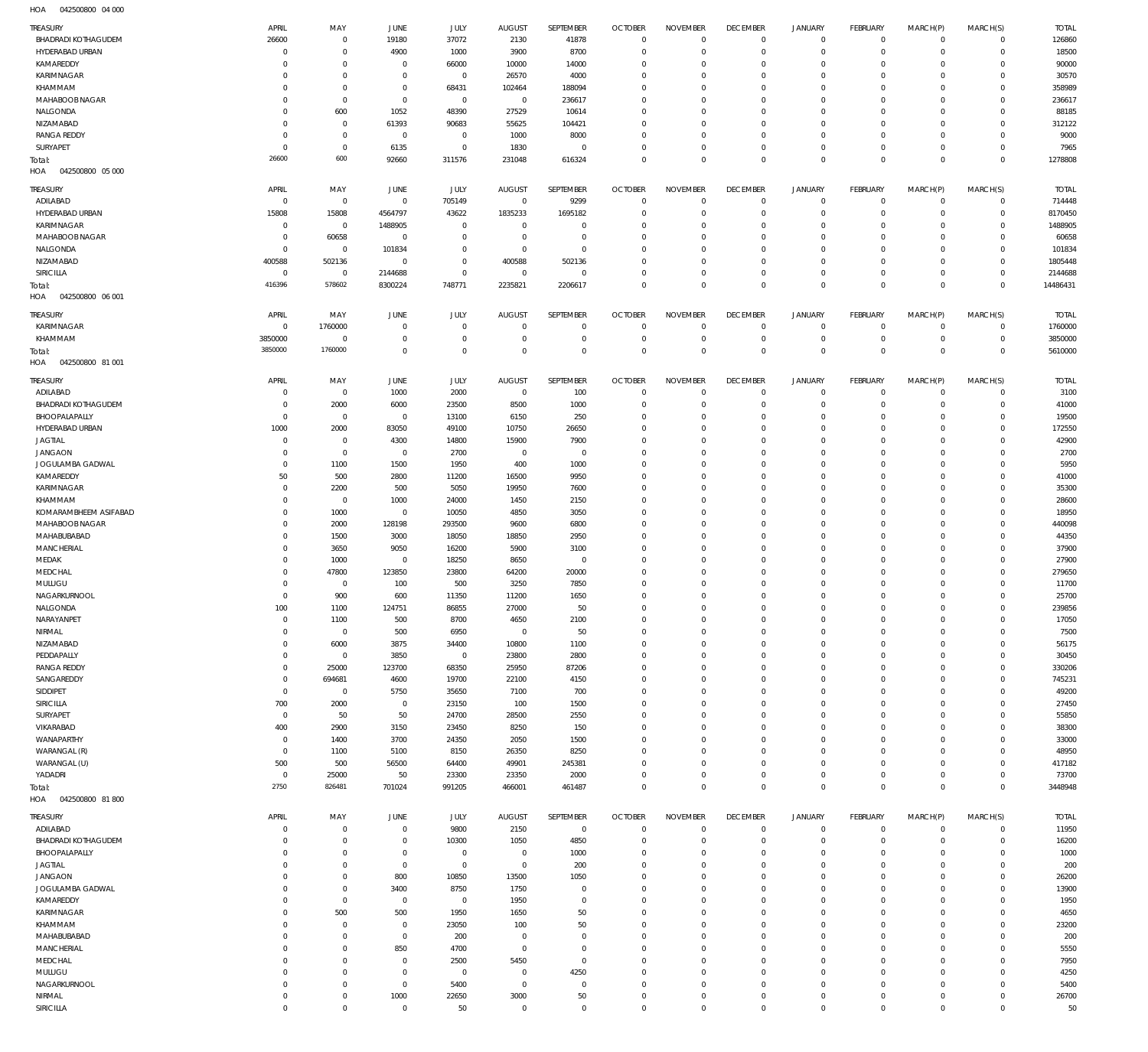042500800 04 000 HOA

| <b>TREASURY</b>                   | APRIL          | MAY                | JUNE                | JULY        | <b>AUGUST</b>       | SEPTEMBER                 | <b>OCTOBER</b> | <b>NOVEMBER</b> | <b>DECEMBER</b> | <b>JANUARY</b> | <b>FEBRUARY</b>             | MARCH(P)       | MARCH(S)            | <b>TOTAL</b> |
|-----------------------------------|----------------|--------------------|---------------------|-------------|---------------------|---------------------------|----------------|-----------------|-----------------|----------------|-----------------------------|----------------|---------------------|--------------|
| <b>BHADRADI KOTHAGUDEM</b>        | 26600          | $\,0\,$            | 19180               | 37072       | 2130                | 41878                     | $\overline{0}$ | $\mathbf 0$     | $\overline{0}$  | $\overline{0}$ | $\mathbf 0$                 | $^{\circ}$     | $\mathbf 0$         | 126860       |
| HYDERABAD URBAN                   | $\mathsf{C}$   | $\mathbb O$        | 4900                | 1000        | 3900                | 8700                      | $\overline{0}$ | $\Omega$        | $\overline{0}$  | $\mathbf 0$    | $\mathbf 0$                 | $\Omega$       | $\circ$             | 18500        |
| KAMAREDDY                         | $\Omega$       | $\mathbb O$        | $\overline{0}$      | 66000       | 10000               | 14000                     | $\overline{0}$ | $\Omega$        | $\overline{0}$  | $\mathbf 0$    | $\mathbf 0$                 | $\Omega$       | $\circ$             | 90000        |
| KARIMNAGAR                        | $\Omega$       | $\mathbb O$        | $\overline{0}$      | $\mathbf 0$ | 26570               | 4000                      | $\overline{0}$ | $\Omega$        | $\mathbf 0$     | $\mathbf 0$    | $\mathbf{0}$                | $\Omega$       | $\Omega$            | 30570        |
| KHAMMAM                           | $\Omega$       | $\mathbb O$        | $^{\circ}$          | 68431       | 102464              | 188094                    | $\overline{0}$ | $\Omega$        | $\overline{0}$  | 0              | $\mathbf 0$                 | $\Omega$       | $\circ$             | 358989       |
| MAHABOOB NAGAR                    | $\Omega$       | $\mathbb O$        | $\mathbf{0}$        | $\mathbf 0$ | $\overline{0}$      | 236617                    | $\overline{0}$ | $\Omega$        | $\mathbf 0$     | $\mathbf 0$    | $\mathbf{0}$                | $\Omega$       | $\Omega$            | 236617       |
| NALGONDA                          | $\Omega$       | 600                | 1052                | 48390       | 27529               | 10614                     | $\overline{0}$ | $\Omega$        | $\overline{0}$  | 0              | $\circ$                     | $\Omega$       | $\circ$             | 88185        |
| NIZAMABAD                         | $\Omega$       | $\,0\,$            | 61393               | 90683       | 55625               | 104421                    | $\overline{0}$ | $\Omega$        | $\mathbf 0$     | $\mathbf 0$    | $\mathbf 0$                 | $\Omega$       | $\circ$             | 312122       |
| <b>RANGA REDDY</b>                | $\Omega$       | $\mathbf 0$        | $\mathbf{0}$        | $\mathbf 0$ | 1000                | 8000                      | $\overline{0}$ | $\Omega$        | $\overline{0}$  | $\mathbf 0$    | $\circ$                     | $\Omega$       | $\circ$             | 9000         |
| SURYAPET                          | $\Omega$       | $\,0\,$            | 6135                | $\mathbb O$ | 1830                | $\mathbf 0$               | $\overline{0}$ | $\mathbf 0$     | $\overline{0}$  | $\mathbf 0$    | $\mathbf 0$                 | $\Omega$       | $\circ$             | 7965         |
| Total:                            | 26600          | 600                | 92660               | 311576      | 231048              | 616324                    | $\overline{0}$ | $\Omega$        | $\overline{0}$  | $\mathbf 0$    | $\mathbf{0}$                | $\Omega$       | $\overline{0}$      | 1278808      |
| HOA<br>042500800 05 000           |                |                    |                     |             |                     |                           |                |                 |                 |                |                             |                |                     |              |
| TREASURY                          | APRIL          | MAY                | <b>JUNE</b>         | <b>JULY</b> | <b>AUGUST</b>       | SEPTEMBER                 | <b>OCTOBER</b> | <b>NOVEMBER</b> | <b>DECEMBER</b> | <b>JANUARY</b> | <b>FEBRUARY</b>             | MARCH(P)       | MARCH(S)            | <b>TOTAL</b> |
|                                   | $\Omega$       | $\mathbf 0$        | $\overline{0}$      |             | $\mathbf 0$         |                           | $\overline{0}$ | $\mathbf 0$     | $\overline{0}$  |                |                             | $\Omega$       | $\mathbf 0$         | 714448       |
| ADILABAD                          |                |                    |                     | 705149      |                     | 9299                      |                | $\Omega$        |                 | $\overline{0}$ | $\circ$                     |                |                     |              |
| HYDERABAD URBAN                   | 15808          | 15808              | 4564797             | 43622       | 1835233             | 1695182                   | $\overline{0}$ |                 | $\overline{0}$  | $\mathbf 0$    | $\mathbf 0$                 | $\Omega$       | $\circ$             | 8170450      |
| KARIMNAGAR                        | $\Omega$       | $\,0\,$            | 1488905             | $\mathbf 0$ | $\mathbf 0$         | $\mathbf 0$               | $\mathbf 0$    | $\mathbf 0$     | $\mathbf 0$     | 0              | $\mathbf 0$                 | $\Omega$       | $\Omega$            | 1488905      |
| MAHABOOB NAGAR                    | $\Omega$       | 60658              | $\Omega$            | $\Omega$    | $\mathbf 0$         | $\Omega$                  | $\Omega$       | $\Omega$        | $\Omega$        | $\Omega$       | $\Omega$                    | $\Omega$       | $\Omega$            | 60658        |
| NALGONDA                          | $\Omega$       | $\mathbf 0$        | 101834              | $^{\circ}$  | $^{\circ}$          | $\mathbf 0$               | $\mathbf 0$    | $\Omega$        | $\overline{0}$  | 0              | $\circ$                     | $\Omega$       | $\circ$             | 101834       |
| NIZAMABAD                         | 400588         | 502136             | $\Omega$            | $\Omega$    | 400588              | 502136                    | $\Omega$       | $\Omega$        | $\mathbf 0$     | $\Omega$       | $\Omega$                    | $\Omega$       | $\Omega$            | 1805448      |
| SIRICILLA                         | $\Omega$       | $\overline{0}$     | 2144688             | $\mathbf 0$ | $^{\circ}$          | $\mathbf 0$               | $\mathbf 0$    | $\Omega$        | $\mathbf 0$     | $\mathbf 0$    | $\mathbf 0$                 | $\Omega$       | $\circ$             | 2144688      |
| Total:                            | 416396         | 578602             | 8300224             | 748771      | 2235821             | 2206617                   | $\Omega$       | $\Omega$        | $\mathbf 0$     | $\mathbf 0$    | $\mathbf{0}$                | $\Omega$       | $\overline{0}$      | 14486431     |
| HOA<br>042500800 06 001           |                |                    |                     |             |                     |                           |                |                 |                 |                |                             |                |                     |              |
| TREASURY                          | APRIL          | MAY                | JUNE                | <b>JULY</b> | <b>AUGUST</b>       | SEPTEMBER                 | <b>OCTOBER</b> | <b>NOVEMBER</b> | <b>DECEMBER</b> | <b>JANUARY</b> | <b>FEBRUARY</b>             | MARCH(P)       | MARCH(S)            | <b>TOTAL</b> |
| KARIMNAGAR                        | $\mathbf 0$    | 1760000            | 0                   | $^{\circ}$  | $^{\circ}$          | $\mathbf 0$               | $\overline{0}$ | $\mathbf 0$     | $\overline{0}$  | $\overline{0}$ | $\circ$                     | $\Omega$       | $\Omega$            | 1760000      |
| KHAMMAM                           | 3850000        | $\,0\,$            | $\overline{0}$      | $\mathbf 0$ | $^{\circ}$          | $\bf 0$                   | $\overline{0}$ | $\mathbf 0$     | $\overline{0}$  | $\mathbf 0$    | $\mathbf 0$                 | $^{\circ}$     | $\mathbf 0$         | 3850000      |
|                                   | 3850000        | 1760000            | $\mathbf{0}$        | $\mathbf 0$ | $\Omega$            | $\mathbf 0$               | $\overline{0}$ | $\mathbf 0$     | $\overline{0}$  | $\mathbf{0}$   | $\,0\,$                     | $\Omega$       | $\mathbf 0$         | 5610000      |
| Total:<br>HOA<br>042500800 81 001 |                |                    |                     |             |                     |                           |                |                 |                 |                |                             |                |                     |              |
|                                   |                |                    |                     |             |                     |                           |                |                 |                 |                |                             |                |                     |              |
| TREASURY                          | APRIL          | MAY                | JUNE                | JULY        | <b>AUGUST</b>       | SEPTEMBER                 | <b>OCTOBER</b> | <b>NOVEMBER</b> | <b>DECEMBER</b> | <b>JANUARY</b> | <b>FEBRUARY</b>             | MARCH(P)       | MARCH(S)            | <b>TOTAL</b> |
| ADILABAD                          | $\Omega$       | $\mathbf 0$        | 1000                | 2000        | $\overline{0}$      | 100                       | $\overline{0}$ | $\Omega$        | $\overline{0}$  | $\mathbf 0$    | $\circ$                     | $\Omega$       | $\Omega$            | 3100         |
| <b>BHADRADI KOTHAGUDEM</b>        | $\Omega$       | 2000               | 6000                | 23500       | 8500                | 1000                      | $\overline{0}$ | $\Omega$        | $\overline{0}$  | $\mathbf 0$    | $\mathbf 0$                 | $\Omega$       | $\circ$             | 41000        |
| BHOOPALAPALLY                     | $\Omega$       | $\mathbb O$        | $\overline{0}$      | 13100       | 6150                | 250                       | $\mathbf 0$    | $\Omega$        | $\mathbf 0$     | 0              | $\circ$                     | $\Omega$       | $\Omega$            | 19500        |
| HYDERABAD URBAN                   | 1000           | 2000               | 83050               | 49100       | 10750               | 26650                     | $\Omega$       | $\Omega$        | $\mathbf 0$     | $\Omega$       | $\Omega$                    | $\Omega$       | $\Omega$            | 172550       |
| <b>JAGTIAL</b>                    | $\Omega$       | $\overline{0}$     | 4300                | 14800       | 15900               | 7900                      | $\Omega$       | $\Omega$        | $\mathbf 0$     | $\Omega$       | $\circ$                     | $\Omega$       | $\Omega$            | 42900        |
| <b>JANGAON</b>                    | $\Omega$       | $\mathbb O$        | $^{\circ}$          | 2700        | $^{\circ}$          | $\mathbf 0$               | $\Omega$       | $\Omega$        | $\mathbf 0$     | $\Omega$       | $\circ$                     | $\Omega$       | $\Omega$            | 2700         |
| JOGULAMBA GADWAL                  | $\Omega$       | 1100               | 1500                | 1950        | 400                 | 1000                      | $\mathbf 0$    | $\Omega$        | $\mathbf 0$     | $\Omega$       | $\Omega$                    | $\Omega$       | $\Omega$            | 5950         |
| KAMAREDDY                         | 50             | 500                | 2800                | 11200       | 16500               | 9950                      | $\Omega$       | $\Omega$        | $\Omega$        | $\Omega$       | $\circ$                     | $\Omega$       | $\Omega$            | 41000        |
| KARIMNAGAR                        | $\Omega$       | 2200               | 500                 | 5050        | 19950               | 7600                      | $\mathbf 0$    | $\Omega$        | $\mathbf 0$     | 0              | $\Omega$                    | $\Omega$       | $\Omega$            | 35300        |
| KHAMMAM                           | $\Omega$       | $\overline{0}$     | 1000                | 24000       | 1450                | 2150                      | $\Omega$       | $\Omega$        | $\Omega$        | $\Omega$       | $\Omega$                    | $\Omega$       | $\Omega$            | 28600        |
|                                   | $\Omega$       |                    |                     |             |                     |                           |                | $\Omega$        | $\mathbf 0$     |                | $\circ$                     |                | $\Omega$            |              |
| KOMARAMBHEEM ASIFABAD             |                | 1000               | $\overline{0}$      | 10050       | 4850                | 3050                      | $\mathbf 0$    |                 |                 | 0              |                             | $\Omega$       |                     | 18950        |
| MAHABOOB NAGAR                    | $\Omega$       | 2000               | 128198              | 293500      | 9600                | 6800                      | $\Omega$       | $\Omega$        | $\Omega$        | $\Omega$       | $\Omega$                    | $\Omega$       | $\Omega$            | 440098       |
| MAHABUBABAD                       | $\Omega$       | 1500               | 3000                | 18050       | 18850               | 2950                      | $\mathbf 0$    | $\Omega$        | $\mathbf 0$     | 0              | $\circ$                     | $\Omega$       | $\Omega$            | 44350        |
| <b>MANCHERIAL</b>                 | $\Omega$       | 3650               | 9050                | 16200       | 5900                | 3100                      | $\Omega$       | $\Omega$        | $\Omega$        | $\Omega$       | $\Omega$                    | $\Omega$       | $\Omega$            | 37900        |
| MEDAK                             | $\Omega$       | 1000               | $\overline{0}$      | 18250       | 8650                | $\mathbf 0$               | $\mathbf 0$    | $\Omega$        | $\mathbf 0$     | 0              | $\circ$                     | $\Omega$       | $\Omega$            | 27900        |
| MEDCHAL                           | $\Omega$       | 47800              | 123850              | 23800       | 64200               | 20000                     | $\Omega$       | $\Omega$        | $\Omega$        | $\Omega$       | $\Omega$                    | $\Omega$       | $\Omega$            | 279650       |
| MULUGU                            | $\Omega$       | $\overline{0}$     | 100                 | 500         | 3250                | 7850                      | $\Omega$       | $\Omega$        | $\overline{0}$  | $\Omega$       | $\Omega$                    | $\Omega$       | $\Omega$            | 11700        |
| NAGARKURNOOL                      | $\Omega$       | 900                | 600                 | 11350       | 11200               | 1650                      | $\Omega$       | $\Omega$        | $\Omega$        | $\Omega$       | $\Omega$                    | $\Omega$       | $\circ$             | 25700        |
| NALGONDA                          | 100            | 1100               | 124751              | 86855       | 27000               | 50                        | $\Omega$       | $\Omega$        | $\Omega$        | $\Omega$       | $\Omega$                    | $\mathbf{0}$   | $\circ$             | 239856       |
| NARAYANPET                        |                |                    |                     |             |                     |                           |                | $\Omega$        | $\mathbf 0$     |                |                             |                |                     |              |
|                                   | $\Omega$       | 1100               | 500                 | 8700        | 4650                | 2100                      | $\mathbf 0$    |                 |                 | 0              | $\circ$                     | $\Omega$       | $\Omega$            | 17050        |
| NIRMAL                            | $^{\circ}$     | $\mathbf 0$        | 500                 | 6950        | $\overline{0}$      | 50                        | $\overline{0}$ | $\Omega$        | $\overline{0}$  | $\mathbf 0$    | $\mathbf 0$                 | $\mathbf{0}$   | $\circ$             | 7500         |
| NIZAMABAD                         | $\Omega$       | 6000               | 3875                | 34400       | 10800               | 1100                      | $\mathbf 0$    | $\Omega$        | $\mathbf 0$     | 0              | $\mathbf 0$                 | $\Omega$       | $\Omega$            | 56175        |
| PEDDAPALLY                        | $\Omega$       | $\mathbf 0$        | 3850                | $\mathbf 0$ | 23800               | 2800                      | $\mathbf 0$    | $\Omega$        | $\mathbf 0$     | $\mathbf 0$    | $\mathbf 0$                 | $\Omega$       | $\circ$             | 30450        |
| <b>RANGA REDDY</b>                | $\Omega$       | 25000              | 123700              | 68350       | 25950               | 87206                     | $\mathbf 0$    | $\Omega$        | $\mathbf 0$     | 0              | $\mathbf 0$                 | $\Omega$       | $\Omega$            | 330206       |
| SANGAREDDY                        | $\Omega$       | 694681             | 4600                | 19700       | 22100               | 4150                      | $\Omega$       | $\Omega$        | $\mathbf 0$     | $\Omega$       | $\mathbf 0$                 | $\Omega$       | $\circ$             | 745231       |
| SIDDIPET                          | $\Omega$       | $\mathbf 0$        | 5750                | 35650       | 7100                | 700                       | $\mathbf 0$    | $\Omega$        | $\mathbf 0$     | $\Omega$       | $\mathbf 0$                 | $\Omega$       | $\Omega$            | 49200        |
| SIRICILLA                         | 700            | 2000               | $^{\circ}$          | 23150       | 100                 | 1500                      | $\mathbf 0$    | $\Omega$        | $\mathbf 0$     | $\Omega$       | $\circ$                     | $\Omega$       | $\circ$             | 27450        |
| SURYAPET                          | $\mathbf 0$    | 50                 | 50                  | 24700       | 28500               | 2550                      | $\mathbf 0$    | $\Omega$        | $\mathbf 0$     | 0              | $\mathbf 0$                 | $\Omega$       | $\Omega$            | 55850        |
| VIKARABAD                         | 400            | 2900               | 3150                | 23450       | 8250                | 150                       | $\mathbf 0$    | $\Omega$        | $\mathbf 0$     | $\mathbf 0$    | $\circ$                     | $\Omega$       | $\Omega$            | 38300        |
| WANAPARTHY                        | $\Omega$       | 1400               | 3700                | 24350       | 2050                | 1500                      | $\mathbf 0$    | $\Omega$        | $\mathbf 0$     | $\Omega$       | $\mathbf 0$                 | $\Omega$       | $\Omega$            | 33000        |
| WARANGAL (R)                      | $^{\circ}$     | 1100               | 5100                | 8150        | 26350               | 8250                      | $\mathbf 0$    | $\Omega$        | $\mathbf 0$     | $\mathbf 0$    | $\mathbf 0$                 | $\Omega$       | $\circ$             | 48950        |
|                                   | 500            | 500                | 56500               | 64400       | 49901               | 245381                    | $\Omega$       | $\Omega$        | $\mathbf 0$     | 0              | $\mathbf 0$                 | $\Omega$       | $\circ$             | 417182       |
| WARANGAL (U)<br>YADADRI           | $\Omega$       | 25000              |                     |             |                     | 2000                      | $\mathbf 0$    | $\mathbf 0$     | $\mathbf 0$     | $\mathbf 0$    | $\mathbf 0$                 | $\Omega$       | $\circ$             | 73700        |
|                                   | 2750           | 826481             | 50                  | 23300       | 23350               | 461487                    | $\overline{0}$ | $\Omega$        | $\overline{0}$  | $\mathbf 0$    | $\mathbf 0$                 | $\overline{0}$ | $\overline{0}$      |              |
| Total:<br>HOA  042500800  81 800  |                |                    | 701024              | 991205      | 466001              |                           |                |                 |                 |                |                             |                |                     | 3448948      |
|                                   |                |                    |                     |             |                     |                           |                |                 |                 |                |                             |                |                     |              |
| TREASURY                          | APRIL          | MAY                | JUNE                | JULY        | <b>AUGUST</b>       | SEPTEMBER                 | <b>OCTOBER</b> | <b>NOVEMBER</b> | <b>DECEMBER</b> | <b>JANUARY</b> | FEBRUARY                    | MARCH(P)       | MARCH(S)            | <b>TOTAL</b> |
| ADILABAD                          | $\Omega$       | $\,0\,$            | $\overline{0}$      | 9800        | 2150                | $\overline{0}$            | $\overline{0}$ | $\mathbf 0$     | $\overline{0}$  | $\mathsf 0$    | $\mathbf 0$                 | $^{\circ}$     | $\mathbf 0$         | 11950        |
| <b>BHADRADI KOTHAGUDEM</b>        | $\Omega$       | $\mathbf 0$        | $^{\circ}$          | 10300       | 1050                | 4850                      | $\overline{0}$ | $\mathbf 0$     | $\overline{0}$  | $\mathbf 0$    | $\mathbf 0$                 | $\Omega$       | $\mathbf 0$         | 16200        |
| BHOOPALAPALLY                     | $\Omega$       | $\mathbb O$        | $^{\circ}$          | $\mathbb O$ | $\overline{0}$      | 1000                      | $\overline{0}$ | $\mathbf 0$     | $\overline{0}$  | 0              | $\mathbf 0$                 | $\Omega$       | $\mathbf 0$         | 1000         |
| <b>JAGTIAL</b>                    | $\Omega$       | $\mathbb O$        | $\mathbf 0$         | $\mathbf 0$ | $\overline{0}$      | 200                       | $\overline{0}$ | $\Omega$        | $\overline{0}$  | $\mathbf 0$    | $\mathbf 0$                 | $\Omega$       | $\circ$             | 200          |
| <b>JANGAON</b>                    | $\Omega$       | $\mathbb O$        | 800                 | 10850       | 13500               | 1050                      | $\overline{0}$ | $\mathbf 0$     | $\overline{0}$  | 0              | $\mathbf 0$                 | $\Omega$       | $\circ$             | 26200        |
| JOGULAMBA GADWAL                  | $\Omega$       | $\mathbb O$        | 3400                | 8750        | 1750                | $\mathbf 0$               | $\overline{0}$ | $\Omega$        | $\overline{0}$  | $\mathbf 0$    | $\mathbf 0$                 | $\Omega$       | $\circ$             | 13900        |
| KAMAREDDY                         | $\Omega$       | $\mathbb O$        | $\mathbf 0$         | $\mathbf 0$ | 1950                | $\mathbf 0$               | $\overline{0}$ | $\mathbf 0$     | $\overline{0}$  | 0              | $\mathbf 0$                 | $\Omega$       | $\circ$             | 1950         |
| KARIMNAGAR                        | $\Omega$       | 500                | 500                 | 1950        | 1650                | 50                        | $\overline{0}$ | $\Omega$        | $\overline{0}$  | $\mathbf 0$    | $\mathbf 0$                 | $\Omega$       | $\circ$             | 4650         |
| KHAMMAM                           | $\Omega$       | $\mathbb O$        | $^{\circ}$          | 23050       | 100                 | 50                        | $\overline{0}$ | $\mathbf 0$     | $\overline{0}$  | 0              | $\mathbf 0$                 | $\Omega$       | $\circ$             | 23200        |
| MAHABUBABAD                       | $\Omega$       | $\mathbb O$        | $\mathbf 0$         | 200         | $\overline{0}$      | $\mathbf 0$               | $\overline{0}$ | $\mathbf 0$     | $\overline{0}$  | $\mathbf 0$    | $\mathbf 0$                 | $\Omega$       | $\circ$             | 200          |
| <b>MANCHERIAL</b>                 | $\Omega$       | $\mathbb O$        | 850                 | 4700        | $\overline{0}$      | $\mathbf 0$               | $\overline{0}$ | $\Omega$        | $\overline{0}$  | 0              | $\mathbf 0$                 | $\Omega$       | $\circ$             | 5550         |
| MEDCHAL                           | $\Omega$       | $\mathbb O$        | $\overline{0}$      | 2500        | 5450                | $\mathbf 0$               | $\overline{0}$ | $\Omega$        | $\mathbf 0$     | $\mathbf 0$    | $\mathbf 0$                 | $\Omega$       | $\circ$             | 7950         |
| MULUGU                            | $\Omega$       | $\mathbb O$        | $^{\circ}$          | $\mathbf 0$ | $\overline{0}$      | 4250                      | $\overline{0}$ | $\Omega$        | $\overline{0}$  | 0              | $\mathbf 0$                 | $\Omega$       | $\circ$             | 4250         |
| NAGARKURNOOL                      | $\Omega$       | $\mathbb O$        | $\mathbf{0}$        | 5400        | $\mathbf 0$         | $\mathbf 0$               | $\overline{0}$ | $\mathbf 0$     | $\overline{0}$  | $\mathbf 0$    | $\mathbf 0$                 | $\Omega$       | $\circ$             | 5400         |
| NIRMAL                            | $\overline{0}$ |                    |                     |             |                     |                           | $\overline{0}$ | $\mathbf 0$     | $\overline{0}$  | $\mathbf 0$    |                             | $\mathbf 0$    | $\mathbf 0$         |              |
| SIRICILLA                         | $\mathbf 0$    | $\,0\,$<br>$\,0\,$ | 1000<br>$\mathbf 0$ | 22650<br>50 | 3000<br>$\mathbb O$ | 50<br>$\mathsf{O}\xspace$ | $\mathbf 0$    | $\mathbf 0$     | $\mathbf 0$     | $\mathbf 0$    | $\mathbb O$<br>$\mathsf{O}$ | $\mathbf 0$    | $\mathsf{O}\xspace$ | 26700<br>50  |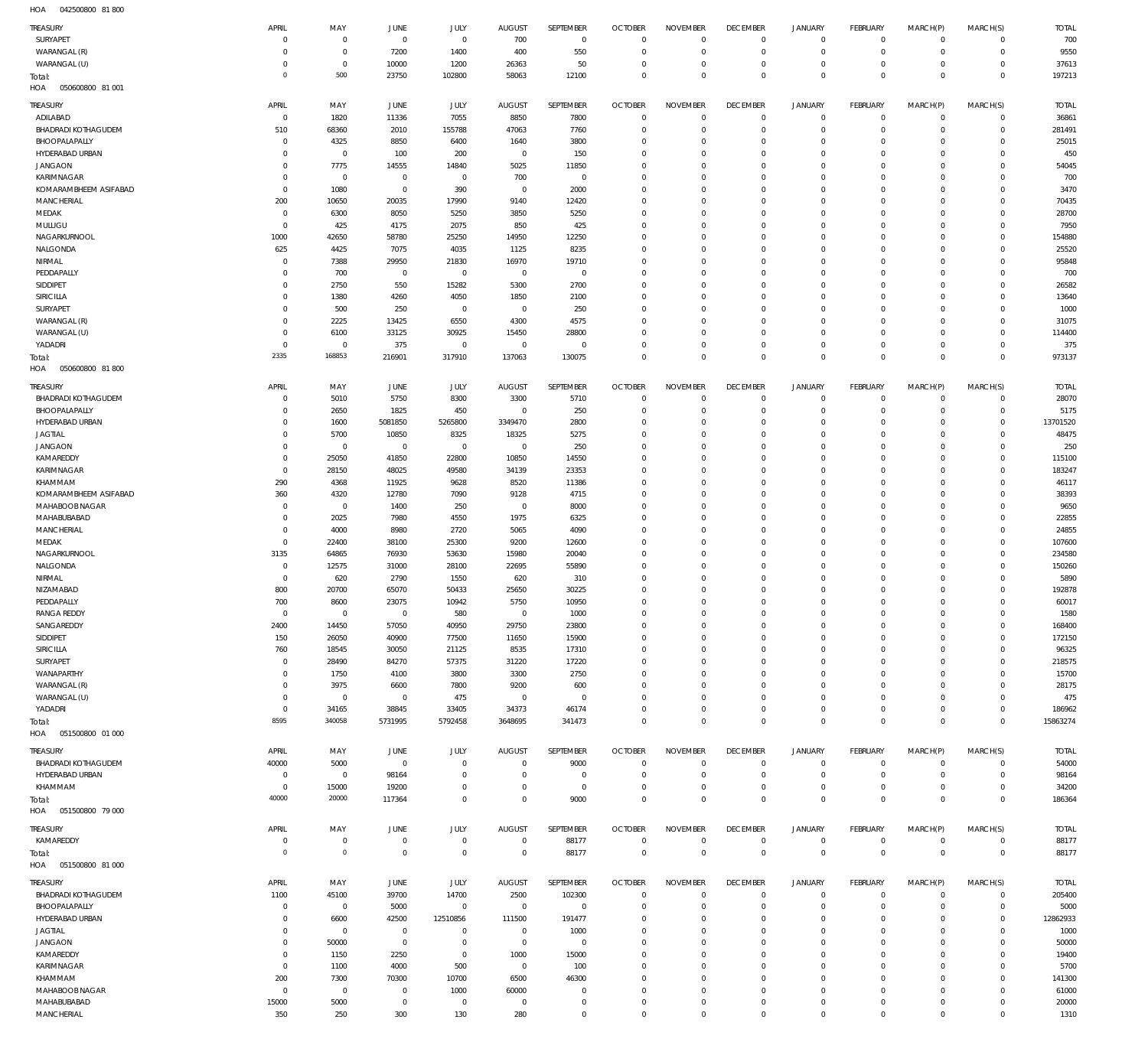042500800 81 800 HOA

| TREASURY                   | APRIL          | MAY         | JUNE                  | <b>JULY</b>        | <b>AUGUST</b>  | <b>SEPTEMBER</b>   | <b>OCTOBER</b>                | <b>NOVEMBER</b>            | <b>DECEMBER</b>               | JANUARY                    | <b>FEBRUARY</b>            | MARCH(P)                  | MARCH(S)                   | <b>TOTAL</b>  |
|----------------------------|----------------|-------------|-----------------------|--------------------|----------------|--------------------|-------------------------------|----------------------------|-------------------------------|----------------------------|----------------------------|---------------------------|----------------------------|---------------|
| SURYAPET                   | $\overline{0}$ | $\mathbf 0$ | $\overline{0}$        | $\mathbb O$        | 700            | $\,0\,$            | $\overline{0}$                | $\mathbf 0$                | $\mathbf 0$                   | $\mathsf 0$                | $\mathbb O$                | $^{\circ}$                | $\Omega$                   | 700           |
| WARANGAL (R)               | 0              | $\mathbf 0$ | 7200                  | 1400               | 400            | 550                | $\overline{0}$                | $\mathbf 0$                | $\mathbf 0$                   | $\mathsf 0$                | $\mathbb O$                | $^{\circ}$                | $\mathbf 0$                | 9550          |
| WARANGAL (U)               | 0              | $\mathbf 0$ | 10000                 | 1200               | 26363          | 50                 | $\mathbf 0$                   | $\mathbf 0$                | $\mathbf 0$                   | $\mathbf 0$                | $\mathbb O$                | $\Omega$                  | $\mathbf 0$                | 37613         |
|                            | $^{\circ}$     | 500         | 23750                 | 102800             | 58063          | 12100              | $\overline{0}$                | $\mathbf 0$                | $\mathbf 0$                   | $\mathbf 0$                | $\mathbb O$                | $\overline{0}$            | $\mathbf 0$                | 197213        |
| Total:                     |                |             |                       |                    |                |                    |                               |                            |                               |                            |                            |                           |                            |               |
| HOA<br>050600800 81 001    |                |             |                       |                    |                |                    |                               |                            |                               |                            |                            |                           |                            |               |
| TREASURY                   | APRIL          | MAY         | <b>JUNE</b>           | JULY               | <b>AUGUST</b>  | SEPTEMBER          | <b>OCTOBER</b>                | <b>NOVEMBER</b>            | <b>DECEMBER</b>               | JANUARY                    | FEBRUARY                   | MARCH(P)                  | MARCH(S)                   | <b>TOTAL</b>  |
| ADILABAD                   | $\mathbf 0$    | 1820        | 11336                 | 7055               | 8850           | 7800               | $\overline{0}$                | $\Omega$                   | $\mathbf 0$                   | $\mathsf 0$                | $\mathbf{0}$               | $\Omega$                  | $\mathbf 0$                | 36861         |
|                            |                |             |                       |                    |                |                    |                               |                            |                               |                            |                            |                           |                            |               |
| <b>BHADRADI KOTHAGUDEM</b> | 510            | 68360       | 2010                  | 155788             | 47063          | 7760               | $\overline{0}$                | $\Omega$                   | $\mathbf 0$                   | $\overline{0}$             | $\mathbf 0$                | $\Omega$                  | $\mathbf 0$                | 281491        |
| BHOOPALAPALLY              | $^{\circ}$     | 4325        | 8850                  | 6400               | 1640           | 3800               | $\mathbf 0$                   | $\Omega$                   | $\mathbf 0$                   | $\mathbf 0$                | $\mathbf{0}$               | $\Omega$                  | $\mathbf 0$                | 25015         |
| HYDERABAD URBAN            | $\mathbf 0$    | $\mathbf 0$ | 100                   | 200                | $^{\circ}$     | 150                | $\mathbf 0$                   | $\Omega$                   | $\mathbf{0}$                  | $\mathbf 0$                | $\circ$                    | $\Omega$                  | $\Omega$                   | 450           |
| <b>JANGAON</b>             | 0              | 7775        | 14555                 | 14840              | 5025           | 11850              | $\mathbf 0$                   | $\Omega$                   | $\mathbf{0}$                  | $\mathbf 0$                | $\mathbf{0}$               | $\Omega$                  | $\Omega$                   | 54045         |
| KARIMNAGAR                 | $\mathbf 0$    | $\mathbf 0$ | $\mathbf 0$           | $\mathbf 0$        | 700            | $\mathbf 0$        | $\mathbf 0$                   | $\Omega$                   | $\mathbf 0$                   | $\mathbf 0$                | $\Omega$                   | $\Omega$                  | $\Omega$                   | 700           |
| KOMARAMBHEEM ASIFABAD      | $^{\circ}$     | 1080        | $\mathbf 0$           | 390                | $\mathbf{0}$   | 2000               | $\mathbf 0$                   | $\Omega$                   | $\mathbf 0$                   | $\mathbf 0$                | $\mathbf 0$                | $\Omega$                  | $\Omega$                   | 3470          |
|                            |                |             |                       |                    |                |                    |                               |                            |                               |                            |                            |                           |                            |               |
| MANCHERIAL                 | 200            | 10650       | 20035                 | 17990              | 9140           | 12420              | $\mathbf 0$                   | $\Omega$                   | $\mathbf 0$                   | $\mathbf 0$                | $\circ$                    | $\Omega$                  | $\Omega$                   | 70435         |
| MEDAK                      | $^{\circ}$     | 6300        | 8050                  | 5250               | 3850           | 5250               | $\mathbf 0$                   | $\Omega$                   | $\mathbf{0}$                  | $\mathbf 0$                | $\mathbf 0$                | $\Omega$                  | $\Omega$                   | 28700         |
| MULUGU                     | $^{\circ}$     | 425         | 4175                  | 2075               | 850            | 425                | $\mathbf 0$                   | $\Omega$                   | $\mathbf 0$                   | $\mathbf 0$                | $\mathbf{0}$               | $\Omega$                  | $\Omega$                   | 7950          |
| NAGARKURNOOL               | 1000           | 42650       | 58780                 | 25250              | 14950          | 12250              | $\mathbf 0$                   | $\Omega$                   | $\mathbf 0$                   | $\mathbf 0$                | $\mathbf{0}$               | $\Omega$                  | $\Omega$                   | 154880        |
| NALGONDA                   | 625            | 4425        | 7075                  | 4035               | 1125           | 8235               | $\mathbf 0$                   | $\Omega$                   | $\mathbf 0$                   | $\mathbf 0$                | $\mathbf 0$                | $\Omega$                  | $\Omega$                   | 25520         |
| NIRMAL                     | $\Omega$       | 7388        | 29950                 | 21830              | 16970          | 19710              | $\mathbf 0$                   | $\Omega$                   | $\mathbf 0$                   | $\mathbf 0$                | $\Omega$                   | $\Omega$                  | $\Omega$                   | 95848         |
|                            |                |             |                       | $\mathbb O$        | $\mathbf 0$    | $\mathbf 0$        | $\mathbf 0$                   | $\Omega$                   | $\mathbf 0$                   | $\mathbf 0$                | $\mathbf 0$                | $\Omega$                  | $\Omega$                   | 700           |
| PEDDAPALLY                 | 0              | 700         | $\mathbf 0$           |                    |                |                    |                               |                            |                               |                            |                            |                           |                            |               |
| SIDDIPET                   | $\Omega$       | 2750        | 550                   | 15282              | 5300           | 2700               | $\mathbf 0$                   | $\Omega$                   | $\mathbf 0$                   | $\mathbf 0$                | $\mathbf{0}$               | $\Omega$                  | $\Omega$                   | 26582         |
| SIRICILLA                  | $\Omega$       | 1380        | 4260                  | 4050               | 1850           | 2100               | $\mathbf 0$                   | $\Omega$                   | $\mathbf 0$                   | $\mathbf 0$                | $\mathbf 0$                | $\Omega$                  | $\Omega$                   | 13640         |
| SURYAPET                   | $\Omega$       | 500         | 250                   | $\mathbf 0$        | $\mathbf 0$    | 250                | $\mathbf 0$                   | $\Omega$                   | $\mathbf 0$                   | $\mathbf 0$                | $\mathbf{0}$               | $\Omega$                  | $\Omega$                   | 1000          |
| WARANGAL (R)               | $\Omega$       | 2225        | 13425                 | 6550               | 4300           | 4575               | $\mathbf 0$                   | $\Omega$                   | $\mathbf{0}$                  | $\mathbf 0$                | $\mathbf 0$                | $\Omega$                  | $\Omega$                   | 31075         |
| WARANGAL (U)               | $\Omega$       | 6100        | 33125                 | 30925              | 15450          | 28800              | $\mathbf 0$                   | $\Omega$                   | $\mathbf 0$                   | $\mathbf 0$                | $\mathbf{0}$               | $\Omega$                  | $\Omega$                   | 114400        |
| YADADRI                    | $\Omega$       | $\mathbf 0$ | 375                   | $\mathbf 0$        | $\mathbf{0}$   | $\mathbf 0$        | $\mathbf 0$                   | $\Omega$                   | $\mathbf{0}$                  | $\mathbf 0$                | $\mathbf 0$                | $\Omega$                  | $\Omega$                   | 375           |
|                            |                |             |                       |                    |                |                    |                               |                            |                               |                            |                            |                           |                            |               |
| Total:                     | 2335           | 168853      | 216901                | 317910             | 137063         | 130075             | $\overline{0}$                | $\Omega$                   | $\overline{0}$                | $\overline{0}$             | $\,0\,$                    | $\Omega$                  | $\mathbf 0$                | 973137        |
| HOA<br>050600800 81800     |                |             |                       |                    |                |                    |                               |                            |                               |                            |                            |                           |                            |               |
|                            | APRIL          |             |                       |                    |                | SEPTEMBER          | <b>OCTOBER</b>                | <b>NOVEMBER</b>            | <b>DECEMBER</b>               | JANUARY                    | FEBRUARY                   |                           | MARCH(S)                   |               |
| TREASURY                   |                | MAY         | JUNE                  | JULY               | <b>AUGUST</b>  |                    |                               |                            |                               |                            |                            | MARCH(P)                  |                            | <b>TOTAL</b>  |
| <b>BHADRADI KOTHAGUDEM</b> | $\overline{0}$ | 5010        | 5750                  | 8300               | 3300           | 5710               | $\overline{0}$                | 0                          | $\mathbf 0$                   | $\mathsf 0$                | $\circ$                    | $\circ$                   | $\mathbf 0$                | 28070         |
| BHOOPALAPALLY              | 0              | 2650        | 1825                  | 450                | $\overline{0}$ | 250                | $\overline{0}$                | $\mathbf 0$                | $\overline{0}$                | $\overline{0}$             | $\mathbf 0$                | $^{\circ}$                | $\mathbf 0$                | 5175          |
| HYDERABAD URBAN            | $\Omega$       | 1600        | 5081850               | 5265800            | 3349470        | 2800               | $\overline{0}$                | $\mathbf 0$                | $\mathbf 0$                   | $\mathbf 0$                | $\mathbf{0}$               | $\Omega$                  | $\circ$                    | 13701520      |
| <b>JAGTIAL</b>             | 0              | 5700        | 10850                 | 8325               | 18325          | 5275               | $\overline{0}$                | $\mathbf 0$                | $\mathbf 0$                   | $\mathbf 0$                | $\mathbf 0$                | $\Omega$                  | $\Omega$                   | 48475         |
| <b>JANGAON</b>             | $\mathbf 0$    | $\mathbf 0$ | $\circ$               | $\mathbb O$        | $\mathbf 0$    | 250                | $\overline{0}$                | $\Omega$                   | $\mathbf 0$                   | $\mathbf 0$                | $\mathbf{0}$               | $\Omega$                  | $\Omega$                   | 250           |
|                            |                |             |                       |                    |                |                    |                               |                            |                               |                            |                            |                           |                            |               |
| KAMAREDDY                  | $\Omega$       | 25050       | 41850                 | 22800              | 10850          | 14550              | $\overline{0}$                | $\mathbf 0$                | $\mathbf 0$                   | $\mathbf 0$                | $\mathbf 0$                | $\Omega$                  | $\Omega$                   | 115100        |
| KARIMNAGAR                 | $^{\circ}$     | 28150       | 48025                 | 49580              | 34139          | 23353              | $\overline{0}$                | $\mathbf 0$                | $\mathbf 0$                   | $\mathbf 0$                | $\mathbf{0}$               | $\Omega$                  | $\Omega$                   | 183247        |
| KHAMMAM                    | 290            | 4368        | 11925                 | 9628               | 8520           | 11386              | $\overline{0}$                | $\mathbf 0$                | $\mathbf{0}$                  | $\mathbf 0$                | $\mathbf 0$                | $\Omega$                  | $\Omega$                   | 46117         |
| KOMARAMBHEEM ASIFABAD      | 360            | 4320        | 12780                 | 7090               | 9128           | 4715               | $\overline{0}$                | $\mathbf 0$                | $\mathbf{0}$                  | $\mathbf 0$                | $\mathbf 0$                | $\Omega$                  | $\Omega$                   | 38393         |
| MAHABOOB NAGAR             | $^{\circ}$     | $\mathbf 0$ | 1400                  | 250                | $\mathbf 0$    | 8000               | $\overline{0}$                | $\Omega$                   | $\mathbf 0$                   | $\mathbf 0$                | $\mathbf{0}$               | $\Omega$                  | $\Omega$                   | 9650          |
| MAHABUBABAD                | $^{\circ}$     | 2025        | 7980                  | 4550               | 1975           | 6325               | $\overline{0}$                | $\mathbf 0$                | $\mathbf{0}$                  | $\mathbf 0$                | $\mathbf{0}$               | $\Omega$                  | $\Omega$                   | 22855         |
|                            |                |             |                       |                    |                |                    |                               |                            |                               |                            |                            |                           |                            |               |
| <b>MANCHERIAL</b>          | $\Omega$       | 4000        | 8980                  | 2720               | 5065           | 4090               | $\mathbf 0$                   | $\mathbf 0$                | $\mathbf 0$                   | $\mathbf 0$                | $\mathbf{0}$               | $\Omega$                  | $\Omega$                   | 24855         |
| MEDAK                      | $^{\circ}$     | 22400       | 38100                 | 25300              | 9200           | 12600              | $\overline{0}$                | $\mathbf 0$                | $\mathbf{0}$                  | $\mathbf 0$                | $\mathbf 0$                | $\Omega$                  | $\Omega$                   | 107600        |
| NAGARKURNOOL               | 3135           | 64865       | 76930                 | 53630              | 15980          | 20040              | $\mathbf 0$                   | $\mathbf 0$                | $\mathbf 0$                   | $\mathbf 0$                | $\mathbf{0}$               | $\Omega$                  | $\Omega$                   | 234580        |
| NALGONDA                   | $\mathbf 0$    | 12575       | 31000                 | 28100              | 22695          | 55890              | $\overline{0}$                | $\mathbf 0$                | $\mathbf{0}$                  | $\mathbf 0$                | $\mathbf 0$                | $\Omega$                  | $\Omega$                   | 150260        |
| NIRMAL                     | $^{\circ}$     | 620         | 2790                  | 1550               | 620            | 310                | $\overline{0}$                | $\mathbf 0$                | $\mathbf{0}$                  | $\mathbf 0$                | $\mathbf{0}$               | $\Omega$                  | $\Omega$                   | 5890          |
| NIZAMABAD                  | 800            | 20700       | 65070                 | 50433              | 25650          | 30225              | $\overline{0}$                | $\mathbf 0$                | $\mathbf{0}$                  | $\mathbf 0$                | $\mathbf 0$                | $\Omega$                  | $\Omega$                   | 192878        |
|                            |                |             |                       |                    |                |                    |                               |                            |                               |                            |                            |                           |                            |               |
| PEDDAPALLY                 | 700            | 8600        | 23075                 | 10942              | 5750           | 10950              | $\overline{0}$                | $\mathbf 0$                | $\overline{0}$                | $\mathbf 0$                | $\mathbb O$                | $\Omega$                  | $\circ$                    | 60017         |
| <b>RANGA REDDY</b>         | $\mathbf 0$    | $\mathbf 0$ | $\overline{0}$        | 580                | $\mathbf 0$    | 1000               | $\overline{0}$                | 0                          | $\mathbf 0$                   | 0                          | $\mathbf{0}$               | $\Omega$                  | $\Omega$                   | 1580          |
| SANGAREDDY                 | 2400           | 14450       | 57050                 | 40950              | 29750          | 23800              | $\overline{0}$                | $\mathbf 0$                | $\mathbf{0}$                  | $\mathbf 0$                | $\mathbb O$                | $^{\circ}$                | $\mathbf 0$                | 168400        |
| SIDDIPET                   | 150            | 26050       | 40900                 | 77500              | 11650          | 15900              | $\overline{0}$                | $\mathbf 0$                | $\mathbf 0$                   | $\mathbf 0$                | $\mathbb O$                | $\Omega$                  | $\mathbf 0$                | 172150        |
| SIRICILLA                  | 760            | 18545       | 30050                 | 21125              | 8535           | 17310              | $\overline{0}$                | $\mathbf 0$                | $\mathbf 0$                   | $\mathbf 0$                | $\mathbf 0$                | $\Omega$                  | $\Omega$                   | 96325         |
| SURYAPET                   | $\mathbf 0$    | 28490       | 84270                 | 57375              | 31220          | 17220              | $\overline{0}$                | $\mathbf 0$                | $\mathbf 0$                   | $\mathbf 0$                | $\mathbf 0$                | $\Omega$                  | $\Omega$                   | 218575        |
|                            |                |             |                       |                    |                |                    |                               |                            |                               |                            |                            |                           |                            |               |
| WANAPARTHY                 | $\circ$        | 1750        | 4100                  | 3800               | 3300           | 2750               | $\overline{0}$                | $\mathbf 0$                | $\mathbf 0$                   | $\mathbf 0$                | $\mathbf{0}$               | $\Omega$                  | $\Omega$                   | 15700         |
| WARANGAL (R)               | 0              | 3975        | 6600                  | 7800               | 9200           | 600                | $\overline{0}$                | $\mathbf 0$                | $\mathbf 0$                   | $\mathbf 0$                | $\mathbf 0$                | $\Omega$                  | $\Omega$                   | 28175         |
| WARANGAL (U)               | $\circ$        | $\mathbf 0$ | $\overline{0}$        | 475                | $\overline{0}$ | $\overline{0}$     | $\overline{0}$                | $\mathbf 0$                | $\mathbf 0$                   | $\mathbf 0$                | $\mathbf 0$                | $\Omega$                  | $\Omega$                   | 475           |
| YADADRI                    | $^{\circ}$     | 34165       | 38845                 | 33405              | 34373          | 46174              | $\overline{0}$                | $\mathbf 0$                | $\mathbf 0$                   | $\mathbf 0$                | $\mathbb O$                | $\circ$                   | $\mathbf 0$                | 186962        |
| Total:                     | 8595           |             | 5731995               | 5792458            | 3648695        | 341473             | $\overline{0}$                | $\mathbf 0$                | $\overline{0}$                | $\mathbf 0$                | $\,0\,$                    | $\overline{0}$            | $\mathbf 0$                | 15863274      |
| HOA<br>051500800 01 000    |                | 340058      |                       |                    |                |                    |                               |                            |                               |                            |                            |                           |                            |               |
|                            |                |             |                       |                    |                |                    |                               |                            |                               |                            |                            |                           |                            |               |
|                            |                |             |                       |                    |                |                    |                               |                            |                               |                            |                            |                           |                            |               |
| TREASURY                   | APRIL          | MAY         | <b>JUNE</b>           | <b>JULY</b>        | <b>AUGUST</b>  | SEPTEMBER          | <b>OCTOBER</b>                | <b>NOVEMBER</b>            | <b>DECEMBER</b>               | JANUARY                    | FEBRUARY                   | MARCH(P)                  | MARCH(S)                   | <b>TOTAL</b>  |
| <b>BHADRADI KOTHAGUDEM</b> | 40000          | 5000        | $\overline{0}$        | $\mathbf 0$        | $\mathbf 0$    | 9000               | $\overline{0}$                | $\mathbf 0$                | $\overline{0}$                | $\mathsf 0$                | $\mathbf 0$                | $\Omega$                  | $\mathbf 0$                | 54000         |
|                            | $^{\circ}$     |             |                       | $\mathbf 0$        | $\mathbf 0$    | $\mathbf 0$        | $\mathbf 0$                   | $\mathbf 0$                |                               | $\mathbf 0$                |                            | $\Omega$                  |                            |               |
| HYDERABAD URBAN            |                | $\mathbf 0$ | 98164                 |                    |                |                    |                               |                            | $\mathbf 0$                   |                            | $\mathbf 0$                |                           | $\mathbf 0$                | 98164         |
| KHAMMAM                    | $^{\circ}$     | 15000       | 19200                 | $\mathbf 0$        | $\mathbf 0$    | $\mathbf 0$        | $\mathbf 0$                   | $\mathbf 0$                | $\mathbf 0$                   | $\mathsf 0$                | $\mathbb O$                | $^{\circ}$                | $\mathbf 0$                | 34200         |
| Total:                     | 40000          | 20000       | 117364                | $\mathbf 0$        | $\mathbf 0$    | 9000               | $\overline{0}$                | $\Omega$                   | $\overline{0}$                | $\overline{0}$             | $\mathbf 0$                | $\overline{0}$            | $\mathbf 0$                | 186364        |
| HOA<br>051500800 79 000    |                |             |                       |                    |                |                    |                               |                            |                               |                            |                            |                           |                            |               |
|                            |                |             |                       |                    |                |                    |                               |                            |                               |                            |                            |                           |                            |               |
| TREASURY                   | APRIL          | MAY         | JUNE                  | JULY               | <b>AUGUST</b>  | SEPTEMBER          | <b>OCTOBER</b>                | <b>NOVEMBER</b>            | <b>DECEMBER</b>               | <b>JANUARY</b>             | FEBRUARY                   | MARCH(P)                  | MARCH(S)                   | <b>TOTAL</b>  |
| KAMAREDDY                  | $\mathbf 0$    | $\mathbf 0$ | $\overline{0}$        | $\mathbb O$        | $\overline{0}$ | 88177              | $\overline{0}$                | $\overline{0}$             | $\overline{0}$                | $\mathsf 0$                | $\mathbb O$                | $\mathbf 0$               | $\mathbf 0$                | 88177         |
| Total:                     | $\circ$        | $\mathbb O$ | $\circ$               | $\mathsf{O}$       | $\mathbf 0$    | 88177              | $\overline{0}$                | $\overline{0}$             | $\mathbf 0$                   | $\mathbf 0$                | $\,0\,$                    | $\overline{0}$            | $\,0\,$                    | 88177         |
| HOA<br>051500800 81 000    |                |             |                       |                    |                |                    |                               |                            |                               |                            |                            |                           |                            |               |
|                            |                |             |                       |                    |                |                    |                               |                            |                               |                            |                            |                           |                            |               |
| TREASURY                   | APRIL          | MAY         | JUNE                  | JULY               | <b>AUGUST</b>  | SEPTEMBER          | <b>OCTOBER</b>                | <b>NOVEMBER</b>            | <b>DECEMBER</b>               | JANUARY                    | <b>FEBRUARY</b>            | MARCH(P)                  | MARCH(S)                   | <b>TOTAL</b>  |
| <b>BHADRADI KOTHAGUDEM</b> | 1100           | 45100       | 39700                 | 14700              | 2500           | 102300             | $\overline{0}$                | $\overline{0}$             | $\overline{0}$                | $\mathsf 0$                | $\mathbf 0$                | $^{\circ}$                | $\circ$                    | 205400        |
| BHOOPALAPALLY              | $^{\circ}$     | $\mathbf 0$ | 5000                  | $\mathbf 0$        | $\,0\,$        | $\overline{0}$     | $\mathbf 0$                   | $\mathbf 0$                | $\mathbf 0$                   | $\mathbf 0$                | $\circ$                    | $\Omega$                  | $\mathbf 0$                | 5000          |
|                            |                |             |                       |                    |                |                    |                               |                            |                               |                            |                            | $\Omega$                  |                            |               |
| HYDERABAD URBAN            | 0              | 6600        | 42500                 | 12510856           | 111500         | 191477             | $\overline{0}$                | $\mathbf 0$                | $\mathbf{0}$                  | $\mathbf 0$                | $\mathbf 0$                |                           | $\circ$                    | 12862933      |
| <b>JAGTIAL</b>             | 0              | $\mathbf 0$ | $\overline{0}$        | $\mathbf 0$        | $\mathbf 0$    | 1000               | $\mathbf 0$                   | $\Omega$                   | $\mathbf 0$                   | $\mathbf 0$                | $\mathbf{0}$               | $\Omega$                  | $\mathbf 0$                | 1000          |
| <b>JANGAON</b>             | $\Omega$       | 50000       | $\overline{0}$        | $\mathbf 0$        | $\mathbf{0}$   | $\overline{0}$     | $\mathbf 0$                   | $\Omega$                   | $\mathbf{0}$                  | $\mathbf 0$                | $\mathbf 0$                | $\Omega$                  | $\Omega$                   | 50000         |
| KAMAREDDY                  | 0              | 1150        | 2250                  | $\mathbf 0$        | 1000           | 15000              | $\mathbf 0$                   | $\mathbf 0$                | $\mathbf 0$                   | 0                          | $\mathbf{0}$               | $\Omega$                  | $\mathbf 0$                | 19400         |
| KARIMNAGAR                 | $^{\circ}$     | 1100        | 4000                  | 500                | $^{\circ}$     | 100                | $\mathbf 0$                   | $\mathbf 0$                | $\mathbf 0$                   | $\mathbf 0$                | $\mathbf 0$                | $\Omega$                  | $\Omega$                   | 5700          |
| KHAMMAM                    | 200            | 7300        | 70300                 | 10700              | 6500           | 46300              | $\mathbf 0$                   | $\Omega$                   | $\mathbf{0}$                  | $\mathbf 0$                | $\mathbf 0$                | $\Omega$                  | $\circ$                    | 141300        |
|                            | $\mathbf 0$    |             | $\mathbf 0$           |                    |                | $\mathbf 0$        | $\mathbf 0$                   | $\mathbf 0$                | $\mathbf 0$                   | $\mathbf 0$                | $\mathbf 0$                | $\Omega$                  | $\Omega$                   |               |
| MAHABOOB NAGAR             |                | $\mathbf 0$ |                       | 1000               | 60000          |                    |                               |                            |                               |                            |                            |                           |                            | 61000         |
| MAHABUBABAD<br>MANCHERIAL  | 15000<br>350   | 5000<br>250 | $\overline{0}$<br>300 | $\mathbf 0$<br>130 | $\,0\,$<br>280 | $\bf 0$<br>$\bf 0$ | $\overline{0}$<br>$\mathbf 0$ | $\mathbf 0$<br>$\mathbf 0$ | $\overline{0}$<br>$\mathbf 0$ | $\mathsf 0$<br>$\mathbf 0$ | $\mathbb O$<br>$\mathbf 0$ | $^{\circ}$<br>$\mathbf 0$ | $\mathbf 0$<br>$\mathbf 0$ | 20000<br>1310 |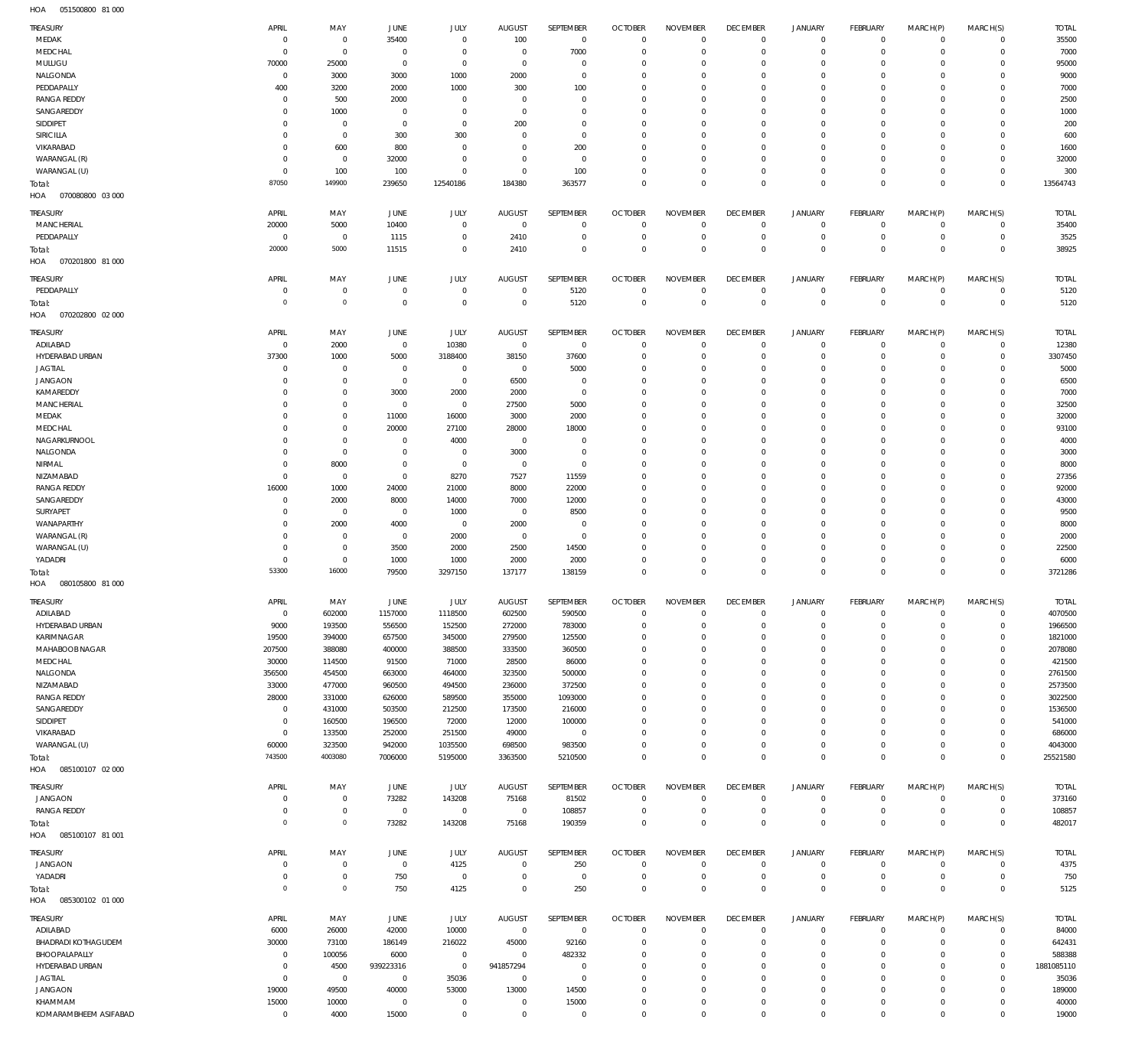051500800 81 000 HOA

| <b>TREASURY</b>                   | APRIL                | MAY            | JUNE                    | JULY                        | <b>AUGUST</b>     | SEPTEMBER            | <b>OCTOBER</b><br>$\Omega$ | <b>NOVEMBER</b>            | <b>DECEMBER</b> | <b>JANUARY</b> | FEBRUARY        | MARCH(P)    | MARCH(S)       | <b>TOTAL</b>   |
|-----------------------------------|----------------------|----------------|-------------------------|-----------------------------|-------------------|----------------------|----------------------------|----------------------------|-----------------|----------------|-----------------|-------------|----------------|----------------|
| MEDAK                             | $\overline{0}$       | $\overline{0}$ | 35400                   | $\overline{0}$              | 100               | $\mathbf 0$          |                            | $^{\circ}$                 | $\overline{0}$  | 0              | $\overline{0}$  | $\mathbf 0$ | $\overline{0}$ | 35500          |
| MEDCHAL                           | $\mathbf 0$          | $\overline{0}$ | $^{\circ}$              | $\Omega$                    | $\overline{0}$    | 7000                 | $\Omega$                   | $\mathbf{0}$               | $\Omega$        | $\mathbf 0$    | $\mathbf 0$     | $\mathbf 0$ | $\mathbf 0$    | 7000           |
| MULUGU                            | 70000                | 25000          | $^{\circ}$              | $\overline{0}$              | $\overline{0}$    | $\overline{0}$       | $\Omega$                   | $\overline{0}$             | $\Omega$        | $\mathbf 0$    | $^{\circ}$      | $\Omega$    | $\mathbf 0$    | 95000          |
| NALGONDA                          | $\overline{0}$       | 3000           | 3000                    | 1000                        | 2000              | $\overline{0}$       | $\Omega$                   | $\overline{0}$             | $\Omega$        | $\mathbf 0$    | $^{\circ}$      | $\Omega$    | $\mathbf 0$    | 9000           |
| PEDDAPALLY                        | 400                  | 3200           | 2000                    | 1000                        | 300               | 100                  | $\Omega$                   | $\mathbf{0}$               | $\Omega$        | $\mathbf 0$    | $\Omega$        | $\Omega$    | $\mathbf 0$    | 7000           |
| <b>RANGA REDDY</b>                | $\mathbf 0$          | 500            | 2000                    | $\Omega$                    | $\Omega$          | $\overline{0}$       | $\Omega$                   | $\overline{0}$             | $\Omega$        | $\mathbf 0$    | $^{\circ}$      | $\Omega$    | $\mathbf 0$    | 2500           |
| SANGAREDDY                        | $\mathbf 0$          | 1000           | $\Omega$                | $\Omega$                    | $\Omega$          | $^{\circ}$           | $\Omega$                   | $\mathbf{0}$               | $\Omega$        | $\mathbf 0$    | $\Omega$        | $\Omega$    | $\Omega$       | 1000           |
| SIDDIPET                          | $\Omega$             | $\overline{0}$ | $^{\circ}$              | $^{\circ}$                  | 200               | $^{\circ}$           | $\Omega$                   | $\overline{0}$             | $\Omega$        | $\mathbf 0$    | $^{\circ}$      | $\Omega$    | $\mathbf 0$    | 200            |
| SIRICILLA                         | $\mathbf 0$          | $\overline{0}$ | 300                     | 300                         | $\Omega$          | $\overline{0}$       | $\Omega$                   | $\overline{0}$             | $\Omega$        | $\mathbf 0$    | $^{\circ}$      | $\Omega$    | $\mathbf 0$    | 600            |
| VIKARABAD                         | $\Omega$             | 600            | 800                     | $\Omega$                    | $\Omega$          | 200                  | $\Omega$                   | $\overline{0}$             | $\Omega$        | $\mathbf 0$    | $^{\circ}$      | $\Omega$    | $\mathbf 0$    | 1600           |
| WARANGAL (R)                      | $\mathbf 0$          | $\overline{0}$ | 32000                   | $\Omega$                    | $\Omega$          | $\mathbf 0$          | $\Omega$                   | $\overline{0}$             | $\Omega$        | $\mathbf 0$    | $^{\circ}$      | $\Omega$    | $\mathbf 0$    | 32000          |
| WARANGAL (U)                      | $\mathbf 0$          | 100            | 100                     | $\Omega$                    | $\overline{0}$    | 100                  | $\Omega$                   | $\overline{0}$             | $\Omega$        | $\mathbf 0$    | $^{\circ}$      | $\mathbf 0$ | $\overline{0}$ | 300            |
| Total:                            | 87050                | 149900         | 239650                  | 12540186                    | 184380            | 363577               | $\Omega$                   | $\mathbf 0$                | $\mathbf{0}$    | $\mathbf 0$    | $\Omega$        | $\mathbf 0$ | $\Omega$       | 13564743       |
| 070080800 03 000<br>HOA           |                      |                |                         |                             |                   |                      |                            |                            |                 |                |                 |             |                |                |
| <b>TREASURY</b>                   | APRIL                | MAY            | JUNE                    | JULY                        | <b>AUGUST</b>     | SEPTEMBER            | <b>OCTOBER</b>             | <b>NOVEMBER</b>            | <b>DECEMBER</b> | <b>JANUARY</b> | FEBRUARY        | MARCH(P)    | MARCH(S)       | <b>TOTAL</b>   |
| MANCHERIAL                        | 20000                | 5000           | 10400                   | $\mathbf{0}$                | $\overline{0}$    | $\overline{0}$       | $\overline{0}$             | $\overline{0}$             | $^{\circ}$      | $\mathbf 0$    | $^{\circ}$      | $\Omega$    | $\circ$        | 35400          |
| PEDDAPALLY                        | $\Omega$             | $\overline{0}$ | 1115                    | $\Omega$                    | 2410              | $\overline{0}$       | $\overline{0}$             | $\mathbf{0}$               | $\overline{0}$  | $\mathbf 0$    | $\mathbf 0$     | $\mathbf 0$ | $\overline{0}$ | 3525           |
|                                   | 20000                | 5000           | 11515                   | $\Omega$                    | 2410              | $\mathbf 0$          | $\Omega$                   | $\Omega$                   | $\Omega$        | $\mathbf 0$    | $\Omega$        | $\Omega$    | $\overline{0}$ | 38925          |
| Total:<br>HOA<br>070201800 81 000 |                      |                |                         |                             |                   |                      |                            |                            |                 |                |                 |             |                |                |
|                                   |                      |                |                         |                             |                   |                      |                            |                            |                 |                |                 |             |                |                |
| TREASURY                          | APRIL                | MAY            | JUNE                    | JULY                        | <b>AUGUST</b>     | SEPTEMBER            | <b>OCTOBER</b>             | <b>NOVEMBER</b>            | <b>DECEMBER</b> | <b>JANUARY</b> | FEBRUARY        | MARCH(P)    | MARCH(S)       | <b>TOTAL</b>   |
| PEDDAPALLY                        | $\mathbf 0$          | $\mathbf 0$    | $^{\circ}$              | $\mathbf{0}$                | $\overline{0}$    | 5120                 | $\overline{0}$             | $\mathbf 0$                | $\overline{0}$  | 0              | $\circ$         | 0           | $\circ$        | 5120           |
| Total:                            | $\mathbf 0$          | $\circ$        | $\overline{0}$          | $\mathbf 0$                 | $\Omega$          | 5120                 | $\overline{0}$             | $\mathbb O$                | $\overline{0}$  | $\mathbf 0$    | $\overline{0}$  | $\mathbf 0$ | $\overline{0}$ | 5120           |
| 070202800 02 000<br>HOA           |                      |                |                         |                             |                   |                      |                            |                            |                 |                |                 |             |                |                |
|                                   |                      |                |                         |                             |                   |                      |                            |                            |                 |                |                 |             |                |                |
| <b>TREASURY</b>                   | APRIL                | MAY            | JUNE                    | JULY                        | <b>AUGUST</b>     | SEPTEMBER            | <b>OCTOBER</b>             | <b>NOVEMBER</b>            | <b>DECEMBER</b> | <b>JANUARY</b> | FEBRUARY        | MARCH(P)    | MARCH(S)       | <b>TOTAL</b>   |
| ADILABAD                          | $\mathbf 0$          | 2000           | $\overline{0}$          | 10380                       | $\overline{0}$    | $\mathbf 0$          | $\Omega$                   | $\Omega$                   | $^{\circ}$      | $\mathbf 0$    | $^{\circ}$      | $\mathbf 0$ | $\mathbf 0$    | 12380          |
| HYDERABAD URBAN                   | 37300                | 1000           | 5000                    | 3188400                     | 38150             | 37600                | $\Omega$                   | $\Omega$                   | $\Omega$        | $\mathbf 0$    | $^{\circ}$      | $\Omega$    | $\mathbf 0$    | 3307450        |
| <b>JAGTIAL</b>                    | 0                    | $\overline{0}$ | $\circ$                 | $\mathbf{0}$                | $\mathbf{0}$      | 5000                 | $\Omega$                   | $\Omega$                   | $\Omega$        | $\mathbf 0$    | 0               | $\Omega$    | $\mathbf 0$    | 5000           |
| <b>JANGAON</b>                    | $\Omega$             | $\overline{0}$ | $\overline{0}$          | $\overline{0}$              | 6500              | $\overline{0}$       | $\Omega$                   | $\Omega$                   | $\Omega$        | $\Omega$       | $\Omega$        | $\Omega$    | $\Omega$       | 6500           |
| KAMAREDDY                         | $\Omega$             | $\overline{0}$ | 3000                    | 2000                        | 2000              | $\mathbf 0$          | $\Omega$                   | $\Omega$                   | $\Omega$        | $\Omega$       | $\Omega$        | $\Omega$    | $\Omega$       | 7000           |
| <b>MANCHERIAL</b>                 | $\Omega$             | $\mathbf 0$    | $^{\circ}$              | $\overline{0}$              | 27500             | 5000                 | $\Omega$                   | $\Omega$                   | $\Omega$        | $\Omega$       | $\Omega$        | $\Omega$    | $\Omega$       | 32500          |
| MEDAK                             | $\Omega$             | $\overline{0}$ | 11000                   | 16000                       | 3000              | 2000                 | $\Omega$                   | $\Omega$                   | $\Omega$        | $\Omega$       | $\Omega$        | $\Omega$    | $\Omega$       | 32000          |
| MEDCHAL                           | $\Omega$             | $\overline{0}$ | 20000                   | 27100                       | 28000             | 18000                | $\Omega$                   | $\Omega$                   | $\Omega$        | $\Omega$       | $^{\circ}$      | $\Omega$    | $\Omega$       | 93100          |
| NAGARKURNOOL                      | $\Omega$             | $\overline{0}$ | $\Omega$                | 4000                        | $\overline{0}$    | $\overline{0}$       | $\Omega$                   | $\Omega$                   | $\Omega$        | $\Omega$       | $\Omega$        | $\Omega$    | $\Omega$       | 4000           |
| NALGONDA                          | $\Omega$             | $\overline{0}$ | $\Omega$                | $\overline{0}$              | 3000              | $\overline{0}$       | $\Omega$                   | $\Omega$                   | $\Omega$        | $\Omega$       | $^{\circ}$      | $\Omega$    | $\mathbf 0$    | 3000           |
| NIRMAL                            | $\Omega$             | 8000           | $\Omega$                | $\overline{0}$              | $\overline{0}$    | $^{\circ}$           | $\Omega$                   | $\Omega$                   | $\Omega$        | $\Omega$       | $\Omega$        | $\Omega$    | $\Omega$       | 8000           |
| NIZAMABAD                         | $\Omega$             | $\overline{0}$ | $\Omega$                | 8270                        | 7527              | 11559                | $\Omega$                   | $\Omega$                   | $\Omega$        | $\Omega$       | $\Omega$        | $\Omega$    | $\Omega$       | 27356          |
| <b>RANGA REDDY</b>                | 16000                | 1000           | 24000                   | 21000                       | 8000              | 22000                | $\Omega$                   | $\Omega$                   | $\Omega$        | $\Omega$       | $\Omega$        | $\Omega$    | $\Omega$       | 92000          |
| SANGAREDDY                        | 0                    | 2000           | 8000                    | 14000                       | 7000              | 12000                | $\Omega$                   | $\Omega$                   | $\Omega$        | $\Omega$       | $\Omega$        | $\Omega$    | $\Omega$       | 43000          |
| SURYAPET                          | $\Omega$             | $\overline{0}$ | $^{\circ}$              | 1000                        | $\overline{0}$    | 8500                 | $\Omega$                   | $\Omega$                   | $\Omega$        | $\Omega$       | $\Omega$        | $\Omega$    | $\Omega$       | 9500           |
| WANAPARTHY                        | $\Omega$             | 2000           | 4000                    | $\overline{0}$              | 2000              | $\overline{0}$       | $\Omega$                   | $\Omega$                   | $\Omega$        | $\Omega$       | $\Omega$        | $\Omega$    | $\Omega$       | 8000           |
| WARANGAL (R)                      | $\Omega$             | $\mathbf 0$    | $\overline{0}$          | 2000                        | $\overline{0}$    | $\overline{0}$       | $\Omega$                   | $\Omega$                   | $\Omega$        | $\Omega$       | $\Omega$        | $\Omega$    | $\Omega$       | 2000           |
| WARANGAL (U)                      | $\Omega$             | $\overline{0}$ | 3500                    | 2000                        | 2500              | 14500                | $\Omega$                   | $\Omega$                   | $\Omega$        | $\Omega$       | $\Omega$        | $\Omega$    | $\Omega$       | 22500          |
| YADADRI                           | $\mathbf 0$          | $\overline{0}$ | 1000                    | 1000                        | 2000              | 2000                 | $\Omega$                   | $\overline{0}$             | $^{\circ}$      | $\mathbf 0$    | $^{\circ}$      | $\mathbf 0$ | $\mathbf 0$    | 6000           |
| Total:                            | 53300                | 16000          | 79500                   | 3297150                     | 137177            | 138159               | $\Omega$                   | $\overline{0}$             | $\Omega$        | $\mathbf 0$    | $\overline{0}$  | $\Omega$    | $\mathbf 0$    | 3721286        |
| HOA<br>080105800 81 000           |                      |                |                         |                             |                   |                      |                            |                            |                 |                |                 |             |                |                |
|                                   |                      |                |                         |                             |                   |                      |                            |                            |                 |                |                 |             |                |                |
| TREASURY                          | APRIL                | MAY            | <b>JUNE</b>             | JULY                        | <b>AUGUST</b>     | SEPTEMBER            | <b>OCTOBER</b>             | <b>NOVEMBER</b>            | <b>DECEMBER</b> | <b>JANUARY</b> | <b>FEBRUARY</b> | MARCH(P)    | MARCH(S)       | <b>TOTAL</b>   |
| ADILABAD                          | $\overline{0}$       | 602000         | 1157000                 | 1118500                     | 602500            | 590500               | $\Omega$                   | $\mathbf 0$                | -0              | $\mathbf 0$    | $\Omega$        | $\Omega$    | $\Omega$       | 4070500        |
| HYDERABAD URBAN                   | 9000                 | 193500         | 556500                  | 152500                      | 272000            | 783000               | $\overline{0}$             | $\mathbf 0$                | $\Omega$        | $\mathbf 0$    | $\mathbf 0$     | $\mathbf 0$ | $\mathbf 0$    | 1966500        |
| KARIMNAGAR                        | 19500                | 394000         | 657500                  | 345000                      | 279500            | 125500               | $\overline{0}$             | $\mathbf 0$                | $\overline{0}$  | $\mathbf 0$    | $\mathbf 0$     | $\mathbf 0$ | $\overline{0}$ | 1821000        |
| MAHABOOB NAGAR                    | 207500               | 388080         | 400000                  | 388500                      | 333500            | 360500               | $\overline{0}$             | $\mathbf 0$                | $\Omega$        | $\mathbf 0$    | $\mathbf 0$     | $\Omega$    | $\Omega$       | 2078080        |
| MEDCHAL                           | 30000                | 114500         | 91500                   | 71000                       | 28500             | 86000                | $\Omega$                   | $\mathbf 0$                | $\Omega$        | $\mathbf 0$    | $^{\circ}$      | $\Omega$    | $\mathbf 0$    | 421500         |
| NALGONDA                          | 356500               | 454500         | 663000                  | 464000                      | 323500            | 500000               | $\overline{0}$             | $\mathbf 0$                | $\Omega$        | $\mathbf 0$    | $\mathbf 0$     | $\Omega$    | $\mathbf 0$    | 2761500        |
| NIZAMABAD                         | 33000                | 477000         | 960500                  | 494500                      | 236000            | 372500               | $\Omega$                   | $\mathbf 0$                | $\Omega$        | $\mathbf 0$    | $\Omega$        | $\Omega$    | $\Omega$       | 2573500        |
| <b>RANGA REDDY</b>                | 28000                | 331000         | 626000                  | 589500                      | 355000            | 1093000              | $\overline{0}$             | $\mathbf 0$                | $\Omega$        | $\mathbf 0$    | $^{\circ}$      | $\Omega$    | $\mathbf 0$    | 3022500        |
| SANGAREDDY                        | $\,0\,$              | 431000         | 503500                  | 212500                      | 173500            | 216000               | $\Omega$                   | $\mathbf 0$                | $\Omega$        | $\mathbf 0$    | $^{\circ}$      | $\Omega$    | $\mathbf 0$    | 1536500        |
| SIDDIPET                          | $\overline{0}$       | 160500         | 196500                  | 72000                       | 12000             | 100000               | $\Omega$                   | $\mathbf 0$                | $\Omega$        | $\mathbf 0$    | $^{\circ}$      | $\Omega$    | $\mathbf 0$    | 541000         |
| VIKARABAD                         | $\mathbf 0$          | 133500         | 252000                  | 251500                      | 49000             | $\mathbf 0$          | $\Omega$                   | $\mathbf 0$                | $\Omega$        | $\mathbf 0$    | $^{\circ}$      | $\Omega$    | $\mathbf 0$    | 686000         |
| WARANGAL (U)                      | 60000                | 323500         | 942000                  | 1035500                     | 698500            | 983500               | $\overline{0}$             | $\,0\,$                    | $^{\circ}$      | $\mathbf 0$    | $\mathbf 0$     | $\mathbf 0$ | $\overline{0}$ | 4043000        |
| Total:                            | 743500               | 4003080        | 7006000                 | 5195000                     | 3363500           | 5210500              | $\overline{0}$             | $\mathbb O$                | $\mathbf{0}$    | $\mathsf 0$    | $\mathbf 0$     | $\mathbf 0$ | $\overline{0}$ | 25521580       |
| HOA   085100107   02   000        |                      |                |                         |                             |                   |                      |                            |                            |                 |                |                 |             |                |                |
|                                   |                      |                |                         |                             |                   |                      |                            |                            |                 |                |                 |             |                |                |
| TREASURY                          | APRIL                | MAY            | JUNE                    | <b>JULY</b>                 | <b>AUGUST</b>     | SEPTEMBER            | <b>OCTOBER</b>             | <b>NOVEMBER</b>            | <b>DECEMBER</b> | <b>JANUARY</b> | FEBRUARY        | MARCH(P)    | MARCH(S)       | <b>TOTAL</b>   |
| <b>JANGAON</b>                    | $\overline{0}$       | $\overline{0}$ | 73282                   | 143208                      | 75168             | 81502                | $\overline{0}$             | $\overline{0}$             | $\mathbf 0$     | $\mathbf 0$    | $\mathbf{0}$    | $\mathbf 0$ | $\mathbf 0$    | 373160         |
| <b>RANGA REDDY</b>                | $\mathbf 0$          | $\overline{0}$ | $\overline{0}$          | $\overline{0}$              | $\overline{0}$    | 108857               | $\overline{0}$             | $\mathbf{0}$               | $\overline{0}$  | $\mathbf 0$    | $\circ$         | $\mathbf 0$ | $\overline{0}$ | 108857         |
| Total:                            | $\mathbf 0$          | $\overline{0}$ | 73282                   | 143208                      | 75168             | 190359               | $\Omega$                   | $\mathbf 0$                | $\mathbf{0}$    | $\mathbf 0$    | $\Omega$        | $\Omega$    | $\overline{0}$ | 482017         |
| HOA<br>085100107 81 001           |                      |                |                         |                             |                   |                      |                            |                            |                 |                |                 |             |                |                |
| TREASURY                          | APRIL                | MAY            | JUNE                    | <b>JULY</b>                 | <b>AUGUST</b>     | SEPTEMBER            | <b>OCTOBER</b>             | <b>NOVEMBER</b>            | <b>DECEMBER</b> | <b>JANUARY</b> | FEBRUARY        | MARCH(P)    | MARCH(S)       | <b>TOTAL</b>   |
| <b>JANGAON</b>                    | $\overline{0}$       | $\overline{0}$ | $\mathbf 0$             | 4125                        | $\overline{0}$    | 250                  | $\overline{0}$             | $\,0\,$                    | $\overline{0}$  | $\mathsf{O}$   | $\circ$         | $\mathbf 0$ | $\circ$        | 4375           |
| YADADRI                           |                      | $\overline{0}$ | 750                     | $\overline{0}$              | $\overline{0}$    | $\mathbf 0$          | $\overline{0}$             | $\,0\,$                    | $\overline{0}$  | $\mathsf{O}$   | $\circ$         | $\mathbf 0$ | $\circ$        | 750            |
|                                   |                      |                |                         |                             | $\Omega$          | 250                  | $\overline{0}$             | $\mathbb O$                | $\mathbf{0}$    | $\mathsf 0$    | $\overline{0}$  | $\mathbf 0$ | $\overline{0}$ | 5125           |
|                                   | $\mathbf 0$          |                |                         |                             |                   |                      |                            |                            |                 |                |                 |             |                |                |
| Total:                            | $\circ$              | $\mathbb O$    | 750                     | 4125                        |                   |                      |                            |                            |                 |                |                 |             |                |                |
| 085300102 01 000<br>HOA           |                      |                |                         |                             |                   |                      |                            |                            |                 |                |                 |             |                |                |
| <b>TREASURY</b>                   | APRIL                | MAY            | JUNE                    | JULY                        | <b>AUGUST</b>     | SEPTEMBER            | <b>OCTOBER</b>             | <b>NOVEMBER</b>            | <b>DECEMBER</b> | <b>JANUARY</b> | FEBRUARY        | MARCH(P)    | MARCH(S)       | <b>TOTAL</b>   |
| ADILABAD                          | 6000                 | 26000          | 42000                   | 10000                       | $\overline{0}$    | $\mathbf 0$          | $\Omega$                   | $\Omega$                   | $\overline{0}$  | $^{\circ}$     | $\mathbf 0$     | $\Omega$    | $\overline{0}$ | 84000          |
| <b>BHADRADI KOTHAGUDEM</b>        | 30000                | 73100          | 186149                  | 216022                      | 45000             | 92160                | $\overline{0}$             | $^{\circ}$                 | $\overline{0}$  | $\mathbf 0$    | $^{\circ}$      | $\mathbf 0$ | $\mathbf 0$    | 642431         |
| BHOOPALAPALLY                     | $\overline{0}$       | 100056         | 6000                    | $\overline{0}$              | $\overline{0}$    | 482332               | $\Omega$                   | $\Omega$                   | $\Omega$        | $\Omega$       | $^{\circ}$      | $\Omega$    | $\mathbf 0$    | 588388         |
| HYDERABAD URBAN                   | $\mathbf 0$          | 4500           | 939223316               | $\overline{0}$              | 941857294         | $\overline{0}$       | $\Omega$                   | $\mathbf{0}$               | $\Omega$        | $\mathbf 0$    | $\Omega$        | $\Omega$    | $\mathbf 0$    | 1881085110     |
| <b>JAGTIAL</b>                    | $\mathbf 0$          | $\overline{0}$ | $\overline{0}$          | 35036                       | $\overline{0}$    | $\mathbf 0$          | $\Omega$                   | $\Omega$                   | $\Omega$        | $\Omega$       | $\Omega$        | $\Omega$    | $\mathbf 0$    | 35036          |
|                                   |                      |                |                         |                             |                   |                      | $\Omega$                   | $\mathbf 0$                | $\Omega$        | $\mathbf 0$    | $\Omega$        | $\Omega$    | $\mathbf 0$    |                |
| <b>JANGAON</b>                    | 19000                | 49500          | 40000                   | 53000                       | 13000<br>$\Omega$ | 14500                | $\mathbf 0$                |                            | $^{\circ}$      | $\mathbf 0$    | $^{\circ}$      | $\mathbf 0$ | $\mathbf 0$    | 189000         |
| KHAMMAM<br>KOMARAMBHEEM ASIFABAD  | 15000<br>$\mathbf 0$ | 10000<br>4000  | $\overline{0}$<br>15000 | $\mathbf{0}$<br>$\mathbf 0$ | $\Omega$          | 15000<br>$\mathbf 0$ | $\Omega$                   | $\mathbf 0$<br>$\mathbf 0$ | $\mathbf{0}$    | $\mathbf 0$    | $\Omega$        | $\mathbf 0$ | $\mathbf 0$    | 40000<br>19000 |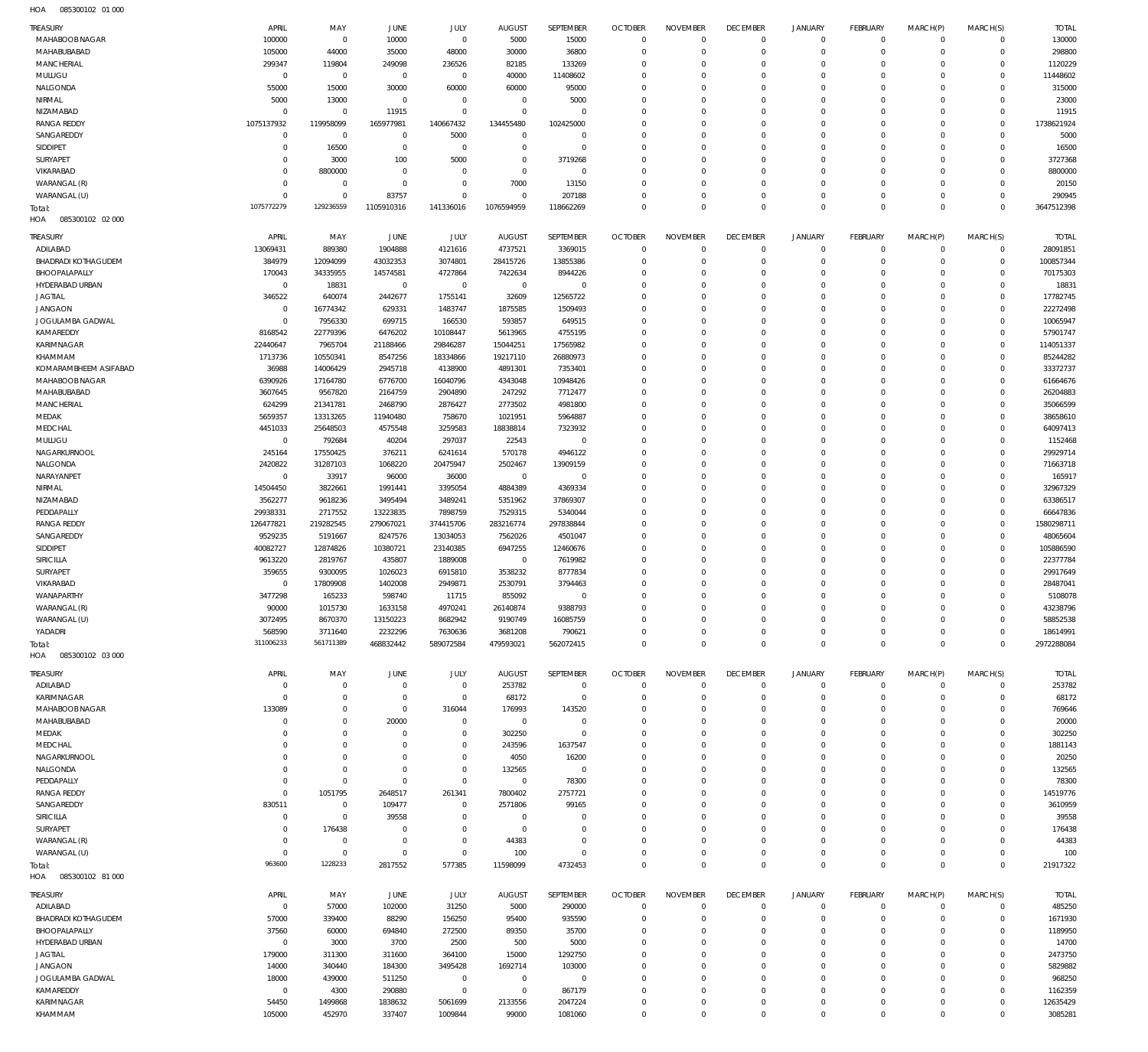| TREASURY                             | APRIL                  | MAY                     | JUNE                       | JULY                      | <b>AUGUST</b>          | SEPTEMBER              | <b>OCTOBER</b>               | <b>NOVEMBER</b>             | <b>DECEMBER</b>                  | <b>JANUARY</b>                     | <b>FEBRUARY</b>               | MARCH(P)                | MARCH(S)                     | <b>TOTAL</b>          |
|--------------------------------------|------------------------|-------------------------|----------------------------|---------------------------|------------------------|------------------------|------------------------------|-----------------------------|----------------------------------|------------------------------------|-------------------------------|-------------------------|------------------------------|-----------------------|
| MAHABOOB NAGAR                       | 100000                 | $\mathbf 0$             | 10000                      | $\mathbf{0}$              | 5000                   | 15000                  | $\mathbf{0}$                 | $\circ$                     | $\overline{0}$                   | $\overline{0}$                     | $\mathbf 0$                   | $\mathbf 0$             | $\mathbf{0}$                 | 130000                |
| MAHABUBABAD                          | 105000                 | 44000                   | 35000                      | 48000                     | 30000                  | 36800                  | $\mathbf{0}$                 | $\Omega$                    | $\overline{0}$                   | $\mathbf 0$                        | $\mathbf 0$                   | $\Omega$                | $\mathbf 0$                  | 298800                |
| MANCHERIAL                           | 299347                 | 119804                  | 249098                     | 236526                    | 82185                  | 133269                 | $\mathbf{0}$                 | $\Omega$                    | $\overline{0}$                   | $\mathbf 0$                        | $\mathbf 0$                   | $\Omega$                | $\mathbf{0}$                 | 1120229               |
| MULUGU                               | $\circ$                | $\overline{0}$          | $\mathbf 0$                | $\mathbf{0}$              | 40000                  | 11408602               | $\Omega$                     | $\Omega$                    | $\circ$                          | $\mathbf 0$                        | $\Omega$                      | $\Omega$<br>$\Omega$    | $\Omega$                     | 11448602              |
| NALGONDA<br>NIRMAL                   | 55000<br>5000          | 15000<br>13000          | 30000<br>$\mathbf 0$       | 60000<br>$\Omega$         | 60000<br>$^{\circ}$    | 95000<br>5000          | $\mathbf{0}$<br>$\Omega$     | $\Omega$<br>$\Omega$        | $\overline{0}$<br>$\circ$        | $\mathbf 0$<br>$\Omega$            | $\mathbf 0$<br>$\Omega$       | $\Omega$                | $\mathbf{0}$<br>$\Omega$     | 315000<br>23000       |
| NIZAMABAD                            | $\Omega$               | $\Omega$                | 11915                      | $\Omega$                  | $\mathbf{0}$           | $\Omega$               | $\mathbf{0}$                 | $\Omega$                    | $\circ$                          | $\Omega$                           | $\mathbf 0$                   | $\Omega$                | $\mathbf{0}$                 | 11915                 |
| <b>RANGA REDDY</b>                   | 1075137932             | 119958099               | 165977981                  | 140667432                 | 134455480              | 102425000              | $\Omega$                     | $\Omega$                    | $\circ$                          | $\mathbf 0$                        | $\mathbf 0$                   | $\Omega$                | $\circ$                      | 1738621924            |
| SANGAREDDY                           | $\Omega$               | $\mathbf 0$             | $\circ$                    | 5000                      | $\mathbf{0}$           | $^{\circ}$             | $\Omega$                     | $\Omega$                    | $\Omega$                         | 0                                  | $\mathbf 0$                   | $\Omega$                | $\mathbf{0}$                 | 5000                  |
| SIDDIPET                             | $\Omega$               | 16500                   | $\mathbf 0$                | $\Omega$                  | $\mathbf{0}$           | $^{\circ}$             | $\mathbf{0}$                 | $\Omega$                    | $\circ$                          | $\mathbf 0$                        | $\mathbf 0$                   | $\Omega$                | $\Omega$                     | 16500                 |
| SURYAPET                             | $\Omega$               | 3000                    | 100                        | 5000                      | $\mathbf{0}$           | 3719268                | $\Omega$                     | $\Omega$                    | $\Omega$                         | 0                                  | $\mathbf 0$                   | $\Omega$                | $\Omega$                     | 3727368               |
| VIKARABAD                            | $\Omega$               | 8800000                 | $\Omega$                   | $\Omega$                  | $\circ$                | $^{\circ}$             | $\Omega$                     | $\Omega$                    | $\circ$                          | $\Omega$                           | $\mathbf 0$                   | $\Omega$                | $\Omega$                     | 8800000               |
| WARANGAL (R)<br>WARANGAL (U)         | $\Omega$<br>$\Omega$   | $\mathbf 0$<br>$\Omega$ | $\mathbf 0$<br>83757       | $\Omega$<br>$\Omega$      | 7000<br>$\Omega$       | 13150                  | $\mathbf{0}$<br>$\Omega$     | $\Omega$<br>$\Omega$        | $\overline{0}$<br>$\overline{0}$ | $\mathbf 0$<br>$\mathbf 0$         | $\mathbf 0$<br>$\mathbf 0$    | $\Omega$<br>$\Omega$    | $\mathbf{0}$<br>$\mathbf{0}$ | 20150                 |
| lotal:                               | 1075772279             | 129236559               | 1105910316                 | 141336016                 | 1076594959             | 207188<br>118662269    | $\Omega$                     | $\Omega$                    | $\mathbb O$                      | $\mathbf 0$                        | $\mathbf 0$                   | $\Omega$                | $\mathbf{0}$                 | 290945<br>3647512398  |
| HOA<br>085300102 02 000              |                        |                         |                            |                           |                        |                        |                              |                             |                                  |                                    |                               |                         |                              |                       |
| <b>TREASURY</b>                      | APRIL                  | MAY                     | JUNE                       | JULY                      | <b>AUGUST</b>          | SEPTEMBER              | <b>OCTOBER</b>               | <b>NOVEMBER</b>             | <b>DECEMBER</b>                  | JANUARY                            | <b>FEBRUARY</b>               | MARCH(P)                | MARCH(S)                     | <b>TOTAL</b>          |
| ADILABAD                             | 13069431               | 889380                  | 1904888                    | 4121616                   | 4737521                | 3369015                | $\mathbf{0}$                 | $\mathbf 0$                 | $\overline{0}$                   | $\mathsf 0$                        | $\overline{0}$                | $\mathbf 0$             | $\overline{0}$               | 28091851              |
| BHADRADI KOTHAGUDEM                  | 384979                 | 12094099                | 43032353                   | 3074801                   | 28415726               | 13855386               | $\mathbf{0}$                 | $\mathbf 0$                 | $\overline{0}$                   | $\mathbf 0$                        | $\mathbf 0$                   | $\mathbf 0$             | $\mathbf 0$                  | 100857344             |
| BHOOPALAPALLY                        | 170043                 | 34335955                | 14574581                   | 4727864                   | 7422634                | 8944226                | $\mathbf{0}$                 | $\Omega$                    | $\overline{0}$                   | $\mathbf 0$                        | $\mathbf 0$                   | $\Omega$                | $\mathbf{0}$                 | 70175303              |
| HYDERABAD URBAN                      | $\overline{0}$         | 18831                   | $\overline{0}$             | $^{\circ}$                | $\mathbf 0$            | $^{\circ}$             | $\mathbf{0}$                 | $\Omega$                    | $\Omega$                         | $\mathbf 0$                        | $\mathbf 0$                   | $\Omega$                | $\circ$                      | 18831                 |
| <b>JAGTIAL</b>                       | 346522                 | 640074                  | 2442677                    | 1755141                   | 32609                  | 12565722               | $\mathbf{0}$                 | $\Omega$                    | $\overline{0}$                   | $\mathbf 0$                        | $\mathbf 0$                   | $\Omega$                | $\mathbf{0}$                 | 17782745              |
| <b>JANGAON</b>                       | $\mathbf 0$            | 16774342                | 629331                     | 1483747                   | 1875585                | 1509493                | $\mathbf{0}$                 | $\Omega$                    | $\overline{0}$                   | $\mathbf 0$                        | $\mathbf 0$                   | $\Omega$                | $\mathbf{0}$                 | 22272498              |
| JOGULAMBA GADWAL                     | $\Omega$               | 7956330                 | 699715                     | 166530                    | 593857                 | 649515                 | $\mathbf{0}$                 | $\Omega$                    | $\overline{0}$                   | 0                                  | $\mathbf 0$                   | $\Omega$                | $\mathbf{0}$                 | 10065947              |
| KAMAREDDY                            | 8168542                | 22779396                | 6476202                    | 10108447                  | 5613965                | 4755195                | $\mathbf{0}$                 | $\Omega$                    | $\Omega$                         | $\mathbf 0$                        | $\mathbf 0$                   | $\Omega$                | $\mathbf{0}$                 | 57901747              |
| KARIMNAGAR<br>KHAMMAM                | 22440647<br>1713736    | 7965704<br>10550341     | 21188466<br>8547256        | 29846287<br>18334866      | 15044251<br>19217110   | 17565982<br>26880973   | $\mathbf{0}$<br>$\mathbf{0}$ | $\Omega$<br>$\Omega$        | $\overline{0}$<br>$\Omega$       | $\mathbf 0$<br>$\mathbf 0$         | $\mathbf 0$<br>$\mathbf 0$    | $\Omega$<br>$\Omega$    | $\circ$<br>$\Omega$          | 114051337<br>85244282 |
| KOMARAMBHEEM ASIFABAD                | 36988                  | 14006429                | 2945718                    | 4138900                   | 4891301                | 7353401                | $\mathbf{0}$                 | $\Omega$                    | $\overline{0}$                   | $\mathbf 0$                        | $\mathbf 0$                   | $\Omega$                | $\mathbf{0}$                 | 33372737              |
| MAHABOOB NAGAR                       | 6390926                | 17164780                | 6776700                    | 16040796                  | 4343048                | 10948426               | $\mathbf{0}$                 | $\Omega$                    | $\Omega$                         | 0                                  | $\mathbf 0$                   | $\Omega$                | $\Omega$                     | 61664676              |
| MAHABUBABAD                          | 3607645                | 9567820                 | 2164759                    | 2904890                   | 247292                 | 7712477                | $\mathbf{0}$                 | $\Omega$                    | $\overline{0}$                   | $\mathbf 0$                        | $\mathbf 0$                   | $\Omega$                | $\mathbf{0}$                 | 26204883              |
| MANCHERIAL                           | 624299                 | 21341781                | 2468790                    | 2876427                   | 2773502                | 4981800                | $\mathbf{0}$                 | $\Omega$                    | $\overline{0}$                   | $\mathbf 0$                        | $\mathbf 0$                   | $\Omega$                | $\mathbf{0}$                 | 35066599              |
| MEDAK                                | 5659357                | 13313265                | 11940480                   | 758670                    | 1021951                | 5964887                | $\mathbf{0}$                 | $\Omega$                    | $\overline{0}$                   | $\mathbf 0$                        | $\mathbf 0$                   | $\Omega$                | $\mathbf{0}$                 | 38658610              |
| MEDCHAL                              | 4451033                | 25648503                | 4575548                    | 3259583                   | 18838814               | 7323932                | $\mathbf{0}$                 | $\Omega$                    | $\Omega$                         | $\mathbf 0$                        | $\mathbf 0$                   | $\Omega$                | $\Omega$                     | 64097413              |
| MULUGU                               | $\mathbf 0$            | 792684                  | 40204                      | 297037                    | 22543                  | $^{\circ}$             | $\mathbf{0}$                 | $\Omega$                    | $\overline{0}$                   | $\mathbf 0$                        | $\mathbf 0$                   | $\Omega$                | $\mathbf{0}$                 | 1152468               |
| NAGARKURNOOL                         | 245164                 | 17550425                | 376211                     | 6241614                   | 570178                 | 4946122                | $\mathbf{0}$<br>$\mathbf{0}$ | $\Omega$<br>$\Omega$        | $\Omega$<br>$\overline{0}$       | $\mathbf 0$<br>$\mathbf 0$         | $\mathbf 0$<br>$\mathbf 0$    | $\Omega$<br>$\Omega$    | $\Omega$<br>$\circ$          | 29929714              |
| NALGONDA<br>NARAYANPET               | 2420822<br>$\mathbf 0$ | 31287103<br>33917       | 1068220<br>96000           | 20475947<br>36000         | 2502467<br>$\mathbf 0$ | 13909159<br>$^{\circ}$ | $\mathbf{0}$                 | $\Omega$                    | $\Omega$                         | 0                                  | $\mathbf 0$                   | $\Omega$                | $\Omega$                     | 71663718<br>165917    |
| NIRMAL                               | 14504450               | 3822661                 | 1991441                    | 3395054                   | 4884389                | 4369334                | $\mathbf{0}$                 | $\Omega$                    | $\overline{0}$                   | $\mathbf 0$                        | $\mathbf 0$                   | $\Omega$                | $\mathbf{0}$                 | 32967329              |
| NIZAMABAD                            | 3562277                | 9618236                 | 3495494                    | 3489241                   | 5351962                | 37869307               | $\mathbf{0}$                 | $\Omega$                    | $\mathbf 0$                      | $\mathbf 0$                        | $\mathbf 0$                   | $\Omega$                | $\Omega$                     | 63386517              |
| PEDDAPALLY                           | 29938331               | 2717552                 | 13223835                   | 7898759                   | 7529315                | 5340044                | $\mathbf{0}$                 | $\Omega$                    | $\overline{0}$                   | $\mathbf 0$                        | $\mathbf 0$                   | $\Omega$                | $\circ$                      | 66647836              |
| <b>RANGA REDDY</b>                   | 126477821              | 219282545               | 279067021                  | 374415706                 | 283216774              | 297838844              | $\mathbf{0}$                 | $\Omega$                    | $\Omega$                         | $\mathbf 0$                        | $\mathbf 0$                   | $\Omega$                | $\circ$                      | 1580298711            |
| SANGAREDDY                           | 9529235                | 5191667                 | 8247576                    | 13034053                  | 7562026                | 4501047                | $\mathbf{0}$                 | $\Omega$                    | $\overline{0}$                   | $\mathbf 0$                        | $\mathbf 0$                   | $\Omega$                | $\circ$                      | 48065604              |
| SIDDIPET                             | 40082727               | 12874826                | 10380721                   | 23140385                  | 6947255                | 12460676               | $\mathbf{0}$                 | $\Omega$                    | $\Omega$                         | $\mathbf 0$                        | $\mathbf 0$                   | $\Omega$                | $\Omega$                     | 105886590             |
| SIRICILLA                            | 9613220                | 2819767                 | 435807                     | 1889008                   | $\mathbf 0$            | 7619982                | $\mathbf{0}$                 | $\Omega$                    | $\overline{0}$                   | $\mathbf 0$                        | $\mathbf 0$                   | $\Omega$                | $\mathbf{0}$                 | 22377784              |
| SURYAPET<br>VIKARABAD                | 359655<br>$\Omega$     | 9300095<br>17809908     | 1026023<br>1402008         | 6915810<br>2949871        | 3538232<br>2530791     | 8777834<br>3794463     | $\mathbf{0}$<br>$\mathbf{0}$ | $\Omega$<br>$\Omega$        | $\Omega$<br>$\overline{0}$       | $\mathbf 0$<br>$\mathbf 0$         | $\mathbf 0$<br>$\mathbf 0$    | $\Omega$<br>$\Omega$    | $\Omega$<br>$\mathbf{0}$     | 29917649<br>28487041  |
| WANAPARTHY                           |                        |                         |                            |                           |                        | $^{\circ}$             |                              | $\mathbf 0$                 | $\Omega$                         | $\Omega$                           |                               |                         |                              | 5108078               |
|                                      |                        |                         |                            |                           |                        |                        |                              |                             |                                  |                                    |                               |                         |                              |                       |
|                                      | 3477298                | 165233<br>1015730       | 598740                     | 11715                     | 855092                 | 9388793                | $\mathbf{0}$<br>$\Omega$     | $\Omega$                    | $\Omega$                         | $\Omega$                           | $\mathbf 0$<br>$\Omega$       | $\Omega$<br>$\Omega$    | $\Omega$<br>$\Omega$         |                       |
| WARANGAL (R)<br>WARANGAL (U)         | 90000<br>3072495       | 8670370                 | 1633158<br>13150223        | 4970241<br>8682942        | 26140874<br>9190749    | 16085759               | $\mathbf{0}$                 | $\mathbf 0$                 | $\mathbf 0$                      | $\mathbf 0$                        | $\mathbf 0$                   | $\mathbf 0$             | $\mathbf{0}$                 | 43238796<br>58852538  |
| YADADRI                              | 568590                 | 3711640                 | 2232296                    | 7630636                   | 3681208                | 790621                 | $\circ$                      | $\mathbf 0$                 | $\overline{0}$                   | $\mathsf{O}\xspace$                | $\overline{0}$                | $\mathbf 0$             | $\mathbf{0}$                 | 18614991              |
| lotal:                               | 311006233              | 561711389               | 468832442                  | 589072584                 | 479593021              | 562072415              | $\mathbf{0}$                 | $\mathbf 0$                 | $\overline{0}$                   | $\mathbf 0$                        | $\mathbf 0$                   | $\mathbf 0$             | $\mathbf{0}$                 | 2972288084            |
| HOA<br>085300102 03 000              |                        |                         |                            |                           |                        |                        |                              |                             |                                  |                                    |                               |                         |                              |                       |
| <b>TREASURY</b>                      | APRIL                  | MAY                     | JUNE                       | JULY                      | <b>AUGUST</b>          | SEPTEMBER              | <b>OCTOBER</b>               | <b>NOVEMBER</b>             | <b>DECEMBER</b>                  | JANUARY                            | <b>FEBRUARY</b>               | MARCH(P)                | MARCH(S)                     | <b>TOTAL</b>          |
| ADILABAD                             | $\Omega$               | $\Omega$                | $\mathbf 0$                | $\mathbf{0}$              | 253782                 | $\mathbb O$            | $\mathbf{0}$                 | $\Omega$                    | $\overline{0}$                   | $\mathsf 0$                        | $\overline{0}$                | $\mathbf 0$             | $\circ$                      | 253782                |
| KARIMNAGAR                           | $\Omega$               | $\Omega$                | $\mathbf 0$                | $^{\circ}$                | 68172                  | $\mathbf{0}$           | $\mathbf{0}$                 | $\Omega$                    | $\overline{0}$                   | $\mathbf 0$                        | $\mathbf 0$                   | $\Omega$                | $\mathbf{0}$                 | 68172                 |
| MAHABOOB NAGAR                       | 133089                 | $\Omega$                | $\mathbf 0$                | 316044                    | 176993                 | 143520                 | $\mathbf{0}$                 | $\Omega$                    | $\overline{0}$                   | 0                                  | $\mathbf 0$                   | $\Omega$                | $\mathbf{0}$                 | 769646                |
| MAHABUBABAD                          | $\Omega$               | $\Omega$                | 20000                      | $\mathbf 0$               | $\mathbf 0$            | $^{\circ}$             | $\mathbf{0}$                 | $\Omega$                    | $\overline{0}$                   | $\mathbf 0$                        | $\mathbf 0$                   | $\Omega$                | $\mathbf{0}$                 | 20000                 |
| MEDAK                                | $\Omega$<br>$\Omega$   | $\Omega$<br>$\Omega$    | $\mathbf 0$<br>$\mathbf 0$ | $^{\circ}$<br>$\mathbf 0$ | 302250                 | $^{\circ}$             | $\mathbf{0}$<br>$\mathbf{0}$ | $\Omega$<br>$\Omega$        | $\overline{0}$<br>$\overline{0}$ | 0<br>$\mathbf 0$                   | $\mathbf 0$<br>$\mathbf 0$    | $\Omega$<br>$\Omega$    | $\mathbf 0$<br>$\mathbf{0}$  | 302250                |
| MEDCHAL<br>NAGARKURNOOL              | $\Omega$               | $\Omega$                | $\mathbf 0$                | $\Omega$                  | 243596<br>4050         | 1637547<br>16200       | $^{\circ}$                   | $\Omega$                    | $\mathbf 0$                      | 0                                  | $\mathbf 0$                   | $\Omega$                | $\mathbf 0$                  | 1881143<br>20250      |
| NALGONDA                             | $\Omega$               | $\Omega$                | $\Omega$                   | $\mathbf 0$               | 132565                 | $^{\circ}$             | $\mathbf{0}$                 | $\Omega$                    | $\overline{0}$                   | $\mathbf 0$                        | $\mathbf 0$                   | $\Omega$                | $\mathbf{0}$                 | 132565                |
| PEDDAPALLY                           | $\Omega$               | $\mathbf 0$             | $\mathbf 0$                | $\mathbf 0$               | $\mathbf 0$            | 78300                  | $\mathbf{0}$                 | $\Omega$                    | $\overline{0}$                   | 0                                  | $\mathbf 0$                   | $\Omega$                | $\mathbf 0$                  | 78300                 |
| <b>RANGA REDDY</b>                   | $\Omega$               | 1051795                 | 2648517                    | 261341                    | 7800402                | 2757721                | $\mathbf{0}$                 | $\Omega$                    | $\overline{0}$                   | 0                                  | $\mathbf 0$                   | $\Omega$                | $\mathbf 0$                  | 14519776              |
| SANGAREDDY                           | 830511                 | $\mathbf 0$             | 109477                     | $\Omega$                  | 2571806                | 99165                  | $\mathbf{0}$                 | $\Omega$                    | $\overline{0}$                   | 0                                  | $\mathbf 0$                   | $\Omega$                | $\mathbf 0$                  | 3610959               |
| SIRICILLA                            | $\Omega$               | $\Omega$                | 39558                      | $\Omega$                  | $\mathbf 0$            | $^{\circ}$             | $\mathbf{0}$                 | $\Omega$                    | $\overline{0}$                   | 0                                  | $\mathbf 0$                   | $\Omega$                | $\mathbf 0$                  | 39558                 |
| SURYAPET                             | $\Omega$               | 176438                  | $\mathbf 0$                | $\Omega$                  | $\mathbf{0}$           | $^{\circ}$             | $^{\circ}$                   | $\Omega$                    | $\overline{0}$                   | 0                                  | $^{\circ}$                    | $\Omega$                | $\mathbf 0$                  | 176438                |
| WARANGAL (R)                         | $\Omega$               | $\mathbf 0$             | $\mathbf 0$                | $\Omega$                  | 44383                  | $\Omega$               | $\mathbf{0}$                 | $\Omega$                    | $\overline{0}$                   | $\mathbf 0$                        | $\mathbf 0$                   | $\Omega$                | $\mathbf{0}$                 | 44383                 |
| WARANGAL (U)                         | $\Omega$<br>963600     | $\mathbf 0$<br>1228233  | $\mathbf 0$                | $^{\circ}$                | 100                    | $^{\circ}$             | $\mathbf{0}$<br>$\Omega$     | $\Omega$<br>$\Omega$        | $\overline{0}$<br>$\circ$        | $\mathsf{O}\xspace$<br>$\mathbf 0$ | $\mathbf 0$<br>$\overline{0}$ | $\mathbf 0$<br>$\Omega$ | $\mathbf{0}$<br>$\Omega$     | 100                   |
| lotal:<br>HOA<br>085300102 81 000    |                        |                         | 2817552                    | 577385                    | 11598099               | 4732453                |                              |                             |                                  |                                    |                               |                         |                              | 21917322              |
|                                      |                        |                         |                            |                           |                        |                        |                              |                             |                                  |                                    |                               |                         |                              |                       |
| <b>TREASURY</b>                      | APRIL                  | MAY                     | JUNE                       | JULY                      | <b>AUGUST</b>          | SEPTEMBER              | <b>OCTOBER</b>               | <b>NOVEMBER</b>             | <b>DECEMBER</b>                  | JANUARY                            | <b>FEBRUARY</b>               | MARCH(P)                | MARCH(S)                     | <b>TOTAL</b>          |
| ADILABAD                             | $\overline{0}$         | 57000                   | 102000                     | 31250                     | 5000                   | 290000                 | $\circ$<br>$\mathbf{0}$      | $\mathbf{0}$<br>$\mathbf 0$ | $\overline{0}$<br>$\overline{0}$ | $\mathsf 0$                        | $\overline{0}$<br>$\mathbf 0$ | $\mathbf 0$<br>0        | $\overline{0}$               | 485250                |
| BHADRADI KOTHAGUDEM<br>BHOOPALAPALLY | 57000<br>37560         | 339400<br>60000         | 88290<br>694840            | 156250<br>272500          | 95400<br>89350         | 935590<br>35700        | $\mathbf{0}$                 | $\mathbf 0$                 | $\overline{0}$                   | $\mathsf{O}\xspace$<br>$\mathbf 0$ | $\mathbf 0$                   | 0                       | $\circ$<br>$\mathbf{0}$      | 1671930<br>1189950    |
| HYDERABAD URBAN                      | $\mathbf 0$            | 3000                    | 3700                       | 2500                      | 500                    | 5000                   | $\mathbf{0}$                 | $\mathbf 0$                 | $\overline{0}$                   | 0                                  | $\mathbf 0$                   | $\Omega$                | $\mathbf 0$                  | 14700                 |
| <b>JAGTIAL</b>                       | 179000                 | 311300                  | 311600                     | 364100                    | 15000                  | 1292750                | $\mathbf{0}$                 | $\mathbf 0$                 | $\overline{0}$                   | $\mathbf 0$                        | $\mathbf 0$                   | $\Omega$                | $\mathbf 0$                  | 2473750               |
| <b>JANGAON</b>                       | 14000                  | 340440                  | 184300                     | 3495428                   | 1692714                | 103000                 | $\mathbf{0}$                 | $\mathbf 0$                 | $\overline{0}$                   | 0                                  | $\mathbf 0$                   | $\Omega$                | $\mathbf{0}$                 | 5829882               |
| JOGULAMBA GADWAL                     | 18000                  | 439000                  | 511250                     | $^{\circ}$                | $\mathbf 0$            | $\mathbf 0$            | $\mathbf{0}$                 | $\Omega$                    | $\overline{0}$                   | 0                                  | $\mathbf 0$                   | $\Omega$                | $\mathbf{0}$                 | 968250                |
| KAMAREDDY                            | $\mathbf 0$            | 4300                    | 290880                     | $^{\circ}$                | $\mathbf 0$            | 867179                 | $\mathbf{0}$                 | $\mathbf 0$                 | $\overline{0}$                   | $\mathsf{O}\xspace$                | $\mathbf 0$                   | 0                       | $\mathbf{0}$                 | 1162359               |
| KARIMNAGAR<br>KHAMMAM                | 54450<br>105000        | 1499868<br>452970       | 1838632<br>337407          | 5061699<br>1009844        | 2133556<br>99000       | 2047224<br>1081060     | $\circ$<br>$\mathbf{0}$      | $\mathbf 0$<br>$\mathbf 0$  | $\mathsf 0$<br>$\mathbb O$       | $\mathsf{O}\xspace$<br>$\mathbf 0$ | $\mathbf 0$<br>$\mathbf 0$    | 0<br>$\mathbf 0$        | $\mathbf{0}$<br>$\mathbf 0$  | 12635429<br>3085281   |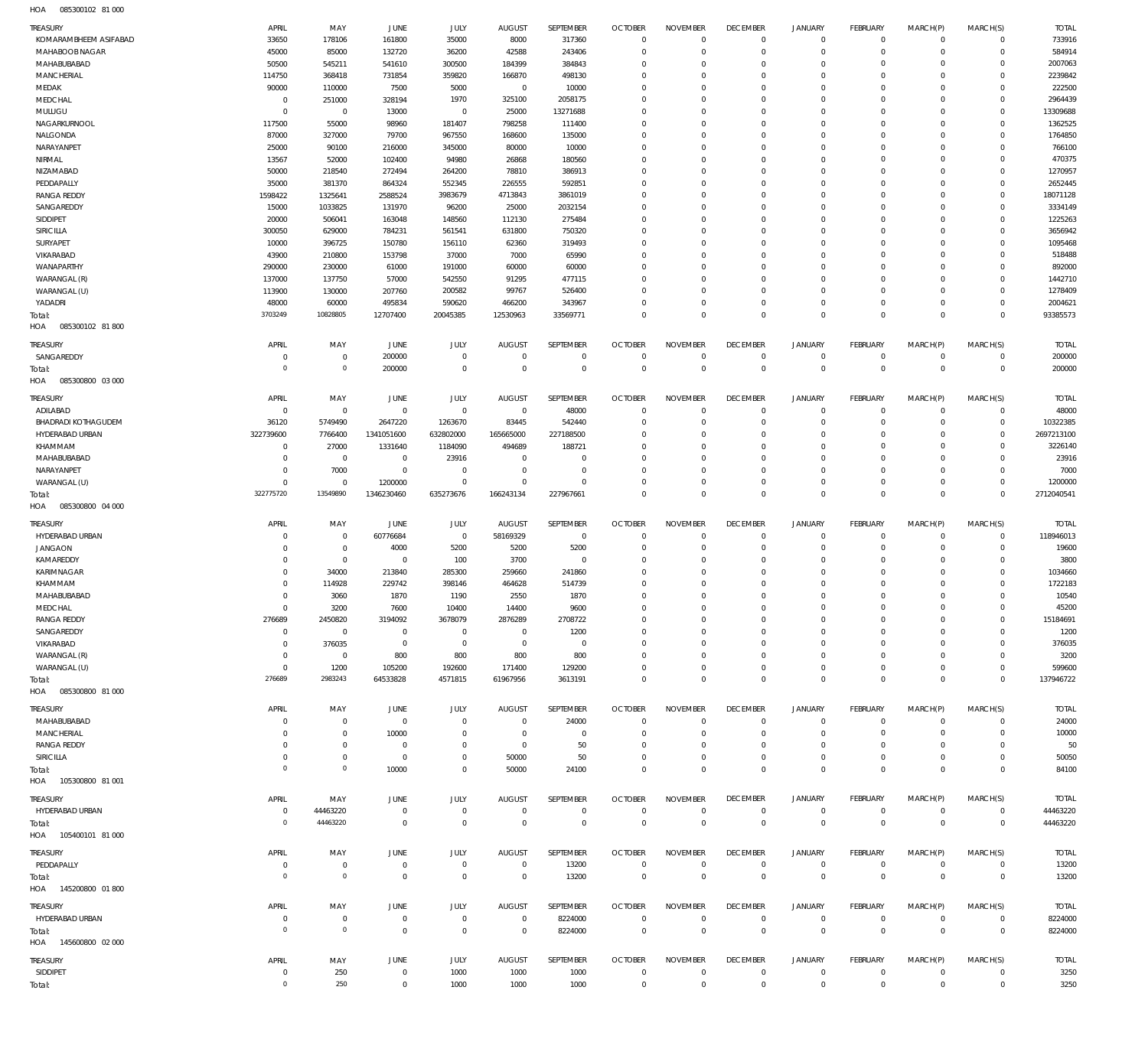085300102 81 000 HOA

| TREASURY<br>KOMARAMBHEEM ASIFABAD  | APRIL<br>33650                   | MAY<br>178106                  | JUNE<br>161800                   | JULY<br>35000                 | <b>AUGUST</b><br>8000           | SEPTEMBER<br>317360        | <b>OCTOBER</b><br>$\mathbf{0}$ | <b>NOVEMBER</b><br>$\Omega$     | <b>DECEMBER</b><br>$\mathbf 0$ | JANUARY<br>$\mathbf 0$     | <b>FEBRUARY</b><br>$\mathbf 0$ | MARCH(P)<br>$^{\circ}$  | MARCH(S)<br>$\mathbf 0$    | <b>TOTAL</b><br>733916   |
|------------------------------------|----------------------------------|--------------------------------|----------------------------------|-------------------------------|---------------------------------|----------------------------|--------------------------------|---------------------------------|--------------------------------|----------------------------|--------------------------------|-------------------------|----------------------------|--------------------------|
| MAHABOOB NAGAR                     | 45000                            | 85000                          | 132720                           | 36200                         | 42588                           | 243406                     | $\mathbf{0}$                   | $\Omega$                        | $\Omega$                       | $\Omega$                   | $\mathbf 0$                    | $\Omega$                | $\mathbf 0$                | 584914                   |
| MAHABUBABAD<br>MANCHERIAL          | 50500<br>114750                  | 545211<br>368418               | 541610<br>731854                 | 300500<br>359820              | 184399<br>166870                | 384843<br>498130           | $\mathbf{0}$<br>$\mathbf{0}$   | $\Omega$<br>$\Omega$            | $\mathbf 0$<br>$\Omega$        | $\Omega$<br>$\Omega$       | $\mathbf 0$<br>$\Omega$        | $\Omega$<br>$\Omega$    | $\mathbf 0$<br>$\mathbf 0$ | 2007063<br>2239842       |
| MEDAK                              | 90000                            | 110000                         | 7500                             | 5000                          | $\mathsf 0$                     | 10000                      | $\mathbf{0}$                   | $\Omega$                        | $\Omega$                       | $\Omega$                   | $\mathbf 0$                    | $\Omega$                | $\mathbf 0$                | 222500                   |
| MEDCHAL                            | $\overline{0}$                   | 251000                         | 328194                           | 1970                          | 325100                          | 2058175                    | $\mathbf{0}$                   | $\Omega$                        | $\Omega$                       | $\Omega$                   | $\Omega$                       | $\Omega$                | $\Omega$                   | 2964439                  |
| MULUGU                             | $\overline{0}$                   | $\overline{0}$                 | 13000                            | $\mathsf 0$                   | 25000                           | 13271688                   | $\mathbf{0}$                   | $\Omega$                        | $\Omega$                       | $\Omega$                   | $\mathbf 0$                    | $\Omega$                | $\mathbf 0$                | 13309688                 |
| NAGARKURNOOL                       | 117500                           | 55000                          | 98960                            | 181407                        | 798258                          | 111400                     | $\mathbf{0}$                   | $\Omega$                        | $\Omega$                       | $\Omega$                   | $\Omega$                       | $\Omega$                | $\circ$                    | 1362525                  |
| NALGONDA                           | 87000                            | 327000                         | 79700                            | 967550                        | 168600                          | 135000                     | $\mathbf{0}$                   | $\Omega$                        | $\Omega$                       | $\Omega$                   | $\mathbf 0$                    | $\Omega$                | $\mathbf 0$                | 1764850                  |
| NARAYANPET<br>NIRMAL               | 25000<br>13567                   | 90100<br>52000                 | 216000<br>102400                 | 345000<br>94980               | 80000<br>26868                  | 10000<br>180560            | $\mathbf{0}$<br>$\mathbf{0}$   | $\Omega$<br>$\Omega$            | $\Omega$<br>$\Omega$           | $\Omega$<br>$\Omega$       | $\Omega$<br>$\Omega$           | $\Omega$<br>$\Omega$    | $\Omega$<br>$\mathbf 0$    | 766100<br>470375         |
| NIZAMABAD                          | 50000                            | 218540                         | 272494                           | 264200                        | 78810                           | 386913                     | $\mathbf{0}$                   | $\Omega$                        | $\Omega$                       | $\Omega$                   | $\Omega$                       | $\Omega$                | $\Omega$                   | 1270957                  |
| PEDDAPALLY                         | 35000                            | 381370                         | 864324                           | 552345                        | 226555                          | 592851                     | $\mathbf{0}$                   | $\Omega$                        | $\Omega$                       | $\Omega$                   | $\Omega$                       | $\Omega$                | $\mathbf 0$                | 2652445                  |
| <b>RANGA REDDY</b>                 | 1598422                          | 1325641                        | 2588524                          | 3983679                       | 4713843                         | 3861019                    | $\mathbf{0}$                   | $\Omega$                        | $\Omega$                       | $\Omega$                   | $\Omega$                       | $\Omega$                | $\mathbf 0$                | 18071128                 |
| SANGAREDDY                         | 15000                            | 1033825                        | 131970                           | 96200                         | 25000                           | 2032154                    | $\mathbf{0}$                   | $\Omega$                        | $\Omega$                       | $\Omega$                   | $\Omega$                       | $\Omega$                | $\mathbf 0$                | 3334149                  |
| SIDDIPET                           | 20000                            | 506041                         | 163048                           | 148560                        | 112130                          | 275484                     | $\mathbf{0}$                   | $\Omega$                        | $\Omega$<br>$\Omega$           | $\Omega$<br>$\Omega$       | $\Omega$<br>$\Omega$           | $\Omega$                | $\mathbf 0$                | 1225263                  |
| SIRICILLA<br>SURYAPET              | 300050<br>10000                  | 629000<br>396725               | 784231<br>150780                 | 561541<br>156110              | 631800<br>62360                 | 750320<br>319493           | $\mathbf{0}$<br>$\mathbf{0}$   | $\Omega$<br>$\Omega$            | $\Omega$                       | $\Omega$                   | $\Omega$                       | $\Omega$<br>$\Omega$    | $\mathbf 0$<br>$\mathbf 0$ | 3656942<br>1095468       |
| VIKARABAD                          | 43900                            | 210800                         | 153798                           | 37000                         | 7000                            | 65990                      | $\mathbf{0}$                   | $\Omega$                        | $\Omega$                       | $\Omega$                   | $\Omega$                       | $\Omega$                | $\mathbf 0$                | 518488                   |
| WANAPARTHY                         | 290000                           | 230000                         | 61000                            | 191000                        | 60000                           | 60000                      | $\mathbf{0}$                   | $\Omega$                        | $\Omega$                       | $\Omega$                   | $\Omega$                       | $\Omega$                | $\Omega$                   | 892000                   |
| WARANGAL (R)                       | 137000                           | 137750                         | 57000                            | 542550                        | 91295                           | 477115                     | $\mathbf{0}$                   | $\Omega$                        | $\Omega$                       | $\Omega$                   | $\Omega$                       | $\Omega$                | $\mathbf 0$                | 1442710                  |
| WARANGAL (U)                       | 113900                           | 130000                         | 207760                           | 200582                        | 99767                           | 526400                     | $\mathbf{0}$                   | $\Omega$                        | $\Omega$                       | $\Omega$                   | $\Omega$                       | $\Omega$                | $\circ$                    | 1278409                  |
| YADADRI                            | 48000<br>3703249                 | 60000<br>10828805              | 495834                           | 590620                        | 466200                          | 343967                     | $\mathbf{0}$<br>$\Omega$       | $\Omega$<br>$\Omega$            | $\mathbf 0$<br>$\Omega$        | $\Omega$<br>$\Omega$       | $\mathbf 0$<br>$\Omega$        | $\Omega$<br>$\Omega$    | $\mathbf 0$                | 2004621                  |
| Total:<br>HOA<br>085300102 81 800  |                                  |                                | 12707400                         | 20045385                      | 12530963                        | 33569771                   |                                |                                 |                                |                            |                                |                         | $\mathbf 0$                | 93385573                 |
|                                    |                                  |                                |                                  |                               |                                 |                            |                                |                                 |                                |                            |                                |                         |                            |                          |
| TREASURY                           | APRIL                            | MAY                            | JUNE                             | JULY                          | AUGUST                          | SEPTEMBER                  | <b>OCTOBER</b>                 | <b>NOVEMBER</b>                 | <b>DECEMBER</b>                | JANUARY                    | <b>FEBRUARY</b>                | MARCH(P)                | MARCH(S)                   | <b>TOTAL</b>             |
| SANGAREDDY<br>Total:               | $\mathbf{0}$<br>$\mathbf 0$      | $\circ$<br>$\mathbf 0$         | 200000<br>200000                 | $\mathbf 0$<br>$\mathbf 0$    | $\overline{0}$<br>$\circ$       | $\mathbf 0$<br>$\mathbf 0$ | $\mathbf{0}$<br>$\Omega$       | $\mathbf{0}$<br>$\Omega$        | $\mathbf 0$<br>$\Omega$        | $\mathbf 0$<br>$\Omega$    | $\mathbf 0$<br>$\Omega$        | $\mathbf 0$<br>$\circ$  | $\mathbf 0$<br>$\mathbf 0$ | 200000<br>200000         |
| 085300800 03 000<br>HOA            |                                  |                                |                                  |                               |                                 |                            |                                |                                 |                                |                            |                                |                         |                            |                          |
| TREASURY                           | APRIL                            | MAY                            | JUNE                             | JULY                          | <b>AUGUST</b>                   | SEPTEMBER                  | <b>OCTOBER</b>                 | <b>NOVEMBER</b>                 | <b>DECEMBER</b>                | JANUARY                    | <b>FEBRUARY</b>                | MARCH(P)                | MARCH(S)                   | <b>TOTAL</b>             |
| ADILABAD<br>BHADRADI KOTHAGUDEM    | $\overline{0}$<br>36120          | $\overline{0}$<br>5749490      | $\overline{0}$<br>2647220        | $\mathsf 0$<br>1263670        | $\overline{0}$<br>83445         | 48000<br>542440            | $\mathbf{0}$<br>$\mathbf{0}$   | $^{\circ}$<br>$\Omega$          | $\mathbf 0$<br>$\mathbf 0$     | $\mathbf 0$<br>$\Omega$    | $\mathbf 0$<br>$\mathbf 0$     | $^{\circ}$<br>$\Omega$  | $\mathbf 0$<br>$\mathbf 0$ | 48000<br>10322385        |
| HYDERABAD URBAN                    | 322739600                        | 7766400                        | 1341051600                       | 632802000                     | 165665000                       | 227188500                  | $\mathbf{0}$                   | $\Omega$                        | $\Omega$                       | $\Omega$                   | $\mathbf 0$                    | $\Omega$                | $\mathbf 0$                | 2697213100               |
| KHAMMAM                            | $\circ$                          | 27000                          | 1331640                          | 1184090                       | 494689                          | 188721                     | $\mathbf{0}$                   | $\Omega$                        | $\Omega$                       | $\Omega$                   | $\mathbf 0$                    | $\Omega$                | $\mathbf 0$                | 3226140                  |
| MAHABUBABAD                        | $\overline{0}$                   | $\overline{0}$                 | $\overline{0}$                   | 23916                         | $\overline{0}$                  | $^{\circ}$                 | $\mathbf{0}$                   | $\Omega$                        | $\Omega$                       | $\Omega$                   | $\Omega$                       | $\Omega$                | $\circ$                    | 23916                    |
| NARAYANPET                         | $\mathbf{0}$                     | 7000                           | $\overline{0}$                   | $\mathbf 0$                   | $\overline{0}$                  | $^{\circ}$                 | $\mathbf{0}$                   | $\Omega$                        | $\mathbf 0$                    | $\Omega$                   | $\mathbf 0$                    | $\Omega$                | $\mathbf 0$                | 7000                     |
| WARANGAL (U)                       | $\mathbf{0}$                     | $\circ$                        | 1200000                          | $\overline{0}$                | $\overline{0}$                  | $\mathbf 0$                | $\mathbf{0}$                   | $^{\circ}$                      | $\mathbf 0$                    | $\Omega$                   | $\mathbf 0$                    | $\Omega$                | $\mathbf 0$                | 1200000                  |
| Total:                             | 322775720                        | 13549890                       | 1346230460                       | 635273676                     | 166243134                       | 227967661                  | $\circ$                        | $\Omega$                        | $\mathbf 0$                    | $\Omega$                   | $\mathbb O$                    | $\Omega$                | $\mathbb O$                | 2712040541               |
|                                    |                                  |                                |                                  |                               |                                 |                            |                                |                                 |                                |                            |                                |                         |                            |                          |
| HOA<br>085300800 04 000            |                                  |                                |                                  |                               |                                 |                            |                                |                                 |                                |                            |                                |                         |                            |                          |
| <b>TREASURY</b>                    | <b>APRIL</b>                     | MAY                            | <b>JUNE</b>                      | JULY                          | <b>AUGUST</b>                   | SEPTEMBER                  | <b>OCTOBER</b>                 | <b>NOVEMBER</b>                 | <b>DECEMBER</b>                | JANUARY                    | <b>FEBRUARY</b>                | MARCH(P)                | MARCH(S)                   | <b>TOTAL</b>             |
| HYDERABAD URBAN                    | $\mathbf{0}$                     | $\overline{0}$                 | 60776684                         | $\mathbf 0$                   | 58169329                        | $\mathbf 0$                | $^{\circ}$                     | $\Omega$                        | $\Omega$                       | $\Omega$                   | $\circ$                        | $\Omega$                | $\mathbf 0$                | 118946013                |
| <b>JANGAON</b>                     | $\mathbf 0$<br>$\Omega$          | $\overline{0}$<br>$\mathbf{0}$ | 4000<br>$\mathbf 0$              | 5200                          | 5200                            | 5200<br>$\circ$            | $\mathbf{0}$<br>$\mathbf{0}$   | $\Omega$<br>$\Omega$            | $\mathbf 0$<br>$\Omega$        | $\Omega$<br>$\Omega$       | $\mathbf 0$<br>$\Omega$        | $\Omega$<br>$\Omega$    | $\mathbf 0$<br>$\Omega$    | 19600                    |
| KAMAREDDY<br>KARIMNAGAR            | $\mathbf 0$                      | 34000                          | 213840                           | 100<br>285300                 | 3700<br>259660                  | 241860                     | $\mathbf{0}$                   | $\Omega$                        | $\Omega$                       | $\Omega$                   | $\mathbf 0$                    | $\Omega$                | $\mathbf 0$                | 3800<br>1034660          |
| KHAMMAM                            | $\mathbf 0$                      | 114928                         | 229742                           | 398146                        | 464628                          | 514739                     | $\Omega$                       | $\Omega$                        | $\Omega$                       | $\Omega$                   | $\Omega$                       | $\Omega$                | $\Omega$                   | 1722183                  |
| MAHABUBABAD                        | $\mathbf{0}$                     | 3060                           | 1870                             | 1190                          | 2550                            | 1870                       | $\circ$                        | $\circ$                         | $\circ$                        | $\circ$                    | $\Omega$                       | $\Omega$                | $\circ$                    | 10540                    |
| MEDCHAL                            | $\circ$                          | 3200                           | 7600                             | 10400                         | 14400                           | 9600                       | $\mathbf 0$                    | $\mathbf 0$                     | $\mathsf{O}\xspace$            | $\mathsf{O}\xspace$        | $\mathbf 0$                    | $\Omega$                | $\mathbf 0$                | 45200                    |
| <b>RANGA REDDY</b>                 | 276689                           | 2450820                        | 3194092                          | 3678079                       | 2876289                         | 2708722                    | $\mathbf{0}$                   | $\Omega$                        | $\Omega$                       | $\Omega$                   | $\Omega$                       | $\Omega$                | $\mathbf 0$                | 15184691                 |
| SANGAREDDY<br>VIKARABAD            | $\overline{0}$<br>$\overline{0}$ | $\overline{0}$<br>376035       | $\overline{0}$<br>$\overline{0}$ | $\mathbf 0$<br>$\overline{0}$ | $\mathsf 0$<br>$\overline{0}$   | 1200<br>$\circ$            | $\mathbf{0}$<br>$\mathbf{0}$   | $^{\circ}$<br>$\Omega$          | $\Omega$<br>$\Omega$           | $\Omega$<br>$\Omega$       | $\Omega$<br>$\Omega$           | $\Omega$<br>$\Omega$    | $\Omega$<br>$\Omega$       | 1200<br>376035           |
| WARANGAL (R)                       | $\overline{0}$                   | $\mathbf 0$                    | 800                              | 800                           | 800                             | 800                        | $\mathbf{0}$                   | $\Omega$                        | $\Omega$                       | $\Omega$                   | $\mathbf 0$                    | $\Omega$                | $\Omega$                   | 3200                     |
| WARANGAL (U)                       | $\overline{0}$                   | 1200                           | 105200                           | 192600                        | 171400                          | 129200                     | $\mathbf{0}$                   | $\Omega$                        | $\Omega$                       | $\Omega$                   | $\mathbf 0$                    | $\Omega$                | $\mathbf 0$                | 599600                   |
| Total:                             | 276689                           | 2983243                        | 64533828                         | 4571815                       | 61967956                        | 3613191                    | $\Omega$                       | $\Omega$                        | $\Omega$                       | $\Omega$                   | $\circ$                        | $\Omega$                | $\mathbf 0$                | 137946722                |
| HOA  085300800  81 000             |                                  |                                |                                  |                               |                                 |                            |                                |                                 |                                |                            |                                |                         |                            |                          |
| <b>TREASURY</b>                    | APRIL                            | MAY                            | JUNE                             | JULY                          | <b>AUGUST</b>                   | SEPTEMBER                  | <b>OCTOBER</b>                 | <b>NOVEMBER</b>                 | <b>DECEMBER</b>                | JANUARY                    | <b>FEBRUARY</b>                | MARCH(P)                | MARCH(S)                   | <b>TOTAL</b>             |
| MAHABUBABAD                        | $\mathbf{0}$                     | $\circ$                        | $\overline{0}$                   | $\mathbf 0$                   | $\overline{0}$                  | 24000                      | $\mathbf{0}$                   | $^{\circ}$                      | $\Omega$                       | $\mathbf 0$                | $\mathbf 0$                    | $\Omega$                | $\mathbf 0$                | 24000                    |
| MANCHERIAL                         | $^{\circ}$                       | $\mathbf 0$                    | 10000                            | $\mathbf 0$                   | $\overline{0}$                  | 0                          | $\mathbf{0}$                   | $\circ$                         | $\mathbf 0$                    | $\mathbf 0$                | $\mathbf 0$                    | $\Omega$                | $\mathbf 0$                | 10000                    |
| <b>RANGA REDDY</b>                 | $\mathbf{0}$                     | $\mathbf 0$                    | $\overline{0}$                   | $\mathbf 0$<br>$\mathbf 0$    | $\mathsf 0$                     | 50                         | $\mathbf{0}$<br>$\mathbf{0}$   | $\circ$<br>$^{\circ}$           | $\Omega$<br>$\mathbf 0$        | $\Omega$<br>$\Omega$       | $\mathbf 0$                    | $\Omega$<br>$\Omega$    | $\mathbf 0$                | 50                       |
| SIRICILLA<br>Total:                | $\circ$<br>$\mathbf 0$           | $\mathbf 0$<br>$\mathbf 0$     | $\overline{0}$<br>10000          | $\mathbf 0$                   | 50000<br>50000                  | 50<br>24100                | $\mathbf{0}$                   | $^{\circ}$                      | $\mathbf 0$                    | $\Omega$                   | $\mathbf 0$<br>$\Omega$        | $\Omega$                | $\mathbf 0$<br>$\mathbf 0$ | 50050<br>84100           |
| HOA<br>105300800 81 001            |                                  |                                |                                  |                               |                                 |                            |                                |                                 |                                |                            |                                |                         |                            |                          |
|                                    |                                  |                                |                                  |                               |                                 |                            |                                |                                 |                                |                            |                                |                         |                            |                          |
| <b>TREASURY</b><br>HYDERABAD URBAN | APRIL<br>$\overline{0}$          | MAY<br>44463220                | JUNE<br>$\overline{0}$           | JULY<br>$\mathsf 0$           | <b>AUGUST</b><br>$\overline{0}$ | SEPTEMBER<br>$\mathbf 0$   | <b>OCTOBER</b><br>$\mathbf 0$  | <b>NOVEMBER</b><br>$\mathbf{0}$ | <b>DECEMBER</b><br>$\mathbf 0$ | JANUARY<br>$\overline{0}$  | <b>FEBRUARY</b><br>$\mathbf 0$ | MARCH(P)<br>$\mathbf 0$ | MARCH(S)<br>$\mathbf 0$    | <b>TOTAL</b><br>44463220 |
| Total:                             | $\overline{0}$                   | 44463220                       | $\overline{0}$                   | $\overline{0}$                | $\mathbb O$                     | $\mathbb O$                | $\circ$                        | $\Omega$                        | $\Omega$                       | $\Omega$                   | $\mathbf 0$                    | $\circ$                 | $\mathbb O$                | 44463220                 |
| HOA  105400101  81 000             |                                  |                                |                                  |                               |                                 |                            |                                |                                 |                                |                            |                                |                         |                            |                          |
| TREASURY                           | APRIL                            | MAY                            | <b>JUNE</b>                      | JULY                          | AUGUST                          | SEPTEMBER                  | <b>OCTOBER</b>                 | <b>NOVEMBER</b>                 | <b>DECEMBER</b>                | JANUARY                    | <b>FEBRUARY</b>                | MARCH(P)                | MARCH(S)                   | <b>TOTAL</b>             |
| PEDDAPALLY                         | $\overline{0}$                   | $\circ$                        | $\overline{0}$                   | $\mathsf 0$                   | $\mathsf 0$                     | 13200                      | $\mathbf{0}$                   | $\mathbf{0}$                    | $\mathbf 0$                    | $\circ$                    | $\mathbf 0$                    | $\mathbf 0$             | $\mathbf 0$                | 13200                    |
| Total:                             | $\overline{0}$                   | $\overline{0}$                 | $\mathsf 0$                      | $\mathsf 0$                   | $\mathsf 0$                     | 13200                      | $\mathbf{0}$                   | $\mathbf{0}$                    | $\mathbf 0$                    | $\mathbf 0$                | $\mathbb O$                    | $\mathbf 0$             | $\mathbf 0$                | 13200                    |
| 145200800 01800<br>HOA             |                                  |                                |                                  |                               |                                 |                            |                                |                                 |                                |                            |                                |                         |                            |                          |
| TREASURY                           | APRIL                            | MAY                            | JUNE                             | JULY                          | AUGUST                          | SEPTEMBER                  | <b>OCTOBER</b>                 | <b>NOVEMBER</b>                 | <b>DECEMBER</b>                | JANUARY                    | <b>FEBRUARY</b>                | MARCH(P)                | MARCH(S)                   | <b>TOTAL</b>             |
| HYDERABAD URBAN                    | $\circ$                          | $\circ$                        | $\overline{0}$                   | $\mathsf 0$                   | $\mathsf 0$                     | 8224000                    | $\mathbf{0}$                   | $^{\circ}$                      | $\mathbf 0$                    | $\overline{0}$             | $\circ$                        | $\circ$                 | $\mathbf 0$                | 8224000                  |
| Total:                             | $\overline{0}$                   | $\overline{0}$                 | $\mathsf 0$                      | $\mathsf 0$                   | $\mathsf 0$                     | 8224000                    | $\mathbf 0$                    | $\mathbf{0}$                    | $\mathbf 0$                    | $\mathbf 0$                | $\mathbb O$                    | $\mathbf 0$             | $\mathbf 0$                | 8224000                  |
| HOA  145600800  02  000            |                                  |                                |                                  |                               |                                 |                            |                                |                                 |                                |                            |                                |                         |                            |                          |
| TREASURY                           | APRIL                            | MAY                            | JUNE                             | JULY                          | <b>AUGUST</b>                   | SEPTEMBER                  | <b>OCTOBER</b>                 | <b>NOVEMBER</b>                 | <b>DECEMBER</b>                | JANUARY                    | <b>FEBRUARY</b>                | MARCH(P)                | MARCH(S)                   | <b>TOTAL</b>             |
| SIDDIPET<br>Total:                 | $\overline{0}$<br>$\overline{0}$ | 250<br>250                     | $\overline{0}$<br>$\overline{0}$ | 1000<br>1000                  | 1000<br>1000                    | 1000<br>1000               | $\mathbf{0}$<br>$\mathbf 0$    | $^{\circ}$<br>$\mathbf 0$       | $\mathbf 0$<br>$\mathbf 0$     | $\mathbf 0$<br>$\mathbf 0$ | $\mathbf 0$<br>$\mathbb O$     | $\circ$<br>$\mathbf 0$  | $\mathbf 0$<br>$\mathbf 0$ | 3250<br>3250             |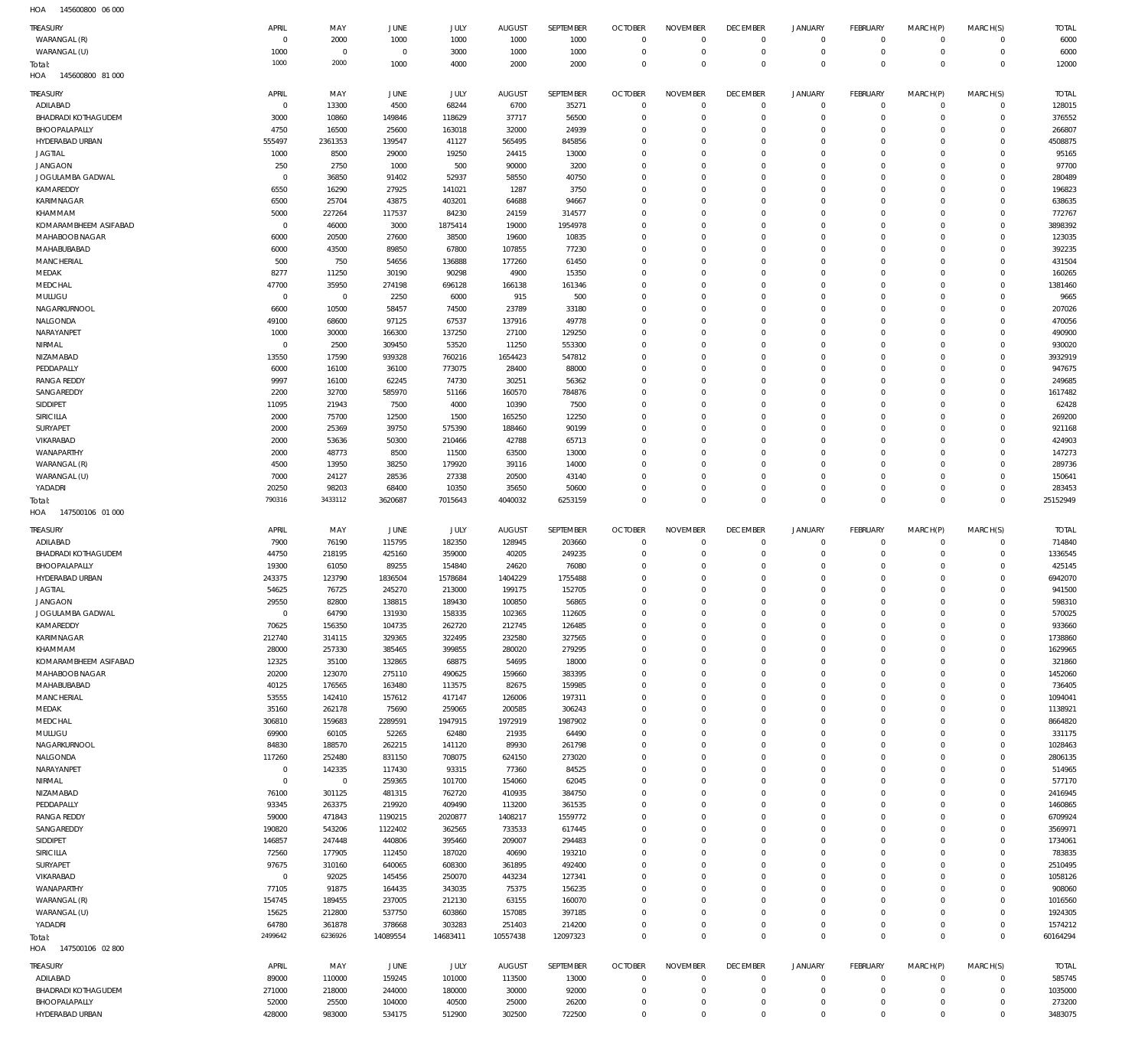145600800 06 000 HOA

| TREASURY                          | APRIL                  | MAY                 | <b>JUNE</b>      | JULY             | <b>AUGUST</b>    | SEPTEMBER        | <b>OCTOBER</b>                   | <b>NOVEMBER</b>            | <b>DECEMBER</b>            | <b>JANUARY</b>                   | <b>FEBRUARY</b><br>$\mathbf{0}$ | MARCH(P)<br>$\Omega$   | MARCH(S)<br>$\Omega$   | <b>TOTAL</b>       |
|-----------------------------------|------------------------|---------------------|------------------|------------------|------------------|------------------|----------------------------------|----------------------------|----------------------------|----------------------------------|---------------------------------|------------------------|------------------------|--------------------|
| WARANGAL (R)<br>WARANGAL (U)      | $\overline{0}$<br>1000 | 2000<br>$\mathbf 0$ | 1000<br>$\circ$  | 1000<br>3000     | 1000<br>1000     | 1000<br>1000     | $\overline{0}$<br>$\overline{0}$ | $\mathbf 0$<br>$\mathbf 0$ | $\mathbf 0$<br>$\mathbf 0$ | $\overline{0}$<br>$\overline{0}$ | $\mathbf{0}$                    | $^{\circ}$             | $\mathbf 0$            | 6000<br>6000       |
| Total:                            | 1000                   | 2000                | 1000             | 4000             | 2000             | 2000             | $\overline{0}$                   | $\mathbf 0$                | $\overline{0}$             | $\mathbf 0$                      | $\overline{0}$                  | $\Omega$               | $\Omega$               | 12000              |
| HOA<br>145600800 81 000           |                        |                     |                  |                  |                  |                  |                                  |                            |                            |                                  |                                 |                        |                        |                    |
| <b>TREASURY</b>                   | APRIL                  | MAY                 | JUNE             | JULY             | <b>AUGUST</b>    | SEPTEMBER        | <b>OCTOBER</b>                   | <b>NOVEMBER</b>            | <b>DECEMBER</b>            | <b>JANUARY</b>                   | <b>FEBRUARY</b>                 | MARCH(P)               | MARCH(S)               | <b>TOTAL</b>       |
| ADILABAD                          | $^{\circ}$             | 13300               | 4500             | 68244            | 6700             | 35271            | $\overline{0}$                   | $\mathbf 0$                | $\mathbf 0$                | $\overline{0}$                   | $\mathbf 0$                     | $\Omega$               | $\mathbf 0$            | 128015             |
| BHADRADI KOTHAGUDEM               | 3000                   | 10860               | 149846           | 118629           | 37717            | 56500            | $\overline{0}$                   | $\Omega$                   | $\mathbf 0$                | $\mathbf 0$                      | $\mathbf{0}$                    | $\Omega$               | $\Omega$               | 376552             |
| BHOOPALAPALLY                     | 4750                   | 16500               | 25600            | 163018           | 32000            | 24939            | $\mathbf 0$<br>$\Omega$          | $\Omega$<br>$\Omega$       | $\mathbf 0$<br>$\Omega$    | $\Omega$<br>$\Omega$             | $\Omega$<br>$\Omega$            | $\Omega$               | $\Omega$<br>$\Omega$   | 266807             |
| HYDERABAD URBAN<br><b>JAGTIAL</b> | 555497<br>1000         | 2361353<br>8500     | 139547<br>29000  | 41127<br>19250   | 565495<br>24415  | 845856<br>13000  | $\mathbf 0$                      | $\Omega$                   | $\mathbf 0$                | $\Omega$                         | $\Omega$                        | $\Omega$<br>$\Omega$   | $\Omega$               | 4508875<br>95165   |
| <b>JANGAON</b>                    | 250                    | 2750                | 1000             | 500              | 90000            | 3200             | $\Omega$                         | $\Omega$                   | $\Omega$                   | $\Omega$                         | $\Omega$                        | $\Omega$               | $\Omega$               | 97700              |
| JOGULAMBA GADWAL                  | $\Omega$               | 36850               | 91402            | 52937            | 58550            | 40750            | $\mathbf 0$                      | $\Omega$                   | $\mathbf 0$                | $\Omega$                         | $\Omega$                        | $\Omega$               | $\Omega$               | 280489             |
| KAMAREDDY                         | 6550                   | 16290               | 27925            | 141021           | 1287             | 3750             | $\Omega$                         | $\Omega$                   | $\Omega$                   | $\Omega$                         | $\Omega$                        | $\Omega$               | $\Omega$               | 196823             |
| KARIMNAGAR                        | 6500                   | 25704               | 43875            | 403201           | 64688            | 94667            | $\mathbf 0$                      | $\Omega$                   | $\mathbf 0$                | $\Omega$                         | $\Omega$                        | $\Omega$               | $\Omega$               | 638635             |
| KHAMMAM                           | 5000                   | 227264              | 117537           | 84230            | 24159            | 314577           | $\Omega$                         | $\Omega$                   | $\Omega$                   | $\Omega$                         | $\Omega$                        | $\Omega$               | $\Omega$               | 772767             |
| KOMARAMBHEEM ASIFABAD             | $\Omega$               | 46000               | 3000             | 1875414          | 19000            | 1954978          | $\Omega$                         | $\Omega$                   | $\Omega$                   | $\Omega$                         | $\Omega$                        | $\Omega$               | $\Omega$               | 3898392            |
| MAHABOOB NAGAR<br>MAHABUBABAD     | 6000<br>6000           | 20500<br>43500      | 27600<br>89850   | 38500<br>67800   | 19600<br>107855  | 10835<br>77230   | $\Omega$<br>$\Omega$             | $\Omega$<br>$\Omega$       | $\Omega$<br>$\Omega$       | $\Omega$<br>$\Omega$             | $\Omega$<br>$\Omega$            | $\Omega$<br>$\Omega$   | $\Omega$<br>$\Omega$   | 123035<br>392235   |
| <b>MANCHERIAL</b>                 | 500                    | 750                 | 54656            | 136888           | 177260           | 61450            | $\mathbf 0$                      | $\Omega$                   | $\mathbf 0$                | $\Omega$                         | $\Omega$                        | $\Omega$               | $\Omega$               | 431504             |
| MEDAK                             | 8277                   | 11250               | 30190            | 90298            | 4900             | 15350            | $\Omega$                         | $\Omega$                   | $\Omega$                   | $\Omega$                         | $\Omega$                        | $\Omega$               | $\Omega$               | 160265             |
| MEDCHAL                           | 47700                  | 35950               | 274198           | 696128           | 166138           | 161346           | $\Omega$                         | $\Omega$                   | $\Omega$                   | $\Omega$                         | $\Omega$                        | $\Omega$               | $\Omega$               | 1381460            |
| MULUGU                            | $^{\circ}$             | $\mathbf 0$         | 2250             | 6000             | 915              | 500              | $\Omega$                         | $\Omega$                   | $\Omega$                   | $\Omega$                         | $\Omega$                        | $\Omega$               | $\Omega$               | 9665               |
| NAGARKURNOOL                      | 6600                   | 10500               | 58457            | 74500            | 23789            | 33180            | $\mathbf 0$                      | $\Omega$                   | $\Omega$                   | $\Omega$                         | $\Omega$                        | $\Omega$               | $\Omega$               | 207026             |
| NALGONDA                          | 49100                  | 68600               | 97125            | 67537            | 137916           | 49778            | $\mathbf 0$                      | $\Omega$                   | $\mathbf 0$                | $\Omega$                         | $\Omega$                        | $\Omega$               | $\Omega$               | 470056             |
| NARAYANPET                        | 1000                   | 30000               | 166300           | 137250           | 27100            | 129250           | $\Omega$                         | $\Omega$<br>$\Omega$       | $\Omega$                   | $\Omega$<br>$\Omega$             | $\Omega$<br>$\Omega$            | $\Omega$               | $\Omega$<br>$\Omega$   | 490900             |
| NIRMAL<br>NIZAMABAD               | $^{\circ}$<br>13550    | 2500<br>17590       | 309450<br>939328 | 53520<br>760216  | 11250<br>1654423 | 553300<br>547812 | $\mathbf 0$<br>$\Omega$          | $\Omega$                   | $\mathbf 0$<br>$\Omega$    | $\Omega$                         | $\Omega$                        | $\Omega$<br>$\Omega$   | $\Omega$               | 930020<br>3932919  |
| PEDDAPALLY                        | 6000                   | 16100               | 36100            | 773075           | 28400            | 88000            | $\mathbf 0$                      | $\Omega$                   | $\mathbf 0$                | $\Omega$                         | $\Omega$                        | $\Omega$               | $\Omega$               | 947675             |
| <b>RANGA REDDY</b>                | 9997                   | 16100               | 62245            | 74730            | 30251            | 56362            | $\Omega$                         | $\Omega$                   | $\Omega$                   | $\Omega$                         | $\Omega$                        | $\Omega$               | $\Omega$               | 249685             |
| SANGAREDDY                        | 2200                   | 32700               | 585970           | 51166            | 160570           | 784876           | $\mathbf 0$                      | $\Omega$                   | $\mathbf 0$                | $\Omega$                         | $\Omega$                        | $\Omega$               | $\Omega$               | 1617482            |
| SIDDIPET                          | 11095                  | 21943               | 7500             | 4000             | 10390            | 7500             | $\Omega$                         | $\Omega$                   | $\Omega$                   | $\Omega$                         | $\Omega$                        | $\Omega$               | $\Omega$               | 62428              |
| SIRICILLA                         | 2000                   | 75700               | 12500            | 1500             | 165250           | 12250            | $\Omega$                         | $\Omega$                   | $\Omega$                   | $\Omega$                         | $\Omega$                        | $\Omega$               | $\Omega$               | 269200             |
| SURYAPET                          | 2000                   | 25369               | 39750            | 575390           | 188460           | 90199            | $\Omega$                         | $\Omega$                   | $\Omega$                   | $\Omega$                         | $\Omega$                        | $\Omega$               | $\Omega$               | 921168             |
| VIKARABAD                         | 2000                   | 53636               | 50300            | 210466           | 42788            | 65713            | $\Omega$                         | $\Omega$<br>$\Omega$       | $\Omega$                   | $\Omega$<br>$\Omega$             | $\Omega$<br>$\Omega$            | $\Omega$<br>$\Omega$   | $\Omega$<br>$\Omega$   | 424903             |
| WANAPARTHY<br>WARANGAL (R)        | 2000<br>4500           | 48773<br>13950      | 8500<br>38250    | 11500<br>179920  | 63500<br>39116   | 13000<br>14000   | $\mathbf 0$<br>$\Omega$          | $\Omega$                   | $\mathbf 0$<br>$\Omega$    | $\Omega$                         | $\Omega$                        | $\Omega$               | $\Omega$               | 147273<br>289736   |
| WARANGAL (U)                      | 7000                   | 24127               | 28536            | 27338            | 20500            | 43140            | $\Omega$                         | $\Omega$                   | $\mathbf 0$                | $\Omega$                         | $\Omega$                        | $\Omega$               | $\Omega$               | 150641             |
| YADADRI                           | 20250                  | 98203               | 68400            | 10350            | 35650            | 50600            | $\Omega$                         | $\Omega$                   | $\mathbf 0$                | $\mathbf 0$                      | $\mathbf{0}$                    | $\Omega$               | $\Omega$               | 283453             |
| Total:                            | 790316                 | 3433112             | 3620687          | 7015643          | 4040032          | 6253159          | $\Omega$                         | $\Omega$                   | $\mathbf 0$                | $\Omega$                         | $\Omega$                        | $\Omega$               | $\Omega$               | 25152949           |
| HOA<br>147500106 01 000           |                        |                     |                  |                  |                  |                  |                                  |                            |                            |                                  |                                 |                        |                        |                    |
|                                   |                        |                     |                  |                  |                  |                  |                                  |                            |                            |                                  |                                 |                        |                        |                    |
| TREASURY                          | APRIL                  | MAY                 | JUNE             | <b>JULY</b>      | <b>AUGUST</b>    | SEPTEMBER        | <b>OCTOBER</b>                   | <b>NOVEMBER</b>            | <b>DECEMBER</b>            | <b>JANUARY</b>                   | <b>FEBRUARY</b>                 | MARCH(P)               | MARCH(S)               | <b>TOTAL</b>       |
| ADILABAD                          | 7900                   | 76190               | 115795           | 182350           | 128945           | 203660           | $\overline{0}$                   | 0                          | 0                          | $\overline{0}$                   | $^{\circ}$                      | $\Omega$               | $\Omega$               | 714840             |
| BHADRADI KOTHAGUDEM               | 44750                  | 218195              | 425160           | 359000           | 40205            | 249235           | $\overline{0}$                   | $\mathbf 0$                | $\mathbf 0$                | $\overline{0}$                   | $\mathbf{0}$                    | $\Omega$               | $\Omega$               | 1336545            |
| BHOOPALAPALLY                     | 19300                  | 61050               | 89255            | 154840           | 24620            | 76080            | $\overline{0}$                   | 0                          | $\mathbf 0$                | $\mathbf 0$                      | $\mathbf{0}$                    | $\Omega$               | $\Omega$               | 425145             |
| HYDERABAD URBAN                   | 243375                 | 123790              | 1836504          | 1578684          | 1404229          | 1755488          | $\Omega$                         | $\Omega$                   | $\mathbf 0$                | $\Omega$                         | $\Omega$                        | $\Omega$               | $\Omega$               | 6942070            |
| <b>JAGTIAL</b>                    | 54625                  | 76725               | 245270           | 213000           | 199175           | 152705           | $\mathbf 0$                      | $\Omega$                   | $\mathbf 0$                | $\mathbf 0$                      | $\mathbf{0}$                    | $\Omega$               | $\Omega$               | 941500             |
| <b>JANGAON</b>                    | 29550<br>$^{\circ}$    | 82800               | 138815           | 189430           | 100850           | 56865            | $\Omega$<br>0                    | $\Omega$<br>0              | $\Omega$<br>0              | $\Omega$<br>0                    | $\Omega$<br>$\Omega$            | $\Omega$               | $\Omega$<br>$\Omega$   | 598310             |
| JOGULAMBA GADWAL<br>KAMAREDDY     | 70625                  | 64790<br>156350     | 131930<br>104735 | 158335<br>262720 | 102365<br>212745 | 112605<br>126485 | $\overline{0}$                   | $\mathbf 0$                | $\mathbf 0$                | $\mathbf 0$                      | $\mathbf{0}$                    | $\Omega$               | $\Omega$               | 570025<br>933660   |
| <b>KARIMNAGAR</b>                 | 212740                 | 314115              | 329365           | 322495           | 232580           | 327565           | $\overline{0}$                   | $\mathbf 0$                | $\mathbf 0$                | $\mathbf 0$                      | $\circ$                         | $\Omega$               | $\Omega$               | 1738860            |
| KHAMMAM                           | 28000                  | 257330              | 385465           | 399855           | 280020           | 279295           | $\mathbf 0$                      | $\mathbf 0$                | $\mathbf 0$                | $\mathbf 0$                      | $\mathbf{0}$                    | $\Omega$               | $\Omega$               | 1629965            |
| KOMARAMBHEEM ASIFABAD             | 12325                  | 35100               | 132865           | 68875            | 54695            | 18000            | $\overline{0}$                   | $\Omega$                   | $\mathbf 0$                | $\mathbf 0$                      | $\mathbf{0}$                    | $\Omega$               | $\Omega$               | 321860             |
| MAHABOOB NAGAR                    | 20200                  | 123070              | 275110           | 490625           | 159660           | 383395           | $\mathbf 0$                      | $\mathbf 0$                | $\mathbf 0$                | 0                                | $\mathbf{0}$                    | $\Omega$               | $\Omega$               | 1452060            |
| MAHABUBABAD                       | 40125                  | 176565              | 163480           | 113575           | 82675            | 159985           | $\overline{0}$                   | $\Omega$                   | $\mathbf 0$                | $\mathbf 0$                      | $\mathbf{0}$                    | $\Omega$               | $\Omega$               | 736405             |
| <b>MANCHERIAL</b><br>MEDAK        | 53555<br>35160         | 142410<br>262178    | 157612<br>75690  | 417147<br>259065 | 126006<br>200585 | 197311<br>306243 | $\overline{0}$<br>$\overline{0}$ | $\mathbf 0$<br>$\Omega$    | $\mathbf 0$<br>$\mathbf 0$ | 0<br>$\mathbf 0$                 | $\mathbf{0}$<br>$\mathbf{0}$    | $\Omega$<br>$\Omega$   | $\Omega$<br>$\Omega$   | 1094041<br>1138921 |
| MEDCHAL                           | 306810                 | 159683              | 2289591          | 1947915          | 1972919          | 1987902          | $\overline{0}$                   | $\mathbf 0$                | $\mathbf 0$                | 0                                | $\mathbf{0}$                    | $\Omega$               | $\Omega$               | 8664820            |
| MULUGU                            | 69900                  | 60105               | 52265            | 62480            | 21935            | 64490            | $\mathbf 0$                      | $\Omega$                   | $\mathbf 0$                | 0                                | $\mathbf{0}$                    | $\Omega$               | $\Omega$               | 331175             |
| NAGARKURNOOL                      | 84830                  | 188570              | 262215           | 141120           | 89930            | 261798           | $\overline{0}$                   | $\mathbf 0$                | $\mathbf 0$                | $\mathbf 0$                      | $\mathbf{0}$                    | $\Omega$               | $\Omega$               | 1028463            |
| NALGONDA                          | 117260                 | 252480              | 831150           | 708075           | 624150           | 273020           | $\mathbf 0$                      | 0                          | $\mathbf 0$                | 0                                | $\mathbf{0}$                    | $\Omega$               | $\Omega$               | 2806135            |
| NARAYANPET                        | $\mathbf{0}$           | 142335              | 117430           | 93315            | 77360            | 84525            | $\overline{0}$                   | $\Omega$                   | $\mathbf 0$                | 0                                | $\mathbf{0}$                    | $\Omega$               | $\Omega$               | 514965             |
| NIRMAL                            | $\overline{0}$         | $\mathbf 0$         | 259365           | 101700           | 154060           | 62045            | $\overline{0}$<br>$\overline{0}$ | 0<br>$\Omega$              | $\bf 0$<br>$\mathbf 0$     | 0<br>$\mathbf 0$                 | $\mathbf{0}$<br>$\mathbf{0}$    | $\Omega$<br>$\Omega$   | $\Omega$<br>$\Omega$   | 577170             |
| NIZAMABAD<br>PEDDAPALLY           | 76100<br>93345         | 301125<br>263375    | 481315<br>219920 | 762720<br>409490 | 410935<br>113200 | 384750<br>361535 | $\overline{0}$                   | 0                          | $\mathbf 0$                | $\mathbf 0$                      | $\mathbf{0}$                    | $\Omega$               | $\Omega$               | 2416945<br>1460865 |
| <b>RANGA REDDY</b>                | 59000                  | 471843              | 1190215          | 2020877          | 1408217          | 1559772          | $\mathbf 0$                      | $\Omega$                   | $\mathbf 0$                | 0                                | $\mathbf{0}$                    | $\Omega$               | $\Omega$               | 6709924            |
| SANGAREDDY                        | 190820                 | 543206              | 1122402          | 362565           | 733533           | 617445           | $\overline{0}$                   | $\mathbf 0$                | $\mathbf 0$                | $\mathbf 0$                      | $\mathbf{0}$                    | $\Omega$               | $\Omega$               | 3569971            |
| SIDDIPET                          | 146857                 | 247448              | 440806           | 395460           | 209007           | 294483           | $\mathbf 0$                      | $\mathbf 0$                | $\mathbf 0$                | 0                                | $\mathbf{0}$                    | $\Omega$               | $\Omega$               | 1734061            |
| SIRICILLA                         | 72560                  | 177905              | 112450           | 187020           | 40690            | 193210           | $\overline{0}$                   | $\Omega$                   | $\mathbf 0$                | $\mathbf 0$                      | $\mathbf{0}$                    | $\Omega$               | $\Omega$               | 783835             |
| SURYAPET                          | 97675                  | 310160              | 640065           | 608300           | 361895           | 492400           | $\mathbf 0$                      | $\mathbf 0$                | $\mathbf 0$                | 0                                | $\mathbf{0}$                    | $\Omega$               | $\Omega$               | 2510495            |
| VIKARABAD<br>WANAPARTHY           | $\mathbf{0}$<br>77105  | 92025<br>91875      | 145456<br>164435 | 250070           | 443234<br>75375  | 127341<br>156235 | $\overline{0}$<br>$\mathbf 0$    | $\Omega$<br>$\mathbf 0$    | $\mathbf 0$<br>$\mathbf 0$ | $\mathbf 0$<br>0                 | $\mathbf{0}$<br>$\mathbf{0}$    | $\Omega$<br>$\Omega$   | $\Omega$<br>$\Omega$   | 1058126<br>908060  |
| WARANGAL (R)                      | 154745                 | 189455              | 237005           | 343035<br>212130 | 63155            | 160070           | $\mathbf 0$                      | $\Omega$                   | $\mathbf 0$                | $\mathbf 0$                      | $\mathbf{0}$                    | $\Omega$               | $\Omega$               | 1016560            |
| WARANGAL (U)                      | 15625                  | 212800              | 537750           | 603860           | 157085           | 397185           | $\overline{0}$                   | $\mathbf 0$                | $\mathbf 0$                | $\mathbf 0$                      | $\mathbf{0}$                    | $\Omega$               | $\Omega$               | 1924305            |
| YADADRI                           | 64780                  | 361878              | 378668           | 303283           | 251403           | 214200           | $\overline{0}$                   | $\mathbf 0$                | $\mathbf 0$                | $\mathbf 0$                      | $\mathbb O$                     | $\Omega$               | $\circ$                | 1574212            |
| Total:                            | 2499642                | 6236926             | 14089554         | 14683411         | 10557438         | 12097323         | $\overline{0}$                   | $\mathbf 0$                | $\overline{0}$             | $\overline{0}$                   | $\,0\,$                         | $\overline{0}$         | $\mathbf 0$            | 60164294           |
| 147500106 02 800<br>HOA           |                        |                     |                  |                  |                  |                  |                                  |                            |                            |                                  |                                 |                        |                        |                    |
| TREASURY                          | APRIL                  | MAY                 | JUNE             | <b>JULY</b>      | <b>AUGUST</b>    | SEPTEMBER        | <b>OCTOBER</b>                   | <b>NOVEMBER</b>            | <b>DECEMBER</b>            | <b>JANUARY</b>                   | <b>FEBRUARY</b>                 | MARCH(P)               | MARCH(S)               | <b>TOTAL</b>       |
| ADILABAD                          | 89000                  | 110000              | 159245           | 101000           | 113500           | 13000            | $\overline{0}$                   | $\Omega$                   | $\mathbf 0$                | $\overline{0}$                   | $^{\circ}$                      | $\Omega$               | $\mathbf 0$            | 585745             |
| BHADRADI KOTHAGUDEM               | 271000                 | 218000              | 244000           | 180000           | 30000            | 92000            | $\overline{0}$                   | $\mathbf 0$                | $\mathbf 0$                | $\overline{0}$                   | $\mathbf 0$                     | $\Omega$               | $\mathbf 0$            | 1035000            |
| BHOOPALAPALLY<br>HYDERABAD URBAN  | 52000<br>428000        | 25500<br>983000     | 104000<br>534175 | 40500<br>512900  | 25000<br>302500  | 26200<br>722500  | $\mathbf 0$<br>$\mathbf 0$       | $\mathbf 0$<br>$\mathbf 0$ | $\mathbf 0$<br>$\mathbf 0$ | $\mathbf 0$<br>$\mathbf 0$       | $\circ$<br>$\mathbf{0}$         | $^{\circ}$<br>$\Omega$ | $\mathbf 0$<br>$\circ$ | 273200<br>3483075  |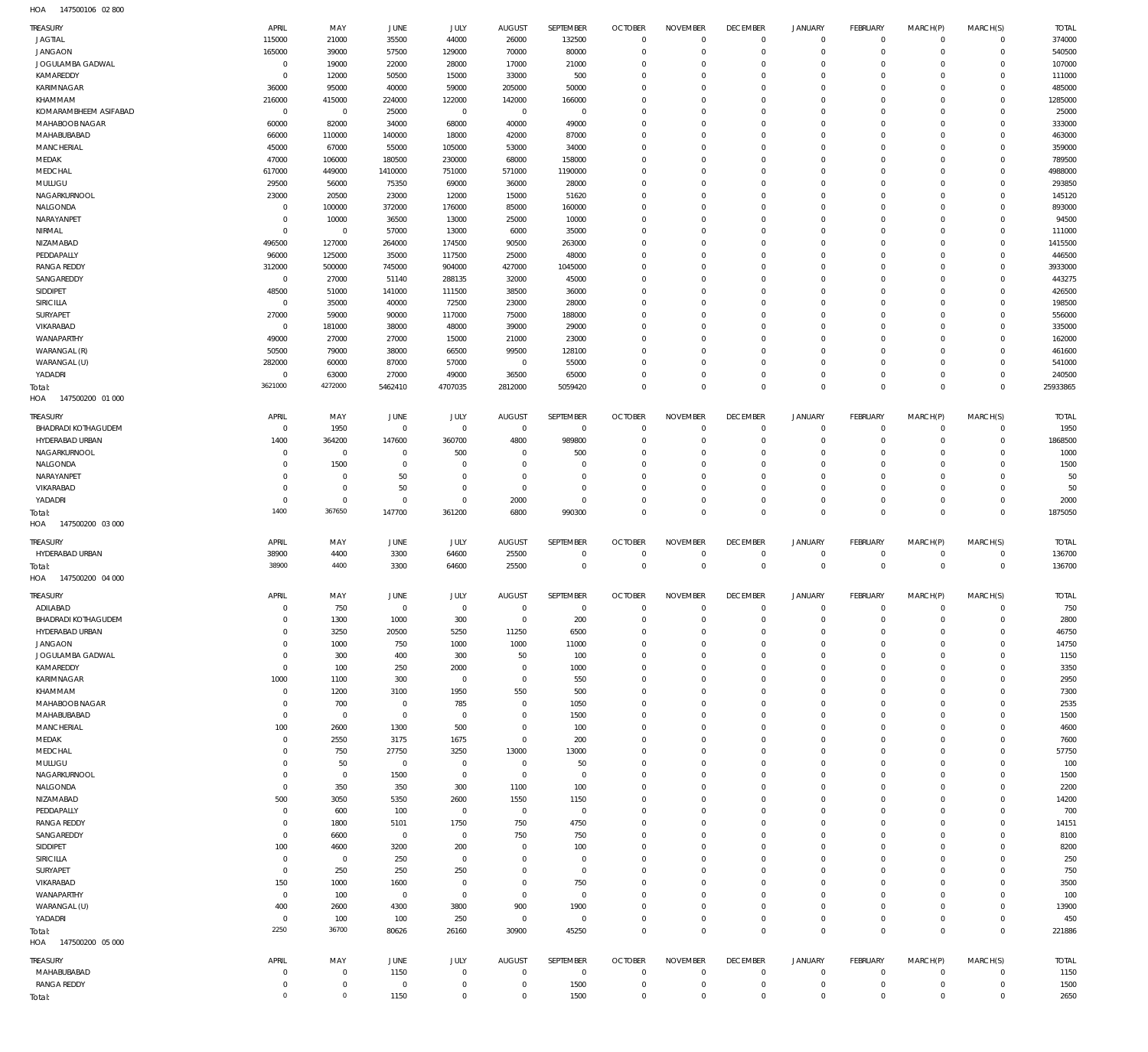147500106 02 800 HOA

| TREASURY                   | APRIL       | MAY            | JUNE           | <b>JULY</b> | <b>AUGUST</b>  | SEPTEMBER      | <b>OCTOBER</b> | <b>NOVEMBER</b>     | <b>DECEMBER</b> | <b>JANUARY</b> | FEBRUARY       | MARCH(P)    | MARCH(S)       | <b>TOTAL</b> |
|----------------------------|-------------|----------------|----------------|-------------|----------------|----------------|----------------|---------------------|-----------------|----------------|----------------|-------------|----------------|--------------|
| <b>JAGTIAL</b>             | 115000      | 21000          | 35500          | 44000       | 26000          | 132500         | $\overline{0}$ | $\mathbf 0$         | $\overline{0}$  | $\circ$        | $\overline{0}$ | $\mathbf 0$ | $\circ$        | 374000       |
| <b>JANGAON</b>             | 165000      | 39000          | 57500          | 129000      | 70000          | 80000          | $\mathbf 0$    | $\mathbf 0$         | $\mathbf 0$     | $\mathbf 0$    | $\mathbf{0}$   | $\mathbf 0$ | $\mathbf{0}$   | 540500       |
|                            |             |                |                |             |                |                |                |                     |                 |                |                |             |                |              |
| JOGULAMBA GADWAL           | $\mathbf 0$ | 19000          | 22000          | 28000       | 17000          | 21000          | $\mathbf 0$    | $\Omega$            | $\mathbf 0$     | $\mathbf 0$    | $\mathbf{0}$   | $\Omega$    | $\mathbf{0}$   | 107000       |
| KAMAREDDY                  | $^{\circ}$  | 12000          | 50500          | 15000       | 33000          | 500            | $\mathbf 0$    | $\mathbf 0$         | $\mathbf 0$     | $\mathbf 0$    | $\mathbf 0$    | $\Omega$    | $\mathbf 0$    | 111000       |
| KARIMNAGAR                 | 36000       | 95000          | 40000          | 59000       | 205000         | 50000          | $\mathbf 0$    | $\Omega$            | $\Omega$        | $\Omega$       | $\Omega$       | $\Omega$    | $\mathbf 0$    | 485000       |
| KHAMMAM                    | 216000      | 415000         | 224000         | 122000      | 142000         | 166000         | $\mathbf 0$    | $\mathbf 0$         | $\mathbf 0$     | $\mathbf 0$    | $\mathbf 0$    | $\Omega$    | $\mathbf 0$    | 1285000      |
|                            |             |                |                |             |                |                |                |                     |                 |                |                |             |                |              |
| KOMARAMBHEEM ASIFABAD      | $\mathbf 0$ | $\overline{0}$ | 25000          | $\mathbb O$ | $\mathbf 0$    | $\mathbf 0$    | $\mathbf 0$    | $\Omega$            | $\mathbf 0$     | $\mathbf 0$    | $\mathbf 0$    | $\Omega$    | $\mathbf 0$    | 25000        |
| MAHABOOB NAGAR             | 60000       | 82000          | 34000          | 68000       | 40000          | 49000          | $\mathbf 0$    | $\Omega$            | $\Omega$        | $\Omega$       | $\mathbf 0$    | $\Omega$    | $\mathbf{0}$   | 333000       |
| MAHABUBABAD                | 66000       | 110000         | 140000         | 18000       | 42000          | 87000          | $\mathbf 0$    | $\Omega$            | $\mathbf 0$     | $\mathbf 0$    | $\mathbf 0$    | $\Omega$    | $\mathbf 0$    | 463000       |
| <b>MANCHERIAL</b>          | 45000       | 67000          | 55000          | 105000      | 53000          | 34000          | $\mathbf 0$    | $\Omega$            | $\Omega$        | $\Omega$       | $\mathbf 0$    | $\Omega$    | $\Omega$       | 359000       |
|                            |             |                |                |             |                |                |                |                     |                 |                |                |             |                |              |
| MEDAK                      | 47000       | 106000         | 180500         | 230000      | 68000          | 158000         | $\mathbf 0$    | $\Omega$            | $\mathbf 0$     | $\mathbf 0$    | $\mathbf{0}$   | $\Omega$    | $\mathbf 0$    | 789500       |
| MEDCHAL                    | 617000      | 449000         | 1410000        | 751000      | 571000         | 1190000        | $\mathbf 0$    | $\Omega$            | $\Omega$        | $\Omega$       | $\Omega$       | $\Omega$    | $\Omega$       | 4988000      |
| MULUGU                     | 29500       | 56000          | 75350          | 69000       | 36000          | 28000          | $\mathbf 0$    | $\Omega$            | $\mathbf 0$     | $\mathbf 0$    | $\mathbf{0}$   | $\Omega$    | $\mathbf{0}$   | 293850       |
|                            |             |                |                |             |                |                | $\mathbf 0$    | $\mathbf 0$         | $\mathbf 0$     | $\mathbf 0$    | $\mathbf 0$    | $\Omega$    | $\mathbf 0$    |              |
| NAGARKURNOOL               | 23000       | 20500          | 23000          | 12000       | 15000          | 51620          |                |                     |                 |                |                |             |                | 145120       |
| NALGONDA                   | $^{\circ}$  | 100000         | 372000         | 176000      | 85000          | 160000         | $\mathbf 0$    | $\Omega$            | $\Omega$        | $\Omega$       | $\mathbf{0}$   | $\Omega$    | $\mathbf{0}$   | 893000       |
| NARAYANPET                 | $^{\circ}$  | 10000          | 36500          | 13000       | 25000          | 10000          | $\mathbf 0$    | $\mathbf 0$         | $\mathbf 0$     | $\mathbf 0$    | $\mathbf 0$    | $\Omega$    | $\mathbf 0$    | 94500        |
| NIRMAL                     | $\mathbf 0$ | $\overline{0}$ | 57000          | 13000       | 6000           | 35000          | $\mathbf 0$    | $\Omega$            | $\Omega$        | $\Omega$       | $\Omega$       | $\Omega$    | $\mathbf 0$    | 111000       |
|                            |             |                |                |             |                |                |                |                     |                 |                |                |             |                |              |
| NIZAMABAD                  | 496500      | 127000         | 264000         | 174500      | 90500          | 263000         | $\mathbf 0$    | $\mathbf 0$         | $\mathbf 0$     | $\mathbf 0$    | $\mathbf 0$    | $\Omega$    | $\mathbf 0$    | 1415500      |
| PEDDAPALLY                 | 96000       | 125000         | 35000          | 117500      | 25000          | 48000          | $\mathbf 0$    | $\Omega$            | $\mathbf 0$     | $\mathbf 0$    | $\mathbf 0$    | $\Omega$    | $\mathbf 0$    | 446500       |
| <b>RANGA REDDY</b>         | 312000      | 500000         | 745000         | 904000      | 427000         | 1045000        | $\mathbf 0$    | $\Omega$            | $\Omega$        | $\Omega$       | $\mathbf 0$    | $\Omega$    | $\mathbf{0}$   | 3933000      |
| SANGAREDDY                 | $\mathbb O$ | 27000          | 51140          | 288135      | 32000          | 45000          | $\mathbf 0$    | $\Omega$            | $\mathbf 0$     | $\mathbf 0$    | $\mathbf 0$    | $\Omega$    | $\mathbf 0$    | 443275       |
|                            |             |                |                |             |                |                |                |                     |                 |                |                |             |                |              |
| SIDDIPET                   | 48500       | 51000          | 141000         | 111500      | 38500          | 36000          | $\mathbf 0$    | $\Omega$            | $\Omega$        | $\Omega$       | $\mathbf 0$    | $\Omega$    | $\Omega$       | 426500       |
| SIRICILLA                  | $\circ$     | 35000          | 40000          | 72500       | 23000          | 28000          | $\mathbf 0$    | $\Omega$            | $\mathbf 0$     | $\mathbf 0$    | $\mathbf{0}$   | $\Omega$    | $\mathbf 0$    | 198500       |
| SURYAPET                   | 27000       | 59000          | 90000          | 117000      | 75000          | 188000         | $\mathbf 0$    | $\Omega$            | $\Omega$        | $\Omega$       | $\Omega$       | $\Omega$    | $\Omega$       | 556000       |
| VIKARABAD                  | $\mathbf 0$ | 181000         | 38000          | 48000       | 39000          | 29000          | $\mathbf 0$    | $\Omega$            | $\mathbf 0$     | $\mathbf 0$    | $\mathbf{0}$   | $\Omega$    | $\mathbf 0$    | 335000       |
|                            |             |                |                |             |                |                |                |                     |                 |                |                |             |                |              |
| WANAPARTHY                 | 49000       | 27000          | 27000          | 15000       | 21000          | 23000          | $\mathbf 0$    | $\mathbf 0$         | $\mathbf 0$     | $\Omega$       | $\Omega$       | $\Omega$    | $\mathbf 0$    | 162000       |
| WARANGAL (R)               | 50500       | 79000          | 38000          | 66500       | 99500          | 128100         | $\mathbf 0$    | $\Omega$            | $\Omega$        | $\Omega$       | $\mathbf{0}$   | $\Omega$    | $\mathbf{0}$   | 461600       |
| WARANGAL (U)               | 282000      | 60000          | 87000          | 57000       | $\mathbf 0$    | 55000          | $\mathbf 0$    | $\mathbf 0$         | $\mathbf 0$     | $\mathbf 0$    | $\mathbf 0$    | $\Omega$    | $\mathbf{0}$   | 541000       |
|                            |             |                |                |             |                |                |                |                     |                 |                |                |             |                |              |
| YADADRI                    | $\mathbf 0$ | 63000          | 27000          | 49000       | 36500          | 65000          | $\mathbf 0$    | $\mathbf 0$         | $\mathbf 0$     | $\mathbf 0$    | $\mathbf{0}$   | $\Omega$    | $\mathbf{0}$   | 240500       |
| Total:                     | 3621000     | 4272000        | 5462410        | 4707035     | 2812000        | 5059420        | $\mathbf 0$    | $\mathbf 0$         | $\mathbf 0$     | $\mathbf 0$    | $\overline{0}$ | $\mathbf 0$ | $\overline{0}$ | 25933865     |
| HOA<br>147500200 01 000    |             |                |                |             |                |                |                |                     |                 |                |                |             |                |              |
|                            |             |                |                |             |                |                |                |                     |                 |                |                |             |                |              |
| TREASURY                   | APRIL       | MAY            | JUNE           | JULY        | <b>AUGUST</b>  | SEPTEMBER      | <b>OCTOBER</b> | <b>NOVEMBER</b>     | <b>DECEMBER</b> | <b>JANUARY</b> | FEBRUARY       | MARCH(P)    | MARCH(S)       | <b>TOTAL</b> |
| <b>BHADRADI KOTHAGUDEM</b> | $^{\circ}$  | 1950           | $\mathbf 0$    | $\mathbf 0$ | $\mathbf 0$    | $\mathbf 0$    | $\mathbf 0$    | $\Omega$            | $\mathbf 0$     | $\mathbf 0$    | $\mathbf 0$    | $\mathbf 0$ | $\mathbf{0}$   | 1950         |
| HYDERABAD URBAN            | 1400        | 364200         | 147600         | 360700      | 4800           | 989800         | $\mathbf 0$    | $\mathbf 0$         | $\mathbf 0$     | $\mathbf 0$    | $\mathbf{0}$   | $\mathbf 0$ | $\mathbf{0}$   | 1868500      |
|                            |             |                |                |             |                |                |                |                     |                 |                |                |             |                |              |
| NAGARKURNOOL               | $^{\circ}$  | $\mathbf 0$    | $\circ$        | 500         | $^{\circ}$     | 500            | $\mathbf 0$    | $\Omega$            | $\Omega$        | $\mathbf 0$    | $\mathbf 0$    | $\Omega$    | $\mathbf 0$    | 1000         |
| NALGONDA                   | $\Omega$    | 1500           | $^{\circ}$     | $\Omega$    | $\Omega$       | $\Omega$       | $\Omega$       | $\Omega$            | $\Omega$        | $\Omega$       | $\Omega$       | $\Omega$    | $\Omega$       | 1500         |
| NARAYANPET                 | $\Omega$    | $\mathbf 0$    | 50             | $\Omega$    | $\Omega$       | $\Omega$       | $\Omega$       | $\Omega$            | $\Omega$        | $\Omega$       | $\Omega$       | $\Omega$    | $\mathbf 0$    | 50           |
|                            | $\Omega$    | $\mathbf 0$    |                | $\Omega$    | $\Omega$       | $\Omega$       | $\Omega$       | $\Omega$            | $\Omega$        | $\Omega$       | $\Omega$       | $\Omega$    | $\Omega$       | 50           |
| VIKARABAD                  |             |                | 50             |             |                |                |                |                     |                 |                |                |             |                |              |
| YADADRI                    | $^{\circ}$  | $\mathbf 0$    | $\mathbf 0$    | $\mathbf 0$ | 2000           | $\mathbf 0$    | $\mathbf 0$    | $\mathbf 0$         | $\mathbf 0$     | $\mathbf 0$    | $\mathbf 0$    | $\mathbf 0$ | $\mathbf 0$    | 2000         |
| Total:                     | 1400        | 367650         | 147700         | 361200      | 6800           | 990300         | $\Omega$       | $\Omega$            | $\Omega$        | $\Omega$       | $\Omega$       | $\Omega$    | $\Omega$       | 1875050      |
| HOA<br>147500200 03 000    |             |                |                |             |                |                |                |                     |                 |                |                |             |                |              |
|                            |             |                |                |             |                |                |                |                     |                 |                |                |             |                |              |
| TREASURY                   | APRIL       | MAY            | <b>JUNE</b>    | JULY        | <b>AUGUST</b>  | SEPTEMBER      | <b>OCTOBER</b> | <b>NOVEMBER</b>     | <b>DECEMBER</b> | <b>JANUARY</b> | FEBRUARY       | MARCH(P)    | MARCH(S)       | <b>TOTAL</b> |
| HYDERABAD URBAN            |             |                |                |             |                |                |                |                     |                 |                |                |             |                |              |
|                            |             |                |                |             |                |                |                |                     |                 |                |                |             |                |              |
|                            | 38900       | 4400           | 3300           | 64600       | 25500          | 0              | $\overline{0}$ | $\mathbf 0$         | $\overline{0}$  | $\overline{0}$ | $\circ$        | $\mathbf 0$ | $\overline{0}$ | 136700       |
| Total:                     | 38900       | 4400           | 3300           | 64600       | 25500          | $\mathbb O$    | $\overline{0}$ | $\mathsf{O}\xspace$ | $\overline{0}$  | $\mathbf 0$    | $\overline{0}$ | $\mathbf 0$ | $\overline{0}$ | 136700       |
| 147500200 04 000<br>HOA    |             |                |                |             |                |                |                |                     |                 |                |                |             |                |              |
|                            |             |                |                |             |                |                |                |                     |                 |                |                |             |                |              |
| TREASURY                   | APRIL       | MAY            | JUNE           | <b>JULY</b> | <b>AUGUST</b>  | SEPTEMBER      | <b>OCTOBER</b> | <b>NOVEMBER</b>     | <b>DECEMBER</b> | <b>JANUARY</b> | FEBRUARY       | MARCH(P)    | MARCH(S)       | <b>TOTAL</b> |
| ADILABAD                   | $\Omega$    | 750            | $\overline{0}$ | $\Omega$    | $\Omega$       | $\Omega$       | $\overline{0}$ | $\Omega$            | $\mathbf{0}$    | $\mathbf 0$    | $\mathbf 0$    | $\mathbf 0$ | $\circ$        | 750          |
| <b>BHADRADI KOTHAGUDEM</b> | $\Omega$    | 1300           | 1000           | 300         | $\mathbf{0}$   | 200            | $\mathbf 0$    | $\Omega$            | $\mathbf 0$     | $\mathbf 0$    | $\mathbf 0$    | $\Omega$    | $\mathbf 0$    | 2800         |
|                            |             |                |                |             |                |                |                |                     |                 |                |                |             |                |              |
| HYDERABAD URBAN            | $\Omega$    | 3250           | 20500          | 5250        | 11250          | 6500           | $\mathbf 0$    | $\Omega$            | $\mathbf 0$     | $\mathbf 0$    | $\mathbf 0$    | $\Omega$    | $\mathbf 0$    | 46750        |
| <b>JANGAON</b>             | $\Omega$    | 1000           | 750            | 1000        | 1000           | 11000          | $\mathbf 0$    | $\Omega$            | $\mathbf 0$     | $\mathbf 0$    | $\mathbf 0$    | $\Omega$    | $\mathbf 0$    | 14750        |
| JOGULAMBA GADWAL           | $^{\circ}$  | 300            | 400            | 300         | 50             | 100            | $\mathbf 0$    | $\Omega$            | $\mathbf 0$     | $\Omega$       | $\Omega$       | $\Omega$    | $\Omega$       | 1150         |
| KAMAREDDY                  | $\mathbf 0$ |                |                |             | $\mathbf{0}$   |                | $\mathbf 0$    | $\Omega$            | $\mathbf 0$     | $\mathbf 0$    | $\mathbf 0$    | $\Omega$    | $\mathbf 0$    |              |
|                            |             | 100            | 250            | 2000        |                | 1000           |                | $\Omega$            |                 |                | $\Omega$       | $\Omega$    | $\Omega$       | 3350         |
| KARIMNAGAR                 | 1000        | 1100           | 300            | $^{\circ}$  | $\mathbf{0}$   | 550            | $\mathbf 0$    |                     | $\mathbf 0$     | $\mathbf 0$    |                |             |                | 2950         |
| KHAMMAM                    | $\mathbf 0$ | 1200           | 3100           | 1950        | 550            | 500            | $\mathbf 0$    | $\Omega$            | $\Omega$        | $\Omega$       | $\mathbf 0$    | $\Omega$    | $\Omega$       | 7300         |
| MAHABOOB NAGAR             | $^{\circ}$  | 700            | $\circ$        | 785         | $\mathbf{0}$   | 1050           | $\mathbf 0$    | $\Omega$            | $\mathbf 0$     | $\mathbf 0$    | $\mathbf 0$    | $\Omega$    | $\mathbf 0$    | 2535         |
| MAHABUBABAD                | $\mathbf 0$ | $\mathbf 0$    | $\overline{0}$ | $^{\circ}$  | $\Omega$       | 1500           | $\mathbf 0$    | $\Omega$            | $\Omega$        | $\Omega$       | $\mathbf 0$    | $\Omega$    | $\Omega$       | 1500         |
|                            |             |                |                | 500         | $\mathbf{0}$   |                | $\mathbf 0$    | $\Omega$            | $\mathbf 0$     | $\mathbf 0$    | $\mathbf 0$    | $\Omega$    | $\mathbf 0$    |              |
| MANCHERIAL                 | 100         | 2600           | 1300           |             |                | 100            |                |                     |                 |                |                |             |                | 4600         |
| MEDAK                      | $\Omega$    | 2550           | 3175           | 1675        | $\mathbf{0}$   | 200            | $\mathbf 0$    | $\Omega$            | $\Omega$        | $\Omega$       | $\mathbf 0$    | $\Omega$    | $\mathbf 0$    | 7600         |
| MEDCHAL                    | $\Omega$    | 750            | 27750          | 3250        | 13000          | 13000          | $\mathbf 0$    | $\Omega$            | $\mathbf 0$     | $\mathbf 0$    | $\mathbf 0$    | $\Omega$    | $\mathbf 0$    | 57750        |
| MULUGU                     | $\Omega$    | 50             | 0              | $^{\circ}$  | $\mathbf{0}$   | 50             | $\mathbf 0$    | $\Omega$            | $\mathbf 0$     | $\mathbf 0$    | $\mathbf 0$    | $\Omega$    | $\mathbf 0$    | 100          |
|                            | $\Omega$    | $\mathbf 0$    |                | $\mathbf 0$ | $\mathbf{0}$   | $\mathbf 0$    | $\Omega$       | $\Omega$            | $\mathbf 0$     | $\mathbf 0$    | $\mathbf 0$    | $\Omega$    | $\Omega$       |              |
| NAGARKURNOOL               |             |                | 1500           |             |                |                |                |                     |                 |                |                |             |                | 1500         |
| NALGONDA                   | $^{\circ}$  | 350            | 350            | 300         | 1100           | 100            | $\mathbf 0$    | $\Omega$            | $\mathbf 0$     | $\mathbf 0$    | $\mathbf 0$    | $\Omega$    | $\mathbf 0$    | 2200         |
| NIZAMABAD                  | 500         | 3050           | 5350           | 2600        | 1550           | 1150           | $\mathbf 0$    | $\Omega$            | $\mathbf 0$     | $\Omega$       | $\Omega$       | $\Omega$    | $\Omega$       | 14200        |
| PEDDAPALLY                 | $^{\circ}$  | 600            | 100            | $^{\circ}$  | $\mathbf{0}$   | $\mathbf 0$    | $\mathbf 0$    | $\Omega$            | $\mathbf 0$     | $\mathbf 0$    | $\mathbf 0$    | $\Omega$    | $\mathbf 0$    | 700          |
| <b>RANGA REDDY</b>         | $\Omega$    | 1800           |                | 1750        | 750            | 4750           | $\mathbf 0$    | $\Omega$            | $\mathbf 0$     | $\mathbf 0$    | $\Omega$       | $\Omega$    | $\Omega$       | 14151        |
|                            |             |                | 5101           |             |                |                |                |                     |                 |                |                |             |                |              |
| SANGAREDDY                 | $\Omega$    | 6600           | $^{\circ}$     | $^{\circ}$  | 750            | 750            | $\mathbf 0$    | $\Omega$            | $\Omega$        | $\Omega$       | $\mathbf 0$    | $\Omega$    | $\mathbf 0$    | 8100         |
| SIDDIPET                   | 100         | 4600           | 3200           | 200         | $\mathbf{0}$   | 100            | $\mathbf 0$    | $\Omega$            | $\mathbf 0$     | $\mathbf 0$    | $\mathbf 0$    | $\Omega$    | $\mathbf 0$    | 8200         |
| SIRICILLA                  | $\mathbf 0$ | $\mathbf 0$    | 250            | $\Omega$    | $\Omega$       | $\mathbf 0$    | $\mathbf 0$    | $\Omega$            | $\Omega$        | $\mathbf 0$    | $\mathbf 0$    | $\Omega$    | $\mathbf 0$    | 250          |
|                            | $^{\circ}$  |                |                |             | $\Omega$       | $\mathbf 0$    | $\mathbf 0$    | $\Omega$            | $\mathbf 0$     | $\mathbf 0$    | $\mathbf 0$    | $\Omega$    | $\mathbf 0$    |              |
| SURYAPET                   |             | 250            | 250            | 250         |                |                |                |                     |                 |                |                |             |                | 750          |
| VIKARABAD                  | 150         | 1000           | 1600           | $\Omega$    | $\Omega$       | 750            | $\mathbf 0$    | $\Omega$            | $\Omega$        | $\Omega$       | $\circ$        | $\Omega$    | $\mathbf 0$    | 3500         |
| WANAPARTHY                 | $^{\circ}$  | 100            | $^{\circ}$     | $^{\circ}$  | $\mathbf{0}$   | $\mathbf 0$    | $\mathbf 0$    | $\Omega$            | $\mathbf 0$     | $\mathbf 0$    | $\mathbf 0$    | $\Omega$    | $\mathbf 0$    | 100          |
| WARANGAL (U)               | 400         | 2600           | 4300           | 3800        | 900            | 1900           | $\mathbf 0$    | $\Omega$            | $\mathbf 0$     | $\mathbf 0$    | $\circ$        | $\Omega$    | $\mathbf 0$    | 13900        |
|                            |             |                |                |             |                |                |                | $\Omega$            |                 |                |                | $\Omega$    |                |              |
| YADADRI                    | $^{\circ}$  | 100            | 100            | 250         | $\mathbf{0}$   | $\mathbf 0$    | $\mathbf 0$    |                     | $\mathbf 0$     | $\mathbf 0$    | $\mathbf 0$    |             | $\mathbf{0}$   | 450          |
| Total:                     | 2250        | 36700          | 80626          | 26160       | 30900          | 45250          | $\mathbf 0$    | $\mathbf 0$         | $\mathbf 0$     | $\mathbf 0$    | $\overline{0}$ | $\mathbf 0$ | $\mathbf 0$    | 221886       |
| HOA<br>147500200 05 000    |             |                |                |             |                |                |                |                     |                 |                |                |             |                |              |
|                            |             |                |                |             |                |                |                |                     |                 |                |                |             |                |              |
| TREASURY                   | APRIL       | MAY            | JUNE           | JULY        | <b>AUGUST</b>  | SEPTEMBER      | <b>OCTOBER</b> | <b>NOVEMBER</b>     | <b>DECEMBER</b> | <b>JANUARY</b> | FEBRUARY       | MARCH(P)    | MARCH(S)       | <b>TOTAL</b> |
| MAHABUBABAD                | $^{\circ}$  | $\mathbb O$    | 1150           | $\mathbf 0$ | $^{\circ}$     | $\overline{0}$ | $\overline{0}$ | $\mathbf 0$         | $\mathbf 0$     | $\overline{0}$ | $\overline{0}$ | $\mathbf 0$ | $\mathbf{0}$   | 1150         |
| <b>RANGA REDDY</b>         | $^{\circ}$  | $\mathbf 0$    | $\circ$        | $\mathbb O$ | $^{\circ}$     | 1500           | $\mathbf 0$    | 0                   | $\overline{0}$  | $\mathbf 0$    | $\overline{0}$ | 0           | $\overline{0}$ | 1500         |
| Total:                     | $\mathbf 0$ | $\mathbb O$    | 1150           | $\mathbf 0$ | $\overline{0}$ | 1500           | $\mathbf 0$    | $\mathbf 0$         | $\overline{0}$  | $\mathbf 0$    | $\overline{0}$ | $\mathbf 0$ | $\overline{0}$ | 2650         |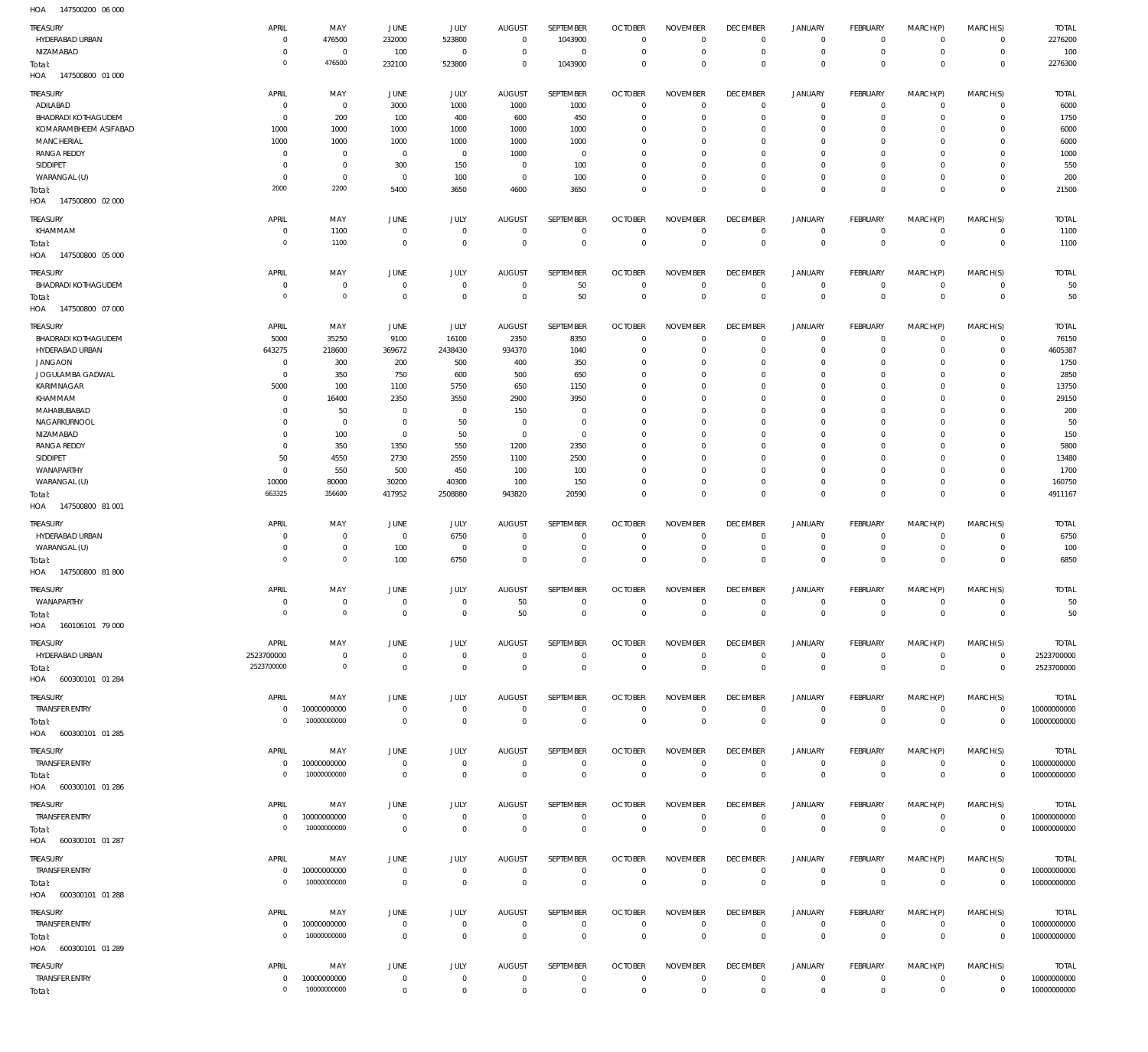147500200 06 000 HOA

| <b>TREASURY</b><br>HYDERABAD URBAN<br>NIZAMABAD<br>Total:           | APRIL<br>$\overline{0}$<br>$^{\circ}$<br>$\overline{0}$ | MAY<br>476500<br>$\overline{0}$<br>476500          | JUNE<br>232000<br>100<br>232100                 | <b>JULY</b><br>523800<br>$^{\circ}$<br>523800 | <b>AUGUST</b><br>$^{\circ}$<br>$\circ$<br>$^{\circ}$ | SEPTEMBER<br>1043900<br>$\mathbf 0$<br>1043900 | <b>OCTOBER</b><br>$\Omega$<br>0<br>$\Omega$     | <b>NOVEMBER</b><br>$\mathbf 0$<br>$^{\circ}$<br>$\mathbf 0$ | <b>DECEMBER</b><br>$^{\circ}$<br>$^{\circ}$<br>$^{\circ}$ | <b>JANUARY</b><br>$\circ$<br>$\mathsf{O}\xspace$<br>$\mathbb O$ | <b>FEBRUARY</b><br>$^{\circ}$<br>$^{\circ}$<br>$^{\circ}$ | MARCH(P)<br>$\mathbf 0$<br>$\mathbf 0$<br>$\mathbf 0$ | MARCH(S)<br>$\mathbf 0$<br>$\mathbf 0$<br>$^{\circ}$ | <b>TOTAL</b><br>2276200<br>100<br>2276300  |
|---------------------------------------------------------------------|---------------------------------------------------------|----------------------------------------------------|-------------------------------------------------|-----------------------------------------------|------------------------------------------------------|------------------------------------------------|-------------------------------------------------|-------------------------------------------------------------|-----------------------------------------------------------|-----------------------------------------------------------------|-----------------------------------------------------------|-------------------------------------------------------|------------------------------------------------------|--------------------------------------------|
| 147500800 01 000<br>HOA<br>TREASURY<br>ADILABAD                     | APRIL<br>$^{\circ}$                                     | MAY<br>$\overline{0}$                              | JUNE<br>3000                                    | <b>JULY</b><br>1000                           | <b>AUGUST</b><br>1000                                | SEPTEMBER<br>1000                              | <b>OCTOBER</b><br>$\Omega$                      | <b>NOVEMBER</b><br>$\mathbf 0$                              | <b>DECEMBER</b><br>$\overline{0}$                         | <b>JANUARY</b><br>$\circ$                                       | FEBRUARY<br>$\mathbf 0$                                   | MARCH(P)<br>$\mathbf 0$                               | MARCH(S)<br>$\mathbf 0$                              | <b>TOTAL</b><br>6000                       |
| <b>BHADRADI KOTHAGUDEM</b><br>KOMARAMBHEEM ASIFABAD<br>MANCHERIAL   | $^{\circ}$<br>1000<br>1000                              | 200<br>1000<br>1000                                | 100<br>1000<br>1000                             | 400<br>1000<br>1000                           | 600<br>1000<br>1000                                  | 450<br>1000<br>1000                            | $\Omega$<br>$\Omega$<br>$\Omega$                | $\Omega$<br>$\mathbf 0$<br>$\mathbf 0$                      | 0<br>0<br>0                                               | $\mathbf 0$<br>$\circ$<br>$\circ$                               | 0<br>0<br>0                                               | 0<br>0<br>0                                           | $\mathbf 0$<br>0<br>0                                | 1750<br>6000<br>6000                       |
| <b>RANGA REDDY</b><br>SIDDIPET<br>WARANGAL (U)                      | $\overline{0}$<br>$^{\circ}$<br>$^{\circ}$              | $\overline{0}$<br>$\overline{0}$<br>$\overline{0}$ | $\overline{0}$<br>300<br>$\overline{0}$         | $^{\circ}$<br>150<br>100                      | 1000<br>$\circ$<br>$^{\circ}$                        | $\overline{0}$<br>100<br>100                   | $\Omega$<br>$\Omega$<br>$\Omega$                | $\overline{0}$<br>$\mathbf 0$<br>$\mathbf 0$                | $\mathbf{0}$<br>0<br>$\overline{0}$                       | $\circ$<br>$\circ$<br>$\mathbf 0$                               | 0<br>0<br>$\circ$                                         | $\mathbf 0$<br>0<br>$\circ$                           | $\mathbf 0$<br>0<br>$\mathbf 0$                      | 1000<br>550<br>200                         |
| Total:<br>HOA<br>147500800 02 000                                   | 2000                                                    | 2200                                               | 5400                                            | 3650                                          | 4600                                                 | 3650                                           | $\Omega$                                        | $\mathbf 0$                                                 | $\overline{0}$                                            | $\mathbb O$                                                     | $^{\circ}$                                                | $\mathbf 0$                                           | $^{\circ}$                                           | 21500                                      |
| TREASURY<br>KHAMMAM<br>Total:<br>HOA<br>147500800 05 000            | APRIL<br>$\mathbf 0$<br>$\Omega$                        | MAY<br>1100<br>1100                                | <b>JUNE</b><br>$\overline{0}$<br>$\overline{0}$ | JULY<br>$^{\circ}$<br>$\mathbf 0$             | <b>AUGUST</b><br>$^{\circ}$<br>$^{\circ}$            | SEPTEMBER<br>$^{\circ}$<br>$\mathbf 0$         | <b>OCTOBER</b><br>$\Omega$<br>$\mathbf{0}$      | <b>NOVEMBER</b><br>$\mathbf 0$<br>$\mathbf 0$               | <b>DECEMBER</b><br>$^{\circ}$<br>$^{\circ}$               | <b>JANUARY</b><br>$\mathsf{O}\xspace$<br>$\mathbb O$            | FEBRUARY<br>$\mathbf 0$<br>$^{\circ}$                     | MARCH(P)<br>$\mathbf 0$<br>$\mathbf 0$                | MARCH(S)<br>$\mathbf 0$<br>$^{\circ}$                | <b>TOTAL</b><br>1100<br>1100               |
| TREASURY<br><b>BHADRADI KOTHAGUDEM</b>                              | APRIL<br>$^{\circ}$                                     | MAY<br>$\overline{0}$                              | <b>JUNE</b><br>$\overline{0}$                   | JULY<br>$^{\circ}$                            | <b>AUGUST</b><br>$^{\circ}$                          | <b>SEPTEMBER</b><br>50                         | <b>OCTOBER</b><br>$\Omega$                      | <b>NOVEMBER</b><br>$^{\circ}$                               | <b>DECEMBER</b><br>$^{\circ}$                             | <b>JANUARY</b>                                                  | FEBRUARY<br>$\mathbf 0$                                   | MARCH(P)<br>$\mathbf 0$                               | MARCH(S)<br>$^{\circ}$                               | <b>TOTAL</b><br>50                         |
| Total:<br>147500800 07 000<br>HOA                                   | $\mathbf{0}$                                            | $\circ$                                            | $\mathbf 0$                                     | $\mathbf 0$                                   | $\mathbf{0}$                                         | 50                                             | $\mathbf 0$                                     | $\mathbf 0$                                                 | $\mathbf 0$                                               | 0<br>$\mathbb O$                                                | $\mathbf 0$                                               | $\mathbb O$                                           | $\mathbf 0$                                          | 50                                         |
| TREASURY<br><b>BHADRADI KOTHAGUDEM</b>                              | APRIL<br>5000                                           | MAY<br>35250                                       | JUNE<br>9100                                    | <b>JULY</b><br>16100                          | <b>AUGUST</b><br>2350                                | SEPTEMBER<br>8350                              | <b>OCTOBER</b><br>$\Omega$                      | <b>NOVEMBER</b><br>$^{\circ}$                               | <b>DECEMBER</b><br>0                                      | <b>JANUARY</b><br>$\circ$                                       | FEBRUARY<br>$^{\circ}$                                    | MARCH(P)<br>$\mathbf 0$                               | MARCH(S)<br>$^{\circ}$                               | <b>TOTAL</b><br>76150                      |
| HYDERABAD URBAN<br><b>JANGAON</b>                                   | 643275<br>$^{\circ}$                                    | 218600<br>300                                      | 369672<br>200                                   | 2438430<br>500                                | 934370<br>400                                        | 1040<br>350                                    | $\Omega$<br>$\Omega$                            | $^{\circ}$<br>$^{\circ}$                                    | 0<br>0                                                    | $\mathbf 0$<br>$\circ$                                          | O<br>O                                                    | $\mathbf 0$<br>0                                      | $\mathbf 0$<br>0                                     | 4605387<br>1750                            |
| JOGULAMBA GADWAL<br>KARIMNAGAR                                      | $\overline{0}$<br>5000                                  | 350<br>100                                         | 750<br>1100                                     | 600<br>5750                                   | 500<br>650                                           | 650<br>1150                                    | $\Omega$<br>$\Omega$                            | $\mathbf 0$<br>$\mathbf 0$                                  | 0<br>$\Omega$                                             | $\mathbf 0$<br>$\circ$                                          | O<br>O                                                    | 0<br>0                                                | $^{\circ}$<br>0                                      | 2850<br>13750                              |
| KHAMMAM<br>MAHABUBABAD                                              | 0<br>0                                                  | 16400<br>50                                        | 2350<br>0                                       | 3550<br>$\circ$                               | 2900<br>150                                          | 3950<br>$^{\circ}$                             | $\Omega$                                        | $\mathbf 0$<br>$\mathbf 0$                                  | $\Omega$<br>$\Omega$                                      | $\circ$<br>$\circ$                                              | O<br>O                                                    | 0<br>0                                                | $\mathbf 0$<br>0                                     | 29150<br>200                               |
| NAGARKURNOOL                                                        | 0                                                       | $\overline{0}$                                     | 0                                               | 50                                            | $\circ$                                              | $^{\circ}$                                     | $\Omega$                                        | $\mathbf 0$                                                 | 0                                                         | $\circ$                                                         | O                                                         | 0                                                     | 0                                                    | 50                                         |
| NIZAMABAD<br><b>RANGA REDDY</b>                                     | 0<br>$\overline{0}$                                     | 100<br>350                                         | $\overline{0}$<br>1350                          | 50<br>550                                     | $\circ$<br>1200                                      | $\overline{0}$<br>2350                         | $\Omega$<br>$\Omega$                            | $\mathbf 0$<br>$\mathbf 0$                                  | $\Omega$<br>0                                             | $\circ$<br>$\circ$                                              | O<br>O                                                    | 0<br>0                                                | 0<br>0                                               | 150<br>5800                                |
| SIDDIPET<br>WANAPARTHY                                              | 50<br>$^{\circ}$                                        | 4550<br>550                                        | 2730<br>500                                     | 2550<br>450                                   | 1100<br>100                                          | 2500<br>100                                    | $\Omega$<br>$\Omega$                            | $\Omega$<br>$\mathbf 0$                                     | $\Omega$<br>0                                             | $\mathbf 0$<br>$\circ$                                          | O<br>0                                                    | 0<br>$\mathbf 0$                                      | 0<br>0                                               | 13480<br>1700                              |
| WARANGAL (U)                                                        | 10000                                                   | 80000                                              | 30200                                           | 40300                                         | 100                                                  | 150                                            | $\Omega$                                        | $\mathbf 0$                                                 | $\mathbf 0$                                               | $\mathbf 0$                                                     | $\mathbf 0$                                               | $\mathbf 0$                                           | $\mathbf 0$                                          | 160750                                     |
| Total:<br>HOA<br>147500800 81 001                                   | 663325                                                  | 356600                                             | 417952                                          | 2508880                                       | 943820                                               | 20590                                          | $\Omega$                                        | $\mathbb O$                                                 | $\mathbf 0$                                               | $\mathbb O$                                                     | $\Omega$                                                  | $\mathbb O$                                           | $^{\circ}$                                           | 4911167                                    |
| <b>TREASURY</b>                                                     | APRIL                                                   | MAY                                                | <b>JUNE</b>                                     | JULY                                          | <b>AUGUST</b>                                        | SEPTEMBER                                      | <b>OCTOBER</b>                                  | <b>NOVEMBER</b>                                             | <b>DECEMBER</b>                                           | <b>JANUARY</b>                                                  | <b>FEBRUARY</b>                                           | MARCH(P)                                              | MARCH(S)                                             | <b>TOTAL</b>                               |
| HYDERABAD URBAN<br>WARANGAL (U)                                     | - 0<br>$^{\circ}$                                       | $\overline{0}$<br>$\overline{0}$                   | $\overline{0}$<br>100                           | 6750<br>$^{\circ}$                            | $\circ$<br>$\circ$                                   | $\circ$<br>$\overline{0}$                      | $\Omega$<br>$^{\circ}$                          | 0<br>$\mathbf 0$                                            | $^{\circ}$<br>$^{\circ}$                                  | $\circ$<br>$\mathsf{O}\xspace$                                  | 0<br>$\mathbf 0$                                          | $\circ$<br>$\mathbf 0$                                | $\mathbf 0$<br>$\mathbf 0$                           | 6750<br>100                                |
| Total:<br>147500800 81 800<br>HOA                                   | $\mathbf{0}$                                            | $\circ$                                            | 100                                             | 6750                                          | $^{\circ}$                                           | $\mathbf 0$                                    | $\Omega$                                        | $\mathbf 0$                                                 | $\mathbf 0$                                               | $\mathbb O$                                                     | $^{\circ}$                                                | $\mathbb O$                                           | $^{\circ}$                                           | 6850                                       |
| TREASURY                                                            | APRIL                                                   | MAY                                                | <b>JUNE</b>                                     | JULY                                          | <b>AUGUST</b>                                        | SEPTEMBER                                      | <b>OCTOBER</b>                                  | <b>NOVEMBER</b>                                             | <b>DECEMBER</b>                                           | <b>JANUARY</b>                                                  | FEBRUARY                                                  | MARCH(P)                                              | MARCH(S)                                             | <b>TOTAL</b>                               |
| WANAPARTHY<br>Total:<br>HOA<br>160106101 79 000                     | $\mathbf 0$<br>$\overline{0}$                           | $\overline{0}$<br>$\overline{0}$                   | $\overline{0}$<br>$\mathbf{0}$                  | $\mathbb O$<br>$\circ$                        | 50<br>50                                             | $\mathbf 0$<br>$\circ$                         | $\overline{0}$<br>$^{\circ}$                    | $\mathbf 0$<br>$\mathbf{0}$                                 | $\overline{0}$<br>$\mathbf{0}$                            | $\mathbf 0$<br>$\mathbb O$                                      | $\mathbf 0$<br>$\Omega$                                   | $\mathbf 0$<br>$\mathbf 0$                            | $\mathsf{O}$<br>$\overline{0}$                       | 50<br>50                                   |
| TREASURY<br>HYDERABAD URBAN                                         | APRIL<br>2523700000                                     | MAY<br>$\,0\,$                                     | JUNE<br>$\overline{0}$                          | JULY<br>$\mathbb O$                           | <b>AUGUST</b><br>$\overline{0}$                      | SEPTEMBER<br>$\mathbf 0$                       | <b>OCTOBER</b><br>$\overline{0}$                | <b>NOVEMBER</b><br>$\mathbf 0$                              | <b>DECEMBER</b><br>$\mathbf 0$                            | <b>JANUARY</b><br>$\mathbf 0$                                   | FEBRUARY<br>$\circ$                                       | MARCH(P)<br>$\mathbf 0$                               | MARCH(S)<br>$\circ$                                  | <b>TOTAL</b><br>2523700000                 |
| Total:<br>HOA 600300101 01 284                                      | 2523700000                                              | $\overline{0}$                                     | $\overline{0}$                                  | $\overline{0}$                                | $\overline{0}$                                       | $\mathbf 0$                                    | $\mathbf 0$                                     | $\mathbb O$                                                 | $\mathbf 0$                                               | $\mathbb O$                                                     | $\mathbb O$                                               | $\mathbb O$                                           | $\mathbf 0$                                          | 2523700000                                 |
| TREASURY<br><b>TRANSFER ENTRY</b>                                   | APRIL<br>$\mathbf 0$                                    | MAY<br>10000000000                                 | JUNE<br>$\overline{0}$                          | JULY<br>$\mathbb O$                           | AUGUST<br>$^{\circ}$                                 | SEPTEMBER<br>$^{\circ}$                        | <b>OCTOBER</b><br>$\mathbf 0$                   | <b>NOVEMBER</b><br>$\mathbf 0$                              | <b>DECEMBER</b><br>$\overline{0}$                         | <b>JANUARY</b><br>$\mathsf{O}\xspace$                           | FEBRUARY<br>$\mathbf 0$                                   | MARCH(P)<br>$\mathbf 0$                               | MARCH(S)<br>$\mathbf 0$                              | <b>TOTAL</b><br>10000000000                |
| Total:<br>HOA 600300101 01 285                                      | $\overline{0}$                                          | 10000000000                                        | $\mathbb O$                                     | $\mathbb O$                                   | $\mathbf 0$                                          | $\mathbb O$                                    | $\mathbf 0$                                     | $\mathbb O$                                                 | $\mathbf 0$                                               | $\mathbb O$                                                     | $\mathbb O$                                               | $\mathbb O$                                           | $\mathbf 0$                                          | 10000000000                                |
| <b>TREASURY</b><br><b>TRANSFER ENTRY</b>                            | APRIL<br>$\overline{0}$                                 | MAY<br>10000000000                                 | JUNE<br>$\mathbb O$                             | JULY<br>$\mathbb O$                           | <b>AUGUST</b><br>$\overline{0}$                      | SEPTEMBER<br>$\mathbf 0$                       | <b>OCTOBER</b><br>$\overline{0}$                | <b>NOVEMBER</b><br>$\mathbf 0$                              | <b>DECEMBER</b><br>$\mathbf 0$                            | <b>JANUARY</b><br>$\mathsf{O}\xspace$                           | FEBRUARY<br>$\mathbf 0$                                   | MARCH(P)<br>$\mathbf 0$                               | MARCH(S)<br>$\circ$                                  | <b>TOTAL</b><br>10000000000                |
| Total:<br>HOA 600300101 01 286                                      | $\mathbf{0}$                                            | 10000000000                                        | $\overline{0}$                                  | $\overline{0}$                                | $\mathbb O$                                          | $\,0\,$                                        | $\overline{0}$                                  | $\,0\,$                                                     | $\mathbf 0$                                               | $\mathbb O$                                                     | $\mathbf 0$                                               | $\mathbb O$                                           | $\mathbf 0$                                          | 10000000000                                |
| TREASURY<br><b>TRANSFER ENTRY</b>                                   | APRIL<br>$\mathbf 0$                                    | MAY<br>10000000000                                 | JUNE<br>$\overline{0}$                          | JULY<br>$\mathbf 0$                           | <b>AUGUST</b><br>$^{\circ}$                          | SEPTEMBER<br>$^{\circ}$                        | <b>OCTOBER</b><br>$\mathbf 0$                   | <b>NOVEMBER</b><br>$\mathbf 0$                              | <b>DECEMBER</b><br>$\overline{0}$                         | <b>JANUARY</b><br>$\mathsf{O}\xspace$                           | FEBRUARY<br>$\mathbf 0$                                   | MARCH(P)<br>$\mathsf{O}\xspace$                       | MARCH(S)<br>$\mathbb O$                              | <b>TOTAL</b><br>10000000000                |
| Total:<br>HOA 600300101 01 287                                      | $\mathbf{0}$                                            | 10000000000                                        | $\overline{0}$                                  | $\mathbf 0$                                   | $\mathbf 0$                                          | $\,0\,$                                        | $\mathbf 0$                                     | $\,0\,$                                                     | $\mathbf 0$                                               | $\mathbb O$                                                     | $\mathbf 0$                                               | $\mathbb O$                                           | $\mathbf 0$                                          | 10000000000                                |
| TREASURY<br><b>TRANSFER ENTRY</b><br>Total:<br>HOA 600300101 01 288 | APRIL<br>$\overline{0}$<br>$\mathbf{0}$                 | MAY<br>10000000000<br>10000000000                  | JUNE<br>$\overline{0}$<br>$\overline{0}$        | JULY<br>$\mathbf 0$<br>$\mathbb O$            | <b>AUGUST</b><br>$^{\circ}$<br>$\mathbf 0$           | SEPTEMBER<br>$^{\circ}$<br>$\mathbf 0$         | <b>OCTOBER</b><br>$\overline{0}$<br>$\mathbf 0$ | <b>NOVEMBER</b><br>$\overline{0}$<br>$\,0\,$                | <b>DECEMBER</b><br>$\mathbf 0$<br>$\mathbf 0$             | <b>JANUARY</b><br>0<br>$\mathbb O$                              | FEBRUARY<br>$\mathbf 0$<br>$\mathbf 0$                    | MARCH(P)<br>$\mathbf 0$<br>$\mathbb O$                | MARCH(S)<br>$\circ$<br>$\mathbf 0$                   | <b>TOTAL</b><br>10000000000<br>10000000000 |
| <b>TREASURY</b>                                                     | APRIL                                                   | MAY                                                | JUNE                                            | JULY                                          | AUGUST                                               | SEPTEMBER                                      | <b>OCTOBER</b>                                  | <b>NOVEMBER</b>                                             | <b>DECEMBER</b>                                           | <b>JANUARY</b>                                                  | FEBRUARY                                                  | MARCH(P)                                              | MARCH(S)                                             | <b>TOTAL</b>                               |
| <b>TRANSFER ENTRY</b><br>Total:<br>HOA 600300101 01 289             | $\overline{0}$<br>$\overline{0}$                        | 10000000000<br>10000000000                         | $\overline{0}$<br>$\mathbb O$                   | $\mathbf 0$<br>$\mathbb O$                    | $\mathbf{0}$<br>$\mathbf 0$                          | $\mathbf{0}$<br>$\mathbb O$                    | $\overline{0}$<br>$\mathbf 0$                   | $\mathbf 0$<br>$\mathbb O$                                  | $\overline{0}$<br>$\mathbf 0$                             | $\mathsf{O}\xspace$<br>$\mathbb O$                              | $\mathbf 0$<br>$\mathbb O$                                | $\mathbf 0$<br>$\mathbb O$                            | $\circ$<br>$\mathbf 0$                               | 10000000000<br>10000000000                 |
| <b>TREASURY</b>                                                     | APRIL                                                   | MAY                                                | JUNE                                            | JULY                                          | AUGUST                                               | SEPTEMBER                                      | <b>OCTOBER</b>                                  | <b>NOVEMBER</b>                                             | <b>DECEMBER</b>                                           | <b>JANUARY</b>                                                  | FEBRUARY                                                  | MARCH(P)                                              | MARCH(S)                                             | <b>TOTAL</b>                               |
| <b>TRANSFER ENTRY</b><br>Total:                                     | $\mathbf 0$<br>$\mathbf{0}$                             | 10000000000<br>10000000000                         | $\overline{0}$<br>$\mathbb O$                   | $\mathbb O$<br>$\mathbb O$                    | $\mathbf{0}$<br>$\mathbf 0$                          | $\overline{0}$<br>$\mathbb O$                  | $\overline{0}$<br>$\mathbf 0$                   | $\mathbf 0$<br>$\mathbb O$                                  | $\overline{0}$<br>$\mathbf 0$                             | 0<br>$\mathbb O$                                                | $\circ$<br>$\mathbb O$                                    | $\circ$<br>$\mathbb O$                                | $\mathbf 0$<br>$\mathbf{0}$                          | 10000000000<br>10000000000                 |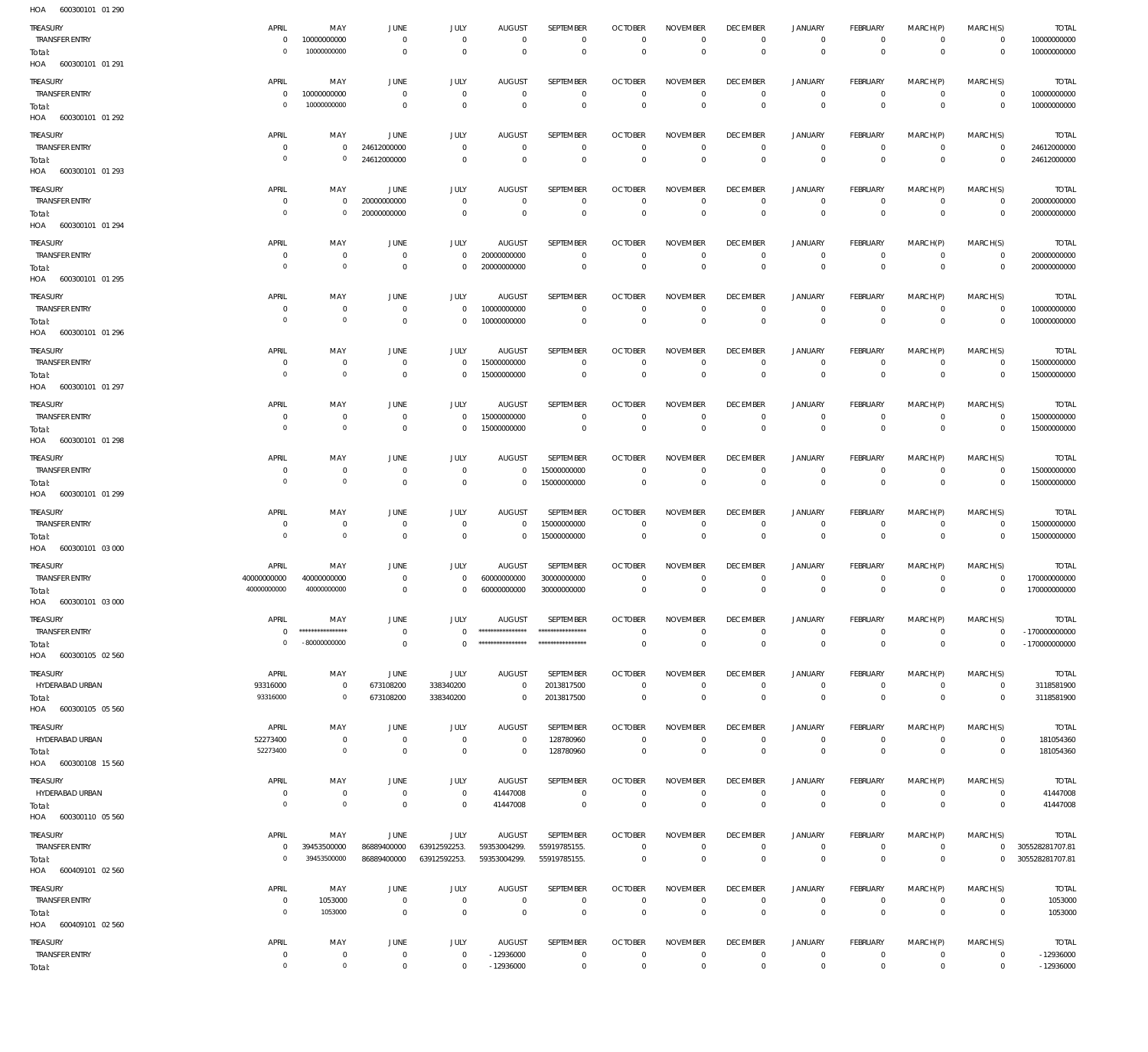600300101 01 290 HOA

| .<br>000000101<br>TREASURY<br><b>TRANSFER ENTRY</b><br>Total:<br>HOA 600300101 01 291 | APRIL<br>$\mathbf 0$<br>$\overline{0}$    | MAY<br>10000000000<br>10000000000          | JUNE<br>$\overline{0}$<br>$\overline{0}$ | JULY<br>$\mathbf 0$<br>$\mathbf{0}$         | <b>AUGUST</b><br>$\mathbf 0$<br>$\mathbf{0}$           | SEPTEMBER<br>$\mathbf 0$<br>$\mathbf 0$            | <b>OCTOBER</b><br>$\mathbf 0$<br>$\circ$           | <b>NOVEMBER</b><br>$\mathbf 0$<br>$\mathbf 0$          | <b>DECEMBER</b><br>$\mathbf 0$<br>$\mathbf 0$  | <b>JANUARY</b><br>$\mathbf 0$<br>$\mathsf{O}\xspace$         | FEBRUARY<br>$\mathbf 0$<br>$\mathbf 0$         | MARCH(P)<br>$\mathbf 0$<br>$\mathbb O$ | MARCH(S)<br>$\mathbf 0$<br>$\mathbf 0$ | <b>TOTAL</b><br>10000000000<br>10000000000           |
|---------------------------------------------------------------------------------------|-------------------------------------------|--------------------------------------------|------------------------------------------|---------------------------------------------|--------------------------------------------------------|----------------------------------------------------|----------------------------------------------------|--------------------------------------------------------|------------------------------------------------|--------------------------------------------------------------|------------------------------------------------|----------------------------------------|----------------------------------------|------------------------------------------------------|
| TREASURY<br><b>TRANSFER ENTRY</b><br>Total:                                           | APRIL<br>$\overline{0}$<br>$\overline{0}$ | MAY<br>10000000000<br>10000000000          | JUNE<br>$\overline{0}$<br>$\overline{0}$ | JULY<br>$\overline{0}$<br>$\mathbf 0$       | <b>AUGUST</b><br>$\mathbf 0$<br>$\mathbf{0}$           | SEPTEMBER<br>0<br>$\mathbf 0$                      | <b>OCTOBER</b><br>$\overline{0}$<br>$\circ$        | <b>NOVEMBER</b><br>$\mathbf 0$<br>$\circ$              | <b>DECEMBER</b><br>$\mathbf 0$<br>$\circ$      | <b>JANUARY</b><br>$\mathsf{O}\xspace$<br>$\mathsf{O}\xspace$ | FEBRUARY<br>$\mathbf 0$<br>$\mathbf 0$         | MARCH(P)<br>$\mathbf 0$<br>$\mathbb O$ | MARCH(S)<br>$\mathbf 0$<br>$\mathbf 0$ | <b>TOTAL</b><br>10000000000<br>10000000000           |
| HOA 600300101 01 292<br>TREASURY<br><b>TRANSFER ENTRY</b>                             | APRIL<br>$\overline{0}$<br>$\overline{0}$ | MAY<br>$\mathbf 0$<br>$\mathbf 0$          | <b>JUNE</b><br>24612000000               | JULY<br>$\mathbf 0$                         | <b>AUGUST</b><br>$\mathbf 0$                           | SEPTEMBER<br>$\mathbf 0$                           | <b>OCTOBER</b><br>$\mathbf{0}$                     | <b>NOVEMBER</b><br>$\mathbf 0$                         | <b>DECEMBER</b><br>$\mathbf 0$                 | <b>JANUARY</b><br>$\mathsf{O}\xspace$                        | FEBRUARY<br>$\mathbf 0$                        | MARCH(P)<br>$\mathbf 0$                | MARCH(S)<br>$\mathbf 0$                | <b>TOTAL</b><br>24612000000                          |
| Total:<br>HOA 600300101 01 293<br>TREASURY<br><b>TRANSFER ENTRY</b>                   | APRIL<br>$\overline{0}$                   | MAY<br>$\mathbb O$                         | 24612000000<br>JUNE<br>20000000000       | $\mathbf{0}$<br>JULY<br>$\mathbf 0$         | $\mathbf{0}$<br><b>AUGUST</b><br>$\overline{0}$        | $\mathbf 0$<br>SEPTEMBER<br>$\mathbf 0$            | $\mathbf{0}$<br><b>OCTOBER</b><br>$\overline{0}$   | $\mathbf 0$<br><b>NOVEMBER</b><br>$\mathbf 0$          | $\mathbf 0$<br><b>DECEMBER</b><br>$\mathbf 0$  | $\mathsf{O}\xspace$<br><b>JANUARY</b><br>$\mathsf{O}\xspace$ | $\circ$<br>FEBRUARY<br>$\mathbf 0$             | $\mathbf 0$<br>MARCH(P)<br>$\mathbf 0$ | $\mathbf 0$<br>MARCH(S)<br>$\mathbf 0$ | 24612000000<br><b>TOTAL</b><br>20000000000           |
| Total:<br>HOA 600300101 01 294<br>TREASURY                                            | $\overline{0}$<br>APRIL                   | $\mathbb O$<br>MAY                         | 20000000000<br>JUNE                      | $\mathbf{0}$<br>JULY                        | $\mathbf{0}$<br><b>AUGUST</b>                          | $\mathsf{O}\xspace$<br>SEPTEMBER                   | $\overline{0}$<br><b>OCTOBER</b>                   | $\mathbf 0$<br><b>NOVEMBER</b>                         | $\mathbf 0$<br><b>DECEMBER</b>                 | $\mathsf{O}\xspace$<br><b>JANUARY</b>                        | $\mathbf 0$<br>FEBRUARY                        | $\mathbb O$<br>MARCH(P)                | $\mathbf 0$<br>MARCH(S)                | 20000000000<br><b>TOTAL</b>                          |
| TRANSFER ENTRY<br>Total:<br>HOA 600300101 01 295                                      | $\overline{0}$<br>$\overline{0}$          | $\circ$<br>$\circ$                         | $\overline{0}$<br>$\overline{0}$         | 0<br>$\mathbf 0$                            | 20000000000<br>20000000000                             | $\mathbf 0$<br>$\mathbf 0$                         | $^{\circ}$<br>$\circ$                              | $\mathbf 0$<br>$\mathbf 0$                             | $\mathbf 0$<br>$\mathsf{O}$                    | 0<br>$\mathsf{O}\xspace$                                     | $\mathbf 0$<br>$\mathbf 0$                     | $\mathbf 0$<br>$\mathbf 0$             | $\mathbf 0$<br>$\mathbf 0$             | 20000000000<br>20000000000                           |
| TREASURY<br><b>TRANSFER ENTRY</b><br>Total:                                           | APRIL<br>$\overline{0}$<br>$\overline{0}$ | MAY<br>$\overline{0}$<br>$\mathbf 0$       | JUNE<br>$\overline{0}$<br>$\overline{0}$ | JULY<br>$\mathsf{O}$<br>$\mathbf 0$         | <b>AUGUST</b><br>10000000000<br>10000000000            | SEPTEMBER<br>$\mathbf 0$<br>$\mathbf 0$            | <b>OCTOBER</b><br>$\overline{0}$<br>$\mathbf{0}$   | <b>NOVEMBER</b><br>$\mathbf 0$<br>$\mathbf 0$          | <b>DECEMBER</b><br>$\mathbf 0$<br>$\mathbf 0$  | <b>JANUARY</b><br>$\mathsf{O}\xspace$<br>$\mathsf{O}\xspace$ | FEBRUARY<br>$\mathbf 0$<br>$\mathbf 0$         | MARCH(P)<br>$\mathbf 0$<br>$\mathbb O$ | MARCH(S)<br>$\mathbf 0$<br>$\mathbf 0$ | <b>TOTAL</b><br>10000000000<br>10000000000           |
| HOA 600300101 01 296<br>TREASURY<br><b>TRANSFER ENTRY</b><br>Total:                   | APRIL<br>$\overline{0}$<br>$\overline{0}$ | MAY<br>$\overline{0}$<br>$\mathbf 0$       | JUNE<br>$\overline{0}$<br>$\overline{0}$ | JULY<br>$\circ$<br>$\mathbf 0$              | <b>AUGUST</b><br>15000000000<br>15000000000            | SEPTEMBER<br>$\mathbf 0$<br>$\mathsf{O}\xspace$    | <b>OCTOBER</b><br>$\mathbf{0}$<br>$\circ$          | <b>NOVEMBER</b><br>$\mathbf 0$<br>$\mathbf 0$          | <b>DECEMBER</b><br>$\mathbf 0$<br>$\mathsf{O}$ | <b>JANUARY</b><br>0<br>$\mathsf{O}\xspace$                   | FEBRUARY<br>$\mathbf 0$<br>$\circ$             | MARCH(P)<br>$\mathbf 0$<br>$\mathbf 0$ | MARCH(S)<br>$\mathbf 0$<br>$\mathbf 0$ | <b>TOTAL</b><br>15000000000<br>15000000000           |
| HOA 600300101 01 297<br>TREASURY<br><b>TRANSFER ENTRY</b><br>Total:                   | APRIL<br>$\circ$<br>$\overline{0}$        | MAY<br>$\circ$<br>$\overline{0}$           | JUNE<br>$\overline{0}$<br>$\overline{0}$ | JULY<br>$\mathsf{O}$<br>$\mathsf{O}\xspace$ | <b>AUGUST</b><br>15000000000<br>15000000000            | SEPTEMBER<br>$\mathsf{O}\xspace$<br>$\mathbf 0$    | <b>OCTOBER</b><br>$\overline{0}$<br>$\overline{0}$ | <b>NOVEMBER</b><br>$\mathbf 0$<br>$\mathbf 0$          | <b>DECEMBER</b><br>$\mathbf 0$<br>$\mathbf 0$  | <b>JANUARY</b><br>$\mathsf{O}\xspace$<br>$\mathsf{O}\xspace$ | FEBRUARY<br>$\mathbf 0$<br>$\Omega$            | MARCH(P)<br>$\mathbf 0$<br>$\mathbf 0$ | MARCH(S)<br>$\mathbf 0$<br>$\mathbf 0$ | <b>TOTAL</b><br>15000000000<br>15000000000           |
| HOA 600300101 01 298<br>TREASURY<br><b>TRANSFER ENTRY</b>                             | APRIL<br>$\mathbf 0$                      | MAY<br>$\overline{0}$                      | JUNE<br>$\overline{0}$                   | JULY<br>$\mathbf 0$                         | <b>AUGUST</b><br>$\circ$                               | SEPTEMBER<br>15000000000                           | <b>OCTOBER</b><br>$\mathbf{0}$                     | <b>NOVEMBER</b><br>$\mathbf 0$                         | <b>DECEMBER</b><br>$\mathsf{O}$                | <b>JANUARY</b><br>0                                          | FEBRUARY<br>$\circ$                            | MARCH(P)<br>$\mathbf 0$                | MARCH(S)<br>$\mathbf 0$                | <b>TOTAL</b><br>15000000000                          |
| Total:<br>HOA 600300101 01 299<br>TREASURY                                            | $\overline{0}$<br>APRIL                   | $\mathbf 0$<br>MAY                         | $\overline{0}$<br>JUNE                   | $\mathbf 0$<br>JULY                         | $\mathbb O$<br>AUGUST                                  | 15000000000<br>SEPTEMBER                           | $\circ$<br><b>OCTOBER</b>                          | $\mathbf 0$<br><b>NOVEMBER</b>                         | $\mathsf{O}$<br><b>DECEMBER</b>                | $\mathsf{O}\xspace$<br><b>JANUARY</b>                        | $\mathbf 0$<br>FEBRUARY                        | $\mathbb O$<br>MARCH(P)                | $\mathbf 0$<br>MARCH(S)                | 15000000000<br><b>TOTAL</b>                          |
| TRANSFER ENTRY<br>Total:<br>HOA 600300101 03 000                                      | $\overline{0}$<br>$\overline{0}$          | $\overline{0}$<br>$\circ$                  | $\overline{0}$<br>$\overline{0}$         | $\mathsf 0$<br>$\mathbf 0$                  | $\mathbf 0$<br>$\overline{0}$                          | 15000000000<br>15000000000                         | $\overline{0}$<br>$\circ$                          | 0<br>$\mathbf 0$                                       | $\mathbf 0$<br>$\circ$                         | $\mathsf{O}\xspace$<br>$\mathsf{O}\xspace$                   | $\mathbf 0$<br>$\mathbf 0$                     | $\mathbf 0$<br>$\mathbf 0$             | $\mathbf 0$<br>$\circ$                 | 15000000000<br>15000000000                           |
| TREASURY<br><b>TRANSFER ENTRY</b><br>Total:<br>HOA 600300101 03 000                   | APRIL<br>40000000000<br>40000000000       | MAY<br>40000000000<br>40000000000          | JUNE<br>$\overline{0}$<br>$\overline{0}$ | JULY<br>$\circ$<br>$\mathbf{0}$             | <b>AUGUST</b><br>60000000000<br>60000000000            | SEPTEMBER<br>30000000000<br>30000000000            | <b>OCTOBER</b><br>$\mathbf{0}$<br>$\circ$          | <b>NOVEMBER</b><br>$\mathbf 0$<br>$\mathbf 0$          | <b>DECEMBER</b><br>$\mathbf 0$<br>$\mathbf 0$  | <b>JANUARY</b><br>$\circ$<br>$\mathbf 0$                     | FEBRUARY<br>$\circ$<br>$\circ$                 | MARCH(P)<br>$\mathbf 0$<br>$\circ$     | MARCH(S)<br>$\circ$<br>$\Omega$        | <b>TOTAL</b><br>170000000000<br>170000000000         |
| TREASURY<br><b>TRANSFER ENTRY</b><br>Total:                                           | APRIL<br>$\mathbf{0}$<br>$\mathbf 0$      | MAY<br>*****************<br>$-80000000000$ | JUNE<br>$\overline{0}$<br>$\overline{0}$ | JULY<br>$\Omega$<br>$\mathbf{0}$            | <b>AUGUST</b><br>****************<br>***************** | SEPTEMBER<br>****************<br>***************** | <b>OCTOBER</b><br>$\mathbf{0}$<br>$\circ$          | <b>NOVEMBER</b><br>$\mathsf{O}$<br>$\mathbf 0$         | <b>DECEMBER</b><br>$\mathbb O$<br>$\mathbf 0$  | <b>JANUARY</b><br>$\mathsf{O}\xspace$<br>$\mathsf{O}\xspace$ | FEBRUARY<br>$\mathbf 0$<br>$\mathbf 0$         | MARCH(P)<br>$\mathbf 0$<br>$\mathbb O$ | MARCH(S)<br>$\mathbf 0$<br>$\mathbf 0$ | <b>TOTAL</b><br>$-1700000000000$<br>$-1700000000000$ |
| HOA 600300105 02 560<br>TREASURY<br>HYDERABAD URBAN<br>Total:                         | APRIL<br>93316000<br>93316000             | MAY<br>$\circ$<br>$\overline{0}$           | JUNE<br>673108200<br>673108200           | JULY<br>338340200<br>338340200              | <b>AUGUST</b><br>$\mathbf 0$<br>$\mathbf 0$            | SEPTEMBER<br>2013817500<br>2013817500              | <b>OCTOBER</b><br>$\mathbf{0}$<br>$\circ$          | <b>NOVEMBER</b><br>$\mathbf 0$<br>$\mathbf 0$          | <b>DECEMBER</b><br>$\mathbf 0$<br>$\mathbf 0$  | <b>JANUARY</b><br>$\mathsf{O}\xspace$<br>$\mathsf{O}\xspace$ | FEBRUARY<br>$\mathbf 0$<br>$\mathbf 0$         | MARCH(P)<br>$\mathbf 0$<br>$\mathbb O$ | MARCH(S)<br>$\mathbf 0$<br>$\mathbf 0$ | <b>TOTAL</b><br>3118581900<br>3118581900             |
| HOA 600300105 05 560<br>TREASURY<br>HYDERABAD URBAN                                   | APRIL<br>52273400                         | MAY<br>$\overline{0}$                      | JUNE<br>$\overline{0}$                   | JULY<br>$\mathsf 0$                         | AUGUST<br>$\overline{0}$                               | SEPTEMBER<br>128780960                             | <b>OCTOBER</b><br>$\overline{0}$                   | <b>NOVEMBER</b><br>$\mathbf 0$                         | <b>DECEMBER</b><br>$\mathbf 0$                 | <b>JANUARY</b><br>$\mathsf{O}\xspace$                        | FEBRUARY<br>$\mathbf 0$                        | MARCH(P)<br>$\mathbf 0$                | MARCH(S)<br>$\circ$                    | <b>TOTAL</b><br>181054360                            |
| Total:<br>HOA 600300108 15 560<br>TREASURY                                            | 52273400<br>APRIL                         | $\mathbf 0$<br>MAY                         | $\overline{0}$<br>JUNE                   | $\mathbf 0$<br>JULY                         | $\mathbf 0$<br><b>AUGUST</b>                           | 128780960<br>SEPTEMBER                             | $\overline{0}$<br><b>OCTOBER</b>                   | $\mathsf{O}\xspace$<br><b>NOVEMBER</b>                 | $\circ$<br><b>DECEMBER</b>                     | $\mathsf{O}\xspace$<br>JANUARY                               | $\mathbf 0$<br>FEBRUARY                        | $\mathbb O$<br>MARCH(P)                | $\mathbf 0$<br>MARCH(S)                | 181054360<br><b>TOTAL</b>                            |
| HYDERABAD URBAN<br>Total:<br>HOA 600300110 05 560                                     | $\overline{0}$<br>$\overline{0}$          | $\overline{0}$<br>$\mathbf 0$              | $\overline{0}$<br>$\overline{0}$         | $\mathsf 0$<br>$\mathbf 0$                  | 41447008<br>41447008                                   | $\mathbf 0$<br>$\mathsf{O}\xspace$                 | $\circ$<br>$\circ$                                 | $\mathbf 0$<br>$\mathbf 0$                             | $\mathbf 0$<br>$\mathbf 0$                     | $\mathsf{O}\xspace$<br>$\mathsf{O}\xspace$                   | $\mathbf 0$<br>$\circ$                         | $\mathbf 0$<br>$\mathbb O$             | $\mathbf 0$<br>$\mathbf 0$             | 41447008<br>41447008                                 |
| TREASURY<br><b>TRANSFER ENTRY</b><br>Total:<br>HOA 600409101 02 560                   | APRIL<br>$\overline{0}$<br>$\overline{0}$ | MAY<br>39453500000<br>39453500000          | JUNE<br>86889400000<br>86889400000       | JULY<br>63912592253.<br>63912592253.        | AUGUST<br>59353004299.<br>59353004299.                 | SEPTEMBER<br>55919785155.<br>55919785155.          | <b>OCTOBER</b><br>$\overline{0}$<br>$\overline{0}$ | <b>NOVEMBER</b><br>$\mathsf{O}$<br>$\mathsf{O}\xspace$ | <b>DECEMBER</b><br>$\mathbf 0$<br>$\mathsf{O}$ | <b>JANUARY</b><br>$\mathsf{O}\xspace$<br>$\mathsf{O}\xspace$ | FEBRUARY<br>$\mathsf{O}\xspace$<br>$\mathbf 0$ | MARCH(P)<br>$\mathbf 0$<br>$\mathbb O$ | MARCH(S)<br>$\mathbf 0$<br>$\mathbf 0$ | <b>TOTAL</b><br>305528281707.81<br>305528281707.81   |
| TREASURY<br><b>TRANSFER ENTRY</b><br>Total:<br>HOA 600409101 02 560                   | APRIL<br>$\overline{0}$<br>$\overline{0}$ | MAY<br>1053000<br>1053000                  | JUNE<br>$\overline{0}$<br>$\overline{0}$ | JULY<br>$\overline{0}$<br>$\mathbb O$       | <b>AUGUST</b><br>$\mathbf 0$<br>$\,0\,$                | SEPTEMBER<br>$\mathsf{O}$<br>$\mathsf{O}$          | <b>OCTOBER</b><br>$\mathbf{0}$<br>$\overline{0}$   | <b>NOVEMBER</b><br>$\mathsf{O}$<br>$\mathbf 0$         | <b>DECEMBER</b><br>$\mathbf 0$<br>$\mathbf 0$  | <b>JANUARY</b><br>$\mathsf{O}\xspace$<br>$\mathsf{O}\xspace$ | FEBRUARY<br>$\mathbf 0$<br>$\mathbf 0$         | MARCH(P)<br>$\mathbf 0$<br>$\mathbb O$ | MARCH(S)<br>$\mathbf 0$<br>$\mathbf 0$ | <b>TOTAL</b><br>1053000<br>1053000                   |
| TREASURY<br><b>TRANSFER ENTRY</b><br>Total:                                           | APRIL<br>$\overline{0}$<br>$\overline{0}$ | MAY<br>$\circ$<br>$\mathbb O$              | JUNE<br>$\overline{0}$<br>$\overline{0}$ | JULY<br>$\mathsf 0$<br>$\mathbf 0$          | <b>AUGUST</b><br>$-12936000$<br>$-12936000$            | SEPTEMBER<br>$\mathsf{O}$<br>$\mathbf 0$           | <b>OCTOBER</b><br>$\circ$<br>$\mathbf 0$           | <b>NOVEMBER</b><br>$\mathsf{O}$<br>$\mathbf 0$         | <b>DECEMBER</b><br>$\mathbf 0$<br>$\mathbf 0$  | <b>JANUARY</b><br>$\mathsf{O}\xspace$<br>$\mathsf{O}\xspace$ | FEBRUARY<br>$\mathbf 0$<br>$\mathbf 0$         | MARCH(P)<br>$\mathbf 0$<br>$\mathbb O$ | MARCH(S)<br>$\circ$<br>$\mathbf 0$     | <b>TOTAL</b><br>$-12936000$<br>$-12936000$           |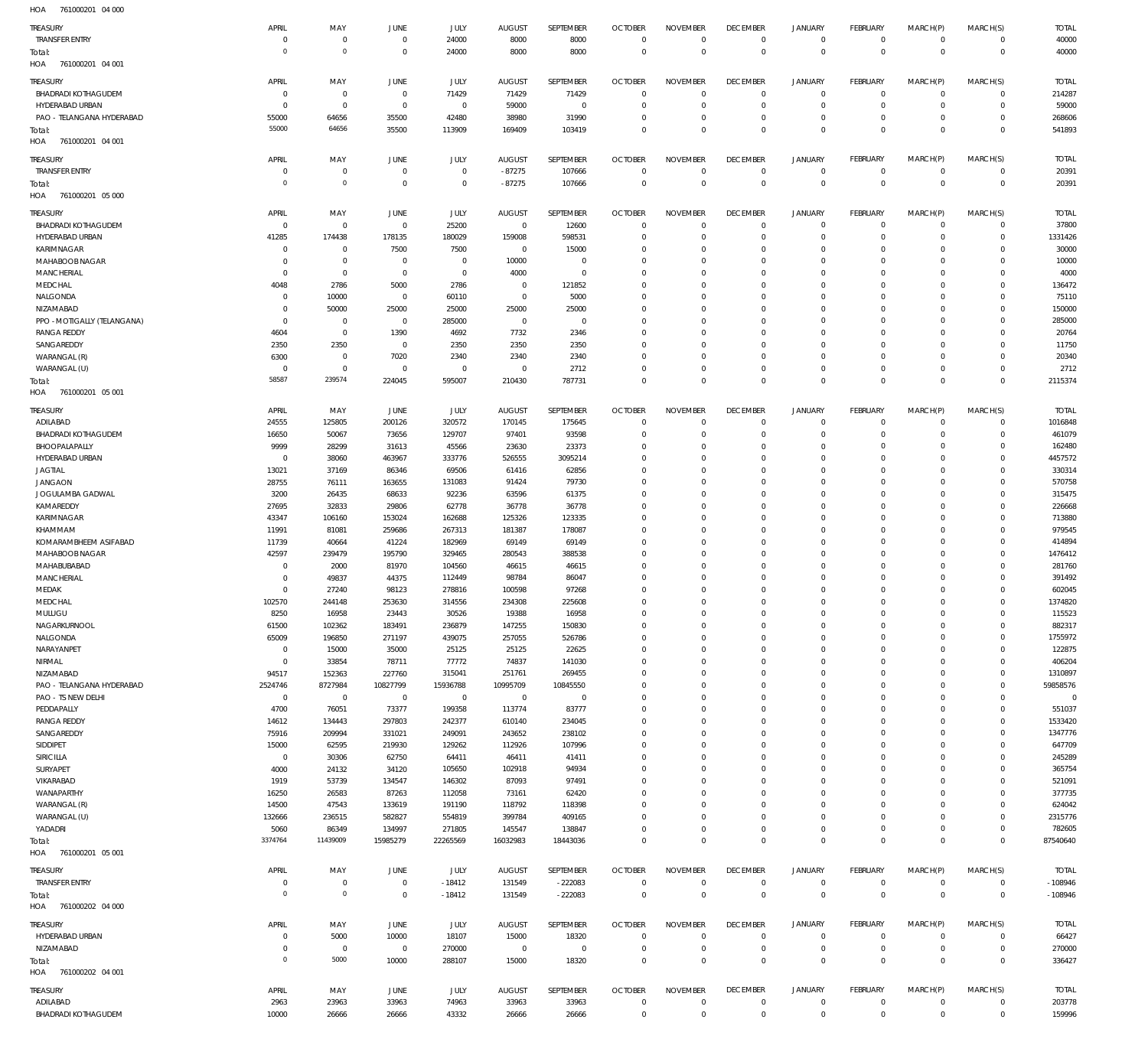761000201 04 000 761000201 04 001 761000201 04 001 761000201 05 000 761000201 05 001 761000201 05 001 HOA 761000202 04 000 HOA 761000202 04 001 HOA HOA HOA HOA HOA HOA  $\Omega$   $\Omega$  -18412 -87275 -222083  $\Omega$   $\Omega$   $\overline{0}$   $\Omega$   $\Omega$   $\boldsymbol{0}$  $\overline{0}$   $\Omega$  $\boldsymbol{0}$   $\Omega$   $\Omega$  -108946 TRANSFER ENTRY BHADRADI KOTHAGUDEM HYDERABAD URBAN PAO - TELANGANA HYDERABAD TRANSFER ENTRY BHADRADI KOTHAGUDEM HYDERABAD URBAN KARIMNAGAR MAHABOOB NAGAR MANCHERIAL MEDCHAL NALGONDA NIZAMABAD PPO -MOTIGALLY (TELANGANA) RANGA REDDY SANGAREDDY WARANGAL (R) WARANGAL (U) ADILABAD BHADRADI KOTHAGUDEM BHOOPALAPALLY HYDERABAD URBAN JAGTIAL JANGAON JOGULAMBA GADWAL KAMAREDDY KARIMNAGAR KHAMMAM KOMARAMBHEEM ASIFABAD MAHABOOB NAGAR MAHABUBABAD MANCHERIAL MEDAK **MEDCHAL** MULUGU NAGARKURNOOL NALGONDA NARAYANPET NIRMAL NIZAMABAD PAO - TELANGANA HYDERABAD PAO - TS NEW DELHI PEDDAPALLY RANGA REDDY SANGAREDDY SIDDIPET SIRICILLA SURYAPET VIKARABAD WANAPARTHY WARANGAL (R) WARANGAL (U) YADADRI TRANSFER ENTRY HYDERABAD URBAN NIZAMABAD ADILABAD BHADRADI KOTHAGUDEM TREASURY TREASURY **TREASURY** TREASURY TREASURY TREASURY TREASURY TREASURY  $\overline{0}$   $\Omega$   $\Omega$   $\Omega$   $\Omega$   $\Omega$   $\Omega$   $\Omega$   $\overline{0}$   $\Omega$  APRIL APRIL APRIL APRIL APRIL APRIL APRIL APRIL  $\Omega$   $\,$  0  $\,$   $\Omega$  MAY MAY MAY MAY MAY MAY MAY MAY  $\sqrt{0}$   $\Omega$   $\Omega$   $\sqrt{0}$  JUNE JUNE **JUNE** JUNE JUNE JUNE **JUNE** JUNE  $\Omega$  -18412 JULY JULY JULY JULY JULY JULY JULY JULY -87275  $\Omega$   $\Omega$   $\Omega$  AUGUST AUGUST **AUGUST** AUGUST AUGUST AUGUST AUGUST AUGUST  $\Omega$   $\Omega$  -222083  $\Omega$  SEPTEMBER SEPTEMBER **SEPTEMBER** SEPTEMBER SEPTEMBER SEPTEMBER SEPTEMBER SEPTEMBER  $\Omega$   $\Omega$   $\Omega$  $\Omega$   $\Omega$   $\Omega$   $\Omega$   $\Omega$   $\Omega$   $\Omega$  $\overline{0}$  $\Omega$  $\Omega$  $\Omega$  $\Omega$   $\Omega$   $\Omega$  $\Omega$   $\Omega$   $\Omega$   $\Omega$  $\overline{0}$   $\Omega$   $\Omega$   $\Omega$  OCTOBER **OCTOBER OCTOBER** OCTOBER OCTOBER **OCTOBER OCTOBER OCTOBER**   $\Omega$   $\Omega$   $\Omega$   $\Omega$   $\Omega$   $\Omega$   $\Omega$   $\Omega$   $\Omega$   $\Omega$   $\Omega$   $\Omega$   $\Omega$   $\Omega$   $\Omega$   $\Omega$   $\,$  0  $\,$   $\Omega$  NOVEMBER NOVEMBER NOVEMBER NOVEMBER NOVEMBER NOVEMBER NOVEMBER NOVEMBER  $\overline{0}$   $\Omega$   $\Omega$   $\Omega$  $\overline{0}$  $\Omega$   $\overline{0}$   $\Omega$   $\Omega$   $\Omega$  $\overline{0}$   $\Omega$  $\overline{0}$   $\Omega$  $\overline{0}$  $\Omega$   $\Omega$  $\overline{0}$  $\Omega$   $\Omega$   $\Omega$  $\overline{0}$   $\Omega$   $\Omega$  $\overline{0}$   $\Omega$  DECEMBER DECEMBER **DECEMBER** DECEMBER DECEMBER DECEMBER **DECEMBER** DECEMBER  $\Omega$   $\Omega$   $\Omega$   $\Omega$   $\Omega$   $\Omega$   $\Omega$   $\Omega$   $\Omega$   $\Omega$   $\Omega$   $\Omega$   $\Omega$   $\Omega$  JANUARY JANUARY JANUARY JANUARY JANUARY JANUARY JANUARY JANUARY  $\Omega$   $\Omega$   $\Omega$   $\Omega$   $\Omega$   $\Omega$   $\Omega$  $\overline{0}$   $\Omega$   $\Omega$   $\Omega$   $\Omega$   $\Omega$   $\Omega$  FEBRUARY FEBRUARY **FFBRUARY** FEBRUARY FEBRUARY FEBRUARY **FFRRUARY** FEBRUARY  $\Omega$   $\Omega$   $\Omega$   $\Omega$   $\Omega$   $\Omega$   $\Omega$  $\overline{0}$   $\Omega$   $\Omega$   $\Omega$   $\Omega$   $\Omega$   $\Omega$  MARCH(P) MARCH(P) MARCH(P) MARCH(P) MARCH(P) MARCH(P) MARCH(P) MARCH(P)  $\Omega$   $\Omega$   $\Omega$  $\Omega$   $\Omega$   $\Omega$   $\Omega$   $\Omega$   $\Omega$   $\Omega$  $\Omega$   $\Omega$   $\Omega$  $\Omega$   $\Omega$   $\Omega$   $\Omega$   $\Omega$   $\Omega$   $\Omega$  MARCH(S) MARCH(S) MARCH(S) MARCH(S) MARCH(S) MARCH(S) MARCH(S) MARCH(S) -108946 TOTAL TOTAL TOTAL TOTAL TOTAL TOTAL TOTAL TOTAL Total: Total: Total: Total: Total: Total: Total: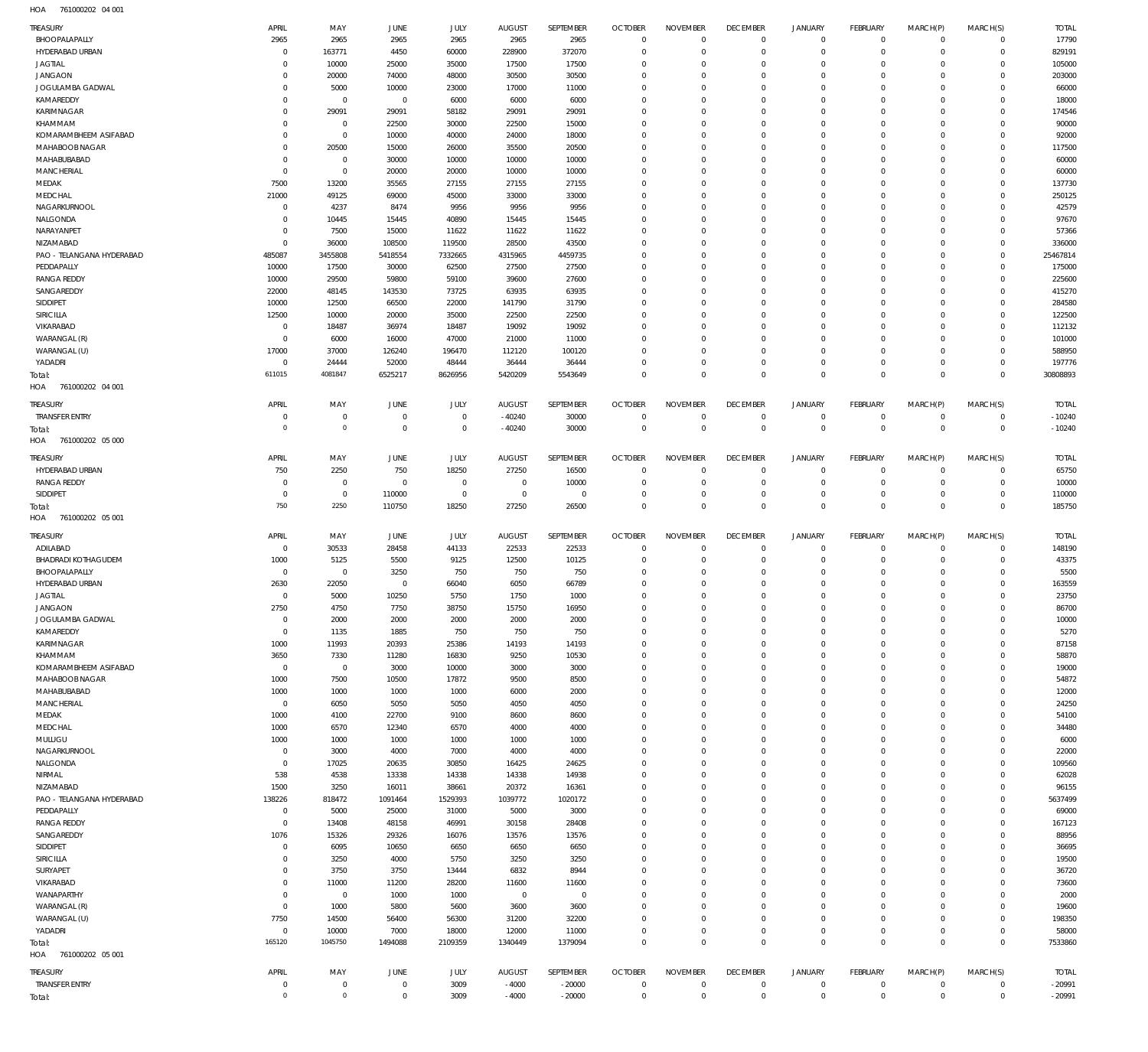761000202 04 001 HOA

| TREASURY                                | APRIL                        | MAY                            | JUNE                          | JULY                             | <b>AUGUST</b>        | SEPTEMBER            | <b>OCTOBER</b>             | <b>NOVEMBER</b>           | <b>DECEMBER</b>           | <b>JANUARY</b>             | <b>FEBRUARY</b>            | MARCH(P)               | MARCH(S)                   | <b>TOTAL</b>         |
|-----------------------------------------|------------------------------|--------------------------------|-------------------------------|----------------------------------|----------------------|----------------------|----------------------------|---------------------------|---------------------------|----------------------------|----------------------------|------------------------|----------------------------|----------------------|
| BHOOPALAPALLY                           | 2965                         | 2965                           | 2965                          | 2965                             | 2965                 | 2965                 | $\Omega$                   | $\Omega$                  | $\Omega$                  | $\Omega$                   | $\Omega$                   | $\Omega$               | $\Omega$                   | 17790                |
| HYDERABAD URBAN<br><b>JAGTIAL</b>       | $^{\circ}$<br>$\Omega$       | 163771<br>10000                | 4450<br>25000                 | 60000<br>35000                   | 228900<br>17500      | 372070<br>17500      | $\Omega$<br>$\Omega$       | $\Omega$<br>$\Omega$      | $\Omega$<br>$\Omega$      | $\Omega$<br>$\Omega$       | $\Omega$<br>$\Omega$       | $\Omega$<br>$\Omega$   | $\Omega$<br>$\Omega$       | 829191<br>105000     |
| <b>JANGAON</b>                          | $\Omega$                     | 20000                          | 74000                         | 48000                            | 30500                | 30500                | $\Omega$                   | $\Omega$                  | $\Omega$                  | $\Omega$                   | $\Omega$                   |                        | $\Omega$                   | 203000               |
| JOGULAMBA GADWAL                        | $\Omega$                     | 5000                           | 10000                         | 23000                            | 17000                | 11000                | $\Omega$                   | $\Omega$                  | $\Omega$                  | $\Omega$                   | $\Omega$                   | $\Omega$               | $\Omega$                   | 66000                |
| KAMAREDDY                               | $^{\circ}$                   | $^{\circ}$                     | $^{\circ}$                    | 6000                             | 6000                 | 6000                 | $\Omega$                   | $\Omega$                  | $\Omega$                  | $\Omega$                   | $\Omega$                   | $\Omega$               | $\Omega$                   | 18000                |
| KARIMNAGAR                              | $\Omega$                     | 29091                          | 29091                         | 58182                            | 29091                | 29091                | $\Omega$                   | $\Omega$                  | $\Omega$                  | $\Omega$                   | $\Omega$                   |                        | $\Omega$                   | 174546               |
| KHAMMAM                                 | $\Omega$                     | $\overline{0}$                 | 22500                         | 30000                            | 22500                | 15000                | $\Omega$                   | $\Omega$                  | $\Omega$                  | $\Omega$                   | $\Omega$                   | $\Omega$               | $\Omega$                   | 90000                |
| KOMARAMBHEEM ASIFABAD                   | $\Omega$                     | $\overline{0}$                 | 10000                         | 40000                            | 24000                | 18000                | $\Omega$                   | $\Omega$                  | $\Omega$                  | $\Omega$                   | $\Omega$                   |                        | $\Omega$                   | 92000                |
| MAHABOOB NAGAR<br>MAHABUBABAD           | $\Omega$<br>$\Omega$         | 20500<br>$\overline{0}$        | 15000<br>30000                | 26000<br>10000                   | 35500<br>10000       | 20500<br>10000       | $\Omega$<br>$\Omega$       | $\Omega$<br>$\Omega$      | $\Omega$<br>$\Omega$      | $\Omega$<br>$\Omega$       | $\Omega$<br>$\Omega$       | $\Omega$               | $\Omega$<br>$\Omega$       | 117500<br>60000      |
| <b>MANCHERIAL</b>                       | $\Omega$                     | $\overline{0}$                 | 20000                         | 20000                            | 10000                | 10000                | $\Omega$                   | $\Omega$                  | $\Omega$                  | $\Omega$                   | $\Omega$                   |                        | $\Omega$                   | 60000                |
| MEDAK                                   | 7500                         | 13200                          | 35565                         | 27155                            | 27155                | 27155                | $\Omega$                   | $\Omega$                  | $\Omega$                  | $\Omega$                   | $\Omega$                   | $\Omega$               | $\Omega$                   | 137730               |
| MEDCHAL                                 | 21000                        | 49125                          | 69000                         | 45000                            | 33000                | 33000                | $\Omega$                   | $\Omega$                  | $\Omega$                  | $\Omega$                   | $\Omega$                   |                        | $\Omega$                   | 250125               |
| NAGARKURNOOL                            | $\Omega$                     | 4237                           | 8474                          | 9956                             | 9956                 | 9956                 | $\Omega$                   | $\Omega$                  | $\Omega$                  | $\Omega$                   | $\Omega$                   | $\Omega$               | $\Omega$                   | 42579                |
| NALGONDA                                | $^{\circ}$                   | 10445                          | 15445                         | 40890                            | 15445                | 15445                | $\Omega$                   | $\Omega$                  | $\Omega$                  | $\Omega$                   | $\Omega$                   | $\Omega$               | $\Omega$                   | 97670                |
| NARAYANPET                              | $\Omega$                     | 7500                           | 15000                         | 11622                            | 11622                | 11622                | $\Omega$                   | $\Omega$                  | $\Omega$                  | $\Omega$                   | $\Omega$                   |                        | $\Omega$                   | 57366                |
| NIZAMABAD                               | $\Omega$                     | 36000                          | 108500                        | 119500                           | 28500                | 43500                | $\Omega$<br>$\Omega$       | $\Omega$<br>$\Omega$      | $\Omega$<br>$\Omega$      | $\Omega$<br>$\Omega$       | $\Omega$<br>$\Omega$       | $\Omega$               | $\Omega$<br>$\Omega$       | 336000<br>25467814   |
| PAO - TELANGANA HYDERABAD<br>PEDDAPALLY | 485087<br>10000              | 3455808<br>17500               | 5418554<br>30000              | 7332665<br>62500                 | 4315965<br>27500     | 4459735<br>27500     | $\Omega$                   | $\Omega$                  | $\Omega$                  | $\Omega$                   | $\Omega$                   | $\Omega$               | $\Omega$                   | 175000               |
| <b>RANGA REDDY</b>                      | 10000                        | 29500                          | 59800                         | 59100                            | 39600                | 27600                | $\Omega$                   | $\Omega$                  | $\Omega$                  | $\Omega$                   | $\Omega$                   |                        | $\Omega$                   | 225600               |
| SANGAREDDY                              | 22000                        | 48145                          | 143530                        | 73725                            | 63935                | 63935                | $\Omega$                   | $\Omega$                  | $\Omega$                  | $\Omega$                   | $\Omega$                   |                        | $\Omega$                   | 415270               |
| SIDDIPET                                | 10000                        | 12500                          | 66500                         | 22000                            | 141790               | 31790                | $\Omega$                   | $\Omega$                  | $\Omega$                  | $\Omega$                   | $\Omega$                   |                        | $\Omega$                   | 284580               |
| SIRICILLA                               | 12500                        | 10000                          | 20000                         | 35000                            | 22500                | 22500                | $\Omega$                   | $\Omega$                  | $\Omega$                  | $\Omega$                   | $\Omega$                   |                        | $\Omega$                   | 122500               |
| VIKARABAD                               | $\Omega$                     | 18487                          | 36974                         | 18487                            | 19092                | 19092                | $\Omega$                   | $\Omega$                  | $\Omega$                  | $\Omega$                   | $\Omega$                   |                        | $\Omega$                   | 112132               |
| WARANGAL (R)                            | $\Omega$                     | 6000                           | 16000                         | 47000                            | 21000                | 11000                | $\Omega$                   | $\Omega$                  | $\Omega$                  | $\Omega$                   | $\Omega$                   | $\Omega$               | $\Omega$                   | 101000               |
| WARANGAL (U)                            | 17000                        | 37000                          | 126240                        | 196470                           | 112120               | 100120               | $\Omega$                   | $\Omega$                  | $\Omega$                  | $\Omega$                   | $\Omega$                   |                        | $\Omega$                   | 588950               |
| YADADRI                                 | $^{\circ}$<br>611015         | 24444<br>4081847               | 52000<br>6525217              | 48444<br>8626956                 | 36444<br>5420209     | 36444<br>5543649     | $\Omega$<br>$\Omega$       | $\Omega$<br>$\Omega$      | $\Omega$<br>$\Omega$      | $\Omega$<br>$\Omega$       | $\Omega$<br>$\Omega$       | $\Omega$<br>$\Omega$   | $\Omega$<br>$\Omega$       | 197776<br>30808893   |
| Total:<br>761000202 04 001<br>HOA       |                              |                                |                               |                                  |                      |                      |                            |                           |                           |                            |                            |                        |                            |                      |
|                                         |                              |                                |                               |                                  |                      |                      |                            |                           |                           |                            |                            |                        |                            |                      |
| Treasury                                | APRIL                        | MAY                            | JUNE                          | JULY                             | <b>AUGUST</b>        | SEPTEMBER            | <b>OCTOBER</b>             | <b>NOVEMBER</b>           | <b>DECEMBER</b>           | <b>JANUARY</b>             | <b>FEBRUARY</b>            | MARCH(P)               | MARCH(S)                   | <b>TOTAL</b>         |
| <b>TRANSFER ENTRY</b>                   | $^{\circ}$<br>$\overline{0}$ | $\overline{0}$<br>$\mathbf{0}$ | $\overline{0}$<br>$\,0\,$     | $\overline{0}$<br>$\overline{0}$ | $-40240$<br>$-40240$ | 30000<br>30000       | $^{\circ}$<br>$\mathbf 0$  | $\Omega$<br>$\mathbf 0$   | $^{\circ}$<br>$\mathbf 0$ | $\Omega$<br>$^{\circ}$     | $\mathbf 0$<br>$\mathbf 0$ | $\Omega$<br>$\Omega$   | $\Omega$<br>$\mathbf 0$    | $-10240$<br>$-10240$ |
| Total:<br>761000202 05 000<br>HOA       |                              |                                |                               |                                  |                      |                      |                            |                           |                           |                            |                            |                        |                            |                      |
| <b>TREASURY</b>                         | APRIL                        | MAY                            | JUNE                          | <b>JULY</b>                      | <b>AUGUST</b>        | SEPTEMBER            | <b>OCTOBER</b>             | <b>NOVEMBER</b>           | <b>DECEMBER</b>           | <b>JANUARY</b>             | <b>FEBRUARY</b>            | MARCH(P)               | MARCH(S)                   | <b>TOTAL</b>         |
| HYDERABAD URBAN                         | 750                          | 2250                           | 750                           | 18250                            | 27250                | 16500                | $\Omega$                   | $\Omega$                  | $\Omega$                  | $\Omega$                   | $\Omega$                   | $\Omega$               | $\Omega$                   | 65750                |
| <b>RANGA REDDY</b>                      | $\Omega$                     | $\overline{0}$                 | $^{\circ}$                    | $\overline{0}$                   | $\overline{0}$       | 10000                | $\Omega$                   | $\Omega$                  | $\Omega$                  | $\Omega$                   | $\overline{0}$             | $\Omega$               | $\Omega$                   | 10000                |
| SIDDIPET                                | $^{\circ}$                   | $\overline{0}$                 | 110000                        | $\overline{0}$                   | $\mathbf 0$          | $^{\circ}$           | $^{\circ}$                 | $\Omega$                  | $\Omega$                  | $\Omega$                   | $\Omega$                   | $\Omega$               | $\Omega$                   | 110000               |
| Total:                                  | 750                          | 2250                           | 110750                        | 18250                            | 27250                | 26500                | $\Omega$                   | $\Omega$                  | $\Omega$                  | $\Omega$                   | $\Omega$                   | $\Omega$               | $\Omega$                   | 185750               |
|                                         |                              |                                |                               |                                  |                      |                      |                            |                           |                           |                            |                            |                        |                            |                      |
| HOA<br>761000202 05 001                 |                              |                                |                               |                                  |                      |                      |                            |                           |                           |                            |                            |                        |                            |                      |
| <b>TREASURY</b>                         | APRIL                        | MAY                            | JUNE                          | JULY                             | <b>AUGUST</b>        | SEPTEMBER            | <b>OCTOBER</b>             | <b>NOVEMBER</b>           | <b>DECEMBER</b>           | <b>JANUARY</b>             | <b>FEBRUARY</b>            | MARCH(P)               | MARCH(S)                   | <b>TOTAL</b>         |
| ADILABAD                                | $\overline{0}$               | 30533                          | 28458                         | 44133                            | 22533                | 22533                | $^{\circ}$                 | $\Omega$                  | $^{\circ}$                | $\Omega$                   | $\Omega$                   | $\Omega$               | $\mathbf 0$                | 148190               |
| <b>BHADRADI KOTHAGUDEM</b>              | 1000                         | 5125                           | 5500                          | 9125                             | 12500                | 10125                | $\mathbf{0}$               | $\Omega$                  | $\Omega$                  | $\Omega$                   | $\Omega$                   | $\Omega$               | $\Omega$                   | 43375                |
| BHOOPALAPALLY                           | $\overline{0}$               | $\overline{0}$                 | 3250                          | 750                              | 750                  | 750                  | $\mathbf{0}$               | $\Omega$                  | $\Omega$                  | $\Omega$                   | $\Omega$                   | $\Omega$               | $\Omega$                   | 5500                 |
| HYDERABAD URBAN                         | 2630                         | 22050                          | $\overline{0}$                | 66040                            | 6050                 | 66789                | $^{\circ}$                 | $\Omega$                  | $\Omega$                  | $\Omega$                   | $\Omega$                   | $\Omega$               | $\Omega$                   | 163559               |
| <b>JAGTIAL</b>                          | $^{\circ}$<br>2750           | 5000<br>4750                   | 10250<br>7750                 | 5750<br>38750                    | 1750<br>15750        | 1000<br>16950        | $\Omega$<br>$\Omega$       | $\Omega$<br>$\Omega$      | $\Omega$<br>$\Omega$      | $\Omega$<br>$\Omega$       | $\Omega$<br>$\Omega$       | $\Omega$<br>$\Omega$   | $\Omega$<br>$\Omega$       | 23750                |
| <b>JANGAON</b><br>JOGULAMBA GADWAL      | $\overline{0}$               | 2000                           | 2000                          | 2000                             | 2000                 | 2000                 | $\mathbf 0$                | $\Omega$                  | $\Omega$                  | $\Omega$                   | $\Omega$                   | $\Omega$               | $\Omega$                   | 86700<br>10000       |
| KAMAREDDY                               | $\mathbf 0$                  | 1135                           | 1885                          | 750                              | 750                  | 750                  | $\mathbf 0$                | $\Omega$                  | $\Omega$                  | $\Omega$                   | $\Omega$                   | $\Omega$               | $\Omega$                   | 5270                 |
| KARIMNAGAR                              | 1000                         | 11993                          | 20393                         | 25386                            | 14193                | 14193                | $\mathbf 0$                | $\Omega$                  | $\Omega$                  | $\Omega$                   | $\Omega$                   | $\Omega$               | $\Omega$                   | 87158                |
| KHAMMAM                                 | 3650                         | 7330                           | 11280                         | 16830                            | 9250                 | 10530                | $\mathbf 0$                | $\Omega$                  | $\overline{0}$            | $\Omega$                   | $\Omega$                   | $\Omega$               | $\Omega$                   | 58870                |
| KOMARAMBHEEM ASIFABAD                   | $\mathbf 0$                  | $\overline{0}$                 | 3000                          | 10000                            | 3000                 | 3000                 | $\mathbf 0$                | $\Omega$                  | $\mathbf 0$               | $\Omega$                   | $\Omega$                   | $\Omega$               | $\Omega$                   | 19000                |
| MAHABOOB NAGAR                          | 1000                         | 7500                           | 10500                         | 17872                            | 9500                 | 8500                 | $\mathbf 0$                | $\Omega$                  | $\overline{0}$            | $\Omega$                   | $\Omega$                   | $\Omega$               | $\Omega$                   | 54872                |
| MAHABUBABAD                             | 1000                         | 1000                           | 1000                          | 1000                             | 6000                 | 2000                 | $\mathbf 0$                | $\Omega$                  | $\Omega$                  | $\Omega$                   | $\Omega$                   | $\Omega$               | $\Omega$                   | 12000                |
| <b>MANCHERIAL</b>                       | $\overline{0}$               | 6050                           | 5050                          | 5050                             | 4050                 | 4050                 | $\mathbf 0$                | $\Omega$<br>$\Omega$      | $\mathbf 0$<br>$\Omega$   | $\Omega$<br>$\Omega$       | $\Omega$<br>$\Omega$       | $\Omega$<br>$\Omega$   | $\Omega$<br>$\Omega$       | 24250                |
| MEDAK<br>MEDCHAL                        | 1000<br>1000                 | 4100<br>6570                   | 22700<br>12340                | 9100                             | 8600<br>4000         | 8600<br>4000         | $\mathbf 0$<br>$\mathbf 0$ | $\Omega$                  | $\mathbf 0$               | $\Omega$                   | $\Omega$                   | $\Omega$               | $\Omega$                   | 54100<br>34480       |
| MULUGU                                  | 1000                         | 1000                           | 1000                          | 6570<br>1000                     | 1000                 | 1000                 | $\mathbf 0$                | $\Omega$                  | $\Omega$                  | $\Omega$                   | $\Omega$                   | $\Omega$               | $\Omega$                   | 6000                 |
| NAGARKURNOOL                            | $\overline{0}$               | 3000                           | 4000                          | 7000                             | 4000                 | 4000                 | $\mathbf 0$                | $\Omega$                  | $\overline{0}$            | $\Omega$                   | $\Omega$                   | $\Omega$               | $\Omega$                   | 22000                |
| NALGONDA                                | $\mathbf 0$                  | 17025                          | 20635                         | 30850                            | 16425                | 24625                | $\mathbf 0$                | $\Omega$                  | $\Omega$                  | $\Omega$                   | $\Omega$                   | $\Omega$               | $\Omega$                   | 109560               |
| NIRMAL                                  | 538                          | 4538                           | 13338                         | 14338                            | 14338                | 14938                | $\mathbf 0$                | $\Omega$                  | $\overline{0}$            | $\Omega$                   | $\Omega$                   | $\Omega$               | $\Omega$                   | 62028                |
| NIZAMABAD                               | 1500                         | 3250                           | 16011                         | 38661                            | 20372                | 16361                | $\mathbf 0$                | $\Omega$                  | $\Omega$                  | $\Omega$                   | $\Omega$                   | $\Omega$               | $\Omega$                   | 96155                |
| PAO - TELANGANA HYDERABAD               | 138226                       | 818472                         | 1091464                       | 1529393                          | 1039772              | 1020172              | $\mathbf 0$                | $\Omega$                  | $\overline{0}$            | $\Omega$                   | $\Omega$                   | $\Omega$               | $\Omega$                   | 5637499              |
| PEDDAPALLY                              | $\overline{0}$               | 5000                           | 25000                         | 31000                            | 5000                 | 3000                 | $\mathbf 0$                | $\Omega$                  | $\Omega$                  | $\Omega$                   | $\Omega$                   | $\Omega$               | $\Omega$                   | 69000                |
| <b>RANGA REDDY</b>                      | $\mathbb O$                  | 13408                          | 48158                         | 46991                            | 30158                | 28408                | $\mathbf 0$                | $\Omega$                  | $\mathbf 0$               | $\Omega$                   | $\Omega$                   | $\Omega$               | $\Omega$                   | 167123               |
| SANGAREDDY                              | 1076<br>$\overline{0}$       | 15326                          | 29326                         | 16076                            | 13576                | 13576                | $\mathbf 0$<br>$\mathbf 0$ | $\Omega$<br>$\Omega$      | $\Omega$<br>$\mathbf 0$   | $\Omega$<br>$\Omega$       | $\Omega$<br>$\Omega$       | $\Omega$<br>$\Omega$   | $\Omega$<br>$\Omega$       | 88956                |
| SIDDIPET<br>SIRICILLA                   | $\overline{0}$               | 6095<br>3250                   | 10650<br>4000                 | 6650<br>5750                     | 6650<br>3250         | 6650<br>3250         | $\mathbf 0$                | $\Omega$                  | $\Omega$                  | $\Omega$                   | $\Omega$                   | $\Omega$               | $\Omega$                   | 36695<br>19500       |
| SURYAPET                                | $\mathbf 0$                  | 3750                           | 3750                          | 13444                            | 6832                 | 8944                 | $\mathbf 0$                | $\Omega$                  | $\overline{0}$            | $\Omega$                   | $\Omega$                   | $\Omega$               | $\Omega$                   | 36720                |
| VIKARABAD                               | $\overline{0}$               | 11000                          | 11200                         | 28200                            | 11600                | 11600                | $\mathbf 0$                | $\Omega$                  | $\Omega$                  | $\Omega$                   | $\Omega$                   | $\Omega$               | $\Omega$                   | 73600                |
| WANAPARTHY                              | $\mathbf 0$                  | $\overline{0}$                 | 1000                          | 1000                             | $\overline{0}$       | $\overline{0}$       | $\mathbf 0$                | $\Omega$                  | $\overline{0}$            | $\Omega$                   | $\Omega$                   | $\Omega$               | $\Omega$                   | 2000                 |
| WARANGAL (R)                            | $\mathbf 0$                  | 1000                           | 5800                          | 5600                             | 3600                 | 3600                 | $\mathbf 0$                | $\Omega$                  | $^{\circ}$                | $\Omega$                   | $\Omega$                   | $\Omega$               | $\Omega$                   | 19600                |
| WARANGAL (U)                            | 7750                         | 14500                          | 56400                         | 56300                            | 31200                | 32200                | $\mathbf 0$                | $\Omega$                  | $\mathbf 0$               | $\Omega$                   | $\Omega$                   | $\Omega$               | $\Omega$                   | 198350               |
| YADADRI                                 | $\mathbf 0$                  | 10000                          | 7000                          | 18000                            | 12000                | 11000                | $\mathbf 0$                | $\Omega$                  | $\mathbf 0$               | $\Omega$                   | $\Omega$                   | $\Omega$               | $\Omega$                   | 58000                |
| Total:<br>761000202 05 001<br>HOA       | 165120                       | 1045750                        | 1494088                       | 2109359                          | 1340449              | 1379094              | $\Omega$                   | $\Omega$                  | $\mathbb O$               | $\overline{0}$             | $\Omega$                   | $\Omega$               | $\Omega$                   | 7533860              |
| TREASURY                                | APRIL                        | MAY                            | JUNE                          | <b>JULY</b>                      | AUGUST               | SEPTEMBER            | <b>OCTOBER</b>             | <b>NOVEMBER</b>           | <b>DECEMBER</b>           | <b>JANUARY</b>             | <b>FEBRUARY</b>            | MARCH(P)               | MARCH(S)                   | <b>TOTAL</b>         |
| <b>TRANSFER ENTRY</b><br>Total:         | $^{\circ}$<br>$\overline{0}$ | $\mathbf 0$<br>$\mathbf 0$     | $\mathbf 0$<br>$\overline{0}$ | 3009<br>3009                     | $-4000$<br>$-4000$   | $-20000$<br>$-20000$ | $^{\circ}$<br>$\mathbf{0}$ | $^{\circ}$<br>$\mathbf 0$ | $^{\circ}$<br>$\mathbf 0$ | $\mathbf 0$<br>$\mathbf 0$ | $\mathbf 0$<br>$\mathbf 0$ | $\Omega$<br>$^{\circ}$ | $\mathbf 0$<br>$\mathbf 0$ | $-20991$<br>$-20991$ |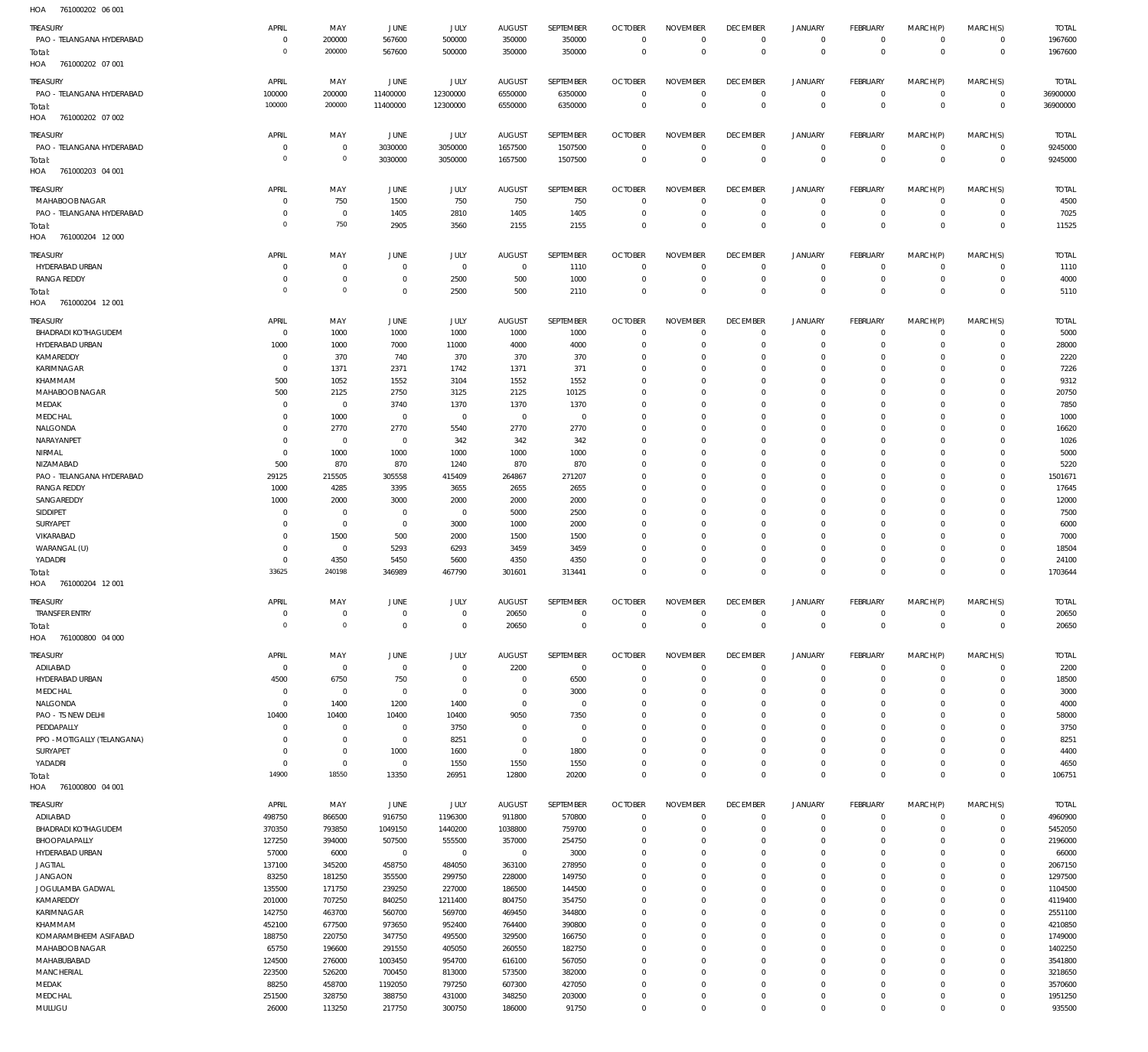| HOA<br>761000202 06 001     |                |                |                |                |                |                |                |                 |                 |                |                 |                |             |              |
|-----------------------------|----------------|----------------|----------------|----------------|----------------|----------------|----------------|-----------------|-----------------|----------------|-----------------|----------------|-------------|--------------|
| <b>TREASURY</b>             | APRIL          | MAY            | JUNE           | JULY           | <b>AUGUST</b>  | SEPTEMBER      | <b>OCTOBER</b> | <b>NOVEMBER</b> | <b>DECEMBER</b> | <b>JANUARY</b> | <b>FEBRUARY</b> | MARCH(P)       | MARCH(S)    | <b>TOTAL</b> |
| PAO - TELANGANA HYDERABAD   | $\mathbf 0$    | 200000         | 567600         | 500000         | 350000         | 350000         | $\Omega$       | $\Omega$        | $^{\circ}$      | $\circ$        | $\circ$         | $\mathbf 0$    | $\mathbf 0$ | 1967600      |
|                             | $\overline{0}$ | 200000         |                |                |                |                | $\Omega$       | $\Omega$        | $\Omega$        |                |                 |                |             |              |
| Total:                      |                |                | 567600         | 500000         | 350000         | 350000         |                |                 |                 | $\mathbf 0$    | $\mathbf 0$     | $\overline{0}$ | $\mathbf 0$ | 1967600      |
| 761000202 07 001<br>HOA     |                |                |                |                |                |                |                |                 |                 |                |                 |                |             |              |
| <b>TREASURY</b>             | APRIL          | MAY            | JUNE           | JULY           | <b>AUGUST</b>  | SEPTEMBER      | <b>OCTOBER</b> | <b>NOVEMBER</b> | <b>DECEMBER</b> | <b>JANUARY</b> | <b>FEBRUARY</b> | MARCH(P)       | MARCH(S)    | <b>TOTAL</b> |
| PAO - TELANGANA HYDERABAD   | 100000         | 200000         | 11400000       | 12300000       | 6550000        | 6350000        | $\mathbf 0$    | $^{\circ}$      | $^{\circ}$      | $^{\circ}$     | $\mathbb O$     | $^{\circ}$     | $\mathbf 0$ | 36900000     |
|                             | 100000         | 200000         | 11400000       | 12300000       | 6550000        | 6350000        | $\mathbf 0$    | $\Omega$        | $\Omega$        | $\Omega$       | $\,0\,$         | $\Omega$       | $\mathbf 0$ | 36900000     |
| Total:                      |                |                |                |                |                |                |                |                 |                 |                |                 |                |             |              |
| HOA<br>761000202 07 002     |                |                |                |                |                |                |                |                 |                 |                |                 |                |             |              |
| <b>TREASURY</b>             | APRIL          | MAY            | JUNE           | JULY           | <b>AUGUST</b>  | SEPTEMBER      | <b>OCTOBER</b> | <b>NOVEMBER</b> | <b>DECEMBER</b> | <b>JANUARY</b> | <b>FEBRUARY</b> | MARCH(P)       | MARCH(S)    | <b>TOTAL</b> |
| PAO - TELANGANA HYDERABAD   | $^{\circ}$     | $\overline{0}$ | 3030000        | 3050000        | 1657500        | 1507500        | $\Omega$       | $\Omega$        | $\Omega$        | $\mathbf 0$    | $\circ$         | $\mathbf 0$    | $\mathbf 0$ | 9245000      |
| Total:                      | $\overline{0}$ | $\circ$        | 3030000        | 3050000        | 1657500        | 1507500        | $\mathbf 0$    | $\Omega$        | $\Omega$        | $\Omega$       | $\mathbf 0$     | $\mathbf 0$    | $\mathbf 0$ | 9245000      |
| HOA<br>761000203 04 001     |                |                |                |                |                |                |                |                 |                 |                |                 |                |             |              |
|                             |                |                |                |                |                |                |                |                 |                 |                |                 |                |             |              |
| TREASURY                    | APRIL          | MAY            | JUNE           | JULY           | <b>AUGUST</b>  | SEPTEMBER      | <b>OCTOBER</b> | <b>NOVEMBER</b> | <b>DECEMBER</b> | <b>JANUARY</b> | <b>FEBRUARY</b> | MARCH(P)       | MARCH(S)    | <b>TOTAL</b> |
| MAHABOOB NAGAR              | $^{\circ}$     | 750            | 1500           | 750            | 750            | 750            | $^{\circ}$     | $\Omega$        | $\Omega$        | $\mathbf 0$    | 0               | $^{\circ}$     | 0           | 4500         |
| PAO - TELANGANA HYDERABAD   | $^{\circ}$     | $\overline{0}$ | 1405           | 2810           | 1405           | 1405           | $\mathbf 0$    | $\Omega$        | $\Omega$        | $\mathbf 0$    | $\mathbf 0$     | $^{\circ}$     | $\mathbf 0$ | 7025         |
|                             | $\overline{0}$ | 750            | 2905           | 3560           | 2155           | 2155           | $\mathbf 0$    | $\Omega$        | $\Omega$        | $\Omega$       | $\mathbf 0$     | $\mathbf 0$    | $\mathbf 0$ | 11525        |
| Total:                      |                |                |                |                |                |                |                |                 |                 |                |                 |                |             |              |
| 761000204 12 000<br>HOA     |                |                |                |                |                |                |                |                 |                 |                |                 |                |             |              |
| TREASURY                    | APRIL          | MAY            | JUNE           | <b>JULY</b>    | <b>AUGUST</b>  | SEPTEMBER      | <b>OCTOBER</b> | <b>NOVEMBER</b> | <b>DECEMBER</b> | <b>JANUARY</b> | <b>FEBRUARY</b> | MARCH(P)       | MARCH(S)    | <b>TOTAL</b> |
| HYDERABAD URBAN             | $^{\circ}$     | $\overline{0}$ | $\mathbf 0$    | $\overline{0}$ | $\overline{0}$ | 1110           | $^{\circ}$     | $\Omega$        | $\Omega$        | $\mathbf 0$    | $\circ$         | $\Omega$       | $\mathbf 0$ | 1110         |
| <b>RANGA REDDY</b>          | $^{\circ}$     | $\overline{0}$ | $\overline{0}$ | 2500           | 500            | 1000           | $^{\circ}$     | $\Omega$        | $\Omega$        | $\mathbf 0$    | $\mathbf 0$     | $^{\circ}$     | $\mathbf 0$ | 4000         |
|                             | $\overline{0}$ | $\mathbf 0$    | $\mathbf 0$    |                |                |                | $\Omega$       | $\Omega$        | $\Omega$        | $\Omega$       | $\Omega$        | $\Omega$       | $\mathbf 0$ |              |
| Total:                      |                |                |                | 2500           | 500            | 2110           |                |                 |                 |                |                 |                |             | 5110         |
| 761000204 12 001<br>HOA     |                |                |                |                |                |                |                |                 |                 |                |                 |                |             |              |
| TREASURY                    | APRIL          | MAY            | <b>JUNE</b>    | JULY           | <b>AUGUST</b>  | SEPTEMBER      | <b>OCTOBER</b> | <b>NOVEMBER</b> | <b>DECEMBER</b> | <b>JANUARY</b> | <b>FEBRUARY</b> | MARCH(P)       | MARCH(S)    | <b>TOTAL</b> |
| <b>BHADRADI KOTHAGUDEM</b>  | $\,0\,$        | 1000           | 1000           | 1000           | 1000           | 1000           | $^{\circ}$     | $\Omega$        | $\Omega$        | $^{\circ}$     | $\circ$         | $^{\circ}$     | $\mathbf 0$ | 5000         |
| HYDERABAD URBAN             |                |                |                |                |                |                |                |                 | $\Omega$        |                |                 |                |             |              |
|                             | 1000           | 1000           | 7000           | 11000          | 4000           | 4000           | $^{\circ}$     | - 0             |                 | $\Omega$       | $\mathbf 0$     | $\Omega$       | $\mathbf 0$ | 28000        |
| KAMAREDDY                   | $^{\circ}$     | 370            | 740            | 370            | 370            | 370            | $^{\circ}$     | $\Omega$        | $\Omega$        | $\Omega$       | $\mathbf 0$     | $\Omega$       | $\mathbf 0$ | 2220         |
| KARIMNAGAR                  | $\overline{0}$ | 1371           | 2371           | 1742           | 1371           | 371            | $^{\circ}$     | $\Omega$        | $\Omega$        | $\Omega$       | $\mathbf 0$     | $\Omega$       | $\mathbf 0$ | 7226         |
| KHAMMAM                     | 500            | 1052           | 1552           | 3104           | 1552           | 1552           | $\Omega$       | $\Omega$        | $\Omega$        | $\Omega$       | $\mathbf 0$     | $\Omega$       | $\mathbf 0$ | 9312         |
| MAHABOOB NAGAR              | 500            | 2125           | 2750           | 3125           | 2125           | 10125          | $^{\circ}$     | $\Omega$        | $\Omega$        | $\Omega$       | $\mathbf 0$     | $\Omega$       | $\mathbf 0$ | 20750        |
| MEDAK                       | $^{\circ}$     | $\overline{0}$ | 3740           | 1370           | 1370           | 1370           | $\Omega$       | $\Omega$        | $\Omega$        | $\Omega$       | $\Omega$        | $\Omega$       | $\mathbf 0$ | 7850         |
| MEDCHAL                     | $^{\circ}$     | 1000           | $\overline{0}$ | $^{\circ}$     | $\overline{0}$ | $^{\circ}$     | $\mathbf 0$    | $\Omega$        | $\Omega$        | $\Omega$       | $\mathbf 0$     | $\Omega$       | $\mathbf 0$ | 1000         |
|                             |                |                |                |                |                |                |                | $\Omega$        | $\Omega$        | $\Omega$       | $\mathbf 0$     |                | $\mathbf 0$ |              |
| NALGONDA                    | $^{\circ}$     | 2770           | 2770           | 5540           | 2770           | 2770           | $^{\circ}$     |                 |                 |                |                 | $\Omega$       |             | 16620        |
| NARAYANPET                  | $\overline{0}$ | $\,0\,$        | $\overline{0}$ | 342            | 342            | 342            | $\mathbf 0$    | $\Omega$        | $\Omega$        | $\Omega$       | $\mathbf 0$     | $\Omega$       | $\mathbf 0$ | 1026         |
| NIRMAL                      | $\mathbf 0$    | 1000           | 1000           | 1000           | 1000           | 1000           | $\Omega$       | $\Omega$        | $\Omega$        | $\Omega$       | $\mathbf 0$     | $\Omega$       | $\mathbf 0$ | 5000         |
| NIZAMABAD                   | 500            | 870            | 870            | 1240           | 870            | 870            | $^{\circ}$     | $\Omega$        | $\Omega$        | $\Omega$       | $\mathbf 0$     | $\Omega$       | $\mathbf 0$ | 5220         |
| PAO - TELANGANA HYDERABAD   | 29125          | 215505         | 305558         | 415409         | 264867         | 271207         | $\mathbf 0$    | $\Omega$        | $\Omega$        | $\Omega$       | $\mathbf 0$     | $\Omega$       | $\mathbf 0$ | 1501671      |
| <b>RANGA REDDY</b>          | 1000           | 4285           | 3395           | 3655           | 2655           | 2655           | $\mathbf 0$    | $\Omega$        | $\Omega$        | $\Omega$       | $\mathbf 0$     | $\Omega$       | $\mathbf 0$ | 17645        |
| SANGAREDDY                  | 1000           | 2000           | 3000           | 2000           | 2000           | 2000           | $\Omega$       | $\Omega$        | $\Omega$        | $\Omega$       | $\mathbf 0$     | $\Omega$       | $\mathbf 0$ | 12000        |
|                             |                |                |                |                |                |                |                |                 |                 |                |                 |                |             |              |
| SIDDIPET                    | $^{\circ}$     | $\overline{0}$ | $\overline{0}$ | $\mathbf 0$    | 5000           | 2500           | $^{\circ}$     | $\Omega$        | $\Omega$        | $\Omega$       | $\mathbf 0$     | $\Omega$       | $\mathbf 0$ | 7500         |
| SURYAPET                    | $^{\circ}$     | $\,0\,$        | $\overline{0}$ | 3000           | 1000           | 2000           | $\Omega$       | $\Omega$        | $\Omega$        | $\Omega$       | $\Omega$        | $\Omega$       | $\mathbf 0$ | 6000         |
| VIKARABAD                   | $^{\circ}$     | 1500           | 500            | 2000           | 1500           | 1500           | $^{\circ}$     | $\Omega$        | $\Omega$        | $\Omega$       | $\mathbf 0$     | $\Omega$       | $\mathbf 0$ | 7000         |
| WARANGAL (U)                | $\Omega$       | $\overline{0}$ | 5293           | 6293           | 3459           | 3459           | $\Omega$       | $\Omega$        | $\Omega$        | $\Omega$       | $\mathbf 0$     | $\Omega$       | $\mathbf 0$ | 18504        |
| YADADRI                     | $\mathbf 0$    | 4350           | 5450           | 5600           | 4350           | 4350           | $\mathbf 0$    | $\Omega$        | $\Omega$        | $\Omega$       | $\mathbb O$     | $\Omega$       | $\mathbf 0$ | 24100        |
| Total:                      | 33625          | 240198         | 346989         | 467790         | 301601         | 313441         | $\Omega$       | $\Omega$        | $\Omega$        | $\Omega$       | $\Omega$        | $\Omega$       | $\mathbf 0$ | 1703644      |
| 761000204 12 001<br>HOA     |                |                |                |                |                |                |                |                 |                 |                |                 |                |             |              |
|                             |                |                |                |                |                |                |                |                 |                 |                |                 |                |             |              |
| <b>TREASURY</b>             | APRIL          | MAY            | JUNE           | JULY           | <b>AUGUST</b>  | SEPTEMBER      | <b>OCTOBER</b> | <b>NOVEMBER</b> | <b>DECEMBER</b> | <b>JANUARY</b> | <b>FEBRUARY</b> | MARCH(P)       | MARCH(S)    | <b>TOTAL</b> |
| <b>TRANSFER ENTRY</b>       | $\mathbf 0$    | $\,0\,$        | $\overline{0}$ | $\mathbf 0$    | 20650          | $\mathbb O$    | $\mathbf 0$    | $\Omega$        | $\Omega$        | $\mathbf 0$    | $\mathbf 0$     | $\mathbf 0$    | $\mathbf 0$ | 20650        |
| Total:                      | $\circ$        | $\circ$        | $\mathbb O$    | $\mathbf 0$    | 20650          | $\mathbb O$    | $\mathbb O$    | $\mathbf 0$     | $\mathbf 0$     | $\Omega$       | $\mathbb O$     | $\Omega$       | $\mathbf 0$ | 20650        |
| HOA 761000800 04 000        |                |                |                |                |                |                |                |                 |                 |                |                 |                |             |              |
|                             |                |                |                |                |                |                |                |                 |                 |                |                 |                |             |              |
| TREASURY                    | APRIL          | MAY            | <b>JUNE</b>    | JULY           | <b>AUGUST</b>  | SEPTEMBER      | <b>OCTOBER</b> | <b>NOVEMBER</b> | <b>DECEMBER</b> | JANUARY        | <b>FEBRUARY</b> | MARCH(P)       | MARCH(S)    | <b>TOTAL</b> |
| ADILABAD                    | $\,0\,$        | $\,0\,$        | $\overline{0}$ | $\mathbf 0$    | 2200           | $\overline{0}$ | $\mathbb O$    | $\Omega$        | $\overline{0}$  | $\mathbf 0$    | $\mathbf 0$     | $\mathbf 0$    | $\mathbf 0$ | 2200         |
| HYDERABAD URBAN             | 4500           | 6750           | 750            | $^{\circ}$     | $\overline{0}$ | 6500           | $\mathbf 0$    | $\Omega$        | $^{\circ}$      | 0              | $\mathbb O$     | $^{\circ}$     | $\mathbf 0$ | 18500        |
| MEDCHAL                     | $\,0\,$        | $\,0\,$        | $\overline{0}$ | $\mathbf 0$    | $\overline{0}$ | 3000           | $\mathbf 0$    | $\Omega$        | $\Omega$        | $\Omega$       | $\mathbf 0$     | $\Omega$       | $\mathbf 0$ | 3000         |
| NALGONDA                    | $\mathbf 0$    | 1400           | 1200           | 1400           | $\mathbb O$    | $^{\circ}$     | $\mathbf 0$    | $\Omega$        | $\Omega$        | $\Omega$       | $\mathbf 0$     | $\Omega$       | $\mathbf 0$ | 4000         |
| PAO - TS NEW DELHI          | 10400          | 10400          | 10400          | 10400          | 9050           | 7350           | $\mathbf 0$    | $\Omega$        | $\Omega$        | $\Omega$       | $\mathbf 0$     | $\Omega$       | $\mathbf 0$ | 58000        |
|                             |                |                |                |                |                |                |                |                 |                 |                |                 |                |             |              |
| PEDDAPALLY                  | $\mathbf 0$    | $\,0\,$        | $\overline{0}$ | 3750           | $\overline{0}$ | $^{\circ}$     | $\mathbf 0$    | $\Omega$        | $\Omega$        | $\Omega$       | $\mathbf 0$     | $\Omega$       | $\mathbf 0$ | 3750         |
| PPO - MOTIGALLY (TELANGANA) | $^{\circ}$     | $\,0\,$        | $\overline{0}$ | 8251           | $\overline{0}$ | $\circ$        | $\mathbf 0$    | $\Omega$        | $\Omega$        | $\Omega$       | $\mathbf 0$     | $\Omega$       | $\mathbf 0$ | 8251         |
| SURYAPET                    | $\overline{0}$ | $\,0\,$        | 1000           | 1600           | $\mathbb O$    | 1800           | $\mathbf{0}$   | $\Omega$        | $\Omega$        | $\Omega$       | $\mathbf 0$     | $\Omega$       | $\mathbf 0$ | 4400         |
| YADADRI                     | $\mathbf 0$    | $\,0\,$        | $\overline{0}$ | 1550           | 1550           | 1550           | $\mathbf{0}$   | $\Omega$        | $\Omega$        | $\mathbf 0$    | $\mathbf 0$     | $^{\circ}$     | $\mathbf 0$ | 4650         |
| Total:                      | 14900          | 18550          | 13350          | 26951          | 12800          | 20200          | $\mathbf{0}$   | $\Omega$        | $\Omega$        | $\Omega$       | $\mathbb O$     | $\Omega$       | $\mathbf 0$ | 106751       |
| 761000800 04 001<br>HOA     |                |                |                |                |                |                |                |                 |                 |                |                 |                |             |              |
|                             |                |                |                |                |                |                |                |                 |                 |                |                 |                |             |              |
| TREASURY                    | APRIL          | MAY            | JUNE           | JULY           | <b>AUGUST</b>  | SEPTEMBER      | <b>OCTOBER</b> | <b>NOVEMBER</b> | <b>DECEMBER</b> | <b>JANUARY</b> | <b>FEBRUARY</b> | MARCH(P)       | MARCH(S)    | <b>TOTAL</b> |
| ADILABAD                    | 498750         | 866500         | 916750         | 1196300        | 911800         | 570800         | $^{\circ}$     | $\Omega$        | $\mathbf{0}$    | $\mathbf 0$    | $\mathbb O$     | $\mathbf 0$    | $\mathbf 0$ | 4960900      |
| <b>BHADRADI KOTHAGUDEM</b>  | 370350         | 793850         | 1049150        | 1440200        | 1038800        | 759700         | $^{\circ}$     | $\Omega$        | $\Omega$        | $\Omega$       | $\mathbf 0$     | $^{\circ}$     | $\mathbf 0$ | 5452050      |
| BHOOPALAPALLY               | 127250         | 394000         | 507500         | 555500         | 357000         | 254750         | $\mathbf{0}$   | $\Omega$        | $\Omega$        | $\Omega$       | $\mathbf 0$     | $\Omega$       | $\mathbf 0$ | 2196000      |
| HYDERABAD URBAN             | 57000          | 6000           | $\overline{0}$ | $\mathbf 0$    | $\overline{0}$ | 3000           | $^{\circ}$     | $\Omega$        | $\Omega$        | $\Omega$       | $\mathbf 0$     | $\Omega$       | $\mathbf 0$ | 66000        |
| JAGTIAL                     | 137100         | 345200         | 458750         | 484050         | 363100         | 278950         | $\Omega$       | $\Omega$        | $\Omega$        | $\Omega$       | $\mathbf 0$     | $\Omega$       | $\Omega$    | 2067150      |
|                             |                |                |                |                |                |                |                |                 |                 |                |                 |                |             |              |
| <b>JANGAON</b>              | 83250          | 181250         | 355500         | 299750         | 228000         | 149750         | $^{\circ}$     | $\Omega$        | $\Omega$        | $\Omega$       | $\mathbf 0$     | $\Omega$       | $\mathbf 0$ | 1297500      |
| JOGULAMBA GADWAL            | 135500         | 171750         | 239250         | 227000         | 186500         | 144500         | $\Omega$       | $\Omega$        | $\Omega$        | $\Omega$       | $\Omega$        | $\Omega$       | $\mathbf 0$ | 1104500      |
|                             |                |                |                | 1211400        | 804750         | 354750         | $\mathbf 0$    | $\Omega$        | $\Omega$        | $\Omega$       | $\mathbf 0$     | $\Omega$       | $\mathbf 0$ | 4119400      |
| KAMAREDDY                   | 201000         | 707250         | 840250         |                |                |                |                |                 |                 |                |                 |                |             |              |
| KARIMNAGAR                  | 142750         | 463700         | 560700         | 569700         | 469450         | 344800         | $^{\circ}$     | $\Omega$        | $\Omega$        | $\Omega$       | $\mathbf 0$     | $\Omega$       | $\mathbf 0$ | 2551100      |
| KHAMMAM                     | 452100         | 677500         | 973650         | 952400         | 764400         | 390800         | $\Omega$       | $\Omega$        | $\Omega$        | $\Omega$       | $\mathbf 0$     | $\Omega$       | $\mathbf 0$ | 4210850      |
|                             |                |                |                |                |                |                |                | $\Omega$        | $\Omega$        | $\Omega$       |                 | $\Omega$       |             |              |
| KOMARAMBHEEM ASIFABAD       | 188750         | 220750         | 347750         | 495500         | 329500         | 166750         | $\mathbf 0$    |                 |                 |                | $\mathbf 0$     |                | $\mathbf 0$ | 1749000      |
| MAHABOOB NAGAR              | 65750          | 196600         | 291550         | 405050         | 260550         | 182750         | $\Omega$       | $\Omega$        | $\Omega$        | $\Omega$       | $\mathbf 0$     | $\Omega$       | $\Omega$    | 1402250      |
| MAHABUBABAD                 | 124500         | 276000         | 1003450        | 954700         | 616100         | 567050         | $^{\circ}$     | $\Omega$        | $\Omega$        | $\Omega$       | $\mathbf 0$     | $\Omega$       | $\mathbf 0$ | 3541800      |
| MANCHERIAL                  | 223500         | 526200         | 700450         | 813000         | 573500         | 382000         | $\Omega$       | $\Omega$        | $\Omega$        | $\Omega$       | $\mathbf 0$     | $\Omega$       | $\mathbf 0$ | 3218650      |
| MEDAK                       | 88250          | 458700         | 1192050        | 797250         | 607300         | 427050         | $\mathbf{0}$   | $\Omega$        | $\Omega$        | $\Omega$       | $\mathbf 0$     | $\Omega$       | $\mathbf 0$ | 3570600      |
| MEDCHAL                     | 251500         | 328750         | 388750         | 431000         | 348250         | 203000         | $\mathbf 0$    | $^{\circ}$      | $\mathbf{0}$    | $\mathbf 0$    | $\mathsf{O}$    | $^{\circ}$     | $\mathbf 0$ | 1951250      |
| MULUGU                      | 26000          | 113250         | 217750         | 300750         | 186000         | 91750          | $\mathbf 0$    | $\mathbf{0}$    | $\mathbf 0$     | $\Omega$       | $\mathbf 0$     | $\Omega$       | $\mathbf 0$ | 935500       |